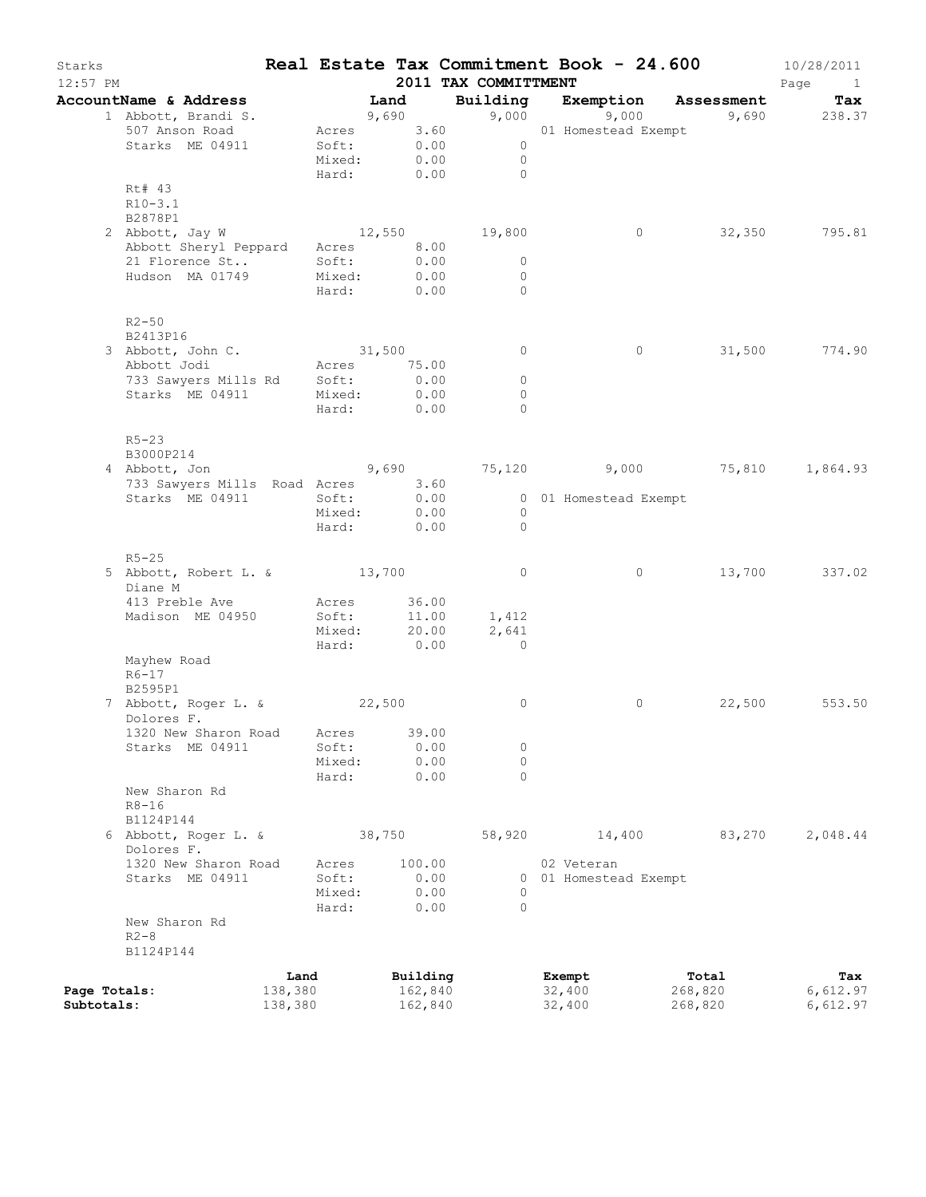| Starks<br>$12:57$ PM |                                     |         |                 |        |               | 2011 TAX COMMITTMENT      | Real Estate Tax Commitment Book - 24.600 |            | 10/28/2011<br>Page<br>$\mathbf{1}$ |
|----------------------|-------------------------------------|---------|-----------------|--------|---------------|---------------------------|------------------------------------------|------------|------------------------------------|
|                      | AccountName & Address               |         |                 | Land   |               | Building                  | Exemption                                | Assessment | Tax                                |
|                      | 1 Abbott, Brandi S.                 |         |                 | 9,690  |               | 9,000                     | 9,000                                    |            | 9,690 238.37                       |
|                      | 507 Anson Road                      |         | Acres           |        | 3.60          |                           | 01 Homestead Exempt                      |            |                                    |
|                      | Starks ME 04911                     |         | Soft:<br>Mixed: |        | 0.00          | $\circ$<br>$\overline{0}$ |                                          |            |                                    |
|                      |                                     |         | Hard:           |        | 0.00<br>0.00  | $\Omega$                  |                                          |            |                                    |
|                      | Rt# 43                              |         |                 |        |               |                           |                                          |            |                                    |
|                      | $R10-3.1$                           |         |                 |        |               |                           |                                          |            |                                    |
|                      | B2878P1                             |         |                 |        |               |                           |                                          |            |                                    |
|                      | 2 Abbott, Jay W                     |         | 12,550          |        |               | 19,800                    | $\circ$                                  | 32,350     | 795.81                             |
|                      | Abbott Sheryl Peppard               |         | Acres 8.00      |        |               |                           |                                          |            |                                    |
|                      | 21 Florence St                      |         | Soft:           |        | 0.00          | $\circ$                   |                                          |            |                                    |
|                      | Hudson MA 01749                     |         | Mixed:          |        | 0.00          | $\circ$                   |                                          |            |                                    |
|                      |                                     |         | Hard:           |        | 0.00          | $\Omega$                  |                                          |            |                                    |
|                      |                                     |         |                 |        |               |                           |                                          |            |                                    |
|                      | $R2 - 50$                           |         |                 |        |               |                           |                                          |            |                                    |
|                      | B2413P16                            |         |                 |        |               |                           |                                          |            |                                    |
|                      | 3 Abbott, John C.                   |         | 31,500          |        |               | $\circ$                   | $\circ$                                  | 31,500     | 774.90                             |
|                      | Abbott Jodi<br>733 Sawyers Mills Rd |         | Acres<br>Soft:  |        | 75.00<br>0.00 | $\circ$                   |                                          |            |                                    |
|                      | Starks ME 04911                     |         | Mixed:          |        | 0.00          | $\circ$                   |                                          |            |                                    |
|                      |                                     |         | Hard:           | 0.00   |               | $\Omega$                  |                                          |            |                                    |
|                      |                                     |         |                 |        |               |                           |                                          |            |                                    |
|                      | $R5 - 23$                           |         |                 |        |               |                           |                                          |            |                                    |
|                      | B3000P214                           |         |                 |        |               |                           |                                          |            |                                    |
|                      | 4 Abbott, Jon                       |         | 9,690           |        |               |                           | 75,120 9,000 75,810                      |            | 1,864.93                           |
|                      | 733 Sawyers Mills Road Acres        |         |                 |        | 3.60          |                           |                                          |            |                                    |
|                      | Starks ME 04911                     |         | Soft:           |        | 0.00          |                           | 0 01 Homestead Exempt                    |            |                                    |
|                      |                                     |         | Mixed:          |        | 0.00          | $\circ$                   |                                          |            |                                    |
|                      |                                     |         | Hard:           |        | 0.00          | $\Omega$                  |                                          |            |                                    |
|                      |                                     |         |                 |        |               |                           |                                          |            |                                    |
|                      | $R5 - 25$                           |         |                 |        |               |                           |                                          |            |                                    |
|                      | 5 Abbott, Robert L. & 13,700        |         |                 |        |               | 0                         | 0                                        | 13,700     | 337.02                             |
|                      | Diane M                             |         |                 |        | 36.00         |                           |                                          |            |                                    |
|                      | 413 Preble Ave<br>Madison ME 04950  |         | Acres<br>Soft:  |        | 11.00         | 1,412                     |                                          |            |                                    |
|                      |                                     |         | Mixed:          |        | 20.00         | 2,641                     |                                          |            |                                    |
|                      |                                     |         | Hard:           |        | 0.00          | $\circ$                   |                                          |            |                                    |
|                      | Mayhew Road                         |         |                 |        |               |                           |                                          |            |                                    |
|                      | $R6-17$                             |         |                 |        |               |                           |                                          |            |                                    |
|                      | B2595P1                             |         |                 |        |               |                           |                                          |            |                                    |
|                      | 7 Abbott, Roger L. & 22,500         |         |                 |        |               | 0                         | 0                                        | 22,500     | 553.50                             |
|                      | Dolores F.                          |         |                 |        |               |                           |                                          |            |                                    |
|                      | 1320 New Sharon Road Acres          |         |                 |        | 39.00         |                           |                                          |            |                                    |
|                      | Starks ME 04911                     |         | Soft:           |        | 0.00          | 0                         |                                          |            |                                    |
|                      |                                     |         | Mixed:          |        | 0.00          | 0                         |                                          |            |                                    |
|                      |                                     |         | Hard:           |        | 0.00          | $\Omega$                  |                                          |            |                                    |
|                      | New Sharon Rd<br>$R8 - 16$          |         |                 |        |               |                           |                                          |            |                                    |
|                      | B1124P144                           |         |                 |        |               |                           |                                          |            |                                    |
|                      | 6 Abbott, Roger L. &                |         |                 | 38,750 |               | 58,920                    | 14,400                                   | 83,270     | 2,048.44                           |
|                      | Dolores F.                          |         |                 |        |               |                           |                                          |            |                                    |
|                      | 1320 New Sharon Road                |         | Acres           |        | 100.00        |                           | 02 Veteran                               |            |                                    |
|                      | Starks ME 04911                     |         | Soft:           |        | 0.00          |                           | 0 01 Homestead Exempt                    |            |                                    |
|                      |                                     |         | Mixed:          |        | 0.00          | 0                         |                                          |            |                                    |
|                      |                                     |         | Hard:           |        | 0.00          | $\Omega$                  |                                          |            |                                    |
|                      | New Sharon Rd                       |         |                 |        |               |                           |                                          |            |                                    |
|                      | $R2-8$                              |         |                 |        |               |                           |                                          |            |                                    |
|                      | B1124P144                           |         |                 |        |               |                           |                                          |            |                                    |
|                      |                                     | Land    |                 |        | Building      |                           | Exempt                                   | Total      | Tax                                |
| Page Totals:         |                                     | 138,380 |                 |        | 162,840       |                           | 32,400                                   | 268,820    | 6,612.97                           |
| Subtotals:           |                                     | 138,380 |                 |        | 162,840       |                           | 32,400                                   | 268,820    | 6,612.97                           |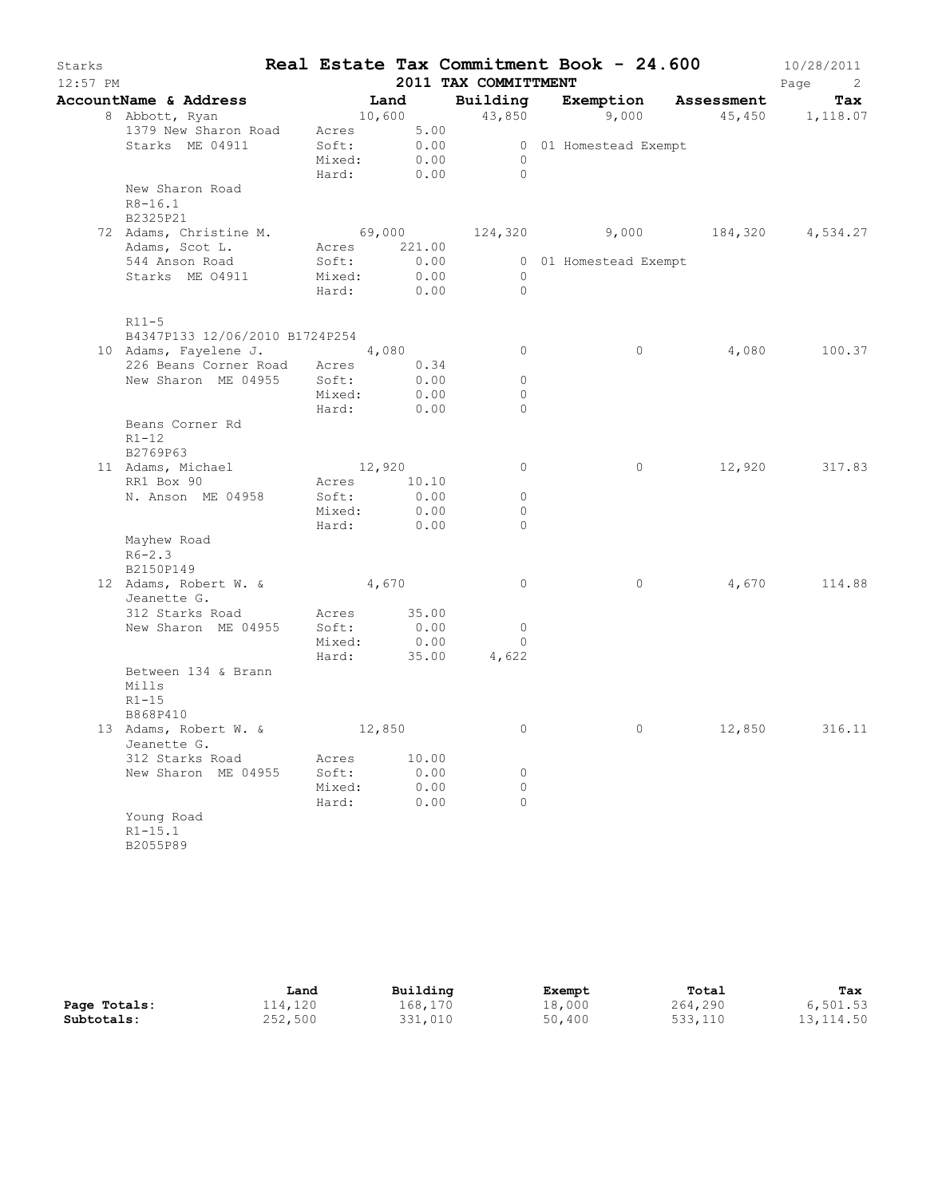| Starks<br>$12:57$ PM |                                                              |                  |                  |              | 2011 TAX COMMITTMENT    | Real Estate Tax Commitment Book - 24.600                                                                                                                                                                                                                                                         |        | 10/28/2011<br>Page<br>$\overline{2}$ |
|----------------------|--------------------------------------------------------------|------------------|------------------|--------------|-------------------------|--------------------------------------------------------------------------------------------------------------------------------------------------------------------------------------------------------------------------------------------------------------------------------------------------|--------|--------------------------------------|
|                      | AccountName & Address                                        | <b>Example 1</b> |                  |              |                         | Building Exemption Assessment                                                                                                                                                                                                                                                                    |        | Tax                                  |
|                      | 8 Abbott, Ryan                                               | 10,600           |                  |              |                         | 43,850 9,000 45,450 1,118.07                                                                                                                                                                                                                                                                     |        |                                      |
|                      | 1379 New Sharon Road Acres 5.00                              |                  |                  |              |                         |                                                                                                                                                                                                                                                                                                  |        |                                      |
|                      | Starks ME 04911                                              | Soft: 0.00       |                  |              |                         | 0 01 Homestead Exempt                                                                                                                                                                                                                                                                            |        |                                      |
|                      |                                                              | Mixed:           |                  | 0.00         | $\overline{0}$          |                                                                                                                                                                                                                                                                                                  |        |                                      |
|                      |                                                              |                  |                  |              | Hard: 0.00 0            |                                                                                                                                                                                                                                                                                                  |        |                                      |
|                      | New Sharon Road                                              |                  |                  |              |                         |                                                                                                                                                                                                                                                                                                  |        |                                      |
|                      | $R8 - 16.1$<br>B2325P21                                      |                  |                  |              |                         |                                                                                                                                                                                                                                                                                                  |        |                                      |
|                      | 72 Adams, Christine M. 69,000 124,320 9,000 184,320 4,534.27 |                  |                  |              |                         |                                                                                                                                                                                                                                                                                                  |        |                                      |
|                      | Adams, Scot L. Acres 221.00                                  |                  |                  |              |                         |                                                                                                                                                                                                                                                                                                  |        |                                      |
|                      | 544 Anson Road                                               | Soft:            |                  |              |                         | 0 01 Homestead Exempt                                                                                                                                                                                                                                                                            |        |                                      |
|                      | Starks ME 04911                                              | Mixed:           | $0.00$<br>$0.00$ |              | $\overline{0}$          |                                                                                                                                                                                                                                                                                                  |        |                                      |
|                      |                                                              | Hard: 0.00       |                  |              | $\bigcirc$              |                                                                                                                                                                                                                                                                                                  |        |                                      |
|                      | $R11-5$                                                      |                  |                  |              |                         |                                                                                                                                                                                                                                                                                                  |        |                                      |
|                      | B4347P133 12/06/2010 B1724P254                               |                  |                  |              |                         |                                                                                                                                                                                                                                                                                                  |        |                                      |
|                      | 10 Adams, Fayelene J. 4,080                                  |                  |                  |              | $\circ$                 | $\circ$                                                                                                                                                                                                                                                                                          |        | 4,080 100.37                         |
|                      | 226 Beans Corner Road Acres 0.34                             |                  |                  |              |                         |                                                                                                                                                                                                                                                                                                  |        |                                      |
|                      | New Sharon ME 04955 Soft:                                    | Mixed:           |                  | 0.00<br>0.00 | $\circ$<br>$\mathbf{0}$ |                                                                                                                                                                                                                                                                                                  |        |                                      |
|                      |                                                              | Hard: 0.00       |                  |              | $\Omega$                |                                                                                                                                                                                                                                                                                                  |        |                                      |
|                      | Beans Corner Rd                                              |                  |                  |              |                         |                                                                                                                                                                                                                                                                                                  |        |                                      |
|                      | $R1 - 12$                                                    |                  |                  |              |                         |                                                                                                                                                                                                                                                                                                  |        |                                      |
|                      | B2769P63                                                     |                  |                  |              |                         |                                                                                                                                                                                                                                                                                                  |        |                                      |
|                      | 11 Adams, Michael                                            | 12,920           |                  |              | $\circ$                 | $\circ$                                                                                                                                                                                                                                                                                          |        | 12,920 317.83                        |
|                      | RR1 Box 90                                                   | Acres 10.10      |                  |              |                         |                                                                                                                                                                                                                                                                                                  |        |                                      |
|                      | N. Anson ME 04958                                            | Soft:            |                  | 0.00         | $\circ$                 |                                                                                                                                                                                                                                                                                                  |        |                                      |
|                      |                                                              | Mixed:           | 0.00             |              | $\circ$                 |                                                                                                                                                                                                                                                                                                  |        |                                      |
|                      |                                                              | Hard: 0.00       |                  |              | $\Omega$                |                                                                                                                                                                                                                                                                                                  |        |                                      |
|                      | Mayhew Road                                                  |                  |                  |              |                         |                                                                                                                                                                                                                                                                                                  |        |                                      |
|                      | $R6 - 2.3$<br>B2150P149                                      |                  |                  |              |                         |                                                                                                                                                                                                                                                                                                  |        |                                      |
|                      | 12 Adams, Robert W. & 4,670                                  |                  |                  |              | $\overline{0}$          | $\circ$                                                                                                                                                                                                                                                                                          | 4,670  | 114.88                               |
|                      | Jeanette G.                                                  |                  |                  |              |                         |                                                                                                                                                                                                                                                                                                  |        |                                      |
|                      | 312 Starks Road                                              | Acres 35.00      |                  |              |                         |                                                                                                                                                                                                                                                                                                  |        |                                      |
|                      | New Sharon ME 04955                                          | Soft:            |                  | 0.00         | $\circ$                 |                                                                                                                                                                                                                                                                                                  |        |                                      |
|                      |                                                              | Mixed:           |                  | 0.00         | $\mathbf{0}$            |                                                                                                                                                                                                                                                                                                  |        |                                      |
|                      |                                                              | Hard:            |                  | 35.00        | 4,622                   |                                                                                                                                                                                                                                                                                                  |        |                                      |
|                      | Between 134 & Brann                                          |                  |                  |              |                         |                                                                                                                                                                                                                                                                                                  |        |                                      |
|                      | Mills                                                        |                  |                  |              |                         |                                                                                                                                                                                                                                                                                                  |        |                                      |
|                      | $R1 - 15$                                                    |                  |                  |              |                         |                                                                                                                                                                                                                                                                                                  |        |                                      |
|                      | B868P410                                                     |                  |                  |              |                         |                                                                                                                                                                                                                                                                                                  |        |                                      |
|                      | 13 Adams, Robert W. &                                        |                  | 12,850           |              | $\circ$                 | $\mathbf{0}$ and $\mathbf{0}$ and $\mathbf{0}$ and $\mathbf{0}$ and $\mathbf{0}$ and $\mathbf{0}$ and $\mathbf{0}$ and $\mathbf{0}$ and $\mathbf{0}$ and $\mathbf{0}$ and $\mathbf{0}$ and $\mathbf{0}$ and $\mathbf{0}$ and $\mathbf{0}$ and $\mathbf{0}$ and $\mathbf{0}$ and $\mathbf{0}$ and | 12,850 | 316.11                               |
|                      | Jeanette G.<br>312 Starks Road                               | Acres            |                  | 10.00        |                         |                                                                                                                                                                                                                                                                                                  |        |                                      |
|                      | New Sharon ME 04955                                          | Soft:            |                  | 0.00         | 0                       |                                                                                                                                                                                                                                                                                                  |        |                                      |
|                      |                                                              | Mixed:           |                  | 0.00         | 0                       |                                                                                                                                                                                                                                                                                                  |        |                                      |
|                      |                                                              | Hard:            |                  | 0.00         | $\Omega$                |                                                                                                                                                                                                                                                                                                  |        |                                      |
|                      | Young Road                                                   |                  |                  |              |                         |                                                                                                                                                                                                                                                                                                  |        |                                      |
|                      | $R1 - 15.1$                                                  |                  |                  |              |                         |                                                                                                                                                                                                                                                                                                  |        |                                      |
|                      | B2055P89                                                     |                  |                  |              |                         |                                                                                                                                                                                                                                                                                                  |        |                                      |

|              | Land    | Building | Exempt | Total   | Tax        |
|--------------|---------|----------|--------|---------|------------|
| Page Totals: | 114,120 | 168,170  | 18,000 | 264,290 | 6,501.53   |
| Subtotals:   | 252,500 | 331,010  | 50,400 | 533,110 | 13, 114.50 |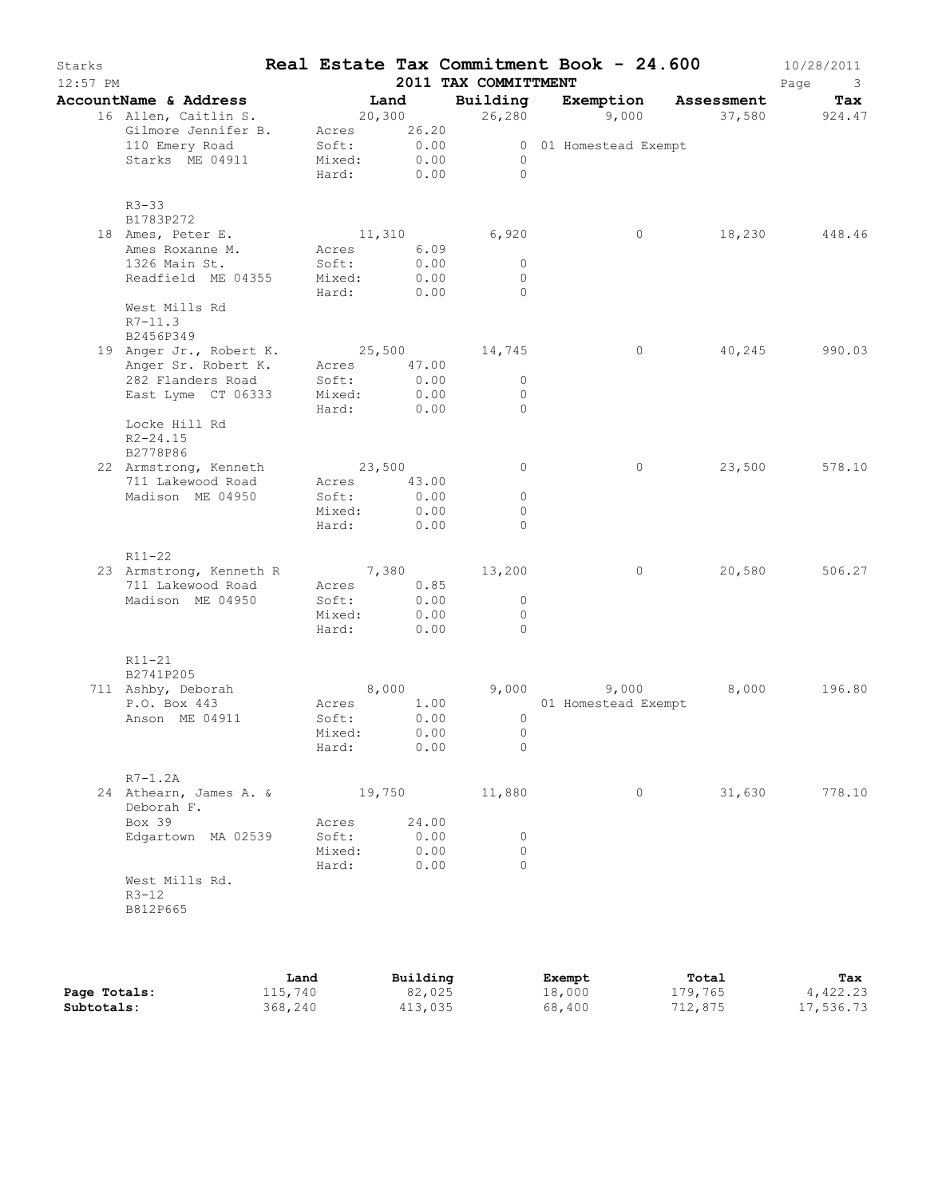| Land<br>20,300<br>Acres 26.20<br>0.00<br>Soft:<br>0.00<br>Mixed:<br>0.00<br>Hard:<br>11,310<br>Acres 6.09<br>Soft:<br>0.00<br>Mixed:<br>0.00<br>Hard:<br>Acres 47.00<br>0.00<br>Soft:<br>Mixed:<br>0.00<br>Hard:<br>0.00<br>23,500<br>Acres 43.00<br>Soft:<br>0.00<br>0.00<br>Mixed:<br>Hard:<br>0.00 | Building<br>6,920<br>0.00<br>25,500 14,745 | 26,280<br>$\circ$<br>$\bigcirc$<br>$\circ$<br>$\circ$<br>$\Omega$<br>$\circ$<br>$\circ$<br>$\Omega$<br>$\circ$<br>0<br>0<br>$\Omega$ | Exemption<br>9,000<br>0 01 Homestead Exempt<br>$\circ$<br>$\circ$<br>$\circ$ | Assessment<br>18,230<br>40,245<br>23,500 | Tax<br>37,580 924.47<br>448.46<br>990.03<br>578.10 |
|-------------------------------------------------------------------------------------------------------------------------------------------------------------------------------------------------------------------------------------------------------------------------------------------------------|--------------------------------------------|--------------------------------------------------------------------------------------------------------------------------------------|------------------------------------------------------------------------------|------------------------------------------|----------------------------------------------------|
|                                                                                                                                                                                                                                                                                                       |                                            |                                                                                                                                      |                                                                              |                                          |                                                    |
|                                                                                                                                                                                                                                                                                                       |                                            |                                                                                                                                      |                                                                              |                                          |                                                    |
|                                                                                                                                                                                                                                                                                                       |                                            |                                                                                                                                      |                                                                              |                                          |                                                    |
|                                                                                                                                                                                                                                                                                                       |                                            |                                                                                                                                      |                                                                              |                                          |                                                    |
|                                                                                                                                                                                                                                                                                                       |                                            |                                                                                                                                      |                                                                              |                                          |                                                    |
|                                                                                                                                                                                                                                                                                                       |                                            |                                                                                                                                      |                                                                              |                                          |                                                    |
|                                                                                                                                                                                                                                                                                                       |                                            |                                                                                                                                      |                                                                              |                                          |                                                    |
|                                                                                                                                                                                                                                                                                                       |                                            |                                                                                                                                      |                                                                              |                                          |                                                    |
|                                                                                                                                                                                                                                                                                                       |                                            |                                                                                                                                      |                                                                              |                                          |                                                    |
|                                                                                                                                                                                                                                                                                                       |                                            |                                                                                                                                      |                                                                              |                                          |                                                    |
|                                                                                                                                                                                                                                                                                                       |                                            |                                                                                                                                      |                                                                              |                                          |                                                    |
|                                                                                                                                                                                                                                                                                                       |                                            |                                                                                                                                      |                                                                              |                                          |                                                    |
|                                                                                                                                                                                                                                                                                                       |                                            |                                                                                                                                      |                                                                              |                                          |                                                    |
|                                                                                                                                                                                                                                                                                                       |                                            |                                                                                                                                      |                                                                              |                                          |                                                    |
|                                                                                                                                                                                                                                                                                                       |                                            |                                                                                                                                      |                                                                              |                                          |                                                    |
|                                                                                                                                                                                                                                                                                                       |                                            |                                                                                                                                      |                                                                              |                                          |                                                    |
|                                                                                                                                                                                                                                                                                                       |                                            |                                                                                                                                      |                                                                              |                                          |                                                    |
|                                                                                                                                                                                                                                                                                                       |                                            |                                                                                                                                      |                                                                              |                                          |                                                    |
|                                                                                                                                                                                                                                                                                                       |                                            |                                                                                                                                      |                                                                              |                                          |                                                    |
|                                                                                                                                                                                                                                                                                                       |                                            |                                                                                                                                      |                                                                              |                                          |                                                    |
|                                                                                                                                                                                                                                                                                                       |                                            |                                                                                                                                      |                                                                              |                                          |                                                    |
|                                                                                                                                                                                                                                                                                                       | 7,380 13,200                               |                                                                                                                                      | $\circ$                                                                      | 20,580                                   | 506.27                                             |
| 0.85<br>Acres                                                                                                                                                                                                                                                                                         |                                            |                                                                                                                                      |                                                                              |                                          |                                                    |
| Soft:                                                                                                                                                                                                                                                                                                 | 0.00                                       | $\circ$                                                                                                                              |                                                                              |                                          |                                                    |
| 0.00<br>Mixed:<br>Hard:<br>0.00                                                                                                                                                                                                                                                                       |                                            | $\circ$<br>$\Omega$                                                                                                                  |                                                                              |                                          |                                                    |
|                                                                                                                                                                                                                                                                                                       |                                            |                                                                                                                                      |                                                                              |                                          |                                                    |
| 8,000                                                                                                                                                                                                                                                                                                 |                                            | 9,000 9,000                                                                                                                          |                                                                              | 8,000                                    | 196.80                                             |
| 1.00<br>Acres                                                                                                                                                                                                                                                                                         |                                            |                                                                                                                                      | 01 Homestead Exempt                                                          |                                          |                                                    |
| 0.00<br>Soft:                                                                                                                                                                                                                                                                                         |                                            | $\circ$                                                                                                                              |                                                                              |                                          |                                                    |
| 0.00<br>Mixed:                                                                                                                                                                                                                                                                                        |                                            | $\circ$                                                                                                                              |                                                                              |                                          |                                                    |
| 0.00<br>Hard:                                                                                                                                                                                                                                                                                         |                                            | 0                                                                                                                                    |                                                                              |                                          |                                                    |
|                                                                                                                                                                                                                                                                                                       |                                            |                                                                                                                                      |                                                                              |                                          |                                                    |
| 19,750                                                                                                                                                                                                                                                                                                |                                            |                                                                                                                                      | $\circ$                                                                      | 31,630                                   | 778.10                                             |
|                                                                                                                                                                                                                                                                                                       |                                            |                                                                                                                                      |                                                                              |                                          |                                                    |
|                                                                                                                                                                                                                                                                                                       |                                            |                                                                                                                                      |                                                                              |                                          |                                                    |
|                                                                                                                                                                                                                                                                                                       |                                            |                                                                                                                                      |                                                                              |                                          |                                                    |
|                                                                                                                                                                                                                                                                                                       |                                            |                                                                                                                                      |                                                                              |                                          |                                                    |
|                                                                                                                                                                                                                                                                                                       | Acres<br>Soft:<br>Mixed:<br>Hard:          | 24.00<br>0.00<br>0.00<br>0.00                                                                                                        | 11,880<br>0<br>0<br>$\Omega$                                                 |                                          |                                                    |

|              | Land    | Building | Exempt | Total   | Tax       |
|--------------|---------|----------|--------|---------|-----------|
| Page Totals: | 115,740 | 82,025   | 18,000 | 179,765 | 4,422.23  |
| Subtotals:   | 368,240 | 413,035  | 68,400 | 712,875 | 17,536.73 |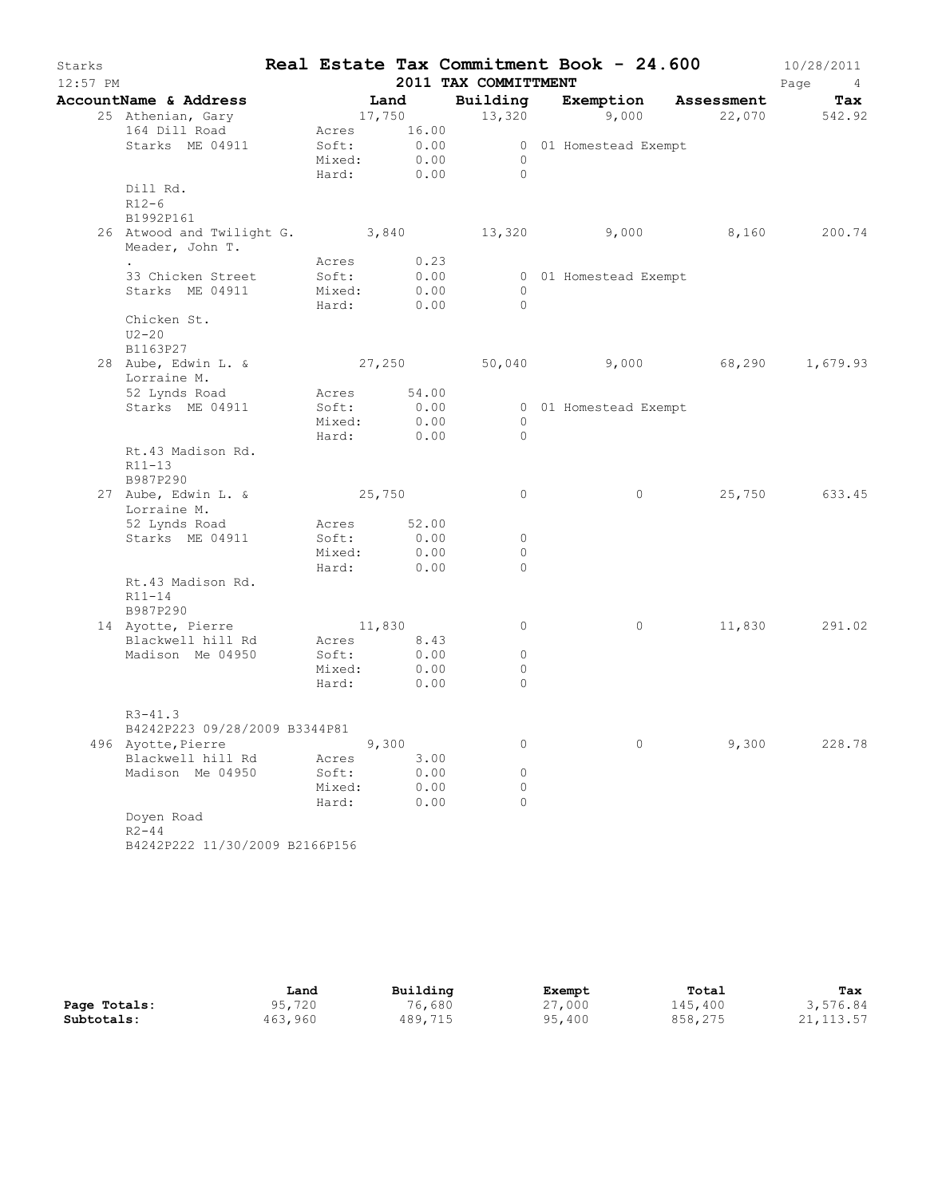| Starks<br>$12:57$ PM |                                                                 |                       |              | 2011 TAX COMMITTMENT | Real Estate Tax Commitment Book - 24.600 |                     | 10/28/2011<br>Page<br>4 <sup>1</sup> |
|----------------------|-----------------------------------------------------------------|-----------------------|--------------|----------------------|------------------------------------------|---------------------|--------------------------------------|
|                      | AccountName & Address                                           | <b>Example 1</b> Land |              |                      | Building Exemption Assessment            |                     | Tax                                  |
|                      | 25 Athenian, Gary                                               |                       | 17,750       | 13,320               |                                          | 9,000 22,070 542.92 |                                      |
|                      | 164 Dill Road                                                   |                       | Acres 16.00  |                      |                                          |                     |                                      |
|                      | Starks ME 04911                                                 |                       | Soft: 0.00   |                      | 0 01 Homestead Exempt                    |                     |                                      |
|                      |                                                                 | Mixed:                | 0.00         | $\overline{0}$       |                                          |                     |                                      |
|                      |                                                                 |                       | Hard: $0.00$ | $\bigcirc$           |                                          |                     |                                      |
|                      | Dill Rd.                                                        |                       |              |                      |                                          |                     |                                      |
|                      | $R12-6$                                                         |                       |              |                      |                                          |                     |                                      |
|                      | B1992P161                                                       |                       |              |                      |                                          |                     |                                      |
|                      | 26 Atwood and Twilight G. 3,840 13,320 9,000<br>Meader, John T. |                       |              |                      |                                          |                     | 8,160 200.74                         |
|                      |                                                                 | Acres                 | 0.23         |                      |                                          |                     |                                      |
|                      | 33 Chicken Street                                               | Soft:                 | 0.00         |                      | 0 01 Homestead Exempt                    |                     |                                      |
|                      | Starks ME 04911                                                 | Mixed:                | 0.00         | $\overline{0}$       |                                          |                     |                                      |
|                      |                                                                 | Hard:                 | 0.00         | $\bigcirc$           |                                          |                     |                                      |
|                      | Chicken St.<br>$U2-20$                                          |                       |              |                      |                                          |                     |                                      |
|                      | B1163P27                                                        |                       |              |                      |                                          |                     |                                      |
|                      | 28 Aube, Edwin L. & 27,250 50,040 9,000 68,290                  |                       |              |                      |                                          |                     | 1,679.93                             |
|                      | Lorraine M.                                                     |                       |              |                      |                                          |                     |                                      |
|                      | 52 Lynds Road                                                   |                       | Acres 54.00  |                      |                                          |                     |                                      |
|                      | Starks ME 04911                                                 | Soft:                 | 0.00         |                      | 0 01 Homestead Exempt                    |                     |                                      |
|                      |                                                                 | Mixed:                | 0.00         | $\circ$              |                                          |                     |                                      |
|                      |                                                                 |                       | Hard: 0.00   | $\Omega$             |                                          |                     |                                      |
|                      | Rt.43 Madison Rd.                                               |                       |              |                      |                                          |                     |                                      |
|                      | $R11 - 13$                                                      |                       |              |                      |                                          |                     |                                      |
|                      | B987P290                                                        |                       |              |                      |                                          |                     |                                      |
|                      | 27 Aube, Edwin L. &                                             | 25,750                |              | $\circ$              | $\circ$                                  |                     | 25,750 633.45                        |
|                      | Lorraine M.                                                     |                       |              |                      |                                          |                     |                                      |
|                      | 52 Lynds Road                                                   |                       | Acres 52.00  |                      |                                          |                     |                                      |
|                      | Starks ME 04911                                                 | Soft:                 | 0.00         | 0                    |                                          |                     |                                      |
|                      |                                                                 | Mixed:<br>Hard:       | 0.00<br>0.00 | $\mathbf{0}$<br>0    |                                          |                     |                                      |
|                      | Rt.43 Madison Rd.                                               |                       |              |                      |                                          |                     |                                      |
|                      | $R11 - 14$                                                      |                       |              |                      |                                          |                     |                                      |
|                      | B987P290                                                        |                       |              |                      |                                          |                     |                                      |
|                      | 14 Ayotte, Pierre                                               | 11,830                |              | 0                    | $\circ$                                  |                     | 11,830 291.02                        |
|                      | Blackwell hill Rd                                               |                       | Acres 8.43   |                      |                                          |                     |                                      |
|                      | Madison Me 04950                                                | Soft:                 | 0.00         | $\circ$              |                                          |                     |                                      |
|                      |                                                                 | Mixed:                | 0.00         | $\circ$              |                                          |                     |                                      |
|                      |                                                                 | Hard:                 | 0.00         | $\circ$              |                                          |                     |                                      |
|                      |                                                                 |                       |              |                      |                                          |                     |                                      |
|                      | $R3 - 41.3$                                                     |                       |              |                      |                                          |                     |                                      |
|                      | B4242P223 09/28/2009 B3344P81                                   |                       |              |                      |                                          |                     |                                      |
|                      | 496 Ayotte, Pierre<br>Blackwell hill Rd                         |                       | 9,300        | 0                    | $\circ$                                  | 9,300               | 228.78                               |
|                      | Madison Me 04950                                                | Acres<br>Soft:        | 3.00<br>0.00 | 0                    |                                          |                     |                                      |
|                      |                                                                 | Mixed:                | 0.00         | 0                    |                                          |                     |                                      |
|                      |                                                                 | Hard:                 | 0.00         | $\Omega$             |                                          |                     |                                      |
|                      | Doyen Road                                                      |                       |              |                      |                                          |                     |                                      |
|                      | $R2 - 44$                                                       |                       |              |                      |                                          |                     |                                      |
|                      | B4242P222 11/30/2009 B2166P156                                  |                       |              |                      |                                          |                     |                                      |
|                      |                                                                 |                       |              |                      |                                          |                     |                                      |

|              | Land    | Building | Exempt | Total   | Tax        |
|--------------|---------|----------|--------|---------|------------|
| Page Totals: | 95,720  | 76,680   | 27,000 | 145,400 | 3,576.84   |
| Subtotals:   | 463,960 | 489,715  | 95,400 | 858,275 | 21, 113.57 |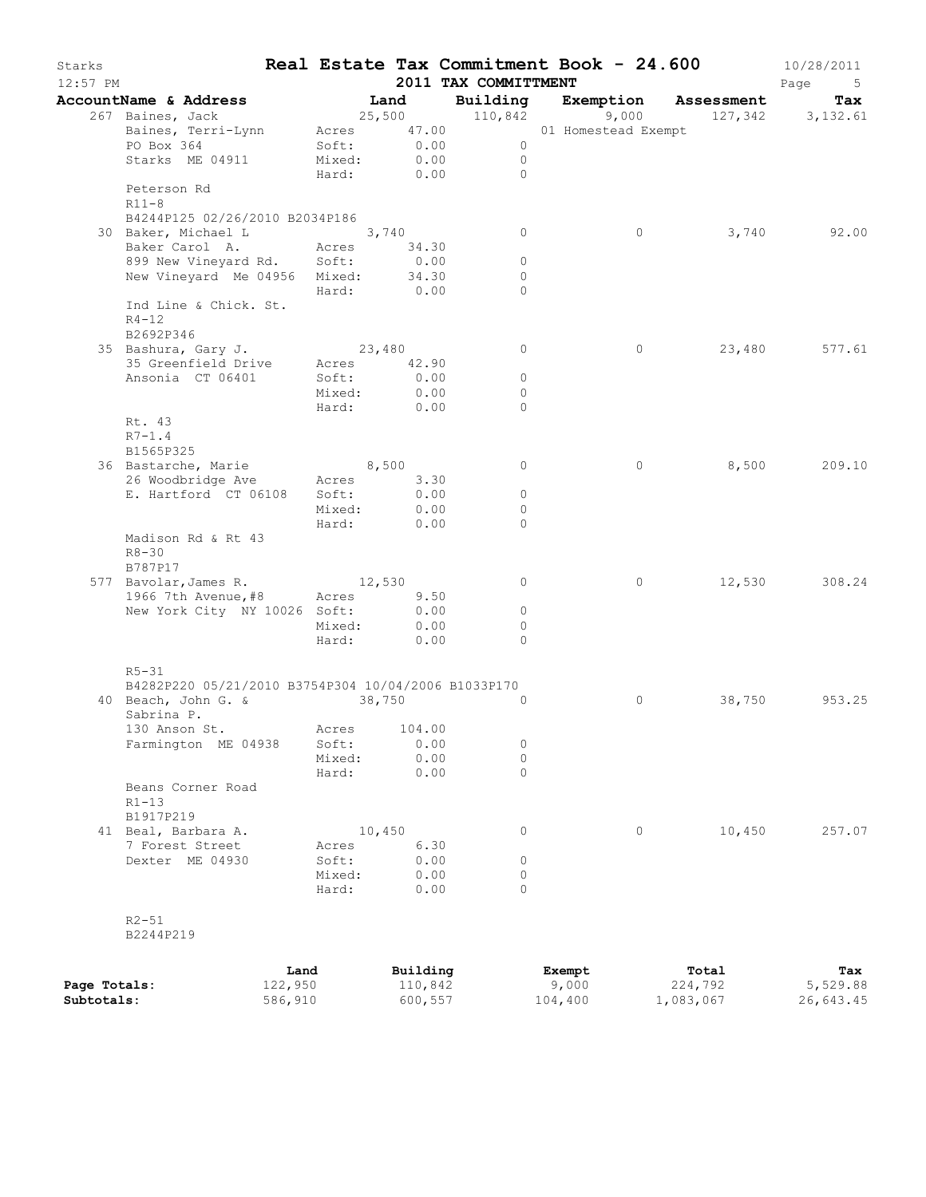| Starks<br>$12:57$ PM |                                                                  |                 |        |                           | 2011 TAX COMMITTMENT         |                | Real Estate Tax Commitment Book - 24.600                                   |                  | 10/28/2011<br>Page<br>5 <sup>5</sup> |
|----------------------|------------------------------------------------------------------|-----------------|--------|---------------------------|------------------------------|----------------|----------------------------------------------------------------------------|------------------|--------------------------------------|
|                      | AccountName & Address                                            |                 | Land   |                           |                              |                | <b>Building Exemption Assessment Tax</b><br>110,842 9,000 127,342 3,132.61 |                  |                                      |
|                      | 267 Baines, Jack                                                 |                 |        |                           |                              |                | $25,500$ $110,842$ $9,000$                                                 |                  |                                      |
|                      | Baines, Terri-Lynn Acres 47.00                                   |                 |        |                           |                              |                | 01 Homestead Exempt                                                        |                  |                                      |
|                      | PO Box 364                                                       |                 |        | Soft: 0.00<br>Mixed: 0.00 | $\overline{0}$               |                |                                                                            |                  |                                      |
|                      | Starks ME 04911                                                  |                 |        | Hard: 0.00                | $\overline{0}$<br>$\bigcirc$ |                |                                                                            |                  |                                      |
|                      | Peterson Rd<br>$R11-8$                                           |                 |        |                           |                              |                |                                                                            |                  |                                      |
|                      | B4244P125 02/26/2010 B2034P186                                   |                 |        |                           |                              |                |                                                                            |                  |                                      |
|                      | 30 Baker, Michael L 3,740                                        |                 |        |                           |                              | $\overline{0}$ | $\circ$                                                                    | 3,740            | 92.00                                |
|                      | Baker Carol A. Acres 34.30                                       |                 |        |                           |                              |                |                                                                            |                  |                                      |
|                      | 899 New Vineyard Rd. Soft:                                       |                 |        | 0.00                      |                              | $\circ$        |                                                                            |                  |                                      |
|                      | New Vineyard Me 04956 Mixed: 34.30                               |                 |        |                           |                              | $\circ$        |                                                                            |                  |                                      |
|                      |                                                                  |                 |        | Hard: 0.00                |                              | $\circ$        |                                                                            |                  |                                      |
|                      | Ind Line & Chick. St.<br>$R4 - 12$<br>B2692P346                  |                 |        |                           |                              |                |                                                                            |                  |                                      |
|                      | 35 Bashura, Gary J. 23,480                                       |                 |        |                           |                              | $\circ$        | $\circ$                                                                    | 23,480           | 577.61                               |
|                      | 35 Greenfield Drive                                              | Acres           |        | 42.90                     |                              |                |                                                                            |                  |                                      |
|                      | Ansonia CT 06401                                                 |                 | Soft:  | 0.00                      |                              | $\circ$        |                                                                            |                  |                                      |
|                      |                                                                  |                 | Mixed: | 0.00                      |                              | $\circ$        |                                                                            |                  |                                      |
|                      |                                                                  |                 | Hard:  | 0.00                      |                              | $\Omega$       |                                                                            |                  |                                      |
|                      | Rt. 43                                                           |                 |        |                           |                              |                |                                                                            |                  |                                      |
|                      | $R7-1.4$                                                         |                 |        |                           |                              |                |                                                                            |                  |                                      |
|                      | B1565P325                                                        |                 |        |                           |                              |                |                                                                            |                  |                                      |
|                      | 36 Bastarche, Marie<br>26 Woodbridge Ave Acres                   |                 |        | 8,500<br>3.30             |                              | $\circ$        | $\circ$                                                                    |                  | 8,500 209.10                         |
|                      | E. Hartford CT 06108                                             |                 |        | Soft: 0.00                | $\overline{0}$               |                |                                                                            |                  |                                      |
|                      |                                                                  |                 | Mixed: | 0.00                      |                              | $\circ$        |                                                                            |                  |                                      |
|                      |                                                                  |                 | Hard:  | 0.00                      |                              | $\circ$        |                                                                            |                  |                                      |
|                      | Madison Rd & Rt 43<br>$R8 - 30$<br>B787P17                       |                 |        |                           |                              |                |                                                                            |                  |                                      |
|                      | 577 Bavolar, James R. 12,530                                     |                 |        |                           |                              | 0              | $\circ$                                                                    |                  | 12,530 308.24                        |
|                      | 1966 7th Avenue, #8                                              |                 |        | Acres 9.50                |                              |                |                                                                            |                  |                                      |
|                      | New York City NY 10026 Soft:                                     |                 |        | 0.00                      |                              | $\circ$        |                                                                            |                  |                                      |
|                      |                                                                  |                 | Mixed: | 0.00                      |                              | 0              |                                                                            |                  |                                      |
|                      |                                                                  | Hard:           |        | 0.00                      |                              | $\Omega$       |                                                                            |                  |                                      |
|                      | $R5 - 31$<br>B4282P220 05/21/2010 B3754P304 10/04/2006 B1033P170 |                 |        |                           |                              |                |                                                                            |                  |                                      |
|                      | 40 Beach, John G. &<br>Sabrina P.                                | 38,750          |        |                           |                              | $\mathbf 0$    | $\circ$                                                                    | 38,750           | 953.25                               |
|                      | 130 Anson St. 6. Acres 104.00                                    |                 |        |                           |                              |                |                                                                            |                  |                                      |
|                      | Farmington ME 04938                                              | Soft:           |        | 0.00                      |                              | $\circ$        |                                                                            |                  |                                      |
|                      |                                                                  | Mixed:          |        | 0.00                      |                              | $\circ$        |                                                                            |                  |                                      |
|                      |                                                                  | Hard:           |        | 0.00                      |                              | $\circ$        |                                                                            |                  |                                      |
|                      | Beans Corner Road<br>$R1 - 13$<br>B1917P219                      |                 |        |                           |                              |                |                                                                            |                  |                                      |
|                      | 41 Beal, Barbara A.                                              |                 | 10,450 |                           |                              | 0              | 0                                                                          | 10,450           | 257.07                               |
|                      | 7 Forest Street                                                  | Acres           |        | 6.30                      |                              |                |                                                                            |                  |                                      |
|                      | Dexter ME 04930                                                  | Soft:           |        | 0.00                      |                              | 0              |                                                                            |                  |                                      |
|                      |                                                                  | Mixed:          |        | 0.00                      |                              | $\circ$        |                                                                            |                  |                                      |
|                      |                                                                  | Hard:           |        | 0.00                      |                              | $\Omega$       |                                                                            |                  |                                      |
|                      | $R2 - 51$<br>B2244P219                                           |                 |        |                           |                              |                |                                                                            |                  |                                      |
|                      |                                                                  |                 |        |                           |                              |                |                                                                            |                  |                                      |
| Page Totals:         |                                                                  | Land<br>122,950 |        | Building<br>110,842       |                              |                | Exempt<br>9,000                                                            | Total<br>224,792 | Tax<br>5,529.88                      |
| Subtotals:           |                                                                  | 586,910         |        | 600,557                   |                              |                | 104,400                                                                    | 1,083,067        | 26,643.45                            |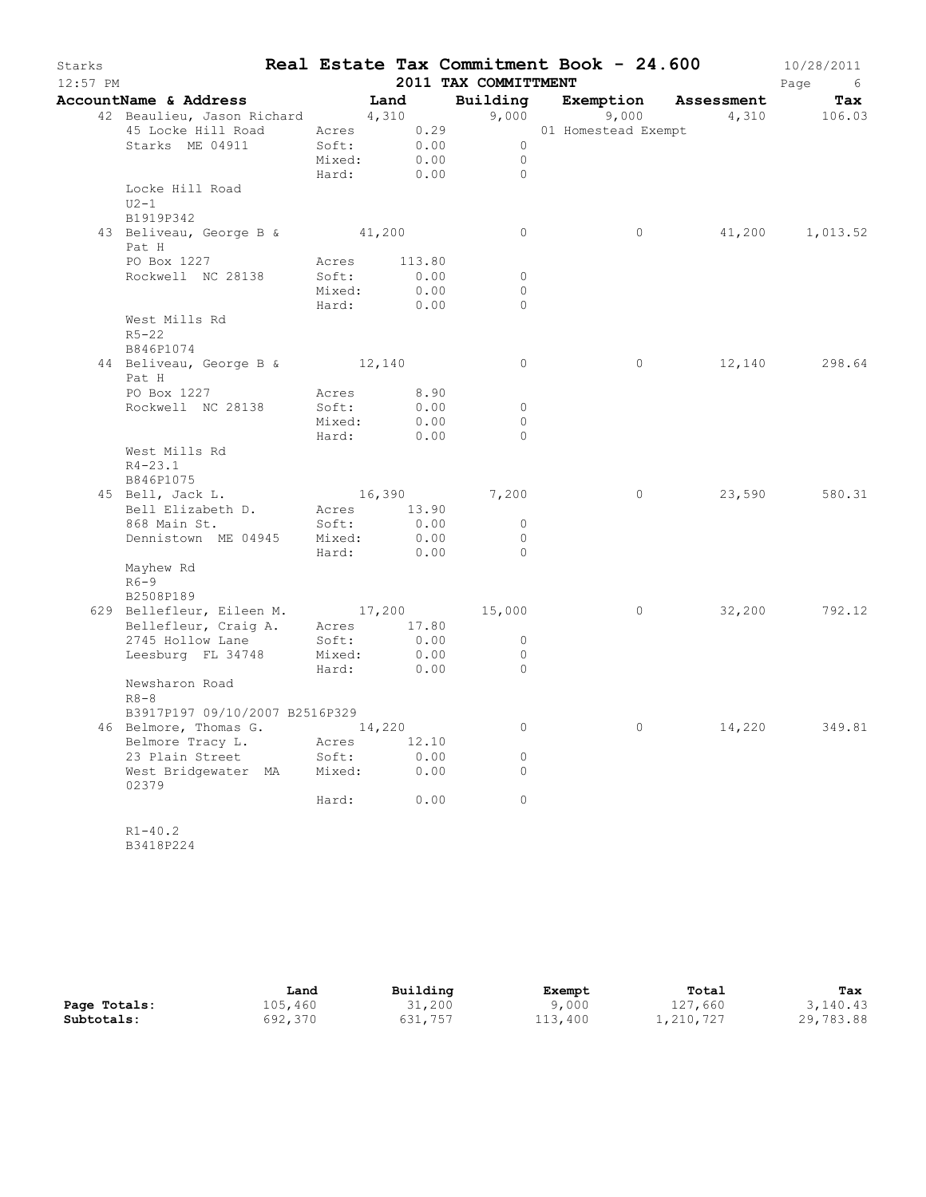| Starks<br>$12:57$ PM |                                                                 |        |                           | Real Estate Tax Commitment Book - 24.600<br>2011 TAX COMMITTMENT |                |        | 10/28/2011<br>Page<br>6 <sup>6</sup> |
|----------------------|-----------------------------------------------------------------|--------|---------------------------|------------------------------------------------------------------|----------------|--------|--------------------------------------|
|                      | AccountName & Address [Land                                     |        |                           | Building Exemption Assessment                                    |                |        | Tax                                  |
|                      |                                                                 |        |                           |                                                                  |                |        | 9,000 9,000 4,310 106.03             |
|                      |                                                                 |        |                           |                                                                  |                |        |                                      |
|                      | Starks ME 04911                                                 |        | Soft: 0.00<br>Mixed: 0.00 | $\overline{0}$                                                   |                |        |                                      |
|                      |                                                                 |        |                           | $\circ$                                                          |                |        |                                      |
|                      |                                                                 | Hard:  | 0.00                      | $\Omega$                                                         |                |        |                                      |
|                      | Locke Hill Road                                                 |        |                           |                                                                  |                |        |                                      |
|                      | $U2-1$<br>B1919P342                                             |        |                           |                                                                  |                |        |                                      |
|                      | 43 Beliveau, George B & 41,200                                  |        |                           | $\circ$                                                          | $\circ$        |        | 41,200 1,013.52                      |
|                      | Pat H                                                           |        |                           |                                                                  |                |        |                                      |
|                      | PO Box 1227                                                     |        | Acres 113.80              |                                                                  |                |        |                                      |
|                      | Rockwell NC 28138                                               | Soft:  | 0.00                      | $\circ$                                                          |                |        |                                      |
|                      |                                                                 |        | Mixed: 0.00               | $\circ$                                                          |                |        |                                      |
|                      |                                                                 |        | Hard: 0.00                | $\circ$                                                          |                |        |                                      |
|                      | West Mills Rd                                                   |        |                           |                                                                  |                |        |                                      |
|                      | $R5 - 22$                                                       |        |                           |                                                                  |                |        |                                      |
|                      | B846P1074                                                       |        |                           |                                                                  |                |        |                                      |
|                      | 44 Beliveau, George B & 12,140<br>Pat H                         |        |                           | $\circ$                                                          | $\circ$        |        | 12,140 298.64                        |
|                      | PO Box 1227 Acres 8.90                                          |        |                           |                                                                  |                |        |                                      |
|                      | Rockwell NC 28138                                               | Soft:  |                           | $\circ$                                                          |                |        |                                      |
|                      |                                                                 | Mixed: | $0.00$<br>$0.00$          | $\circ$                                                          |                |        |                                      |
|                      |                                                                 |        | Hard: 0.00                | $\Omega$                                                         |                |        |                                      |
|                      | West Mills Rd                                                   |        |                           |                                                                  |                |        |                                      |
|                      | $R4 - 23.1$                                                     |        |                           |                                                                  |                |        |                                      |
|                      | B846P1075                                                       |        |                           |                                                                  |                |        |                                      |
|                      | 45 Bell, Jack L. 16,390 7,200                                   |        |                           |                                                                  | $\overline{0}$ |        | 23,590 580.31                        |
|                      | Bell Elizabeth D. Acres 13.90                                   |        |                           | $\circ$                                                          |                |        |                                      |
|                      | 868 Main St.<br>Dennistown ME 04945 Mixed: 0.00                 | Soft:  | 0.00                      | $\circ$                                                          |                |        |                                      |
|                      |                                                                 |        | Hard: 0.00                | $\mathbf{0}$                                                     |                |        |                                      |
|                      | Mayhew Rd                                                       |        |                           |                                                                  |                |        |                                      |
|                      | $R6-9$                                                          |        |                           |                                                                  |                |        |                                      |
|                      | B2508P189                                                       |        |                           |                                                                  |                |        |                                      |
|                      | 629 Bellefleur, Eileen M. 17,200                                |        |                           | 15,000                                                           | $\circ$        |        | 32,200 792.12                        |
|                      | Bellefleur, Craig A. Acres 17.80<br>2745 Hollow Lane Soft: 0.00 |        |                           |                                                                  |                |        |                                      |
|                      |                                                                 |        |                           | $\circ$                                                          |                |        |                                      |
|                      | Leesburg FL 34748 Mixed: 0.00                                   |        |                           | $\circ$                                                          |                |        |                                      |
|                      |                                                                 | Hard:  | 0.00                      | $\circ$                                                          |                |        |                                      |
|                      | Newsharon Road<br>$R8 - 8$                                      |        |                           |                                                                  |                |        |                                      |
|                      | B3917P197 09/10/2007 B2516P329                                  |        |                           |                                                                  |                |        |                                      |
|                      | 46 Belmore, Thomas G. 14,220                                    |        |                           | 0                                                                | $\circ$        | 14,220 | 349.81                               |
|                      | Belmore Tracy L.                                                | Acres  | 12.10                     |                                                                  |                |        |                                      |
|                      | 23 Plain Street                                                 | Soft:  | 0.00                      | 0                                                                |                |        |                                      |
|                      | West Bridgewater MA                                             | Mixed: | 0.00                      | 0                                                                |                |        |                                      |
|                      | 02379                                                           |        |                           |                                                                  |                |        |                                      |
|                      |                                                                 | Hard:  | 0.00                      | $\circ$                                                          |                |        |                                      |
|                      |                                                                 |        |                           |                                                                  |                |        |                                      |
|                      | $R1 - 40.2$<br>B3418P224                                        |        |                           |                                                                  |                |        |                                      |
|                      |                                                                 |        |                           |                                                                  |                |        |                                      |

|              | Land    | Building | Exempt  | Total     | Tax       |
|--------------|---------|----------|---------|-----------|-----------|
| Page Totals: | 105,460 | 31,200   | 9,000   | 127,660   | 3,140.43  |
| Subtotals:   | 692,370 | 631,757  | 113,400 | 1,210,727 | 29,783.88 |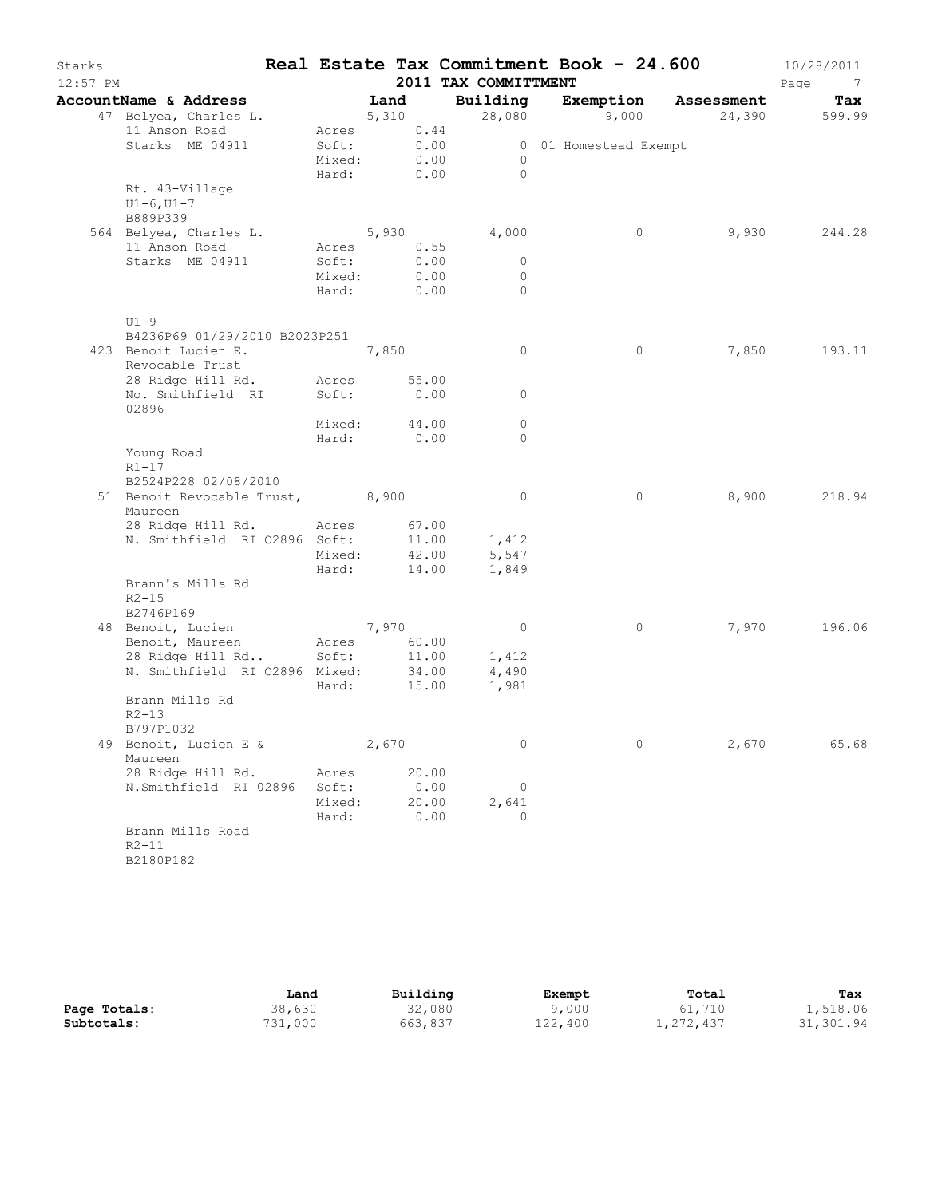| Starks   |                                                |                 |               |      | Real Estate Tax Commitment Book - 24.600 |                       |         |            | 10/28/2011             |
|----------|------------------------------------------------|-----------------|---------------|------|------------------------------------------|-----------------------|---------|------------|------------------------|
| 12:57 PM |                                                |                 |               |      | 2011 TAX COMMITTMENT                     |                       |         |            | Page<br>$\overline{7}$ |
|          | AccountName & Address<br>47 Belyea, Charles L. |                 | Land<br>5,310 |      | Building<br>28,080                       | Exemption             | 9,000   | Assessment | Tax<br>24,390 599.99   |
|          | 11 Anson Road                                  |                 | Acres 0.44    |      |                                          |                       |         |            |                        |
|          | Starks ME 04911                                | Soft:           | 0.00          |      |                                          | 0 01 Homestead Exempt |         |            |                        |
|          |                                                | Mixed:<br>Hard: | 0.00<br>0.00  |      | $\overline{0}$<br>$\bigcirc$             |                       |         |            |                        |
|          | Rt. 43-Village<br>$U1 - 6, U1 - 7$<br>B889P339 |                 |               |      |                                          |                       |         |            |                        |
|          | 564 Belyea, Charles L.                         |                 | 5,930         |      | 4,000                                    |                       | $\circ$ | 9,930      | 244.28                 |
|          | 11 Anson Road                                  | Acres           | 0.55          |      |                                          |                       |         |            |                        |
|          | Starks ME 04911                                | Soft:           |               | 0.00 | $\circ$                                  |                       |         |            |                        |
|          |                                                | Mixed:<br>Hard: | 0.00<br>0.00  |      | $\circ$<br>$\Omega$                      |                       |         |            |                        |
|          | $U1-9$                                         |                 |               |      |                                          |                       |         |            |                        |
|          | B4236P69 01/29/2010 B2023P251                  |                 |               |      |                                          |                       |         |            |                        |
|          | 423 Benoit Lucien E.                           |                 | 7,850         |      | $\circ$                                  |                       | $\circ$ | 7,850      | 193.11                 |
|          | Revocable Trust                                |                 |               |      |                                          |                       |         |            |                        |
|          | 28 Ridge Hill Rd.                              | Acres<br>Soft:  | 55.00<br>0.00 |      | $\circ$                                  |                       |         |            |                        |
|          | No. Smithfield RI<br>02896                     |                 |               |      |                                          |                       |         |            |                        |
|          |                                                | Mixed:          | 44.00<br>0.00 |      | $\circ$<br>$\Omega$                      |                       |         |            |                        |
|          | Young Road                                     | Hard:           |               |      |                                          |                       |         |            |                        |
|          | $R1 - 17$                                      |                 |               |      |                                          |                       |         |            |                        |
|          | B2524P228 02/08/2010                           |                 |               |      |                                          |                       |         |            |                        |
|          | 51 Benoit Revocable Trust, 8,900<br>Maureen    |                 |               |      | $\circ$                                  |                       | $\circ$ | 8,900      | 218.94                 |
|          | 28 Ridge Hill Rd.                              | Acres           | 67.00         |      |                                          |                       |         |            |                        |
|          | N. Smithfield RI 02896 Soft:                   |                 | 11.00         |      | 1,412                                    |                       |         |            |                        |
|          |                                                | Mixed:          | 42.00         |      | 5,547                                    |                       |         |            |                        |
|          |                                                | Hard:           | 14.00         |      | 1,849                                    |                       |         |            |                        |
|          | Brann's Mills Rd<br>$R2 - 15$<br>B2746P169     |                 |               |      |                                          |                       |         |            |                        |
|          | 48 Benoit, Lucien                              |                 | 7,970         |      | $\overline{0}$                           |                       | 0       | 7,970      | 196.06                 |
|          | Benoit, Maureen                                | Acres           | 60.00         |      |                                          |                       |         |            |                        |
|          | 28 Ridge Hill Rd                               | Soft:           | 11.00         |      | 1,412                                    |                       |         |            |                        |
|          | N. Smithfield RI 02896 Mixed:                  |                 | 34.00         |      | 4,490                                    |                       |         |            |                        |
|          | Brann Mills Rd<br>$R2 - 13$<br>B797P1032       | Hard:           | 15.00         |      | 1,981                                    |                       |         |            |                        |
|          | 49 Benoit, Lucien E &                          |                 | 2,670         |      | 0                                        |                       | 0       | 2,670      | 65.68                  |
|          | Maureen<br>28 Ridge Hill Rd.                   | Acres           | 20.00         |      |                                          |                       |         |            |                        |
|          | N.Smithfield RI 02896                          | Soft:           | 0.00          |      | $\circ$                                  |                       |         |            |                        |
|          |                                                | Mixed:          | 20.00         |      | 2,641                                    |                       |         |            |                        |
|          |                                                | Hard:           |               | 0.00 | $\Omega$                                 |                       |         |            |                        |
|          | Brann Mills Road<br>$R2 - 11$<br>B2180P182     |                 |               |      |                                          |                       |         |            |                        |

|              | Land    | Building | Exempt  | Total     | Tax       |
|--------------|---------|----------|---------|-----------|-----------|
| Page Totals: | 38,630  | 32,080   | 9,000   | 61,710    | 1,518.06  |
| Subtotals:   | 731,000 | 663,837  | 122,400 | 1,272,437 | 31,301.94 |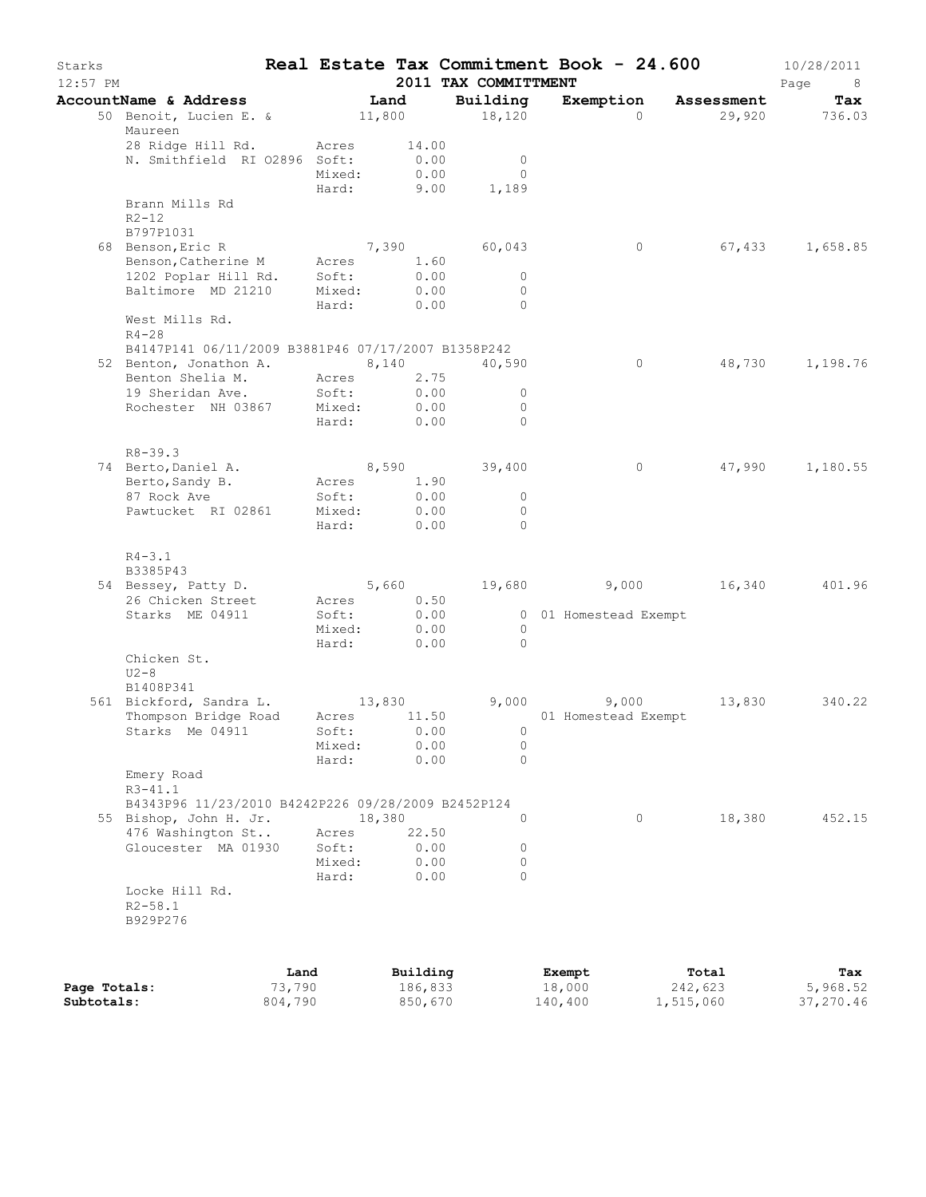| Starks<br>12:57 PM |                                                    |      |             |        |          | 2011 TAX COMMITTMENT |                | Real Estate Tax Commitment Book - 24.600 |                      | 10/28/2011<br>Page<br>8 |
|--------------------|----------------------------------------------------|------|-------------|--------|----------|----------------------|----------------|------------------------------------------|----------------------|-------------------------|
|                    | AccountName & Address                              |      |             | Land   |          | Building             |                |                                          | Exemption Assessment | Tax                     |
|                    | 50 Benoit, Lucien E. &<br>Maureen                  |      |             | 11,800 |          | 18,120               |                | $\Omega$                                 |                      | 29,920 736.03           |
|                    | 28 Ridge Hill Rd.                                  |      | Acres       |        | 14.00    |                      |                |                                          |                      |                         |
|                    | N. Smithfield RI 02896 Soft:                       |      |             |        | 0.00     |                      | $\overline{0}$ |                                          |                      |                         |
|                    |                                                    |      | Mixed:      |        | 0.00     |                      | $\Omega$       |                                          |                      |                         |
|                    | Brann Mills Rd                                     |      | Hard:       |        | 9.00     | 1,189                |                |                                          |                      |                         |
|                    | $R2 - 12$                                          |      |             |        |          |                      |                |                                          |                      |                         |
|                    | B797P1031                                          |      |             |        |          |                      |                |                                          |                      |                         |
|                    | 68 Benson, Eric R                                  |      |             |        |          | 7,390 60,043         |                | $\circ$                                  |                      | 67,433 1,658.85         |
|                    | Benson, Catherine M                                |      | Acres       |        | 1.60     |                      |                |                                          |                      |                         |
|                    | 1202 Poplar Hill Rd.                               |      | Soft:       |        | 0.00     |                      | $\overline{0}$ |                                          |                      |                         |
|                    | Baltimore MD 21210                                 |      | Mixed:      |        | 0.00     |                      | $\circ$        |                                          |                      |                         |
|                    |                                                    |      | Hard:       |        | 0.00     |                      | $\bigcirc$     |                                          |                      |                         |
|                    | West Mills Rd.<br>$R4 - 28$                        |      |             |        |          |                      |                |                                          |                      |                         |
|                    | B4147P141 06/11/2009 B3881P46 07/17/2007 B1358P242 |      |             |        |          |                      |                |                                          |                      |                         |
|                    | 52 Benton, Jonathon A. 8, 140                      |      |             |        |          | 40,590               |                | 0                                        | 48,730               | 1,198.76                |
|                    | Benton Shelia M.                                   |      | Acres       |        | 2.75     |                      |                |                                          |                      |                         |
|                    | 19 Sheridan Ave.                                   |      | Soft:       |        | 0.00     |                      | $\Omega$       |                                          |                      |                         |
|                    | Rochester NH 03867                                 |      | Mixed:      |        | 0.00     |                      | $\circ$        |                                          |                      |                         |
|                    |                                                    |      | Hard:       |        | 0.00     |                      | $\Omega$       |                                          |                      |                         |
|                    | $R8 - 39.3$                                        |      |             |        |          |                      |                |                                          |                      |                         |
|                    | 74 Berto, Daniel A.                                |      |             |        |          | 8,590 39,400         |                | $\circ$                                  | 47,990               | 1,180.55                |
|                    | Berto, Sandy B.                                    |      | Acres       |        | 1.90     |                      |                |                                          |                      |                         |
|                    | 87 Rock Ave                                        |      | Soft:       |        | 0.00     |                      | $\circ$        |                                          |                      |                         |
|                    | Pawtucket RI 02861                                 |      | Mixed:      |        | 0.00     |                      | $\circ$        |                                          |                      |                         |
|                    |                                                    |      | Hard:       |        | 0.00     |                      | $\Omega$       |                                          |                      |                         |
|                    | $R4 - 3.1$<br>B3385P43                             |      |             |        |          |                      |                |                                          |                      |                         |
|                    | 54 Bessey, Patty D.                                |      |             |        | 5,660    |                      |                | 19,680 9,000 16,340                      |                      | 401.96                  |
|                    | 26 Chicken Street                                  |      | Acres 0.50  |        |          |                      |                |                                          |                      |                         |
|                    | Starks ME 04911                                    |      | Soft:       |        | 0.00     |                      |                | 0 01 Homestead Exempt                    |                      |                         |
|                    |                                                    |      | Mixed:      |        | 0.00     |                      | $\Omega$       |                                          |                      |                         |
|                    |                                                    |      | Hard:       |        | 0.00     |                      | $\bigcirc$     |                                          |                      |                         |
|                    | Chicken St.                                        |      |             |        |          |                      |                |                                          |                      |                         |
|                    | $U2-8$                                             |      |             |        |          |                      |                |                                          |                      |                         |
|                    | B1408P341                                          |      |             |        |          |                      |                |                                          |                      |                         |
|                    | 561 Bickford, Sandra L. 13,830                     |      |             |        |          |                      |                | 9,000<br>9,000                           | 13,830               | 340.22                  |
|                    | Thompson Bridge Road                               |      | Acres 11.50 |        |          |                      |                | 01 Homestead Exempt                      |                      |                         |
|                    | Starks Me 04911                                    |      | Soft: 0.00  |        |          |                      | $\overline{0}$ |                                          |                      |                         |
|                    |                                                    |      | Mixed:      |        | 0.00     |                      | $\circ$        |                                          |                      |                         |
|                    |                                                    |      | Hard:       |        | 0.00     |                      | $\Omega$       |                                          |                      |                         |
|                    | Emery Road<br>$R3 - 41.1$                          |      |             |        |          |                      |                |                                          |                      |                         |
|                    | B4343P96 11/23/2010 B4242P226 09/28/2009 B2452P124 |      |             |        |          |                      |                |                                          |                      |                         |
|                    | 55 Bishop, John H. Jr.                             |      |             | 18,380 |          |                      | $\Omega$       | 0                                        | 18,380               | 452.15                  |
|                    | 476 Washington St                                  |      | Acres       |        | 22.50    |                      |                |                                          |                      |                         |
|                    | Gloucester MA 01930                                |      | Soft:       |        | 0.00     |                      | 0              |                                          |                      |                         |
|                    |                                                    |      | Mixed:      |        | 0.00     |                      | 0              |                                          |                      |                         |
|                    |                                                    |      | Hard:       |        | 0.00     |                      | $\Omega$       |                                          |                      |                         |
|                    | Locke Hill Rd.                                     |      |             |        |          |                      |                |                                          |                      |                         |
|                    | $R2 - 58.1$                                        |      |             |        |          |                      |                |                                          |                      |                         |
|                    | B929P276                                           |      |             |        |          |                      |                |                                          |                      |                         |
|                    |                                                    |      |             |        |          |                      |                |                                          |                      |                         |
|                    |                                                    | Land |             |        | Building |                      |                | Exempt                                   | Total                | Tax                     |

|              | <b>Land</b> | Building | Exempt  | тотат     | <b>Tax</b> |
|--------------|-------------|----------|---------|-----------|------------|
| Page Totals: | 73,790      | 186,833  | 18,000  | 242,623   | 5,968.52   |
| Subtotals:   | 804,790     | 850,670  | 140,400 | 1,515,060 | 37,270.46  |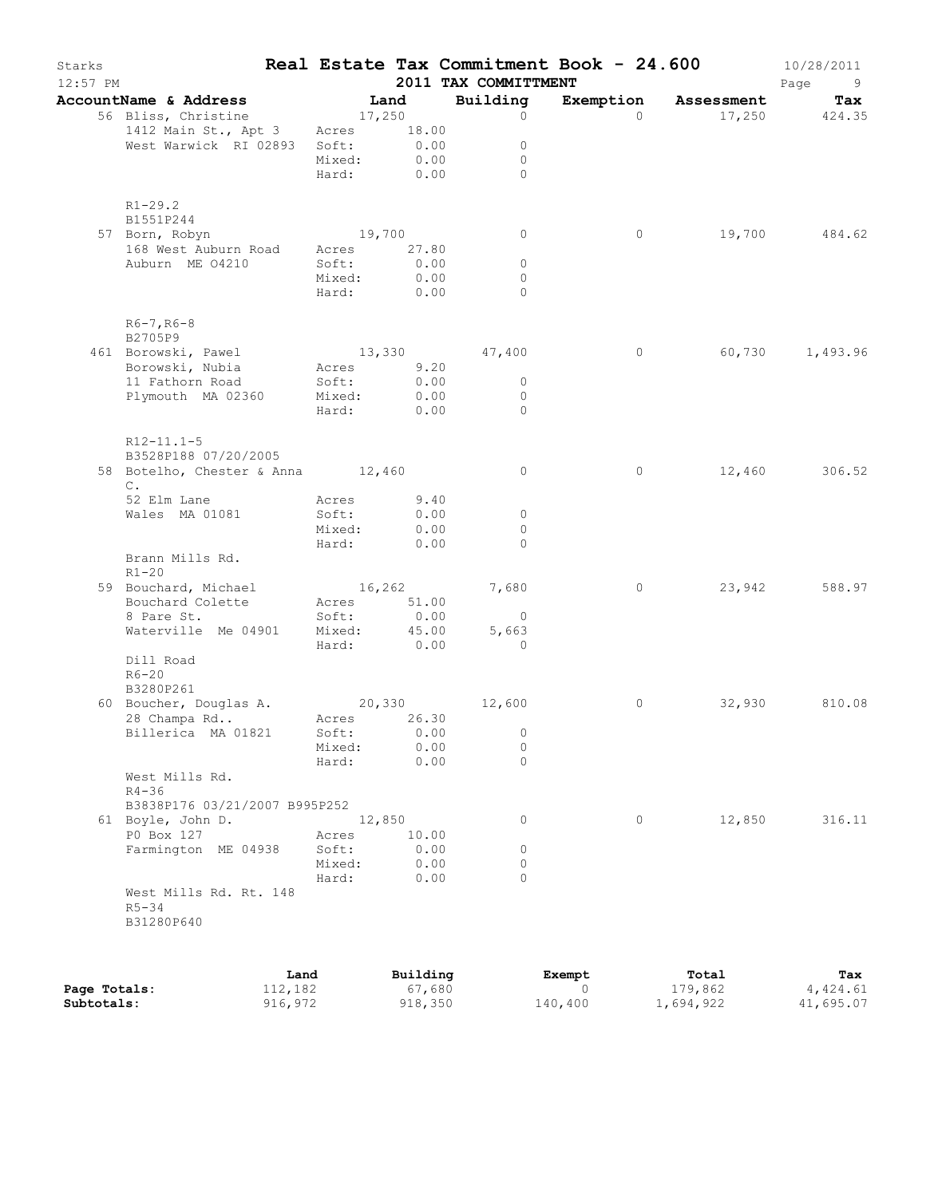| Starks<br>$12:57$ PM |                                            |                 |            | 2011 TAX COMMITTMENT    | Real Estate Tax Commitment Book - 24.600 |                      | 10/28/2011<br>Page<br>- 9 |
|----------------------|--------------------------------------------|-----------------|------------|-------------------------|------------------------------------------|----------------------|---------------------------|
|                      | AccountName & Address                      |                 | Land       | Building                |                                          | Exemption Assessment | Tax                       |
|                      | 56 Bliss, Christine                        | 17,250          |            | $\circ$                 | $\Omega$                                 |                      | 17,250 424.35             |
|                      | 1412 Main St., Apt 3 Acres 18.00           |                 |            |                         |                                          |                      |                           |
|                      | West Warwick RI 02893 Soft:                |                 | 0.00       | $\circ$                 |                                          |                      |                           |
|                      |                                            | Mixed:          | 0.00       | $\mathbf{0}$            |                                          |                      |                           |
|                      |                                            | Hard: 0.00      |            | $\Omega$                |                                          |                      |                           |
|                      | $R1 - 29.2$<br>B1551P244                   |                 |            |                         |                                          |                      |                           |
|                      | 57 Born, Robyn                             | 19,700          |            | $\circ$                 | $\circ$                                  |                      | 19,700 484.62             |
|                      | 168 West Auburn Road                       | Acres 27.80     |            |                         |                                          |                      |                           |
|                      | Auburn ME 04210                            | Soft:           | 0.00       | $\circ$                 |                                          |                      |                           |
|                      |                                            | Mixed:          | 0.00       | $\mathbf{0}$            |                                          |                      |                           |
|                      |                                            |                 | Hard: 0.00 | $\Omega$                |                                          |                      |                           |
|                      | $R6 - 7$ , $R6 - 8$<br>B2705P9             |                 |            |                         |                                          |                      |                           |
|                      | 461 Borowski, Pawel                        | 13,330          |            | 47,400                  | $\circ$                                  | 60,730               | 1,493.96                  |
|                      | Borowski, Nubia                            | Acres 9.20      |            |                         |                                          |                      |                           |
|                      | 11 Fathorn Road                            | Soft:           | 0.00       | $\overline{0}$          |                                          |                      |                           |
|                      | Plymouth MA 02360                          | Mixed:          | 0.00       | $\mathbf 0$             |                                          |                      |                           |
|                      |                                            | Hard: 0.00      |            | $\Omega$                |                                          |                      |                           |
|                      | $R12 - 11.1 - 5$<br>B3528P188 07/20/2005   |                 |            |                         |                                          |                      |                           |
|                      | 58 Botelho, Chester & Anna 12,460          |                 |            | $\circ$                 | $\circ$                                  |                      | 12,460 306.52             |
|                      | $\mathbb{C}$ .                             |                 |            |                         |                                          |                      |                           |
|                      | 52 Elm Lane                                | Acres           | 9.40       |                         |                                          |                      |                           |
|                      | Wales MA 01081                             | Soft:           | 0.00       | $\mathbf 0$             |                                          |                      |                           |
|                      |                                            | Mixed:          | 0.00       | $\Omega$                |                                          |                      |                           |
|                      |                                            | Hard:           | 0.00       | $\Omega$                |                                          |                      |                           |
|                      | Brann Mills Rd.<br>$R1 - 20$               |                 |            |                         |                                          |                      |                           |
|                      | 59 Bouchard, Michael                       | 16,262          |            | 7,680                   | $\circ$                                  | 23,942               | 588.97                    |
|                      | Bouchard Colette                           | Acres 51.00     | 0.00       |                         |                                          |                      |                           |
|                      | 8 Pare St.<br>Waterville Me 04901          | Soft:<br>Mixed: | 45.00      | $\overline{0}$<br>5,663 |                                          |                      |                           |
|                      |                                            | Hard: 0.00      |            | $\overline{0}$          |                                          |                      |                           |
|                      | Dill Road                                  |                 |            |                         |                                          |                      |                           |
|                      | $R6 - 20$                                  |                 |            |                         |                                          |                      |                           |
|                      | B3280P261                                  |                 |            |                         |                                          |                      |                           |
|                      | 60 Boucher, Douglas A. 20,330              |                 |            | 12,600                  | 0                                        | 32,930               | 810.08                    |
|                      | 28 Champa Rd                               | Acres 26.30     |            |                         |                                          |                      |                           |
|                      | Billerica MA 01821                         | Soft: 0.00      |            | $\overline{0}$          |                                          |                      |                           |
|                      |                                            | Mixed:          | 0.00       | 0                       |                                          |                      |                           |
|                      |                                            | Hard:           | 0.00       | $\Omega$                |                                          |                      |                           |
|                      | West Mills Rd.                             |                 |            |                         |                                          |                      |                           |
|                      | $R4 - 36$<br>B3838P176 03/21/2007 B995P252 |                 |            |                         |                                          |                      |                           |
|                      | 61 Boyle, John D.                          |                 | 12,850     | 0                       | $\circ$                                  | 12,850               | 316.11                    |
|                      | P0 Box 127                                 | Acres           | 10.00      |                         |                                          |                      |                           |
|                      | Farmington ME 04938                        | Soft:           | 0.00       | 0                       |                                          |                      |                           |
|                      |                                            | Mixed:          | 0.00       | 0                       |                                          |                      |                           |
|                      |                                            | Hard:           | 0.00       | $\Omega$                |                                          |                      |                           |
|                      | West Mills Rd. Rt. 148                     |                 |            |                         |                                          |                      |                           |
|                      | $R5 - 34$<br>B31280P640                    |                 |            |                         |                                          |                      |                           |
|                      |                                            |                 |            |                         |                                          |                      |                           |
|                      |                                            |                 |            |                         |                                          |                      |                           |

|              | Land    | Building | Exempt  | Total     | Tax       |
|--------------|---------|----------|---------|-----------|-----------|
| Page Totals: | 112,182 | 67,680   |         | 179,862   | 4,424.61  |
| Subtotals:   | 916,972 | 918,350  | 140,400 | 1,694,922 | 41,695.07 |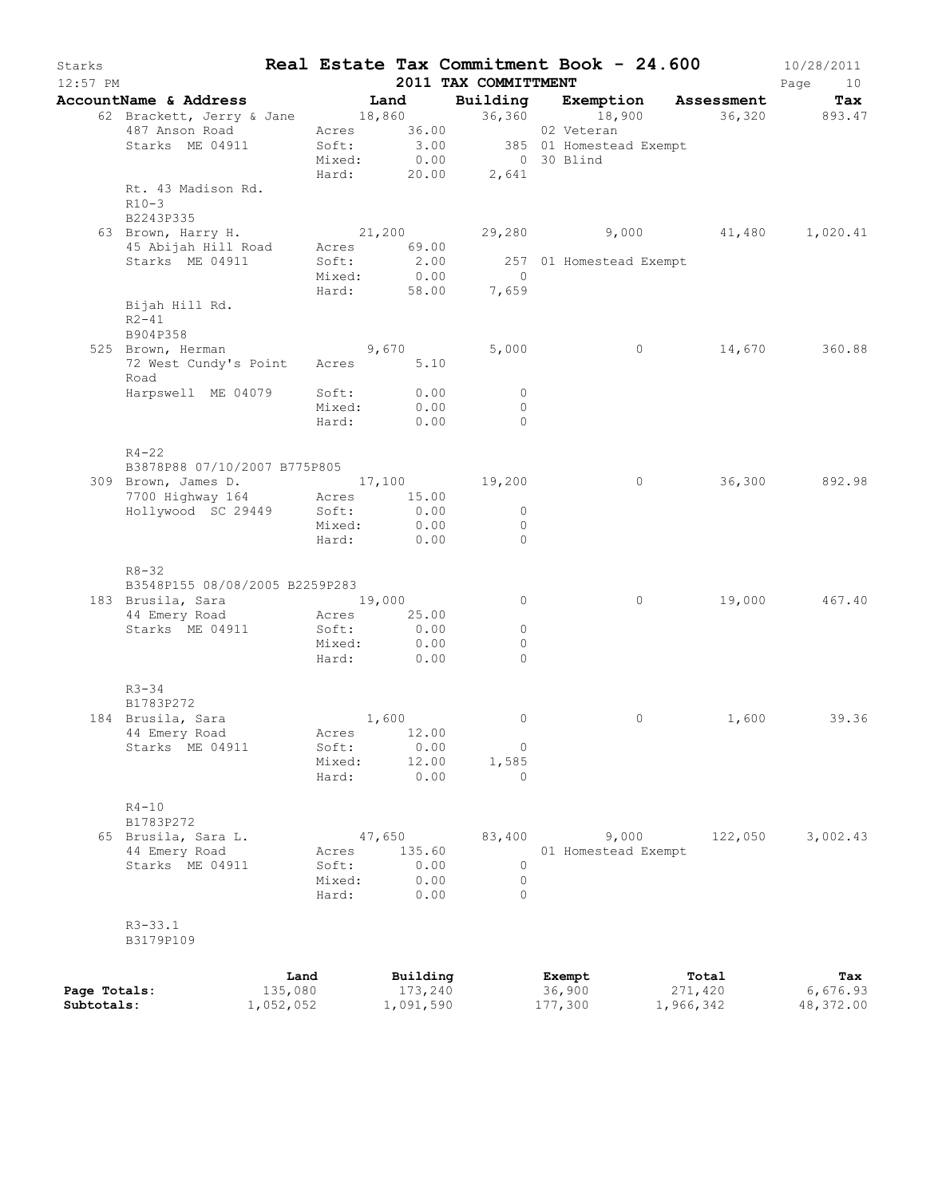| Starks                     | $12:57$ PM                                                                                                                                    |                                              |                                         | 2011 TAX COMMITTMENT                     | Real Estate Tax Commitment Book - 24.600                                                           |                               | 10/28/2011<br>Page<br>10     |
|----------------------------|-----------------------------------------------------------------------------------------------------------------------------------------------|----------------------------------------------|-----------------------------------------|------------------------------------------|----------------------------------------------------------------------------------------------------|-------------------------------|------------------------------|
|                            | AccountName & Address Tand                                                                                                                    |                                              |                                         |                                          | Building Exemption Assessment                                                                      |                               | Tax                          |
|                            | 62 Brackett, Jerry & Jane 18,860<br>487 Anson Road Acres 36.00<br>Starks ME 04911                                                             |                                              |                                         | 36,360<br>Hard: 20.00 2,641              | 18,900 36,320 893.47<br>02 Veteran<br>Soft: 3.00 385 01 Homestead Exempt<br>Mixed: 0.00 0 30 Blind |                               |                              |
|                            | Rt. 43 Madison Rd.<br>$R10-3$<br>B2243P335                                                                                                    |                                              |                                         |                                          |                                                                                                    |                               |                              |
|                            | 63 Brown, Harry H.<br>45 Abijah Hill Road Acres 69.00<br>Starks ME 04911                                                                      | 21,200<br>Soft:<br>Mixed:                    | $2.00$<br>$0.00$                        |                                          | 29,280 9,000 41,480 1,020.41<br>257 01 Homestead Exempt<br>0                                       |                               |                              |
|                            | Bijah Hill Rd.<br>$R2 - 41$<br>B904P358                                                                                                       | Hard: 58.00                                  |                                         | 7,659                                    |                                                                                                    |                               |                              |
|                            | 525 Brown, Herman 9,670<br>72 West Cundy's Point Acres 5.10<br>Road                                                                           |                                              |                                         | 5,000                                    | $\overline{0}$                                                                                     |                               | 14,670 360.88                |
|                            | Harpswell ME 04079 Soft:                                                                                                                      | Mixed:<br>Hard:                              | 0.00<br>0.00<br>0.00                    | $\circ$<br>$\circ$<br>$\Omega$           |                                                                                                    |                               |                              |
|                            | $R4 - 22$<br>B3878P88 07/10/2007 B775P805<br>309 Brown, James D. 17,100 19,200<br>7700 Highway 164 Acres 15.00<br>$H$ ollywood SC 29449 Soft: | Mixed:<br>Hard:                              | 0.00<br>0.00<br>0.00                    | $\circ$<br>$\circ$<br>$\Omega$           | $\circ$                                                                                            |                               | 36,300 892.98                |
|                            | $R8 - 32$<br>B3548P155 08/08/2005 B2259P283<br>183 Brusila, Sara 19,000<br>44 Emery Road<br>Starks ME 04911                                   | Acres 25.00<br>Soft:<br>Mixed:<br>Hard: 0.00 | 0.00<br>0.00                            | $\circ$<br>$\circ$<br>$\circ$<br>$\circ$ | $\circ$                                                                                            |                               | 19,000 467.40                |
|                            | $R3 - 34$<br>B1783P272<br>184 Brusila, Sara<br>44 Emery Road<br>Starks ME 04911                                                               | Acres<br>Soft:<br>Mixed:<br>Hard:            | 1,600<br>12.00<br>0.00<br>12.00<br>0.00 | $\circ$<br>$\circ$<br>1,585<br>0         | $\circ$                                                                                            |                               | 1,600 39.36                  |
|                            | $R4-10$<br>B1783P272<br>65 Brusila, Sara L.<br>44 Emery Road<br>Starks ME 04911                                                               | 47,650<br>Acres<br>Soft:<br>Mixed:<br>Hard:  | 135.60<br>0.00<br>0.00<br>0.00          | 83,400<br>0<br>0<br>$\circ$              | 9,000<br>01 Homestead Exempt                                                                       | 122,050                       | 3,002.43                     |
|                            | $R3 - 33.1$<br>B3179P109                                                                                                                      |                                              |                                         |                                          |                                                                                                    |                               |                              |
| Page Totals:<br>Subtotals: | Land<br>135,080<br>1,052,052                                                                                                                  |                                              | Building<br>173,240<br>1,091,590        |                                          | Exempt<br>36,900<br>177,300                                                                        | Total<br>271,420<br>1,966,342 | Tax<br>6,676.93<br>48,372.00 |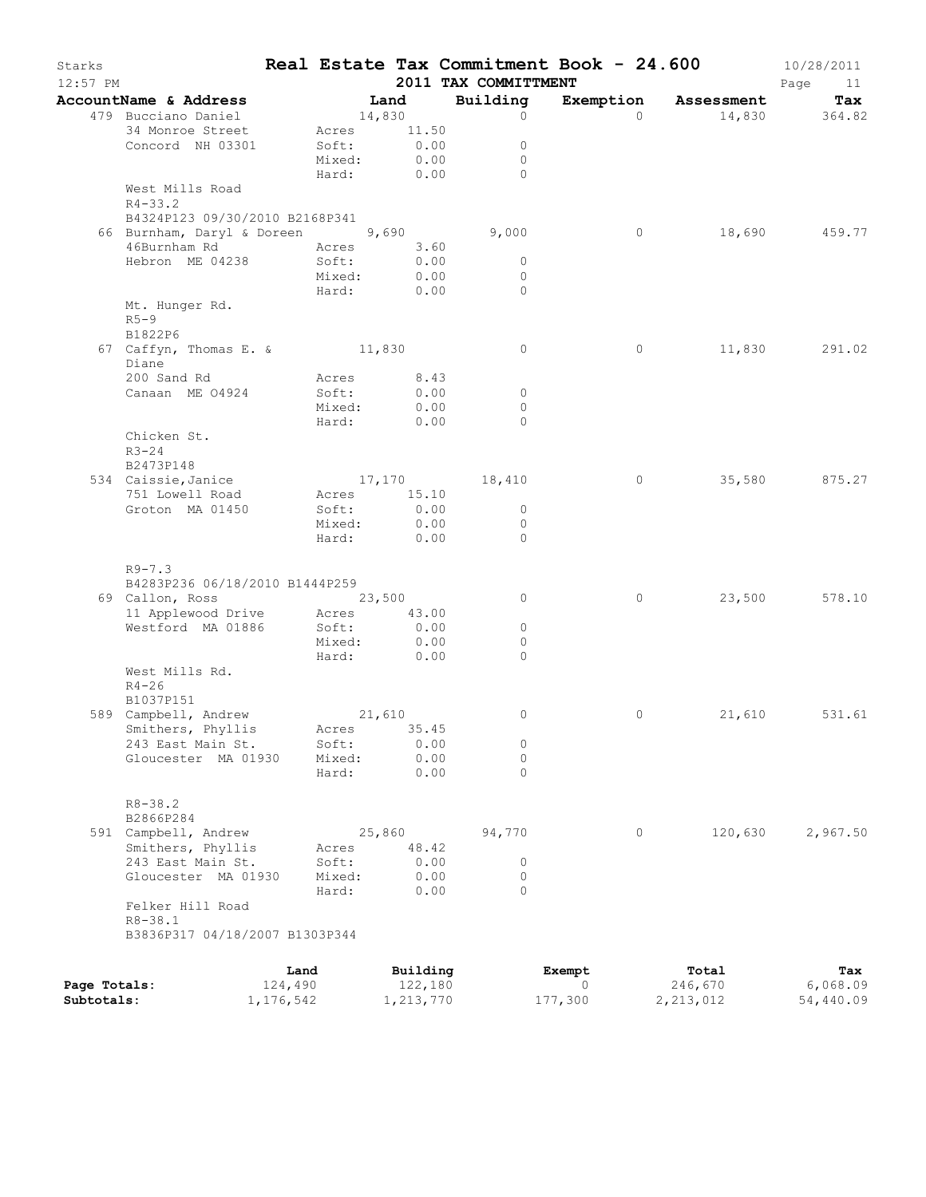| Starks<br>12:57 PM |                                  |           |                 |              | 2011 TAX COMMITTMENT    | Real Estate Tax Commitment Book - 24.600 |                      | 10/28/2011<br>Page<br>11 |
|--------------------|----------------------------------|-----------|-----------------|--------------|-------------------------|------------------------------------------|----------------------|--------------------------|
|                    | AccountName & Address            |           |                 | Land         | Building                |                                          | Exemption Assessment | Tax                      |
|                    | 479 Bucciano Daniel              |           | 14,830          |              | $\circ$                 | $\Omega$                                 | 14,830               | 364.82                   |
|                    | 34 Monroe Street                 |           |                 | Acres 11.50  |                         |                                          |                      |                          |
|                    | Concord NH 03301                 |           | Soft:           | 0.00         | $\circ$                 |                                          |                      |                          |
|                    |                                  |           | Mixed:          | 0.00         | $\circ$                 |                                          |                      |                          |
|                    |                                  |           | Hard:           | 0.00         | $\bigcap$               |                                          |                      |                          |
|                    | West Mills Road                  |           |                 |              |                         |                                          |                      |                          |
|                    | $R4 - 33.2$                      |           |                 |              |                         |                                          |                      |                          |
|                    | B4324P123 09/30/2010 B2168P341   |           |                 |              |                         |                                          |                      |                          |
|                    | 66 Burnham, Daryl & Doreen 9,690 |           |                 |              | 9,000                   | $\circ$                                  | 18,690               | 459.77                   |
|                    | 46Burnham Rd                     |           | Acres           | 3.60         |                         |                                          |                      |                          |
|                    | Hebron ME 04238                  |           | Soft:           | 0.00<br>0.00 | $\circ$<br>$\mathbf{0}$ |                                          |                      |                          |
|                    |                                  |           | Mixed:<br>Hard: | 0.00         | $\circ$                 |                                          |                      |                          |
|                    | Mt. Hunger Rd.                   |           |                 |              |                         |                                          |                      |                          |
|                    | $R5-9$                           |           |                 |              |                         |                                          |                      |                          |
|                    | B1822P6                          |           |                 |              |                         |                                          |                      |                          |
|                    | 67 Caffyn, Thomas E. & 11,830    |           |                 |              | $\circ$                 | $\circ$                                  | 11,830               | 291.02                   |
|                    | Diane                            |           |                 |              |                         |                                          |                      |                          |
|                    | 200 Sand Rd                      |           |                 | Acres 8.43   |                         |                                          |                      |                          |
|                    | Canaan ME 04924                  |           | Soft:           | 0.00         | $\circ$                 |                                          |                      |                          |
|                    |                                  |           | Mixed:          | 0.00         | $\circ$                 |                                          |                      |                          |
|                    |                                  |           | Hard:           | 0.00         | $\Omega$                |                                          |                      |                          |
|                    | Chicken St.                      |           |                 |              |                         |                                          |                      |                          |
|                    | $R3 - 24$                        |           |                 |              |                         |                                          |                      |                          |
|                    | B2473P148                        |           |                 |              |                         |                                          |                      |                          |
|                    | 534 Caissie, Janice              |           |                 |              | 17,170 18,410           | $\circ$                                  | 35,580               | 875.27                   |
|                    | 751 Lowell Road                  |           |                 | Acres 15.10  |                         |                                          |                      |                          |
|                    | Groton MA 01450                  |           | Soft:           | 0.00         | $\circ$                 |                                          |                      |                          |
|                    |                                  |           | Mixed:          | 0.00         | $\circ$                 |                                          |                      |                          |
|                    |                                  |           | Hard:           | 0.00         | $\Omega$                |                                          |                      |                          |
|                    |                                  |           |                 |              |                         |                                          |                      |                          |
|                    | $R9 - 7.3$                       |           |                 |              |                         |                                          |                      |                          |
|                    | B4283P236 06/18/2010 B1444P259   |           |                 |              |                         |                                          |                      |                          |
|                    | 69 Callon, Ross                  |           | 23,500          |              | 0                       | 0                                        | 23,500               | 578.10                   |
|                    | 11 Applewood Drive               |           |                 | Acres 43.00  |                         |                                          |                      |                          |
|                    | Westford MA 01886                |           | Soft:           | 0.00         | $\circ$                 |                                          |                      |                          |
|                    |                                  |           | Mixed:          | 0.00         | 0                       |                                          |                      |                          |
|                    |                                  |           | Hard:           | 0.00         | $\Omega$                |                                          |                      |                          |
|                    | West Mills Rd.<br>$R4 - 26$      |           |                 |              |                         |                                          |                      |                          |
|                    | B1037P151                        |           |                 |              |                         |                                          |                      |                          |
|                    | 589 Campbell, Andrew             |           |                 | 21,610       | 0                       | $\circ$                                  | 21,610               | 531.61                   |
|                    | Smithers, Phyllis                |           |                 | Acres 35.45  |                         |                                          |                      |                          |
|                    | 243 East Main St.                |           | Soft:           | 0.00         | 0                       |                                          |                      |                          |
|                    | Gloucester MA 01930              |           | Mixed:          | 0.00         | 0                       |                                          |                      |                          |
|                    |                                  |           | Hard:           | 0.00         | $\Omega$                |                                          |                      |                          |
|                    |                                  |           |                 |              |                         |                                          |                      |                          |
|                    | $R8 - 38.2$                      |           |                 |              |                         |                                          |                      |                          |
|                    | B2866P284                        |           |                 |              |                         |                                          |                      |                          |
|                    | 591 Campbell, Andrew             |           |                 | 25,860       | 94,770                  | $\circ$                                  | 120,630              | 2,967.50                 |
|                    | Smithers, Phyllis                |           | Acres           | 48.42        |                         |                                          |                      |                          |
|                    | 243 East Main St.                |           | Soft:           | 0.00         | 0                       |                                          |                      |                          |
|                    | Gloucester MA 01930              |           | Mixed:          | 0.00         | 0                       |                                          |                      |                          |
|                    |                                  |           | Hard:           | 0.00         | $\Omega$                |                                          |                      |                          |
|                    | Felker Hill Road                 |           |                 |              |                         |                                          |                      |                          |
|                    | $R8 - 38.1$                      |           |                 |              |                         |                                          |                      |                          |
|                    | B3836P317 04/18/2007 B1303P344   |           |                 |              |                         |                                          |                      |                          |
|                    |                                  |           |                 |              |                         |                                          |                      |                          |
|                    |                                  | Land      |                 | Building     |                         | Exempt                                   | Total                | Tax                      |
| Page Totals:       |                                  | 124,490   |                 | 122,180      |                         | 0                                        | 246,670              | 6,068.09                 |
| Subtotals:         |                                  | 1,176,542 |                 | 1,213,770    |                         | 177,300                                  | 2,213,012            | 54,440.09                |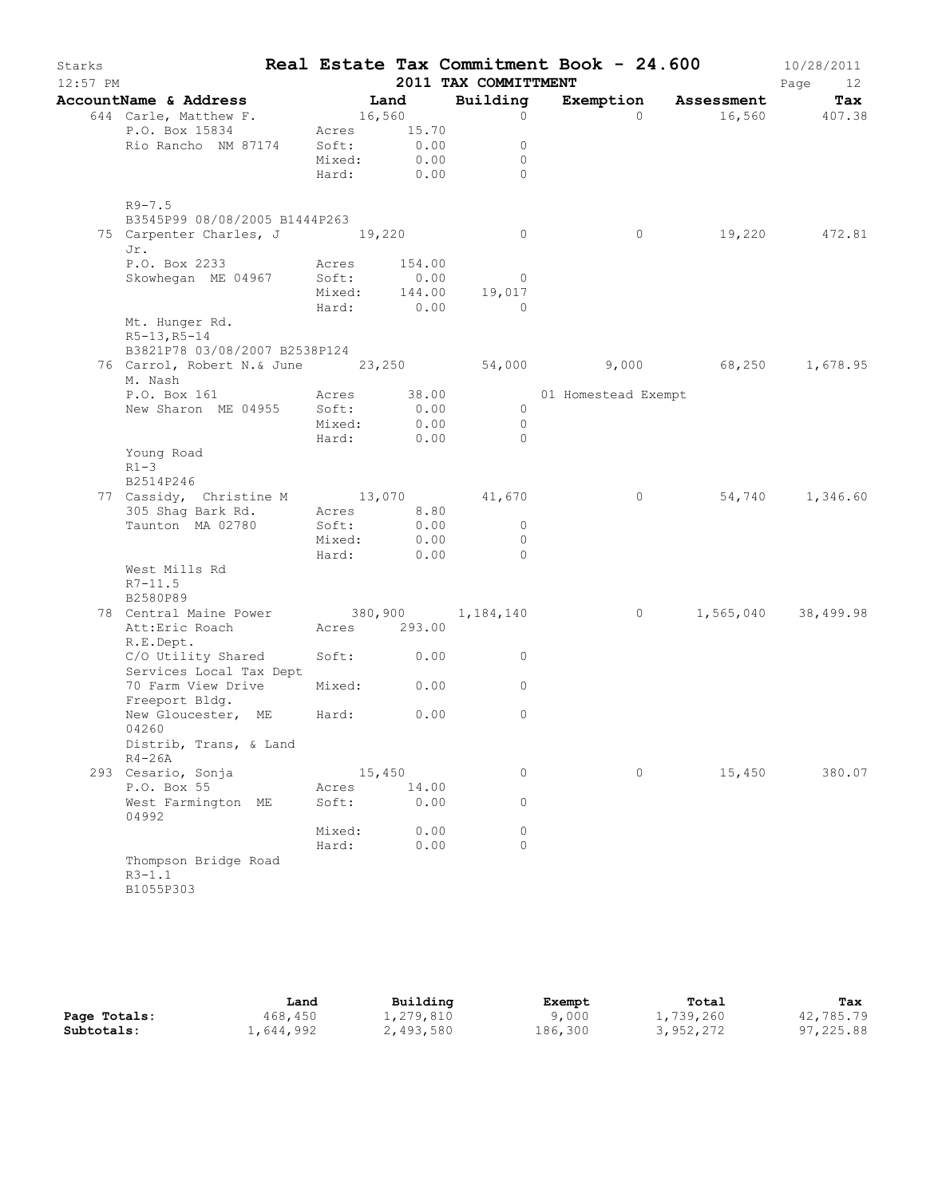| Starks<br>$12:57$ PM |                                                                  |              |        | 2011 TAX COMMITTMENT     | Real Estate Tax Commitment Book - 24.600 |                      | 10/28/2011<br>Page<br>12 |
|----------------------|------------------------------------------------------------------|--------------|--------|--------------------------|------------------------------------------|----------------------|--------------------------|
|                      | AccountName & Address                                            | Land         |        | Building                 |                                          | Exemption Assessment | Tax                      |
|                      | 644 Carle, Matthew F.                                            | 16,560       |        | $\circ$                  | $\Omega$                                 |                      | 16,560 407.38            |
|                      | P.O. Box 15834                                                   | Acres 15.70  |        |                          |                                          |                      |                          |
|                      | Rio Rancho NM 87174                                              | Soft:        | 0.00   | $\circ$                  |                                          |                      |                          |
|                      |                                                                  | Mixed:       | 0.00   | $\mathbf{0}$             |                                          |                      |                          |
|                      |                                                                  | Hard: 0.00   |        | $\Omega$                 |                                          |                      |                          |
|                      | $R9 - 7.5$                                                       |              |        |                          |                                          |                      |                          |
|                      | B3545P99 08/08/2005 B1444P263                                    |              |        |                          |                                          |                      |                          |
|                      | 75 Carpenter Charles, J 19,220<br>Jr.                            |              |        | $\overline{0}$           | $\circ$                                  |                      | 19,220 472.81            |
|                      | P.O. Box 2233                                                    | Acres        | 154.00 |                          |                                          |                      |                          |
|                      | Skowhegan ME 04967                                               | Soft:        | 0.00   | $\overline{\phantom{0}}$ |                                          |                      |                          |
|                      |                                                                  |              |        | Mixed: 144.00 19,017     |                                          |                      |                          |
|                      |                                                                  | Hard: 0.00   |        | $\bigcirc$               |                                          |                      |                          |
|                      | Mt. Hunger Rd.<br>$R5-13, R5-14$                                 |              |        |                          |                                          |                      |                          |
|                      | B3821P78 03/08/2007 B2538P124                                    |              |        |                          |                                          |                      |                          |
|                      | 76 Carrol, Robert N.& June 23,250 54,000 9,000 68,250<br>M. Nash |              |        |                          |                                          |                      | 1,678.95                 |
|                      | P.O. Box 161                                                     | Acres 38.00  |        |                          | 01 Homestead Exempt                      |                      |                          |
|                      | New Sharon ME 04955 Soft:                                        |              | 0.00   | $\overline{0}$           |                                          |                      |                          |
|                      |                                                                  | Mixed:       | 0.00   | $\overline{0}$           |                                          |                      |                          |
|                      |                                                                  | Hard: 0.00   |        | $\Omega$                 |                                          |                      |                          |
|                      | Young Road<br>$R1-3$<br>B2514P246                                |              |        |                          |                                          |                      |                          |
|                      | 77 Cassidy, Christine M 13,070 41,670                            |              |        |                          | $\circ$                                  |                      | 54,740 1,346.60          |
|                      | 305 Shag Bark Rd.                                                | Acres 8.80   |        |                          |                                          |                      |                          |
|                      | Taunton MA 02780                                                 | Soft:        | 0.00   | $\overline{0}$           |                                          |                      |                          |
|                      |                                                                  | Mixed:       | 0.00   | $\overline{0}$           |                                          |                      |                          |
|                      |                                                                  | Hard: 0.00   |        | $\overline{0}$           |                                          |                      |                          |
|                      | West Mills Rd                                                    |              |        |                          |                                          |                      |                          |
|                      | $R7 - 11.5$                                                      |              |        |                          |                                          |                      |                          |
|                      | B2580P89                                                         |              |        |                          |                                          |                      |                          |
|                      | 78 Central Maine Power 380,900 1,184,140                         |              |        |                          | $\overline{0}$                           |                      | 1,565,040 38,499.98      |
|                      | Att:Eric Roach                                                   | Acres 293.00 |        |                          |                                          |                      |                          |
|                      | R.E.Dept.                                                        |              |        |                          |                                          |                      |                          |
|                      | C/O Utility Shared                                               | Soft: 0.00   |        | $\circ$                  |                                          |                      |                          |
|                      | Services Local Tax Dept                                          |              |        |                          |                                          |                      |                          |
|                      | 70 Farm View Drive                                               | Mixed:       | 0.00   | 0                        |                                          |                      |                          |
|                      | Freeport Bldg.                                                   |              |        |                          |                                          |                      |                          |
|                      | New Gloucester, ME Hard: 0.00                                    |              |        | $\circ$                  |                                          |                      |                          |
|                      | 04260<br>Distrib, Trans, & Land                                  |              |        |                          |                                          |                      |                          |
|                      | $R4-26A$                                                         |              |        |                          |                                          |                      |                          |
|                      | 293 Cesario, Sonja                                               |              | 15,450 | 0                        | $\circ$                                  | 15,450               | 380.07                   |
|                      | P.O. Box 55                                                      | Acres        | 14.00  |                          |                                          |                      |                          |
|                      | West Farmington ME                                               | Soft:        | 0.00   | 0                        |                                          |                      |                          |
|                      | 04992                                                            |              |        |                          |                                          |                      |                          |
|                      |                                                                  | Mixed:       | 0.00   | 0                        |                                          |                      |                          |
|                      |                                                                  | Hard:        | 0.00   | $\Omega$                 |                                          |                      |                          |
|                      | Thompson Bridge Road<br>$R3 - 1.1$<br>B1055P303                  |              |        |                          |                                          |                      |                          |

|              | Land      | Building  | Exempt  | Total     | Tax       |
|--------------|-----------|-----------|---------|-----------|-----------|
| Page Totals: | 468,450   | 1,279,810 | 9,000   | 1,739,260 | 42,785.79 |
| Subtotals:   | 1,644,992 | 2,493,580 | 186,300 | 3,952,272 | 97,225.88 |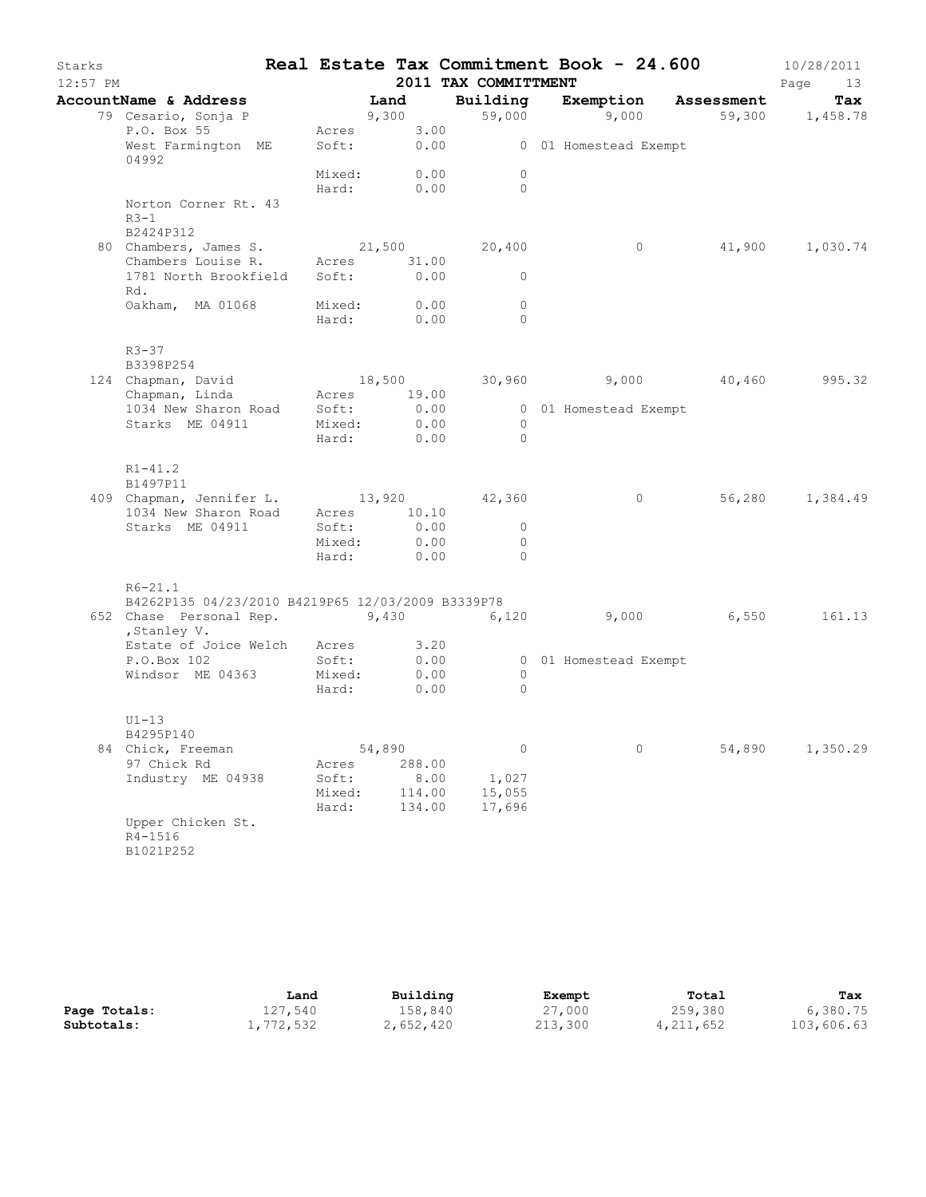| Starks<br>$12:57$ PM |                                                             |                |                | 2011 TAX COMMITTMENT | Real Estate Tax Commitment Book - 24.600 |                 | 10/28/2011<br>Page<br>13 |
|----------------------|-------------------------------------------------------------|----------------|----------------|----------------------|------------------------------------------|-----------------|--------------------------|
|                      | AccountName & Address Land                                  |                |                | Building             | Exemption Assessment                     |                 | Tax                      |
|                      | 79 Cesario, Sonja P                                         |                | 9,300          |                      | 59,000 9,000                             | 59,300 1,458.78 |                          |
|                      | P.O. Box 55                                                 | Acres          | 3.00           |                      |                                          |                 |                          |
|                      | West Farmington ME<br>04992                                 | Soft:          |                |                      | 0.00 0 01 Homestead Exempt               |                 |                          |
|                      |                                                             | Mixed:         | 0.00           | $\circ$              |                                          |                 |                          |
|                      | Norton Corner Rt. 43                                        | Hard:          | 0.00           | $\circ$              |                                          |                 |                          |
|                      | $R3-1$                                                      |                |                |                      |                                          |                 |                          |
|                      | B2424P312                                                   |                |                |                      |                                          |                 |                          |
|                      | 80 Chambers, James S. 21,500                                |                |                | 20,400               | $\circ$                                  |                 | 41,900 1,030.74          |
|                      | Chambers Louise R. Acres                                    |                | 31.00          |                      |                                          |                 |                          |
|                      | 1781 North Brookfield Soft:<br>Rd.                          |                | 0.00           | $\mathbf{0}$         |                                          |                 |                          |
|                      | Oakham, MA 01068                                            | Mixed:         | 0.00           | $\circ$              |                                          |                 |                          |
|                      |                                                             | Hard:          | 0.00           | $\Omega$             |                                          |                 |                          |
|                      | $R3 - 37$                                                   |                |                |                      |                                          |                 |                          |
|                      | B3398P254                                                   |                |                |                      |                                          |                 |                          |
|                      | 124 Chapman, David 18,500<br>Chapman, Linda 18,500 29.00    |                | 18,500         |                      | 30,960 9,000 40,460                      |                 | 995.32                   |
|                      |                                                             |                |                |                      |                                          |                 |                          |
|                      | 1034 New Sharon Road Soft:<br>Starks ME 04911               | Mixed:         | 0.00<br>0.00   | $\circ$              | 0 01 Homestead Exempt                    |                 |                          |
|                      |                                                             | Hard:          | 0.00           | $\Omega$             |                                          |                 |                          |
|                      |                                                             |                |                |                      |                                          |                 |                          |
|                      | $R1 - 41.2$<br>B1497P11                                     |                |                |                      |                                          |                 |                          |
|                      | 409 Chapman, Jennifer L. 13,920 42,360                      |                |                |                      | $\circ$                                  |                 | 56,280 1,384.49          |
|                      | 1034 New Sharon Road Acres 10.10                            |                |                |                      |                                          |                 |                          |
|                      | Starks ME 04911                                             | Soft:          | 0.00           | $\circ$              |                                          |                 |                          |
|                      |                                                             | Mixed:         | 0.00           | $\circ$              |                                          |                 |                          |
|                      |                                                             | Hard:          | 0.00           | $\Omega$             |                                          |                 |                          |
|                      | $R6 - 21.1$                                                 |                |                |                      |                                          |                 |                          |
|                      | B4262P135 04/23/2010 B4219P65 12/03/2009 B3339P78           |                |                |                      |                                          |                 | 161.13                   |
|                      | 652 Chase Personal Rep. $9,430$ 6,120 9,000<br>, Stanley V. |                |                |                      |                                          | 6,550           |                          |
|                      | Estate of Joice Welch Acres                                 |                | 3.20           |                      |                                          |                 |                          |
|                      | P.O.Box 102                                                 | Soft:          | 0.00           |                      | 0 01 Homestead Exempt                    |                 |                          |
|                      | Windsor ME 04363                                            | Mixed:         | 0.00           | $\circ$              |                                          |                 |                          |
|                      |                                                             | Hard:          | 0.00           | $\Omega$             |                                          |                 |                          |
|                      | $U1-13$                                                     |                |                |                      |                                          |                 |                          |
|                      | B4295P140                                                   |                |                |                      |                                          |                 |                          |
|                      | 84 Chick, Freeman<br>97 Chick Rd                            |                | 54,890         | $\circ$              | $\circ$                                  | 54,890          | 1,350.29                 |
|                      | Industry ME 04938                                           | Acres<br>Soft: | 288.00<br>8.00 | 1,027                |                                          |                 |                          |
|                      |                                                             | Mixed:         | 114.00         | 15,055               |                                          |                 |                          |
|                      |                                                             | Hard:          | 134.00         | 17,696               |                                          |                 |                          |
|                      | Upper Chicken St.                                           |                |                |                      |                                          |                 |                          |
|                      | R4-1516                                                     |                |                |                      |                                          |                 |                          |
|                      | B1021P252                                                   |                |                |                      |                                          |                 |                          |

|              | Land      | Building  | Exempt  | Total       | Tax        |
|--------------|-----------|-----------|---------|-------------|------------|
| Page Totals: | 127,540   | 158,840   | 27,000  | 259,380     | 6,380.75   |
| Subtotals:   | 1,772,532 | 2,652,420 | 213,300 | 4, 211, 652 | 103,606.63 |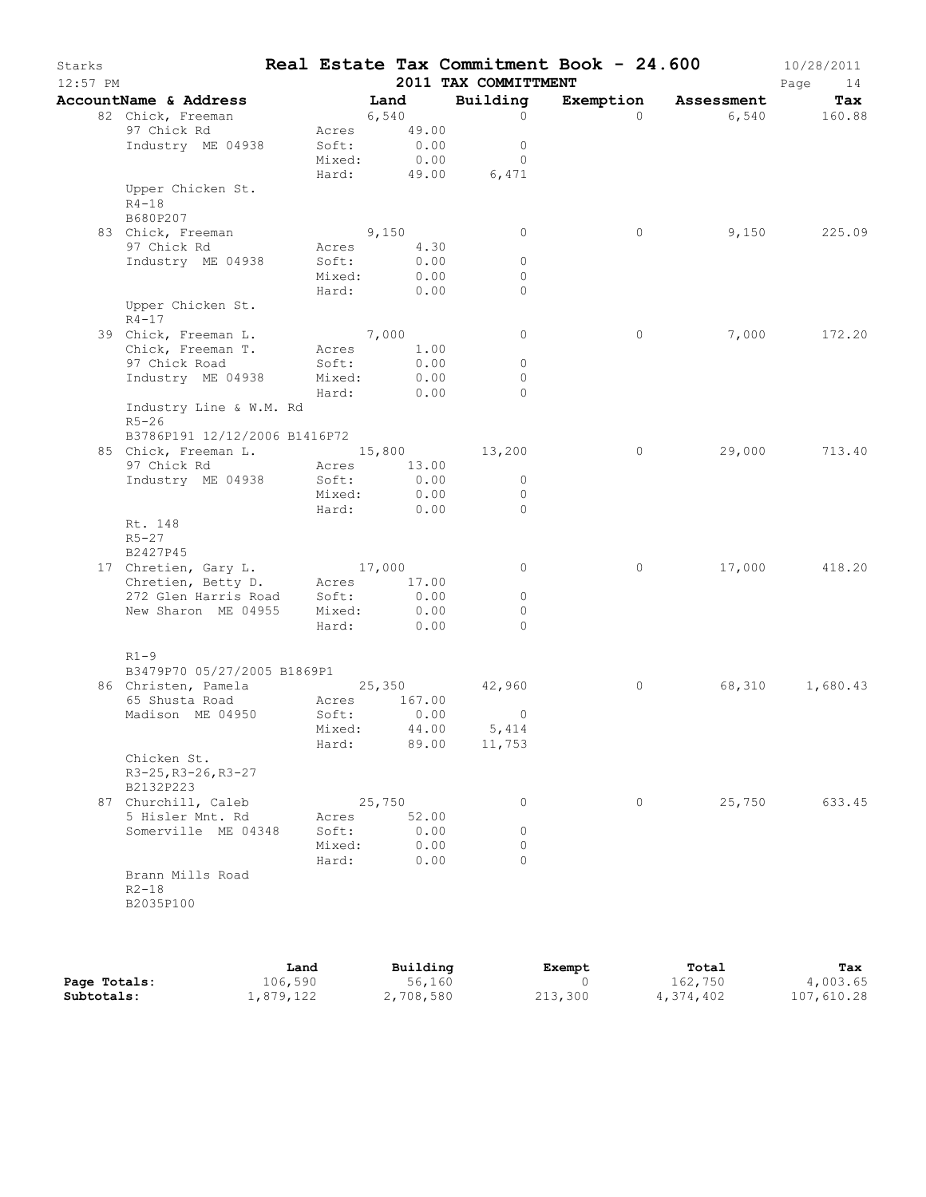| Starks<br>12:57 PM |                                              |                |                | 2011 TAX COMMITTMENT | Real Estate Tax Commitment Book - 24.600 |                      | 10/28/2011<br>Page<br>14 |
|--------------------|----------------------------------------------|----------------|----------------|----------------------|------------------------------------------|----------------------|--------------------------|
|                    | AccountName & Address                        |                | Land           | Building             |                                          | Exemption Assessment | Tax                      |
|                    | 82 Chick, Freeman                            | 6,540          |                | $\circ$              | $\Omega$                                 |                      | 6,540 160.88             |
|                    | 97 Chick Rd                                  |                | Acres 49.00    |                      |                                          |                      |                          |
|                    | Industry ME 04938                            | Soft:          | 0.00           | $\circ$              |                                          |                      |                          |
|                    |                                              | Mixed:         | 0.00           | $\Omega$             |                                          |                      |                          |
|                    |                                              | Hard:          |                | 49.00<br>6,471       |                                          |                      |                          |
|                    | Upper Chicken St.                            |                |                |                      |                                          |                      |                          |
|                    | $R4 - 18$                                    |                |                |                      |                                          |                      |                          |
|                    | B680P207                                     |                |                |                      |                                          |                      |                          |
|                    | 83 Chick, Freeman                            | 9,150          |                | $\circ$              | $\circ$                                  | 9,150                | 225.09                   |
|                    | 97 Chick Rd                                  | Acres          | 4.30           |                      |                                          |                      |                          |
|                    | Industry ME 04938                            | Soft:          | 0.00           | 0                    |                                          |                      |                          |
|                    |                                              | Mixed:         | 0.00           | 0                    |                                          |                      |                          |
|                    |                                              | Hard:          | 0.00           | 0                    |                                          |                      |                          |
|                    | Upper Chicken St.<br>$R4 - 17$               |                |                |                      |                                          |                      |                          |
|                    | 39 Chick, Freeman L.                         | 7,000          |                | $\circ$              | $\circ$                                  | 7,000                | 172.20                   |
|                    | Chick, Freeman T.                            |                | Acres 1.00     |                      |                                          |                      |                          |
|                    | 97 Chick Road                                | Soft:          | 0.00           | $\circ$              |                                          |                      |                          |
|                    | Industry ME 04938                            | Mixed:         | 0.00           | $\circ$              |                                          |                      |                          |
|                    |                                              | Hard:          | 0.00           | $\Omega$             |                                          |                      |                          |
|                    | Industry Line & W.M. Rd<br>$R5 - 26$         |                |                |                      |                                          |                      |                          |
|                    | B3786P191 12/12/2006 B1416P72                |                |                |                      |                                          |                      |                          |
|                    | 85 Chick, Freeman L. 15,800 13,200           |                |                |                      | $\circ$                                  | 29,000               | 713.40                   |
|                    | 97 Chick Rd                                  |                | Acres 13.00    |                      |                                          |                      |                          |
|                    | Industry ME 04938                            | Soft:          | 0.00           | $\circ$              |                                          |                      |                          |
|                    |                                              | Mixed:         | 0.00           | $\circ$              |                                          |                      |                          |
|                    |                                              | Hard:          | 0.00           | $\Omega$             |                                          |                      |                          |
|                    | Rt. 148                                      |                |                |                      |                                          |                      |                          |
|                    | $R5 - 27$                                    |                |                |                      |                                          |                      |                          |
|                    | B2427P45                                     |                |                |                      |                                          |                      |                          |
|                    | 17 Chretien, Gary L. 17,000                  |                |                | 0                    | 0                                        | 17,000               | 418.20                   |
|                    | Chretien, Betty D. Acres                     |                | 17.00          |                      |                                          |                      |                          |
|                    | 272 Glen Harris Road Soft:                   |                | 0.00           | $\circ$              |                                          |                      |                          |
|                    | New Sharon ME 04955                          | Mixed:         | 0.00           | $\Omega$             |                                          |                      |                          |
|                    |                                              | Hard:          | 0.00           | $\Omega$             |                                          |                      |                          |
|                    | $R1-9$                                       |                |                |                      |                                          |                      |                          |
|                    | B3479P70 05/27/2005 B1869P1                  |                |                |                      |                                          |                      |                          |
|                    | 86 Christen, Pamela 25,350<br>65 Shusta Road |                |                | 42,960               | $\circ$                                  | 68,310               | 1,680.43                 |
|                    |                                              | Acres<br>Soft: | 167.00<br>0.00 | $\circ$              |                                          |                      |                          |
|                    | Madison ME 04950                             |                | 44.00          | 5,414                |                                          |                      |                          |
|                    |                                              | Mixed:         | 89.00          | 11,753               |                                          |                      |                          |
|                    | Chicken St.                                  | Hard:          |                |                      |                                          |                      |                          |
|                    | R3-25, R3-26, R3-27                          |                |                |                      |                                          |                      |                          |
|                    | B2132P223                                    |                |                |                      |                                          |                      |                          |
|                    | 87 Churchill, Caleb                          |                | 25,750         | 0                    | $\circ$                                  | 25,750               | 633.45                   |
|                    | 5 Hisler Mnt. Rd                             | Acres          | 52.00          |                      |                                          |                      |                          |
|                    | Somerville ME 04348                          | Soft:          | 0.00           | 0                    |                                          |                      |                          |
|                    |                                              | Mixed:         | 0.00           | 0                    |                                          |                      |                          |
|                    |                                              | Hard:          | 0.00           | $\Omega$             |                                          |                      |                          |
|                    | Brann Mills Road                             |                |                |                      |                                          |                      |                          |
|                    | $R2 - 18$                                    |                |                |                      |                                          |                      |                          |
|                    | B2035P100                                    |                |                |                      |                                          |                      |                          |
|                    |                                              |                |                |                      |                                          |                      |                          |
|                    |                                              |                |                |                      |                                          |                      |                          |

|              | Land      | Building  | Exempt  | Total     | Tax        |
|--------------|-----------|-----------|---------|-----------|------------|
| Page Totals: | 106,590   | 56,160    |         | 162,750   | 4,003.65   |
| Subtotals:   | 1,879,122 | 2,708,580 | 213,300 | 4,374,402 | 107,610.28 |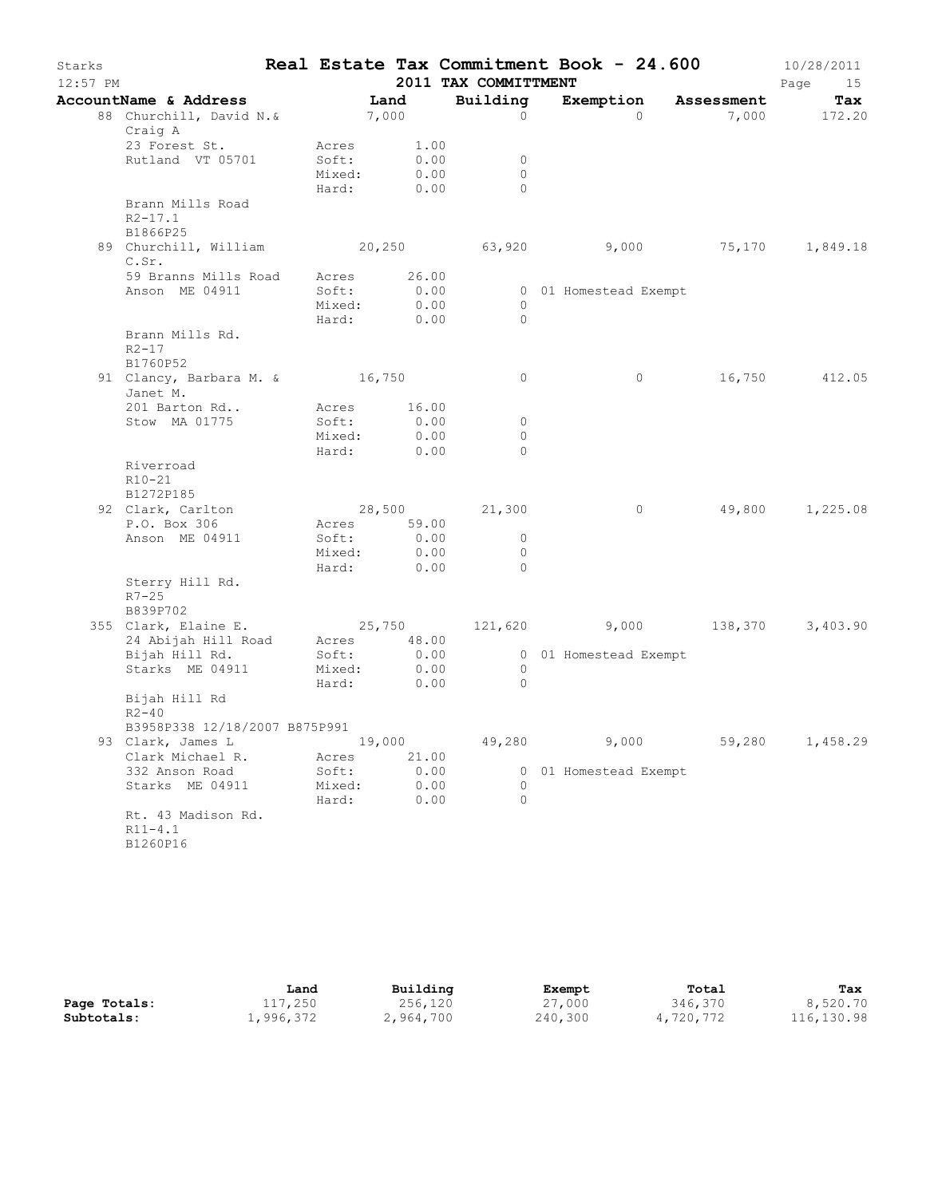| Starks<br>$12:57$ PM |                                                             |                                                   |        |                               | 2011 TAX COMMITTMENT                     | Real Estate Tax Commitment Book - 24.600        |            | 10/28/2011<br>Page<br>15 |
|----------------------|-------------------------------------------------------------|---------------------------------------------------|--------|-------------------------------|------------------------------------------|-------------------------------------------------|------------|--------------------------|
|                      | AccountName & Address                                       |                                                   | Land   |                               | Building                                 | Exemption                                       | Assessment | Tax                      |
|                      | 88 Churchill, David N.& 7,000<br>Craig A                    |                                                   |        |                               | $\Omega$                                 | $\Omega$                                        |            | 7,000 172.20             |
|                      | 23 Forest St.<br>Rutland VT 05701                           | Acres<br>Soft:<br>Mixed:<br>Hard:                 |        | 1.00<br>0.00<br>0.00<br>0.00  | 0<br>$\circ$<br>$\circ$                  |                                                 |            |                          |
|                      | Brann Mills Road<br>$R2 - 17.1$<br>B1866P25                 |                                                   |        |                               |                                          |                                                 |            |                          |
|                      | 89 Churchill, William 20,250<br>C.Sr.                       |                                                   |        |                               |                                          | 63,920 9,000 75,170 1,849.18                    |            |                          |
|                      | 59 Branns Mills Road Acres 26.00<br>Anson ME 04911          | Soft:<br>Mixed:<br>Hard:                          |        | 0.00<br>0.00<br>0.00          | $\circ$<br>$\Omega$                      | 0 01 Homestead Exempt                           |            |                          |
|                      | Brann Mills Rd.<br>$R2 - 17$<br>B1760P52                    |                                                   |        |                               |                                          |                                                 |            |                          |
|                      | 91 Clancy, Barbara M. & 16,750<br>Janet M.                  |                                                   |        |                               | $\circ$                                  | $\circ$                                         |            | 16,750 412.05            |
|                      | 201 Barton Rd<br>Stow MA 01775                              | Acres<br>Soft:<br>Mixed:<br>Hard:                 |        | 16.00<br>0.00<br>0.00<br>0.00 | $\circ$<br>$\circ$<br>$\Omega$           |                                                 |            |                          |
|                      | Riverroad<br>$R10 - 21$<br>B1272P185                        |                                                   |        |                               |                                          |                                                 |            |                          |
|                      | 92 Clark, Carlton<br>P.O. Box 306<br>Anson ME 04911         | 28,500<br>Acres 59.00<br>Soft:<br>Mixed:<br>Hard: |        | 0.00<br>0.00<br>0.00          | 21,300<br>$\circ$<br>$\circ$<br>$\Omega$ | $\circ$                                         | 49,800     | 1,225.08                 |
|                      | Sterry Hill Rd.<br>$R7 - 25$<br>B839P702                    |                                                   |        |                               |                                          |                                                 |            |                          |
|                      | 355 Clark, Elaine E.<br>24 Abijah Hill Road Acres 48.00     |                                                   |        |                               |                                          | $25,750$ $121,620$ $9,000$ $138,370$ $3,403.90$ |            |                          |
|                      | Bijah Hill Rd.<br>Starks ME 04911                           | Soft:<br>Mixed:<br>Hard:                          |        | 0.00<br>0.00                  | $\circ$<br>$\overline{0}$                | 0.00 00 01 Homestead Exempt                     |            |                          |
|                      | Bijah Hill Rd<br>$R2 - 40$<br>B3958P338 12/18/2007 B875P991 |                                                   |        |                               |                                          |                                                 |            |                          |
|                      | 93 Clark, James L<br>Clark Michael R.                       | Acres                                             | 19,000 | 21.00                         | 49,280                                   | 9,000                                           | 59,280     | 1,458.29                 |
|                      | 332 Anson Road<br>Starks ME 04911                           | Soft:<br>Mixed:<br>Hard:                          |        | 0.00<br>0.00<br>0.00          | 0<br>0<br>$\Omega$                       | 01 Homestead Exempt                             |            |                          |
|                      | Rt. 43 Madison Rd.<br>$R11 - 4.1$<br>B1260P16               |                                                   |        |                               |                                          |                                                 |            |                          |

|              | Land      | Building  | Exempt  | Total     | Tax        |
|--------------|-----------|-----------|---------|-----------|------------|
| Page Totals: | 117,250   | 256,120   | 27,000  | 346,370   | 8,520.70   |
| Subtotals:   | 1,996,372 | 2,964,700 | 240,300 | 4,720,772 | 116,130.98 |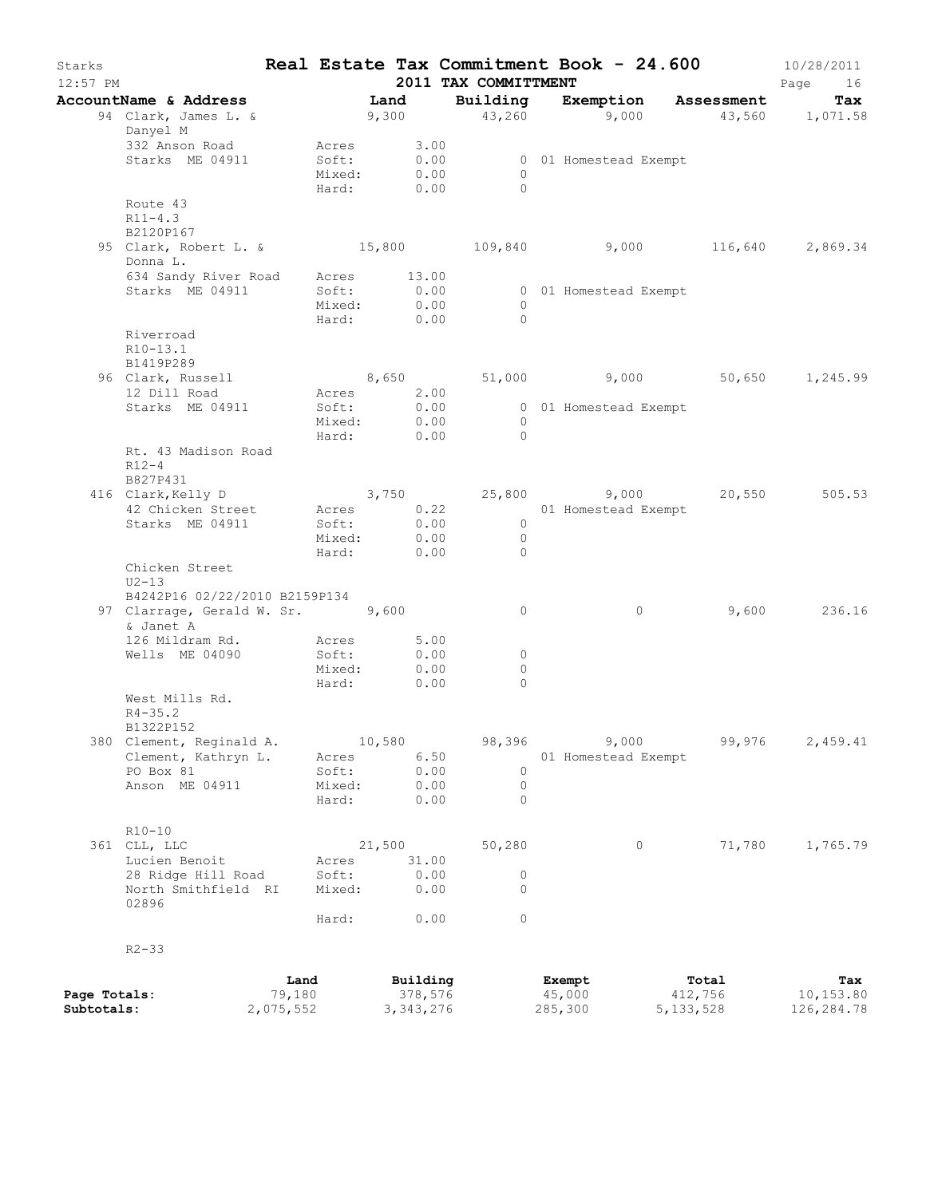| Starks                     | $12:57$ PM                                                                     |                             |                                                  |        |                                    | 2011 TAX COMMITTMENT             |                             | Real Estate Tax Commitment Book - 24.600   | 10/28/2011<br>Page<br>16        |
|----------------------------|--------------------------------------------------------------------------------|-----------------------------|--------------------------------------------------|--------|------------------------------------|----------------------------------|-----------------------------|--------------------------------------------|---------------------------------|
|                            | AccountName & Address Tand                                                     |                             |                                                  |        |                                    |                                  |                             | Building Exemption Assessment              | Tax                             |
|                            | 94 Clark, James L. & 9,300 43,260 9,000 43,560 1,071.58<br>Danyel M            |                             |                                                  |        |                                    |                                  |                             |                                            |                                 |
|                            | 332 Anson Road<br>Starks ME 04911                                              |                             | Acres 3.00<br>Soft:<br>Mixed: 0.00<br>Hard: 0.00 |        | 0.00                               | $\overline{0}$<br>$\bigcirc$     | 0 01 Homestead Exempt       |                                            |                                 |
|                            | Route 43<br>$R11 - 4.3$<br>B2120P167                                           |                             |                                                  |        |                                    |                                  |                             |                                            |                                 |
|                            | 95 Clark, Robert L. & 15,800 109,840 9,000 116,640 2,869.34<br>Donna L.        |                             |                                                  |        |                                    |                                  |                             |                                            |                                 |
|                            | 634 Sandy River Road Acres 13.00<br>Starks ME 04911                            |                             | Soft:<br>Mixed: 0.00<br>Hard: 0.00               |        | 0.00                               | $\overline{0}$<br>$\bigcirc$     | 0 01 Homestead Exempt       |                                            |                                 |
|                            | Riverroad<br>R10-13.1<br>B1419P289                                             |                             |                                                  |        |                                    |                                  |                             |                                            |                                 |
|                            | 96 Clark, Russell<br>12 Dill Road                                              |                             | Acres 2.00                                       |        |                                    |                                  |                             | 8,650 51,000 9,000 50,650 1,245.99         |                                 |
|                            | Starks ME 04911                                                                |                             | Soft:<br>Mixed:                                  |        | 0.00<br>0.00                       | $\overline{0}$                   | 0 01 Homestead Exempt       |                                            |                                 |
|                            | Rt. 43 Madison Road                                                            |                             | Hard: 0.00                                       |        |                                    | $\bigcirc$                       |                             |                                            |                                 |
|                            | $R12-4$<br>B827P431                                                            |                             |                                                  |        |                                    |                                  |                             |                                            |                                 |
|                            | 416 Clark, Kelly D<br>42 Chicken Street                                        |                             | Acres 0.22                                       |        |                                    |                                  | 01 Homestead Exempt         | $3,750$ $25,800$ $9,000$ $20,550$ $505.53$ |                                 |
|                            | Starks ME 04911                                                                |                             | Soft: 0.00<br>Mixed: 0.00                        |        |                                    | $\overline{0}$<br>$\overline{0}$ |                             |                                            |                                 |
|                            | Chicken Street                                                                 |                             | Hard: 0.00                                       |        |                                    | $\overline{0}$                   |                             |                                            |                                 |
|                            | $U2-13$                                                                        |                             |                                                  |        |                                    |                                  |                             |                                            |                                 |
|                            | B4242P16 02/22/2010 B2159P134<br>97 Clarrage, Gerald W. Sr. 9,600<br>& Janet A |                             |                                                  |        |                                    | 0                                | $\circ$                     |                                            | 9,600 236.16                    |
|                            | 126 Mildram Rd.<br>Wells ME 04090                                              |                             | Acres 5.00<br>Soft:                              |        | 0.00                               | 0                                |                             |                                            |                                 |
|                            |                                                                                |                             | Mixed:                                           |        | 0.00                               | $\circ$<br>$\circ$               |                             |                                            |                                 |
|                            | West Mills Rd.<br>$R4 - 35.2$                                                  |                             | Hard:                                            |        | 0.00                               |                                  |                             |                                            |                                 |
|                            | B1322P152<br>380 Clement, Reginald A.                                          |                             |                                                  | 10,580 |                                    | 98,396                           | 9,000                       | 99,976                                     | 2,459.41                        |
|                            | Clement, Kathryn L.<br>PO Box 81                                               |                             | Acres<br>Soft:                                   |        | 6.50<br>0.00                       | $\circ$                          | 01 Homestead Exempt         |                                            |                                 |
|                            | Anson ME 04911                                                                 |                             | Mixed:                                           |        | 0.00                               | 0                                |                             |                                            |                                 |
|                            |                                                                                |                             | Hard:                                            |        | 0.00                               | $\circ$                          |                             |                                            |                                 |
|                            | $R10 - 10$<br>361 CLL, LLC                                                     |                             |                                                  | 21,500 |                                    | 50,280                           | 0                           | 71,780                                     | 1,765.79                        |
|                            | Lucien Benoit                                                                  |                             | Acres                                            |        | 31.00                              |                                  |                             |                                            |                                 |
|                            | 28 Ridge Hill Road<br>North Smithfield RI<br>02896                             |                             | Soft:<br>Mixed:                                  |        | 0.00<br>0.00                       | 0<br>$\Omega$                    |                             |                                            |                                 |
|                            |                                                                                |                             | Hard:                                            |        | 0.00                               | 0                                |                             |                                            |                                 |
|                            | $R2 - 33$                                                                      |                             |                                                  |        |                                    |                                  |                             |                                            |                                 |
| Page Totals:<br>Subtotals: |                                                                                | Land<br>79,180<br>2,075,552 |                                                  |        | Building<br>378,576<br>3, 343, 276 |                                  | Exempt<br>45,000<br>285,300 | Total<br>412,756<br>5, 133, 528            | Tax<br>10,153.80<br>126, 284.78 |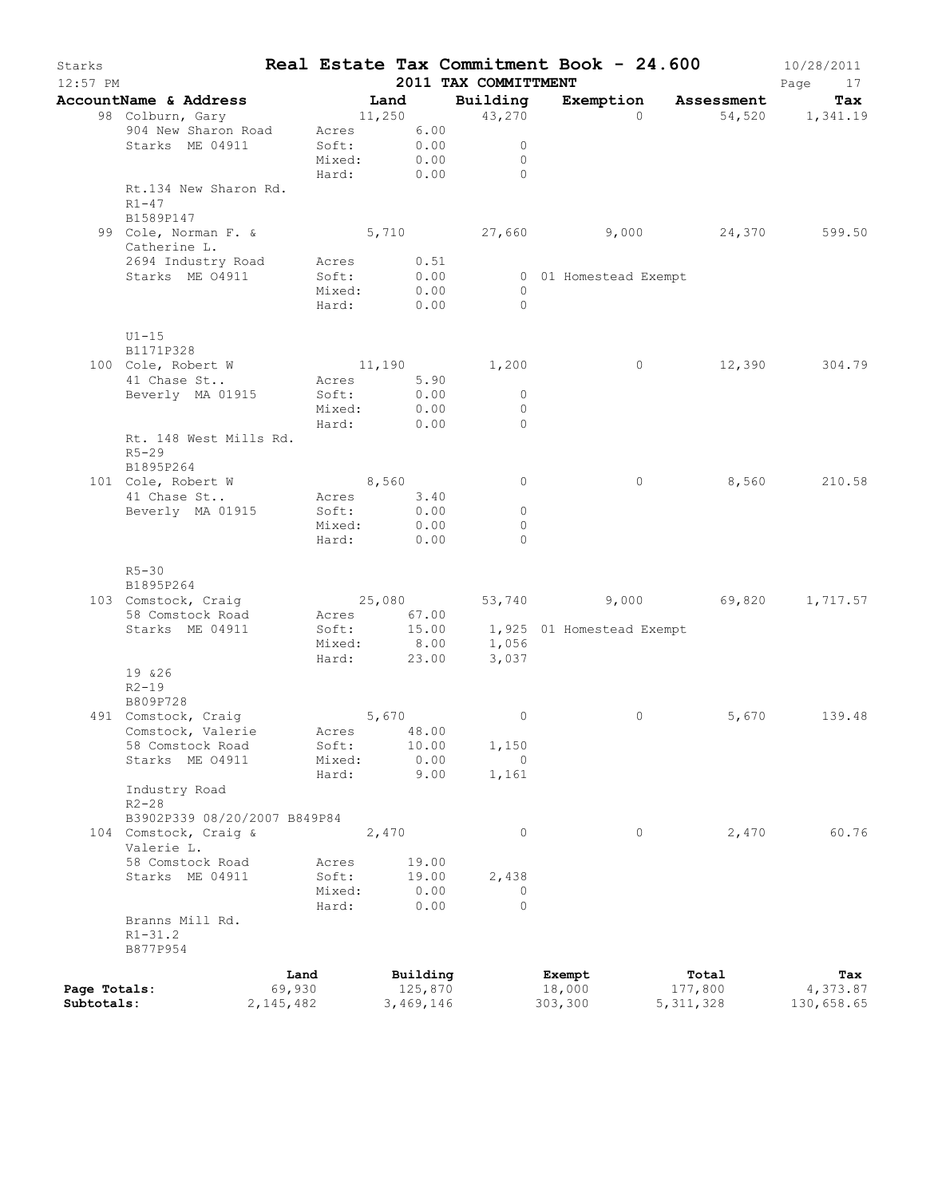| Starks<br>12:57 PM |                                    |             |                 |       |                  | 2011 TAX COMMITTMENT | Real Estate Tax Commitment Book - 24.600 |             | 10/28/2011<br>Page<br>17 |
|--------------------|------------------------------------|-------------|-----------------|-------|------------------|----------------------|------------------------------------------|-------------|--------------------------|
|                    | AccountName & Address              |             |                 | Land  |                  | Building             | Exemption Assessment                     |             | Tax                      |
|                    | 98 Colburn, Gary                   |             |                 |       |                  | 11,250 43,270        | $\Omega$                                 |             | 54,520 1,341.19          |
|                    | 904 New Sharon Road                |             | Acres 6.00      |       |                  |                      |                                          |             |                          |
|                    | Starks ME 04911                    |             | Soft:           |       | $0.00$<br>$0.00$ | $\circ$              |                                          |             |                          |
|                    |                                    |             | Mixed:          |       |                  | $\circ$              |                                          |             |                          |
|                    |                                    |             | Hard: 0.00      |       |                  | $\Omega$             |                                          |             |                          |
|                    | Rt.134 New Sharon Rd.              |             |                 |       |                  |                      |                                          |             |                          |
|                    | $R1-47$                            |             |                 |       |                  |                      |                                          |             |                          |
|                    | B1589P147                          |             |                 |       |                  |                      |                                          |             |                          |
|                    | 99 Cole, Norman F. &               |             |                 |       |                  | 5,710 27,660         | $9,000$ 24,370                           |             | 599.50                   |
|                    | Catherine L.<br>2694 Industry Road |             | Acres 0.51      |       |                  |                      |                                          |             |                          |
|                    | Starks ME 04911                    |             | Soft:           |       | 0.00             |                      | 0 01 Homestead Exempt                    |             |                          |
|                    |                                    |             | Mixed:          |       | 0.00             | $\overline{0}$       |                                          |             |                          |
|                    |                                    |             | Hard:           |       | 0.00             | $\bigcirc$           |                                          |             |                          |
|                    |                                    |             |                 |       |                  |                      |                                          |             |                          |
|                    | $U1-15$                            |             |                 |       |                  |                      |                                          |             |                          |
|                    | B1171P328                          |             |                 |       |                  |                      |                                          |             |                          |
|                    | 100 Cole, Robert W                 |             | 11,190          |       |                  | 1,200                | $\circ$                                  | 12,390      | 304.79                   |
|                    | 41 Chase St                        |             | Acres 5.90      |       |                  |                      |                                          |             |                          |
|                    | Beverly MA 01915                   |             | Soft:           |       | 0.00             | $\overline{0}$       |                                          |             |                          |
|                    |                                    |             | Mixed:          |       | 0.00             | $\overline{0}$       |                                          |             |                          |
|                    |                                    |             | Hard:           |       | 0.00             | $\Omega$             |                                          |             |                          |
|                    | Rt. 148 West Mills Rd.             |             |                 |       |                  |                      |                                          |             |                          |
|                    | $R5 - 29$                          |             |                 |       |                  |                      |                                          |             |                          |
|                    | B1895P264                          |             |                 |       |                  |                      |                                          |             |                          |
|                    | 101 Cole, Robert W                 |             | 8,560           |       |                  | $\circ$              | $\circ$                                  |             | 8,560 210.58             |
|                    | 41 Chase St                        |             | Acres 3.40      |       |                  |                      |                                          |             |                          |
|                    | Beverly MA 01915                   |             | Soft: 0.00      |       |                  | $\circ$              |                                          |             |                          |
|                    |                                    |             | Mixed:          |       | 0.00             | $\circ$              |                                          |             |                          |
|                    |                                    |             | Hard:           |       | 0.00             | $\Omega$             |                                          |             |                          |
|                    |                                    |             |                 |       |                  |                      |                                          |             |                          |
|                    | $R5 - 30$<br>B1895P264             |             |                 |       |                  |                      |                                          |             |                          |
|                    | 103 Comstock, Craig                |             | 25,080          |       |                  |                      | 53,740 9,000 69,820                      |             | 1,717.57                 |
|                    | 58 Comstock Road                   |             | Acres 67.00     |       |                  |                      |                                          |             |                          |
|                    | Starks ME 04911                    |             | Soft:           |       |                  |                      | 15.00 1,925 01 Homestead Exempt          |             |                          |
|                    |                                    |             | Mixed:          |       | 8.00             |                      |                                          |             |                          |
|                    |                                    |             | Hard:           |       | 23.00            | 1,056                |                                          |             |                          |
|                    | 19 & 26                            |             |                 |       |                  |                      |                                          |             |                          |
|                    | $R2 - 19$                          |             |                 |       |                  |                      |                                          |             |                          |
|                    | B809P728                           |             |                 |       |                  |                      |                                          |             |                          |
|                    | 491 Comstock, Craig                |             | 5,670           |       |                  | $\circ$              | 0                                        | 5,670       | 139.48                   |
|                    | Comstock, Valerie                  |             | Acres 48.00     |       |                  |                      |                                          |             |                          |
|                    | 58 Comstock Road                   |             | Soft:           |       | 10.00            | 1,150                |                                          |             |                          |
|                    | Starks ME 04911                    |             | Mixed:          |       | 0.00             | $\circ$              |                                          |             |                          |
|                    |                                    |             | Hard:           |       | 9.00             | 1,161                |                                          |             |                          |
|                    | Industry Road                      |             |                 |       |                  |                      |                                          |             |                          |
|                    | $R2 - 28$                          |             |                 |       |                  |                      |                                          |             |                          |
|                    | B3902P339 08/20/2007 B849P84       |             |                 |       |                  |                      |                                          |             |                          |
|                    | 104 Comstock, Craig &              |             |                 | 2,470 |                  | $\circ$              | $\circ$                                  | 2,470       | 60.76                    |
|                    | Valerie L.                         |             |                 |       |                  |                      |                                          |             |                          |
|                    | 58 Comstock Road                   |             | Acres           |       | 19.00            |                      |                                          |             |                          |
|                    | Starks ME 04911                    |             | Soft:<br>Mixed: |       | 19.00<br>0.00    | 2,438<br>0           |                                          |             |                          |
|                    |                                    |             | Hard:           |       | 0.00             | $\Omega$             |                                          |             |                          |
|                    | Branns Mill Rd.                    |             |                 |       |                  |                      |                                          |             |                          |
|                    | $R1 - 31.2$                        |             |                 |       |                  |                      |                                          |             |                          |
|                    | B877P954                           |             |                 |       |                  |                      |                                          |             |                          |
|                    |                                    |             |                 |       |                  |                      |                                          |             |                          |
|                    |                                    | Land        |                 |       | Building         |                      | Exempt                                   | Total       | Tax                      |
| Page Totals:       |                                    | 69,930      |                 |       | 125,870          |                      | 18,000                                   | 177,800     | 4,373.87                 |
| Subtotals:         |                                    | 2, 145, 482 |                 |       | 3,469,146        |                      | 303,300                                  | 5, 311, 328 | 130,658.65               |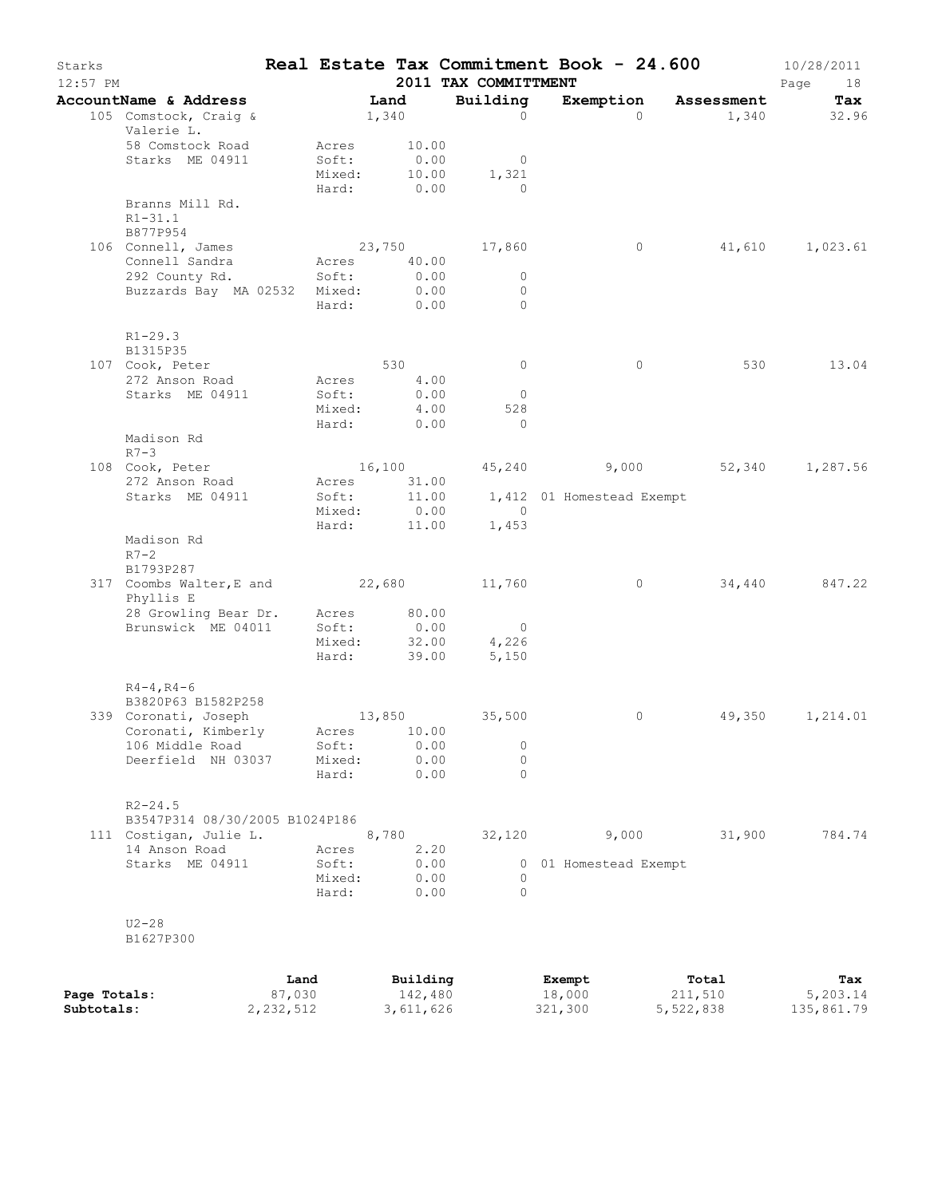| Starks<br>12:57 PM |                                                     |                |               | 2011 TAX COMMITTMENT | Real Estate Tax Commitment Book - 24.600 |                                     | 10/28/2011<br>Page<br>18 |
|--------------------|-----------------------------------------------------|----------------|---------------|----------------------|------------------------------------------|-------------------------------------|--------------------------|
|                    | AccountName & Address                               |                | Land          | Building             |                                          | Exemption Assessment                | Tax                      |
|                    | 105 Comstock, Craig &<br>Valerie L.                 |                | 1,340         | $\circ$              | $\Omega$                                 | 1,340                               | 32.96                    |
|                    | 58 Comstock Road                                    | Acres          | 10.00         |                      |                                          |                                     |                          |
|                    | Starks ME 04911                                     | Soft:          | 0.00          | $\overline{0}$       |                                          |                                     |                          |
|                    |                                                     | Mixed:         | 10.00         | 1,321                |                                          |                                     |                          |
|                    | Branns Mill Rd.                                     | Hard:          | 0.00          | $\overline{0}$       |                                          |                                     |                          |
|                    | $R1 - 31.1$<br>B877P954                             |                |               |                      |                                          |                                     |                          |
|                    | 106 Connell, James                                  |                |               | 23,750 17,860        | $\circ$                                  |                                     | 41,610 1,023.61          |
|                    | Connell Sandra                                      | Acres          | 40.00         |                      |                                          |                                     |                          |
|                    | 292 County Rd.                                      | Soft:          | 0.00          | $\circ$              |                                          |                                     |                          |
|                    | Buzzards Bay MA 02532 Mixed:                        |                | 0.00          | $\circ$              |                                          |                                     |                          |
|                    |                                                     | Hard:          | 0.00          | $\Omega$             |                                          |                                     |                          |
|                    | $R1 - 29.3$<br>B1315P35                             |                |               |                      |                                          |                                     |                          |
|                    | 107 Cook, Peter                                     |                | 530           | $\circ$              | $\circ$                                  | 530                                 | 13.04                    |
|                    | 272 Anson Road                                      | Acres          | 4.00          |                      |                                          |                                     |                          |
|                    | Starks ME 04911                                     | Soft:          | 0.00          | $\overline{0}$       |                                          |                                     |                          |
|                    |                                                     | Mixed:         | 4.00          | 528                  |                                          |                                     |                          |
|                    |                                                     | Hard:          | 0.00          | $\overline{0}$       |                                          |                                     |                          |
|                    | Madison Rd<br>$R7-3$                                |                |               |                      |                                          |                                     |                          |
|                    | 108 Cook, Peter                                     |                |               |                      |                                          | 16,100 45,240 9,000 52,340 1,287.56 |                          |
|                    | 272 Anson Road                                      | Acres          | 31.00         |                      |                                          |                                     |                          |
|                    | Starks ME 04911                                     | Soft:          | 11.00         |                      | 1,412 01 Homestead Exempt                |                                     |                          |
|                    |                                                     | Mixed:         | 0.00          | $\sim$ 0             |                                          |                                     |                          |
|                    | Madison Rd<br>$R7 - 2$                              | Hard:          | 11.00         | 1,453                |                                          |                                     |                          |
|                    | B1793P287                                           |                |               |                      |                                          |                                     |                          |
|                    | 317 Coombs Walter, E and 22,680 11,760<br>Phyllis E |                |               |                      | $\circ$                                  | 34,440                              | 847.22                   |
|                    | 28 Growling Bear Dr.                                | Acres          | 80.00         |                      |                                          |                                     |                          |
|                    | Brunswick ME 04011                                  | Soft:          | 0.00          | $\overline{0}$       |                                          |                                     |                          |
|                    |                                                     | Mixed:         |               | 32.00<br>4,226       |                                          |                                     |                          |
|                    |                                                     | Hard:          | 39.00         | 5,150                |                                          |                                     |                          |
|                    | $R4 - 4$ , $R4 - 6$<br>B3820P63 B1582P258           |                |               |                      |                                          |                                     |                          |
|                    | 339 Coronati, Joseph                                |                | 13,850        | 35,500               | $\circ$                                  |                                     | 49,350 1,214.01          |
|                    | Coronati, Kimberly                                  |                | Acres 10.00   |                      |                                          |                                     |                          |
|                    | 106 Middle Road                                     | Soft:          | 0.00          | $\circ$              |                                          |                                     |                          |
|                    | Deerfield NH 03037                                  | Mixed:         | 0.00          | $\circ$              |                                          |                                     |                          |
|                    |                                                     | Hard:          | 0.00          | $\Omega$             |                                          |                                     |                          |
|                    | $R2 - 24.5$                                         |                |               |                      |                                          |                                     |                          |
|                    | B3547P314 08/30/2005 B1024P186                      |                |               |                      | 9,000                                    | 31,900                              | 784.74                   |
|                    | 111 Costigan, Julie L.<br>14 Anson Road             |                | 8,780<br>2.20 | 32,120               |                                          |                                     |                          |
|                    | Starks ME 04911                                     | Acres<br>Soft: | 0.00          |                      | 0 01 Homestead Exempt                    |                                     |                          |
|                    |                                                     | Mixed:         | 0.00          | $\circ$              |                                          |                                     |                          |
|                    |                                                     | Hard:          | 0.00          | $\Omega$             |                                          |                                     |                          |
|                    | $U2-28$                                             |                |               |                      |                                          |                                     |                          |
|                    | B1627P300                                           |                |               |                      |                                          |                                     |                          |
|                    |                                                     | Land           | Building      |                      | Exempt                                   | Total                               | Tax                      |

|              | Land      | Building  | Exempt  | Total     | Tax        |
|--------------|-----------|-----------|---------|-----------|------------|
| Page Totals: | 87,030    | 142,480   | 18,000  | 211,510   | 5,203.14   |
| Subtotals:   | 2,232,512 | 3,611,626 | 321,300 | 5,522,838 | 135,861.79 |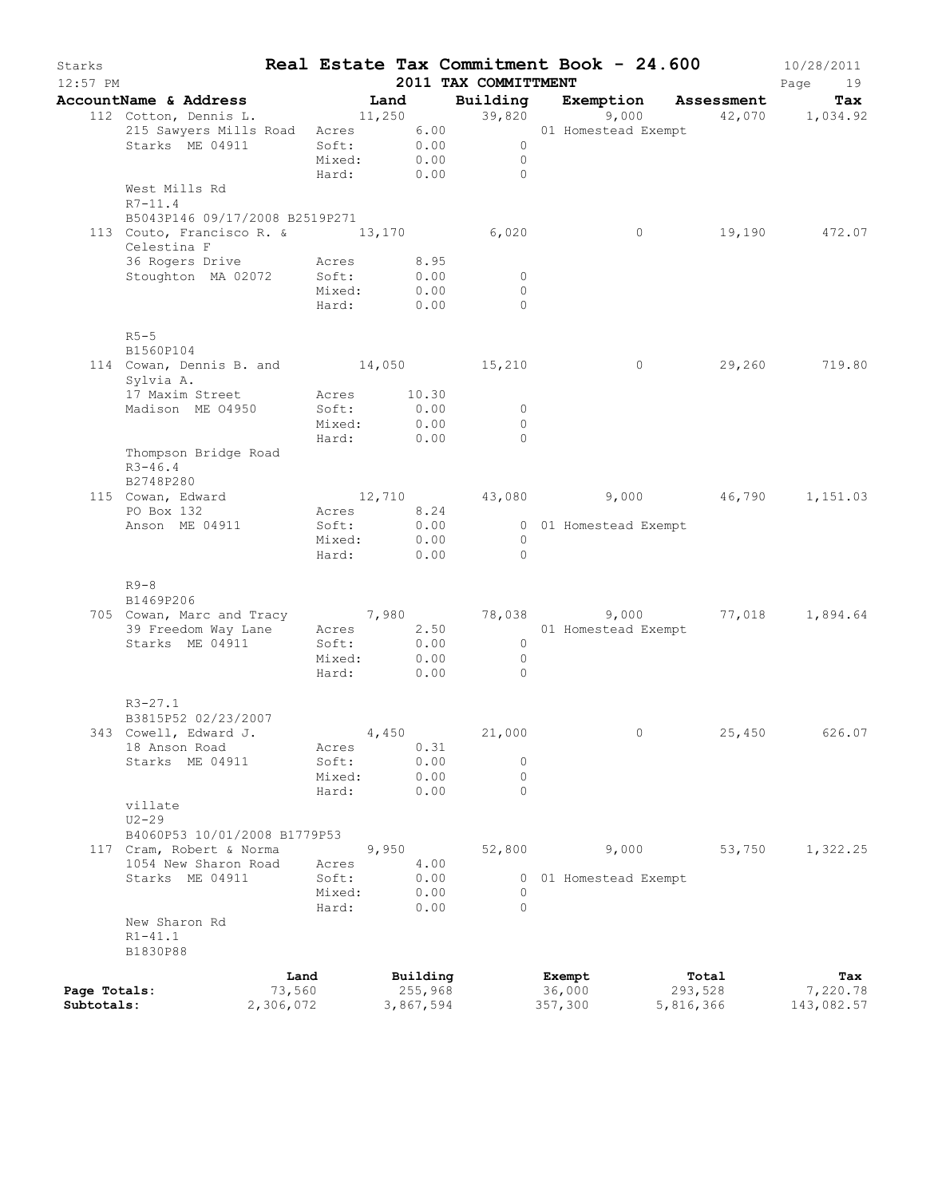| Starks<br>$12:57$ PM |                                                                                                        |           |                      |       |                  | 2011 TAX COMMITTMENT                       | Real Estate Tax Commitment Book - 24.600                        |           | 10/28/2011<br>Page<br>19 |
|----------------------|--------------------------------------------------------------------------------------------------------|-----------|----------------------|-------|------------------|--------------------------------------------|-----------------------------------------------------------------|-----------|--------------------------|
|                      | AccountName & Address                                                                                  |           |                      | Land  |                  |                                            | Building Exemption Assessment                                   |           |                          |
|                      | 112 Cotton, Dennis L. 11,250                                                                           |           |                      |       |                  |                                            | 1101ng Exemption Assessment Tax<br>39,820 9,000 42,070 1,034.92 |           |                          |
|                      | 215 Sawyers Mills Road Acres 6.00 01 Homestead Exempt<br>Starks ME 04911 8oft: 0.00 0<br>Mixed: 0.00 0 |           |                      |       |                  |                                            |                                                                 |           |                          |
|                      |                                                                                                        |           |                      |       |                  |                                            |                                                                 |           |                          |
|                      |                                                                                                        |           |                      |       |                  | Hard: 0.00 0                               |                                                                 |           |                          |
|                      | West Mills Rd                                                                                          |           |                      |       |                  |                                            |                                                                 |           |                          |
|                      | $R7 - 11.4$                                                                                            |           |                      |       |                  |                                            |                                                                 |           |                          |
|                      | B5043P146 09/17/2008 B2519P271                                                                         |           |                      |       |                  |                                            |                                                                 |           |                          |
|                      | 113 Couto, Francisco R. & 13,170 6,020                                                                 |           |                      |       |                  |                                            | $\overline{0}$                                                  |           | 19,190 472.07            |
|                      | Celestina F                                                                                            |           |                      |       |                  |                                            |                                                                 |           |                          |
|                      | 36 Rogers Drive Mcres 8.95<br>Stoughton MA 02072 Soft:                                                 |           |                      |       |                  |                                            |                                                                 |           |                          |
|                      |                                                                                                        |           | Mixed:               |       | 0.00<br>0.00     | $\overline{\phantom{0}}$<br>$\overline{0}$ |                                                                 |           |                          |
|                      |                                                                                                        |           | Hard: 0.00           |       |                  | $\Omega$                                   |                                                                 |           |                          |
|                      |                                                                                                        |           |                      |       |                  |                                            |                                                                 |           |                          |
|                      | $R5-5$                                                                                                 |           |                      |       |                  |                                            |                                                                 |           |                          |
|                      | B1560P104                                                                                              |           |                      |       |                  |                                            |                                                                 |           |                          |
|                      | 114 Cowan, Dennis B. and 14,050 15,210                                                                 |           |                      |       |                  |                                            | $\overline{0}$                                                  |           | 29,260 719.80            |
|                      | Sylvia A.                                                                                              |           |                      |       |                  |                                            |                                                                 |           |                          |
|                      | 17 Maxim Street                                                                                        |           | Acres 10.30          |       |                  |                                            |                                                                 |           |                          |
|                      | Madison ME 04950                                                                                       |           | Soft:<br>Mixed:      |       | 0.00<br>0.00     | $\overline{0}$<br>$\overline{0}$           |                                                                 |           |                          |
|                      |                                                                                                        |           | Hard: 0.00           |       |                  | $\Omega$                                   |                                                                 |           |                          |
|                      | Thompson Bridge Road                                                                                   |           |                      |       |                  |                                            |                                                                 |           |                          |
|                      | $R3 - 46.4$                                                                                            |           |                      |       |                  |                                            |                                                                 |           |                          |
|                      | B2748P280                                                                                              |           |                      |       |                  |                                            |                                                                 |           |                          |
|                      | 115 Cowan, Edward                                                                                      |           |                      |       |                  |                                            | $12,710$ $43,080$ $9,000$ $46,790$ $1,151.03$                   |           |                          |
|                      | PO Box 132                                                                                             |           | Acres 8.24           |       |                  |                                            |                                                                 |           |                          |
|                      | Anson ME 04911                                                                                         |           | Soft:                |       | $0.00$<br>$0.00$ |                                            | 0 01 Homestead Exempt<br>0                                      |           |                          |
|                      |                                                                                                        |           | Mixed:<br>Hard: 0.00 |       |                  | $\sim$ 0                                   |                                                                 |           |                          |
|                      |                                                                                                        |           |                      |       |                  |                                            |                                                                 |           |                          |
|                      | $R9-8$                                                                                                 |           |                      |       |                  |                                            |                                                                 |           |                          |
|                      | B1469P206                                                                                              |           |                      |       |                  |                                            |                                                                 |           |                          |
|                      | 705 Cowan, Marc and Tracy 7,980 78,038 9,000<br>39 Freedom Way Lane Acres 2.50 01 Homestead Exempt     |           |                      |       |                  |                                            | 78,038 9,000 77,018 1,894.64                                    |           |                          |
|                      |                                                                                                        |           |                      |       |                  |                                            |                                                                 |           |                          |
|                      | Starks ME 04911                                                                                        |           | Soft:                |       | 0.00             | $\overline{0}$                             |                                                                 |           |                          |
|                      |                                                                                                        |           | Mixed:<br>Hard: 0.00 |       | 0.00             | $\overline{0}$<br>$\overline{0}$           |                                                                 |           |                          |
|                      |                                                                                                        |           |                      |       |                  |                                            |                                                                 |           |                          |
|                      | $R3 - 27.1$                                                                                            |           |                      |       |                  |                                            |                                                                 |           |                          |
|                      | B3815P52 02/23/2007                                                                                    |           |                      |       |                  |                                            |                                                                 |           |                          |
|                      | 343 Cowell, Edward J.                                                                                  |           |                      | 4,450 |                  | 21,000                                     |                                                                 | 25,450    | 626.07                   |
|                      | 18 Anson Road                                                                                          |           | Acres                |       | 0.31             |                                            |                                                                 |           |                          |
|                      | Starks ME 04911                                                                                        |           | Soft:                |       | 0.00             | 0                                          |                                                                 |           |                          |
|                      |                                                                                                        |           | Mixed:               |       | 0.00             | 0                                          |                                                                 |           |                          |
|                      |                                                                                                        |           | Hard:                |       | 0.00             | $\Omega$                                   |                                                                 |           |                          |
|                      | villate<br>$U2 - 29$                                                                                   |           |                      |       |                  |                                            |                                                                 |           |                          |
|                      | B4060P53 10/01/2008 B1779P53                                                                           |           |                      |       |                  |                                            |                                                                 |           |                          |
|                      | 117 Cram, Robert & Norma                                                                               |           |                      | 9,950 |                  | 52,800                                     | 9,000                                                           | 53,750    | 1,322.25                 |
|                      | 1054 New Sharon Road                                                                                   |           | Acres                |       | 4.00             |                                            |                                                                 |           |                          |
|                      | Starks ME 04911                                                                                        |           | Soft:                |       | 0.00             |                                            | 0 01 Homestead Exempt                                           |           |                          |
|                      |                                                                                                        |           | Mixed:               |       | 0.00             | 0                                          |                                                                 |           |                          |
|                      |                                                                                                        |           | Hard:                |       | 0.00             | $\Omega$                                   |                                                                 |           |                          |
|                      | New Sharon Rd                                                                                          |           |                      |       |                  |                                            |                                                                 |           |                          |
|                      | $R1 - 41.1$<br>B1830P88                                                                                |           |                      |       |                  |                                            |                                                                 |           |                          |
|                      |                                                                                                        |           |                      |       |                  |                                            |                                                                 |           |                          |
|                      |                                                                                                        | Land      |                      |       | Building         |                                            | Exempt                                                          | Total     | Tax                      |
| Page Totals:         |                                                                                                        | 73,560    |                      |       | 255,968          |                                            | 36,000                                                          | 293,528   | 7,220.78                 |
| Subtotals:           |                                                                                                        | 2,306,072 |                      |       | 3,867,594        |                                            | 357,300                                                         | 5,816,366 | 143,082.57               |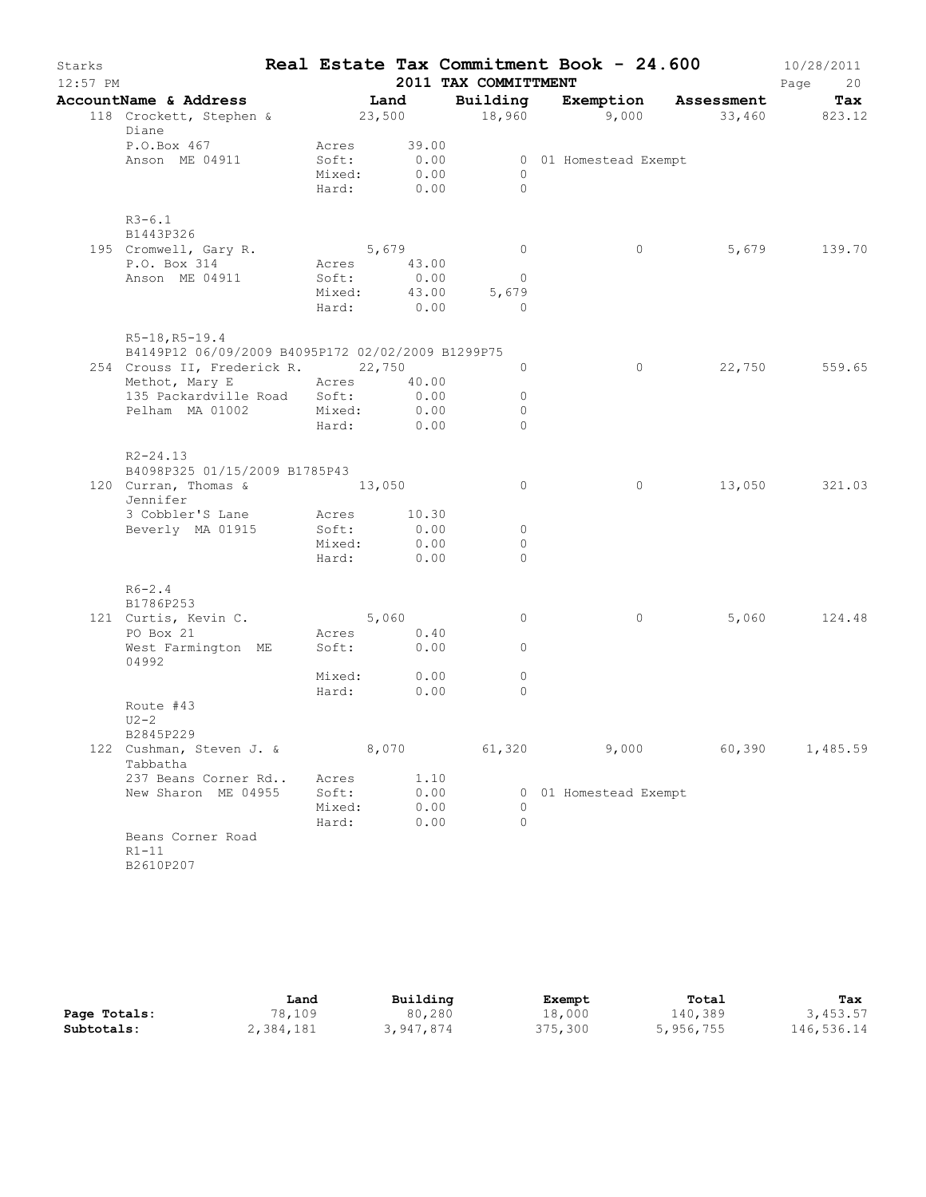| Starks<br>$12:57$ PM |                                                                       |                 |               | 2011 TAX COMMITTMENT |                       |         | Real Estate Tax Commitment Book - 24.600 | 10/28/2011<br>Page<br>20 |
|----------------------|-----------------------------------------------------------------------|-----------------|---------------|----------------------|-----------------------|---------|------------------------------------------|--------------------------|
|                      | AccountName & Address                                                 | Land            |               | Building             |                       |         | Exemption Assessment                     | Tax                      |
|                      | 118 Crockett, Stephen & 23,500 18,960 9,000 33,460 823.12             |                 |               |                      |                       |         |                                          |                          |
|                      | Diane                                                                 |                 |               |                      |                       |         |                                          |                          |
|                      | P.O.Box 467<br>Anson ME 04911                                         | Acres<br>Soft:  | 39.00<br>0.00 |                      | 0 01 Homestead Exempt |         |                                          |                          |
|                      |                                                                       | Mixed: 0.00     |               | $\Omega$             |                       |         |                                          |                          |
|                      |                                                                       | Hard: 0.00      |               | $\Omega$             |                       |         |                                          |                          |
|                      | $R3 - 6.1$                                                            |                 |               |                      |                       |         |                                          |                          |
|                      | B1443P326<br>195 Cromwell, Gary R.                                    | 5,679           |               | $\overline{0}$       |                       | $\circ$ | 5,679                                    | 139.70                   |
|                      | P.O. Box 314                                                          | Acres 43.00     |               |                      |                       |         |                                          |                          |
|                      | Anson ME 04911                                                        | Soft:           | 0.00          | $\overline{0}$       |                       |         |                                          |                          |
|                      |                                                                       | Mixed: 43.00    |               | 5,679                |                       |         |                                          |                          |
|                      |                                                                       | Hard:           | 0.00          | $\Omega$             |                       |         |                                          |                          |
|                      | $R5-18, R5-19.4$<br>B4149P12 06/09/2009 B4095P172 02/02/2009 B1299P75 |                 |               |                      |                       |         |                                          |                          |
|                      | 254 Crouss II, Frederick R. 22,750                                    |                 |               | $\circ$              |                       | $\circ$ | 22,750                                   | 559.65                   |
|                      | Methot, Mary E Acres 40.00                                            |                 |               |                      |                       |         |                                          |                          |
|                      | 135 Packardville Road Soft:                                           |                 | 0.00          | $\circ$              |                       |         |                                          |                          |
|                      | Pelham MA 01002 Mixed: 0.00                                           |                 |               | $\Omega$             |                       |         |                                          |                          |
|                      |                                                                       | Hard: 0.00      |               | $\Omega$             |                       |         |                                          |                          |
|                      | $R2 - 24.13$                                                          |                 |               |                      |                       |         |                                          |                          |
|                      | B4098P325 01/15/2009 B1785P43                                         |                 |               |                      |                       |         |                                          |                          |
|                      | 120 Curran, Thomas & 13,050<br>Jennifer                               |                 |               | $\circ$              |                       | $\circ$ |                                          | 13,050 321.03            |
|                      | 3 Cobbler'S Lane                                                      | Acres 10.30     |               |                      |                       |         |                                          |                          |
|                      | Beverly MA 01915                                                      | Soft:           | 0.00          | $\circ$              |                       |         |                                          |                          |
|                      |                                                                       | Mixed:          | 0.00          | $\circ$              |                       |         |                                          |                          |
|                      |                                                                       | Hard:           | 0.00          | $\Omega$             |                       |         |                                          |                          |
|                      | $R6 - 2.4$<br>B1786P253                                               |                 |               |                      |                       |         |                                          |                          |
|                      | 121 Curtis, Kevin C.                                                  |                 | 5,060         | $\circ$              |                       | $\circ$ | 5,060                                    | 124.48                   |
|                      | PO Box 21                                                             | Acres           | 0.40          |                      |                       |         |                                          |                          |
|                      | West Farmington ME<br>04992                                           | Soft: 0.00      |               | $\circ$              |                       |         |                                          |                          |
|                      |                                                                       | Mixed:          | 0.00          | $\circ$              |                       |         |                                          |                          |
|                      |                                                                       | Hard:           | 0.00          | $\Omega$             |                       |         |                                          |                          |
|                      | Route #43<br>$U2-2$                                                   |                 |               |                      |                       |         |                                          |                          |
|                      | B2845P229                                                             |                 |               |                      |                       |         |                                          |                          |
|                      | 122 Cushman, Steven J. &<br>Tabbatha                                  |                 |               | 8,070 61,320         |                       |         | 9,000 60,390 1,485.59                    |                          |
|                      | 237 Beans Corner Rd                                                   | Acres           | 1.10          |                      |                       |         |                                          |                          |
|                      | New Sharon ME 04955                                                   | Soft:           | 0.00<br>0.00  | $\circ$              | 0 01 Homestead Exempt |         |                                          |                          |
|                      |                                                                       | Mixed:<br>Hard: | 0.00          | $\circ$              |                       |         |                                          |                          |
|                      | Beans Corner Road<br>$R1-11$<br>B2610P207                             |                 |               |                      |                       |         |                                          |                          |

|              | Land      | Building  | Exempt  | Total     | Tax        |
|--------------|-----------|-----------|---------|-----------|------------|
| Page Totals: | 78,109    | 80,280    | 18,000  | 140,389   | 3,453.57   |
| Subtotals:   | 2,384,181 | 3,947,874 | 375,300 | 5,956,755 | 146,536.14 |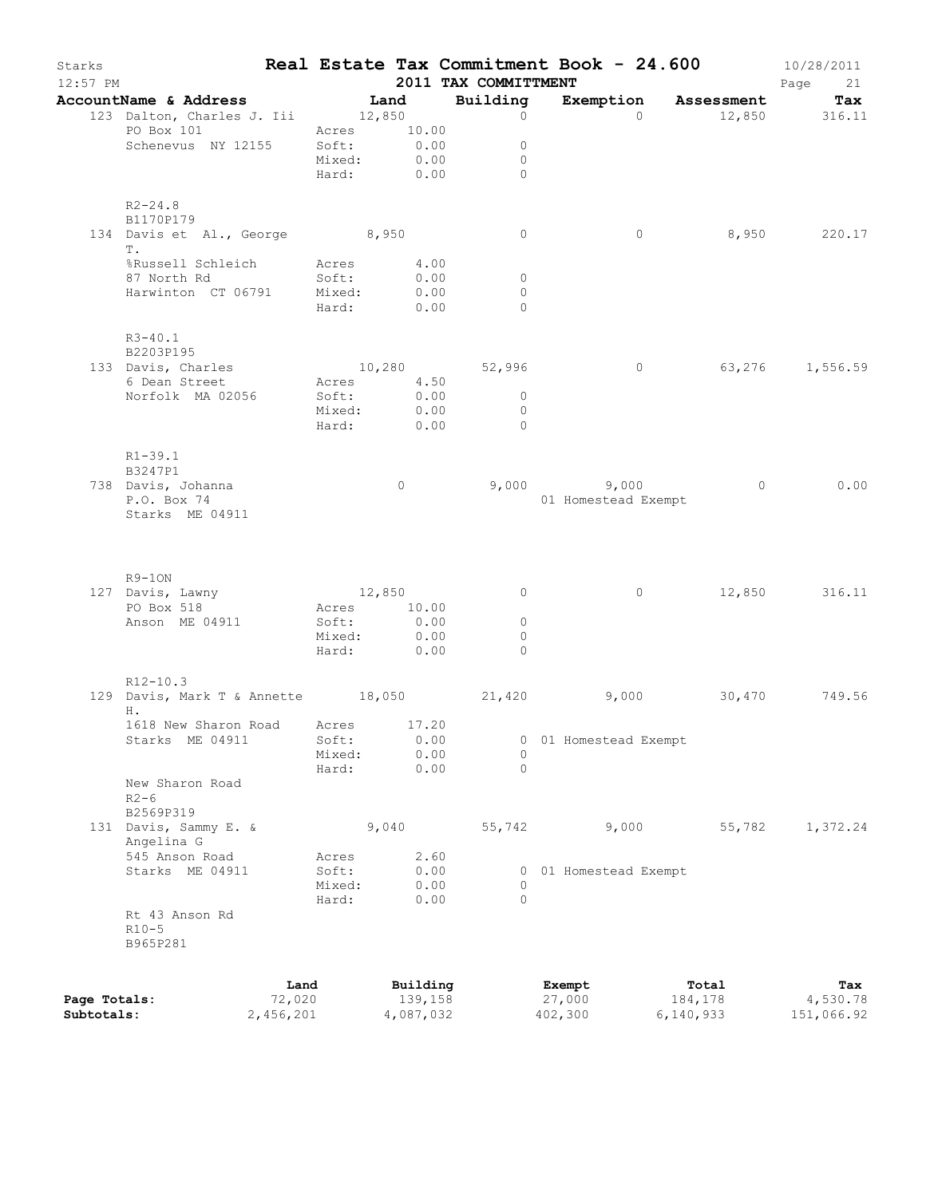| Starks       | $12:57$ PM                                      |                 |                     | 2011 TAX COMMITTMENT             |                     | Real Estate Tax Commitment Book - $24.600$ 10/28/2011 | Page 21         |
|--------------|-------------------------------------------------|-----------------|---------------------|----------------------------------|---------------------|-------------------------------------------------------|-----------------|
|              | AccountName & Address Tand Building             |                 |                     |                                  |                     | Exemption Assessment Tax                              |                 |
|              | 123 Dalton, Charles J. Iii 12,850               |                 |                     | $\overline{0}$                   | $\cap$              |                                                       | 12,850 316.11   |
|              | PO Box 101 Acres 10.00                          |                 |                     |                                  |                     |                                                       |                 |
|              | Schenevus NY 12155 Soft: 0.00                   |                 | Mixed: 0.00         | $\circ$<br>$\mathbf{0}$          |                     |                                                       |                 |
|              |                                                 |                 | Hard: $0.00$        | $\Omega$                         |                     |                                                       |                 |
|              | $R2 - 24.8$                                     |                 |                     |                                  |                     |                                                       |                 |
|              | B1170P179                                       |                 |                     |                                  |                     |                                                       |                 |
|              | 134 Davis et Al., George 8,950<br>T.            |                 |                     | $\overline{0}$                   | $\circ$             |                                                       | 8,950 220.17    |
|              | %Russell Schleich Mcres 4.00                    |                 |                     |                                  |                     |                                                       |                 |
|              | 87 North Rd<br>Harwinton CT 06791 Mixed: 0.00   | Soft:           | 0.00                | $\circ$<br>$\Omega$              |                     |                                                       |                 |
|              |                                                 |                 | Hard: 0.00          | $\Omega$                         |                     |                                                       |                 |
|              | R3-40.1<br>B2203P195                            |                 |                     |                                  |                     |                                                       |                 |
|              | 133 Davis, Charles                              |                 |                     | 10,280 52,996                    | $\overline{0}$      |                                                       | 63,276 1,556.59 |
|              | 6 Dean Street                                   |                 | Acres 4.50          |                                  |                     |                                                       |                 |
|              | Norfolk MA 02056                                | Soft:           | 0.00<br>Mixed: 0.00 | $\overline{0}$<br>$\overline{0}$ |                     |                                                       |                 |
|              |                                                 |                 | Hard: 0.00          | $\overline{0}$                   |                     |                                                       |                 |
|              | $R1 - 39.1$                                     |                 |                     |                                  |                     |                                                       |                 |
|              | B3247P1<br>738 Davis, Johanna                   |                 | $\overline{0}$      |                                  | $9,000$ $9,000$     | $\overline{0}$                                        | 0.00            |
|              | P.O. Box 74                                     |                 |                     |                                  | 01 Homestead Exempt |                                                       |                 |
|              | Starks ME 04911                                 |                 |                     |                                  |                     |                                                       |                 |
|              |                                                 |                 |                     |                                  |                     |                                                       |                 |
|              | R9-1ON<br>127 Davis, Lawny                      |                 | 12,850              | $\overline{0}$                   | $\overline{0}$      |                                                       | 12,850 316.11   |
|              | PO Box 518                                      |                 | Acres 10.00         |                                  |                     |                                                       |                 |
|              | Anson ME 04911                                  | Soft:           | 0.00                | $\circ$                          |                     |                                                       |                 |
|              |                                                 |                 | Mixed: 0.00         | $\Omega$                         |                     |                                                       |                 |
|              |                                                 |                 | Hard: 0.00          | $\Omega$                         |                     |                                                       |                 |
|              | $R12-10.3$                                      |                 |                     |                                  |                     |                                                       |                 |
|              | 129 Davis, Mark T & Annette 18,050 21,420<br>H. |                 |                     |                                  |                     | 9,000 30,470 749.56                                   |                 |
|              | 1618 New Sharon Road                            | Acres           | 17.20               |                                  |                     |                                                       |                 |
|              | Starks ME 04911                                 | Soft:           | 0.00                | 0                                | 01 Homestead Exempt |                                                       |                 |
|              |                                                 | Mixed:          | 0.00                | $\Omega$<br>$\circ$              |                     |                                                       |                 |
|              | New Sharon Road<br>$R2-6$                       | Hard:           | 0.00                |                                  |                     |                                                       |                 |
|              | B2569P319                                       |                 |                     |                                  |                     |                                                       |                 |
|              | 131 Davis, Sammy E. &<br>Angelina G             |                 | 9,040               | 55,742                           | 9,000               | 55,782                                                | 1,372.24        |
|              | 545 Anson Road                                  | Acres           | 2.60                |                                  |                     |                                                       |                 |
|              | Starks ME 04911                                 | Soft:           | 0.00                | 0                                | 01 Homestead Exempt |                                                       |                 |
|              |                                                 | Mixed:<br>Hard: | 0.00<br>0.00        | 0<br>$\Omega$                    |                     |                                                       |                 |
|              | Rt 43 Anson Rd<br>$R10-5$<br>B965P281           |                 |                     |                                  |                     |                                                       |                 |
|              |                                                 | Land            | Building            |                                  | Exempt              | Total                                                 | Tax             |
| Page Totals: |                                                 | 72,020          | 139,158             |                                  | 27,000              | 184,178                                               | 4,530.78        |
| Subtotals:   |                                                 | 2,456,201       | 4,087,032           |                                  | 402,300             | 6,140,933                                             | 151,066.92      |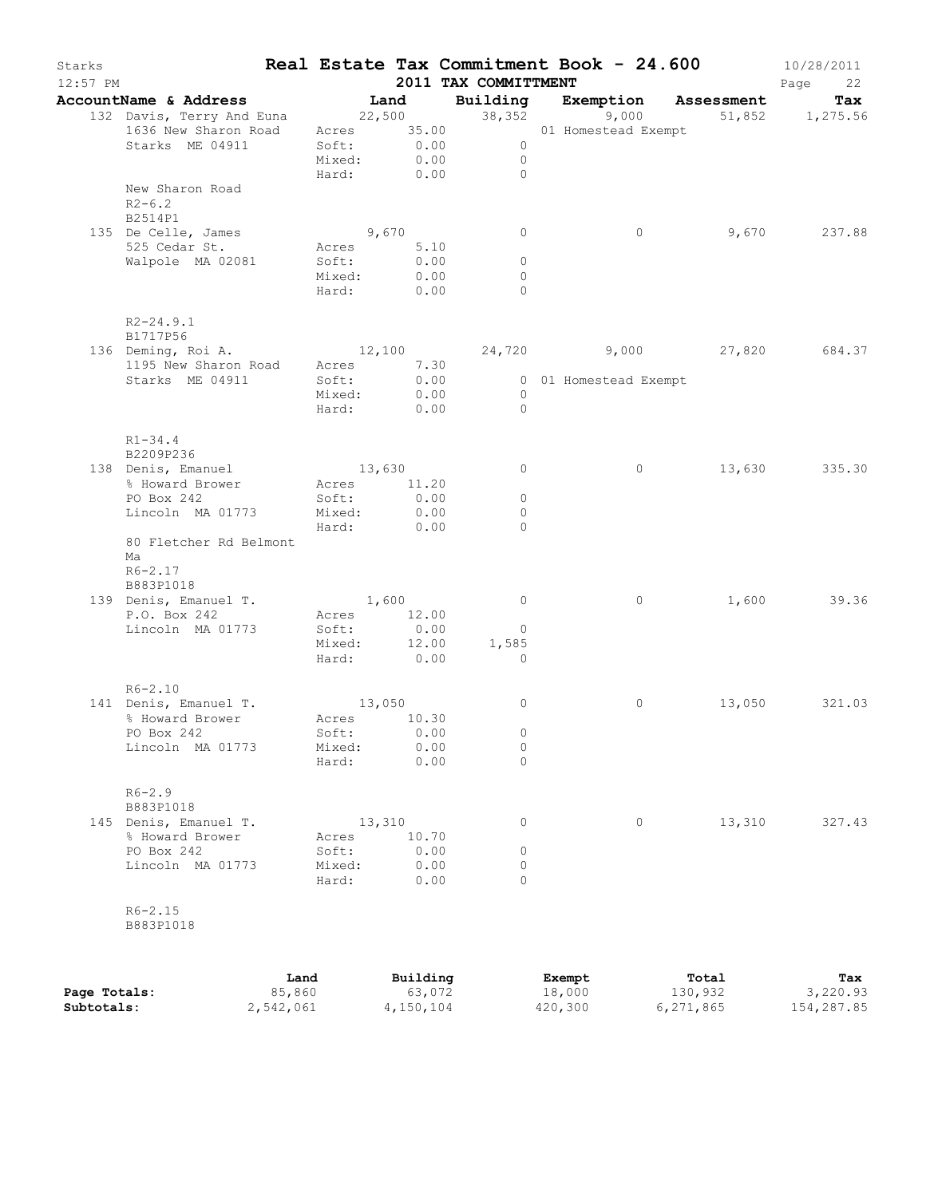| Starks<br>$12:57$ PM |                                                                                                       |                 |        |                           | 2011 TAX COMMITTMENT         | Real Estate Tax Commitment Book - 24.600 |                       | 10/28/2011<br>Page<br>22 |
|----------------------|-------------------------------------------------------------------------------------------------------|-----------------|--------|---------------------------|------------------------------|------------------------------------------|-----------------------|--------------------------|
|                      | AccountName & Address Tand                                                                            |                 |        |                           |                              | Building Exemption Assessment            |                       | Tax                      |
|                      | 132 Davis, Terry And Euna 22,500 38,352 9,000<br>1636 New Sharon Road Acres 35.00 01 Homestead Exempt |                 |        |                           |                              |                                          | 9,000 51,852 1,275.56 |                          |
|                      |                                                                                                       |                 |        |                           |                              |                                          |                       |                          |
|                      | Starks ME 04911                                                                                       |                 |        | Soft: 0.00<br>Mixed: 0.00 | $\bigcirc$<br>$\overline{0}$ |                                          |                       |                          |
|                      |                                                                                                       |                 |        |                           | Hard: 0.00 0                 |                                          |                       |                          |
|                      | New Sharon Road                                                                                       |                 |        |                           |                              |                                          |                       |                          |
|                      | $R2 - 6.2$                                                                                            |                 |        |                           |                              |                                          |                       |                          |
|                      | B2514P1                                                                                               |                 |        |                           |                              |                                          |                       |                          |
|                      | 135 De Celle, James                                                                                   | 9,670           |        |                           | $\circ$                      | $\circ$                                  |                       | 9,670 237.88             |
|                      | 525 Cedar St.<br>Walpole MA 02081                                                                     | Soft:           |        | Acres 5.10<br>0.00        | $\circ$                      |                                          |                       |                          |
|                      |                                                                                                       | Mixed:          |        | 0.00                      | $\circ$                      |                                          |                       |                          |
|                      |                                                                                                       |                 |        | Hard: 0.00                | $\Omega$                     |                                          |                       |                          |
|                      | $R2 - 24.9.1$                                                                                         |                 |        |                           |                              |                                          |                       |                          |
|                      | B1717P56                                                                                              |                 |        |                           |                              |                                          |                       |                          |
|                      | 136 Deming, Roi A. 12,100 24,720 9,000 27,820 684.37                                                  |                 |        |                           |                              |                                          |                       |                          |
|                      | 1195 New Sharon Road Acres 7.30                                                                       |                 |        |                           |                              |                                          |                       |                          |
|                      | Starks ME 04911                                                                                       | Soft:<br>Mixed: |        | $0.00$<br>$0.00$          | $\overline{0}$               | 0 01 Homestead Exempt                    |                       |                          |
|                      |                                                                                                       |                 |        | Hard: 0.00                | $\sim$ 0                     |                                          |                       |                          |
|                      |                                                                                                       |                 |        |                           |                              |                                          |                       |                          |
|                      | $R1 - 34.4$                                                                                           |                 |        |                           |                              |                                          |                       |                          |
|                      | B2209P236                                                                                             |                 |        |                           |                              |                                          |                       |                          |
|                      | 138 Denis, Emanuel                                                                                    |                 |        | 13,630                    | $\circ$                      | $\circ$                                  |                       | 13,630 335.30            |
|                      | % Howard Brower<br>PO Box 242                                                                         | Soft:           |        | Acres 11.20<br>0.00       | $\circ$                      |                                          |                       |                          |
|                      | Lincoln MA 01773                                                                                      | Mixed:          |        | 0.00                      | $\circ$                      |                                          |                       |                          |
|                      |                                                                                                       |                 |        | Hard: 0.00                | $\Omega$                     |                                          |                       |                          |
|                      | 80 Fletcher Rd Belmont                                                                                |                 |        |                           |                              |                                          |                       |                          |
|                      | Ma                                                                                                    |                 |        |                           |                              |                                          |                       |                          |
|                      | $R6 - 2.17$                                                                                           |                 |        |                           |                              |                                          |                       |                          |
|                      | B883P1018                                                                                             |                 |        |                           | $\overline{0}$               | $\circ$                                  |                       | 1,600 39.36              |
|                      | 139 Denis, Emanuel T.<br>P.O. Box 242                                                                 | 1,600           |        | Acres 12.00               |                              |                                          |                       |                          |
|                      | Lincoln MA 01773                                                                                      | Soft:           |        | 0.00                      | $\overline{0}$               |                                          |                       |                          |
|                      |                                                                                                       |                 |        | Mixed: 12.00              | 1,585                        |                                          |                       |                          |
|                      |                                                                                                       |                 |        | Hard: 0.00                | $\overline{0}$               |                                          |                       |                          |
|                      | $R6 - 2.10$                                                                                           |                 |        |                           |                              |                                          |                       |                          |
|                      | 141 Denis, Emanuel T.<br>% Howard Brower                                                              | 13,050          |        |                           | $\circ$                      | $\circ$                                  |                       | 13,050 321.03            |
|                      | PO Box 242                                                                                            | Soft:           |        | Acres 10.30<br>0.00       | $\overline{0}$               |                                          |                       |                          |
|                      | Lincoln MA 01773                                                                                      | Mixed:          |        | 0.00                      | 0                            |                                          |                       |                          |
|                      |                                                                                                       | Hard:           |        | 0.00                      | $\Omega$                     |                                          |                       |                          |
|                      | $R6 - 2.9$                                                                                            |                 |        |                           |                              |                                          |                       |                          |
|                      | B883P1018                                                                                             |                 |        |                           |                              |                                          |                       |                          |
|                      | 145 Denis, Emanuel T.                                                                                 |                 | 13,310 |                           | 0                            | $\circ$                                  | 13,310                | 327.43                   |
|                      | % Howard Brower<br>PO Box 242                                                                         | Acres<br>Soft:  |        | 10.70<br>0.00             | 0                            |                                          |                       |                          |
|                      | Lincoln MA 01773                                                                                      | Mixed:          |        | 0.00                      | 0                            |                                          |                       |                          |
|                      |                                                                                                       | Hard:           |        | 0.00                      | $\Omega$                     |                                          |                       |                          |
|                      | $R6 - 2.15$                                                                                           |                 |        |                           |                              |                                          |                       |                          |
|                      | B883P1018                                                                                             |                 |        |                           |                              |                                          |                       |                          |
|                      |                                                                                                       |                 |        |                           |                              |                                          |                       |                          |
| Page Totals:         |                                                                                                       | Land<br>85,860  |        | Building<br>63,072        |                              | Exempt<br>18,000                         | Total<br>130,932      | Tax<br>3,220.93          |
| Subtotals:           | 2,542,061                                                                                             |                 |        | 4,150,104                 |                              | 420,300                                  | 6,271,865             | 154,287.85               |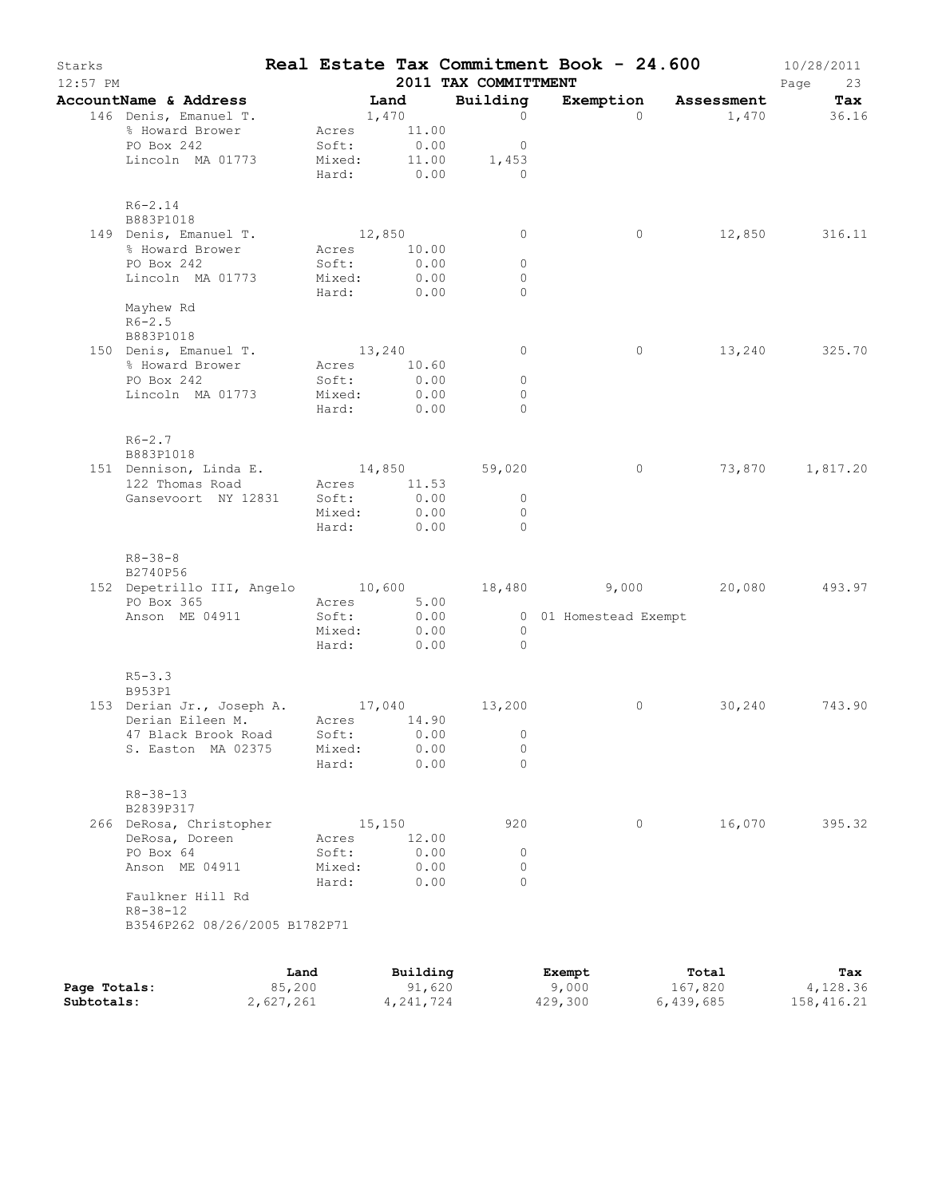| Starks<br>$12:57$ PM |                                                                         |        |                            |                  | 2011 TAX COMMITTMENT | Real Estate Tax Commitment Book - 24.600 |                | 10/28/2011<br>Page<br>23 |
|----------------------|-------------------------------------------------------------------------|--------|----------------------------|------------------|----------------------|------------------------------------------|----------------|--------------------------|
|                      | AccountName & Address                                                   |        | Land                       |                  | Building             |                                          |                | Exemption Assessment Tax |
|                      | 146 Denis, Emanuel T.                                                   |        | 1,470                      |                  | $\overline{0}$       |                                          | $\Omega$       | 1,470 36.16              |
|                      | % Howard Brower                                                         |        | Acres 11.00                |                  |                      |                                          |                |                          |
|                      | PO Box 242                                                              |        | Soft: 0.00<br>Mixed: 11.00 |                  | $\overline{0}$       |                                          |                |                          |
|                      | Lincoln MA 01773                                                        |        |                            |                  | 1,453                |                                          |                |                          |
|                      |                                                                         |        | Hard: 0.00                 |                  | $\overline{a}$       |                                          |                |                          |
|                      | $R6 - 2.14$                                                             |        |                            |                  |                      |                                          |                |                          |
|                      | B883P1018                                                               |        |                            |                  |                      |                                          |                |                          |
|                      | 149 Denis, Emanuel T.                                                   |        | 12,850                     |                  | $\circ$              |                                          | $\circ$        | 12,850 316.11            |
|                      | % Howard Brower                                                         |        | Acres 10.00                |                  |                      |                                          |                |                          |
|                      | PO Box 242                                                              |        | Soft:                      | 0.00             | $\circ$              |                                          |                |                          |
|                      | Lincoln MA 01773                                                        |        | Mixed:                     | 0.00             | $\circ$              |                                          |                |                          |
|                      |                                                                         |        | Hard: 0.00                 |                  | $\Omega$             |                                          |                |                          |
|                      | Mayhew Rd<br>$R6 - 2.5$                                                 |        |                            |                  |                      |                                          |                |                          |
|                      | B883P1018                                                               |        |                            |                  |                      |                                          |                |                          |
|                      | 150 Denis, Emanuel T.                                                   |        | 13,240                     |                  | $\overline{0}$       |                                          | $\circ$        | 13,240 325.70            |
|                      | % Howard Brower                                                         |        | Acres 10.60                |                  |                      |                                          |                |                          |
|                      | PO Box 242                                                              |        | Soft:                      | 0.00             | $\circ$              |                                          |                |                          |
|                      | Lincoln MA 01773                                                        |        | Mixed: 0.00                |                  | $\overline{0}$       |                                          |                |                          |
|                      |                                                                         |        | Hard: 0.00                 |                  | $\Omega$             |                                          |                |                          |
|                      |                                                                         |        |                            |                  |                      |                                          |                |                          |
|                      | $R6 - 2.7$                                                              |        |                            |                  |                      |                                          |                |                          |
|                      | B883P1018<br>151 Dennison, Linda E. 14,850 59,020                       |        |                            |                  |                      |                                          | $\overline{0}$ | 73,870 1,817.20          |
|                      | 122 Thomas Road                                                         |        | Acres 11.53                |                  |                      |                                          |                |                          |
|                      |                                                                         |        |                            |                  | $\overline{0}$       |                                          |                |                          |
|                      | Gansevoort NY 12831 Soft:                                               |        | Mixed:                     | $0.00$<br>$0.00$ | $\overline{0}$       |                                          |                |                          |
|                      |                                                                         |        | Hard: 0.00                 |                  | $\bigcap$            |                                          |                |                          |
|                      |                                                                         |        |                            |                  |                      |                                          |                |                          |
|                      | $R8 - 38 - 8$                                                           |        |                            |                  |                      |                                          |                |                          |
|                      | B2740P56                                                                |        |                            |                  |                      |                                          |                |                          |
|                      | 152 Depetrillo III, Angelo 10,600 18,480 9,000 20,080 493.97            |        |                            |                  |                      |                                          |                |                          |
|                      | PO Box 365                                                              |        | Acres 5.00                 |                  |                      | 0 01 Homestead Exempt                    |                |                          |
|                      | Anson ME 04911                                                          |        | Soft: 0.00<br>Mixed: 0.00  |                  | $\overline{0}$       |                                          |                |                          |
|                      |                                                                         |        | Hard: 0.00                 |                  | $\sim$ 0             |                                          |                |                          |
|                      |                                                                         |        |                            |                  |                      |                                          |                |                          |
|                      | $R5 - 3.3$                                                              |        |                            |                  |                      |                                          |                |                          |
|                      | B953P1                                                                  |        |                            |                  |                      |                                          |                |                          |
|                      | 153 Derian Jr., Joseph A. 17,040 13,200<br>Derian Eileen M. Acres 14.90 |        |                            |                  |                      |                                          | $\circ$        | 30,240 743.90            |
|                      | 47 Black Brook Road                                                     |        | Soft:                      | 0.00             | $\overline{0}$       |                                          |                |                          |
|                      | S. Easton MA 02375                                                      |        | Mixed:                     | 0.00             | $\circ$              |                                          |                |                          |
|                      |                                                                         |        | Hard:                      | 0.00             | $\Omega$             |                                          |                |                          |
|                      |                                                                         |        |                            |                  |                      |                                          |                |                          |
|                      | $R8 - 38 - 13$                                                          |        |                            |                  |                      |                                          |                |                          |
|                      | B2839P317                                                               |        |                            |                  |                      |                                          |                |                          |
|                      | 266 DeRosa, Christopher                                                 |        | 15,150                     |                  | 920                  |                                          | $\circ$        | 16,070<br>395.32         |
|                      | DeRosa, Doreen                                                          |        | Acres                      | 12.00            |                      |                                          |                |                          |
|                      | PO Box 64                                                               |        | Soft:                      | 0.00             | 0                    |                                          |                |                          |
|                      | Anson ME 04911                                                          |        | Mixed:                     | 0.00             | $\circ$<br>$\Omega$  |                                          |                |                          |
|                      | Faulkner Hill Rd                                                        |        | Hard:                      | 0.00             |                      |                                          |                |                          |
|                      | $R8 - 38 - 12$                                                          |        |                            |                  |                      |                                          |                |                          |
|                      | B3546P262 08/26/2005 B1782P71                                           |        |                            |                  |                      |                                          |                |                          |
|                      |                                                                         |        |                            |                  |                      |                                          |                |                          |
|                      |                                                                         | Land   |                            | Building         |                      | Exempt                                   | Total          | Tax                      |
| Page Totals:         |                                                                         | 85,200 |                            | 91,620           |                      | 9,000                                    | 167,820        | 4,128.36                 |

**Subtotals:** 2,627,261 4,241,724 429,300 6,439,685 158,416.21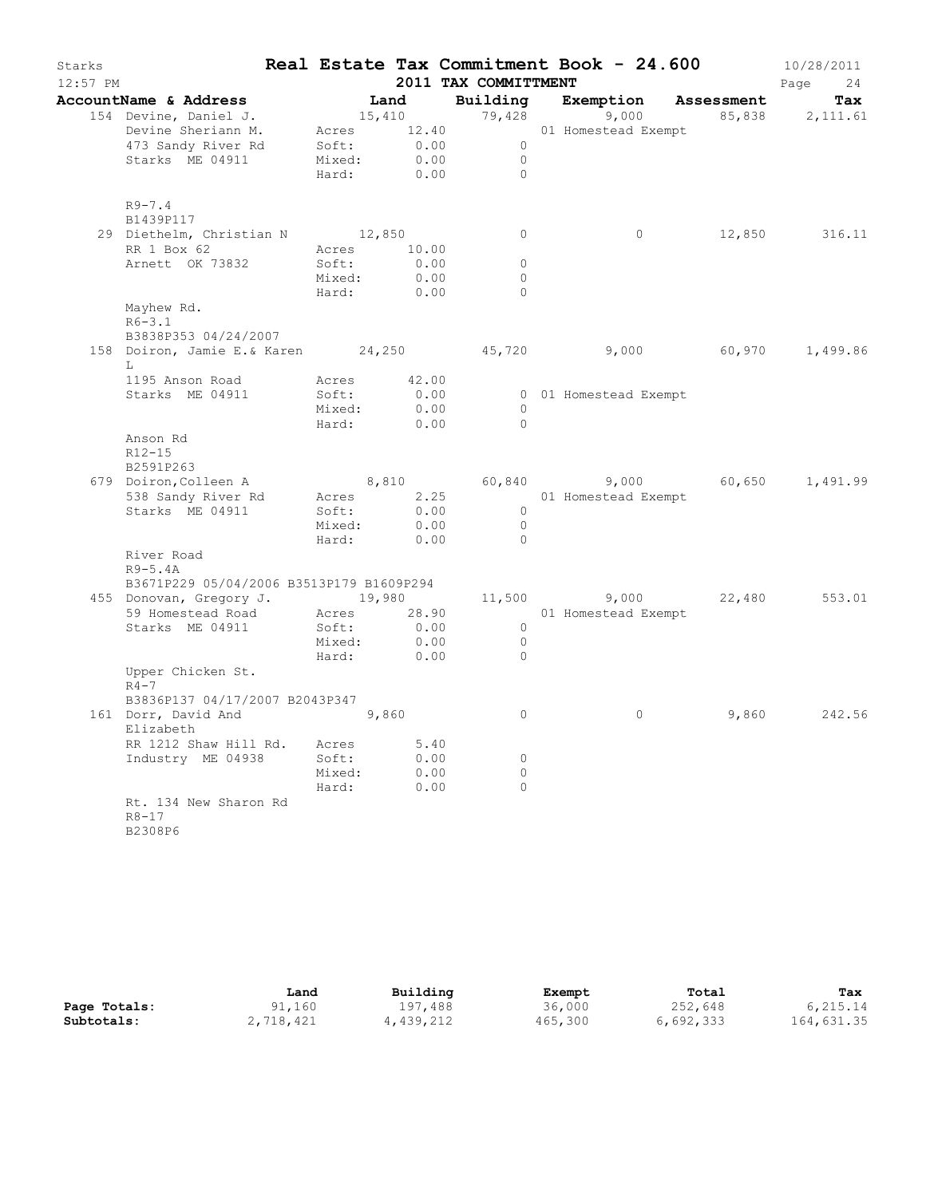| AccountName & Address<br>Land<br>Building<br>Exemption Assessment<br>Tax<br>15,410 79,428<br>154 Devine, Daniel J.<br>9,000<br>85,838 2,111.61<br>Acres 12.40<br>Devine Sheriann M.<br>01 Homestead Exempt<br>473 Sandy River Rd<br>Soft:<br>0.00<br>$\overline{0}$<br>Starks ME 04911<br>Mixed:<br>0.00<br>$\overline{0}$<br>0.00<br>$\Omega$<br>Hard:<br>$R9 - 7.4$<br>B1439P117<br>29 Diethelm, Christian N 12,850<br>$\circ$<br>$\circ$<br>12,850 316.11<br>RR 1 Box 62<br>Acres 10.00<br>Arnett OK 73832<br>$\Omega$<br>Soft:<br>0.00<br>0.00<br>$\circ$<br>Mixed:<br>Hard:<br>0.00<br>$\Omega$<br>Mayhew Rd.<br>$R6 - 3.1$<br>B3838P353 04/24/2007<br>158 Doiron, Jamie E.& Karen 24, 250 45, 720 9, 000 60, 970<br>1,499.86<br>L<br>1195 Anson Road<br>Acres 42.00<br>Starks ME 04911<br>Soft:<br>0.00<br>0 01 Homestead Exempt<br>Mixed:<br>0.00<br>$\bigcirc$<br>$\bigcirc$<br>Hard: 0.00<br>Anson Rd<br>$R12 - 15$<br>B2591P263<br>8,810<br>60,840 9,000 60,650 1,491.99<br>679 Doiron, Colleen A<br>538 Sandy River Rd<br>2.25<br>Acres<br>01 Homestead Exempt<br>Soft:<br>0.00<br>Starks ME 04911<br>$\overline{0}$<br>0.00<br>$\overline{0}$<br>Mixed:<br>Hard:<br>0.00<br>$\Omega$<br>River Road<br>$R9-5.4A$<br>B3671P229 05/04/2006 B3513P179 B1609P294<br>455 Donovan, Gregory J. 19,980<br>11,500 9,000<br>22,480<br>553.01<br>59 Homestead Road<br>Acres 28.90<br>01 Homestead Exempt<br>Starks ME 04911<br>Soft:<br>0.00<br>$\overline{0}$<br>Mixed:<br>0.00<br>$\overline{0}$<br>Hard:<br>0.00<br>$\Omega$<br>Upper Chicken St.<br>$R4-7$<br>B3836P137 04/17/2007 B2043P347<br>242.56<br>161 Dorr, David And<br>9,860<br>$\circ$<br>$\circ$<br>9,860<br>Elizabeth<br>RR 1212 Shaw Hill Rd. Acres<br>5.40<br>Industry ME 04938<br>Soft:<br>0.00<br>$\circ$<br>Mixed:<br>$\circ$<br>0.00<br>Hard:<br>$\circ$<br>0.00<br>Rt. 134 New Sharon Rd<br>$R8 - 17$ | Starks<br>$12:57$ PM |         |  | 2011 TAX COMMITTMENT | Real Estate Tax Commitment Book - 24.600 | 10/28/2011<br>Page<br>24 |
|-------------------------------------------------------------------------------------------------------------------------------------------------------------------------------------------------------------------------------------------------------------------------------------------------------------------------------------------------------------------------------------------------------------------------------------------------------------------------------------------------------------------------------------------------------------------------------------------------------------------------------------------------------------------------------------------------------------------------------------------------------------------------------------------------------------------------------------------------------------------------------------------------------------------------------------------------------------------------------------------------------------------------------------------------------------------------------------------------------------------------------------------------------------------------------------------------------------------------------------------------------------------------------------------------------------------------------------------------------------------------------------------------------------------------------------------------------------------------------------------------------------------------------------------------------------------------------------------------------------------------------------------------------------------------------------------------------------------------------------------------------------------------------------------------------------------------------------------------------------------------------|----------------------|---------|--|----------------------|------------------------------------------|--------------------------|
|                                                                                                                                                                                                                                                                                                                                                                                                                                                                                                                                                                                                                                                                                                                                                                                                                                                                                                                                                                                                                                                                                                                                                                                                                                                                                                                                                                                                                                                                                                                                                                                                                                                                                                                                                                                                                                                                               |                      |         |  |                      |                                          |                          |
|                                                                                                                                                                                                                                                                                                                                                                                                                                                                                                                                                                                                                                                                                                                                                                                                                                                                                                                                                                                                                                                                                                                                                                                                                                                                                                                                                                                                                                                                                                                                                                                                                                                                                                                                                                                                                                                                               |                      |         |  |                      |                                          |                          |
|                                                                                                                                                                                                                                                                                                                                                                                                                                                                                                                                                                                                                                                                                                                                                                                                                                                                                                                                                                                                                                                                                                                                                                                                                                                                                                                                                                                                                                                                                                                                                                                                                                                                                                                                                                                                                                                                               |                      |         |  |                      |                                          |                          |
|                                                                                                                                                                                                                                                                                                                                                                                                                                                                                                                                                                                                                                                                                                                                                                                                                                                                                                                                                                                                                                                                                                                                                                                                                                                                                                                                                                                                                                                                                                                                                                                                                                                                                                                                                                                                                                                                               |                      |         |  |                      |                                          |                          |
|                                                                                                                                                                                                                                                                                                                                                                                                                                                                                                                                                                                                                                                                                                                                                                                                                                                                                                                                                                                                                                                                                                                                                                                                                                                                                                                                                                                                                                                                                                                                                                                                                                                                                                                                                                                                                                                                               |                      |         |  |                      |                                          |                          |
|                                                                                                                                                                                                                                                                                                                                                                                                                                                                                                                                                                                                                                                                                                                                                                                                                                                                                                                                                                                                                                                                                                                                                                                                                                                                                                                                                                                                                                                                                                                                                                                                                                                                                                                                                                                                                                                                               |                      |         |  |                      |                                          |                          |
|                                                                                                                                                                                                                                                                                                                                                                                                                                                                                                                                                                                                                                                                                                                                                                                                                                                                                                                                                                                                                                                                                                                                                                                                                                                                                                                                                                                                                                                                                                                                                                                                                                                                                                                                                                                                                                                                               |                      |         |  |                      |                                          |                          |
|                                                                                                                                                                                                                                                                                                                                                                                                                                                                                                                                                                                                                                                                                                                                                                                                                                                                                                                                                                                                                                                                                                                                                                                                                                                                                                                                                                                                                                                                                                                                                                                                                                                                                                                                                                                                                                                                               |                      |         |  |                      |                                          |                          |
|                                                                                                                                                                                                                                                                                                                                                                                                                                                                                                                                                                                                                                                                                                                                                                                                                                                                                                                                                                                                                                                                                                                                                                                                                                                                                                                                                                                                                                                                                                                                                                                                                                                                                                                                                                                                                                                                               |                      |         |  |                      |                                          |                          |
|                                                                                                                                                                                                                                                                                                                                                                                                                                                                                                                                                                                                                                                                                                                                                                                                                                                                                                                                                                                                                                                                                                                                                                                                                                                                                                                                                                                                                                                                                                                                                                                                                                                                                                                                                                                                                                                                               |                      |         |  |                      |                                          |                          |
|                                                                                                                                                                                                                                                                                                                                                                                                                                                                                                                                                                                                                                                                                                                                                                                                                                                                                                                                                                                                                                                                                                                                                                                                                                                                                                                                                                                                                                                                                                                                                                                                                                                                                                                                                                                                                                                                               |                      |         |  |                      |                                          |                          |
|                                                                                                                                                                                                                                                                                                                                                                                                                                                                                                                                                                                                                                                                                                                                                                                                                                                                                                                                                                                                                                                                                                                                                                                                                                                                                                                                                                                                                                                                                                                                                                                                                                                                                                                                                                                                                                                                               |                      |         |  |                      |                                          |                          |
|                                                                                                                                                                                                                                                                                                                                                                                                                                                                                                                                                                                                                                                                                                                                                                                                                                                                                                                                                                                                                                                                                                                                                                                                                                                                                                                                                                                                                                                                                                                                                                                                                                                                                                                                                                                                                                                                               |                      |         |  |                      |                                          |                          |
|                                                                                                                                                                                                                                                                                                                                                                                                                                                                                                                                                                                                                                                                                                                                                                                                                                                                                                                                                                                                                                                                                                                                                                                                                                                                                                                                                                                                                                                                                                                                                                                                                                                                                                                                                                                                                                                                               |                      |         |  |                      |                                          |                          |
|                                                                                                                                                                                                                                                                                                                                                                                                                                                                                                                                                                                                                                                                                                                                                                                                                                                                                                                                                                                                                                                                                                                                                                                                                                                                                                                                                                                                                                                                                                                                                                                                                                                                                                                                                                                                                                                                               |                      |         |  |                      |                                          |                          |
|                                                                                                                                                                                                                                                                                                                                                                                                                                                                                                                                                                                                                                                                                                                                                                                                                                                                                                                                                                                                                                                                                                                                                                                                                                                                                                                                                                                                                                                                                                                                                                                                                                                                                                                                                                                                                                                                               |                      |         |  |                      |                                          |                          |
|                                                                                                                                                                                                                                                                                                                                                                                                                                                                                                                                                                                                                                                                                                                                                                                                                                                                                                                                                                                                                                                                                                                                                                                                                                                                                                                                                                                                                                                                                                                                                                                                                                                                                                                                                                                                                                                                               |                      |         |  |                      |                                          |                          |
|                                                                                                                                                                                                                                                                                                                                                                                                                                                                                                                                                                                                                                                                                                                                                                                                                                                                                                                                                                                                                                                                                                                                                                                                                                                                                                                                                                                                                                                                                                                                                                                                                                                                                                                                                                                                                                                                               |                      |         |  |                      |                                          |                          |
|                                                                                                                                                                                                                                                                                                                                                                                                                                                                                                                                                                                                                                                                                                                                                                                                                                                                                                                                                                                                                                                                                                                                                                                                                                                                                                                                                                                                                                                                                                                                                                                                                                                                                                                                                                                                                                                                               |                      |         |  |                      |                                          |                          |
|                                                                                                                                                                                                                                                                                                                                                                                                                                                                                                                                                                                                                                                                                                                                                                                                                                                                                                                                                                                                                                                                                                                                                                                                                                                                                                                                                                                                                                                                                                                                                                                                                                                                                                                                                                                                                                                                               |                      |         |  |                      |                                          |                          |
|                                                                                                                                                                                                                                                                                                                                                                                                                                                                                                                                                                                                                                                                                                                                                                                                                                                                                                                                                                                                                                                                                                                                                                                                                                                                                                                                                                                                                                                                                                                                                                                                                                                                                                                                                                                                                                                                               |                      |         |  |                      |                                          |                          |
|                                                                                                                                                                                                                                                                                                                                                                                                                                                                                                                                                                                                                                                                                                                                                                                                                                                                                                                                                                                                                                                                                                                                                                                                                                                                                                                                                                                                                                                                                                                                                                                                                                                                                                                                                                                                                                                                               |                      |         |  |                      |                                          |                          |
|                                                                                                                                                                                                                                                                                                                                                                                                                                                                                                                                                                                                                                                                                                                                                                                                                                                                                                                                                                                                                                                                                                                                                                                                                                                                                                                                                                                                                                                                                                                                                                                                                                                                                                                                                                                                                                                                               |                      |         |  |                      |                                          |                          |
|                                                                                                                                                                                                                                                                                                                                                                                                                                                                                                                                                                                                                                                                                                                                                                                                                                                                                                                                                                                                                                                                                                                                                                                                                                                                                                                                                                                                                                                                                                                                                                                                                                                                                                                                                                                                                                                                               |                      |         |  |                      |                                          |                          |
|                                                                                                                                                                                                                                                                                                                                                                                                                                                                                                                                                                                                                                                                                                                                                                                                                                                                                                                                                                                                                                                                                                                                                                                                                                                                                                                                                                                                                                                                                                                                                                                                                                                                                                                                                                                                                                                                               |                      |         |  |                      |                                          |                          |
|                                                                                                                                                                                                                                                                                                                                                                                                                                                                                                                                                                                                                                                                                                                                                                                                                                                                                                                                                                                                                                                                                                                                                                                                                                                                                                                                                                                                                                                                                                                                                                                                                                                                                                                                                                                                                                                                               |                      |         |  |                      |                                          |                          |
|                                                                                                                                                                                                                                                                                                                                                                                                                                                                                                                                                                                                                                                                                                                                                                                                                                                                                                                                                                                                                                                                                                                                                                                                                                                                                                                                                                                                                                                                                                                                                                                                                                                                                                                                                                                                                                                                               |                      |         |  |                      |                                          |                          |
|                                                                                                                                                                                                                                                                                                                                                                                                                                                                                                                                                                                                                                                                                                                                                                                                                                                                                                                                                                                                                                                                                                                                                                                                                                                                                                                                                                                                                                                                                                                                                                                                                                                                                                                                                                                                                                                                               |                      |         |  |                      |                                          |                          |
|                                                                                                                                                                                                                                                                                                                                                                                                                                                                                                                                                                                                                                                                                                                                                                                                                                                                                                                                                                                                                                                                                                                                                                                                                                                                                                                                                                                                                                                                                                                                                                                                                                                                                                                                                                                                                                                                               |                      |         |  |                      |                                          |                          |
|                                                                                                                                                                                                                                                                                                                                                                                                                                                                                                                                                                                                                                                                                                                                                                                                                                                                                                                                                                                                                                                                                                                                                                                                                                                                                                                                                                                                                                                                                                                                                                                                                                                                                                                                                                                                                                                                               |                      |         |  |                      |                                          |                          |
|                                                                                                                                                                                                                                                                                                                                                                                                                                                                                                                                                                                                                                                                                                                                                                                                                                                                                                                                                                                                                                                                                                                                                                                                                                                                                                                                                                                                                                                                                                                                                                                                                                                                                                                                                                                                                                                                               |                      |         |  |                      |                                          |                          |
|                                                                                                                                                                                                                                                                                                                                                                                                                                                                                                                                                                                                                                                                                                                                                                                                                                                                                                                                                                                                                                                                                                                                                                                                                                                                                                                                                                                                                                                                                                                                                                                                                                                                                                                                                                                                                                                                               |                      |         |  |                      |                                          |                          |
|                                                                                                                                                                                                                                                                                                                                                                                                                                                                                                                                                                                                                                                                                                                                                                                                                                                                                                                                                                                                                                                                                                                                                                                                                                                                                                                                                                                                                                                                                                                                                                                                                                                                                                                                                                                                                                                                               |                      |         |  |                      |                                          |                          |
|                                                                                                                                                                                                                                                                                                                                                                                                                                                                                                                                                                                                                                                                                                                                                                                                                                                                                                                                                                                                                                                                                                                                                                                                                                                                                                                                                                                                                                                                                                                                                                                                                                                                                                                                                                                                                                                                               |                      |         |  |                      |                                          |                          |
|                                                                                                                                                                                                                                                                                                                                                                                                                                                                                                                                                                                                                                                                                                                                                                                                                                                                                                                                                                                                                                                                                                                                                                                                                                                                                                                                                                                                                                                                                                                                                                                                                                                                                                                                                                                                                                                                               |                      |         |  |                      |                                          |                          |
|                                                                                                                                                                                                                                                                                                                                                                                                                                                                                                                                                                                                                                                                                                                                                                                                                                                                                                                                                                                                                                                                                                                                                                                                                                                                                                                                                                                                                                                                                                                                                                                                                                                                                                                                                                                                                                                                               |                      |         |  |                      |                                          |                          |
|                                                                                                                                                                                                                                                                                                                                                                                                                                                                                                                                                                                                                                                                                                                                                                                                                                                                                                                                                                                                                                                                                                                                                                                                                                                                                                                                                                                                                                                                                                                                                                                                                                                                                                                                                                                                                                                                               |                      |         |  |                      |                                          |                          |
|                                                                                                                                                                                                                                                                                                                                                                                                                                                                                                                                                                                                                                                                                                                                                                                                                                                                                                                                                                                                                                                                                                                                                                                                                                                                                                                                                                                                                                                                                                                                                                                                                                                                                                                                                                                                                                                                               |                      |         |  |                      |                                          |                          |
|                                                                                                                                                                                                                                                                                                                                                                                                                                                                                                                                                                                                                                                                                                                                                                                                                                                                                                                                                                                                                                                                                                                                                                                                                                                                                                                                                                                                                                                                                                                                                                                                                                                                                                                                                                                                                                                                               |                      |         |  |                      |                                          |                          |
|                                                                                                                                                                                                                                                                                                                                                                                                                                                                                                                                                                                                                                                                                                                                                                                                                                                                                                                                                                                                                                                                                                                                                                                                                                                                                                                                                                                                                                                                                                                                                                                                                                                                                                                                                                                                                                                                               |                      |         |  |                      |                                          |                          |
|                                                                                                                                                                                                                                                                                                                                                                                                                                                                                                                                                                                                                                                                                                                                                                                                                                                                                                                                                                                                                                                                                                                                                                                                                                                                                                                                                                                                                                                                                                                                                                                                                                                                                                                                                                                                                                                                               |                      |         |  |                      |                                          |                          |
|                                                                                                                                                                                                                                                                                                                                                                                                                                                                                                                                                                                                                                                                                                                                                                                                                                                                                                                                                                                                                                                                                                                                                                                                                                                                                                                                                                                                                                                                                                                                                                                                                                                                                                                                                                                                                                                                               |                      |         |  |                      |                                          |                          |
|                                                                                                                                                                                                                                                                                                                                                                                                                                                                                                                                                                                                                                                                                                                                                                                                                                                                                                                                                                                                                                                                                                                                                                                                                                                                                                                                                                                                                                                                                                                                                                                                                                                                                                                                                                                                                                                                               |                      |         |  |                      |                                          |                          |
|                                                                                                                                                                                                                                                                                                                                                                                                                                                                                                                                                                                                                                                                                                                                                                                                                                                                                                                                                                                                                                                                                                                                                                                                                                                                                                                                                                                                                                                                                                                                                                                                                                                                                                                                                                                                                                                                               |                      |         |  |                      |                                          |                          |
|                                                                                                                                                                                                                                                                                                                                                                                                                                                                                                                                                                                                                                                                                                                                                                                                                                                                                                                                                                                                                                                                                                                                                                                                                                                                                                                                                                                                                                                                                                                                                                                                                                                                                                                                                                                                                                                                               |                      |         |  |                      |                                          |                          |
|                                                                                                                                                                                                                                                                                                                                                                                                                                                                                                                                                                                                                                                                                                                                                                                                                                                                                                                                                                                                                                                                                                                                                                                                                                                                                                                                                                                                                                                                                                                                                                                                                                                                                                                                                                                                                                                                               |                      |         |  |                      |                                          |                          |
|                                                                                                                                                                                                                                                                                                                                                                                                                                                                                                                                                                                                                                                                                                                                                                                                                                                                                                                                                                                                                                                                                                                                                                                                                                                                                                                                                                                                                                                                                                                                                                                                                                                                                                                                                                                                                                                                               |                      | B2308P6 |  |                      |                                          |                          |

|              | Land      | Building  | Exempt  | Total     | Tax        |
|--------------|-----------|-----------|---------|-----------|------------|
| Page Totals: | 91,160    | 197.488   | 36,000  | 252,648   | 6,215.14   |
| Subtotals:   | 2,718,421 | 4,439,212 | 465,300 | 6,692,333 | 164,631.35 |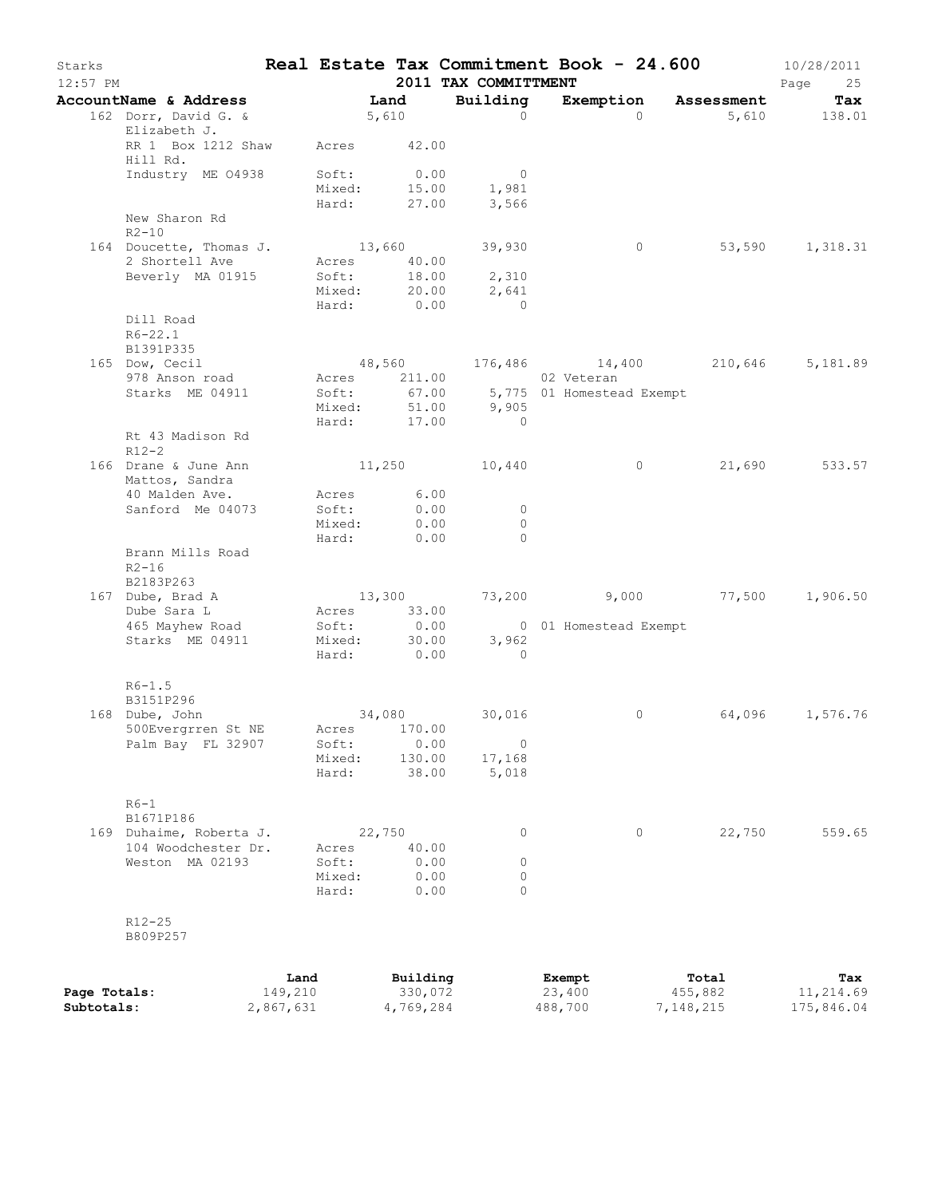| Starks<br>$12:57$ PM       |                                            |                              |                           |                                          | 2011 TAX COMMITTMENT                                       | Real Estate Tax Commitment Book - 24.600                                   |                               | 10/28/2011<br>Page<br>25       |
|----------------------------|--------------------------------------------|------------------------------|---------------------------|------------------------------------------|------------------------------------------------------------|----------------------------------------------------------------------------|-------------------------------|--------------------------------|
|                            | <b>AccountName &amp; Address</b>           |                              | Land                      |                                          | Building                                                   | Exemption Assessment                                                       |                               | Tax                            |
|                            | 162 Dorr, David G. &<br>Elizabeth J.       |                              | 5,610                     |                                          | $\Omega$                                                   | $\Omega$                                                                   |                               | 5,610 138.01                   |
|                            | RR 1 Box 1212 Shaw Acres 42.00<br>Hill Rd. |                              |                           |                                          |                                                            |                                                                            |                               |                                |
|                            | Industry ME 04938                          |                              | Mixed:<br>Hard:<br>Hard:  | Soft: 0.00                               | $\overline{0}$<br>15.00 1,981<br>27.00 3,566               |                                                                            |                               |                                |
|                            | New Sharon Rd<br>$R2 - 10$                 |                              |                           |                                          |                                                            |                                                                            |                               |                                |
|                            | 164 Doucette, Thomas J. 13,660 39,930      |                              |                           |                                          |                                                            | $\overline{0}$                                                             |                               | 53,590 1,318.31                |
|                            | 2 Shortell Ave<br>Beverly MA 01915         |                              | Soft:                     | Acres 40.00<br>Soft: 18.00<br>Hard: 0.00 | 18.00 2,310<br>Mixed: 20.00 2,641<br>$\overline{0}$        |                                                                            |                               |                                |
|                            | Dill Road                                  |                              |                           |                                          |                                                            |                                                                            |                               |                                |
|                            | $R6 - 22.1$<br>B1391P335                   |                              |                           |                                          |                                                            |                                                                            |                               |                                |
|                            | 165 Dow, Cecil                             |                              |                           |                                          |                                                            | 48,560 176,486 14,400 210,646 5,181.89                                     |                               |                                |
|                            | 978 Anson road<br>Starks ME 04911          |                              | Mixed:<br>m⊥xea:<br>Hard: | 17.00                                    | Acres 211.00 02 Veteran<br>$51.00$ 9,905<br>$\overline{0}$ | Soft: 67.00 5,775 01 Homestead Exempt                                      |                               |                                |
|                            | Rt 43 Madison Rd<br>$R12-2$                |                              |                           |                                          |                                                            |                                                                            |                               |                                |
|                            | 166 Drane & June Ann<br>Mattos, Sandra     |                              |                           |                                          | $11,250$ $10,440$                                          | $\circ$                                                                    |                               | 21,690 533.57                  |
|                            | 40 Malden Ave.<br>Sanford Me 04073         |                              | Mixed:                    | Acres 6.00<br>Soft: 0.00<br>0.00         | $\overline{0}$<br>$\circ$                                  |                                                                            |                               |                                |
|                            | Brann Mills Road<br>$R2 - 16$              |                              |                           | Hard: 0.00                               | $\bigcirc$                                                 |                                                                            |                               |                                |
|                            | B2183P263<br>167 Dube, Brad A              |                              |                           |                                          |                                                            | $13,300$ $73,200$ $9,000$ $77,500$ $1,906.50$                              |                               |                                |
|                            | Dube Sara L                                |                              |                           |                                          |                                                            |                                                                            |                               |                                |
|                            | 465 Mayhew Road<br>Starks ME 04911         |                              |                           | Soft: 0.00<br>Hard: 0.00                 | $\overline{a}$                                             | USIC. 0.00 0 01 Homestead Exempt<br>Mixed: 30.00 3,962<br>Hard: 2000 3,962 |                               |                                |
|                            | $R6 - 1.5$                                 |                              |                           |                                          |                                                            |                                                                            |                               |                                |
|                            | B3151P296<br>168 Dube, John                |                              | 34,080                    |                                          | 30,016                                                     | $\circ$                                                                    |                               | 64,096 1,576.76                |
|                            | 500Evergrren St NE                         |                              |                           | Acres 170.00                             |                                                            |                                                                            |                               |                                |
|                            | Palm Bay FL 32907                          |                              | Soft:                     | 0.00                                     | $\circ$                                                    |                                                                            |                               |                                |
|                            |                                            |                              | Mixed:<br>Hard:           | 130.00<br>38.00                          | 17,168<br>5,018                                            |                                                                            |                               |                                |
|                            | $R6-1$<br>B1671P186                        |                              |                           |                                          |                                                            |                                                                            |                               |                                |
|                            | 169 Duhaime, Roberta J.                    |                              |                           | 22,750                                   | 0                                                          | 0                                                                          | 22,750                        | 559.65                         |
|                            | 104 Woodchester Dr.                        |                              | Acres                     | 40.00                                    |                                                            |                                                                            |                               |                                |
|                            | Weston MA 02193                            |                              | Soft:<br>Mixed:<br>Hard:  | 0.00<br>0.00<br>0.00                     | 0<br>$\circ$<br>$\Omega$                                   |                                                                            |                               |                                |
|                            | $R12 - 25$<br>B809P257                     |                              |                           |                                          |                                                            |                                                                            |                               |                                |
| Page Totals:<br>Subtotals: |                                            | Land<br>149,210<br>2,867,631 |                           | Building<br>330,072<br>4,769,284         |                                                            | Exempt<br>23,400<br>488,700                                                | Total<br>455,882<br>7,148,215 | Tax<br>11,214.69<br>175,846.04 |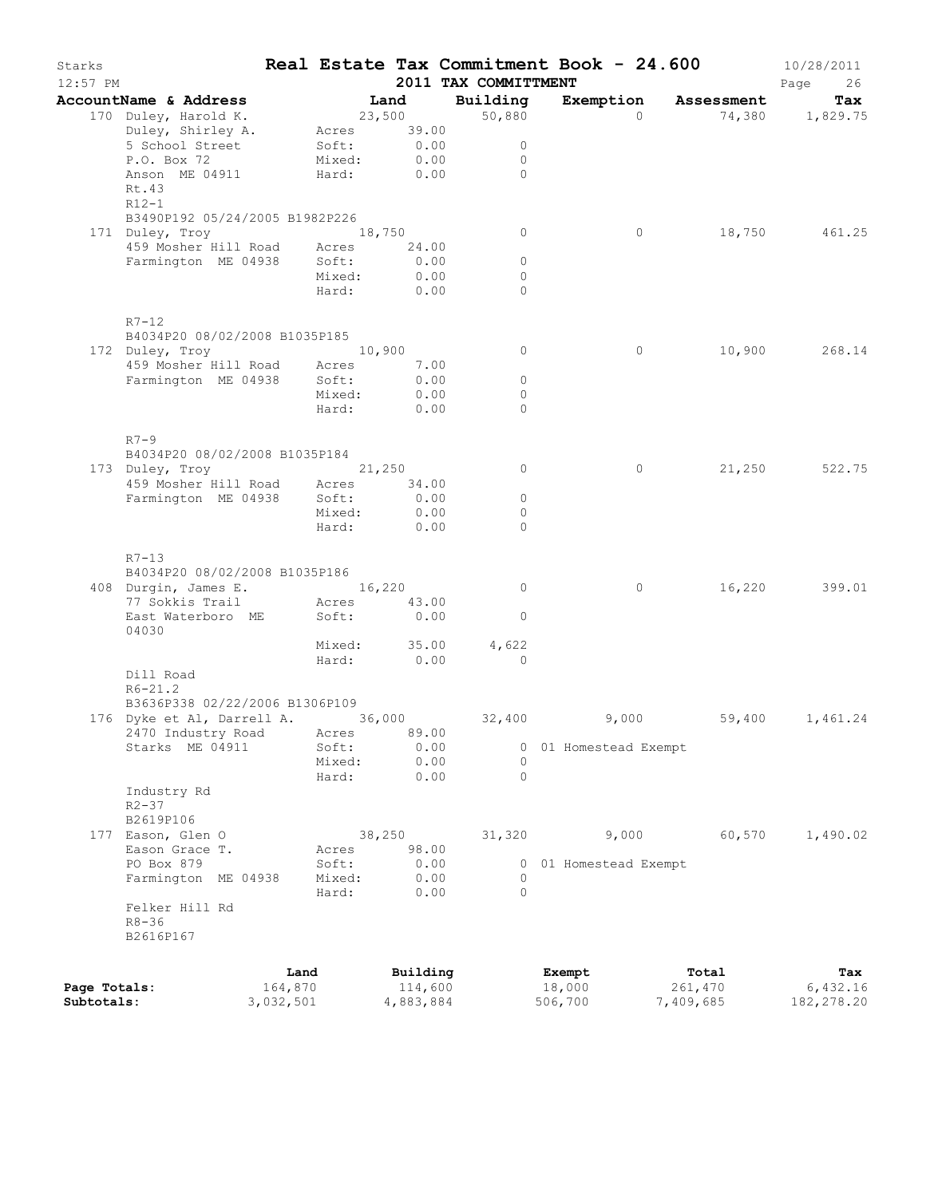| Starks<br>$12:57$ PM |                                                                                                                                         |            |                    | 2011 TAX COMMITTMENT |                     | Real Estate Tax Commitment Book - 24.600 | 10/28/2011<br>Page<br>26 |
|----------------------|-----------------------------------------------------------------------------------------------------------------------------------------|------------|--------------------|----------------------|---------------------|------------------------------------------|--------------------------|
|                      | AccountName & Address                                                                                                                   |            | Land               | Building             |                     | Exemption Assessment                     | Tax                      |
|                      | 170 Duley, Harold K.<br>Duley, Shirley A. Acres 39.00                                                                                   |            | 23,500             | 50,880               | $\Omega$            |                                          | 74,380 1,829.75          |
|                      | 5 School Street                                                                                                                         | Soft: 0.00 |                    | $\overline{0}$       |                     |                                          |                          |
|                      | P.O. Box 72                                                                                                                             | Mixed:     | 0.00               | $\overline{0}$       |                     |                                          |                          |
|                      | Anson ME 04911<br>Rt.43<br>R12-1                                                                                                        | Hard: 0.00 |                    | $\bigcap$            |                     |                                          |                          |
|                      | B3490P192 05/24/2005 B1982P226                                                                                                          |            |                    |                      |                     |                                          |                          |
|                      | 171 Duley, Troy                                                                                                                         | 18,750     |                    | $\circ$              | $\circ$             |                                          | 18,750 461.25            |
|                      | 459 Mosher Hill Road Acres 24.00                                                                                                        |            |                    |                      |                     |                                          |                          |
|                      | Farmington ME 04938 Soft:                                                                                                               |            | 0.00               | $\circ$              |                     |                                          |                          |
|                      |                                                                                                                                         | Mixed:     | 0.00               | $\circ$              |                     |                                          |                          |
|                      |                                                                                                                                         |            | Hard: 0.00         | $\Omega$             |                     |                                          |                          |
|                      | $R7-12$<br>B4034P20 08/02/2008 B1035P185                                                                                                |            |                    |                      |                     |                                          |                          |
|                      | 172 Duley, Troy                                                                                                                         | 10,900     |                    | $\circ$              | $\circ$             |                                          | 10,900 268.14            |
|                      | 459 Mosher Hill Road Acres 7.00                                                                                                         |            |                    |                      |                     |                                          |                          |
|                      | Farmington ME 04938 Soft:                                                                                                               |            | 0.00               | $\circ$              |                     |                                          |                          |
|                      |                                                                                                                                         | Mixed:     | 0.00               | $\circ$              |                     |                                          |                          |
|                      |                                                                                                                                         |            | Hard: 0.00         | $\bigcap$            |                     |                                          |                          |
|                      | $R7-9$                                                                                                                                  |            |                    |                      |                     |                                          |                          |
|                      | B4034P20 08/02/2008 B1035P184                                                                                                           |            |                    |                      |                     |                                          |                          |
|                      | 173 Duley, Troy 21,250                                                                                                                  |            |                    | $\circ$              | $\circ$             |                                          | 21,250 522.75            |
|                      | 459 Mosher Hill Road Acres 34.00                                                                                                        |            |                    |                      |                     |                                          |                          |
|                      | Farmington ME 04938 Soft:                                                                                                               |            | 0.00               | $\circ$              |                     |                                          |                          |
|                      |                                                                                                                                         | Mixed:     | 0.00<br>Hard: 0.00 | $\circ$<br>$\Omega$  |                     |                                          |                          |
|                      | $R7 - 13$<br>B4034P20 08/02/2008 B1035P186<br>408 Durgin, James E. 16,220<br>77 Sokkis Trail Macres 43.00<br>East Waterboro ME<br>04030 |            | Soft: 0.00         | $\overline{0}$<br>0  | $\circ$             |                                          | 16,220 399.01            |
|                      |                                                                                                                                         |            | Mixed: 35.00       | 4,622                |                     |                                          |                          |
|                      | Dill Road                                                                                                                               |            | Hard: 0.00         | $\sim$ 0             |                     |                                          |                          |
|                      | $R6 - 21.2$<br>B3636P338 02/22/2006 B1306P109                                                                                           |            |                    |                      |                     |                                          |                          |
|                      | 176 Dyke et Al, Darrell A. 36,000 32,400 9,000 59,400 1,461.24                                                                          |            |                    |                      |                     |                                          |                          |
|                      | 2470 Industry Road Acres 89.00                                                                                                          |            |                    |                      |                     |                                          |                          |
|                      | Starks ME 04911                                                                                                                         | Soft:      | 0.00               | 0                    | 01 Homestead Exempt |                                          |                          |
|                      |                                                                                                                                         | Mixed:     | 0.00               | $\Omega$             |                     |                                          |                          |
|                      | Industry Rd<br>$R2 - 37$                                                                                                                | Hard:      | 0.00               | $\circ$              |                     |                                          |                          |
|                      | B2619P106                                                                                                                               |            |                    |                      |                     |                                          |                          |
|                      | 177 Eason, Glen O                                                                                                                       |            | 38,250             | 31,320               | 9,000               | 60,570                                   | 1,490.02                 |
|                      | Eason Grace T.                                                                                                                          | Acres      | 98.00              |                      |                     |                                          |                          |
|                      | PO Box 879                                                                                                                              | Soft:      | 0.00               | 0                    | 01 Homestead Exempt |                                          |                          |
|                      | Farmington ME 04938                                                                                                                     | Mixed:     | 0.00               | 0<br>$\circ$         |                     |                                          |                          |
|                      | Felker Hill Rd<br>$R8 - 36$<br>B2616P167                                                                                                | Hard:      | 0.00               |                      |                     |                                          |                          |
|                      |                                                                                                                                         | Land       | Building           |                      | Exempt              | Total                                    | Tax                      |
| Page Totals:         | 164,870                                                                                                                                 |            | 114,600            |                      | 18,000              | 261,470                                  | 6,432.16                 |
| Subtotals:           | 3,032,501                                                                                                                               |            | 4,883,884          |                      | 506,700             | 7,409,685                                | 182, 278.20              |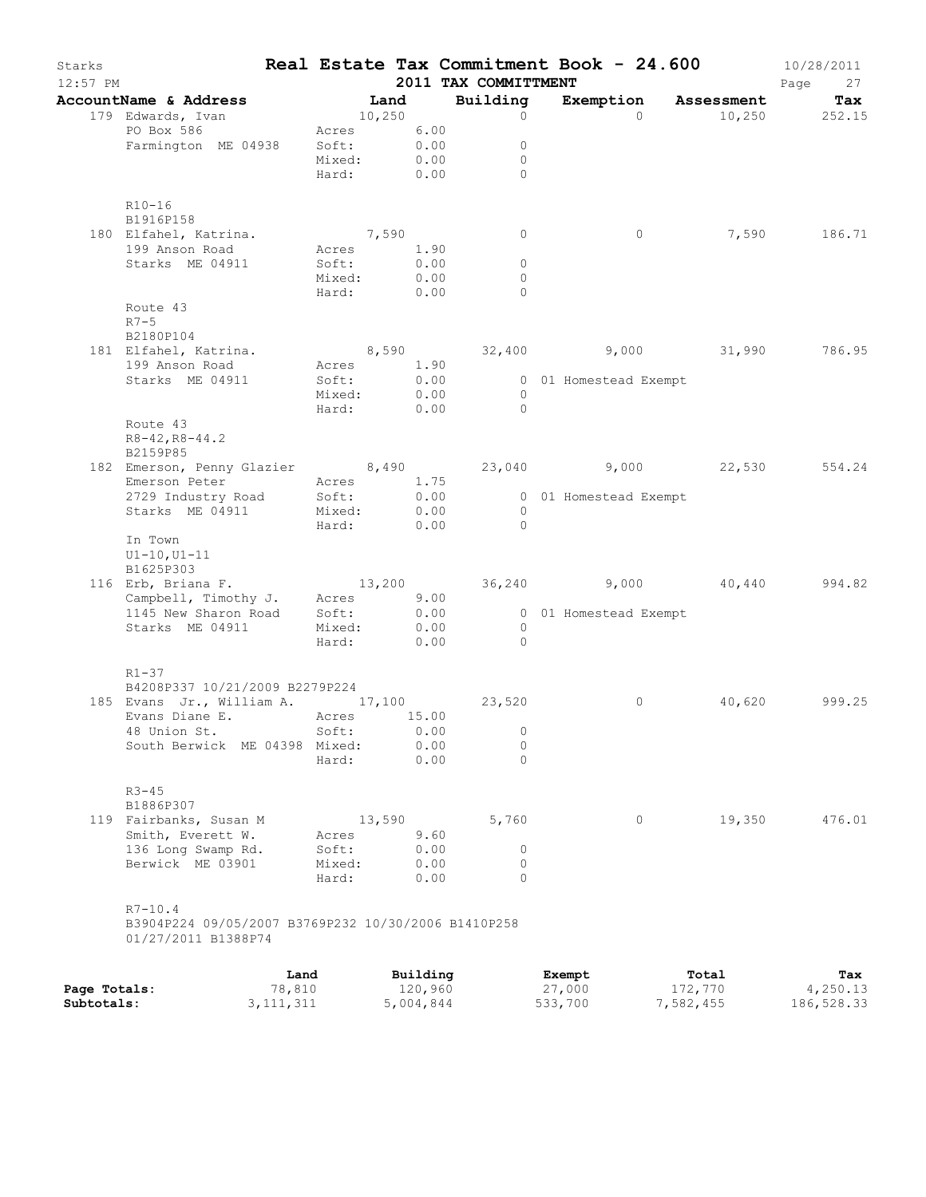| Starks<br>$12:57$ PM |                                                                                               |            |             |                     | 2011 TAX COMMITTMENT         | Real Estate Tax Commitment Book - 24.600 |                 | 10/28/2011<br>Page<br>27 |
|----------------------|-----------------------------------------------------------------------------------------------|------------|-------------|---------------------|------------------------------|------------------------------------------|-----------------|--------------------------|
|                      | AccountName & Address                                                                         |            | Land        |                     | Building                     | Exemption Assessment                     |                 | Tax                      |
|                      | 179 Edwards, Ivan                                                                             |            | 10, 250     |                     | $\Omega$                     | $\Omega$                                 | $10,250$ 252.15 |                          |
|                      | PO Box 586                                                                                    |            | Acres 6.00  |                     |                              |                                          |                 |                          |
|                      | Farmington ME 04938                                                                           | Soft:      |             | 0.00                | $\circ$                      |                                          |                 |                          |
|                      |                                                                                               |            | Mixed: 0.00 |                     | $\circ$                      |                                          |                 |                          |
|                      |                                                                                               |            | Hard: 0.00  |                     | $\Omega$                     |                                          |                 |                          |
|                      | $R10 - 16$                                                                                    |            |             |                     |                              |                                          |                 |                          |
|                      | B1916P158                                                                                     |            |             |                     |                              |                                          |                 |                          |
|                      | 180 Elfahel, Katrina.                                                                         | 7,590      |             |                     | $\circ$                      | $\circ$                                  |                 | 7,590 186.71             |
|                      | 199 Anson Road                                                                                |            | Acres 1.90  |                     |                              |                                          |                 |                          |
|                      | Starks ME 04911                                                                               | Soft:      |             | 0.00                | $\circ$                      |                                          |                 |                          |
|                      |                                                                                               | Mixed:     |             | 0.00                | $\circ$                      |                                          |                 |                          |
|                      |                                                                                               |            | Hard: 0.00  |                     | $\Omega$                     |                                          |                 |                          |
|                      | Route 43                                                                                      |            |             |                     |                              |                                          |                 |                          |
|                      | $R7 - 5$                                                                                      |            |             |                     |                              |                                          |                 |                          |
|                      | B2180P104<br>181 Elfahel, Katrina.                                                            |            |             |                     |                              | 8,590 32,400 9,000 31,990 786.95         |                 |                          |
|                      | 199 Anson Road                                                                                |            | Acres 1.90  |                     |                              |                                          |                 |                          |
|                      | Starks ME 04911                                                                               | Soft:      |             | 0.00                |                              | 0 01 Homestead Exempt                    |                 |                          |
|                      |                                                                                               |            | Mixed: 0.00 |                     | $\bigcirc$                   |                                          |                 |                          |
|                      |                                                                                               |            | Hard: 0.00  |                     | $\bigcirc$                   |                                          |                 |                          |
|                      | Route 43                                                                                      |            |             |                     |                              |                                          |                 |                          |
|                      | $R8 - 42, R8 - 44.2$                                                                          |            |             |                     |                              |                                          |                 |                          |
|                      | B2159P85                                                                                      |            |             |                     |                              |                                          |                 |                          |
|                      | 182 Emerson, Penny Glazier 8,490 23,040 9,000 22,530 554.24                                   |            |             |                     |                              |                                          |                 |                          |
|                      |                                                                                               |            |             |                     |                              |                                          |                 |                          |
|                      |                                                                                               |            |             |                     |                              | 0.00 0 01 Homestead Exempt               |                 |                          |
|                      | Starks ME 04911 Mixed: 0.00                                                                   | Hard:      |             | 0.00                | $\overline{0}$<br>$\bigcirc$ |                                          |                 |                          |
|                      | In Town                                                                                       |            |             |                     |                              |                                          |                 |                          |
|                      | $UI-10, UI-11$                                                                                |            |             |                     |                              |                                          |                 |                          |
|                      | B1625P303                                                                                     |            |             |                     |                              |                                          |                 |                          |
|                      |                                                                                               |            |             |                     |                              |                                          |                 | 994.82                   |
|                      | 116 Erb, Briana F. 13,200 36,240 9,000 40,440<br>Campbell, Timothy J. Acres 9.00 36,240 9,000 |            |             |                     |                              |                                          |                 |                          |
|                      | 1145 New Sharon Road                                                                          | Soft: 0.00 |             |                     |                              | 0 01 Homestead Exempt                    |                 |                          |
|                      | Starks ME 04911                                                                               | Mixed:     |             | 0.00                | $\overline{0}$               |                                          |                 |                          |
|                      |                                                                                               | Hard:      |             | 0.00                | $\bigcirc$                   |                                          |                 |                          |
|                      | $R1 - 37$                                                                                     |            |             |                     |                              |                                          |                 |                          |
|                      | B4208P337 10/21/2009 B2279P224                                                                |            |             |                     |                              |                                          |                 |                          |
|                      | 185 Evans Jr., William A. 17,100 23,520                                                       |            |             |                     |                              | $\circ$                                  |                 | 40,620 999.25            |
|                      | Evans Diane E. Acres 15.00                                                                    |            |             |                     |                              |                                          |                 |                          |
|                      | 48 Union St. Soft: 0.00 0                                                                     |            |             |                     |                              |                                          |                 |                          |
|                      | South Berwick ME 04398 Mixed:                                                                 |            |             | 0.00                | 0                            |                                          |                 |                          |
|                      |                                                                                               | Hard:      |             | 0.00                | $\Omega$                     |                                          |                 |                          |
|                      |                                                                                               |            |             |                     |                              |                                          |                 |                          |
|                      | $R3 - 45$                                                                                     |            |             |                     |                              |                                          |                 |                          |
|                      | B1886P307                                                                                     |            | 13,590      |                     |                              | $\circ$                                  | 19,350          | 476.01                   |
|                      | 119 Fairbanks, Susan M<br>Smith, Everett W.                                                   | Acres      |             | 9.60                | 5,760                        |                                          |                 |                          |
|                      | 136 Long Swamp Rd.                                                                            | Soft:      |             | 0.00                | 0                            |                                          |                 |                          |
|                      | Berwick ME 03901                                                                              | Mixed:     |             | 0.00                | 0                            |                                          |                 |                          |
|                      |                                                                                               | Hard:      |             | 0.00                | 0                            |                                          |                 |                          |
|                      |                                                                                               |            |             |                     |                              |                                          |                 |                          |
|                      | $R7 - 10.4$                                                                                   |            |             |                     |                              |                                          |                 |                          |
|                      | B3904P224 09/05/2007 B3769P232 10/30/2006 B1410P258                                           |            |             |                     |                              |                                          |                 |                          |
|                      | 01/27/2011 B1388P74                                                                           |            |             |                     |                              |                                          |                 |                          |
|                      |                                                                                               |            |             |                     |                              |                                          |                 |                          |
|                      |                                                                                               | Land       |             | Building<br>120,960 |                              | Exempt<br>27,000                         | Total           | Tax<br>4,250.13          |
| Page Totals:         |                                                                                               | 78,810     |             |                     |                              |                                          | 172,770         |                          |

**Subtotals:** 3,111,311 5,004,844 533,700 7,582,455 186,528.33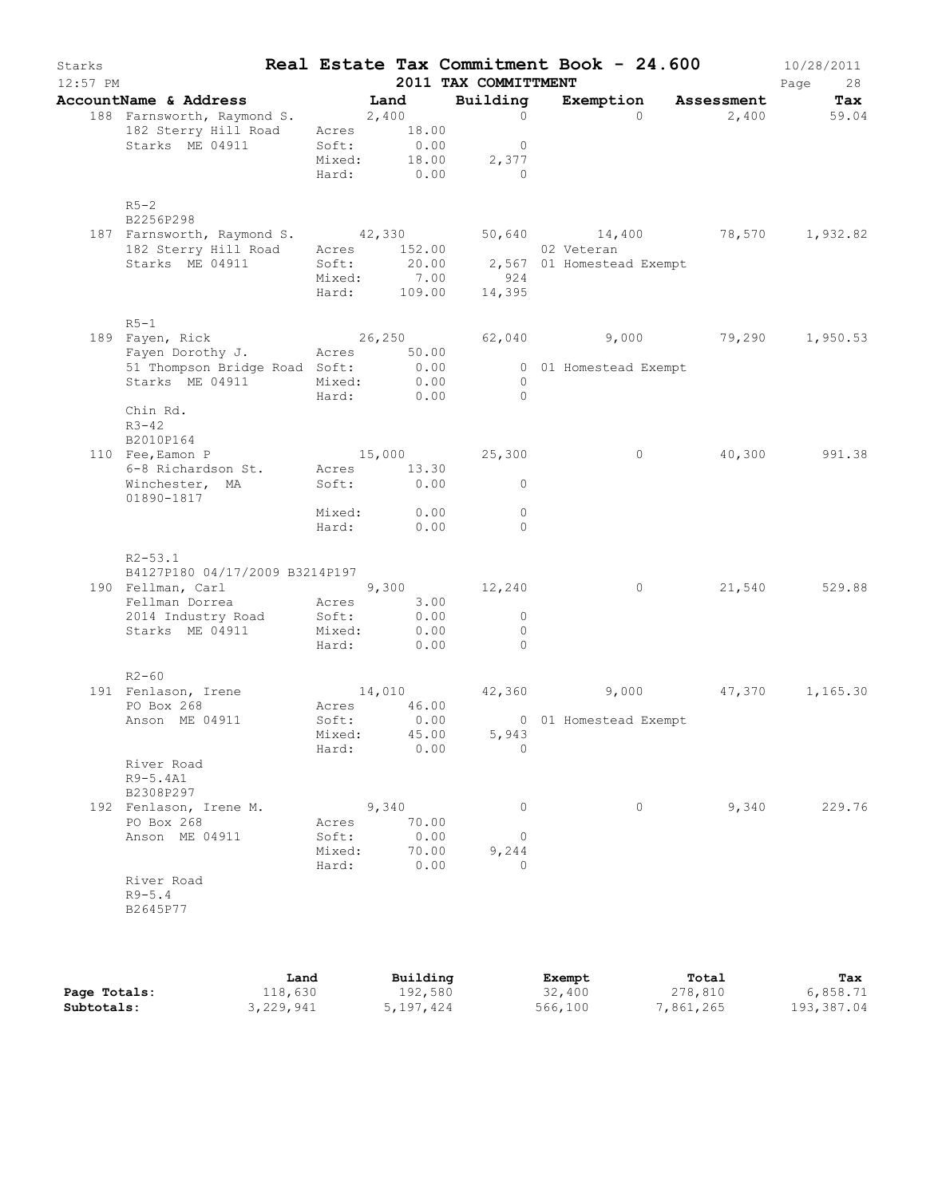| Starks<br>$12:57$ PM |                                                                                           |                           |                                 | 2011 TAX COMMITTMENT                                                             |        |                       | Real Estate Tax Commitment Book - 24.600 | 10/28/2011<br>Page<br>28 |
|----------------------|-------------------------------------------------------------------------------------------|---------------------------|---------------------------------|----------------------------------------------------------------------------------|--------|-----------------------|------------------------------------------|--------------------------|
|                      | AccountName & Address<br>188 Farnsworth, Raymond S. 2,400                                 |                           | Land                            | Building<br>$\sim$ 0                                                             |        | $\Omega$              | Exemption Assessment<br>2,400            | Tax<br>59.04             |
|                      | 182 Sterry Hill Road<br>Starks ME 04911                                                   | Acres<br>Soft:<br>Mixed:  | 18.00<br>0.00                   | $\overline{0}$<br>18.00<br>2,377<br>Hard: 0.00 0                                 |        |                       |                                          |                          |
| $R5-2$               | B2256P298<br>187 Farnsworth, Raymond S. 42,330<br>182 Sterry Hill Road<br>Starks ME 04911 | Soft:<br>Mixed:           | Acres 152.00                    | 02 Veteran<br>20.00 2,567 01 Homestead Exempt<br>7.00 924<br>Hard: 109.00 14,395 |        |                       | 50,640 14,400 78,570 1,932.82            |                          |
| $R5-1$               | 189 Fayen, Rick                                                                           |                           |                                 |                                                                                  |        |                       | $26,250$ 62,040 9,000 79,290 1,950.53    |                          |
|                      | Fayen Dorothy J. Acres 50.00<br>51 Thompson Bridge Road Soft: 0.00<br>Starks ME 04911     |                           | Mixed: 0.00<br>Hard: 0.00       | $\overline{0}$<br>$\bigcirc$                                                     |        | 0 01 Homestead Exempt |                                          |                          |
| $R3 - 42$            | Chin Rd.<br>B2010P164                                                                     |                           |                                 |                                                                                  |        |                       |                                          |                          |
|                      | 110 Fee, Eamon P<br>6-8 Richardson St.<br>Winchester, MA                                  |                           | Acres 13.30<br>Soft: 0.00       | $15,000$ $25,300$<br>$\Omega$                                                    |        | $\circ$               | 40,300                                   | 991.38                   |
|                      | 01890-1817                                                                                |                           | Mixed: 0.00<br>Hard: 0.00       | $\mathbf{0}$<br>$\Omega$                                                         |        |                       |                                          |                          |
|                      | $R2 - 53.1$                                                                               |                           |                                 |                                                                                  |        |                       |                                          |                          |
|                      | B4127P180 04/17/2009 B3214P197<br>190 Fellman, Carl                                       |                           |                                 | $9,300$ 12,240                                                                   |        | $\overline{0}$        |                                          | 21,540 529.88            |
|                      | Fellman Dorrea Macres 3.00<br>2014 Industry Road<br>Starks ME 04911                       | Soft:<br>Mixed·<br>Mixed: | 0.00<br>0.00<br>Hard: 0.00      | $\overline{0}$<br>$\overline{0}$<br>$\overline{0}$                               |        |                       |                                          |                          |
| $R2 - 60$            |                                                                                           |                           |                                 |                                                                                  |        |                       |                                          |                          |
|                      | 191 Fenlason, Irene<br>PO Box 268                                                         | Acres                     | 46.00                           |                                                                                  |        |                       | $14,010$ $42,360$ $9,000$ $47,370$       | 1,165.30                 |
|                      | Anson ME 04911                                                                            | Soft:<br>Mixed:<br>Hard:  | 0.00<br>45.00<br>0.00           | 5,943<br>$\circ$                                                                 |        | 0 01 Homestead Exempt |                                          |                          |
|                      | River Road<br>R9-5.4A1<br>B2308P297                                                       |                           |                                 |                                                                                  |        |                       |                                          |                          |
|                      | 192 Fenlason, Irene M.<br>PO Box 268<br>Anson ME 04911                                    | Acres<br>Soft:<br>Mixed:  | 9,340<br>70.00<br>0.00<br>70.00 | $\circ$<br>0<br>9,244<br>$\Omega$                                                |        | $\circ$               | 9,340                                    | 229.76                   |
|                      | River Road<br>$R9 - 5.4$<br>B2645P77                                                      | Hard:                     | 0.00                            |                                                                                  |        |                       |                                          |                          |
|                      | Land                                                                                      |                           | Building                        |                                                                                  | Exempt |                       | Total                                    | Tax                      |

**Page Totals:** 118,630 192,580 32,400 278,810 6,858.71 **Subtotals:** 3,229,941 5,197,424 566,100 7,861,265 193,387.04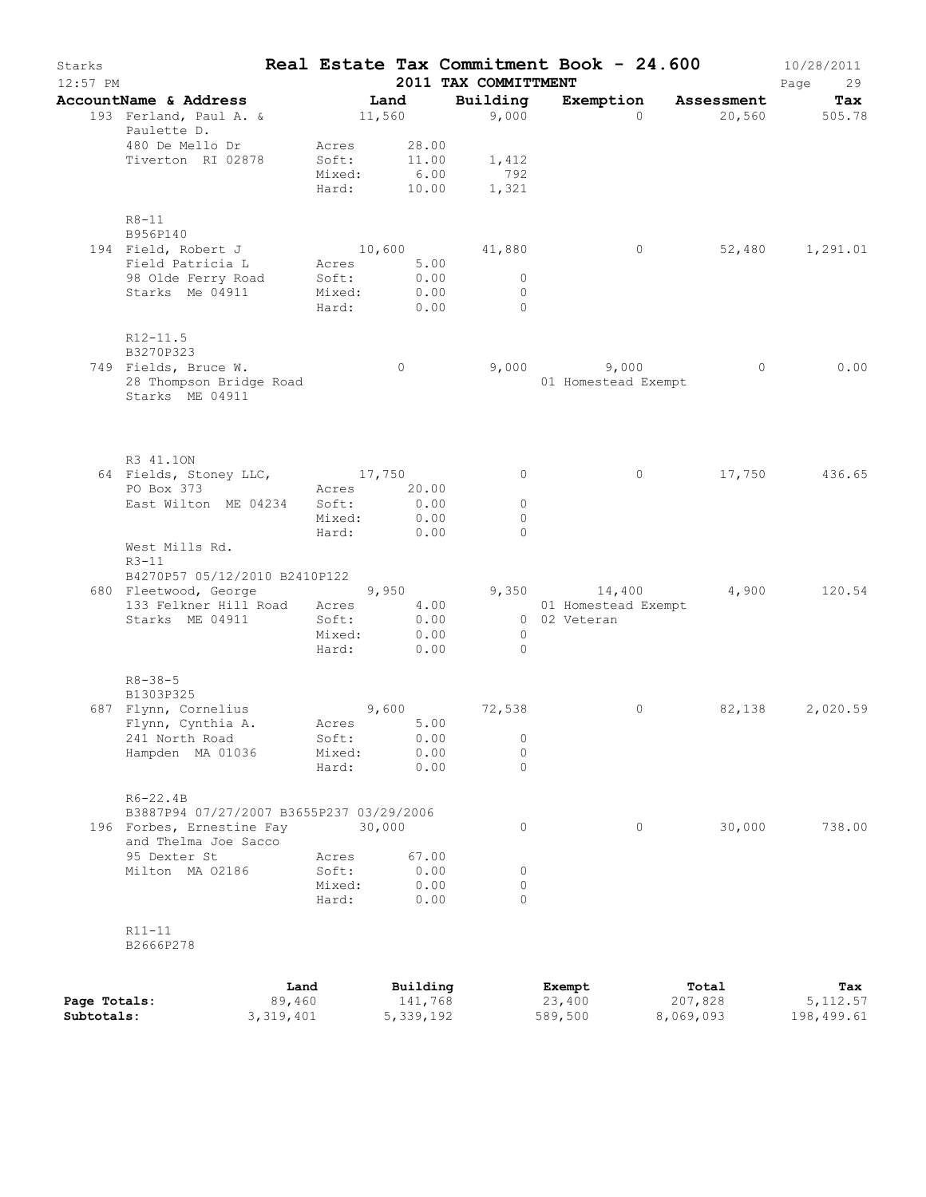| Starks<br>$12:57$ PM |                                                   |        |                 |               | Real Estate Tax Commitment Book - 24.600<br>2011 TAX COMMITTMENT |                                     |                   | 10/28/2011<br>Page<br>29 |
|----------------------|---------------------------------------------------|--------|-----------------|---------------|------------------------------------------------------------------|-------------------------------------|-------------------|--------------------------|
|                      | AccountName & Address                             |        | Land            |               | Building                                                         | Exemption                           | <b>Assessment</b> | Tax                      |
|                      | 193 Ferland, Paul A. &<br>Paulette D.             |        | 11,560          |               | 9,000                                                            | $\Omega$                            |                   | 20,560 505.78            |
|                      | 480 De Mello Dr                                   |        | Acres           | 28.00         |                                                                  |                                     |                   |                          |
|                      | Tiverton RI 02878                                 |        | Soft:<br>Mixed: | 11.00<br>6.00 | 1,412<br>792                                                     |                                     |                   |                          |
|                      |                                                   |        | Hard:           |               | 10.00<br>1,321                                                   |                                     |                   |                          |
|                      | $R8 - 11$                                         |        |                 |               |                                                                  |                                     |                   |                          |
|                      | B956P140<br>194 Field, Robert J                   |        |                 |               | 10,600 41,880                                                    | $\circ$                             |                   | 52,480 1,291.01          |
|                      | Field Patricia L Acres                            |        |                 | 5.00          |                                                                  |                                     |                   |                          |
|                      | 98 Olde Ferry Road                                |        | Soft:           | 0.00          | $\overline{0}$                                                   |                                     |                   |                          |
|                      | Starks Me 04911                                   |        | Mixed:          | 0.00          | $\Omega$                                                         |                                     |                   |                          |
|                      |                                                   |        | Hard:           | 0.00          | $\Omega$                                                         |                                     |                   |                          |
|                      | $R12 - 11.5$<br>B3270P323                         |        |                 |               |                                                                  |                                     |                   |                          |
|                      | 749 Fields, Bruce W.                              |        |                 | $\circ$       |                                                                  | $9,000$ $9,000$                     |                   | 0.00<br>$\overline{0}$   |
|                      | 28 Thompson Bridge Road<br>Starks ME 04911        |        |                 |               |                                                                  | 01 Homestead Exempt                 |                   |                          |
|                      |                                                   |        |                 |               |                                                                  |                                     |                   |                          |
|                      | R3 41.10N<br>64 Fields, Stoney LLC, 17,750        |        |                 |               | $\circ$                                                          | $\circ$                             |                   | 436.65<br>17,750         |
|                      | PO Box 373                                        |        | Acres           | 20.00         |                                                                  |                                     |                   |                          |
|                      | East Wilton ME 04234                              |        | Soft:           | 0.00          | $\circ$                                                          |                                     |                   |                          |
|                      |                                                   |        | Mixed:          | 0.00          | $\Omega$                                                         |                                     |                   |                          |
|                      | West Mills Rd.                                    |        | Hard:           | 0.00          | $\Omega$                                                         |                                     |                   |                          |
|                      | $R3-11$                                           |        |                 |               |                                                                  |                                     |                   |                          |
|                      | B4270P57 05/12/2010 B2410P122                     |        |                 |               |                                                                  |                                     |                   |                          |
|                      | 680 Fleetwood, George                             |        | 9,950           |               |                                                                  | 9,350 14,400                        | 4,900             | 120.54                   |
|                      | 133 Felkner Hill Road Acres<br>Starks ME 04911    |        | Soft:           | 4.00          | 0.00                                                             | 01 Homestead Exempt<br>0 02 Veteran |                   |                          |
|                      |                                                   |        | Mixed:          | 0.00          | $\overline{0}$                                                   |                                     |                   |                          |
|                      |                                                   |        | Hard:           | 0.00          | $\Omega$                                                         |                                     |                   |                          |
|                      | $R8 - 38 - 5$                                     |        |                 |               |                                                                  |                                     |                   |                          |
|                      | B1303P325<br>687 Flynn, Cornelius                 |        |                 | 9,600         | 72,538                                                           | $\circ$                             |                   | 82,138<br>2,020.59       |
|                      | Flynn, Cynthia A.                                 |        | Acres           | 5.00          |                                                                  |                                     |                   |                          |
|                      | 241 North Road                                    |        | Soft:           | 0.00          | 0                                                                |                                     |                   |                          |
|                      | Hampden MA 01036                                  |        | Mixed:          | 0.00          | $\circ$                                                          |                                     |                   |                          |
|                      |                                                   |        | Hard:           | 0.00          | 0                                                                |                                     |                   |                          |
|                      | $R6 - 22.4B$                                      |        |                 |               |                                                                  |                                     |                   |                          |
|                      | B3887P94 07/27/2007 B3655P237 03/29/2006          |        |                 |               |                                                                  |                                     |                   |                          |
|                      | 196 Forbes, Ernestine Fay<br>and Thelma Joe Sacco |        | 30,000          |               | 0                                                                | $\circ$                             | 30,000            | 738.00                   |
|                      | 95 Dexter St                                      |        | Acres           | 67.00         |                                                                  |                                     |                   |                          |
|                      | Milton MA 02186                                   |        | Soft:           | 0.00          | 0                                                                |                                     |                   |                          |
|                      |                                                   |        | Mixed:<br>Hard: | 0.00<br>0.00  | 0<br>$\Omega$                                                    |                                     |                   |                          |
|                      | $R11 - 11$                                        |        |                 |               |                                                                  |                                     |                   |                          |
|                      | B2666P278                                         |        |                 |               |                                                                  |                                     |                   |                          |
|                      |                                                   | Land   |                 | Building      |                                                                  | Exempt                              | Total             | Tax                      |
| Page Totals:         |                                                   | 89,460 |                 | 141,768       |                                                                  | 23,400                              | 207,828           | 5, 112.57                |

**Subtotals:** 3,319,401 5,339,192 589,500 8,069,093 198,499.61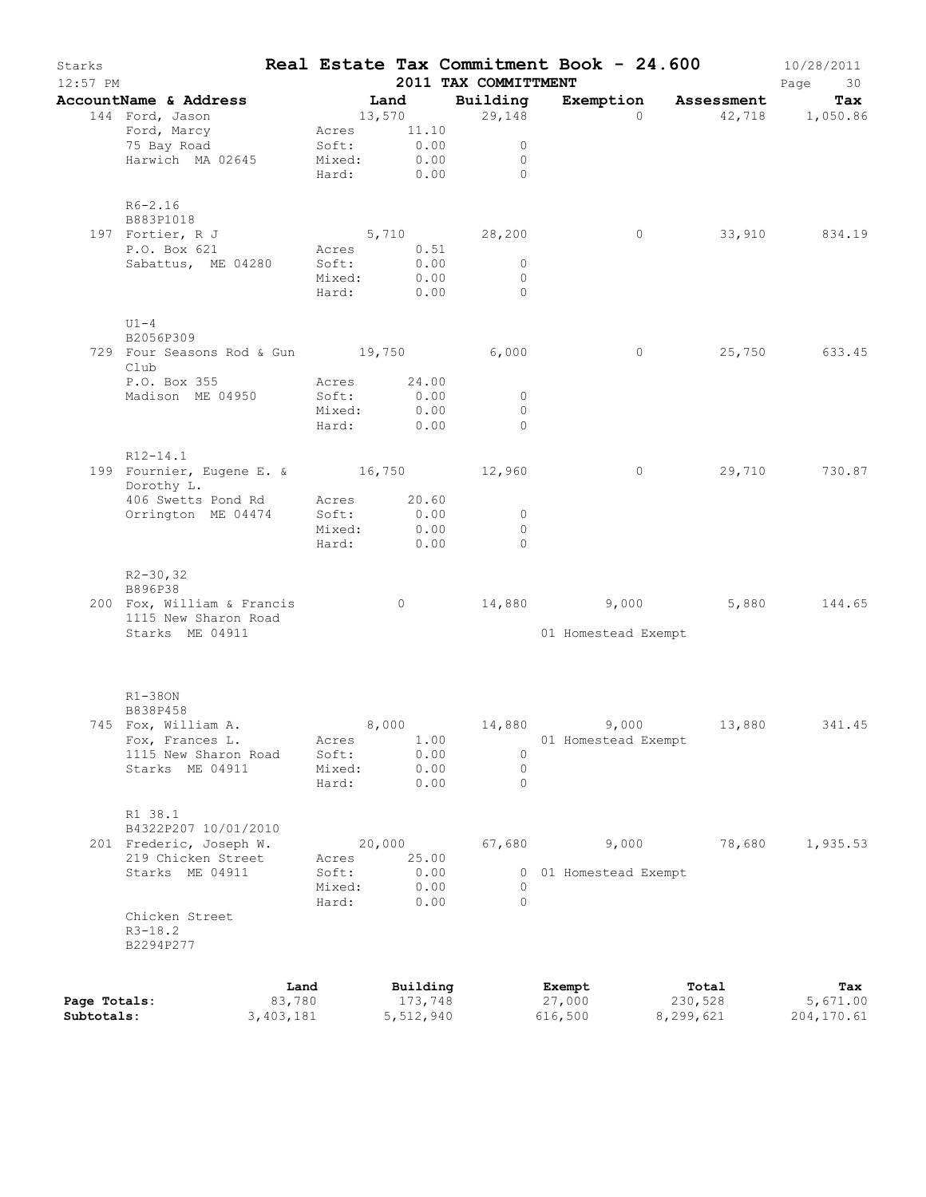| Exemption<br>Tax<br>AccountName & Address<br><b>Example 1</b><br>Building<br>Assessment<br>144 Ford, Jason<br>13,570<br>29,148<br>$\Omega$<br>42,718 1,050.86<br>Ford, Marcy<br>Acres 11.10<br>0.00<br>75 Bay Road<br>Soft:<br>$\circ$<br>Harwich MA 02645<br>0.00<br>Mixed:<br>$\circ$<br>Hard: 0.00<br>$\Omega$<br>$R6 - 2.16$<br>B883P1018<br>33,910 834.19<br>197 Fortier, R J<br>$5,710$ 28,200<br>$\circ$<br>Acres 0.51<br>P.O. Box 621<br>0.00<br>$\overline{0}$<br>Sabattus, ME 04280<br>Soft:<br>0.00<br>Mixed:<br>$\circ$<br>Hard: 0.00<br>$\Omega$<br>$U1-4$<br>B2056P309<br>729 Four Seasons Rod & Gun 19,750 6,000<br>25,750 633.45<br>$\circ$<br>Club<br>P.O. Box 355<br>Acres 24.00<br>Soft:<br>0.00<br>Madison ME 04950<br>$\circ$<br>Mixed: 0.00<br>$\Omega$<br>Hard: 0.00<br>$\Omega$<br>R12-14.1<br>199 Fournier, Eugene E. & 16,750 12,960<br>$\circ$<br>Dorothy L.<br>406 Swetts Pond Rd<br>Acres 20.60<br>Orrington ME 04474<br>Soft:<br>0.00<br>$\circ$<br>0.00<br>Mixed:<br>$\circ$<br>0.00<br>Hard:<br>$\Omega$<br>$R2 - 30, 32$<br>B896P38<br>14,880 9,000<br>5,880<br>200 Fox, William & Francis<br>$\overline{0}$<br>1115 New Sharon Road<br>Starks ME 04911<br>01 Homestead Exempt<br>$R1-380N$<br>B838P458<br>745 Fox, William A.<br>8,000<br>14,880<br>9,000<br>13,880<br>341.45<br>Fox, Frances L.<br>1.00<br>Acres<br>01 Homestead Exempt<br>0.00<br>1115 New Sharon Road<br>Soft:<br>$\circ$<br>$\circ$<br>Starks ME 04911<br>Mixed:<br>0.00<br>0.00<br>Hard:<br>$\circ$<br>R1 38.1<br>B4322P207 10/01/2010<br>201 Frederic, Joseph W.<br>20,000<br>67,680<br>9,000<br>78,680<br>1,935.53<br>25.00<br>219 Chicken Street<br>Acres<br>Starks ME 04911<br>0.00<br>Soft:<br>01 Homestead Exempt<br>$\circ$<br>Mixed:<br>0.00<br>0<br>Hard:<br>0.00<br>$\Omega$<br>Chicken Street<br>$R3 - 18.2$<br>B2294P277<br>Land<br>Building<br>Exempt<br>Total<br>Tax<br>83,780<br>173,748<br>27,000<br>230,528<br>5,671.00<br>Page Totals: | Starks<br>$12:57$ PM |  | 2011 TAX COMMITTMENT | Real Estate Tax Commitment Book - 24.600 | 10/28/2011<br>Page<br>30 |
|-----------------------------------------------------------------------------------------------------------------------------------------------------------------------------------------------------------------------------------------------------------------------------------------------------------------------------------------------------------------------------------------------------------------------------------------------------------------------------------------------------------------------------------------------------------------------------------------------------------------------------------------------------------------------------------------------------------------------------------------------------------------------------------------------------------------------------------------------------------------------------------------------------------------------------------------------------------------------------------------------------------------------------------------------------------------------------------------------------------------------------------------------------------------------------------------------------------------------------------------------------------------------------------------------------------------------------------------------------------------------------------------------------------------------------------------------------------------------------------------------------------------------------------------------------------------------------------------------------------------------------------------------------------------------------------------------------------------------------------------------------------------------------------------------------------------------------------------------------------------------------------------------------------------------------------------------------------------|----------------------|--|----------------------|------------------------------------------|--------------------------|
|                                                                                                                                                                                                                                                                                                                                                                                                                                                                                                                                                                                                                                                                                                                                                                                                                                                                                                                                                                                                                                                                                                                                                                                                                                                                                                                                                                                                                                                                                                                                                                                                                                                                                                                                                                                                                                                                                                                                                                 |                      |  |                      |                                          |                          |
|                                                                                                                                                                                                                                                                                                                                                                                                                                                                                                                                                                                                                                                                                                                                                                                                                                                                                                                                                                                                                                                                                                                                                                                                                                                                                                                                                                                                                                                                                                                                                                                                                                                                                                                                                                                                                                                                                                                                                                 |                      |  |                      |                                          |                          |
|                                                                                                                                                                                                                                                                                                                                                                                                                                                                                                                                                                                                                                                                                                                                                                                                                                                                                                                                                                                                                                                                                                                                                                                                                                                                                                                                                                                                                                                                                                                                                                                                                                                                                                                                                                                                                                                                                                                                                                 |                      |  |                      |                                          |                          |
|                                                                                                                                                                                                                                                                                                                                                                                                                                                                                                                                                                                                                                                                                                                                                                                                                                                                                                                                                                                                                                                                                                                                                                                                                                                                                                                                                                                                                                                                                                                                                                                                                                                                                                                                                                                                                                                                                                                                                                 |                      |  |                      |                                          |                          |
|                                                                                                                                                                                                                                                                                                                                                                                                                                                                                                                                                                                                                                                                                                                                                                                                                                                                                                                                                                                                                                                                                                                                                                                                                                                                                                                                                                                                                                                                                                                                                                                                                                                                                                                                                                                                                                                                                                                                                                 |                      |  |                      |                                          |                          |
| 29,710 730.87<br>144.65                                                                                                                                                                                                                                                                                                                                                                                                                                                                                                                                                                                                                                                                                                                                                                                                                                                                                                                                                                                                                                                                                                                                                                                                                                                                                                                                                                                                                                                                                                                                                                                                                                                                                                                                                                                                                                                                                                                                         |                      |  |                      |                                          |                          |
|                                                                                                                                                                                                                                                                                                                                                                                                                                                                                                                                                                                                                                                                                                                                                                                                                                                                                                                                                                                                                                                                                                                                                                                                                                                                                                                                                                                                                                                                                                                                                                                                                                                                                                                                                                                                                                                                                                                                                                 |                      |  |                      |                                          |                          |
|                                                                                                                                                                                                                                                                                                                                                                                                                                                                                                                                                                                                                                                                                                                                                                                                                                                                                                                                                                                                                                                                                                                                                                                                                                                                                                                                                                                                                                                                                                                                                                                                                                                                                                                                                                                                                                                                                                                                                                 |                      |  |                      |                                          |                          |
|                                                                                                                                                                                                                                                                                                                                                                                                                                                                                                                                                                                                                                                                                                                                                                                                                                                                                                                                                                                                                                                                                                                                                                                                                                                                                                                                                                                                                                                                                                                                                                                                                                                                                                                                                                                                                                                                                                                                                                 |                      |  |                      |                                          |                          |
|                                                                                                                                                                                                                                                                                                                                                                                                                                                                                                                                                                                                                                                                                                                                                                                                                                                                                                                                                                                                                                                                                                                                                                                                                                                                                                                                                                                                                                                                                                                                                                                                                                                                                                                                                                                                                                                                                                                                                                 |                      |  |                      |                                          |                          |
|                                                                                                                                                                                                                                                                                                                                                                                                                                                                                                                                                                                                                                                                                                                                                                                                                                                                                                                                                                                                                                                                                                                                                                                                                                                                                                                                                                                                                                                                                                                                                                                                                                                                                                                                                                                                                                                                                                                                                                 |                      |  |                      |                                          |                          |
|                                                                                                                                                                                                                                                                                                                                                                                                                                                                                                                                                                                                                                                                                                                                                                                                                                                                                                                                                                                                                                                                                                                                                                                                                                                                                                                                                                                                                                                                                                                                                                                                                                                                                                                                                                                                                                                                                                                                                                 |                      |  |                      |                                          |                          |
|                                                                                                                                                                                                                                                                                                                                                                                                                                                                                                                                                                                                                                                                                                                                                                                                                                                                                                                                                                                                                                                                                                                                                                                                                                                                                                                                                                                                                                                                                                                                                                                                                                                                                                                                                                                                                                                                                                                                                                 |                      |  |                      |                                          |                          |
|                                                                                                                                                                                                                                                                                                                                                                                                                                                                                                                                                                                                                                                                                                                                                                                                                                                                                                                                                                                                                                                                                                                                                                                                                                                                                                                                                                                                                                                                                                                                                                                                                                                                                                                                                                                                                                                                                                                                                                 |                      |  |                      |                                          |                          |
|                                                                                                                                                                                                                                                                                                                                                                                                                                                                                                                                                                                                                                                                                                                                                                                                                                                                                                                                                                                                                                                                                                                                                                                                                                                                                                                                                                                                                                                                                                                                                                                                                                                                                                                                                                                                                                                                                                                                                                 |                      |  |                      |                                          |                          |
|                                                                                                                                                                                                                                                                                                                                                                                                                                                                                                                                                                                                                                                                                                                                                                                                                                                                                                                                                                                                                                                                                                                                                                                                                                                                                                                                                                                                                                                                                                                                                                                                                                                                                                                                                                                                                                                                                                                                                                 |                      |  |                      |                                          |                          |
|                                                                                                                                                                                                                                                                                                                                                                                                                                                                                                                                                                                                                                                                                                                                                                                                                                                                                                                                                                                                                                                                                                                                                                                                                                                                                                                                                                                                                                                                                                                                                                                                                                                                                                                                                                                                                                                                                                                                                                 |                      |  |                      |                                          |                          |
|                                                                                                                                                                                                                                                                                                                                                                                                                                                                                                                                                                                                                                                                                                                                                                                                                                                                                                                                                                                                                                                                                                                                                                                                                                                                                                                                                                                                                                                                                                                                                                                                                                                                                                                                                                                                                                                                                                                                                                 |                      |  |                      |                                          |                          |
|                                                                                                                                                                                                                                                                                                                                                                                                                                                                                                                                                                                                                                                                                                                                                                                                                                                                                                                                                                                                                                                                                                                                                                                                                                                                                                                                                                                                                                                                                                                                                                                                                                                                                                                                                                                                                                                                                                                                                                 |                      |  |                      |                                          |                          |
|                                                                                                                                                                                                                                                                                                                                                                                                                                                                                                                                                                                                                                                                                                                                                                                                                                                                                                                                                                                                                                                                                                                                                                                                                                                                                                                                                                                                                                                                                                                                                                                                                                                                                                                                                                                                                                                                                                                                                                 |                      |  |                      |                                          |                          |
|                                                                                                                                                                                                                                                                                                                                                                                                                                                                                                                                                                                                                                                                                                                                                                                                                                                                                                                                                                                                                                                                                                                                                                                                                                                                                                                                                                                                                                                                                                                                                                                                                                                                                                                                                                                                                                                                                                                                                                 |                      |  |                      |                                          |                          |
|                                                                                                                                                                                                                                                                                                                                                                                                                                                                                                                                                                                                                                                                                                                                                                                                                                                                                                                                                                                                                                                                                                                                                                                                                                                                                                                                                                                                                                                                                                                                                                                                                                                                                                                                                                                                                                                                                                                                                                 |                      |  |                      |                                          |                          |
|                                                                                                                                                                                                                                                                                                                                                                                                                                                                                                                                                                                                                                                                                                                                                                                                                                                                                                                                                                                                                                                                                                                                                                                                                                                                                                                                                                                                                                                                                                                                                                                                                                                                                                                                                                                                                                                                                                                                                                 |                      |  |                      |                                          |                          |
|                                                                                                                                                                                                                                                                                                                                                                                                                                                                                                                                                                                                                                                                                                                                                                                                                                                                                                                                                                                                                                                                                                                                                                                                                                                                                                                                                                                                                                                                                                                                                                                                                                                                                                                                                                                                                                                                                                                                                                 |                      |  |                      |                                          |                          |
|                                                                                                                                                                                                                                                                                                                                                                                                                                                                                                                                                                                                                                                                                                                                                                                                                                                                                                                                                                                                                                                                                                                                                                                                                                                                                                                                                                                                                                                                                                                                                                                                                                                                                                                                                                                                                                                                                                                                                                 |                      |  |                      |                                          |                          |
|                                                                                                                                                                                                                                                                                                                                                                                                                                                                                                                                                                                                                                                                                                                                                                                                                                                                                                                                                                                                                                                                                                                                                                                                                                                                                                                                                                                                                                                                                                                                                                                                                                                                                                                                                                                                                                                                                                                                                                 |                      |  |                      |                                          |                          |
|                                                                                                                                                                                                                                                                                                                                                                                                                                                                                                                                                                                                                                                                                                                                                                                                                                                                                                                                                                                                                                                                                                                                                                                                                                                                                                                                                                                                                                                                                                                                                                                                                                                                                                                                                                                                                                                                                                                                                                 |                      |  |                      |                                          |                          |
|                                                                                                                                                                                                                                                                                                                                                                                                                                                                                                                                                                                                                                                                                                                                                                                                                                                                                                                                                                                                                                                                                                                                                                                                                                                                                                                                                                                                                                                                                                                                                                                                                                                                                                                                                                                                                                                                                                                                                                 |                      |  |                      |                                          |                          |
|                                                                                                                                                                                                                                                                                                                                                                                                                                                                                                                                                                                                                                                                                                                                                                                                                                                                                                                                                                                                                                                                                                                                                                                                                                                                                                                                                                                                                                                                                                                                                                                                                                                                                                                                                                                                                                                                                                                                                                 |                      |  |                      |                                          |                          |
|                                                                                                                                                                                                                                                                                                                                                                                                                                                                                                                                                                                                                                                                                                                                                                                                                                                                                                                                                                                                                                                                                                                                                                                                                                                                                                                                                                                                                                                                                                                                                                                                                                                                                                                                                                                                                                                                                                                                                                 |                      |  |                      |                                          |                          |
|                                                                                                                                                                                                                                                                                                                                                                                                                                                                                                                                                                                                                                                                                                                                                                                                                                                                                                                                                                                                                                                                                                                                                                                                                                                                                                                                                                                                                                                                                                                                                                                                                                                                                                                                                                                                                                                                                                                                                                 |                      |  |                      |                                          |                          |
|                                                                                                                                                                                                                                                                                                                                                                                                                                                                                                                                                                                                                                                                                                                                                                                                                                                                                                                                                                                                                                                                                                                                                                                                                                                                                                                                                                                                                                                                                                                                                                                                                                                                                                                                                                                                                                                                                                                                                                 |                      |  |                      |                                          |                          |
|                                                                                                                                                                                                                                                                                                                                                                                                                                                                                                                                                                                                                                                                                                                                                                                                                                                                                                                                                                                                                                                                                                                                                                                                                                                                                                                                                                                                                                                                                                                                                                                                                                                                                                                                                                                                                                                                                                                                                                 |                      |  |                      |                                          |                          |
|                                                                                                                                                                                                                                                                                                                                                                                                                                                                                                                                                                                                                                                                                                                                                                                                                                                                                                                                                                                                                                                                                                                                                                                                                                                                                                                                                                                                                                                                                                                                                                                                                                                                                                                                                                                                                                                                                                                                                                 |                      |  |                      |                                          |                          |
|                                                                                                                                                                                                                                                                                                                                                                                                                                                                                                                                                                                                                                                                                                                                                                                                                                                                                                                                                                                                                                                                                                                                                                                                                                                                                                                                                                                                                                                                                                                                                                                                                                                                                                                                                                                                                                                                                                                                                                 |                      |  |                      |                                          |                          |
|                                                                                                                                                                                                                                                                                                                                                                                                                                                                                                                                                                                                                                                                                                                                                                                                                                                                                                                                                                                                                                                                                                                                                                                                                                                                                                                                                                                                                                                                                                                                                                                                                                                                                                                                                                                                                                                                                                                                                                 |                      |  |                      |                                          |                          |
|                                                                                                                                                                                                                                                                                                                                                                                                                                                                                                                                                                                                                                                                                                                                                                                                                                                                                                                                                                                                                                                                                                                                                                                                                                                                                                                                                                                                                                                                                                                                                                                                                                                                                                                                                                                                                                                                                                                                                                 |                      |  |                      |                                          |                          |
|                                                                                                                                                                                                                                                                                                                                                                                                                                                                                                                                                                                                                                                                                                                                                                                                                                                                                                                                                                                                                                                                                                                                                                                                                                                                                                                                                                                                                                                                                                                                                                                                                                                                                                                                                                                                                                                                                                                                                                 |                      |  |                      |                                          |                          |
|                                                                                                                                                                                                                                                                                                                                                                                                                                                                                                                                                                                                                                                                                                                                                                                                                                                                                                                                                                                                                                                                                                                                                                                                                                                                                                                                                                                                                                                                                                                                                                                                                                                                                                                                                                                                                                                                                                                                                                 |                      |  |                      |                                          |                          |
|                                                                                                                                                                                                                                                                                                                                                                                                                                                                                                                                                                                                                                                                                                                                                                                                                                                                                                                                                                                                                                                                                                                                                                                                                                                                                                                                                                                                                                                                                                                                                                                                                                                                                                                                                                                                                                                                                                                                                                 |                      |  |                      |                                          |                          |
|                                                                                                                                                                                                                                                                                                                                                                                                                                                                                                                                                                                                                                                                                                                                                                                                                                                                                                                                                                                                                                                                                                                                                                                                                                                                                                                                                                                                                                                                                                                                                                                                                                                                                                                                                                                                                                                                                                                                                                 |                      |  |                      |                                          |                          |
|                                                                                                                                                                                                                                                                                                                                                                                                                                                                                                                                                                                                                                                                                                                                                                                                                                                                                                                                                                                                                                                                                                                                                                                                                                                                                                                                                                                                                                                                                                                                                                                                                                                                                                                                                                                                                                                                                                                                                                 |                      |  |                      |                                          |                          |
|                                                                                                                                                                                                                                                                                                                                                                                                                                                                                                                                                                                                                                                                                                                                                                                                                                                                                                                                                                                                                                                                                                                                                                                                                                                                                                                                                                                                                                                                                                                                                                                                                                                                                                                                                                                                                                                                                                                                                                 |                      |  |                      |                                          |                          |
|                                                                                                                                                                                                                                                                                                                                                                                                                                                                                                                                                                                                                                                                                                                                                                                                                                                                                                                                                                                                                                                                                                                                                                                                                                                                                                                                                                                                                                                                                                                                                                                                                                                                                                                                                                                                                                                                                                                                                                 |                      |  |                      |                                          |                          |
|                                                                                                                                                                                                                                                                                                                                                                                                                                                                                                                                                                                                                                                                                                                                                                                                                                                                                                                                                                                                                                                                                                                                                                                                                                                                                                                                                                                                                                                                                                                                                                                                                                                                                                                                                                                                                                                                                                                                                                 |                      |  |                      |                                          |                          |
|                                                                                                                                                                                                                                                                                                                                                                                                                                                                                                                                                                                                                                                                                                                                                                                                                                                                                                                                                                                                                                                                                                                                                                                                                                                                                                                                                                                                                                                                                                                                                                                                                                                                                                                                                                                                                                                                                                                                                                 |                      |  |                      |                                          |                          |
|                                                                                                                                                                                                                                                                                                                                                                                                                                                                                                                                                                                                                                                                                                                                                                                                                                                                                                                                                                                                                                                                                                                                                                                                                                                                                                                                                                                                                                                                                                                                                                                                                                                                                                                                                                                                                                                                                                                                                                 |                      |  |                      |                                          |                          |
|                                                                                                                                                                                                                                                                                                                                                                                                                                                                                                                                                                                                                                                                                                                                                                                                                                                                                                                                                                                                                                                                                                                                                                                                                                                                                                                                                                                                                                                                                                                                                                                                                                                                                                                                                                                                                                                                                                                                                                 |                      |  |                      |                                          |                          |
|                                                                                                                                                                                                                                                                                                                                                                                                                                                                                                                                                                                                                                                                                                                                                                                                                                                                                                                                                                                                                                                                                                                                                                                                                                                                                                                                                                                                                                                                                                                                                                                                                                                                                                                                                                                                                                                                                                                                                                 |                      |  |                      |                                          |                          |
| Subtotals:<br>3,403,181<br>5,512,940<br>616,500<br>8,299,621<br>204,170.61                                                                                                                                                                                                                                                                                                                                                                                                                                                                                                                                                                                                                                                                                                                                                                                                                                                                                                                                                                                                                                                                                                                                                                                                                                                                                                                                                                                                                                                                                                                                                                                                                                                                                                                                                                                                                                                                                      |                      |  |                      |                                          |                          |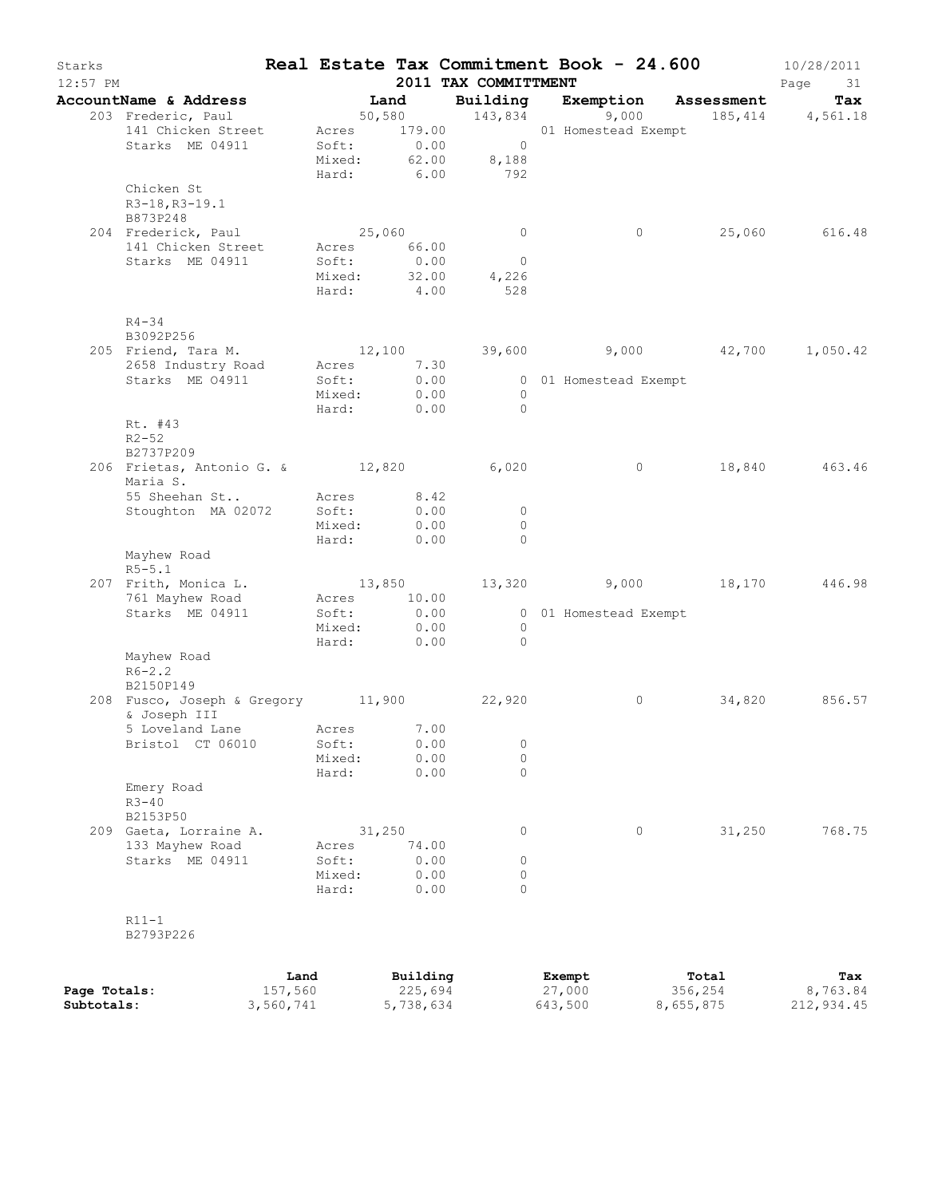| Starks<br>$12:57$ PM |                                           |           |        |             | 2011 TAX COMMITTMENT               | Real Estate Tax Commitment Book - 24.600      |           | 10/28/2011<br>Page<br>31 |
|----------------------|-------------------------------------------|-----------|--------|-------------|------------------------------------|-----------------------------------------------|-----------|--------------------------|
|                      | AccountName & Address                     |           | Land   |             |                                    | Building Exemption Assessment                 |           | Tax                      |
|                      | 203 Frederic, Paul                        |           |        |             |                                    | 50,580 143,834 9,000                          |           | 185, 414 4, 561. 18      |
|                      | 141 Chicken Street                        |           |        |             |                                    | Acres 179.00 01 Homestead Exempt              |           |                          |
|                      | Starks ME 04911                           |           |        |             | Soft: 0.00 0<br>Mixed: 62.00 8,188 |                                               |           |                          |
|                      |                                           |           |        |             |                                    |                                               |           |                          |
|                      |                                           |           |        |             | Hard: 6.00 792                     |                                               |           |                          |
|                      | Chicken St                                |           |        |             |                                    |                                               |           |                          |
|                      | R3-18, R3-19.1                            |           |        |             |                                    |                                               |           |                          |
|                      | B873P248                                  |           |        |             |                                    |                                               |           |                          |
|                      | 204 Frederick, Paul                       |           |        | 25,060      | $\overline{0}$                     | $\circ$                                       |           | 25,060 616.48            |
|                      | 141 Chicken Street Acres 66.00            |           |        |             |                                    |                                               |           |                          |
|                      | Starks ME 04911                           |           | Soft:  | 0.00        | $\overline{0}$                     |                                               |           |                          |
|                      |                                           |           |        |             | Mixed: 32.00 4,226                 |                                               |           |                          |
|                      |                                           |           |        | Hard: 4.00  | 528                                |                                               |           |                          |
|                      |                                           |           |        |             |                                    |                                               |           |                          |
|                      | $R4 - 34$                                 |           |        |             |                                    |                                               |           |                          |
|                      | B3092P256                                 |           |        |             |                                    |                                               |           |                          |
|                      | 205 Friend, Tara M.                       |           |        |             |                                    | $12,100$ $39,600$ $9,000$ $42,700$ $1,050.42$ |           |                          |
|                      | 2658 Industry Road                        |           |        | Acres 7.30  |                                    |                                               |           |                          |
|                      | Starks ME 04911                           |           | Soft:  | 0.00        |                                    | 0 01 Homestead Exempt                         |           |                          |
|                      |                                           |           |        | Mixed: 0.00 | $\overline{0}$                     |                                               |           |                          |
|                      |                                           |           |        | Hard: 0.00  | $\overline{0}$                     |                                               |           |                          |
|                      | Rt. #43                                   |           |        |             |                                    |                                               |           |                          |
|                      | $R2 - 52$                                 |           |        |             |                                    |                                               |           |                          |
|                      | B2737P209                                 |           |        |             |                                    |                                               |           |                          |
|                      | 206 Frietas, Antonio G. & 12,820 6,020    |           |        |             |                                    | $\overline{0}$                                |           | 18,840 463.46            |
|                      | Maria S.                                  |           |        |             |                                    |                                               |           |                          |
|                      | 55 Sheehan St                             |           |        | Acres 8.42  |                                    |                                               |           |                          |
|                      | Stoughton MA 02072                        |           | Soft:  | 0.00        | $\overline{0}$                     |                                               |           |                          |
|                      |                                           |           | Mixed: | 0.00        | $\circ$                            |                                               |           |                          |
|                      |                                           |           | Hard:  | 0.00        | $\bigcirc$                         |                                               |           |                          |
|                      | Mayhew Road                               |           |        |             |                                    |                                               |           |                          |
|                      | $R5 - 5.1$                                |           |        |             |                                    |                                               |           |                          |
|                      | 207 Frith, Monica L.                      |           |        |             |                                    | $13,850$ $13,320$ $9,000$ $18,170$            |           | 446.98                   |
|                      | 761 Mayhew Road                           |           |        | Acres 10.00 |                                    |                                               |           |                          |
|                      | Starks ME 04911                           |           | Soft:  | 0.00        |                                    | 0 01 Homestead Exempt                         |           |                          |
|                      |                                           |           |        | Mixed: 0.00 | $\overline{0}$                     |                                               |           |                          |
|                      |                                           |           |        | Hard: 0.00  | $\bigcirc$                         |                                               |           |                          |
|                      | Mayhew Road                               |           |        |             |                                    |                                               |           |                          |
|                      | $R6 - 2.2$                                |           |        |             |                                    |                                               |           |                          |
|                      | B2150P149                                 |           |        |             |                                    |                                               |           |                          |
|                      | 208 Fusco, Joseph & Gregory 11,900 22,920 |           |        |             |                                    | $\circ$                                       |           | 34,820 856.57            |
|                      | & Joseph III                              |           |        |             |                                    |                                               |           |                          |
|                      | 5 Loveland Lane Mcres 7.00                |           |        |             |                                    |                                               |           |                          |
|                      | Bristol CT 06010                          |           | Soft:  | 0.00        | 0                                  |                                               |           |                          |
|                      |                                           |           | Mixed: | 0.00        | 0                                  |                                               |           |                          |
|                      |                                           |           | Hard:  | 0.00        | $\Omega$                           |                                               |           |                          |
|                      | Emery Road                                |           |        |             |                                    |                                               |           |                          |
|                      | $R3 - 40$                                 |           |        |             |                                    |                                               |           |                          |
|                      | B2153P50                                  |           |        |             |                                    |                                               |           |                          |
|                      | 209 Gaeta, Lorraine A.                    |           | 31,250 |             | 0                                  | 0                                             | 31,250    | 768.75                   |
|                      | 133 Mayhew Road                           |           | Acres  | 74.00       |                                    |                                               |           |                          |
|                      | Starks ME 04911                           |           | Soft:  | 0.00        | 0                                  |                                               |           |                          |
|                      |                                           |           | Mixed: | 0.00        | 0                                  |                                               |           |                          |
|                      |                                           |           | Hard:  | 0.00        | $\Omega$                           |                                               |           |                          |
|                      |                                           |           |        |             |                                    |                                               |           |                          |
|                      | $R11-1$                                   |           |        |             |                                    |                                               |           |                          |
|                      | B2793P226                                 |           |        |             |                                    |                                               |           |                          |
|                      |                                           |           |        |             |                                    |                                               |           |                          |
|                      |                                           | Land      |        | Building    |                                    | Exempt                                        | Total     | Tax                      |
| Page Totals:         |                                           | 157,560   |        | 225,694     |                                    | 27,000                                        | 356,254   | 8,763.84                 |
| Subtotals:           |                                           | 3,560,741 |        | 5,738,634   |                                    | 643,500                                       | 8,655,875 | 212,934.45               |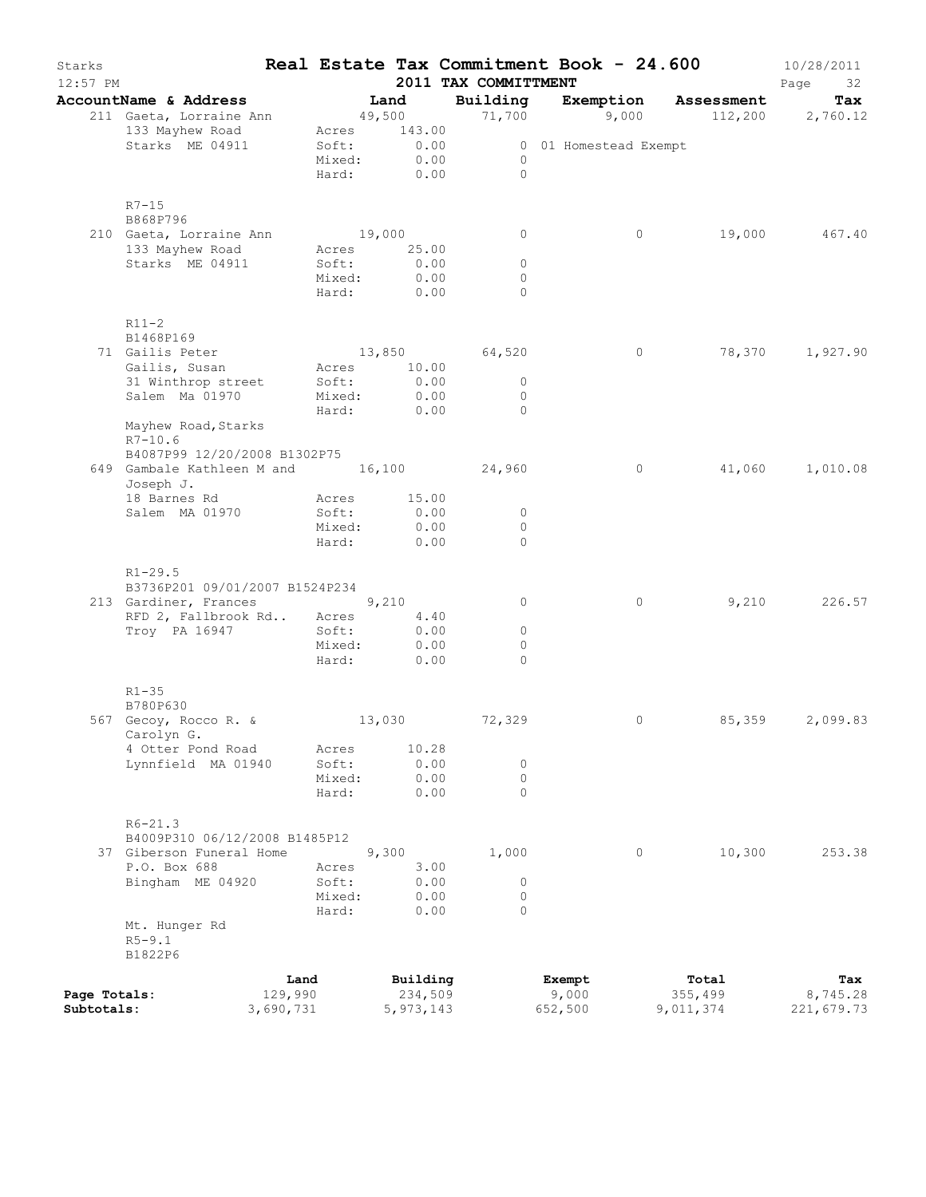| Starks<br>$12:57$ PM |                                          |           |                      |              | Real Estate Tax Commitment Book - 24.600<br>2011 TAX COMMITTMENT |         |                       |                                   | 10/28/2011<br>Page<br>32 |
|----------------------|------------------------------------------|-----------|----------------------|--------------|------------------------------------------------------------------|---------|-----------------------|-----------------------------------|--------------------------|
|                      | AccountName & Address                    |           | Land                 |              | Building                                                         |         |                       | Exemption Assessment              | Tax                      |
|                      | 211 Gaeta, Lorraine Ann                  |           | 49,500               |              |                                                                  |         |                       | $71,700$ 9,000 $112,200$ 2,760.12 |                          |
|                      | 133 Mayhew Road                          |           | Acres 143.00         |              |                                                                  |         |                       |                                   |                          |
|                      | Starks ME 04911                          |           | Soft:                | 0.00         |                                                                  |         | 0 01 Homestead Exempt |                                   |                          |
|                      |                                          |           | Mixed:               | 0.00         | $\overline{0}$                                                   |         |                       |                                   |                          |
|                      |                                          |           | Hard:                | 0.00         | $\bigcirc$                                                       |         |                       |                                   |                          |
|                      |                                          |           |                      |              |                                                                  |         |                       |                                   |                          |
|                      | $R7 - 15$<br>B868P796                    |           |                      |              |                                                                  |         |                       |                                   |                          |
|                      | 210 Gaeta, Lorraine Ann                  |           | 19,000               |              | $\circ$                                                          |         | $\circ$               | 19,000                            | 467.40                   |
|                      | 133 Mayhew Road                          |           | Acres 25.00          |              |                                                                  |         |                       |                                   |                          |
|                      | Starks ME 04911                          |           | Soft:                | 0.00         | $\circ$                                                          |         |                       |                                   |                          |
|                      |                                          |           | Mixed:               | 0.00         | $\circ$                                                          |         |                       |                                   |                          |
|                      |                                          |           | Hard: 0.00           |              | $\Omega$                                                         |         |                       |                                   |                          |
|                      |                                          |           |                      |              |                                                                  |         |                       |                                   |                          |
|                      | $R11-2$                                  |           |                      |              |                                                                  |         |                       |                                   |                          |
|                      | B1468P169                                |           |                      |              |                                                                  |         |                       |                                   |                          |
|                      | 71 Gailis Peter<br>Gailis, Susan         |           |                      |              | 13,850 64,520                                                    |         | $\circ$               |                                   | 78,370 1,927.90          |
|                      | 31 Winthrop street                       |           | Acres 10.00<br>Soft: | 0.00         | $\circ$                                                          |         |                       |                                   |                          |
|                      | Salem Ma 01970                           |           | Mixed:               | 0.00         | $\circ$                                                          |         |                       |                                   |                          |
|                      |                                          |           | Hard:                | 0.00         | $\bigcirc$                                                       |         |                       |                                   |                          |
|                      | Mayhew Road, Starks                      |           |                      |              |                                                                  |         |                       |                                   |                          |
|                      | $R7 - 10.6$                              |           |                      |              |                                                                  |         |                       |                                   |                          |
|                      | B4087P99 12/20/2008 B1302P75             |           |                      |              |                                                                  |         |                       |                                   |                          |
|                      | 649 Gambale Kathleen M and 16,100 24,960 |           |                      |              |                                                                  |         | $\circ$               |                                   | 41,060 1,010.08          |
|                      | Joseph J.                                |           |                      |              |                                                                  |         |                       |                                   |                          |
|                      | 18 Barnes Rd                             |           | Acres                | 15.00        |                                                                  |         |                       |                                   |                          |
|                      | Salem MA 01970                           |           | Soft:<br>Mixed:      | 0.00<br>0.00 | $\circ$<br>$\circ$                                               |         |                       |                                   |                          |
|                      |                                          |           | Hard:                | 0.00         | $\Omega$                                                         |         |                       |                                   |                          |
|                      |                                          |           |                      |              |                                                                  |         |                       |                                   |                          |
|                      | $R1 - 29.5$                              |           |                      |              |                                                                  |         |                       |                                   |                          |
|                      | B3736P201 09/01/2007 B1524P234           |           |                      |              |                                                                  |         |                       |                                   |                          |
|                      | 213 Gardiner, Frances 9,210              |           |                      |              | 0                                                                |         | $\circ$               | 9,210                             | 226.57                   |
|                      | RFD 2, Fallbrook Rd Acres                |           |                      | 4,40         |                                                                  |         |                       |                                   |                          |
|                      | Troy PA 16947                            |           | Soft:                | 0.00         | $\circ$                                                          |         |                       |                                   |                          |
|                      |                                          |           | Mixed:               | 0.00         | $\circ$                                                          |         |                       |                                   |                          |
|                      |                                          |           | Hard:                | 0.00         | $\Omega$                                                         |         |                       |                                   |                          |
|                      | $R1 - 35$                                |           |                      |              |                                                                  |         |                       |                                   |                          |
|                      | B780P630                                 |           |                      |              |                                                                  |         |                       |                                   |                          |
|                      | 567 Gecoy, Rocco R. &                    |           | 13,030               |              | 72,329                                                           |         | 0                     | 85,359                            | 2,099.83                 |
|                      | Carolyn G.                               |           |                      |              |                                                                  |         |                       |                                   |                          |
|                      | 4 Otter Pond Road                        |           | Acres                | 10.28        |                                                                  |         |                       |                                   |                          |
|                      | Lynnfield MA 01940                       |           | Soft:                | 0.00         | $\circ$                                                          |         |                       |                                   |                          |
|                      |                                          |           | Mixed:               | 0.00         | $\circ$                                                          |         |                       |                                   |                          |
|                      |                                          |           | Hard:                | 0.00         | $\Omega$                                                         |         |                       |                                   |                          |
|                      | $R6 - 21.3$                              |           |                      |              |                                                                  |         |                       |                                   |                          |
|                      | B4009P310 06/12/2008 B1485P12            |           |                      |              |                                                                  |         |                       |                                   |                          |
|                      | 37 Giberson Funeral Home                 |           |                      | 9,300        | 1,000                                                            |         | $\circ$               | 10,300                            | 253.38                   |
|                      | P.O. Box 688                             |           | Acres                | 3.00         |                                                                  |         |                       |                                   |                          |
|                      | Bingham ME 04920                         |           | Soft:                | 0.00         | $\circ$                                                          |         |                       |                                   |                          |
|                      |                                          |           | Mixed:               | 0.00         | $\circ$                                                          |         |                       |                                   |                          |
|                      |                                          |           | Hard:                | 0.00         | $\Omega$                                                         |         |                       |                                   |                          |
|                      | Mt. Hunger Rd                            |           |                      |              |                                                                  |         |                       |                                   |                          |
|                      | $R5 - 9.1$                               |           |                      |              |                                                                  |         |                       |                                   |                          |
|                      | B1822P6                                  |           |                      |              |                                                                  |         |                       |                                   |                          |
|                      |                                          | Land      |                      | Building     |                                                                  | Exempt  |                       | Total                             | Tax                      |
| Page Totals:         |                                          | 129,990   |                      | 234,509      |                                                                  | 9,000   |                       | 355,499                           | 8,745.28                 |
| Subtotals:           |                                          | 3,690,731 |                      | 5, 973, 143  |                                                                  | 652,500 |                       | 9,011,374                         | 221,679.73               |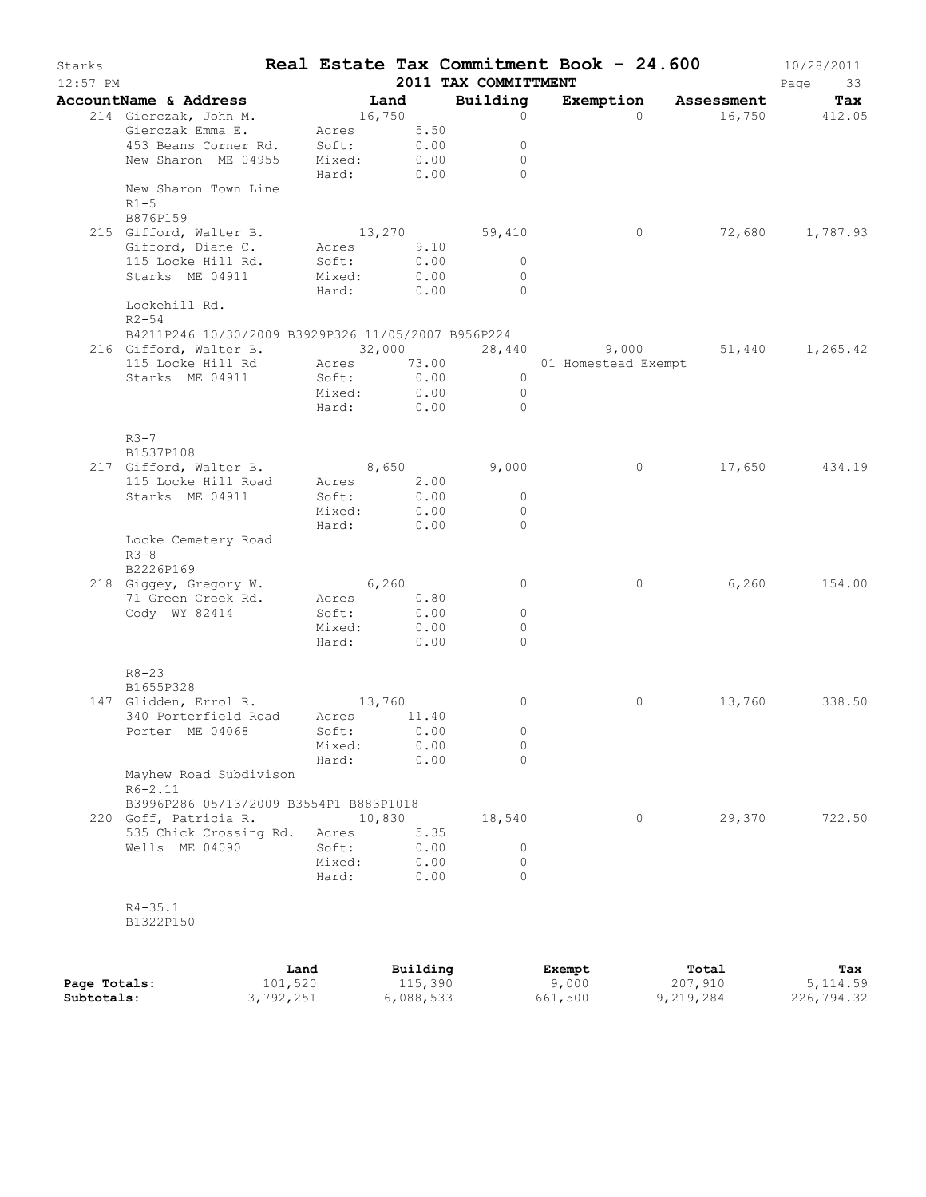| Starks     |                                                             |                          |                  |                      |                     | Real Estate Tax Commitment Book - 24.600 | 10/28/2011      |
|------------|-------------------------------------------------------------|--------------------------|------------------|----------------------|---------------------|------------------------------------------|-----------------|
| $12:57$ PM |                                                             |                          |                  | 2011 TAX COMMITTMENT |                     |                                          | Page<br>33      |
|            | AccountName & Address                                       | Land                     |                  | Building             |                     | Exemption Assessment                     | Tax             |
|            | 214 Gierczak, John M.<br>Gierczak Emma E. Acres 5.50        | 16,750                   |                  | $\circ$              | $\Omega$            |                                          | 16,750 412.05   |
|            |                                                             |                          |                  | $\circ$              |                     |                                          |                 |
|            | 453 Beans Corner Rd. Soft:<br>New Sharon ME 04955 Mixed:    |                          | $0.00$<br>$0.00$ | $\overline{0}$       |                     |                                          |                 |
|            |                                                             | Hard: 0.00               |                  | $\bigcap$            |                     |                                          |                 |
|            | New Sharon Town Line<br>$R1-5$                              |                          |                  |                      |                     |                                          |                 |
|            | B876P159                                                    |                          |                  |                      |                     |                                          |                 |
|            | 215 Gifford, Walter B.                                      |                          |                  | 13,270 59,410        | $\overline{0}$      |                                          | 72,680 1,787.93 |
|            | Gifford, Diane C. Acres 9.10                                | Soft:                    | 0.00             | $\overline{0}$       |                     |                                          |                 |
|            | 115 Locke Hill Rd.<br>Starks ME 04911                       | Mixed:                   | 0.00             | $\overline{0}$       |                     |                                          |                 |
|            |                                                             | Hard: 0.00               |                  | $\overline{0}$       |                     |                                          |                 |
|            | Lockehill Rd.<br>$R2 - 54$                                  |                          |                  |                      |                     |                                          |                 |
|            | B4211P246 10/30/2009 B3929P326 11/05/2007 B956P224          |                          |                  |                      |                     |                                          |                 |
|            | 216 Gifford, Walter B. 32,000 28,440 9,000 51,440 1,265.42  |                          |                  |                      |                     |                                          |                 |
|            | 115 Locke Hill Rd Acres 73.00<br>Starks ME 04911 Soft: 0.00 |                          |                  |                      | 01 Homestead Exempt |                                          |                 |
|            |                                                             |                          |                  | $\overline{0}$       |                     |                                          |                 |
|            |                                                             | Mixed: 0.00              |                  | $\overline{0}$       |                     |                                          |                 |
|            |                                                             | Hard: 0.00               |                  | $\bigcirc$           |                     |                                          |                 |
|            | $R3-7$<br>B1537P108                                         |                          |                  |                      |                     |                                          |                 |
|            | 217 Gifford, Walter B. 8,650                                |                          |                  | 9,000                | $\circ$             |                                          | 17,650 434.19   |
|            | 115 Locke Hill Road Acres 2.00                              |                          |                  |                      |                     |                                          |                 |
|            | Starks ME 04911                                             | Soft:                    | 0.00             | $\overline{0}$       |                     |                                          |                 |
|            |                                                             | Mixed: 0.00              |                  | $\Omega$             |                     |                                          |                 |
|            |                                                             | Hard:                    | 0.00             | $\bigcirc$           |                     |                                          |                 |
|            | Locke Cemetery Road<br>$R3-8$<br>B2226P169                  |                          |                  |                      |                     |                                          |                 |
|            | 218 Giggey, Gregory W. 6,260                                |                          |                  | $\circ$              | $\circ$             | 6,260                                    | 154.00          |
|            | 71 Green Creek Rd.                                          | Acres 0.80<br>Soft: 0.00 |                  |                      |                     |                                          |                 |
|            | Cody WY 82414                                               |                          |                  | $\overline{0}$       |                     |                                          |                 |
|            |                                                             | Mixed:                   | 0.00             | $\Omega$             |                     |                                          |                 |
|            |                                                             | Hard:                    | 0.00             | $\Omega$             |                     |                                          |                 |
|            | $R8 - 23$<br>B1655P328                                      |                          |                  |                      |                     |                                          |                 |
|            | 147 Glidden, Errol R. 13,760                                |                          |                  | $\circ$              | $\circ$             |                                          | 13,760 338.50   |
|            | 340 Porterfield Road Acres 11.40                            |                          |                  |                      |                     |                                          |                 |
|            | Porter ME 04068 Soft: 0.00                                  |                          |                  |                      |                     |                                          |                 |
|            |                                                             | Mixed:                   | 0.00             | $\circ$              |                     |                                          |                 |
|            | Mayhew Road Subdivison                                      | Hard:                    | 0.00             | $\Omega$             |                     |                                          |                 |
|            | $R6 - 2.11$<br>B3996P286 05/13/2009 B3554P1 B883P1018       |                          |                  |                      |                     |                                          |                 |
|            | 220 Goff, Patricia R.                                       |                          | 10,830           | 18,540               | $\circ$             | 29,370                                   | 722.50          |
|            | 535 Chick Crossing Rd.                                      | Acres                    | 5.35             |                      |                     |                                          |                 |
|            | Wells ME 04090                                              | Soft:                    | 0.00             | $\circ$              |                     |                                          |                 |
|            |                                                             | Mixed:                   | 0.00             | $\circ$              |                     |                                          |                 |
|            |                                                             | Hard:                    | 0.00             | $\Omega$             |                     |                                          |                 |
|            |                                                             |                          |                  |                      |                     |                                          |                 |
|            | $R4 - 35.1$<br>B1322P150                                    |                          |                  |                      |                     |                                          |                 |

|              | Land      | Building  | Exempt  | Total     | Tax        |
|--------------|-----------|-----------|---------|-----------|------------|
| Page Totals: | 101,520   | 115,390   | 9,000   | 207,910   | 5, 114.59  |
| Subtotals:   | 3,792,251 | 6,088,533 | 661,500 | 9,219,284 | 226,794.32 |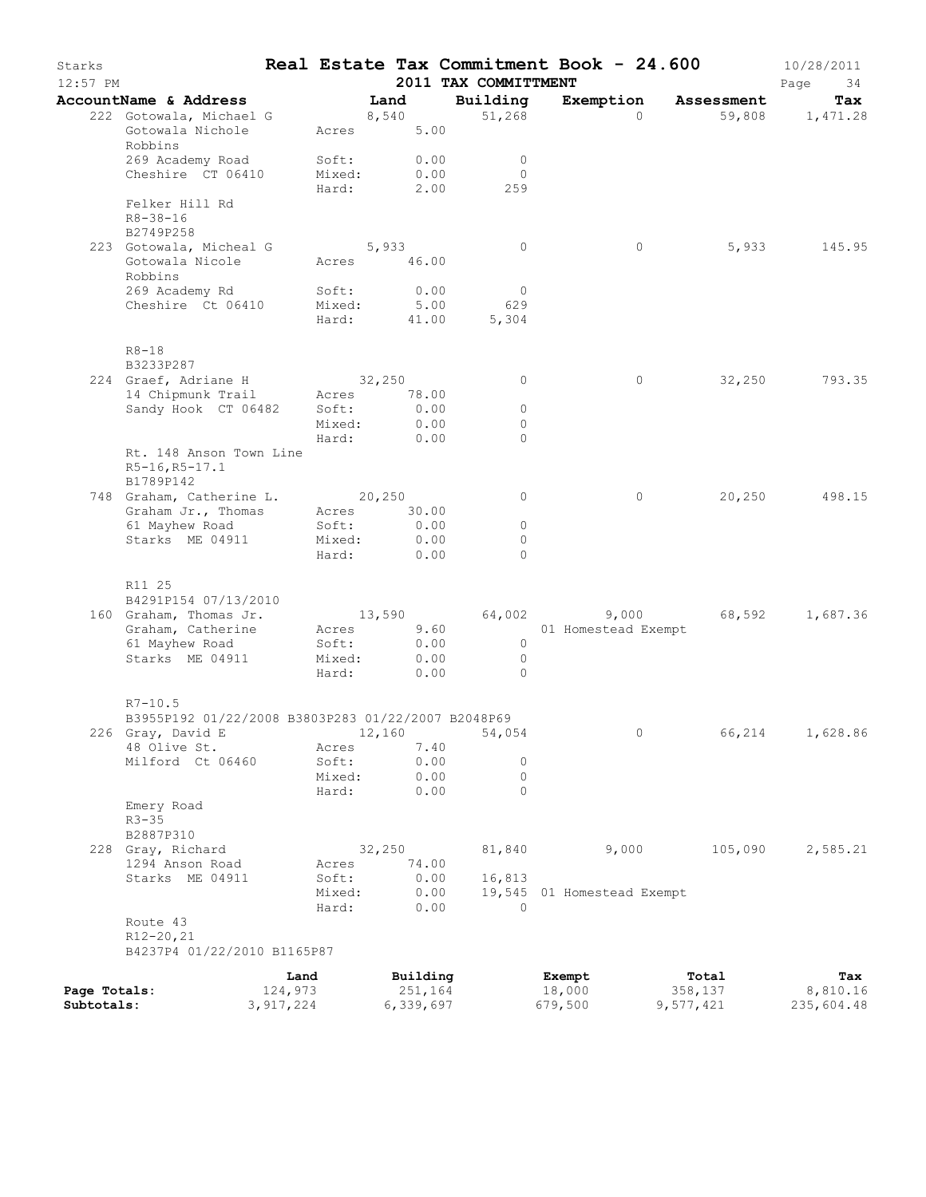| Starks<br>12:57 PM |                                                                   |                 |              | 2011 TAX COMMITTMENT  | Real Estate Tax Commitment Book - 24.600 |                      | 10/28/2011<br>Page<br>34 |
|--------------------|-------------------------------------------------------------------|-----------------|--------------|-----------------------|------------------------------------------|----------------------|--------------------------|
|                    | AccountName & Address                                             |                 | Land         | Building              |                                          | Exemption Assessment | Tax                      |
|                    | 222 Gotowala, Michael G                                           |                 | 8,540        | 51,268                |                                          | $\Omega$             | 59,808 1,471.28          |
|                    | Gotowala Nichole<br>Robbins                                       | Acres           | 5.00         |                       |                                          |                      |                          |
|                    | 269 Academy Road                                                  | Soft:           | 0.00         | $\overline{0}$        |                                          |                      |                          |
|                    | Cheshire CT 06410                                                 | Mixed:<br>Hard: | 0.00<br>2.00 | $\Omega$<br>259       |                                          |                      |                          |
|                    | Felker Hill Rd<br>$R8 - 38 - 16$<br>B2749P258                     |                 |              |                       |                                          |                      |                          |
|                    | 223 Gotowala, Micheal G                                           |                 | 5,933        | $\circ$               |                                          | 5,933<br>$\circ$     | 145.95                   |
|                    | Gotowala Nicole                                                   |                 | Acres 46.00  |                       |                                          |                      |                          |
|                    | Robbins                                                           |                 |              |                       |                                          |                      |                          |
|                    | 269 Academy Rd<br>Cheshire Ct 06410                               | Soft:<br>Mixed: | 0.00<br>5.00 | $\overline{0}$<br>629 |                                          |                      |                          |
|                    |                                                                   | Hard:           |              | 41.00<br>5,304        |                                          |                      |                          |
|                    | $R8-18$<br>B3233P287                                              |                 |              |                       |                                          |                      |                          |
|                    | 224 Graef, Adriane H                                              |                 | 32,250       | 0                     |                                          | $\circ$<br>32,250    | 793.35                   |
|                    | 14 Chipmunk Trail                                                 | Acres           | 78.00        |                       |                                          |                      |                          |
|                    | Sandy Hook CT 06482                                               | Soft:           | 0.00         | $\circ$               |                                          |                      |                          |
|                    |                                                                   | Mixed:          | 0.00         | 0                     |                                          |                      |                          |
|                    |                                                                   | Hard:           | 0.00         | $\bigcap$             |                                          |                      |                          |
|                    | Rt. 148 Anson Town Line<br>R5-16, R5-17.1<br>B1789P142            |                 |              |                       |                                          |                      |                          |
|                    | 748 Graham, Catherine L. 20,250                                   |                 |              | $\circ$               |                                          | 20,250<br>$\circ$    | 498.15                   |
|                    | Graham Jr., Thomas                                                |                 | Acres 30.00  |                       |                                          |                      |                          |
|                    | 61 Mayhew Road                                                    | Soft:           | 0.00         | $\circ$               |                                          |                      |                          |
|                    | Starks ME 04911                                                   | Mixed:          | 0.00         | 0                     |                                          |                      |                          |
|                    |                                                                   |                 | Hard: 0.00   | $\bigcap$             |                                          |                      |                          |
|                    | R11 25<br>B4291P154 07/13/2010                                    |                 |              |                       |                                          |                      |                          |
|                    | 160 Graham, Thomas Jr.                                            |                 | 13,590       | 64,002                |                                          | $9,000$ 68,592       | 1,687.36                 |
|                    | Graham, Catherine                                                 |                 | Acres 9.60   |                       | 01 Homestead Exempt                      |                      |                          |
|                    | 61 Mayhew Road                                                    | Soft:           | 0.00         | $\overline{0}$        |                                          |                      |                          |
|                    | Starks ME 04911                                                   | Mixed:          | 0.00         | $\overline{0}$        |                                          |                      |                          |
|                    |                                                                   | Hard:           | 0.00         | $\Omega$              |                                          |                      |                          |
|                    | $R7 - 10.5$<br>B3955P192 01/22/2008 B3803P283 01/22/2007 B2048P69 |                 |              |                       |                                          |                      |                          |
|                    | 226 Gray, David E 12,160 54,054                                   |                 |              |                       |                                          | 66,214               | 1,628.86                 |
|                    | 48 Olive St.                                                      | Acres           | 7.40         |                       |                                          |                      |                          |
|                    | Milford Ct 06460                                                  | Soft:           | 0.00         | 0                     |                                          |                      |                          |
|                    |                                                                   | Mixed:          | 0.00         | 0                     |                                          |                      |                          |
|                    |                                                                   | Hard:           | 0.00         | $\Omega$              |                                          |                      |                          |
|                    | Emery Road<br>$R3 - 35$<br>B2887P310                              |                 |              |                       |                                          |                      |                          |
|                    | 228 Gray, Richard                                                 |                 | 32,250       | 81,840                | 9,000                                    | 105,090              | 2,585.21                 |
|                    | 1294 Anson Road                                                   | Acres           | 74.00        |                       |                                          |                      |                          |
|                    | Starks ME 04911                                                   | Soft:           | 0.00         | 16,813                |                                          |                      |                          |
|                    |                                                                   | Mixed:          | 0.00         |                       | 19,545 01 Homestead Exempt               |                      |                          |
|                    |                                                                   | Hard:           | 0.00         | $\Omega$              |                                          |                      |                          |
|                    | Route 43<br>$R12 - 20, 21$<br>B4237P4 01/22/2010 B1165P87         |                 |              |                       |                                          |                      |                          |
|                    |                                                                   | Land            | Building     |                       | Exempt                                   | Total                | Tax                      |
| Page Totals:       |                                                                   | 124,973         | 251,164      |                       | 18,000                                   | 358,137              | 8,810.16                 |
| Subtotals:         |                                                                   | 3, 917, 224     | 6,339,697    |                       | 679,500                                  | 9,577,421            | 235,604.48               |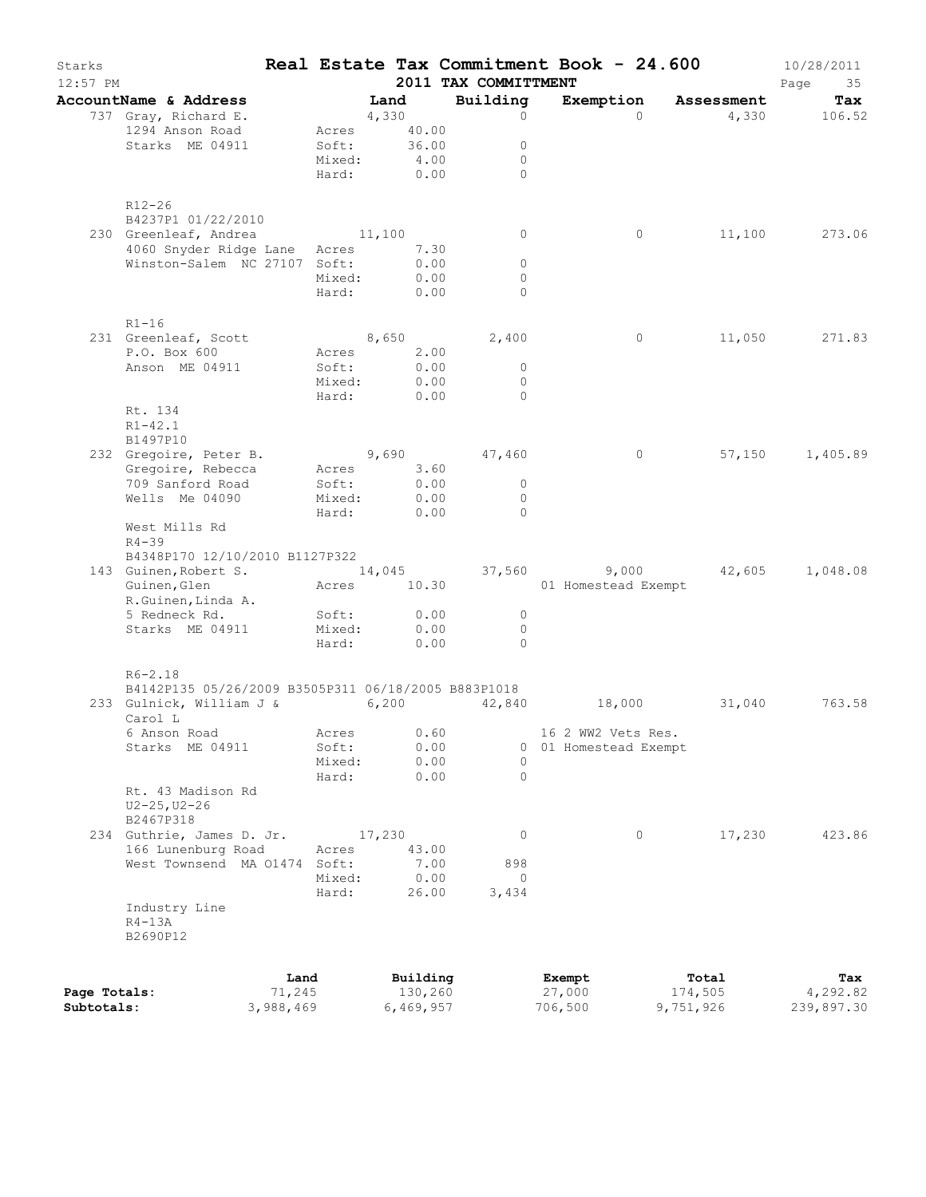| Starks<br>12:57 PM         |                                                                    |                     |                      | 2011 TAX COMMITTMENT             |                               | Real Estate Tax Commitment Book - 24.600 | 10/28/2011<br>Page<br>35 |
|----------------------------|--------------------------------------------------------------------|---------------------|----------------------|----------------------------------|-------------------------------|------------------------------------------|--------------------------|
|                            | AccountName & Address                                              |                     | Land                 | Building                         |                               | Exemption Assessment                     | Tax                      |
|                            | 737 Gray, Richard E.                                               |                     | 4,330                | $\circ$                          |                               | $\Omega$                                 | 4,330 106.52             |
|                            | 1294 Anson Road                                                    |                     | Acres 40.00          |                                  |                               |                                          |                          |
|                            | Starks ME 04911                                                    |                     | Soft: 36.00          | $\circ$                          |                               |                                          |                          |
|                            |                                                                    | Mixed:              | 4.00                 | $\circ$                          |                               |                                          |                          |
|                            |                                                                    |                     | Hard: 0.00           | $\bigcap$                        |                               |                                          |                          |
|                            | R12-26<br>B4237P1 01/22/2010                                       |                     |                      |                                  |                               |                                          |                          |
|                            | 230 Greenleaf, Andrea 11,100                                       |                     |                      | 0                                |                               | $\circ$                                  | 11,100 273.06            |
|                            | 4060 Snyder Ridge Lane Acres 7.30                                  |                     |                      |                                  |                               |                                          |                          |
|                            | Winston-Salem NC 27107 Soft:                                       |                     | 0.00                 | $\circ$                          |                               |                                          |                          |
|                            |                                                                    | Mixed:              | 0.00<br>Hard: 0.00   | $\circ$<br>$\Omega$              |                               |                                          |                          |
|                            |                                                                    |                     |                      |                                  |                               |                                          |                          |
|                            | $R1-16$<br>231 Greenleaf, Scott                                    |                     | 8,650                | 2,400                            |                               | $\circ$                                  | 11,050 271.83            |
|                            | P.O. Box 600                                                       | Acres               |                      |                                  |                               |                                          |                          |
|                            | Anson ME 04911                                                     | Soft:               | $2.00$<br>$0.00$     | $\overline{0}$                   |                               |                                          |                          |
|                            |                                                                    | Mixed:              | 0.00                 | $\overline{0}$                   |                               |                                          |                          |
|                            |                                                                    | Hard:               | 0.00                 | $\bigcirc$                       |                               |                                          |                          |
|                            | Rt. 134<br>$R1 - 42.1$                                             |                     |                      |                                  |                               |                                          |                          |
|                            | B1497P10                                                           |                     |                      |                                  |                               |                                          |                          |
|                            | 232 Gregoire, Peter B. 9,690 47,460                                |                     |                      |                                  |                               | $\overline{0}$                           | 57,150 1,405.89          |
|                            | Gregoire, Rebecca                                                  |                     | Acres 3.60           |                                  |                               |                                          |                          |
|                            | 709 Sanford Road                                                   | Soft:               | 0.00                 | $\overline{0}$                   |                               |                                          |                          |
|                            | Wells Me 04090                                                     | Mixed:<br>Hard:     | 0.00<br>0.00         | $\overline{0}$<br>$\bigcirc$     |                               |                                          |                          |
|                            | West Mills Rd<br>$R4 - 39$                                         |                     |                      |                                  |                               |                                          |                          |
|                            | B4348P170 12/10/2010 B1127P322                                     |                     |                      |                                  |                               |                                          |                          |
|                            | 143 Guinen, Robert S.                                              |                     |                      |                                  |                               | $14,045$ 37,560 9,000 42,605 1,048.08    |                          |
|                            | Guinen, Glen                                                       |                     | Acres 10.30          |                                  | 01 Homestead Exempt           |                                          |                          |
|                            | R.Guinen, Linda A.                                                 |                     |                      |                                  |                               |                                          |                          |
|                            | 5 Redneck Rd.                                                      | Soft:               | 0.00                 | $\overline{0}$                   |                               |                                          |                          |
|                            | Starks ME 04911                                                    |                     | Mixed: 0.00          | $\overline{0}$<br>$\overline{a}$ |                               |                                          |                          |
|                            |                                                                    |                     | Hard: 0.00           |                                  |                               |                                          |                          |
|                            | $R6 - 2.18$<br>B4142P135 05/26/2009 B3505P311 06/18/2005 B883P1018 |                     |                      |                                  |                               |                                          |                          |
|                            | 233 Gulnick, William J & 6,200 42,840 18,000 31,040<br>Carol L     |                     |                      |                                  |                               |                                          | 763.58                   |
|                            | 6 Anson Road                                                       |                     |                      |                                  | Acres 0.60 16 2 WW2 Vets Res. |                                          |                          |
|                            | Starks ME 04911                                                    | Soft:               |                      | 0.00<br>0                        | 01 Homestead Exempt           |                                          |                          |
|                            |                                                                    | Mixed:              |                      | 0.00<br>$\Omega$                 |                               |                                          |                          |
|                            |                                                                    | Hard:               |                      | 0.00<br>$\circ$                  |                               |                                          |                          |
|                            | Rt. 43 Madison Rd<br>$U2 - 25$ , $U2 - 26$<br>B2467P318            |                     |                      |                                  |                               |                                          |                          |
|                            | 234 Guthrie, James D. Jr.                                          |                     | 17,230               | 0                                |                               | $\circ$<br>17,230                        | 423.86                   |
|                            | 166 Lunenburg Road                                                 | Acres               | 43.00                |                                  |                               |                                          |                          |
|                            | West Townsend MA 01474                                             | Soft:               |                      | 898<br>7.00                      |                               |                                          |                          |
|                            |                                                                    | Mixed:              |                      | 0.00<br>$\circ$                  |                               |                                          |                          |
|                            |                                                                    | Hard:               | 26.00                | 3,434                            |                               |                                          |                          |
|                            | Industry Line<br>$R4-13A$<br>B2690P12                              |                     |                      |                                  |                               |                                          |                          |
|                            |                                                                    | Land                | Building             |                                  | Exempt                        | Total                                    | Tax                      |
| Page Totals:<br>Subtotals: |                                                                    | 71,245<br>3,988,469 | 130,260<br>6,469,957 |                                  | 27,000<br>706,500             | 174,505<br>9,751,926                     | 4,292.82<br>239,897.30   |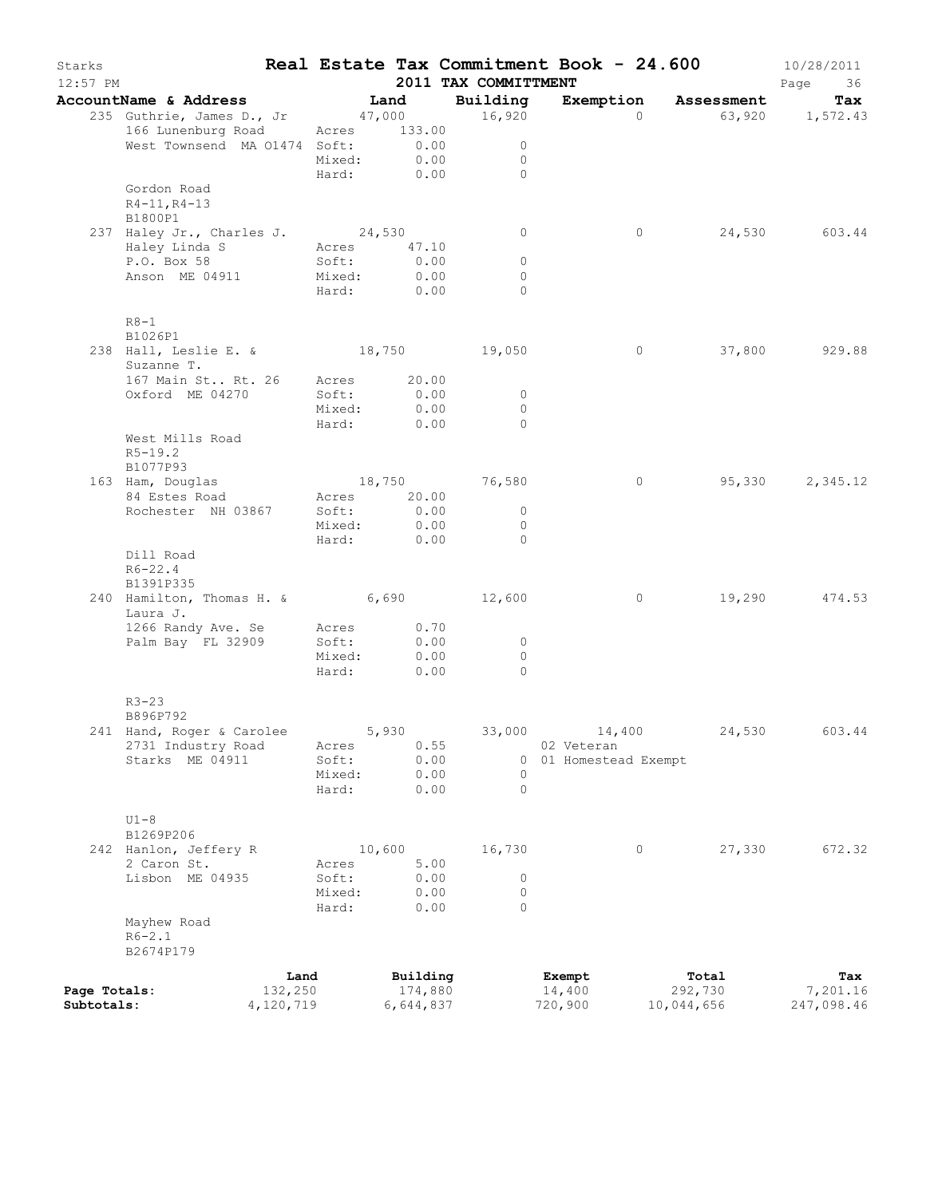| Starks<br>$12:57$ PM |                                                   |                 |                                                                                                                                                                                                                                                                                                           | 2011 TAX COMMITTMENT           | Real Estate Tax Commitment Book - 24.600 |                      | 10/28/2011<br>Page<br>36 |
|----------------------|---------------------------------------------------|-----------------|-----------------------------------------------------------------------------------------------------------------------------------------------------------------------------------------------------------------------------------------------------------------------------------------------------------|--------------------------------|------------------------------------------|----------------------|--------------------------|
|                      | AccountName & Address                             |                 | Land                                                                                                                                                                                                                                                                                                      | Building                       |                                          | Exemption Assessment | Tax                      |
|                      | 235 Guthrie, James D., Jr 47,000 16,920           |                 |                                                                                                                                                                                                                                                                                                           |                                | $\Omega$                                 |                      | 63,920 1,572.43          |
|                      | 166 Lunenburg Road                                |                 | Acres 133.00                                                                                                                                                                                                                                                                                              |                                |                                          |                      |                          |
|                      | West Townsend MA 01474 Soft: 0.00<br>Mixed: 0.00  |                 |                                                                                                                                                                                                                                                                                                           | $\overline{0}$                 |                                          |                      |                          |
|                      |                                                   |                 |                                                                                                                                                                                                                                                                                                           | $\overline{0}$<br>Hard: 0.00 0 |                                          |                      |                          |
|                      | Gordon Road                                       |                 |                                                                                                                                                                                                                                                                                                           |                                |                                          |                      |                          |
|                      | $R4 - 11, R4 - 13$                                |                 |                                                                                                                                                                                                                                                                                                           |                                |                                          |                      |                          |
|                      | B1800P1                                           |                 |                                                                                                                                                                                                                                                                                                           |                                |                                          |                      |                          |
|                      | 237 Haley Jr., Charles J. 24,530                  |                 |                                                                                                                                                                                                                                                                                                           | $\overline{0}$                 | $\circ$                                  |                      | 24,530 603.44            |
|                      | Haley Linda S                                     | Acres 47.10     |                                                                                                                                                                                                                                                                                                           |                                |                                          |                      |                          |
|                      | P.O. Box 58                                       | Soft:<br>Mixed: | 0.00<br>0.00                                                                                                                                                                                                                                                                                              | $\circ$                        |                                          |                      |                          |
|                      | Anson ME 04911                                    |                 | Hard: 0.00                                                                                                                                                                                                                                                                                                | $\circ$<br>$\Omega$            |                                          |                      |                          |
|                      | $R8-1$                                            |                 |                                                                                                                                                                                                                                                                                                           |                                |                                          |                      |                          |
|                      | B1026P1                                           |                 |                                                                                                                                                                                                                                                                                                           |                                |                                          |                      |                          |
|                      | 238 Hall, Leslie E. & 18,750 19,050<br>Suzanne T. |                 |                                                                                                                                                                                                                                                                                                           |                                | $\overline{0}$                           |                      | 37,800 929.88            |
|                      | 167 Main St., Rt. 26 Acres 20.00                  |                 |                                                                                                                                                                                                                                                                                                           |                                |                                          |                      |                          |
|                      | Oxford ME 04270                                   | Soft:           | 0.00                                                                                                                                                                                                                                                                                                      | $\overline{\phantom{0}}$       |                                          |                      |                          |
|                      |                                                   | Mixed:          | 0.00<br>Hard: 0.00                                                                                                                                                                                                                                                                                        | $\overline{0}$<br>$\bigcirc$   |                                          |                      |                          |
|                      | West Mills Road                                   |                 |                                                                                                                                                                                                                                                                                                           |                                |                                          |                      |                          |
|                      | $R5-19.2$                                         |                 |                                                                                                                                                                                                                                                                                                           |                                |                                          |                      |                          |
|                      | B1077P93                                          |                 |                                                                                                                                                                                                                                                                                                           |                                |                                          |                      |                          |
|                      | 163 Ham, Douglas                                  |                 |                                                                                                                                                                                                                                                                                                           | 18,750 76,580                  | $\circ$                                  |                      | 95,330 2,345.12          |
|                      | 84 Estes Road                                     |                 | Acres 20.00                                                                                                                                                                                                                                                                                               |                                |                                          |                      |                          |
|                      | Rochester NH 03867                                |                 | Soft: 0.00                                                                                                                                                                                                                                                                                                | $\overline{0}$                 |                                          |                      |                          |
|                      |                                                   |                 |                                                                                                                                                                                                                                                                                                           | $\overline{0}$<br>$\bigcirc$   |                                          |                      |                          |
|                      | Dill Road                                         |                 | $rac{1}{2}$ $rac{1}{2}$ $rac{1}{2}$ $rac{1}{2}$ $rac{1}{2}$ $rac{1}{2}$ $rac{1}{2}$ $rac{1}{2}$ $rac{1}{2}$ $rac{1}{2}$ $rac{1}{2}$ $rac{1}{2}$ $rac{1}{2}$ $rac{1}{2}$ $rac{1}{2}$ $rac{1}{2}$ $rac{1}{2}$ $rac{1}{2}$ $rac{1}{2}$ $rac{1}{2}$ $rac{1}{2}$ $rac{1}{2}$ $rac{1}{2}$ $rac{1}{2}$ $rac{1}{$ |                                |                                          |                      |                          |
|                      | $R6 - 22.4$                                       |                 |                                                                                                                                                                                                                                                                                                           |                                |                                          |                      |                          |
|                      | B1391P335                                         |                 |                                                                                                                                                                                                                                                                                                           |                                |                                          |                      |                          |
|                      | 240 Hamilton, Thomas H. & 6,690 12,600            |                 |                                                                                                                                                                                                                                                                                                           |                                | $\overline{0}$                           |                      | 19,290 474.53            |
|                      | Laura J.                                          |                 |                                                                                                                                                                                                                                                                                                           |                                |                                          |                      |                          |
|                      | 1266 Randy Ave. Se                                | Acres           | 0.70                                                                                                                                                                                                                                                                                                      |                                |                                          |                      |                          |
|                      | Palm Bay FL 32909                                 | Soft:           | 0.00                                                                                                                                                                                                                                                                                                      | $\overline{0}$                 |                                          |                      |                          |
|                      |                                                   | Mixed:          | 0.00<br>Hard: 0.00                                                                                                                                                                                                                                                                                        | $\circ$<br>$\bigcirc$          |                                          |                      |                          |
|                      |                                                   |                 |                                                                                                                                                                                                                                                                                                           |                                |                                          |                      |                          |
|                      | $R3 - 23$                                         |                 |                                                                                                                                                                                                                                                                                                           |                                |                                          |                      |                          |
|                      | B896P792                                          |                 |                                                                                                                                                                                                                                                                                                           |                                |                                          |                      |                          |
|                      | 241 Hand, Roger & Carolee 5,930                   |                 |                                                                                                                                                                                                                                                                                                           | 33,000                         | 14,400                                   | 24,530               | 603.44                   |
|                      | 2731 Industry Road                                | Acres           | 0.55                                                                                                                                                                                                                                                                                                      |                                | 02 Veteran                               |                      |                          |
|                      | Starks ME 04911                                   | Soft:           | 0.00                                                                                                                                                                                                                                                                                                      |                                | 0 01 Homestead Exempt                    |                      |                          |
|                      |                                                   | Mixed:          | 0.00                                                                                                                                                                                                                                                                                                      | 0                              |                                          |                      |                          |
|                      |                                                   | Hard:           | 0.00                                                                                                                                                                                                                                                                                                      | $\Omega$                       |                                          |                      |                          |
|                      | $U1-8$                                            |                 |                                                                                                                                                                                                                                                                                                           |                                |                                          |                      |                          |
|                      | B1269P206                                         |                 |                                                                                                                                                                                                                                                                                                           |                                |                                          |                      |                          |
|                      | 242 Hanlon, Jeffery R                             |                 | 10,600                                                                                                                                                                                                                                                                                                    | 16,730                         | 0                                        | 27,330               | 672.32                   |
|                      | 2 Caron St.                                       | Acres           | 5.00                                                                                                                                                                                                                                                                                                      |                                |                                          |                      |                          |
|                      | Lisbon ME 04935                                   | Soft:           | 0.00                                                                                                                                                                                                                                                                                                      | 0                              |                                          |                      |                          |
|                      |                                                   | Mixed:          | 0.00                                                                                                                                                                                                                                                                                                      | $\circ$                        |                                          |                      |                          |
|                      |                                                   | Hard:           | 0.00                                                                                                                                                                                                                                                                                                      | $\Omega$                       |                                          |                      |                          |
|                      | Mayhew Road<br>$R6 - 2.1$                         |                 |                                                                                                                                                                                                                                                                                                           |                                |                                          |                      |                          |
|                      | B2674P179                                         |                 |                                                                                                                                                                                                                                                                                                           |                                |                                          |                      |                          |
|                      |                                                   |                 |                                                                                                                                                                                                                                                                                                           |                                |                                          |                      |                          |
| Page Totals:         |                                                   | Land            | Building<br>174,880                                                                                                                                                                                                                                                                                       |                                | Exempt<br>14,400                         | Total<br>292,730     | Tax<br>7,201.16          |
| Subtotals:           | 132,250<br>4,120,719                              |                 | 6,644,837                                                                                                                                                                                                                                                                                                 |                                | 720,900                                  | 10,044,656           | 247,098.46               |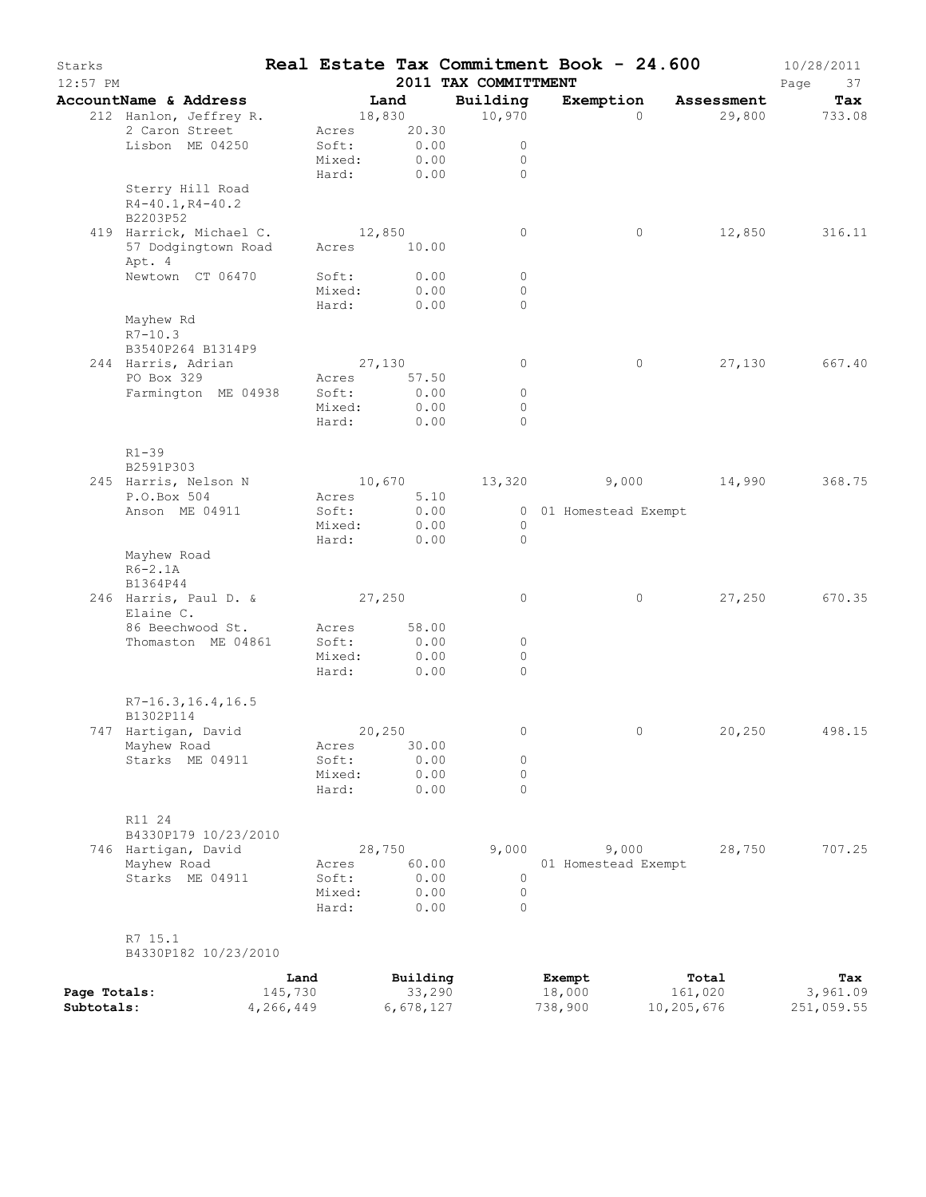| Starks<br>12:57 PM |                                                        |                |                | 2011 TAX COMMITTMENT | Real Estate Tax Commitment Book - 24.600 |                | 10/28/2011<br>Page<br>37 |
|--------------------|--------------------------------------------------------|----------------|----------------|----------------------|------------------------------------------|----------------|--------------------------|
|                    | AccountName & Address                                  |                | Land           | Building             | Exemption                                | Assessment     | Tax                      |
|                    | 212 Hanlon, Jeffrey R.                                 |                | 18,830         | 10,970               | $\Omega$                                 | 29,800         | 733.08                   |
|                    | 2 Caron Street                                         | Acres          | 20.30          |                      |                                          |                |                          |
|                    | Lisbon ME 04250                                        | Soft:          | 0.00           | 0                    |                                          |                |                          |
|                    |                                                        | Mixed:         | 0.00           | 0                    |                                          |                |                          |
|                    |                                                        | Hard:          | 0.00           | $\Omega$             |                                          |                |                          |
|                    | Sterry Hill Road<br>$R4 - 40.1, R4 - 40.2$<br>B2203P52 |                |                |                      |                                          |                |                          |
|                    | 419 Harrick, Michael C.                                |                | 12,850         | 0                    | $\circ$                                  | 12,850         | 316.11                   |
|                    | 57 Dodgingtown Road<br>Apt. 4                          | Acres          | 10.00          |                      |                                          |                |                          |
|                    | Newtown CT 06470                                       | Soft:          | 0.00           | 0                    |                                          |                |                          |
|                    |                                                        | Mixed:         | 0.00           | $\circ$              |                                          |                |                          |
|                    |                                                        | Hard:          | 0.00           | $\circ$              |                                          |                |                          |
|                    | Mayhew Rd                                              |                |                |                      |                                          |                |                          |
|                    | $R7 - 10.3$<br>B3540P264 B1314P9                       |                |                |                      |                                          |                |                          |
|                    | 244 Harris, Adrian                                     |                | 27,130         | 0                    | 0                                        | 27,130         | 667.40                   |
|                    | PO Box 329                                             | Acres          | 57.50          |                      |                                          |                |                          |
|                    | Farmington ME 04938                                    | Soft:          | 0.00           | $\circ$              |                                          |                |                          |
|                    |                                                        | Mixed:         | 0.00           | $\circ$              |                                          |                |                          |
|                    |                                                        | Hard:          | 0.00           | $\Omega$             |                                          |                |                          |
|                    | $R1 - 39$                                              |                |                |                      |                                          |                |                          |
|                    | B2591P303                                              |                |                |                      |                                          |                |                          |
|                    | 245 Harris, Nelson N<br>P.O.Box 504                    |                | 10,670<br>5.10 | 13,320               |                                          | $9,000$ 14,990 | 368.75                   |
|                    | Anson ME 04911                                         | Acres<br>Soft: | 0.00           |                      | 0 01 Homestead Exempt                    |                |                          |
|                    |                                                        | Mixed:         | 0.00           | $\circ$              |                                          |                |                          |
|                    |                                                        | Hard:          | 0.00           | $\circ$              |                                          |                |                          |
|                    | Mayhew Road<br>$R6-2.1A$                               |                |                |                      |                                          |                |                          |
|                    | B1364P44                                               |                |                |                      |                                          |                |                          |
|                    | 246 Harris, Paul D. &<br>Elaine C.                     | 27,250         |                | 0                    | 0                                        | 27,250         | 670.35                   |
|                    | 86 Beechwood St.                                       | Acres          | 58.00          |                      |                                          |                |                          |
|                    | Thomaston ME 04861                                     | Soft:          | 0.00           | 0                    |                                          |                |                          |
|                    |                                                        | Mixed:         | 0.00           | $\circ$              |                                          |                |                          |
|                    |                                                        | Hard:          | 0.00           | $\Omega$             |                                          |                |                          |
|                    | $R7-16.3, 16.4, 16.5$<br>B1302P114                     |                |                |                      |                                          |                |                          |
|                    | 747 Hartigan, David                                    |                | 20,250         |                      | 0                                        | 20,250         | 498.15                   |
|                    | Mayhew Road                                            | Acres          | 30.00          |                      |                                          |                |                          |
|                    | Starks ME 04911                                        | Soft:          | 0.00           | 0                    |                                          |                |                          |
|                    |                                                        | Mixed:         | 0.00           | 0                    |                                          |                |                          |
|                    |                                                        | Hard:          | 0.00           | $\Omega$             |                                          |                |                          |
|                    | R11 24                                                 |                |                |                      |                                          |                |                          |
|                    | B4330P179 10/23/2010                                   |                |                |                      |                                          |                |                          |
|                    | 746 Hartigan, David                                    |                | 28,750         | 9,000                | 9,000                                    | 28,750         | 707.25                   |
|                    | Mayhew Road                                            | Acres          | 60.00          |                      | 01 Homestead Exempt                      |                |                          |
|                    | Starks ME 04911                                        | Soft:          | 0.00           | 0                    |                                          |                |                          |
|                    |                                                        | Mixed:         | 0.00           | $\circ$              |                                          |                |                          |
|                    |                                                        | Hard:          | 0.00           | $\Omega$             |                                          |                |                          |
|                    | R7 15.1<br>B4330P182 10/23/2010                        |                |                |                      |                                          |                |                          |
|                    |                                                        | Land           | Building       |                      | Exempt                                   | Total          | Tax                      |
| Page Totals:       |                                                        | 145,730        | 33,290         |                      | 18,000                                   | 161,020        | 3,961.09                 |
| Subtotals:         | 4,266,449                                              |                | 6,678,127      |                      | 738,900                                  | 10,205,676     | 251,059.55               |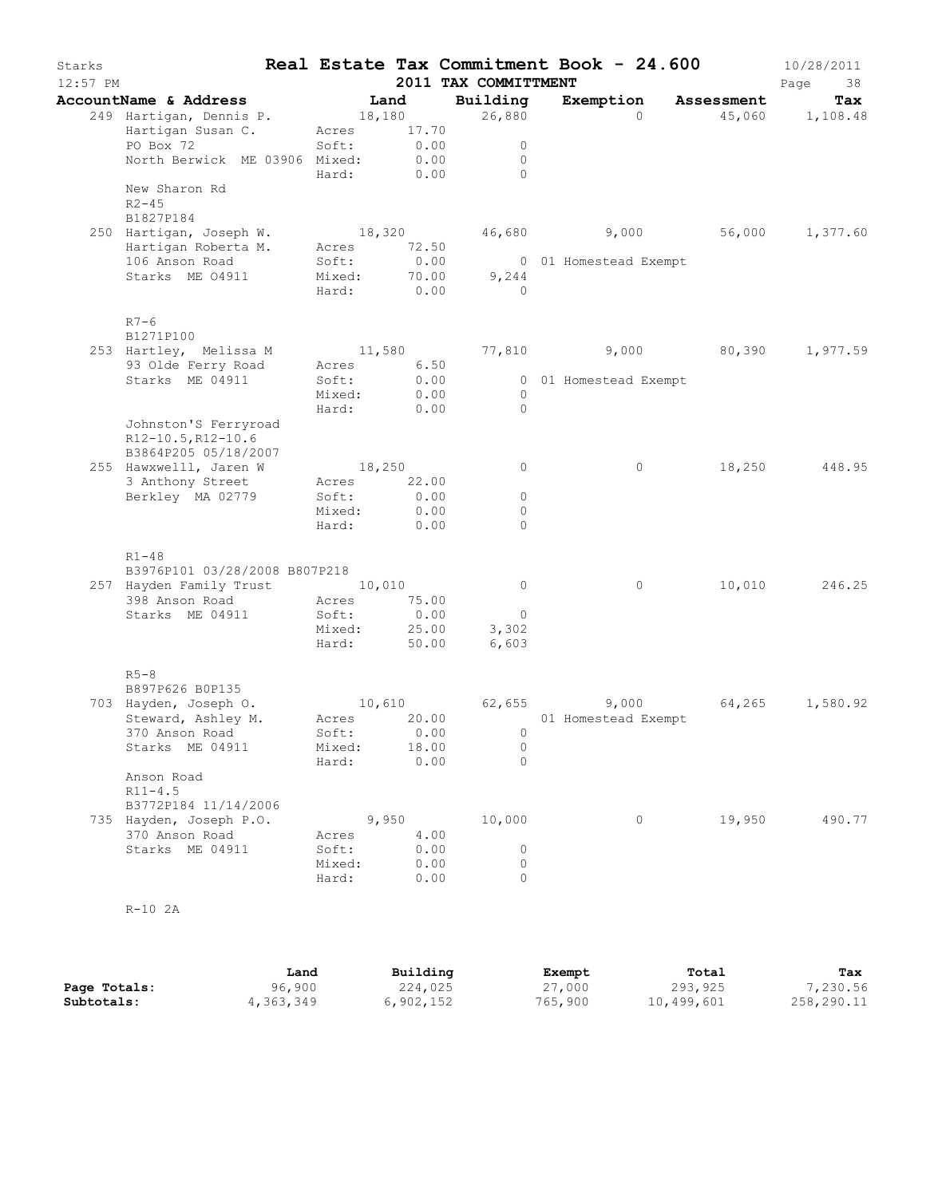| Starks<br>$12:57$ PM |                                            |             |       | 2011 TAX COMMITTMENT | Real Estate Tax Commitment Book - 24.600 |            | 10/28/2011<br>Page<br>38 |
|----------------------|--------------------------------------------|-------------|-------|----------------------|------------------------------------------|------------|--------------------------|
|                      | AccountName & Address                      |             | Land  | Building             | Exemption                                | Assessment | Tax                      |
|                      | 249 Hartigan, Dennis P.                    | 18,180      |       | 26,880               | $\Omega$                                 |            | 45,060 1,108.48          |
|                      | Hartigan Susan C.                          | Acres 17.70 |       |                      |                                          |            |                          |
|                      | PO Box 72                                  | Soft:       | 0.00  | $\circ$              |                                          |            |                          |
|                      | North Berwick ME 03906 Mixed:              | Hard: 0.00  | 0.00  | $\circ$<br>$\bigcap$ |                                          |            |                          |
|                      | New Sharon Rd                              |             |       |                      |                                          |            |                          |
|                      | $R2 - 45$                                  |             |       |                      |                                          |            |                          |
|                      | B1827P184                                  |             |       |                      |                                          |            |                          |
|                      | 250 Hartigan, Joseph W.                    | 18,320      |       |                      | 46,680 9,000 56,000 1,377.60             |            |                          |
|                      | Hartigan Roberta M.                        | Acres       | 72.50 |                      |                                          |            |                          |
|                      | 106 Anson Road                             | Soft:       | 0.00  |                      | 0 01 Homestead Exempt                    |            |                          |
|                      | Starks ME 04911                            | Mixed:      |       | 70.00<br>9,244       |                                          |            |                          |
|                      |                                            | Hard: 0.00  |       | $\overline{0}$       |                                          |            |                          |
|                      | $R7-6$                                     |             |       |                      |                                          |            |                          |
|                      | B1271P100                                  |             |       |                      |                                          |            |                          |
|                      | 253 Hartley, Melissa M                     | 11,580      |       |                      | 77,810 9,000 80,390                      |            | 1,977.59                 |
|                      | 93 Olde Ferry Road                         | Acres 6.50  |       |                      |                                          |            |                          |
|                      | Starks ME 04911                            | Soft:       | 0.00  |                      | 0 01 Homestead Exempt                    |            |                          |
|                      |                                            | Mixed:      | 0.00  | $\overline{0}$       |                                          |            |                          |
|                      |                                            | Hard:       | 0.00  | $\bigcirc$           |                                          |            |                          |
|                      | Johnston'S Ferryroad<br>R12-10.5, R12-10.6 |             |       |                      |                                          |            |                          |
|                      | B3864P205 05/18/2007                       |             |       |                      |                                          |            |                          |
|                      | 255 Hawxwelll, Jaren W                     | 18,250      |       | $\circ$              | $\circ$                                  | 18,250     | 448.95                   |
|                      | 3 Anthony Street                           | Acres       | 22.00 |                      |                                          |            |                          |
|                      | Berkley MA 02779                           | Soft:       | 0.00  | $\circ$              |                                          |            |                          |
|                      |                                            | Mixed:      | 0.00  | $\Omega$             |                                          |            |                          |
|                      |                                            | Hard:       | 0.00  | $\circ$              |                                          |            |                          |
|                      | $R1 - 48$                                  |             |       |                      |                                          |            |                          |
|                      | B3976P101 03/28/2008 B807P218              |             |       |                      |                                          |            |                          |
|                      | 257 Hayden Family Trust 10,010             |             |       | $\overline{0}$       | $\circ$                                  | 10,010     | 246.25                   |
|                      | 398 Anson Road                             | Acres       | 75.00 |                      |                                          |            |                          |
|                      | Starks ME 04911                            | Soft:       | 0.00  | $\overline{0}$       |                                          |            |                          |
|                      |                                            | Mixed:      |       | 25.00<br>3,302       |                                          |            |                          |
|                      |                                            | Hard:       | 50.00 | 6,603                |                                          |            |                          |
|                      | $R5-8$                                     |             |       |                      |                                          |            |                          |
|                      | B897P626 B0P135                            |             |       |                      |                                          |            |                          |
|                      | 703 Hayden, Joseph O.                      |             |       | 10,610 62,655        | 9,000                                    |            | 64,265 1,580.92          |
|                      | Steward, Ashley M.                         |             |       |                      | Acres 20.00 01 Homestead Exempt          |            |                          |
|                      | 370 Anson Road                             | Soft: 0.00  |       | $\overline{0}$       |                                          |            |                          |
|                      | Starks ME 04911                            | Mixed:      | 18.00 | 0                    |                                          |            |                          |
|                      |                                            | Hard:       | 0.00  | 0                    |                                          |            |                          |
|                      | Anson Road<br>$R11 - 4.5$                  |             |       |                      |                                          |            |                          |
|                      | B3772P184 11/14/2006                       |             |       |                      |                                          |            |                          |
|                      | 735 Hayden, Joseph P.O.                    |             | 9,950 | 10,000               | $\circ$                                  | 19,950     | 490.77                   |
|                      | 370 Anson Road                             | Acres       | 4.00  |                      |                                          |            |                          |
|                      | Starks ME 04911                            | Soft:       | 0.00  | $\circ$              |                                          |            |                          |
|                      |                                            | Mixed:      | 0.00  | 0                    |                                          |            |                          |
|                      |                                            | Hard:       | 0.00  | 0                    |                                          |            |                          |
|                      | $R-10$ 2A                                  |             |       |                      |                                          |            |                          |
|                      |                                            |             |       |                      |                                          |            |                          |
|                      |                                            |             |       |                      |                                          |            |                          |
|                      |                                            |             |       |                      |                                          |            |                          |
|                      |                                            |             |       |                      |                                          |            |                          |

|              | Land      | Building  | Exempt  | Total      | Tax        |
|--------------|-----------|-----------|---------|------------|------------|
| Page Totals: | 96,900    | 224,025   | 27,000  | 293,925    | 7,230.56   |
| Subtotals:   | 4,363,349 | 6,902,152 | 765,900 | 10,499,601 | 258,290.11 |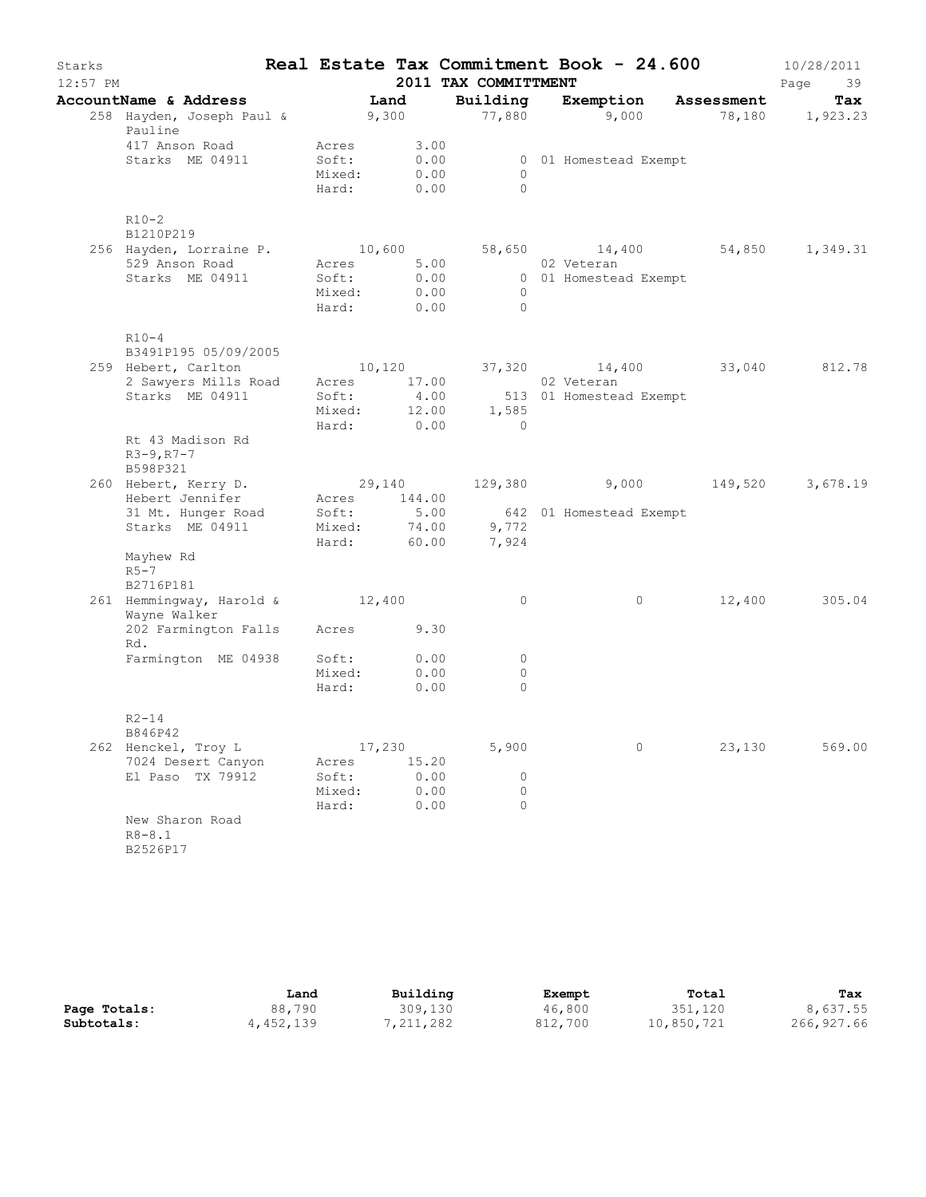| Starks<br>$12:57$ PM |                                                        |                                             |              |              | 2011 TAX COMMITTMENT                                 | Real Estate Tax Commitment Book - 24.600     |        | 10/28/2011<br>Page<br>39 |
|----------------------|--------------------------------------------------------|---------------------------------------------|--------------|--------------|------------------------------------------------------|----------------------------------------------|--------|--------------------------|
|                      | AccountName & Address                                  |                                             | Land         |              | Building                                             | Exemption Assessment                         |        | Tax                      |
|                      | 258 Hayden, Joseph Paul & 9,300<br>Pauline             |                                             |              |              |                                                      | 77,880 9,000 78,180 1,923.23                 |        |                          |
|                      | 417 Anson Road<br>Starks ME 04911                      | Acres<br>Soft:<br>Mixed: 0.00<br>Hard: 0.00 | 3.00<br>0.00 |              | $\bigcirc$<br>$\bigcirc$                             | 0 01 Homestead Exempt                        |        |                          |
|                      | $R10-2$<br>B1210P219                                   |                                             |              |              |                                                      |                                              |        |                          |
|                      | 256 Hayden, Lorraine P. 10,600                         |                                             |              |              | 58,650                                               |                                              |        | 14,400 54,850 1,349.31   |
|                      | 529 Anson Road                                         | Acres                                       |              |              | 5.00                                                 | 02 Veteran                                   |        |                          |
|                      | Starks ME 04911                                        | Soft:                                       | 0.00         |              |                                                      | 0 01 Homestead Exempt                        |        |                          |
|                      |                                                        | Mixed:                                      | 0.00         |              | $\overline{0}$                                       |                                              |        |                          |
|                      |                                                        | Hard:                                       | 0.00         |              | $\bigcirc$                                           |                                              |        |                          |
|                      | $R10-4$<br>B3491P195 05/09/2005                        |                                             |              |              |                                                      |                                              |        |                          |
|                      | 259 Hebert, Carlton                                    |                                             |              |              |                                                      | $10,120$ $37,320$ $14,400$ $33,040$ $812.78$ |        |                          |
|                      | 2 Sawyers Mills Road                                   |                                             |              |              | Acres 17.00 02 Veteran<br>Soft: 4.00 513 01 Homestea |                                              |        |                          |
|                      | Starks ME 04911                                        |                                             |              |              | Mixed: 12.00 1,585                                   | 513 01 Homestead Exempt                      |        |                          |
|                      |                                                        |                                             |              |              | Hard: 0.00 0                                         |                                              |        |                          |
|                      | Rt 43 Madison Rd<br>$R3 - 9, R7 - 7$<br>B598P321       |                                             |              |              |                                                      |                                              |        |                          |
|                      | 260 Hebert, Kerry D.                                   | 29,140                                      |              |              |                                                      | 129,380 9,000 149,520 3,678.19               |        |                          |
|                      | Hebert Jennifer                                        | Acres 144.00                                |              |              |                                                      |                                              |        |                          |
|                      | 31 Mt. Hunger Road                                     | Soft:                                       |              |              |                                                      | 5.00 642 01 Homestead Exempt                 |        |                          |
|                      | Starks ME 04911                                        | Hard: 60.00                                 |              |              | Mixed: 74.00 9,772<br>7,924                          |                                              |        |                          |
|                      | Mayhew Rd<br>$R5-7$<br>B2716P181                       |                                             |              |              |                                                      |                                              |        |                          |
|                      | 261 Hemmingway, Harold & 12,400                        |                                             |              |              | $\circ$                                              | $\circ$                                      | 12,400 | 305.04                   |
|                      | Wayne Walker<br>202 Farmington Falls Acres 9.30<br>Rd. |                                             |              |              |                                                      |                                              |        |                          |
|                      | Farmington ME 04938                                    | Soft: 0.00                                  |              |              | $\circ$                                              |                                              |        |                          |
|                      |                                                        | Mixed:                                      | 0.00         |              | $\circ$                                              |                                              |        |                          |
|                      |                                                        | Hard:                                       |              | 0.00         | $\circ$                                              |                                              |        |                          |
|                      | $R2 - 14$                                              |                                             |              |              |                                                      |                                              |        |                          |
|                      | B846P42                                                |                                             |              |              |                                                      |                                              |        |                          |
|                      | 262 Henckel, Troy L                                    |                                             | 17,230       |              | 5,900                                                | $\circ$                                      | 23,130 | 569.00                   |
|                      | 7024 Desert Canyon                                     | Acres                                       | 15.20        |              |                                                      |                                              |        |                          |
|                      | El Paso TX 79912                                       | Soft:<br>Mixed:                             |              | 0.00<br>0.00 | 0<br>0                                               |                                              |        |                          |
|                      |                                                        | Hard:                                       |              | 0.00         | $\circ$                                              |                                              |        |                          |
|                      | New Sharon Road<br>$R8 - 8.1$                          |                                             |              |              |                                                      |                                              |        |                          |
|                      | B2526P17                                               |                                             |              |              |                                                      |                                              |        |                          |

|              | Land      | Building  | Exempt  | Total      | Tax        |
|--------------|-----------|-----------|---------|------------|------------|
| Page Totals: | 88,790    | 309,130   | 46,800  | 351,120    | 8,637.55   |
| Subtotals:   | 4,452,139 | 7,211,282 | 812,700 | 10,850,721 | 266,927.66 |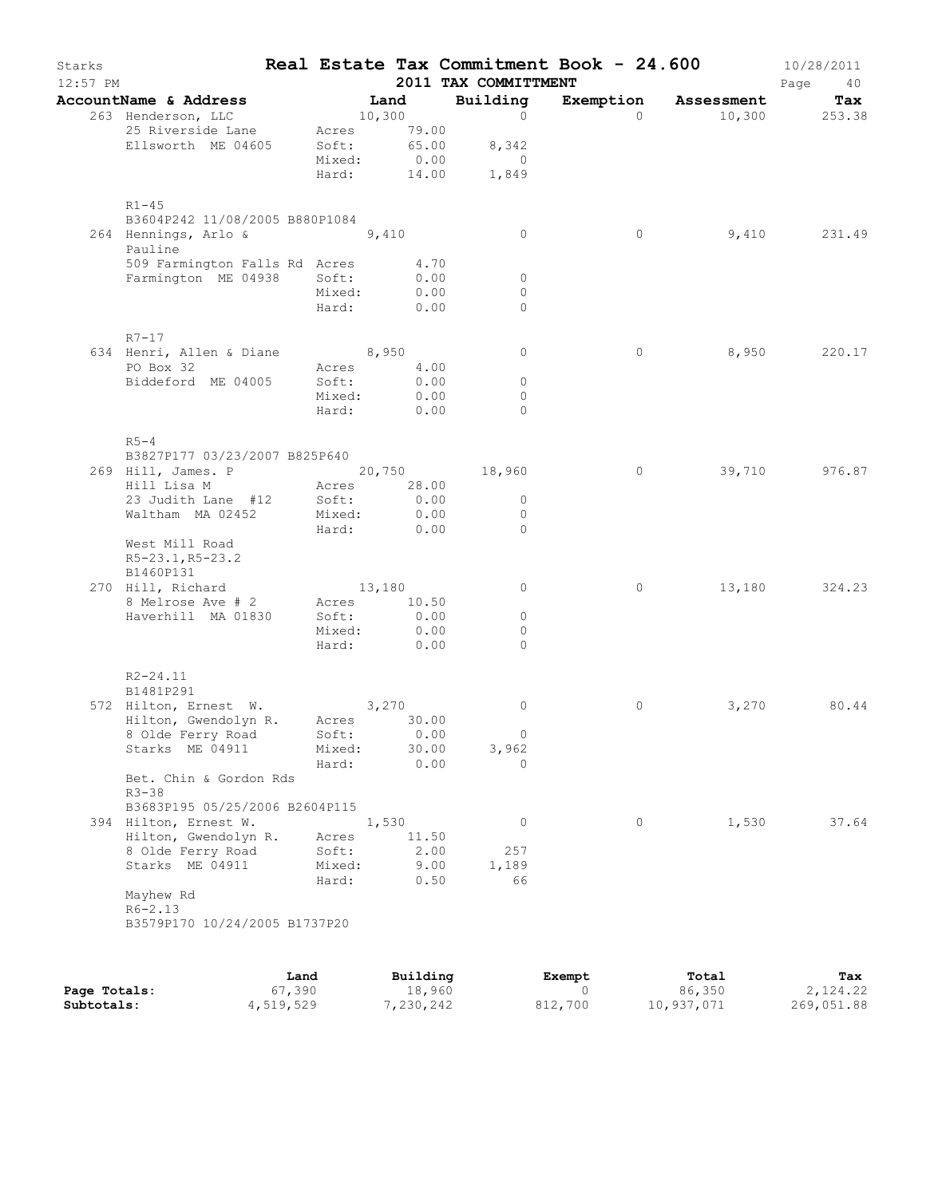| Starks<br>12:57 PM |                                               |        |                | 2011 TAX COMMITTMENT | Real Estate Tax Commitment Book - 24.600 |                      | 10/28/2011<br>Page<br>40 |
|--------------------|-----------------------------------------------|--------|----------------|----------------------|------------------------------------------|----------------------|--------------------------|
|                    | AccountName & Address                         |        | Land           | Building             |                                          | Exemption Assessment | Tax                      |
|                    | 263 Henderson, LLC                            |        | 10,300         | $\Omega$             | $\Omega$                                 |                      | 10,300 253.38            |
|                    | 25 Riverside Lane                             |        | Acres 79.00    |                      |                                          |                      |                          |
|                    | Ellsworth ME 04605                            | Soft:  | 65.00          | 8,342                |                                          |                      |                          |
|                    |                                               | Mixed: | 0.00           | $\overline{0}$       |                                          |                      |                          |
|                    |                                               | Hard:  | 14.00          | 1,849                |                                          |                      |                          |
|                    | $R1 - 45$                                     |        |                |                      |                                          |                      |                          |
|                    | B3604P242 11/08/2005 B880P1084                |        |                |                      |                                          |                      |                          |
|                    | 264 Hennings, Arlo & 9,410                    |        |                | $\circ$              | 0                                        |                      | 9,410 231.49             |
|                    | Pauline                                       |        |                |                      |                                          |                      |                          |
|                    | 509 Farmington Falls Rd Acres                 |        | 4.70           |                      |                                          |                      |                          |
|                    | Farmington ME 04938                           | Soft:  | 0.00           | $\circ$              |                                          |                      |                          |
|                    |                                               | Mixed: | 0.00           | $\circ$              |                                          |                      |                          |
|                    |                                               | Hard:  | 0.00           | $\Omega$             |                                          |                      |                          |
|                    | $R7 - 17$                                     |        |                |                      |                                          |                      |                          |
|                    | 634 Henri, Allen & Diane 8,950                |        |                | 0                    | $\circ$                                  | 8,950                | 220.17                   |
|                    | PO Box 32                                     |        | Acres 4.00     |                      |                                          |                      |                          |
|                    | Biddeford ME 04005                            | Soft:  | 0.00           | $\circ$              |                                          |                      |                          |
|                    |                                               | Mixed: | 0.00           | $\Omega$             |                                          |                      |                          |
|                    |                                               | Hard:  | 0.00           | $\Omega$             |                                          |                      |                          |
|                    |                                               |        |                |                      |                                          |                      |                          |
|                    | $R5-4$<br>B3827P177 03/23/2007 B825P640       |        |                |                      |                                          |                      |                          |
|                    | 269 Hill, James. P 20,750 18,960              |        |                |                      | $\circ$                                  | 39,710               | 976.87                   |
|                    | Hill Lisa M                                   |        | Acres 28.00    |                      |                                          |                      |                          |
|                    | 23 Judith Lane #12                            | Soft:  | 0.00           | $\circ$              |                                          |                      |                          |
|                    | Waltham MA 02452                              | Mixed: | 0.00           | $\circ$              |                                          |                      |                          |
|                    |                                               | Hard:  | 0.00           | $\Omega$             |                                          |                      |                          |
|                    | West Mill Road                                |        |                |                      |                                          |                      |                          |
|                    | R5-23.1, R5-23.2                              |        |                |                      |                                          |                      |                          |
|                    | B1460P131                                     |        |                |                      |                                          |                      |                          |
|                    | 270 Hill, Richard                             |        | 13,180         | $\circ$              | 0                                        | 13,180               | 324.23                   |
|                    | 8 Melrose Ave # 2                             |        | Acres 10.50    |                      |                                          |                      |                          |
|                    | Haverhill MA 01830                            | Soft:  | 0.00           | $\circ$              |                                          |                      |                          |
|                    |                                               |        | Mixed: 0.00    | $\Omega$             |                                          |                      |                          |
|                    |                                               | Hard:  | 0.00           | $\Omega$             |                                          |                      |                          |
|                    | $R2 - 24.11$                                  |        |                |                      |                                          |                      |                          |
|                    | B1481P291                                     |        |                |                      |                                          |                      |                          |
|                    | 572 Hilton, Ernest W. 3,270                   |        |                | 0                    | 0                                        | 3,270                | 80.44                    |
|                    | Hilton, Gwendolyn R. Acres 30.00              |        |                |                      |                                          |                      |                          |
|                    | 8 Olde Ferry Road Soft:                       |        | 0.00           | $\overline{0}$       |                                          |                      |                          |
|                    | Starks ME 04911                               | Mixed: | 30.00          | 3,962                |                                          |                      |                          |
|                    |                                               | Hard:  | 0.00           | $\Omega$             |                                          |                      |                          |
|                    | Bet. Chin & Gordon Rds                        |        |                |                      |                                          |                      |                          |
|                    | $R3 - 38$                                     |        |                |                      |                                          |                      |                          |
|                    | B3683P195 05/25/2006 B2604P115                |        |                | $\circ$              | $\circ$                                  |                      | 37.64                    |
|                    | 394 Hilton, Ernest W.<br>Hilton, Gwendolyn R. | Acres  | 1,530<br>11.50 |                      |                                          | 1,530                |                          |
|                    | 8 Olde Ferry Road                             | Soft:  | 2.00           | 257                  |                                          |                      |                          |
|                    | Starks ME 04911                               | Mixed: | 9.00           | 1,189                |                                          |                      |                          |
|                    |                                               | Hard:  | 0.50           | 66                   |                                          |                      |                          |
|                    | Mayhew Rd                                     |        |                |                      |                                          |                      |                          |
|                    | $R6 - 2.13$                                   |        |                |                      |                                          |                      |                          |
|                    | B3579P170 10/24/2005 B1737P20                 |        |                |                      |                                          |                      |                          |
|                    |                                               |        |                |                      |                                          |                      |                          |
|                    |                                               |        |                |                      |                                          |                      |                          |

|              | Land      | Building  | Exempt  | Total      | Tax        |
|--------------|-----------|-----------|---------|------------|------------|
| Page Totals: | 67,390    | 18,960    |         | 86,350     | 2,124.22   |
| Subtotals:   | 4,519,529 | 7,230,242 | 812,700 | 10,937,071 | 269,051.88 |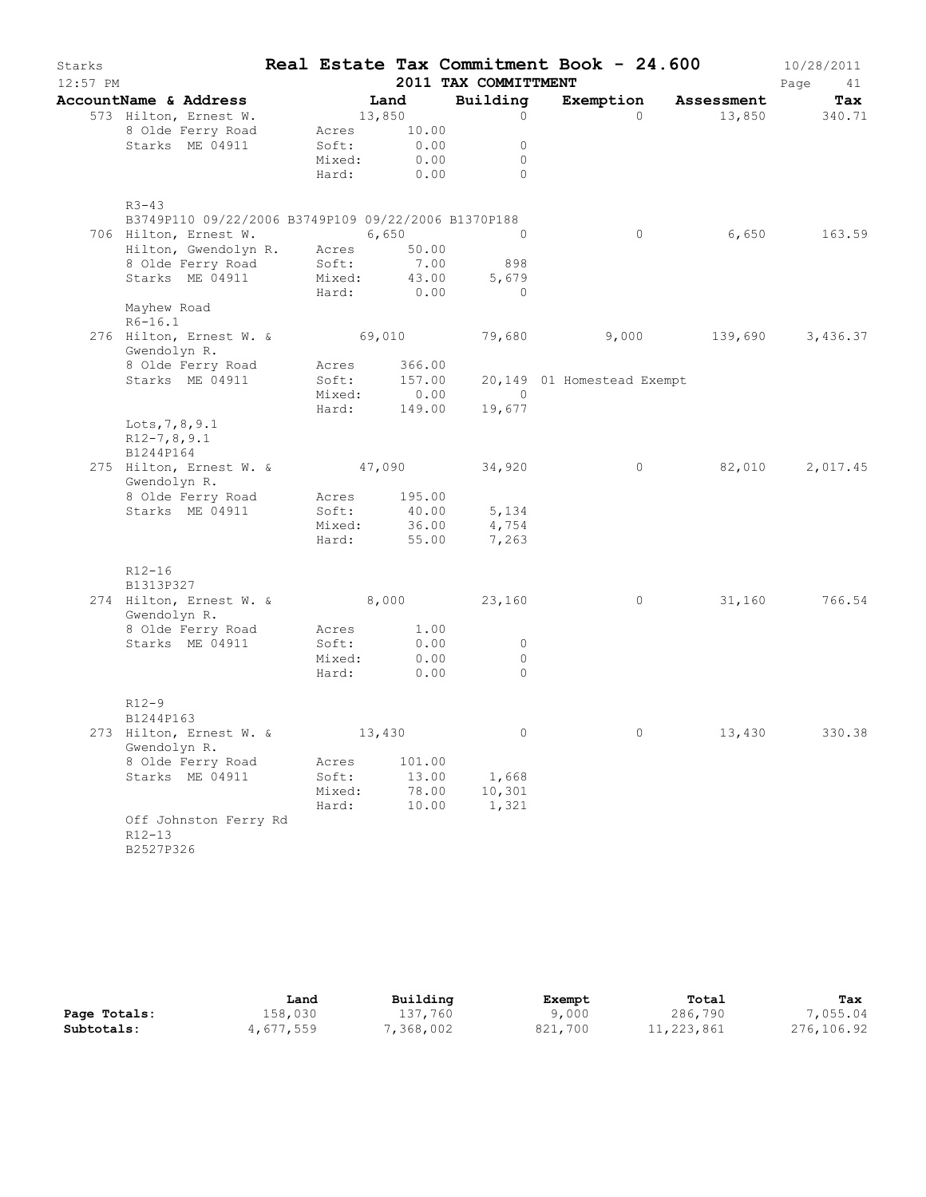| Starks<br>12:57 PM |                                                                             |                 |                             | 2011 TAX COMMITTMENT             | Real Estate Tax Commitment Book - 24.600 |                          | 10/28/2011<br>Page<br>41 |
|--------------------|-----------------------------------------------------------------------------|-----------------|-----------------------------|----------------------------------|------------------------------------------|--------------------------|--------------------------|
|                    | AccountName & Address                                                       |                 | Land                        | Building                         |                                          | Exemption Assessment     | Tax                      |
|                    | 573 Hilton, Ernest W.                                                       | 13,850          |                             | $\circ$                          | $\Omega$                                 |                          | 13,850 340.71            |
|                    | 8 Olde Ferry Road                                                           |                 | Acres 10.00                 |                                  |                                          |                          |                          |
|                    | Starks ME 04911                                                             | Soft:           | 0.00                        | $\circ$                          |                                          |                          |                          |
|                    |                                                                             | Mixed:          | 0.00                        | $\circ$                          |                                          |                          |                          |
|                    |                                                                             |                 | Hard: 0.00                  | $\Omega$                         |                                          |                          |                          |
|                    | $R3 - 43$                                                                   |                 |                             |                                  |                                          |                          |                          |
|                    | B3749P110 09/22/2006 B3749P109 09/22/2006 B1370P188                         |                 |                             |                                  |                                          |                          |                          |
|                    | 706 Hilton, Ernest W.                                                       | 6,650           |                             | $\overline{0}$                   | $\circ$                                  | 6,650                    | 163.59                   |
|                    | Hilton, Gwendolyn R. Acres                                                  |                 | 50.00                       |                                  |                                          |                          |                          |
|                    | 8 Olde Ferry Road Soft:<br>Starks ME 04911 Mixed:                           |                 | 7.00                        | 898                              |                                          |                          |                          |
|                    |                                                                             |                 | Hard: 0.00                  | 43.00<br>5,679<br>$\overline{0}$ |                                          |                          |                          |
|                    | Mayhew Road                                                                 |                 |                             |                                  |                                          |                          |                          |
|                    | $R6 - 16.1$<br>276 Hilton, Ernest W. & 69,010 79,680 9,000 139,690 3,436.37 |                 |                             |                                  |                                          |                          |                          |
|                    | Gwendolyn R.                                                                |                 |                             |                                  |                                          |                          |                          |
|                    | 8 Olde Ferry Road                                                           |                 | Acres 366.00                |                                  |                                          |                          |                          |
|                    | Starks ME 04911                                                             |                 | Soft: 157.00<br>Mixed: 0.00 |                                  | 20,149 01 Homestead Exempt               |                          |                          |
|                    |                                                                             |                 |                             | $\overline{0}$                   |                                          |                          |                          |
|                    |                                                                             |                 |                             | Hard: 149.00 19,677              |                                          |                          |                          |
|                    | Lots, 7, 8, 9.1                                                             |                 |                             |                                  |                                          |                          |                          |
|                    | $R12-7, 8, 9.1$<br>B1244P164                                                |                 |                             |                                  |                                          |                          |                          |
|                    | 275 Hilton, Ernest W. & 47,090 34,920                                       |                 |                             |                                  | $\circ$                                  | 82,010                   | 2,017.45                 |
|                    | Gwendolyn R.                                                                |                 |                             |                                  |                                          |                          |                          |
|                    | 8 Olde Ferry Road                                                           |                 | Acres 195.00                |                                  |                                          |                          |                          |
|                    | Starks ME 04911                                                             | Soft:           | 40.00                       | 5,134                            |                                          |                          |                          |
|                    |                                                                             |                 |                             | 36.00 4,754<br>55.00 7,263       |                                          |                          |                          |
|                    |                                                                             | mıxed:<br>Hard: |                             |                                  |                                          |                          |                          |
|                    | $R12 - 16$                                                                  |                 |                             |                                  |                                          |                          |                          |
|                    | B1313P327                                                                   |                 |                             |                                  |                                          |                          |                          |
|                    | 274 Hilton, Ernest W. & 8,000 23,160                                        |                 |                             |                                  |                                          | 31,160<br>$\overline{0}$ | 766.54                   |
|                    | Gwendolyn R.                                                                |                 |                             |                                  |                                          |                          |                          |
|                    | 8 Olde Ferry Road                                                           |                 | Acres 1.00                  |                                  |                                          |                          |                          |
|                    | Starks ME 04911                                                             | Soft:           | 0.00                        | $\circ$                          |                                          |                          |                          |
|                    |                                                                             | Mixed:          | 0.00                        | $\circ$<br>$\Omega$              |                                          |                          |                          |
|                    |                                                                             | Hard:           | 0.00                        |                                  |                                          |                          |                          |
|                    | $R12 - 9$                                                                   |                 |                             |                                  |                                          |                          |                          |
|                    | B1244P163                                                                   |                 |                             |                                  |                                          |                          |                          |
|                    | 273 Hilton, Ernest W. &                                                     |                 | 13,430                      |                                  |                                          | 13,430                   | 330.38                   |
|                    | Gwendolyn R.                                                                |                 |                             |                                  |                                          |                          |                          |
|                    | 8 Olde Ferry Road                                                           | Acres           | 101.00                      |                                  |                                          |                          |                          |
|                    | Starks ME 04911                                                             | Soft:           | 13.00                       | 1,668                            |                                          |                          |                          |
|                    |                                                                             | Mixed:<br>Hard: | 78.00<br>10.00              | 10,301<br>1,321                  |                                          |                          |                          |
|                    | Off Johnston Ferry Rd                                                       |                 |                             |                                  |                                          |                          |                          |
|                    | $R12 - 13$                                                                  |                 |                             |                                  |                                          |                          |                          |
|                    | B2527P326                                                                   |                 |                             |                                  |                                          |                          |                          |
|                    |                                                                             |                 |                             |                                  |                                          |                          |                          |

|              | Land      | Building   | Exempt  | Total      | Tax        |
|--------------|-----------|------------|---------|------------|------------|
| Page Totals: | 158,030   | 137,760    | 9,000   | 286,790    | ,055.04    |
| Subtotals:   | 4,677,559 | , 368, 002 | 821,700 | 11,223,861 | 276,106.92 |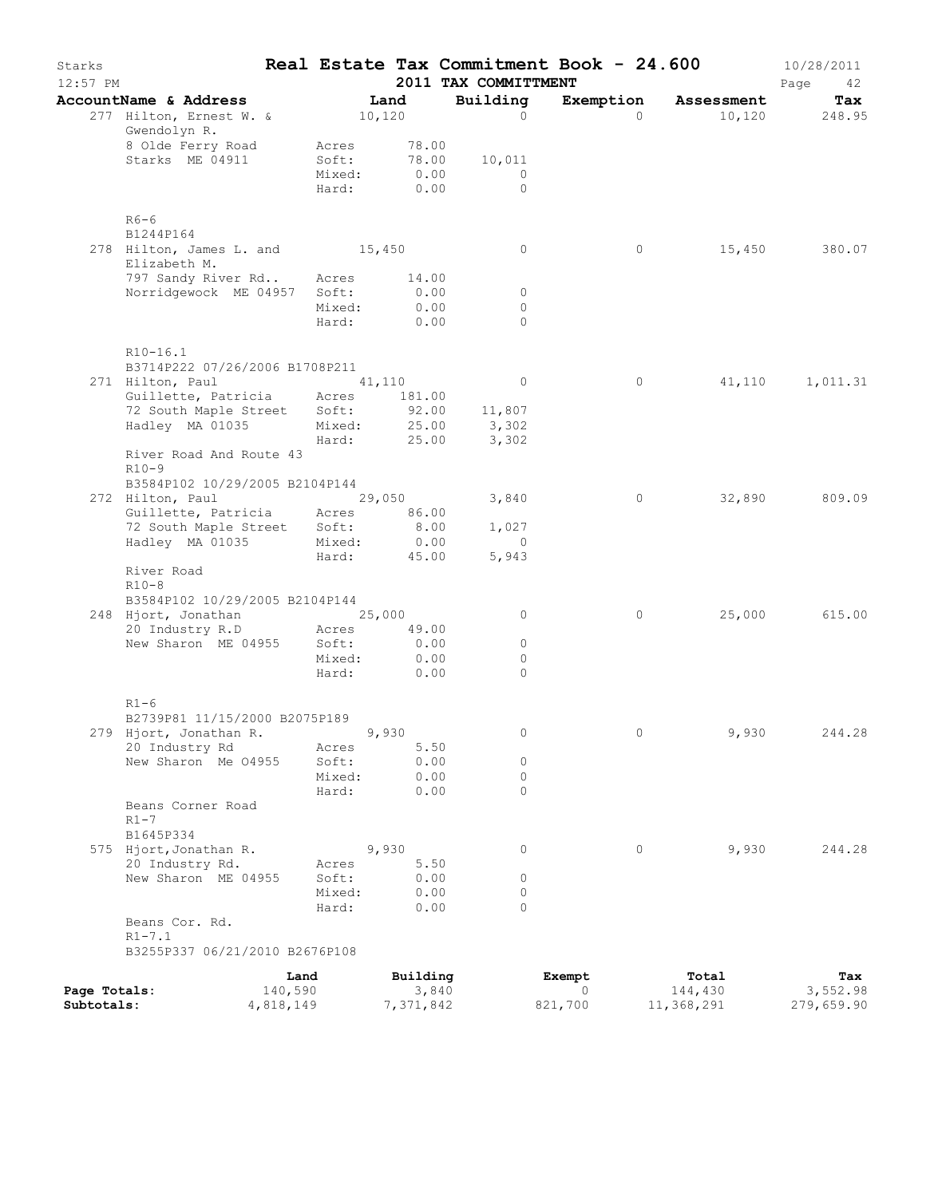| Starks<br>$12:57$ PM |                                                    |                 |                   | 2011 TAX COMMITTMENT | Real Estate Tax Commitment Book - 24.600 |                  | 10/28/2011<br>Page<br>42 |
|----------------------|----------------------------------------------------|-----------------|-------------------|----------------------|------------------------------------------|------------------|--------------------------|
|                      | AccountName & Address                              |                 | Land              | Building             | Exemption                                | Assessment       | Tax                      |
|                      | 277 Hilton, Ernest W. &<br>Gwendolyn R.            |                 | 10,120            | $\Omega$             | $\Omega$                                 | 10,120           | 248.95                   |
|                      | 8 Olde Ferry Road                                  | Acres           | 78.00             |                      |                                          |                  |                          |
|                      | Starks ME 04911                                    | Soft:           | 78.00             | 10,011               |                                          |                  |                          |
|                      |                                                    | Mixed:<br>Hard: | 0.00<br>0.00      | $\Omega$<br>$\Omega$ |                                          |                  |                          |
|                      |                                                    |                 |                   |                      |                                          |                  |                          |
|                      | $R6-6$                                             |                 |                   |                      |                                          |                  |                          |
|                      | B1244P164<br>278 Hilton, James L. and 15,450       |                 |                   | $\circ$              | $\circ$                                  | 15,450           | 380.07                   |
|                      | Elizabeth M.                                       |                 |                   |                      |                                          |                  |                          |
|                      | 797 Sandy River Rd                                 | Acres           | 14.00             |                      |                                          |                  |                          |
|                      | Norridgewock ME 04957                              | Soft:           | 0.00              | $\circ$              |                                          |                  |                          |
|                      |                                                    | Mixed:          | 0.00              | $\circ$              |                                          |                  |                          |
|                      |                                                    | Hard:           | 0.00              | $\Omega$             |                                          |                  |                          |
|                      | R10-16.1                                           |                 |                   |                      |                                          |                  |                          |
|                      | B3714P222 07/26/2006 B1708P211<br>271 Hilton, Paul |                 | 41,110            | $\circ$              | $\circ$                                  | 41,110           | 1,011.31                 |
|                      | Guillette, Patricia                                |                 | Acres 181.00      |                      |                                          |                  |                          |
|                      | 72 South Maple Street                              | Soft:           | 92.00             | 11,807               |                                          |                  |                          |
|                      | Hadley MA 01035                                    | Mixed:          | 25.00             | 3,302                |                                          |                  |                          |
|                      |                                                    | Hard:           | 25.00             | 3,302                |                                          |                  |                          |
|                      | River Road And Route 43<br>$R10-9$                 |                 |                   |                      |                                          |                  |                          |
|                      | B3584P102 10/29/2005 B2104P144                     |                 |                   |                      |                                          |                  |                          |
|                      | 272 Hilton, Paul                                   |                 | 29,050            | 3,840                | 0                                        | 32,890           | 809.09                   |
|                      | Guillette, Patricia Acres                          |                 | 86.00             |                      |                                          |                  |                          |
|                      | 72 South Maple Street Soft:                        |                 | 8.00              | 1,027                |                                          |                  |                          |
|                      | Hadley MA 01035                                    | Mixed:<br>Hard: | 0.00<br>45.00     | $\circ$<br>5,943     |                                          |                  |                          |
|                      | River Road                                         |                 |                   |                      |                                          |                  |                          |
|                      | $R10-8$                                            |                 |                   |                      |                                          |                  |                          |
|                      | B3584P102 10/29/2005 B2104P144                     |                 |                   |                      |                                          |                  |                          |
|                      | 248 Hjort, Jonathan 25,000<br>20 Industry R.D      | Acres           | 49.00             | 0                    | 0                                        | 25,000           | 615.00                   |
|                      | New Sharon ME 04955                                | Soft:           | 0.00              | $\circ$              |                                          |                  |                          |
|                      |                                                    | Mixed:          | 0.00              | $\circ$              |                                          |                  |                          |
|                      |                                                    | Hard:           | 0.00              | $\Omega$             |                                          |                  |                          |
|                      |                                                    |                 |                   |                      |                                          |                  |                          |
|                      | $R1-6$<br>B2739P81 11/15/2000 B2075P189            |                 |                   |                      |                                          |                  |                          |
|                      | 279 Hjort, Jonathan R.                             |                 | 9,930             | 0                    | 0                                        | 9,930            | 244.28                   |
|                      | 20 Industry Rd                                     | Acres           | 5.50              |                      |                                          |                  |                          |
|                      | New Sharon Me 04955                                | Soft:           | 0.00              | 0                    |                                          |                  |                          |
|                      |                                                    | Mixed:          | 0.00              | 0                    |                                          |                  |                          |
|                      | Beans Corner Road                                  | Hard:           | 0.00              | $\Omega$             |                                          |                  |                          |
|                      | $R1-7$                                             |                 |                   |                      |                                          |                  |                          |
|                      | B1645P334                                          |                 |                   |                      |                                          |                  |                          |
|                      | 575 Hjort, Jonathan R.                             |                 | 9,930             | 0                    | $\circ$                                  | 9,930            | 244.28                   |
|                      | 20 Industry Rd.<br>New Sharon ME 04955             | Acres<br>Soft:  | 5.50<br>0.00      | 0                    |                                          |                  |                          |
|                      |                                                    | Mixed:          | 0.00              | 0                    |                                          |                  |                          |
|                      |                                                    | Hard:           | 0.00              | $\Omega$             |                                          |                  |                          |
|                      | Beans Cor. Rd.                                     |                 |                   |                      |                                          |                  |                          |
|                      | $R1 - 7.1$                                         |                 |                   |                      |                                          |                  |                          |
|                      | B3255P337 06/21/2010 B2676P108                     |                 |                   |                      |                                          |                  |                          |
| Page Totals:         |                                                    | Land<br>140,590 | Building<br>3,840 |                      | Exempt<br>$\Omega$                       | Total<br>144,430 | Tax<br>3,552.98          |
| Subtotals:           |                                                    | 4,818,149       | 7,371,842         |                      | 821,700                                  | 11,368,291       | 279,659.90               |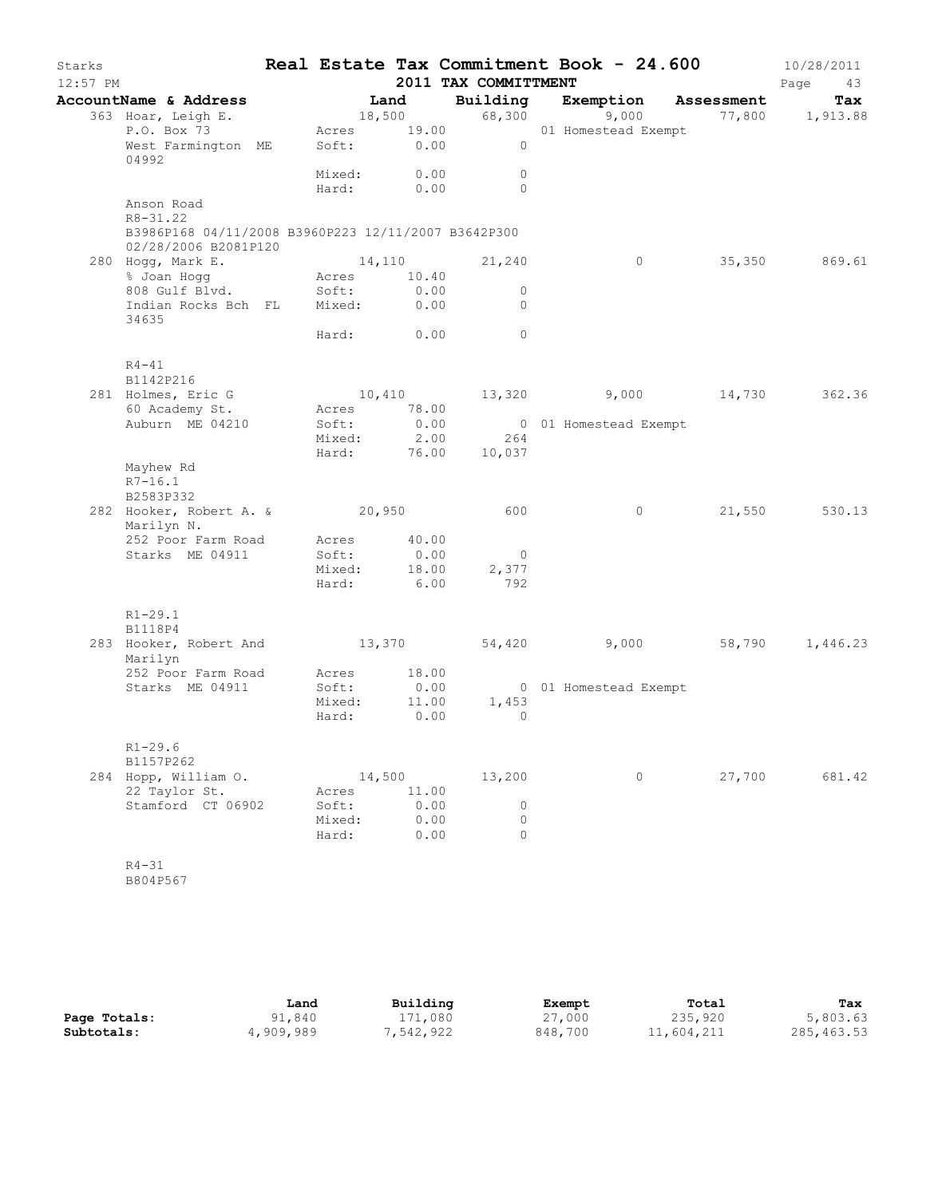| Starks     |                                                                                             |                            |              |                      |                       | Real Estate Tax Commitment Book - 24.600                                             | 10/28/2011    |
|------------|---------------------------------------------------------------------------------------------|----------------------------|--------------|----------------------|-----------------------|--------------------------------------------------------------------------------------|---------------|
| $12:57$ PM |                                                                                             |                            |              | 2011 TAX COMMITTMENT |                       |                                                                                      | Page<br>43    |
|            | AccountName & Address                                                                       |                            |              |                      |                       | <b>Land Building Exemption Assessment Tax</b><br>18,500 68,300 9,000 77,800 1,913.88 | Tax           |
|            | 363 Hoar, Leigh E.<br>P.O. Box 73 Acres 19.00 01 Homestead Exempt                           |                            |              |                      |                       |                                                                                      |               |
|            | West Farmington ME Soft: 0.00 0<br>04992                                                    |                            |              |                      |                       |                                                                                      |               |
|            |                                                                                             | Mixed: 0.00                |              | $\overline{0}$       |                       |                                                                                      |               |
|            |                                                                                             | Hard: 0.00                 |              | $\bigcirc$           |                       |                                                                                      |               |
|            | Anson Road                                                                                  |                            |              |                      |                       |                                                                                      |               |
|            | $R8 - 31.22$<br>B3986P168 04/11/2008 B3960P223 12/11/2007 B3642P300<br>02/28/2006 B2081P120 |                            |              |                      |                       |                                                                                      |               |
|            |                                                                                             |                            |              |                      | $\overline{0}$        |                                                                                      | 35,350 869.61 |
|            | 280 Hogg, Mark E. 14,110 21,240<br>% Joan Hogg Marces 20.40                                 |                            |              |                      |                       |                                                                                      |               |
|            | 808 Gulf Blvd. Soft: 0.00<br>Indian Rocks Bch FL Mixed: 0.00                                |                            |              | $\overline{0}$       |                       |                                                                                      |               |
|            | 34635                                                                                       |                            |              | $\overline{0}$       |                       |                                                                                      |               |
|            |                                                                                             | Hard: 0.00                 |              | $\overline{0}$       |                       |                                                                                      |               |
|            | $R4 - 41$<br>B1142P216                                                                      |                            |              |                      |                       |                                                                                      |               |
|            | 281 Holmes, Eric G                                                                          |                            |              |                      |                       | $10,410$ $13,320$ $9,000$ $14,730$ $362.36$                                          |               |
|            | 60 Academy St. Acres 78.00                                                                  |                            |              |                      |                       |                                                                                      |               |
|            | Auburn ME 04210                                                                             | Soft:                      | 0.00         |                      | 0 01 Homestead Exempt |                                                                                      |               |
|            |                                                                                             |                            |              | Mixed: 2.00 264      |                       |                                                                                      |               |
|            |                                                                                             |                            |              | Hard: 76.00 10,037   |                       |                                                                                      |               |
|            | Mayhew Rd                                                                                   |                            |              |                      |                       |                                                                                      |               |
|            | $R7 - 16.1$<br>B2583P332                                                                    |                            |              |                      |                       |                                                                                      |               |
|            | 282 Hooker, Robert A. & 20,950 600                                                          |                            |              |                      | $\overline{0}$        |                                                                                      | 21,550 530.13 |
|            | Marilyn N.                                                                                  |                            |              |                      |                       |                                                                                      |               |
|            | 252 Poor Farm Road Acres 40.00                                                              |                            |              |                      |                       |                                                                                      |               |
|            | Starks ME 04911                                                                             | Soft: 0.00<br>Mixed: 18.00 |              | $\overline{0}$       |                       |                                                                                      |               |
|            |                                                                                             |                            |              | 2,377                |                       |                                                                                      |               |
|            |                                                                                             | Hard: 6.00                 |              | 792                  |                       |                                                                                      |               |
|            | $R1 - 29.1$<br>B1118P4                                                                      |                            |              |                      |                       |                                                                                      |               |
|            | 283 Hooker, Robert And 13,370 54,420 9,000 58,790 1,446.23                                  |                            |              |                      |                       |                                                                                      |               |
|            | Marilyn                                                                                     |                            |              |                      |                       |                                                                                      |               |
|            | 252 Poor Farm Road Acres 18.00                                                              |                            |              |                      |                       |                                                                                      |               |
|            | Starks ME 04911                                                                             | Soft:                      | 0.00         |                      | 0 01 Homestead Exempt |                                                                                      |               |
|            |                                                                                             | Mixed: 11.00               |              | 1,453                |                       |                                                                                      |               |
|            |                                                                                             | Hard: 0.00                 |              | $\overline{0}$       |                       |                                                                                      |               |
|            | $R1 - 29.6$                                                                                 |                            |              |                      |                       |                                                                                      |               |
|            | B1157P262                                                                                   |                            |              |                      |                       |                                                                                      |               |
|            | 284 Hopp, William O.                                                                        | 14,500                     |              | 13,200               | $\circ$               | 27,700                                                                               | 681.42        |
|            | 22 Taylor St.                                                                               | Acres                      | 11.00        | $\circ$              |                       |                                                                                      |               |
|            | Stamford CT 06902                                                                           | Soft:<br>Mixed:            | 0.00<br>0.00 | $\Omega$             |                       |                                                                                      |               |
|            |                                                                                             | Hard:                      | 0.00         | $\Omega$             |                       |                                                                                      |               |
|            |                                                                                             |                            |              |                      |                       |                                                                                      |               |
|            | $R4 - 31$                                                                                   |                            |              |                      |                       |                                                                                      |               |

B804P567

|              | Land      | Building  | Exempt  | Total      | Tax         |
|--------------|-----------|-----------|---------|------------|-------------|
| Page Totals: | 91,840    | 171,080   | 27,000  | 235,920    | 5,803.63    |
| Subtotals:   | 4,909,989 | 7,542,922 | 848,700 | 11,604,211 | 285, 463.53 |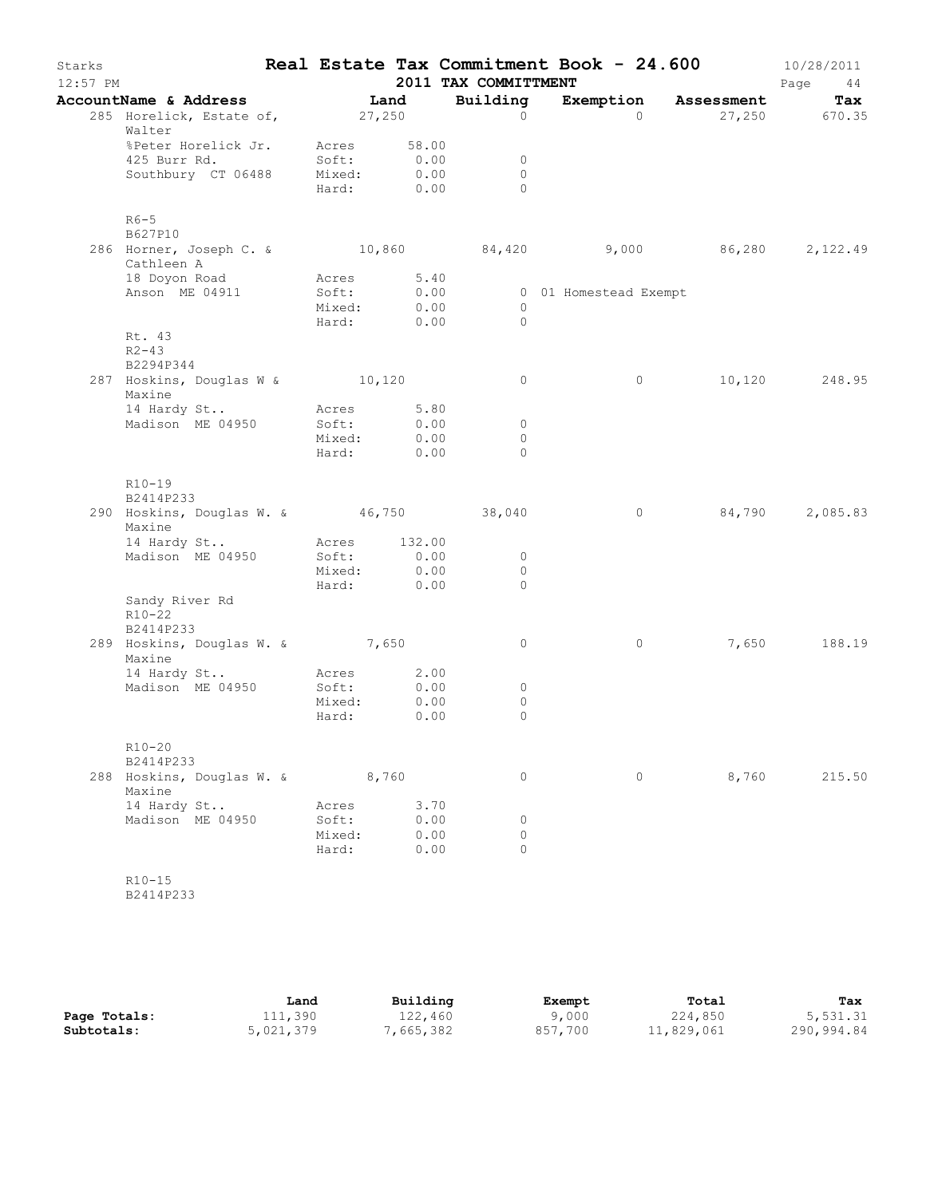| Starks<br>$12:57$ PM |                                                                    |                 |                           | 2011 TAX COMMITTMENT | Real Estate Tax Commitment Book - 24.600 |                      | 10/28/2011<br>Page<br>44 |
|----------------------|--------------------------------------------------------------------|-----------------|---------------------------|----------------------|------------------------------------------|----------------------|--------------------------|
|                      | AccountName & Address                                              |                 | Land                      | Building             |                                          | Exemption Assessment | Tax                      |
|                      | 285 Horelick, Estate of, 27,250<br>Walter                          |                 |                           | $\Omega$             | $\Omega$                                 |                      | 27,250 670.35            |
|                      | %Peter Horelick Jr. Acres<br>425 Burr Rd.                          | Soft:           | 58.00<br>0.00             | $\overline{0}$       |                                          |                      |                          |
|                      | Southbury CT 06488 Mixed: 0.00                                     |                 | Hard: 0.00                | $\circ$<br>$\Omega$  |                                          |                      |                          |
|                      | $R6-5$<br>B627P10                                                  |                 |                           |                      |                                          |                      |                          |
|                      | 286 Horner, Joseph C. & 10,860 84,420<br>Cathleen A                |                 |                           |                      | $9,000$ $86,280$ $2,122.49$              |                      |                          |
|                      | 18 Doyon Road                                                      | Acres 5.40      |                           |                      |                                          |                      |                          |
|                      | Anson ME 04911                                                     | Soft:           | 0.00                      |                      | 0 01 Homestead Exempt                    |                      |                          |
|                      |                                                                    | Mixed:          | 0.00<br>Hard: 0.00        | $\circ$              |                                          |                      |                          |
|                      | Rt. 43<br>$R2 - 43$<br>B2294P344                                   |                 |                           | $\bigcirc$           |                                          |                      |                          |
|                      | 287 Hoskins, Douglas W & 10,120<br>Maxine                          |                 |                           | $\circ$              | $\circ$                                  |                      | 10,120 248.95            |
|                      | 14 Hardy St                                                        | Acres           | 5.80                      |                      |                                          |                      |                          |
|                      | Madison ME 04950                                                   | Soft:           | 0.00                      | $\overline{0}$       |                                          |                      |                          |
|                      |                                                                    |                 | Mixed: 0.00<br>Hard: 0.00 | $\circ$<br>$\Omega$  |                                          |                      |                          |
|                      | $R10 - 19$<br>B2414P233<br>290 Hoskins, Douglas W. & 46,750 38,040 |                 |                           |                      | $\circ$                                  | 84,790               | 2,085.83                 |
|                      | Maxine                                                             |                 |                           |                      |                                          |                      |                          |
|                      | 14 Hardy St                                                        | Acres 132.00    |                           |                      |                                          |                      |                          |
|                      | Madison ME 04950                                                   | Soft:           | 0.00                      | $\circ$<br>$\circ$   |                                          |                      |                          |
|                      |                                                                    |                 | Mixed: 0.00<br>Hard: 0.00 | $\Omega$             |                                          |                      |                          |
|                      | Sandy River Rd<br>$R10 - 22$<br>B2414P233                          |                 |                           |                      |                                          |                      |                          |
|                      | 289 Hoskins, Douglas W. & 7,650<br>Maxine                          |                 |                           | $\circ$              | $\circ$                                  | 7,650                | 188.19                   |
|                      | 14 Hardy St Acres                                                  |                 | 2.00                      |                      |                                          |                      |                          |
|                      | Madison ME 04950                                                   | Soft:           | 0.00                      | $\circ$              |                                          |                      |                          |
|                      |                                                                    | Mixed:<br>Hard: | 0.00<br>0.00              | $\circ$<br>$\circ$   |                                          |                      |                          |
|                      | $R10 - 20$<br>B2414P233                                            |                 |                           |                      |                                          |                      |                          |
|                      | 288 Hoskins, Douglas W. & 8,760<br>Maxine                          |                 |                           | $\circ$              | $\circ$                                  | 8,760                | 215.50                   |
|                      | 14 Hardy St                                                        | Acres           | 3.70                      |                      |                                          |                      |                          |
|                      | Madison ME 04950                                                   | Soft:           | 0.00                      | $\circ$              |                                          |                      |                          |
|                      |                                                                    | Mixed:          | 0.00                      | $\circ$<br>$\Omega$  |                                          |                      |                          |
|                      |                                                                    | Hard:           | 0.00                      |                      |                                          |                      |                          |
|                      | $R10 - 15$                                                         |                 |                           |                      |                                          |                      |                          |

B2414P233

|              | Land      | Building  | Exempt  | Total      | Tax        |
|--------------|-----------|-----------|---------|------------|------------|
| Page Totals: | 111,390   | 122,460   | 9,000   | 224,850    | 5,531.31   |
| Subtotals:   | 5,021,379 | 7,665,382 | 857,700 | 11,829,061 | 290,994.84 |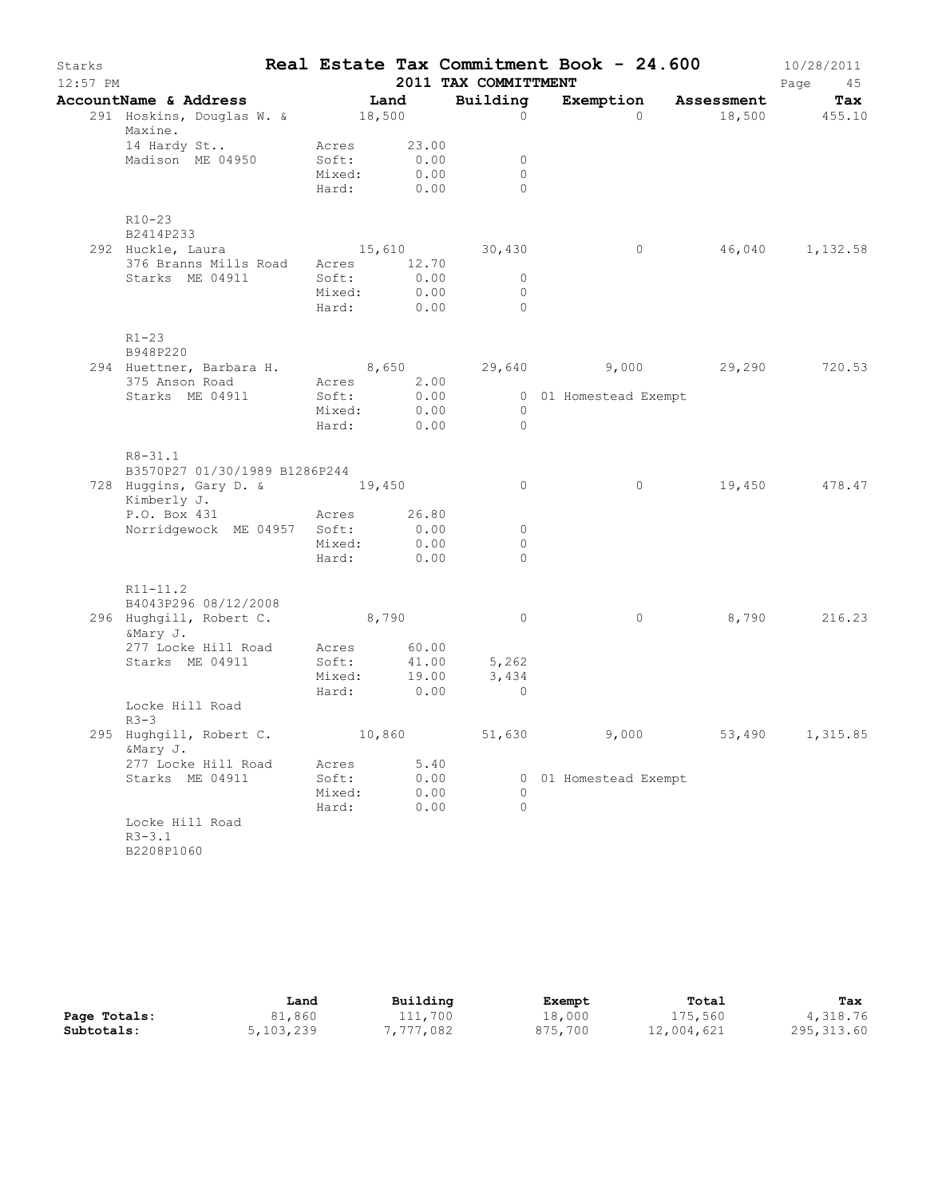| Starks<br>$12:57$ PM |                                                                 |                                     |              | 2011 TAX COMMITTMENT                    | Real Estate Tax Commitment Book - 24.600 |                      | 10/28/2011<br>Page<br>45 |
|----------------------|-----------------------------------------------------------------|-------------------------------------|--------------|-----------------------------------------|------------------------------------------|----------------------|--------------------------|
|                      | AccountName & Address                                           | Land                                |              | Building                                |                                          | Exemption Assessment | Tax                      |
|                      | 291 Hoskins, Douglas W. & 18,500<br>Maxine.                     |                                     |              | $\Omega$                                | $\Omega$                                 |                      | 18,500 455.10            |
|                      | 14 Hardy St<br>Madison ME 04950                                 | Acres 23.00<br>Soft:<br>Mixed: 0.00 | 0.00         | $\circ$<br>$\circ$                      |                                          |                      |                          |
|                      |                                                                 | Hard: 0.00                          |              | $\Omega$                                |                                          |                      |                          |
|                      | $R10-23$<br>B2414P233                                           |                                     |              |                                         |                                          |                      |                          |
|                      | 292 Huckle, Laura 15,610                                        |                                     |              | 30,430                                  | $\circ$                                  | 46,040 1,132.58      |                          |
|                      | 376 Branns Mills Road Acres 12.70<br>Starks ME 04911 Soft: 0.00 |                                     |              |                                         |                                          |                      |                          |
|                      |                                                                 |                                     |              | $\circ$<br>$\circ$                      |                                          |                      |                          |
|                      |                                                                 | Mixed: 0.00<br>Hard:                | 0.00         | $\Omega$                                |                                          |                      |                          |
|                      | $R1 - 23$<br>B948P220                                           |                                     |              |                                         |                                          |                      |                          |
|                      | 294 Huettner, Barbara H. 8,650                                  |                                     |              |                                         | 29,640 9,000 29,290 720.53               |                      |                          |
|                      | 375 Anson Road                                                  | Acres                               | 2.00         |                                         |                                          |                      |                          |
|                      | Starks ME 04911                                                 | Soft:                               | 0.00         |                                         | 0 01 Homestead Exempt                    |                      |                          |
|                      |                                                                 | Mixed: 0.00                         |              | $\overline{0}$                          |                                          |                      |                          |
|                      |                                                                 | Hard: 0.00                          |              | $\Omega$                                |                                          |                      |                          |
|                      | $R8 - 31.1$<br>B3570P27 01/30/1989 B1286P244                    |                                     |              |                                         |                                          |                      |                          |
|                      | 728 Huggins, Gary D. & 19,450<br>Kimberly J.                    |                                     |              | $\circ$                                 | $\circ$                                  |                      | 19,450 478.47            |
|                      | P.O. Box 431 Acres 26.80                                        |                                     |              |                                         |                                          |                      |                          |
|                      | Norridgewock ME 04957 Soft: 0.00                                |                                     |              | $\circ$                                 |                                          |                      |                          |
|                      |                                                                 | Mixed: 0.00<br>Hard: 0.00           |              | 0                                       |                                          |                      |                          |
|                      |                                                                 |                                     |              | $\Omega$                                |                                          |                      |                          |
|                      | $R11 - 11.2$<br>B4043P296 08/12/2008                            |                                     |              |                                         |                                          |                      |                          |
|                      | 296 Hughgill, Robert C. 8,790<br>&Mary J.                       |                                     |              | $\circ$                                 | $\circ$                                  |                      | 8,790 216.23             |
|                      | 277 Locke Hill Road Acres 60.00                                 |                                     |              |                                         |                                          |                      |                          |
|                      | Starks ME 04911                                                 | Soft:                               |              |                                         |                                          |                      |                          |
|                      |                                                                 |                                     |              | Soft: 41.00 5,262<br>Mixed: 19.00 3,434 |                                          |                      |                          |
|                      |                                                                 | Hard: 0.00                          |              | $\overline{0}$                          |                                          |                      |                          |
|                      | Locke Hill Road<br>$R3-3$                                       |                                     |              |                                         |                                          |                      |                          |
|                      | 295 Hughgill, Robert C.<br>&Mary J.                             | 10,860                              |              | 51,630                                  | 9,000                                    | 53,490               | 1,315.85                 |
|                      | 277 Locke Hill Road                                             | Acres                               | 5.40         |                                         |                                          |                      |                          |
|                      | Starks ME 04911                                                 | Soft:                               | 0.00<br>0.00 | $\Omega$                                | 0 01 Homestead Exempt                    |                      |                          |
|                      |                                                                 | Mixed:<br>Hard:                     | 0.00         | $\circ$                                 |                                          |                      |                          |
|                      | Locke Hill Road<br>$R3 - 3.1$                                   |                                     |              |                                         |                                          |                      |                          |
|                      | B2208P1060                                                      |                                     |              |                                         |                                          |                      |                          |

|              | Land      | Building  | Exempt  | Total      | Tax         |
|--------------|-----------|-----------|---------|------------|-------------|
| Page Totals: | 81,860    | 111,700   | 18,000  | 175,560    | 4,318.76    |
| Subtotals:   | 5,103,239 | 7,777,082 | 875,700 | 12,004,621 | 295, 313.60 |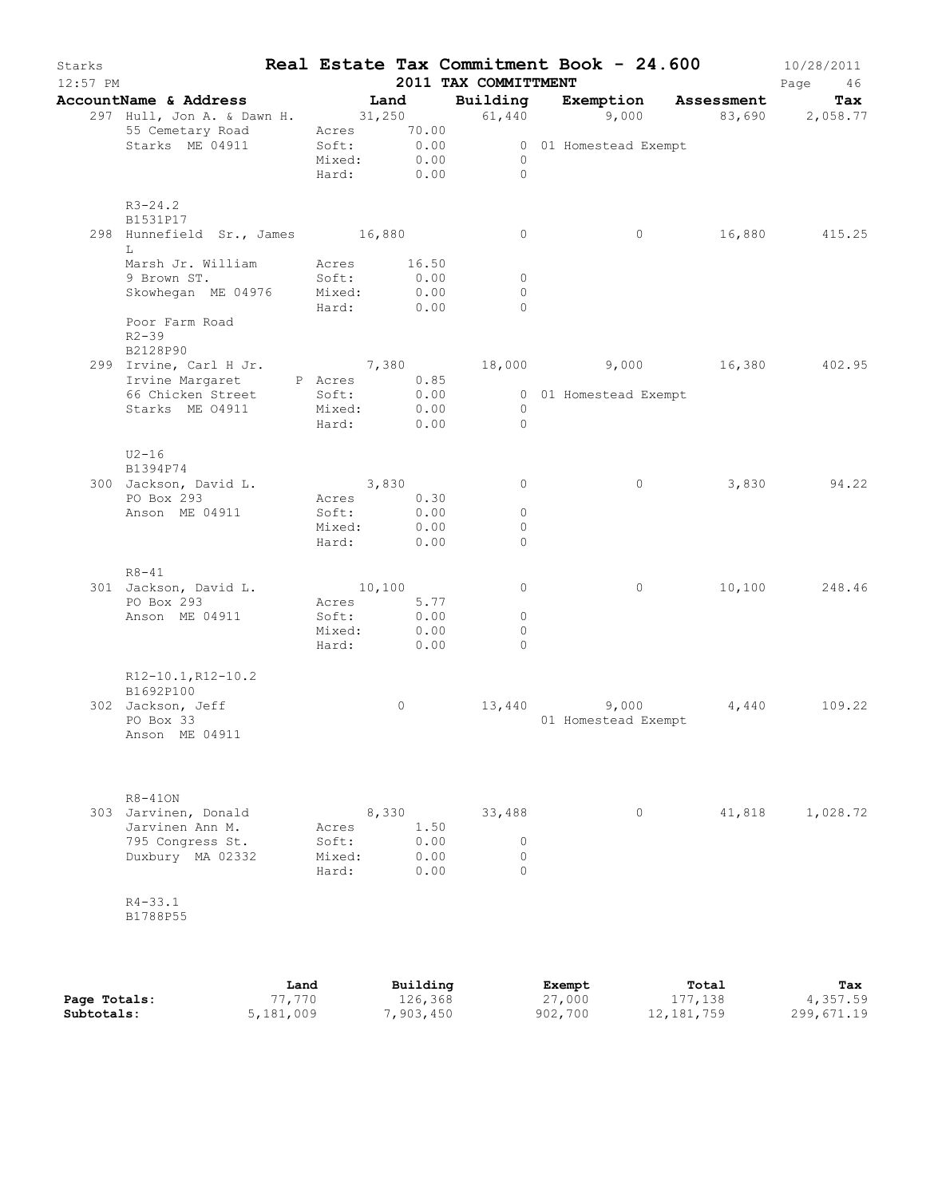| Starks<br>$12:57$ PM |                                                                                     |      |                          |                  |          | 2011 TAX COMMITTMENT |                                                  | Real Estate Tax Commitment Book - 24.600 | 10/28/2011<br>Page<br>46 |
|----------------------|-------------------------------------------------------------------------------------|------|--------------------------|------------------|----------|----------------------|--------------------------------------------------|------------------------------------------|--------------------------|
|                      | AccountName & Address Tand Building Exemption Assessment                            |      |                          |                  |          |                      |                                                  |                                          | Tax                      |
|                      | 297 Hull, Jon A. & Dawn H. 31, 250 61, 440 9, 000 83, 690 2, 058.77                 |      |                          |                  |          |                      |                                                  |                                          |                          |
|                      | 55 Cemetary Road Acres 70.00                                                        |      |                          |                  |          |                      |                                                  |                                          |                          |
|                      | Starks ME 04911                                                                     |      |                          |                  |          |                      | Soft: 0.00 001 Homestead Exempt<br>Mixed: 0.00 0 |                                          |                          |
|                      |                                                                                     |      |                          |                  |          | Hard: 0.00 0         |                                                  |                                          |                          |
|                      | $R3 - 24.2$                                                                         |      |                          |                  |          |                      |                                                  |                                          |                          |
|                      | B1531P17                                                                            |      |                          |                  |          |                      |                                                  |                                          |                          |
|                      | 298 Hunnefield Sr., James 16,880                                                    |      |                          |                  |          | $\circ$              | $\circ$                                          |                                          | 16,880 415.25            |
|                      | L                                                                                   |      |                          |                  |          |                      |                                                  |                                          |                          |
|                      | Marsh Jr. William Acres 16.50<br>9 Brown ST.                                        |      | Soft:                    |                  | 0.00     | $\overline{0}$       |                                                  |                                          |                          |
|                      | Skowhegan ME 04976 Mixed: 0.00                                                      |      |                          |                  |          | $\Omega$             |                                                  |                                          |                          |
|                      |                                                                                     |      | Hard: 0.00               |                  |          | $\Omega$             |                                                  |                                          |                          |
|                      | Poor Farm Road<br>$R2 - 39$                                                         |      |                          |                  |          |                      |                                                  |                                          |                          |
|                      | B2128P90<br>299 Irvine, Carl H Jr. (299 18,000) 7,380 (299 16,380 (202.95)          |      |                          |                  |          |                      |                                                  |                                          |                          |
|                      |                                                                                     |      |                          |                  |          |                      |                                                  |                                          |                          |
|                      | Irvine Margaret P Acres 0.85<br>66 Chicken Street Soft: 0.00 000 1 Homestead Exempt |      |                          |                  |          |                      |                                                  |                                          |                          |
|                      | Starks ME 04911 Mixed: 0.00                                                         |      |                          |                  |          | $\overline{0}$       |                                                  |                                          |                          |
|                      |                                                                                     |      | Hard: 0.00               |                  |          | $\overline{0}$       |                                                  |                                          |                          |
|                      | $U2-16$                                                                             |      |                          |                  |          |                      |                                                  |                                          |                          |
|                      | B1394P74                                                                            |      |                          |                  |          |                      |                                                  |                                          |                          |
|                      | 300 Jackson, David L.                                                               |      | 3,830                    |                  |          | $\circ$              | $\circ$                                          |                                          | 3,830 94.22              |
|                      | PO Box 293<br>Anson ME 04911                                                        |      | Acres 0.30<br>Soft: 0.00 |                  |          | $\overline{0}$       |                                                  |                                          |                          |
|                      |                                                                                     |      | Mixed:                   |                  | 0.00     | $\circ$              |                                                  |                                          |                          |
|                      |                                                                                     |      | Hard: 0.00               |                  |          | $\circ$              |                                                  |                                          |                          |
|                      |                                                                                     |      |                          |                  |          |                      |                                                  |                                          |                          |
|                      | $R8 - 41$<br>301 Jackson, David L.                                                  |      | 10,100                   |                  |          | $\circ$              | $\circ$                                          |                                          | 10,100 248.46            |
|                      | PO Box 293                                                                          |      | Acres 5.77               |                  |          |                      |                                                  |                                          |                          |
|                      | Anson ME 04911                                                                      |      | Soft:                    | $0.00$<br>$0.00$ |          | $\circ$              |                                                  |                                          |                          |
|                      |                                                                                     |      | Mixed:                   |                  |          | $\circ$              |                                                  |                                          |                          |
|                      |                                                                                     |      | Hard: 0.00               |                  |          | $\Omega$             |                                                  |                                          |                          |
|                      | R12-10.1, R12-10.2                                                                  |      |                          |                  |          |                      |                                                  |                                          |                          |
|                      | B1692P100                                                                           |      |                          |                  |          |                      |                                                  |                                          |                          |
|                      | 302 Jackson, Jeff<br>PO Box 33                                                      |      |                          | $\circ$          |          |                      | 13,440 9,000<br>01 Homestead Exempt              | 4,440                                    | 109.22                   |
|                      | Anson ME 04911                                                                      |      |                          |                  |          |                      |                                                  |                                          |                          |
|                      |                                                                                     |      |                          |                  |          |                      |                                                  |                                          |                          |
|                      |                                                                                     |      |                          |                  |          |                      |                                                  |                                          |                          |
|                      | $R8 - 410N$                                                                         |      |                          |                  |          |                      |                                                  |                                          |                          |
|                      | 303 Jarvinen, Donald<br>Jarvinen Ann M.                                             |      | Acres                    | 8,330            | 1.50     | 33,488               | $\circ$                                          | 41,818                                   | 1,028.72                 |
|                      | 795 Congress St.                                                                    |      | Soft:                    |                  | 0.00     | 0                    |                                                  |                                          |                          |
|                      | Duxbury MA 02332                                                                    |      | Mixed:                   |                  | 0.00     | 0                    |                                                  |                                          |                          |
|                      |                                                                                     |      | Hard:                    |                  | 0.00     | $\Omega$             |                                                  |                                          |                          |
|                      | $R4 - 33.1$                                                                         |      |                          |                  |          |                      |                                                  |                                          |                          |
|                      | B1788P55                                                                            |      |                          |                  |          |                      |                                                  |                                          |                          |
|                      |                                                                                     |      |                          |                  |          |                      |                                                  |                                          |                          |
|                      |                                                                                     |      |                          |                  |          |                      |                                                  |                                          |                          |
|                      |                                                                                     | Land |                          |                  | Building |                      | <b>Exempt</b>                                    | Total                                    | Tax                      |

|              | Land      | Building  | Exempt  | Total      | Tax        |
|--------------|-----------|-----------|---------|------------|------------|
| Page Totals: | 77,770    | 126,368   | 27,000  | 177,138    | 4,357.59   |
| Subtotals:   | 5,181,009 | 7,903,450 | 902,700 | 12,181,759 | 299,671.19 |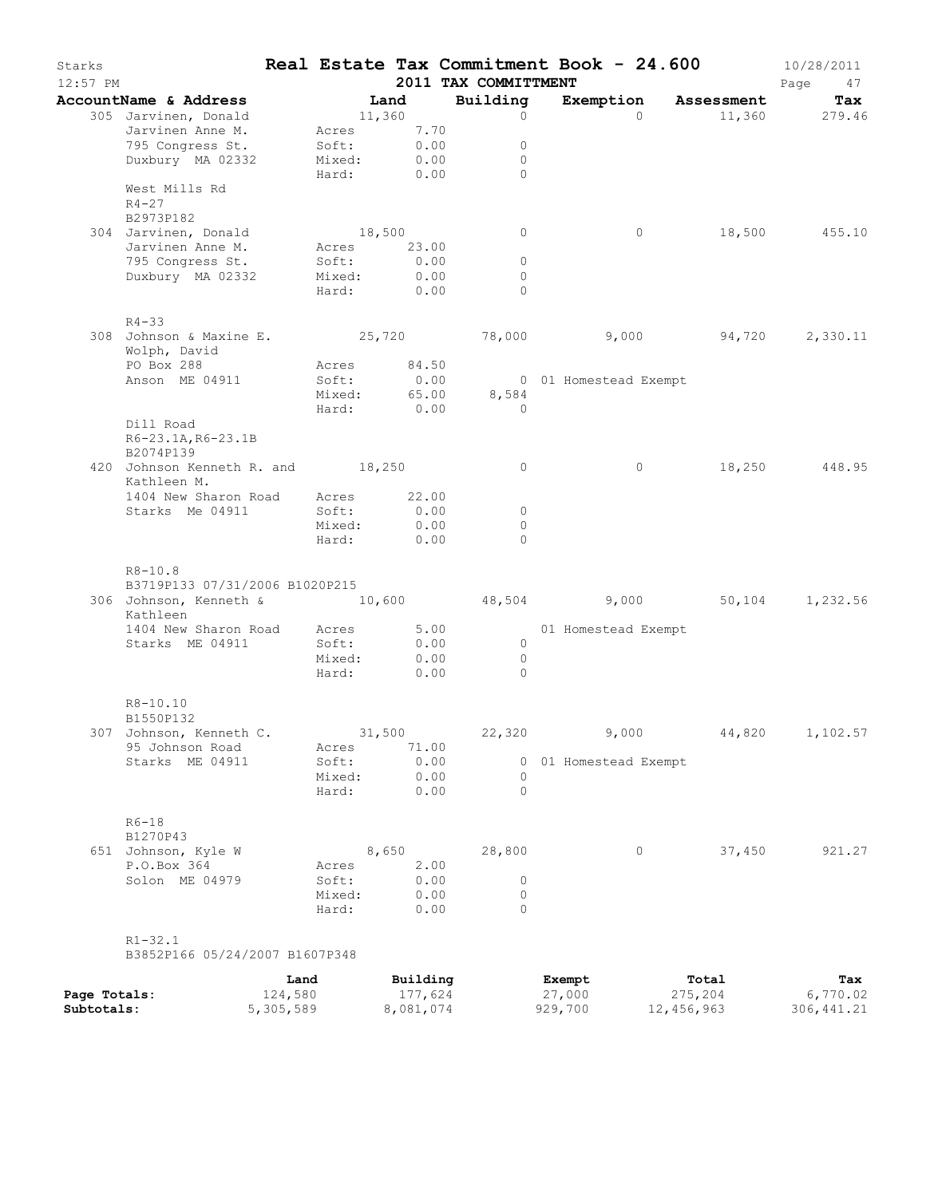| Starks<br>$12:57$ PM |                                                               |           |                      |           | 2011 TAX COMMITTMENT | Real Estate Tax Commitment Book - 24.600 |                   | 10/28/2011<br>Page<br>47 |
|----------------------|---------------------------------------------------------------|-----------|----------------------|-----------|----------------------|------------------------------------------|-------------------|--------------------------|
|                      | AccountName & Address                                         |           | Land                 |           | Building             | Exemption                                | <b>Assessment</b> | Tax                      |
|                      | 305 Jarvinen, Donald                                          |           | 11,360               |           | $\circ$              | $\Omega$                                 |                   | 11,360 279.46            |
|                      | Jarvinen Anne M.                                              |           | Acres 7.70           |           |                      |                                          |                   |                          |
|                      | 795 Congress St.                                              |           | Soft:                | 0.00      | $\circ$              |                                          |                   |                          |
|                      | Duxbury MA 02332                                              |           | Mixed:<br>Hard: 0.00 | 0.00      | $\circ$<br>$\bigcap$ |                                          |                   |                          |
|                      | West Mills Rd<br>$R4 - 27$                                    |           |                      |           |                      |                                          |                   |                          |
|                      | B2973P182                                                     |           |                      |           |                      |                                          |                   |                          |
|                      | 304 Jarvinen, Donald                                          |           | 18,500               |           | $\circ$              | $\circ$                                  |                   | 18,500 455.10            |
|                      | Jarvinen Anne M.                                              |           | Acres 23.00          |           |                      |                                          |                   |                          |
|                      | 795 Congress St.                                              |           | Soft:                | 0.00      | $\circ$              |                                          |                   |                          |
|                      | Duxbury MA 02332                                              |           | Mixed:               | 0.00      | $\circ$              |                                          |                   |                          |
|                      |                                                               |           | Hard: 0.00           |           | $\Omega$             |                                          |                   |                          |
|                      | $R4 - 33$                                                     |           |                      |           |                      |                                          |                   |                          |
|                      | 308 Johnson & Maxine E. 25,720 18,000 9,000 94,720 2,330.11   |           |                      |           |                      |                                          |                   |                          |
|                      | Wolph, David                                                  |           |                      |           |                      |                                          |                   |                          |
|                      | PO Box 288                                                    |           | Acres 84.50          |           |                      |                                          |                   |                          |
|                      | Anson ME 04911                                                |           | Soft:                | 0.00      |                      | 0 01 Homestead Exempt                    |                   |                          |
|                      |                                                               |           | Mixed:               |           | 65.00<br>8,584       |                                          |                   |                          |
|                      |                                                               |           | Hard: 0.00           |           | $\overline{0}$       |                                          |                   |                          |
|                      | Dill Road                                                     |           |                      |           |                      |                                          |                   |                          |
|                      | R6-23.1A, R6-23.1B<br>B2074P139                               |           |                      |           |                      |                                          |                   |                          |
|                      | 420 Johnson Kenneth R. and 18,250<br>Kathleen M.              |           |                      |           | $\circ$              | $\circ$                                  | 18,250            | 448.95                   |
|                      | 1404 New Sharon Road                                          |           | Acres 22.00          |           |                      |                                          |                   |                          |
|                      | Starks Me 04911                                               |           | Soft:                | 0.00      | $\circ$              |                                          |                   |                          |
|                      |                                                               |           | Mixed:               | 0.00      | $\circ$              |                                          |                   |                          |
|                      |                                                               |           | Hard:                | 0.00      | $\Omega$             |                                          |                   |                          |
|                      | $R8 - 10.8$                                                   |           |                      |           |                      |                                          |                   |                          |
|                      | B3719P133 07/31/2006 B1020P215                                |           |                      |           |                      |                                          |                   |                          |
|                      | 306 Johnson, Kenneth & 10,600 48,504 9,000 50,104<br>Kathleen |           |                      |           |                      |                                          |                   | 1,232.56                 |
|                      | 1404 New Sharon Road Acres 5.00                               |           |                      |           |                      | 01 Homestead Exempt                      |                   |                          |
|                      | Starks ME 04911                                               |           | Soft:                | 0.00      | $\overline{0}$       |                                          |                   |                          |
|                      |                                                               |           | Mixed:               | 0.00      | $\overline{0}$       |                                          |                   |                          |
|                      |                                                               |           | Hard:                | 0.00      | $\Omega$             |                                          |                   |                          |
|                      | R8-10.10<br>B1550P132                                         |           |                      |           |                      |                                          |                   |                          |
|                      | 307 Johnson, Kenneth C.                                       |           | 31,500               |           | 22,320               | 9,000                                    | 44,820            | 1,102.57                 |
|                      | 95 Johnson Road                                               |           | Acres                | 71.00     |                      |                                          |                   |                          |
|                      | Starks ME 04911                                               |           | Soft:                | 0.00      | 0                    | 01 Homestead Exempt                      |                   |                          |
|                      |                                                               |           | Mixed:               | 0.00      | 0                    |                                          |                   |                          |
|                      |                                                               |           | Hard:                | 0.00      | $\Omega$             |                                          |                   |                          |
|                      | $R6-18$<br>B1270P43                                           |           |                      |           |                      |                                          |                   |                          |
|                      | 651 Johnson, Kyle W                                           |           |                      | 8,650     | 28,800               | 0                                        | 37,450            | 921.27                   |
|                      | P.O.Box 364                                                   |           | Acres                | 2.00      |                      |                                          |                   |                          |
|                      | Solon ME 04979                                                |           | Soft:                | 0.00      | 0                    |                                          |                   |                          |
|                      |                                                               |           | Mixed:               | 0.00      | 0                    |                                          |                   |                          |
|                      |                                                               |           | Hard:                | 0.00      | $\Omega$             |                                          |                   |                          |
|                      | $R1 - 32.1$                                                   |           |                      |           |                      |                                          |                   |                          |
|                      | B3852P166 05/24/2007 B1607P348                                |           |                      |           |                      |                                          |                   |                          |
|                      |                                                               | Land      |                      | Building  |                      | Exempt                                   | Total             | Tax                      |
| Page Totals:         |                                                               | 124,580   |                      | 177,624   |                      | 27,000                                   | 275,204           | 6,770.02                 |
| Subtotals:           |                                                               | 5,305,589 |                      | 8,081,074 |                      | 929,700                                  | 12,456,963        | 306, 441.21              |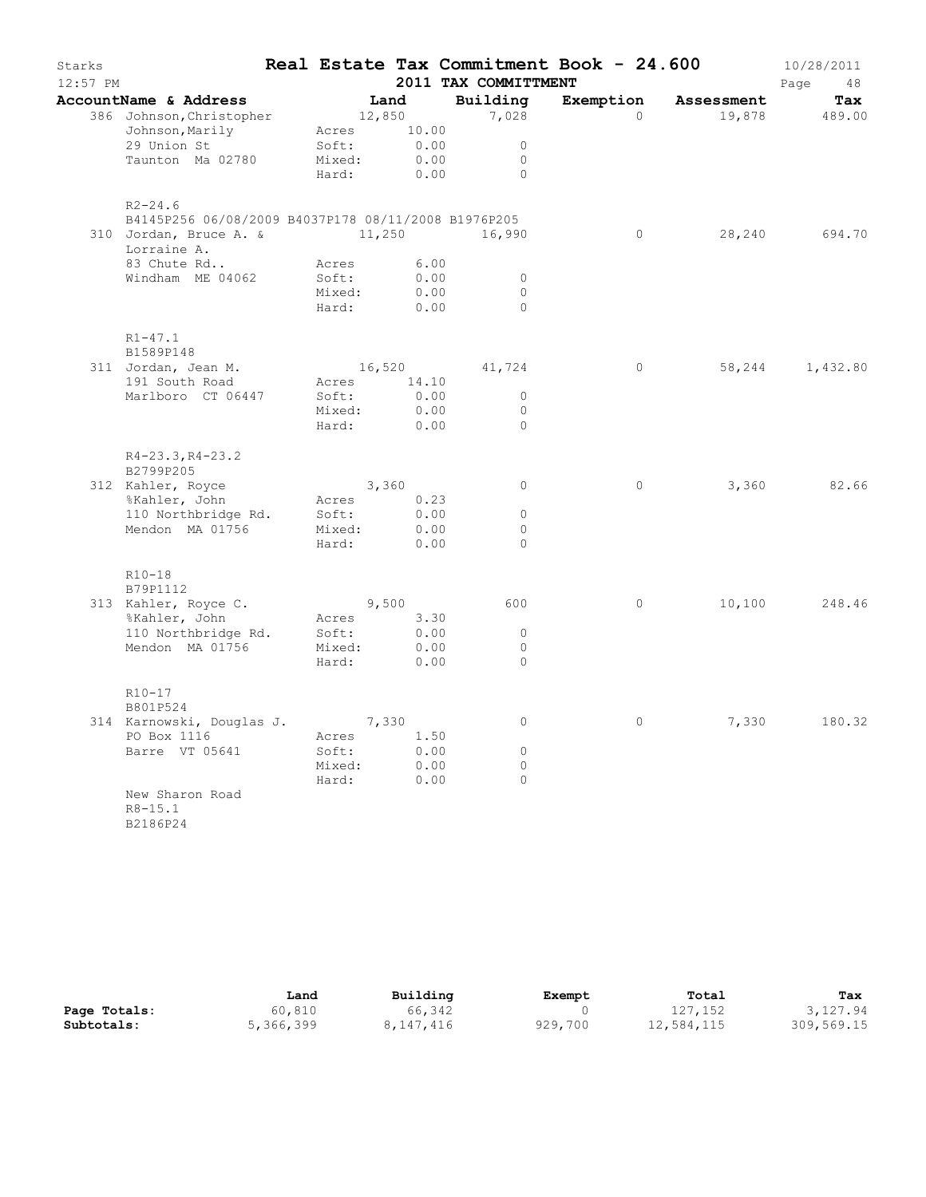| Starks   |                                                     |                 |              | 2011 TAX COMMITTMENT | Real Estate Tax Commitment Book - 24.600 |                      | 10/28/2011    |
|----------|-----------------------------------------------------|-----------------|--------------|----------------------|------------------------------------------|----------------------|---------------|
| 12:57 PM |                                                     |                 |              |                      |                                          |                      | Page<br>48    |
|          | AccountName & Address<br>386 Johnson, Christopher   | 12,850          | Land         | Building<br>7,028    | Exemption<br>$\circ$                     | Assessment<br>19,878 | Tax<br>489.00 |
|          | Johnson, Marily                                     | Acres           | 10.00        |                      |                                          |                      |               |
|          | 29 Union St                                         | Soft:           | 0.00         | $\Omega$             |                                          |                      |               |
|          | Taunton Ma 02780                                    | Mixed:          | 0.00         | $\circ$              |                                          |                      |               |
|          |                                                     | Hard:           | 0.00         | $\circ$              |                                          |                      |               |
|          | $R2 - 24.6$                                         |                 |              |                      |                                          |                      |               |
|          | B4145P256 06/08/2009 B4037P178 08/11/2008 B1976P205 |                 |              |                      |                                          |                      |               |
|          | 310 Jordan, Bruce A. &<br>Lorraine A.               | 11,250          |              | 16,990               | $\circ$                                  | 28,240               | 694.70        |
|          | 83 Chute Rd                                         | Acres           | 6.00         |                      |                                          |                      |               |
|          | Windham ME 04062                                    | Soft:           | 0.00         | $\circ$              |                                          |                      |               |
|          |                                                     | Mixed:          | 0.00         | $\circ$              |                                          |                      |               |
|          |                                                     | Hard:           | 0.00         | $\Omega$             |                                          |                      |               |
|          | $R1 - 47.1$<br>B1589P148                            |                 |              |                      |                                          |                      |               |
|          | 311 Jordan, Jean M.                                 | 16,520          |              | 41,724               | $\circ$                                  | 58,244               | 1,432.80      |
|          | 191 South Road                                      | Acres           | 14.10        |                      |                                          |                      |               |
|          | Marlboro CT 06447                                   | Soft:           | 0.00         | $\circ$              |                                          |                      |               |
|          |                                                     | Mixed:          | 0.00         | $\circ$              |                                          |                      |               |
|          |                                                     | Hard:           | 0.00         | $\circ$              |                                          |                      |               |
|          | R4-23.3, R4-23.2<br>B2799P205                       |                 |              |                      |                                          |                      |               |
|          | 312 Kahler, Royce                                   |                 | 3,360        | $\circ$              | $\circ$                                  | 3,360                | 82.66         |
|          | %Kahler, John                                       | Acres           | 0.23         |                      |                                          |                      |               |
|          | 110 Northbridge Rd.                                 | Soft:           | 0.00         | $\circ$              |                                          |                      |               |
|          | Mendon MA 01756                                     | Mixed:          | 0.00         | 0                    |                                          |                      |               |
|          |                                                     | Hard:           | 0.00         | $\Omega$             |                                          |                      |               |
|          | R10-18                                              |                 |              |                      |                                          |                      |               |
|          | B79P1112                                            |                 |              |                      |                                          |                      |               |
|          | 313 Kahler, Royce C.                                |                 | 9,500        | 600                  | $\circ$                                  | 10,100               | 248.46        |
|          | %Kahler, John                                       | Acres           | 3.30         |                      |                                          |                      |               |
|          | 110 Northbridge Rd.                                 | Soft:           | 0.00         | $\Omega$             |                                          |                      |               |
|          | Mendon MA 01756                                     | Mixed:<br>Hard: | 0.00<br>0.00 | $\circ$<br>$\circ$   |                                          |                      |               |
|          | R10-17<br>B801P524                                  |                 |              |                      |                                          |                      |               |
|          | 314 Karnowski, Douglas J.                           |                 | 7,330        | 0                    | $\circ$                                  | 7,330                | 180.32        |
|          | PO Box 1116                                         | Acres           | 1.50         |                      |                                          |                      |               |
|          | Barre VT 05641                                      | Soft:           | 0.00         | $\circ$              |                                          |                      |               |
|          |                                                     | Mixed:          | 0.00         | $\circ$              |                                          |                      |               |
|          |                                                     | Hard:           | 0.00         | 0                    |                                          |                      |               |
|          | New Sharon Road<br>$R8 - 15.1$<br>B2186P24          |                 |              |                      |                                          |                      |               |

|              | Land      | Building  | Exempt  | Total      | Tax        |
|--------------|-----------|-----------|---------|------------|------------|
| Page Totals: | 60,810    | 66,342    |         | 127,152    | 3,127.94   |
| Subtotals:   | 5,366,399 | 8,147,416 | 929,700 | 12,584,115 | 309,569.15 |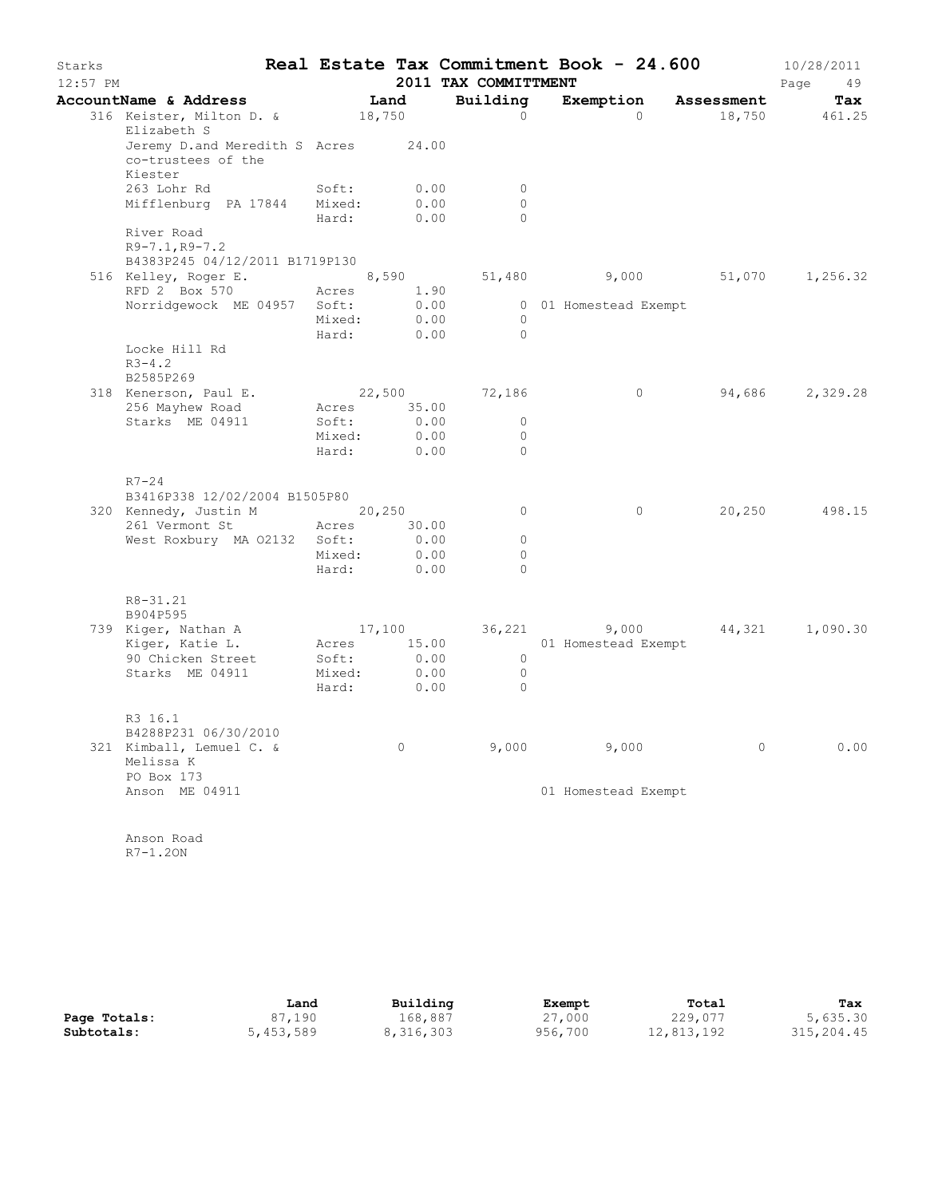| Starks<br>$12:57$ PM |                                                                      |                 |              | Real Estate Tax Commitment Book - 24.600<br>2011 TAX COMMITTMENT |                       |          |            | 10/28/2011<br>Page<br>49 |
|----------------------|----------------------------------------------------------------------|-----------------|--------------|------------------------------------------------------------------|-----------------------|----------|------------|--------------------------|
|                      | AccountName & Address                                                |                 | Land         | Building                                                         | Exemption             |          | Assessment | Tax                      |
|                      | 316 Keister, Milton D. &<br>Elizabeth S                              | 18,750          |              | $\Omega$                                                         |                       | $\Omega$ | 18,750     | 461.25                   |
|                      | Jeremy D.and Meredith S Acres 24.00<br>co-trustees of the<br>Kiester |                 |              |                                                                  |                       |          |            |                          |
|                      | 263 Lohr Rd                                                          | Soft:           | 0.00         | $\circ$                                                          |                       |          |            |                          |
|                      | Mifflenburg PA 17844 Mixed:                                          |                 | 0.00         | $\circ$                                                          |                       |          |            |                          |
|                      |                                                                      | Hard:           | 0.00         | $\circ$                                                          |                       |          |            |                          |
|                      | River Road<br>$R9 - 7.1, R9 - 7.2$                                   |                 |              |                                                                  |                       |          |            |                          |
|                      | B4383P245 04/12/2011 B1719P130                                       |                 |              |                                                                  |                       |          |            |                          |
|                      | 516 Kelley, Roger E.<br>RFD 2 Box 570                                |                 | 8,590        |                                                                  | 51,480                | 9,000    | 51,070     | 1,256.32                 |
|                      | Norridgewock ME 04957 Soft:                                          | Acres           | 1.90<br>0.00 |                                                                  | 0 01 Homestead Exempt |          |            |                          |
|                      |                                                                      | Mixed:          | 0.00         | $\circ$                                                          |                       |          |            |                          |
|                      |                                                                      | Hard:           | 0.00         | $\Omega$                                                         |                       |          |            |                          |
|                      | Locke Hill Rd                                                        |                 |              |                                                                  |                       |          |            |                          |
|                      | $R3 - 4.2$<br>B2585P269                                              |                 |              |                                                                  |                       |          |            |                          |
|                      | 318 Kenerson, Paul E.                                                | 22,500          |              | 72,186                                                           |                       | 0        |            | 94,686 2,329.28          |
|                      | 256 Mayhew Road                                                      | Acres           | 35.00        |                                                                  |                       |          |            |                          |
|                      | Starks ME 04911                                                      | Soft:           | 0.00         | $\circ$                                                          |                       |          |            |                          |
|                      |                                                                      | Mixed:          | 0.00         | 0                                                                |                       |          |            |                          |
|                      |                                                                      | Hard:           | 0.00         | $\Omega$                                                         |                       |          |            |                          |
|                      | $R7 - 24$                                                            |                 |              |                                                                  |                       |          |            |                          |
|                      | B3416P338 12/02/2004 B1505P80                                        |                 |              |                                                                  |                       |          |            |                          |
|                      | 320 Kennedy, Justin M 20,250                                         |                 |              | $\circ$                                                          |                       | 0        | 20,250     | 498.15                   |
|                      | 261 Vermont St                                                       | Acres           | 30.00        |                                                                  |                       |          |            |                          |
|                      | West Roxbury MA 02132 Soft:                                          |                 | 0.00         | $\circ$                                                          |                       |          |            |                          |
|                      |                                                                      | Mixed:          | 0.00         | 0                                                                |                       |          |            |                          |
|                      |                                                                      | Hard:           | 0.00         | $\Omega$                                                         |                       |          |            |                          |
|                      | $R8 - 31.21$                                                         |                 |              |                                                                  |                       |          |            |                          |
|                      | B904P595                                                             |                 |              |                                                                  |                       |          |            |                          |
|                      | 739 Kiger, Nathan A                                                  | 17,100          |              |                                                                  | 36,221 9,000          |          |            | 44,321 1,090.30          |
|                      | Kiger, Katie L.<br>90 Chicken Street                                 | Acres           | 15.00        |                                                                  | 01 Homestead Exempt   |          |            |                          |
|                      | Starks ME 04911                                                      | Soft:<br>Mixed: | 0.00<br>0.00 | $\circ$<br>$\circ$                                               |                       |          |            |                          |
|                      |                                                                      | Hard:           | 0.00         | $\circ$                                                          |                       |          |            |                          |
|                      | R3 16.1                                                              |                 |              |                                                                  |                       |          |            |                          |
|                      | B4288P231 06/30/2010                                                 |                 |              |                                                                  |                       |          |            |                          |
|                      | 321 Kimball, Lemuel C. &                                             |                 | 0            | 9,000                                                            | 9,000                 |          | 0          | 0.00                     |
|                      | Melissa K                                                            |                 |              |                                                                  |                       |          |            |                          |
|                      | PO Box 173                                                           |                 |              |                                                                  |                       |          |            |                          |
|                      | Anson ME 04911                                                       |                 |              |                                                                  | 01 Homestead Exempt   |          |            |                          |
|                      |                                                                      |                 |              |                                                                  |                       |          |            |                          |
|                      | Anson Road                                                           |                 |              |                                                                  |                       |          |            |                          |
|                      | $R7-1.20N$                                                           |                 |              |                                                                  |                       |          |            |                          |

|              | Land      | Building  | Exempt  | Total      | Tax        |
|--------------|-----------|-----------|---------|------------|------------|
| Page Totals: | 87,190    | 168,887   | 27,000  | 229,077    | 5,635.30   |
| Subtotals:   | 5,453,589 | 8,316,303 | 956,700 | 12,813,192 | 315,204.45 |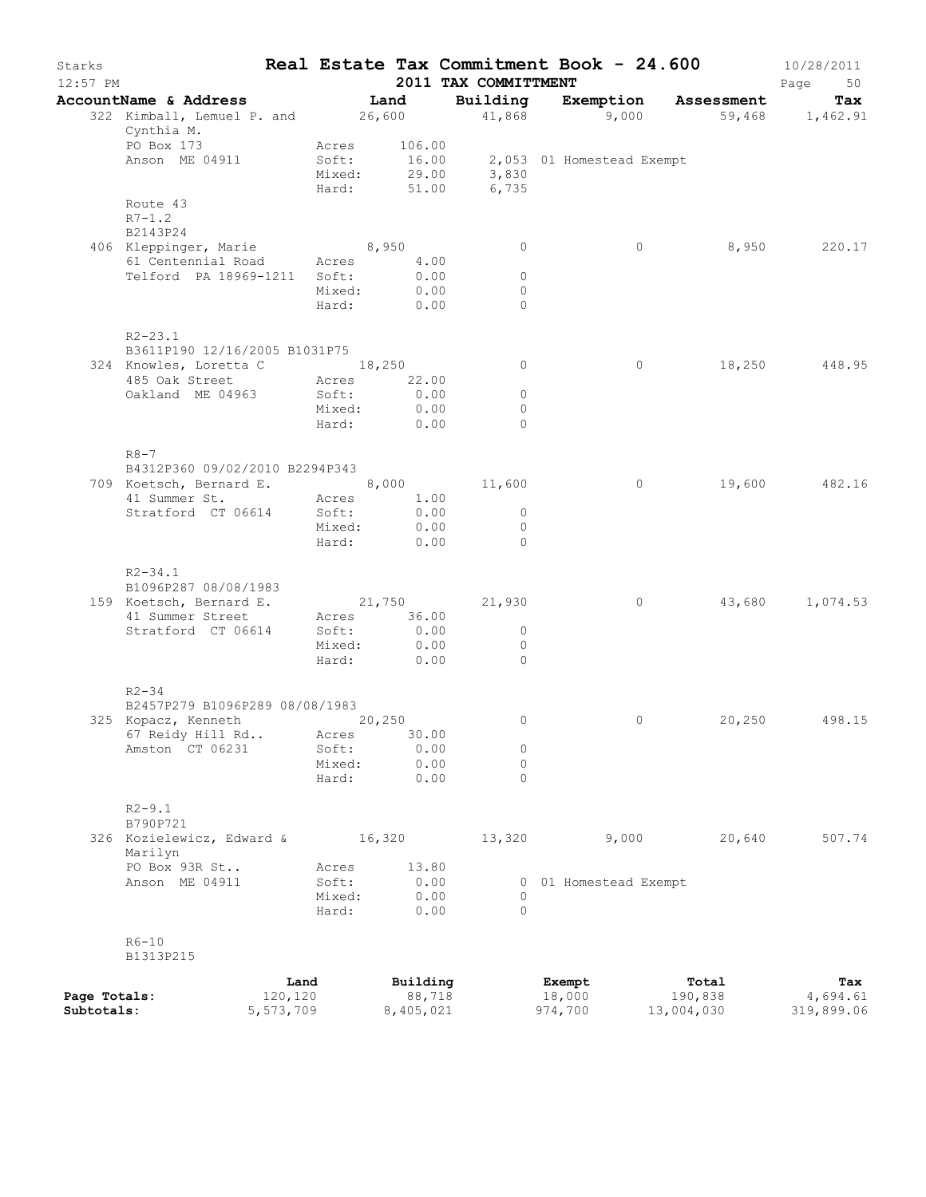| Starks<br>$12:57$ PM       |                                                                |                                   |                          | 2011 TAX COMMITTMENT           | Real Estate Tax Commitment Book - 24.600 |                       | 10/28/2011<br>Page<br>50 |
|----------------------------|----------------------------------------------------------------|-----------------------------------|--------------------------|--------------------------------|------------------------------------------|-----------------------|--------------------------|
|                            | AccountName & Address                                          |                                   | Land                     | Building                       | Exemption Assessment                     |                       | Tax                      |
|                            | 322 Kimball, Lemuel P. and 26,600<br>Cynthia M.                |                                   |                          |                                | $41,868$ 9,000                           | 59,468 1,462.91       |                          |
|                            | PO Box 173<br>Anson ME 04911                                   | Acres<br>Soft:<br>Mixed:<br>Hard: | 106.00<br>16.00<br>51.00 | 29.00 3,830<br>6,735           | 2,053 01 Homestead Exempt                |                       |                          |
|                            | Route 43<br>$R7 - 1.2$<br>B2143P24                             |                                   |                          |                                |                                          |                       |                          |
|                            | 406 Kleppinger, Marie 8,950                                    |                                   |                          | $\circ$                        | $\circ$                                  | 8,950                 | 220.17                   |
|                            | 61 Centennial Road                                             | Acres                             | 4.00                     |                                |                                          |                       |                          |
|                            | Telford PA 18969-1211                                          | Soft:<br>Mixed:<br>Hard:          | 0.00<br>0.00<br>0.00     | $\circ$<br>$\circ$<br>$\Omega$ |                                          |                       |                          |
|                            | $R2 - 23.1$                                                    |                                   |                          |                                |                                          |                       |                          |
|                            | B3611P190 12/16/2005 B1031P75<br>324 Knowles, Loretta C 18,250 |                                   |                          | $\circ$                        | $\circ$                                  | 18,250                | 448.95                   |
|                            | 485 Oak Street                                                 | Acres                             | 22.00                    |                                |                                          |                       |                          |
|                            | Oakland ME 04963                                               | Soft:                             | 0.00                     | $\circ$                        |                                          |                       |                          |
|                            |                                                                | Mixed:<br>Hard:                   | 0.00<br>0.00             | $\circ$<br>$\Omega$            |                                          |                       |                          |
|                            | $R8 - 7$                                                       |                                   |                          |                                |                                          |                       |                          |
|                            | B4312P360 09/02/2010 B2294P343                                 |                                   |                          |                                |                                          |                       |                          |
|                            | 709 Koetsch, Bernard E.                                        |                                   |                          | 8,000 11,600                   | $\circ$                                  | 19,600                | 482.16                   |
|                            | 41 Summer St.<br>Stratford CT 06614                            | Acres<br>Soft:                    | 1.00<br>0.00             | $\overline{0}$                 |                                          |                       |                          |
|                            |                                                                | Mixed:                            | 0.00                     | $\circ$                        |                                          |                       |                          |
|                            |                                                                | Hard:                             | 0.00                     | $\Omega$                       |                                          |                       |                          |
|                            | $R2 - 34.1$                                                    |                                   |                          |                                |                                          |                       |                          |
|                            | B1096P287 08/08/1983                                           |                                   |                          |                                |                                          |                       |                          |
|                            | 159 Koetsch, Bernard E.                                        |                                   |                          | 21,750 21,930                  | $\circ$                                  | 43,680                | 1,074.53                 |
|                            | 41 Summer Street<br>Stratford CT 06614                         | Acres<br>Soft:                    | 36.00<br>0.00            | $\overline{0}$                 |                                          |                       |                          |
|                            |                                                                | Mixed:                            | 0.00                     | $\circ$                        |                                          |                       |                          |
|                            |                                                                | Hard:                             | 0.00                     | $\Omega$                       |                                          |                       |                          |
|                            | $R2 - 34$                                                      |                                   |                          |                                |                                          |                       |                          |
|                            | B2457P279 B1096P289 08/08/1983                                 |                                   |                          |                                |                                          |                       |                          |
|                            | 325 Kopacz, Kenneth                                            |                                   | 20,250<br>30.00          | 0                              | 0                                        | 20,250                | 498.15                   |
|                            | 67 Reidy Hill Rd<br>Amston CT 06231                            | Acres<br>Soft:                    | 0.00                     | 0                              |                                          |                       |                          |
|                            |                                                                | Mixed:                            | 0.00                     | $\circ$                        |                                          |                       |                          |
|                            |                                                                | Hard:                             | 0.00                     | 0                              |                                          |                       |                          |
|                            | $R2 - 9.1$<br>B790P721                                         |                                   |                          |                                |                                          |                       |                          |
|                            | 326 Kozielewicz, Edward &<br>Marilyn                           |                                   | 16,320                   | 13,320                         | 9,000                                    | 20,640                | 507.74                   |
|                            | PO Box 93R St                                                  | Acres                             | 13.80                    |                                |                                          |                       |                          |
|                            | Anson ME 04911                                                 | Soft:<br>Mixed:                   | 0.00<br>0.00             | 0                              | 0 01 Homestead Exempt                    |                       |                          |
|                            |                                                                | Hard:                             | 0.00                     | 0                              |                                          |                       |                          |
|                            | $R6 - 10$<br>B1313P215                                         |                                   |                          |                                |                                          |                       |                          |
|                            | Land                                                           |                                   | Building                 |                                | Exempt                                   | Total                 | Tax                      |
| Page Totals:<br>Subtotals: | 120,120<br>5,573,709                                           |                                   | 88,718<br>8,405,021      |                                | 18,000<br>974,700                        | 190,838<br>13,004,030 | 4,694.61<br>319,899.06   |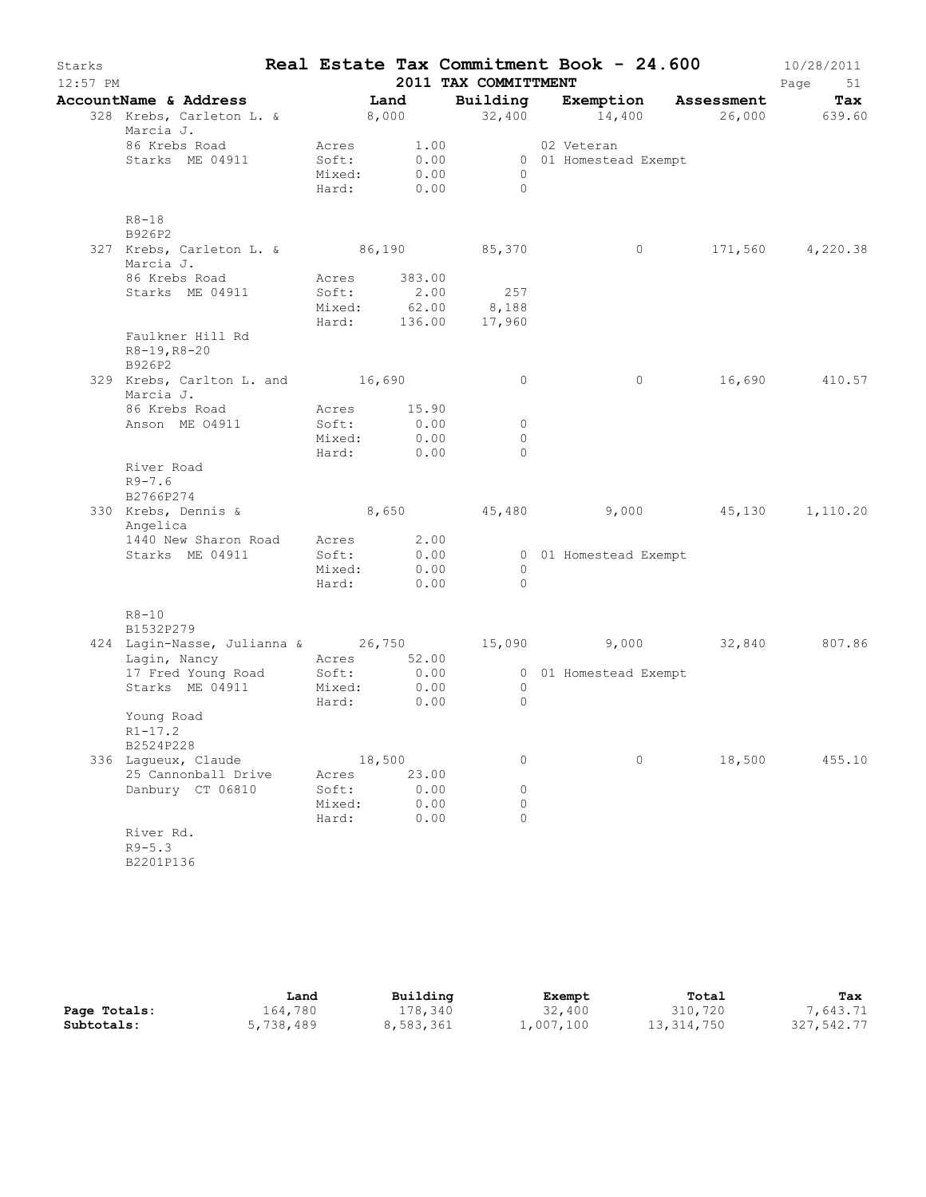| Starks<br>$12:57$ PM |                                                        | Real Estate Tax Commitment Book - 24.600 |               | 2011 TAX COMMITTMENT                      |                       |         |                      | 10/28/2011<br>Page<br>51 |
|----------------------|--------------------------------------------------------|------------------------------------------|---------------|-------------------------------------------|-----------------------|---------|----------------------|--------------------------|
|                      | AccountName & Address                                  |                                          | Land          | Building                                  |                       |         | Exemption Assessment | Tax                      |
|                      | 328 Krebs, Carleton L. &<br>Marcia J.                  |                                          | 8,000         | 32,400                                    |                       | 14,400  |                      | 26,000 639.60            |
|                      | 86 Krebs Road                                          | Acres                                    | 1.00          |                                           | 02 Veteran            |         |                      |                          |
|                      | Starks ME 04911                                        | Soft:                                    | 0.00          |                                           | 0 01 Homestead Exempt |         |                      |                          |
|                      |                                                        | Mixed:<br>Hard:                          | 0.00<br>0.00  | $\circ$<br>$\bigcirc$                     |                       |         |                      |                          |
|                      | $R8 - 18$<br>B926P2                                    |                                          |               |                                           |                       |         |                      |                          |
|                      | 327 Krebs, Carleton L. & 86,190 85,370<br>Marcia J.    |                                          |               |                                           |                       | $\circ$ |                      | 171,560 4,220.38         |
|                      | 86 Krebs Road                                          |                                          | Acres 383.00  |                                           |                       |         |                      |                          |
|                      | Starks ME 04911                                        | Soft:                                    | 2.00          | 257                                       |                       |         |                      |                          |
|                      |                                                        |                                          |               | Mixed: 62.00 8,188<br>Hard: 136.00 17,960 |                       |         |                      |                          |
|                      | Faulkner Hill Rd<br>$R8-19, R8-20$<br>B926P2           |                                          |               |                                           |                       |         |                      |                          |
|                      | 329 Krebs, Carlton L. and 16,690<br>Marcia J.          |                                          |               | $\circ$                                   |                       | $\circ$ | 16,690               | 410.57                   |
|                      | 86 Krebs Road                                          | Acres                                    | 15.90         |                                           |                       |         |                      |                          |
|                      | Anson ME 04911                                         | Soft:                                    | 0.00          | $\circ$                                   |                       |         |                      |                          |
|                      |                                                        | Mixed:                                   | 0.00          | $\Omega$<br>$\Omega$                      |                       |         |                      |                          |
|                      | River Road<br>$R9 - 7.6$<br>B2766P274                  | Hard:                                    | 0.00          |                                           |                       |         |                      |                          |
|                      | 330 Krebs, Dennis & 8,650 45,480<br>Angelica           |                                          |               |                                           |                       |         | 9,000 45,130         | 1,110.20                 |
|                      | 1440 New Sharon Road                                   | Acres                                    | 2.00          |                                           |                       |         |                      |                          |
|                      | Starks ME 04911                                        | Soft:                                    | 0.00          |                                           | 0 01 Homestead Exempt |         |                      |                          |
|                      |                                                        | Mixed:                                   | 0.00          | $\circ$<br>$\Omega$                       |                       |         |                      |                          |
|                      |                                                        | Hard:                                    | 0.00          |                                           |                       |         |                      |                          |
|                      | $R8 - 10$<br>B1532P279                                 |                                          |               |                                           |                       |         |                      |                          |
|                      | 424 Lagin-Nasse, Julianna & 26,750 15,090 9,000 32,840 | Acres 52.00                              |               |                                           |                       |         |                      | 807.86                   |
|                      | Lagin, Nancy<br>17 Fred Young Road                     |                                          | Soft: 0.00    |                                           | 0 01 Homestead Exempt |         |                      |                          |
|                      | Starks ME 04911                                        | Mixed:                                   | 0.00          | $\overline{0}$                            |                       |         |                      |                          |
|                      |                                                        | Hard:                                    | 0.00          | $\circ$                                   |                       |         |                      |                          |
|                      | Young Road<br>$R1 - 17.2$                              |                                          |               |                                           |                       |         |                      |                          |
|                      | B2524P228                                              |                                          |               |                                           |                       |         |                      |                          |
|                      | 336 Laqueux, Claude<br>25 Cannonball Drive             |                                          | 18,500        | 0                                         |                       | 0       | 18,500               | 455.10                   |
|                      | Danbury CT 06810                                       | Acres<br>Soft:                           | 23.00<br>0.00 | 0                                         |                       |         |                      |                          |
|                      |                                                        | Mixed:                                   | 0.00          | 0                                         |                       |         |                      |                          |
|                      |                                                        | Hard:                                    | 0.00          | $\Omega$                                  |                       |         |                      |                          |
|                      | River Rd.<br>$R9 - 5.3$                                |                                          |               |                                           |                       |         |                      |                          |
|                      | B2201P136                                              |                                          |               |                                           |                       |         |                      |                          |

|              | Land      | Building  | Exempt    | Total        | Tax        |
|--------------|-----------|-----------|-----------|--------------|------------|
| Page Totals: | 164,780   | 178,340   | 32,400    | 310,720      | 7,643.71   |
| Subtotals:   | 5,738,489 | 8,583,361 | 1,007,100 | 13, 314, 750 | 327,542.77 |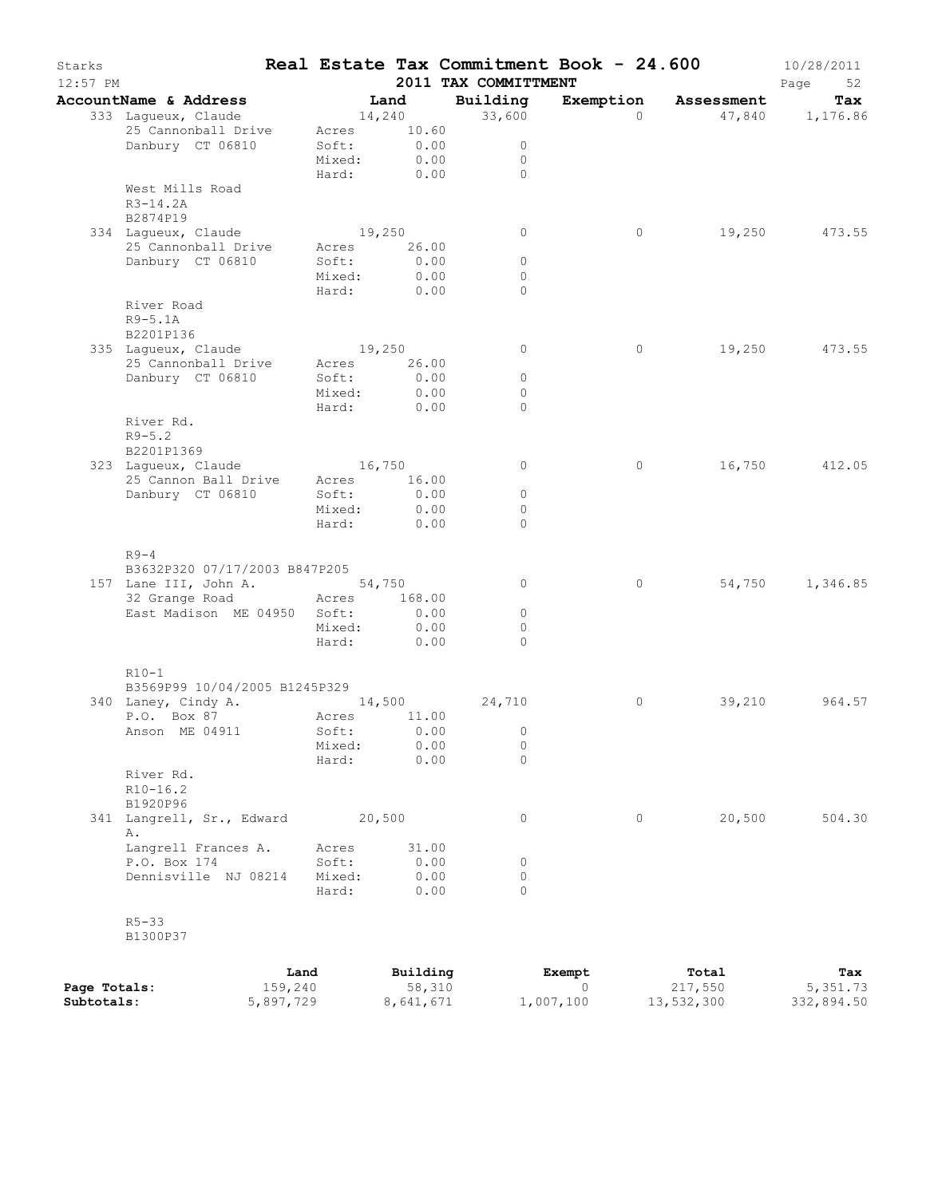| Starks<br>12:57 PM |                                 |      |                 |               | 2011 TAX COMMITTMENT     | Real Estate Tax Commitment Book - 24.600 |            | 10/28/2011<br>Page<br>52 |
|--------------------|---------------------------------|------|-----------------|---------------|--------------------------|------------------------------------------|------------|--------------------------|
|                    | AccountName & Address           |      | Land            |               | Building                 | Exemption                                | Assessment | Tax                      |
|                    | 333 Lagueux, Claude             |      | 14,240          |               | 33,600                   | $\Omega$                                 |            | 47,840 1,176.86          |
|                    | 25 Cannonball Drive             |      | Acres           | 10.60         |                          |                                          |            |                          |
|                    | Danbury CT 06810                |      | Soft:           | 0.00          | $\circ$                  |                                          |            |                          |
|                    |                                 |      | Mixed:<br>Hard: | 0.00<br>0.00  | $\circ$<br>$\Omega$      |                                          |            |                          |
|                    | West Mills Road                 |      |                 |               |                          |                                          |            |                          |
|                    | $R3 - 14.2A$                    |      |                 |               |                          |                                          |            |                          |
|                    | B2874P19                        |      |                 |               |                          |                                          |            |                          |
|                    | 334 Laqueux, Claude             |      | 19,250          |               | 0                        | 0                                        | 19,250     | 473.55                   |
|                    | 25 Cannonball Drive             |      | Acres           | 26.00         |                          |                                          |            |                          |
|                    | Danbury CT 06810                |      | Soft:           | 0.00          | $\circ$                  |                                          |            |                          |
|                    |                                 |      | Mixed:          | 0.00          | $\circ$                  |                                          |            |                          |
|                    |                                 |      | Hard:           | 0.00          | $\circ$                  |                                          |            |                          |
|                    | River Road                      |      |                 |               |                          |                                          |            |                          |
|                    | $R9-5.1A$<br>B2201P136          |      |                 |               |                          |                                          |            |                          |
|                    | 335 Lagueux, Claude             |      | 19,250          |               | $\circ$                  | 0                                        | 19,250     | 473.55                   |
|                    | 25 Cannonball Drive             |      | Acres           | 26.00         |                          |                                          |            |                          |
|                    | Danbury CT 06810                |      | Soft:           | 0.00          | $\circ$                  |                                          |            |                          |
|                    |                                 |      | Mixed:          | 0.00          | $\circ$                  |                                          |            |                          |
|                    |                                 |      | Hard:           | 0.00          | $\Omega$                 |                                          |            |                          |
|                    | River Rd.                       |      |                 |               |                          |                                          |            |                          |
|                    | $R9 - 5.2$                      |      |                 |               |                          |                                          |            |                          |
|                    | B2201P1369                      |      |                 |               |                          |                                          |            |                          |
|                    | 323 Laqueux, Claude             |      | 16,750          |               | $\circ$                  | 0                                        | 16,750     | 412.05                   |
|                    | 25 Cannon Ball Drive            |      | Acres           | 16.00<br>0.00 |                          |                                          |            |                          |
|                    | Danbury CT 06810                |      | Soft:<br>Mixed: | 0.00          | $\circ$<br>$\circ$       |                                          |            |                          |
|                    |                                 |      | Hard:           | 0.00          | $\circ$                  |                                          |            |                          |
|                    |                                 |      |                 |               |                          |                                          |            |                          |
|                    | $R9-4$                          |      |                 |               |                          |                                          |            |                          |
|                    | B3632P320 07/17/2003 B847P205   |      |                 |               |                          |                                          |            |                          |
|                    | 157 Lane III, John A.           |      |                 | 54,750        | $\circ$                  | $\circ$                                  | 54,750     | 1,346.85                 |
|                    | 32 Grange Road Acres            |      |                 | 168.00        |                          |                                          |            |                          |
|                    | East Madison ME 04950 Soft:     |      |                 | 0.00          | $\circ$                  |                                          |            |                          |
|                    |                                 |      | Mixed:          | 0.00          | $\circ$                  |                                          |            |                          |
|                    |                                 |      | Hard:           | 0.00          | $\Omega$                 |                                          |            |                          |
|                    | $R10-1$                         |      |                 |               |                          |                                          |            |                          |
|                    | B3569P99 10/04/2005 B1245P329   |      |                 |               |                          |                                          |            |                          |
|                    | 340 Laney, Cindy A.             |      | 14,500          |               | 24,710                   | 0                                        | 39,210     | 964.57                   |
|                    | P.O. Box 87                     |      | Acres 11.00     |               |                          |                                          |            |                          |
|                    | Anson ME 04911                  |      | Soft: 0.00      |               | $\overline{\phantom{0}}$ |                                          |            |                          |
|                    |                                 |      | Mixed:          | 0.00          | 0                        |                                          |            |                          |
|                    |                                 |      | Hard:           | 0.00          | $\Omega$                 |                                          |            |                          |
|                    | River Rd.                       |      |                 |               |                          |                                          |            |                          |
|                    | $R10 - 16.2$                    |      |                 |               |                          |                                          |            |                          |
|                    | B1920P96                        |      |                 |               | 0                        | 0                                        | 20,500     |                          |
|                    | 341 Langrell, Sr., Edward<br>Α. |      | 20,500          |               |                          |                                          |            | 504.30                   |
|                    | Langrell Frances A.             |      | Acres           | 31.00         |                          |                                          |            |                          |
|                    | P.O. Box 174                    |      | Soft:           | 0.00          | 0                        |                                          |            |                          |
|                    | Dennisville NJ 08214            |      | Mixed:          | 0.00          | 0                        |                                          |            |                          |
|                    |                                 |      | Hard:           | 0.00          | $\Omega$                 |                                          |            |                          |
|                    |                                 |      |                 |               |                          |                                          |            |                          |
|                    | $R5 - 33$                       |      |                 |               |                          |                                          |            |                          |
|                    | B1300P37                        |      |                 |               |                          |                                          |            |                          |
|                    |                                 | Land |                 | Building      |                          | Exempt                                   | Total      | Tax                      |
|                    |                                 |      |                 |               |                          |                                          |            |                          |

|              | nana      | purratiid | <b>Exemple</b> | TOLAT      | 1 ax       |
|--------------|-----------|-----------|----------------|------------|------------|
| Page Totals: | 159,240   | 58,310    |                | 217,550    | 5,351.73   |
| Subtotals:   | 5,897,729 | 8,641,671 | 1,007,100      | 13,532,300 | 332,894.50 |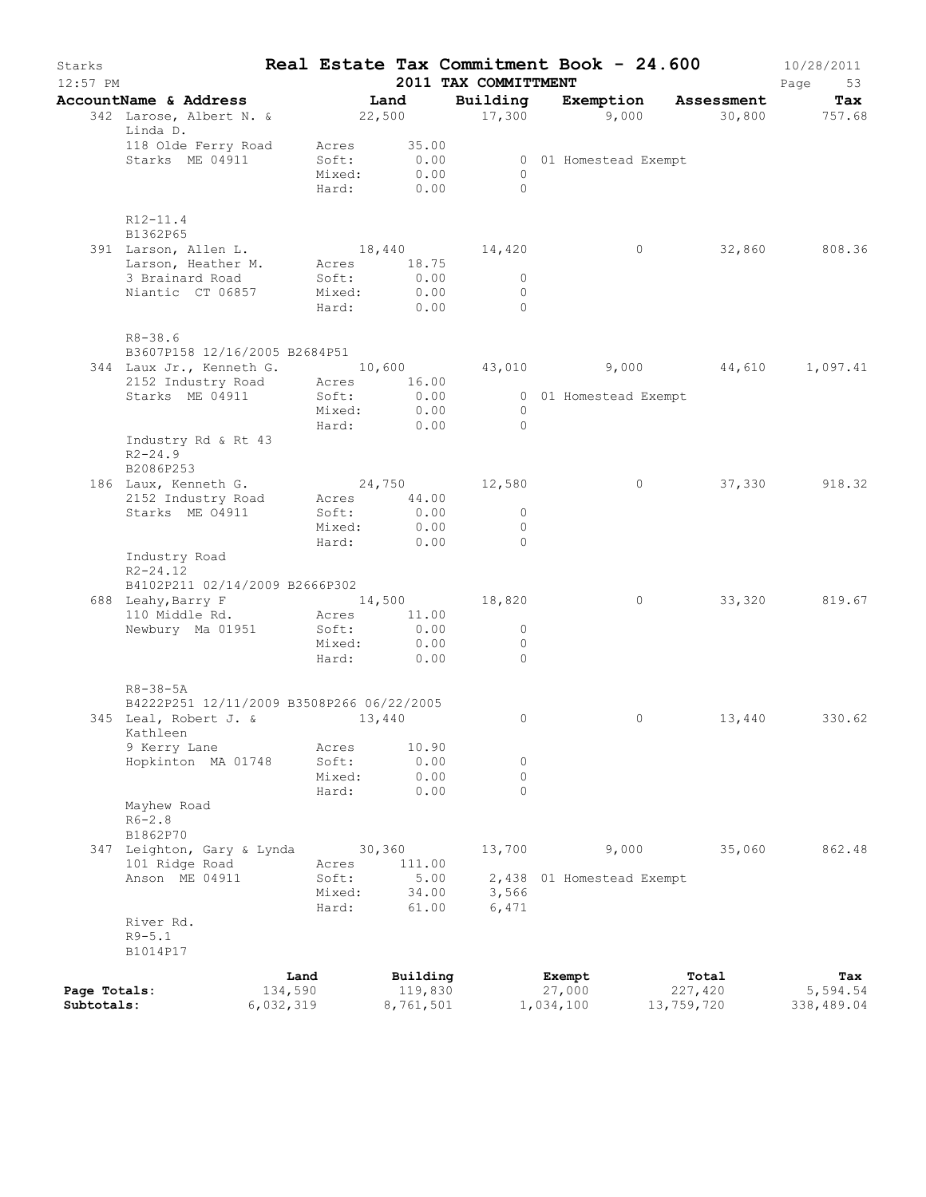| Starks<br>12:57 PM |                                                  |           |        |                | 2011 TAX COMMITTMENT | Real Estate Tax Commitment Book - 24.600 |                      | 10/28/2011<br>Page<br>53 |
|--------------------|--------------------------------------------------|-----------|--------|----------------|----------------------|------------------------------------------|----------------------|--------------------------|
|                    | AccountName & Address<br>342 Larose, Albert N. & |           |        | Land<br>22,500 | Building<br>17,300   | Exemption<br>9,000                       | Assessment<br>30,800 | Tax<br>757.68            |
|                    | Linda D.                                         |           |        |                |                      |                                          |                      |                          |
|                    | 118 Olde Ferry Road                              |           | Acres  | 35.00          |                      |                                          |                      |                          |
|                    | Starks ME 04911                                  |           | Soft:  | 0.00           |                      | 0 01 Homestead Exempt                    |                      |                          |
|                    |                                                  |           | Mixed: | 0.00           | $\Omega$<br>$\Omega$ |                                          |                      |                          |
|                    |                                                  |           | Hard:  | 0.00           |                      |                                          |                      |                          |
|                    | $R12 - 11.4$                                     |           |        |                |                      |                                          |                      |                          |
|                    | B1362P65                                         |           |        |                |                      |                                          |                      |                          |
|                    | 391 Larson, Allen L.<br>Larson, Heather M.       |           | Acres  | 18.75          | 18,440    14,420     | $\circ$                                  | 32,860               | 808.36                   |
|                    | 3 Brainard Road                                  |           | Soft:  | 0.00           | $\circ$              |                                          |                      |                          |
|                    | Niantic CT 06857                                 |           | Mixed: | 0.00           | $\circ$              |                                          |                      |                          |
|                    |                                                  |           | Hard:  | 0.00           | $\Omega$             |                                          |                      |                          |
|                    | $R8 - 38.6$<br>B3607P158 12/16/2005 B2684P51     |           |        |                |                      |                                          |                      |                          |
|                    | 344 Laux Jr., Kenneth G. 10,600                  |           |        |                | 43,010               | 9,000                                    | 44,610               | 1,097.41                 |
|                    | 2152 Industry Road                               |           | Acres  | 16.00          |                      |                                          |                      |                          |
|                    | Starks ME 04911                                  |           | Soft:  | 0.00           |                      | 0 01 Homestead Exempt                    |                      |                          |
|                    |                                                  |           | Mixed: | 0.00           | $\Omega$             |                                          |                      |                          |
|                    |                                                  |           | Hard:  | 0.00           | $\Omega$             |                                          |                      |                          |
|                    | Industry Rd & Rt 43<br>$R2 - 24.9$               |           |        |                |                      |                                          |                      |                          |
|                    | B2086P253                                        |           |        |                |                      |                                          |                      |                          |
|                    | 186 Laux, Kenneth G.                             |           |        |                | 24,750 12,580        | $\circ$                                  | 37,330               | 918.32                   |
|                    | 2152 Industry Road                               |           | Acres  | 44.00          |                      |                                          |                      |                          |
|                    | Starks ME 04911                                  |           | Soft:  | 0.00           | $\circ$              |                                          |                      |                          |
|                    |                                                  |           | Mixed: | 0.00           | $\circ$              |                                          |                      |                          |
|                    |                                                  |           | Hard:  | 0.00           | $\Omega$             |                                          |                      |                          |
|                    | Industry Road<br>$R2 - 24.12$                    |           |        |                |                      |                                          |                      |                          |
|                    | B4102P211 02/14/2009 B2666P302                   |           |        |                |                      |                                          |                      |                          |
|                    | 688 Leahy, Barry F                               |           |        |                | 14,500 18,820        | $\circ$                                  | 33,320               | 819.67                   |
|                    | 110 Middle Rd.                                   |           | Acres  | 11.00          |                      |                                          |                      |                          |
|                    | Newbury Ma 01951                                 |           | Soft:  | 0.00           | $\circ$              |                                          |                      |                          |
|                    |                                                  |           | Mixed: | 0.00           | $\circ$              |                                          |                      |                          |
|                    |                                                  |           | Hard:  | 0.00           | $\Omega$             |                                          |                      |                          |
|                    | $R8 - 38 - 5A$                                   |           |        |                |                      |                                          |                      |                          |
|                    | B4222P251 12/11/2009 B3508P266 06/22/2005        |           |        |                |                      | $\circ$                                  | 13,440               | 330.62                   |
|                    | 345 Leal, Robert J. &<br>Kathleen                |           |        | 13,440         | 0                    |                                          |                      |                          |
|                    | 9 Kerry Lane                                     |           | Acres  | 10.90          |                      |                                          |                      |                          |
|                    | Hopkinton MA 01748                               |           | Soft:  | 0.00           | 0                    |                                          |                      |                          |
|                    |                                                  |           | Mixed: | 0.00           | 0                    |                                          |                      |                          |
|                    |                                                  |           | Hard:  | 0.00           | $\Omega$             |                                          |                      |                          |
|                    | Mayhew Road                                      |           |        |                |                      |                                          |                      |                          |
|                    | $R6 - 2.8$<br>B1862P70                           |           |        |                |                      |                                          |                      |                          |
|                    | 347 Leighton, Gary & Lynda                       |           |        | 30, 360        | 13,700               | 9,000                                    | 35,060               | 862.48                   |
|                    | 101 Ridge Road                                   |           | Acres  | 111.00         |                      |                                          |                      |                          |
|                    | Anson ME 04911                                   |           | Soft:  | 5.00           |                      | 2,438 01 Homestead Exempt                |                      |                          |
|                    |                                                  |           | Mixed: | 34.00          | 3,566                |                                          |                      |                          |
|                    |                                                  |           | Hard:  | 61.00          | 6,471                |                                          |                      |                          |
|                    | River Rd.                                        |           |        |                |                      |                                          |                      |                          |
|                    | $R9 - 5.1$                                       |           |        |                |                      |                                          |                      |                          |
|                    | B1014P17                                         |           |        |                |                      |                                          |                      |                          |
|                    |                                                  | Land      |        | Building       |                      | Exempt                                   | Total                | Tax                      |
| Page Totals:       |                                                  | 134,590   |        | 119,830        |                      | 27,000                                   | 227,420              | 5,594.54                 |
| Subtotals:         |                                                  | 6,032,319 |        | 8,761,501      |                      | 1,034,100                                | 13,759,720           | 338,489.04               |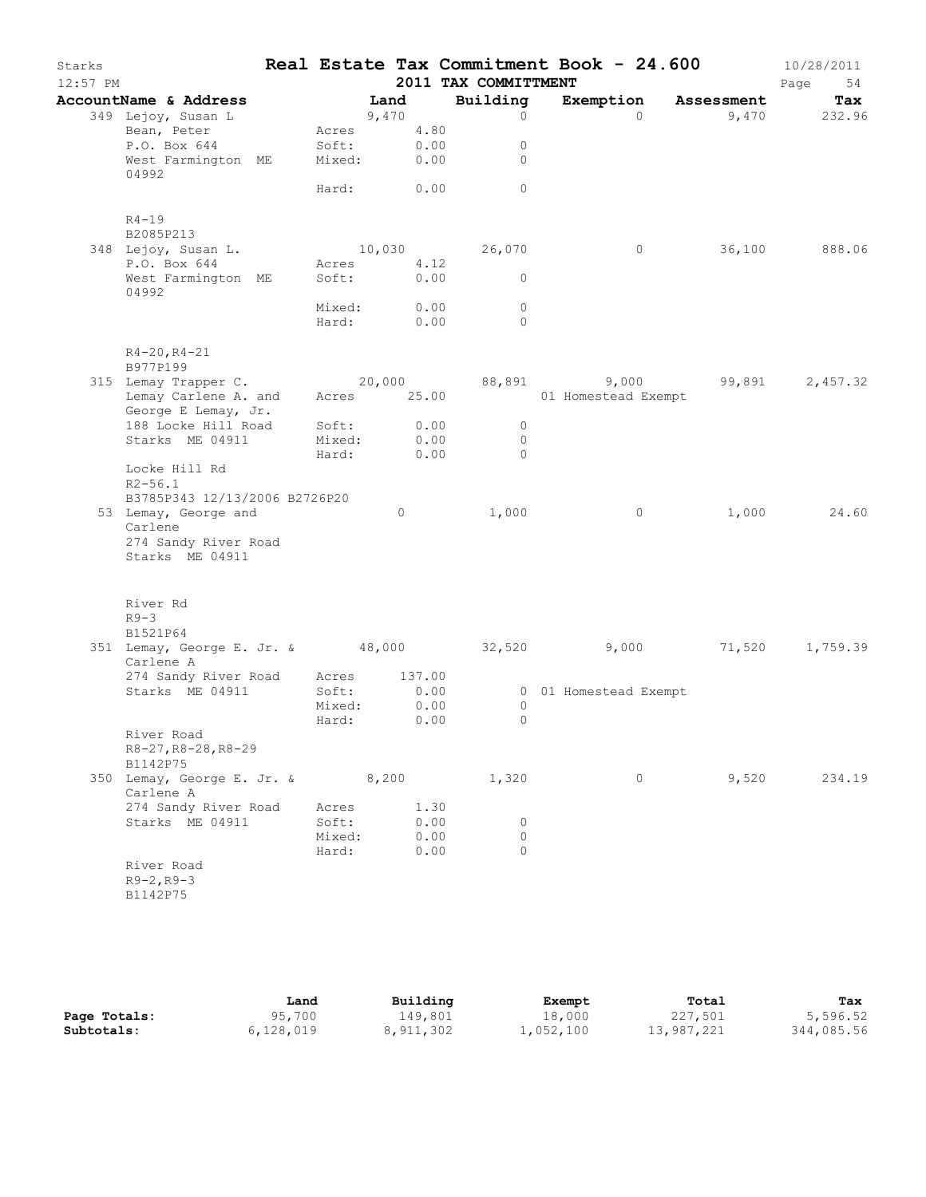| Starks<br>$12:57$ PM |                                                                            |                 |                           | 2011 TAX COMMITTMENT             | Real Estate Tax Commitment Book - 24.600 |                      | 10/28/2011<br>Page<br>54 |
|----------------------|----------------------------------------------------------------------------|-----------------|---------------------------|----------------------------------|------------------------------------------|----------------------|--------------------------|
|                      | AccountName & Address                                                      | Land            |                           | Building                         |                                          | Exemption Assessment | Tax                      |
|                      | 349 Lejoy, Susan L                                                         | 9,470           |                           | $\circ$                          | $\bigcap$                                |                      | 9,470 232.96             |
|                      | Bean, Peter                                                                |                 | Acres 4.80                |                                  |                                          |                      |                          |
|                      |                                                                            |                 |                           | $\circ$                          |                                          |                      |                          |
|                      | 4.80<br>West Farmington ME Mixed: 0.00<br>04992 04992                      |                 |                           | $\Omega$                         |                                          |                      |                          |
|                      |                                                                            |                 | Hard: 0.00                | $\circ$                          |                                          |                      |                          |
|                      | $R4 - 19$                                                                  |                 |                           |                                  |                                          |                      |                          |
|                      | B2085P213                                                                  |                 |                           |                                  |                                          |                      |                          |
|                      | 348 Lejoy, Susan L.<br>P.O. Box 644                                        | Acres           | 4.12                      | 10,030 26,070                    | $\circ$                                  |                      | 36,100 888.06            |
|                      | West Farmington ME                                                         | Soft:           | 0.00                      | $\overline{0}$                   |                                          |                      |                          |
|                      | 04992                                                                      |                 |                           |                                  |                                          |                      |                          |
|                      |                                                                            |                 | Mixed: 0.00<br>Hard: 0.00 | $\circ$                          |                                          |                      |                          |
|                      |                                                                            |                 |                           | $\bigcirc$                       |                                          |                      |                          |
|                      | $R4 - 20, R4 - 21$<br>B977P199                                             |                 |                           |                                  |                                          |                      |                          |
|                      | 315 Lemay Trapper C. 20,000 88,891 9,000 99,891                            |                 |                           |                                  |                                          |                      | 2,457.32                 |
|                      | Lemay Carlene A. and                                                       |                 | Acres 25.00               |                                  | 01 Homestead Exempt                      |                      |                          |
|                      | George E Lemay, Jr.                                                        |                 |                           |                                  |                                          |                      |                          |
|                      | 188 Locke Hill Road<br>Starks ME 04911                                     | Soft:<br>Mixed: | $0.00$<br>$0.00$          | $\overline{0}$<br>$\overline{0}$ |                                          |                      |                          |
|                      |                                                                            |                 | Hard: 0.00                | $\bigcap$                        |                                          |                      |                          |
|                      | Locke Hill Rd                                                              |                 |                           |                                  |                                          |                      |                          |
|                      | $R2 - 56.1$                                                                |                 |                           |                                  |                                          |                      |                          |
|                      | B3785P343 12/13/2006 B2726P20                                              |                 |                           |                                  |                                          |                      |                          |
|                      | 53 Lemay, George and<br>Carlene                                            |                 | $\circ$                   | 1,000                            | $\overline{0}$                           |                      | 1,000 24.60              |
|                      | 274 Sandy River Road                                                       |                 |                           |                                  |                                          |                      |                          |
|                      | Starks ME 04911                                                            |                 |                           |                                  |                                          |                      |                          |
|                      | River Rd                                                                   |                 |                           |                                  |                                          |                      |                          |
|                      | $R9-3$                                                                     |                 |                           |                                  |                                          |                      |                          |
|                      | B1521P64<br>351 Lemay, George E. Jr. & 48,000 32,520 9,000 71,520 1,759.39 |                 |                           |                                  |                                          |                      |                          |
|                      | Carlene A                                                                  |                 |                           |                                  |                                          |                      |                          |
|                      | 274 Sandy River Road Acres 137.00                                          |                 |                           |                                  |                                          |                      |                          |
|                      | Starks ME 04911                                                            | Soft:           | 0.00                      |                                  | 0 01 Homestead Exempt                    |                      |                          |
|                      |                                                                            | Mixed:          | 0.00                      | $\circ$                          |                                          |                      |                          |
|                      | River Road                                                                 | Hard:           | 0.00                      | 0                                |                                          |                      |                          |
|                      | R8-27, R8-28, R8-29                                                        |                 |                           |                                  |                                          |                      |                          |
|                      | B1142P75                                                                   |                 |                           |                                  |                                          |                      |                          |
|                      | 350 Lemay, George E. Jr. & 8,200<br>Carlene A                              |                 |                           | 1,320                            | $\circ$                                  | 9,520                | 234.19                   |
|                      | 274 Sandy River Road                                                       | Acres           | 1.30                      |                                  |                                          |                      |                          |
|                      | Starks ME 04911                                                            | Soft:           | 0.00<br>0.00              | 0<br>$\Omega$                    |                                          |                      |                          |
|                      |                                                                            | Mixed:<br>Hard: | 0.00                      | $\Omega$                         |                                          |                      |                          |
|                      | River Road                                                                 |                 |                           |                                  |                                          |                      |                          |
|                      | $R9 - 2, R9 - 3$                                                           |                 |                           |                                  |                                          |                      |                          |
|                      | B1142P75                                                                   |                 |                           |                                  |                                          |                      |                          |

|              | Land      | Building  | Exempt    | Total      | Tax        |
|--------------|-----------|-----------|-----------|------------|------------|
| Page Totals: | 95,700    | 149,801   | 18,000    | 227,501    | 5,596.52   |
| Subtotals:   | 6,128,019 | 8,911,302 | 1,052,100 | 13,987,221 | 344,085.56 |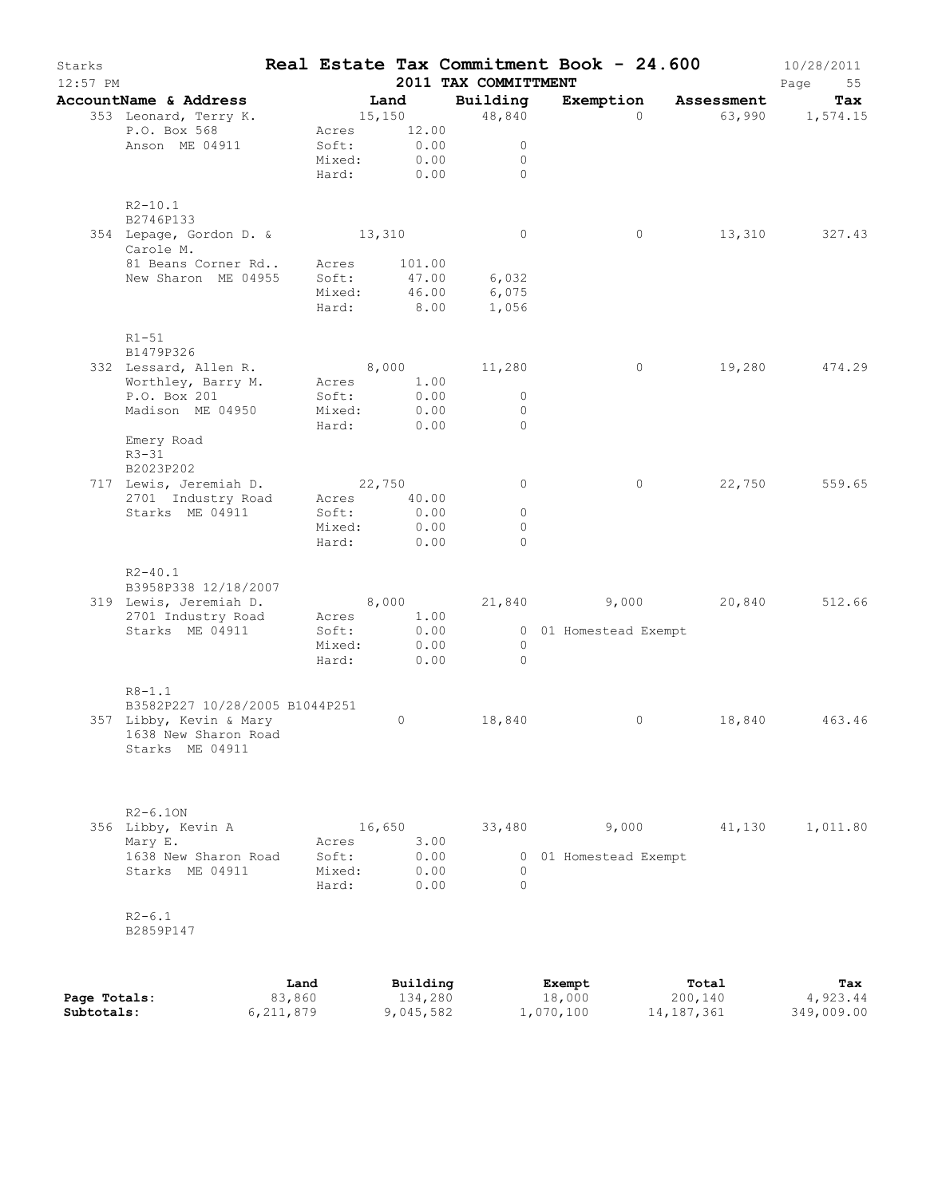| Starks<br>12:57 PM |                                              |                |                 |                     | 2011 TAX COMMITTMENT | Real Estate Tax Commitment Book - 24.600 |                  | 10/28/2011<br>Page<br>55 |
|--------------------|----------------------------------------------|----------------|-----------------|---------------------|----------------------|------------------------------------------|------------------|--------------------------|
|                    | AccountName & Address                        |                |                 | Land                | Building             | Exemption                                | Assessment       | Tax                      |
|                    | 353 Leonard, Terry K.                        |                |                 | 15,150              | 48,840               | $\Omega$                                 |                  | 63,990 1,574.15          |
|                    | P.O. Box 568                                 |                | Acres           | 12.00               |                      |                                          |                  |                          |
|                    | Anson ME 04911                               |                | Soft:           | 0.00                | 0                    |                                          |                  |                          |
|                    |                                              |                | Mixed:<br>Hard: | 0.00<br>0.00        | 0<br>$\Omega$        |                                          |                  |                          |
|                    |                                              |                |                 |                     |                      |                                          |                  |                          |
|                    | $R2 - 10.1$                                  |                |                 |                     |                      |                                          |                  |                          |
|                    | B2746P133                                    |                |                 |                     |                      |                                          |                  |                          |
|                    | 354 Lepage, Gordon D. &                      |                | 13,310          |                     | $\circ$              | 0                                        | 13,310           | 327.43                   |
|                    | Carole M.<br>81 Beans Corner Rd              |                | Acres           | 101.00              |                      |                                          |                  |                          |
|                    | New Sharon ME 04955                          |                | Soft:           | 47.00               | 6,032                |                                          |                  |                          |
|                    |                                              |                | Mixed:          | 46.00               | 6,075                |                                          |                  |                          |
|                    |                                              |                | Hard:           | 8.00                | 1,056                |                                          |                  |                          |
|                    |                                              |                |                 |                     |                      |                                          |                  |                          |
|                    | $R1-51$<br>B1479P326                         |                |                 |                     |                      |                                          |                  |                          |
|                    | 332 Lessard, Allen R.                        |                |                 | 8,000               | 11,280               | 0                                        | 19,280           | 474.29                   |
|                    | Worthley, Barry M.                           |                | Acres           | 1.00                |                      |                                          |                  |                          |
|                    | P.O. Box 201                                 |                | Soft:           | 0.00                | $\circ$              |                                          |                  |                          |
|                    | Madison ME 04950                             |                | Mixed:          | 0.00                | $\circ$              |                                          |                  |                          |
|                    |                                              |                | Hard:           | 0.00                | $\Omega$             |                                          |                  |                          |
|                    | Emery Road<br>$R3 - 31$                      |                |                 |                     |                      |                                          |                  |                          |
|                    | B2023P202                                    |                |                 |                     |                      |                                          |                  |                          |
|                    | 717 Lewis, Jeremiah D.                       |                |                 | 22,750              | 0                    | $\circ$                                  | 22,750           | 559.65                   |
|                    | 2701 Industry Road                           |                | Acres           | 40.00               |                      |                                          |                  |                          |
|                    | Starks ME 04911                              |                | Soft:           | 0.00                | $\circ$              |                                          |                  |                          |
|                    |                                              |                | Mixed:<br>Hard: | 0.00<br>0.00        | $\circ$<br>$\Omega$  |                                          |                  |                          |
|                    |                                              |                |                 |                     |                      |                                          |                  |                          |
|                    | $R2 - 40.1$                                  |                |                 |                     |                      |                                          |                  |                          |
|                    | B3958P338 12/18/2007                         |                |                 |                     |                      |                                          |                  |                          |
|                    | 319 Lewis, Jeremiah D.                       |                |                 | 8,000               | 21,840               | 9,000                                    | 20,840           | 512.66                   |
|                    | 2701 Industry Road<br>Starks ME 04911        |                | Acres<br>Soft:  | 1.00<br>0.00        |                      | 0 01 Homestead Exempt                    |                  |                          |
|                    |                                              |                | Mixed:          | 0.00                | $\Omega$             |                                          |                  |                          |
|                    |                                              |                | Hard:           | 0.00                | $\mathbf{0}$         |                                          |                  |                          |
|                    |                                              |                |                 |                     |                      |                                          |                  |                          |
|                    | $R8 - 1.1$<br>B3582P227 10/28/2005 B1044P251 |                |                 |                     |                      |                                          |                  |                          |
|                    | 357 Libby, Kevin & Mary                      |                |                 | 0                   | 18,840               | 0                                        | 18,840           | 463.46                   |
|                    | 1638 New Sharon Road                         |                |                 |                     |                      |                                          |                  |                          |
|                    | Starks ME 04911                              |                |                 |                     |                      |                                          |                  |                          |
|                    |                                              |                |                 |                     |                      |                                          |                  |                          |
|                    |                                              |                |                 |                     |                      |                                          |                  |                          |
|                    | $R2-6.10N$                                   |                |                 |                     |                      |                                          |                  |                          |
|                    | 356 Libby, Kevin A                           |                |                 | 16,650              | 33,480               | 9,000                                    | 41,130           | 1,011.80                 |
|                    | Mary E.                                      |                | Acres           | 3.00                |                      |                                          |                  |                          |
|                    | 1638 New Sharon Road                         |                | Soft:           | 0.00                | $\circ$              | 01 Homestead Exempt                      |                  |                          |
|                    | Starks ME 04911                              |                | Mixed:<br>Hard: | 0.00<br>0.00        | $\Omega$<br>$\Omega$ |                                          |                  |                          |
|                    |                                              |                |                 |                     |                      |                                          |                  |                          |
|                    | $R2 - 6.1$                                   |                |                 |                     |                      |                                          |                  |                          |
|                    | B2859P147                                    |                |                 |                     |                      |                                          |                  |                          |
|                    |                                              |                |                 |                     |                      |                                          |                  |                          |
|                    |                                              |                |                 |                     |                      |                                          |                  |                          |
| Page Totals:       |                                              | Land<br>83,860 |                 | Building<br>134,280 |                      | Exempt<br>18,000                         | Total<br>200,140 | Tax<br>4,923.44          |
|                    |                                              |                |                 |                     |                      |                                          |                  |                          |

**Subtotals:** 6,211,879 9,045,582 1,070,100 14,187,361 349,009.00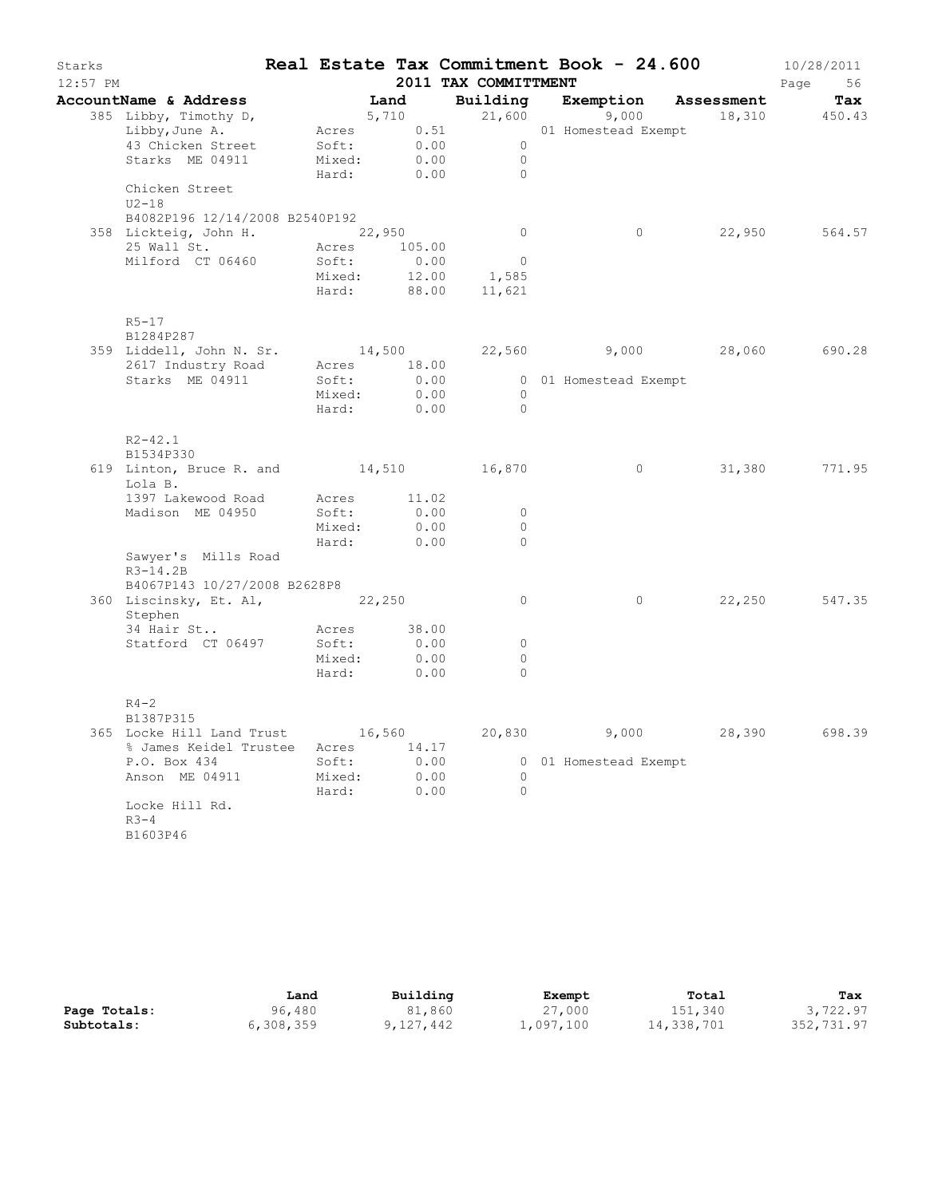| Starks<br>$12:57$ PM |                                                            |       |        |                           | Real Estate Tax Commitment Book - 24.600<br>2011 TAX COMMITTMENT |                       |        | 10/28/2011<br>Page<br>56 |
|----------------------|------------------------------------------------------------|-------|--------|---------------------------|------------------------------------------------------------------|-----------------------|--------|--------------------------|
|                      | AccountName & Address                                      | Land  |        |                           | Building Exemption Assessment                                    |                       |        | Tax                      |
|                      | 385 Libby, Timothy D,                                      |       |        | 5,710                     | 21,600                                                           | 9,000                 |        | 18,310 450.43            |
|                      | Libby, June A.                                             |       |        | Acres 0.51                |                                                                  | 01 Homestead Exempt   |        |                          |
|                      | 43 Chicken Street                                          |       |        | Soft: 0.00                | $\overline{0}$                                                   |                       |        |                          |
|                      | Starks ME 04911                                            |       | Mixed: | 0.00                      | $\overline{0}$                                                   |                       |        |                          |
|                      |                                                            |       |        |                           | Hard: 0.00<br>$\bigcirc$                                         |                       |        |                          |
|                      | Chicken Street<br>$U2-18$                                  |       |        |                           |                                                                  |                       |        |                          |
|                      | B4082P196 12/14/2008 B2540P192                             |       |        |                           |                                                                  |                       |        |                          |
|                      | 358 Lickteig, John H. 22,950                               |       |        |                           | $\overline{0}$                                                   | $\circ$               |        | 22,950 564.57            |
|                      | 25 Wall St.                                                |       |        | Acres 105.00              |                                                                  |                       |        |                          |
|                      | Milford CT 06460                                           | Soft: |        | 0.00                      | $\overline{0}$                                                   |                       |        |                          |
|                      |                                                            |       |        |                           | Mixed: 12.00 1,585                                               |                       |        |                          |
|                      |                                                            |       | Hard:  |                           | 88.00 11,621                                                     |                       |        |                          |
|                      | $R5 - 17$<br>B1284P287                                     |       |        |                           |                                                                  |                       |        |                          |
|                      | 359 Liddell, John N. Sr. 14,500 22,560 9,000 28,060 690.28 |       |        |                           |                                                                  |                       |        |                          |
|                      | 2617 Industry Road Acres 18.00                             |       |        |                           |                                                                  |                       |        |                          |
|                      | Starks ME 04911                                            |       |        | Soft: 0.00<br>Mixed: 0.00 |                                                                  | 0 01 Homestead Exempt |        |                          |
|                      |                                                            |       |        |                           | $\overline{0}$                                                   |                       |        |                          |
|                      |                                                            |       |        | Hard: 0.00                | $\overline{0}$                                                   |                       |        |                          |
|                      | $R2 - 42.1$                                                |       |        |                           |                                                                  |                       |        |                          |
|                      | B1534P330                                                  |       |        |                           |                                                                  |                       |        |                          |
|                      | 619 Linton, Bruce R. and 14,510 16,870<br>Lola B.          |       |        |                           |                                                                  | $\circ$               |        | 31,380 771.95            |
|                      | 1397 Lakewood Road                                         |       |        | Acres 11.02               |                                                                  |                       |        |                          |
|                      | Madison ME 04950                                           |       | Soft:  | 0.00                      | $\circ$                                                          |                       |        |                          |
|                      |                                                            |       | Mixed: | 0.00                      | $\circ$                                                          |                       |        |                          |
|                      |                                                            | Hard: |        | 0.00                      | $\Omega$                                                         |                       |        |                          |
|                      | Sawyer's Mills Road<br>$R3 - 14.2B$                        |       |        |                           |                                                                  |                       |        |                          |
|                      | B4067P143 10/27/2008 B2628P8                               |       |        |                           |                                                                  |                       |        |                          |
|                      | 360 Liscinsky, Et. Al, 22,250<br>Stephen                   |       |        |                           | $\circ$                                                          | $\circ$               | 22,250 | 547.35                   |
|                      | 34 Hair St                                                 |       |        | Acres 38.00               |                                                                  |                       |        |                          |
|                      | Statford CT 06497                                          |       | Soft:  | 0.00                      | $\circ$                                                          |                       |        |                          |
|                      |                                                            |       | Mixed: | 0.00                      | $\circ$                                                          |                       |        |                          |
|                      |                                                            | Hard: |        | 0.00                      | $\Omega$                                                         |                       |        |                          |
|                      | $R4-2$                                                     |       |        |                           |                                                                  |                       |        |                          |
|                      | B1387P315                                                  |       |        |                           |                                                                  |                       |        |                          |
|                      | 365 Locke Hill Land Trust                                  |       |        | 16,560                    | 20,830                                                           | 9,000                 | 28,390 | 698.39                   |
|                      | % James Keidel Trustee                                     |       |        | Acres 14.17               |                                                                  |                       |        |                          |
|                      | P.O. Box 434                                               |       | Soft:  | 0.00                      |                                                                  | 0 01 Homestead Exempt |        |                          |
|                      | Anson ME 04911                                             |       | Mixed: | 0.00                      | $\Omega$                                                         |                       |        |                          |
|                      | Locke Hill Rd.                                             | Hard: |        | 0.00                      | $\Omega$                                                         |                       |        |                          |
|                      | $R3 - 4$                                                   |       |        |                           |                                                                  |                       |        |                          |
|                      | B1603P46                                                   |       |        |                           |                                                                  |                       |        |                          |
|                      |                                                            |       |        |                           |                                                                  |                       |        |                          |

|              | Land      | Building  | Exempt    | Total      | Tax        |
|--------------|-----------|-----------|-----------|------------|------------|
| Page Totals: | 96,480    | 81,860    | 27,000    | 151,340    | 3,722.97   |
| Subtotals:   | 6,308,359 | 9,127,442 | 1,097,100 | 14,338,701 | 352,731.97 |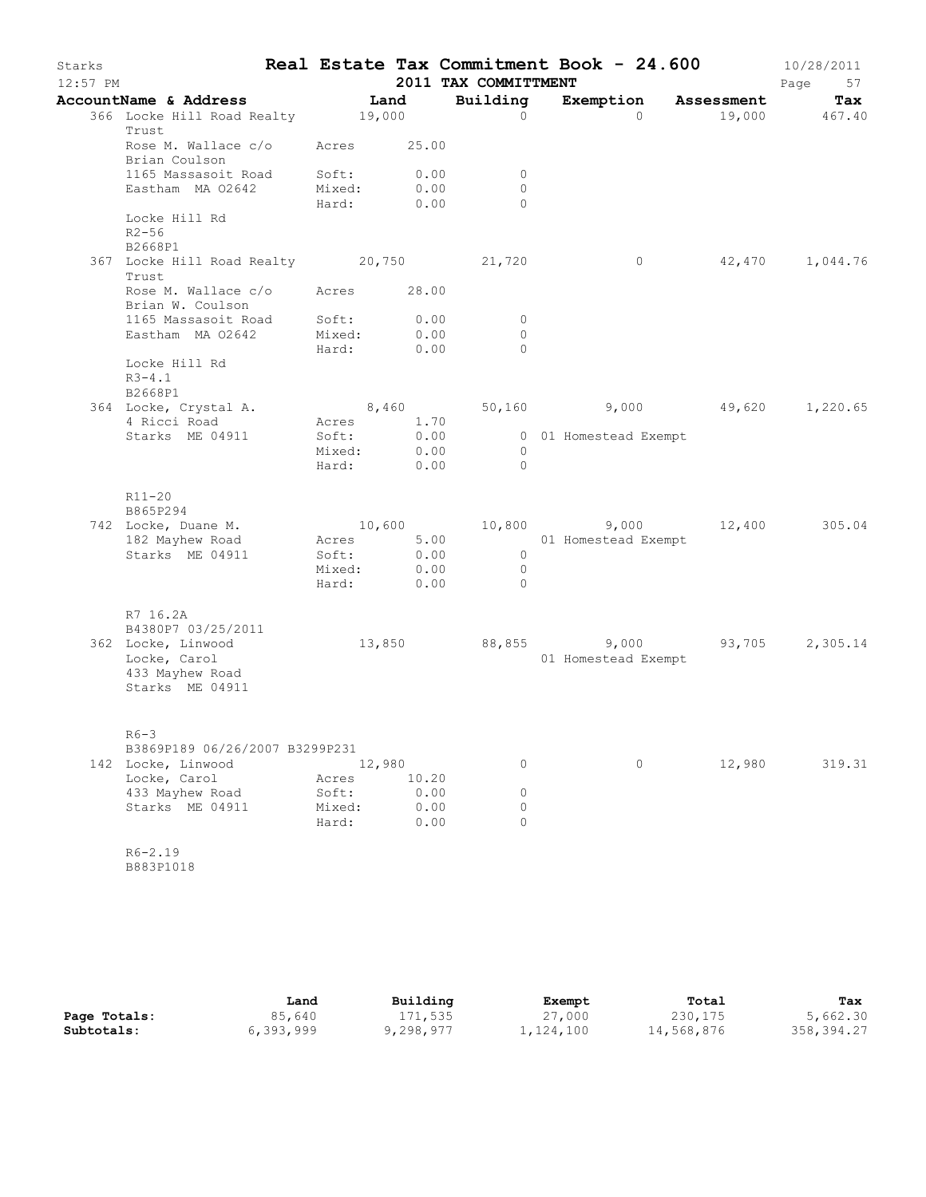| Starks<br>$12:57$ PM |                                                     |                     |              | 2011 TAX COMMITTMENT             | Real Estate Tax Commitment Book - 24.600 |        | 10/28/2011<br>Page<br>57 |
|----------------------|-----------------------------------------------------|---------------------|--------------|----------------------------------|------------------------------------------|--------|--------------------------|
|                      | AccountName & Address                               | Land                |              | Building                         | Exemption Assessment                     |        | Tax                      |
|                      | 366 Locke Hill Road Realty 19,000<br>Trust          |                     |              | $\Omega$                         | $\Omega$                                 |        | $19,000$ $467.40$        |
|                      | Rose M. Wallace c/o Acres 25.00<br>Brian Coulson    |                     |              |                                  |                                          |        |                          |
|                      | 1165 Massasoit Road                                 | Soft:<br>Mixed:     | 0.00<br>0.00 | $\circ$<br>$\circ$               |                                          |        |                          |
|                      | Eastham MA 02642                                    | Hard:               | 0.00         | $\Omega$                         |                                          |        |                          |
|                      | Locke Hill Rd<br>$R2 - 56$<br>B2668P1               |                     |              |                                  |                                          |        |                          |
|                      | 367 Locke Hill Road Realty 20,750<br>Trust          |                     |              | 21,720                           | $\overline{0}$                           |        | 42,470 1,044.76          |
|                      | Rose M. Wallace c/o Acres 28.00<br>Brian W. Coulson |                     |              |                                  |                                          |        |                          |
|                      | 1165 Massasoit Road                                 | Soft:               | 0.00         | $\circ$                          |                                          |        |                          |
|                      | Eastham MA 02642                                    | Mixed:<br>Hard:     | 0.00<br>0.00 | $\circ$<br>$\Omega$              |                                          |        |                          |
|                      | Locke Hill Rd<br>$R3 - 4.1$<br>B2668P1              |                     |              |                                  |                                          |        |                          |
|                      | 364 Locke, Crystal A.                               | 8,460               |              |                                  | 50,160 9,000 49,620                      |        | 1,220.65                 |
|                      | 4 Ricci Road                                        | Acres 1.70          |              |                                  |                                          |        |                          |
|                      | Starks ME 04911                                     | Soft:<br>Mixed:     | 0.00         |                                  | 0 01 Homestead Exempt                    |        |                          |
|                      |                                                     | Hard:               | 0.00<br>0.00 | $\overline{0}$<br>$\overline{0}$ |                                          |        |                          |
|                      | R11-20<br>B865P294                                  |                     |              |                                  |                                          |        |                          |
|                      | 742 Locke, Duane M.                                 | 10,600              |              |                                  | 10,800 9,000 12,400                      |        | 305.04                   |
|                      | 182 Mayhew Road<br>Starks ME 04911                  | Acres 5.00<br>Soft: | 0.00         | $\overline{0}$                   | 01 Homestead Exempt                      |        |                          |
|                      |                                                     | Mixed:              | 0.00         | $\overline{0}$                   |                                          |        |                          |
|                      |                                                     | Hard:               | 0.00         | $\overline{0}$                   |                                          |        |                          |
|                      | R7 16.2A<br>B4380P7 03/25/2011                      |                     |              |                                  |                                          |        |                          |
|                      | 362 Locke, Linwood                                  | 13,850              |              |                                  | 88,855 9,000 93,705                      |        | 2,305.14                 |
|                      | Locke, Carol<br>433 Mayhew Road<br>Starks ME 04911  |                     |              |                                  | 01 Homestead Exempt                      |        |                          |
|                      | $R6-3$                                              |                     |              |                                  |                                          |        |                          |
|                      | B3869P189 06/26/2007 B3299P231                      |                     |              |                                  |                                          |        |                          |
|                      | 142 Locke, Linwood<br>Locke, Carol                  | 12,980<br>Acres     | 10.20        | 0                                | 0                                        | 12,980 | 319.31                   |
|                      | 433 Mayhew Road                                     | Soft:               | 0.00         | $\circ$                          |                                          |        |                          |
|                      | Starks ME 04911                                     | Mixed:              | 0.00         | 0                                |                                          |        |                          |
|                      |                                                     | Hard:               | 0.00         | $\Omega$                         |                                          |        |                          |
|                      | $R6 - 2.19$                                         |                     |              |                                  |                                          |        |                          |
|                      | B883P1018                                           |                     |              |                                  |                                          |        |                          |
|                      |                                                     |                     |              |                                  |                                          |        |                          |

|              | Land      | Building  | Exempt    | Total      | Tax        |
|--------------|-----------|-----------|-----------|------------|------------|
| Page Totals: | 85,640    | 171,535   | 27,000    | 230, 175   | 5,662.30   |
| Subtotals:   | 6,393,999 | 9,298,977 | 1,124,100 | 14,568,876 | 358,394.27 |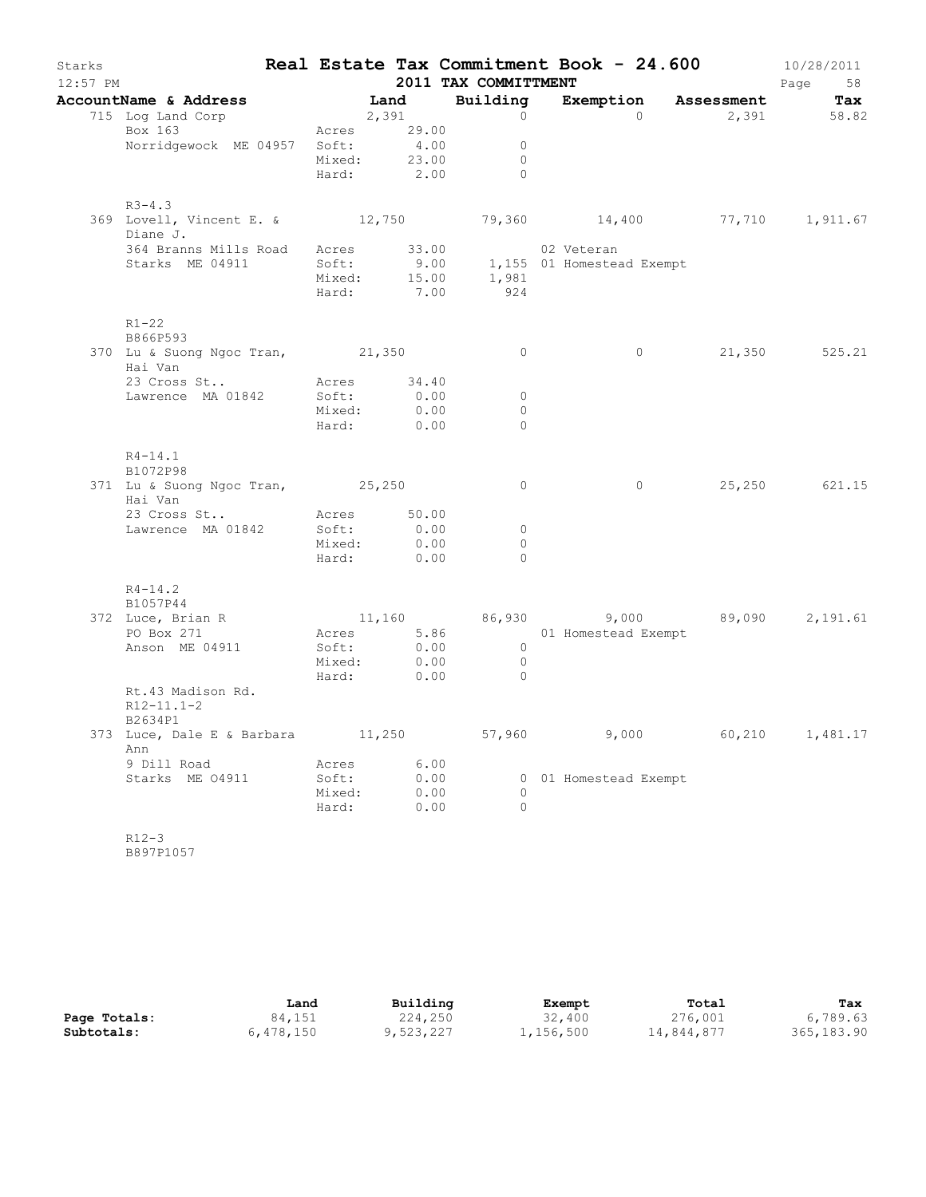| Starks<br>$12:57$ PM |                                                                                                                            |                                          |                              | 2011 TAX COMMITTMENT                                                   | Real Estate Tax Commitment Book - $24.600$ 10/28/2011 |                          | Page 58       |
|----------------------|----------------------------------------------------------------------------------------------------------------------------|------------------------------------------|------------------------------|------------------------------------------------------------------------|-------------------------------------------------------|--------------------------|---------------|
|                      |                                                                                                                            |                                          |                              |                                                                        |                                                       | Exemption Assessment Tax |               |
|                      | AccountName & Address<br>715 Log Land Corp<br>Box 163<br>Acres 29.00<br>Norridgewock ME 04957 Soft: 4.00<br>Mixed: 23.00   |                                          |                              | $\begin{matrix} 0 \\ 0 \end{matrix}$<br>$\overline{0}$<br>Hard: 2.00 0 |                                                       | $\overline{0}$           | 2,391 58.82   |
|                      | $R3 - 4.3$<br>369 Lovell, Vincent E. & 12,750 79,360 14,400 77,710 1,911.67<br>Diane J.                                    |                                          |                              |                                                                        |                                                       |                          |               |
|                      | 364 Branns Mills Road Acres 33.00 02 Veteran<br>Starks ME 04911 5oft: 9.00 1,155 01 Homestead Exempt<br>Mixed: 15.00 1,981 |                                          |                              | Hard: 7.00 924                                                         |                                                       |                          |               |
|                      | $R1 - 22$<br>B866P593<br>370 Lu & Suong Ngoc Tran, 21,350                                                                  |                                          |                              | $\overline{0}$                                                         | $\overline{0}$                                        |                          | 21,350 525.21 |
|                      | Hai Van                                                                                                                    |                                          |                              |                                                                        |                                                       |                          |               |
|                      | 23 Cross St<br>Lawrence MA 01842 Soft: 0.00<br>Lawrence MA 01842                                                           | Mixed: 0.00                              | 0.00<br>Hard: 0.00           | $\overline{0}$<br>$\bigcirc$<br>$\Omega$                               |                                                       |                          |               |
|                      | $R4 - 14.1$<br>B1072P98                                                                                                    |                                          |                              |                                                                        |                                                       |                          |               |
|                      | 371 Lu & Suong Ngoc Tran, 25,250<br>Hai Van                                                                                |                                          |                              | $\overline{0}$                                                         | $\overline{0}$                                        |                          | 25,250 621.15 |
|                      | 23 Cross St<br>Lawrence MA 01842 Soft: 0.00                                                                                | Acres 50.00<br>Mixed: 0.00<br>Hard: 0.00 |                              | $\overline{0}$<br>$\circ$<br>$\bigcirc$                                |                                                       |                          |               |
|                      | $R4 - 14.2$<br>B1057P44                                                                                                    |                                          |                              |                                                                        |                                                       |                          |               |
|                      | 372 Luce, Brian R (1,160 (86,930) (9,000 (89,090 (2,191.61)                                                                |                                          |                              |                                                                        |                                                       |                          |               |
|                      | PO Box 271<br>Anson ME 04911                                                                                               | Mixed: 0.00<br>Hard: 0.00                |                              | $\overline{0}$<br>$\bigcirc$                                           | Acres 5.86 01 Homestead Exempt<br>Soft: 0.00 0        |                          |               |
|                      | Rt.43 Madison Rd.<br>$R12 - 11.1 - 2$<br>B2634P1                                                                           |                                          |                              |                                                                        |                                                       |                          |               |
|                      | 373 Luce, Dale E & Barbara<br>Ann                                                                                          | 11,250                                   |                              | 57,960                                                                 | 9,000                                                 | 60,210                   | 1,481.17      |
|                      | 9 Dill Road<br>Starks ME 04911                                                                                             | Acres<br>Soft:<br>Mixed:<br>Hard:        | 6.00<br>0.00<br>0.00<br>0.00 | $\Omega$<br>$\Omega$                                                   | 0 01 Homestead Exempt                                 |                          |               |
|                      | $R12-3$<br>B897P1057                                                                                                       |                                          |                              |                                                                        |                                                       |                          |               |

|              | Land      | Building  | Exempt    | Total      | Tax         |
|--------------|-----------|-----------|-----------|------------|-------------|
| Page Totals: | 84,151    | 224,250   | 32,400    | 276,001    | 6,789.63    |
| Subtotals:   | 6,478,150 | 9,523,227 | 1,156,500 | 14,844,877 | 365, 183.90 |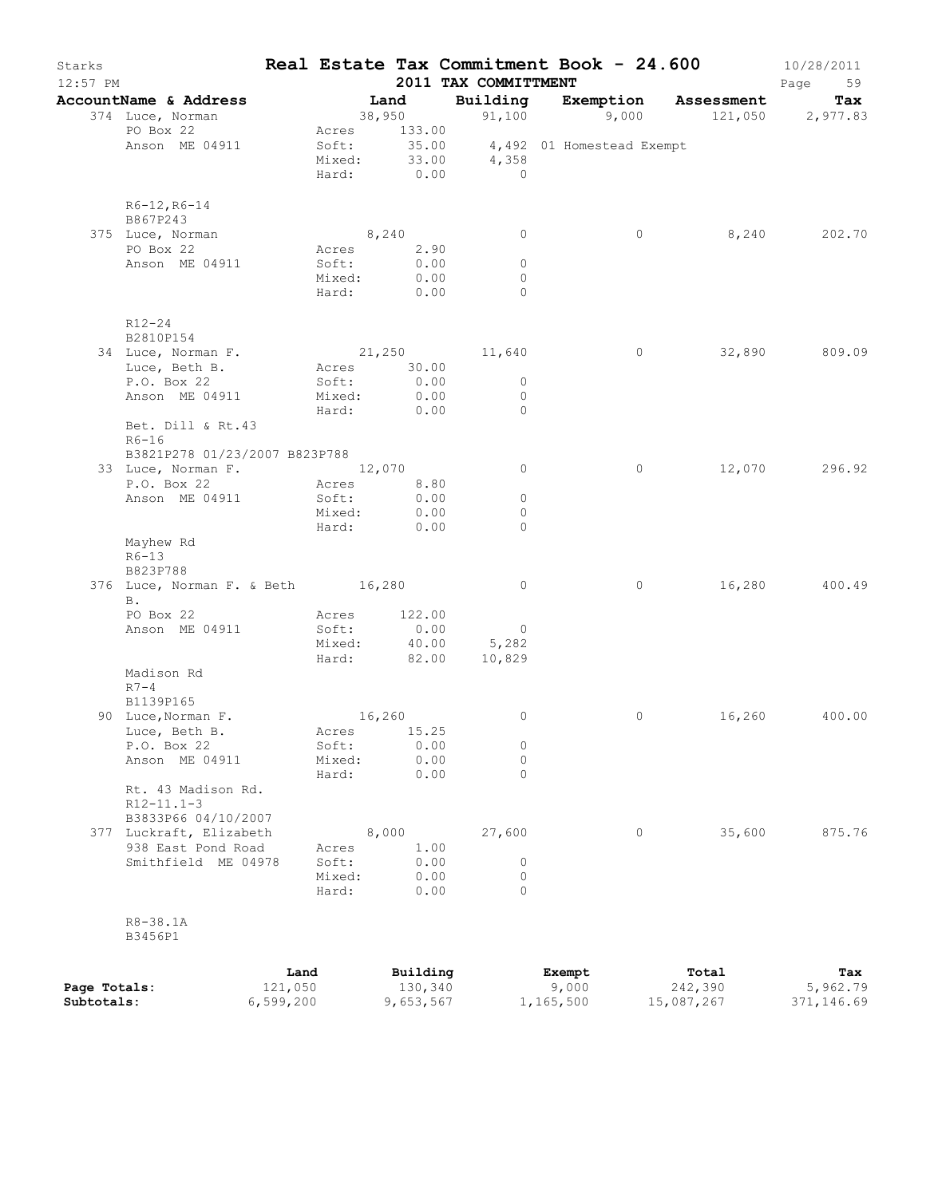| Starks<br>$12:57$ PM       |                                                |                      |                 |           |              | Real Estate Tax Commitment Book - 24.600<br>2011 TAX COMMITTMENT |                    |         |                                        | 10/28/2011<br>Page<br>59 |
|----------------------------|------------------------------------------------|----------------------|-----------------|-----------|--------------|------------------------------------------------------------------|--------------------|---------|----------------------------------------|--------------------------|
|                            | AccountName & Address                          |                      |                 | Land      |              | Building                                                         |                    |         | Exemption Assessment                   | Tax                      |
|                            | 374 Luce, Norman                               |                      |                 | 38,950    |              |                                                                  |                    |         | 91,100    9,000    121,050    2,977.83 |                          |
|                            | PO Box 22                                      |                      | Acres 133.00    |           |              |                                                                  |                    |         |                                        |                          |
|                            | Anson ME 04911                                 |                      |                 |           |              | Soft: 35.00 4,492 01 Homestead Exempt<br>Mixed: 33.00 4,358      |                    |         |                                        |                          |
|                            |                                                |                      | Hard:           | 0.00      |              | $\overline{0}$                                                   |                    |         |                                        |                          |
|                            |                                                |                      |                 |           |              |                                                                  |                    |         |                                        |                          |
|                            | $R6-12, R6-14$<br>B867P243                     |                      |                 |           |              |                                                                  |                    |         |                                        |                          |
|                            | 375 Luce, Norman                               |                      | 8,240           |           |              | $\circ$                                                          |                    | $\circ$ | 8,240                                  | 202.70                   |
|                            | PO Box 22                                      |                      | Acres 2.90      |           |              |                                                                  |                    |         |                                        |                          |
|                            | Anson ME 04911                                 |                      | Soft:           |           | 0.00         | $\circ$                                                          |                    |         |                                        |                          |
|                            |                                                |                      | Mixed:          |           | 0.00         | $\circ$                                                          |                    |         |                                        |                          |
|                            |                                                |                      | Hard: 0.00      |           |              | $\Omega$                                                         |                    |         |                                        |                          |
|                            | R12-24                                         |                      |                 |           |              |                                                                  |                    |         |                                        |                          |
|                            | B2810P154                                      |                      |                 |           |              |                                                                  |                    |         |                                        |                          |
|                            | 34 Luce, Norman F.                             |                      |                 |           |              | 21,250 11,640                                                    |                    | $\circ$ | 32,890                                 | 809.09                   |
|                            | Luce, Beth B.                                  |                      | Acres 30.00     |           |              |                                                                  |                    |         |                                        |                          |
|                            | P.O. Box 22                                    |                      | Soft:           | 0.00      |              | $\circ$                                                          |                    |         |                                        |                          |
|                            | Anson ME 04911                                 |                      | Mixed:          |           | 0.00         | $\circ$                                                          |                    |         |                                        |                          |
|                            | Bet. Dill & Rt.43                              |                      | Hard:           | 0.00      |              | $\Omega$                                                         |                    |         |                                        |                          |
|                            | $R6-16$                                        |                      |                 |           |              |                                                                  |                    |         |                                        |                          |
|                            | B3821P278 01/23/2007 B823P788                  |                      |                 |           |              |                                                                  |                    |         |                                        |                          |
|                            | 33 Luce, Norman F. 12,070                      |                      |                 |           |              | $\circ$                                                          |                    | $\circ$ | 12,070                                 | 296.92                   |
|                            | P.O. Box 22                                    |                      | Acres 8.80      |           |              |                                                                  |                    |         |                                        |                          |
|                            | Anson ME 04911                                 |                      | Soft:           |           | 0.00<br>0.00 | $\circ$<br>0                                                     |                    |         |                                        |                          |
|                            |                                                |                      | Mixed:<br>Hard: | 0.00      |              | $\Omega$                                                         |                    |         |                                        |                          |
|                            | Mayhew Rd                                      |                      |                 |           |              |                                                                  |                    |         |                                        |                          |
|                            | $R6-13$                                        |                      |                 |           |              |                                                                  |                    |         |                                        |                          |
|                            | B823P788                                       |                      |                 |           |              |                                                                  |                    |         |                                        |                          |
|                            | 376 Luce, Norman F. & Beth 16,280<br><b>B.</b> |                      |                 |           |              | $\overline{0}$                                                   |                    | $\circ$ | 16,280                                 | 400.49                   |
|                            | PO Box 22                                      |                      | Acres           |           | 122.00       |                                                                  |                    |         |                                        |                          |
|                            | Anson ME 04911                                 |                      | Soft:           |           | 0.00         | $\overline{0}$                                                   |                    |         |                                        |                          |
|                            |                                                |                      | Mixed:          |           | 40.00        | 5,282                                                            |                    |         |                                        |                          |
|                            |                                                |                      | Hard: 82.00     |           |              | 10,829                                                           |                    |         |                                        |                          |
|                            | Madison Rd                                     |                      |                 |           |              |                                                                  |                    |         |                                        |                          |
|                            | $R7-4$<br>B1139P165                            |                      |                 |           |              |                                                                  |                    |         |                                        |                          |
|                            | 90 Luce, Norman F.                             |                      |                 | 16,260    |              | $\circ$                                                          |                    | 0       |                                        | 16,260 400.00            |
|                            | Luce, Beth B.                                  |                      | Acres 15.25     |           |              |                                                                  |                    |         |                                        |                          |
|                            | P.O. Box 22                                    |                      | Soft:           |           | 0.00         | 0                                                                |                    |         |                                        |                          |
|                            | Anson ME 04911                                 |                      | Mixed:          |           | 0.00         | 0                                                                |                    |         |                                        |                          |
|                            |                                                |                      | Hard:           |           | 0.00         | 0                                                                |                    |         |                                        |                          |
|                            | Rt. 43 Madison Rd.<br>$R12 - 11.1 - 3$         |                      |                 |           |              |                                                                  |                    |         |                                        |                          |
|                            | B3833P66 04/10/2007                            |                      |                 |           |              |                                                                  |                    |         |                                        |                          |
|                            | 377 Luckraft, Elizabeth                        |                      |                 | 8,000     |              | 27,600                                                           |                    | 0       | 35,600                                 | 875.76                   |
|                            | 938 East Pond Road                             |                      | Acres           |           | 1.00         |                                                                  |                    |         |                                        |                          |
|                            | Smithfield ME 04978                            |                      | Soft:           |           | 0.00         | 0                                                                |                    |         |                                        |                          |
|                            |                                                |                      | Mixed:<br>Hard: |           | 0.00         | 0<br>$\Omega$                                                    |                    |         |                                        |                          |
|                            |                                                |                      |                 |           | 0.00         |                                                                  |                    |         |                                        |                          |
|                            | R8-38.1A                                       |                      |                 |           |              |                                                                  |                    |         |                                        |                          |
|                            | B3456P1                                        |                      |                 |           |              |                                                                  |                    |         |                                        |                          |
|                            |                                                |                      |                 |           |              |                                                                  |                    |         |                                        |                          |
|                            |                                                | Land                 |                 | Building  |              |                                                                  | Exempt             |         | Total                                  | Tax                      |
| Page Totals:<br>Subtotals: |                                                | 121,050<br>6,599,200 |                 | 9,653,567 | 130,340      |                                                                  | 9,000<br>1,165,500 |         | 242,390<br>15,087,267                  | 5,962.79<br>371,146.69   |
|                            |                                                |                      |                 |           |              |                                                                  |                    |         |                                        |                          |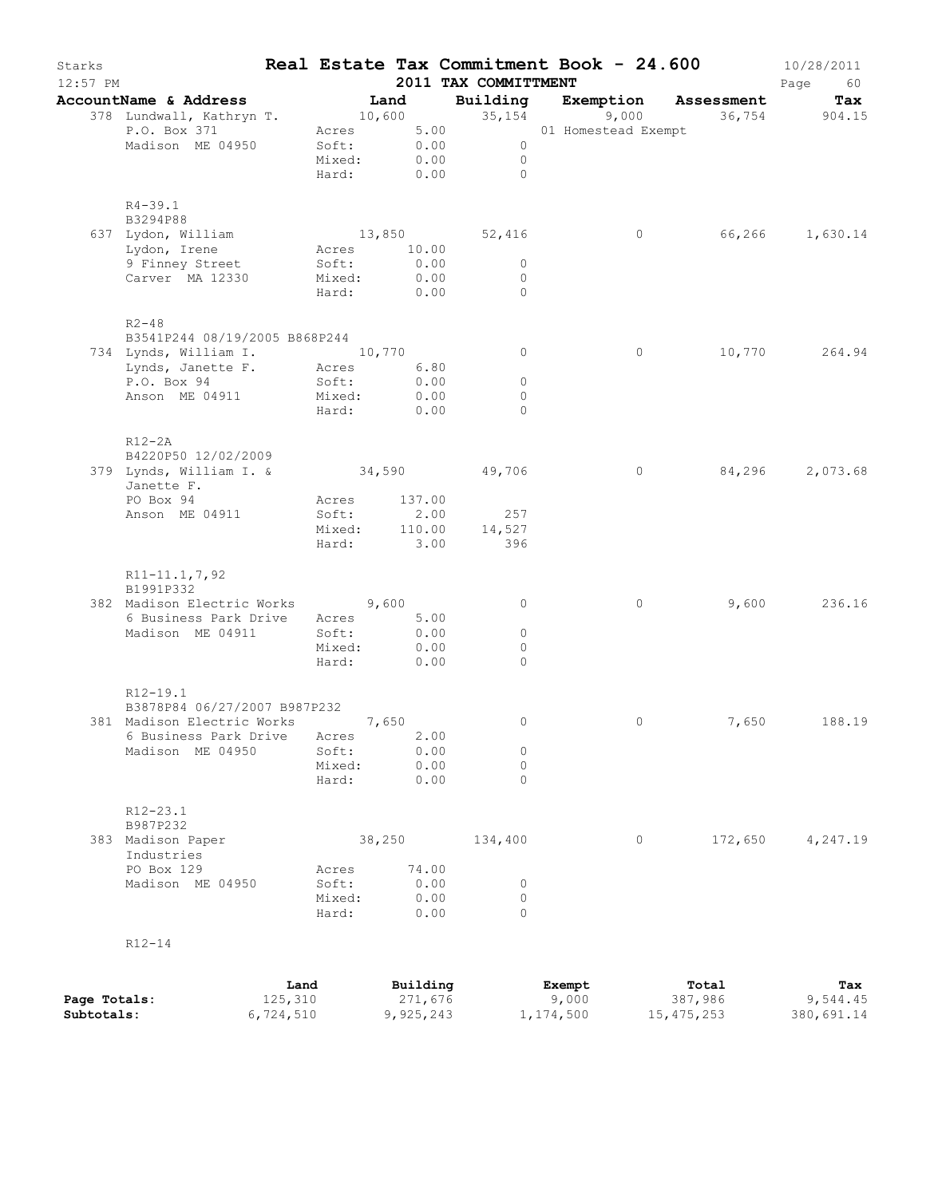| Starks<br>$12:57$ PM                                                                                                                        |                                               |                               | 2011 TAX COMMITTMENT                            | Real Estate Tax Commitment Book - 24.600 |               | 10/28/2011<br>Page<br>60 |
|---------------------------------------------------------------------------------------------------------------------------------------------|-----------------------------------------------|-------------------------------|-------------------------------------------------|------------------------------------------|---------------|--------------------------|
| AccountName & Address                                                                                                                       | Land                                          |                               |                                                 | Building Exemption Assessment            | 36,754 904.15 | Tax                      |
| 378 Lundwall, Kathryn T. 10,600 35,154 9,000<br>P.O. Box 371 2 Acres 5.00 01 Homestead E<br>Madison ME 04950                                | Soft: 0.00<br>Mixed: 0.00<br>Hard: 0.00       |                               | $\overline{0}$<br>$\overline{0}$<br>$\bigcirc$  | 01 Homestead Exempt                      |               |                          |
| $R4 - 39.1$<br>B3294P88<br>637 Lydon, William<br>Lydon, Irene<br>9 Finney Street<br>Carver MA 12330                                         | Acres 10.00<br>Soft:<br>Mixed:<br>Hard: 0.00  | 0.00<br>0.00                  | 13,850 52,416<br>$\circ$<br>$\circ$<br>$\Omega$ | $\circ$                                  |               | 66,266 1,630.14          |
| $R2 - 48$<br>B3541P244 08/19/2005 B868P244<br>734 Lynds, William I. 10,770<br>Lynds, Janette F. Acres 6.80<br>P.O. Box 94<br>Anson ME 04911 | Soft:<br>Mixed:<br>Hard: 0.00                 | 0.00<br>0.00                  | $\circ$<br>$\circ$<br>$\circ$<br>$\Omega$       | $\circ$                                  |               | 10,770 264.94            |
| $R12-2A$<br>B4220P50 12/02/2009<br>379 Lynds, William I. & 34,590 49,706<br>Janette F.<br>PO Box 94<br>Anson ME 04911                       | Acres 137.00<br>Soft:<br>Mixed:<br>Hard: 3.00 | 2.00                          | 257<br>110.00 14,527<br>396                     | $\circ$                                  | 84,296        | 2,073.68                 |
| R11-11.1,7,92<br>B1991P332<br>382 Madison Electric Works 9,600<br>6 Business Park Drive Acres 5.00<br>Madison ME 04911                      | Soft:<br>Mixed:<br>Hard:                      | 0.00<br>0.00<br>0.00          | $\circ$<br>$\circ$<br>$\Omega$<br>$\Omega$      | $\circ$                                  | 9,600         | 236.16                   |
| R12-19.1<br>B3878P84 06/27/2007 B987P232<br>381 Madison Electric Works<br>6 Business Park Drive<br>Madison ME 04950                         | 7,650<br>Acres<br>Soft:<br>Mixed:<br>Hard:    | 2.00<br>0.00<br>0.00<br>0.00  | $\circ$<br>0<br>$\mathbf 0$<br>$\Omega$         | 0                                        | 7,650         | 188.19                   |
| R12-23.1<br>B987P232<br>383 Madison Paper<br>Industries<br>PO Box 129<br>Madison ME 04950                                                   | 38,250<br>Acres<br>Soft:<br>Mixed:<br>Hard:   | 74.00<br>0.00<br>0.00<br>0.00 | 134,400<br>0<br>$\circ$<br>0                    | 0                                        | 172,650       | 4,247.19                 |
| $R12 - 14$                                                                                                                                  |                                               | $B_{11}$ i 1 ding             |                                                 | $F$ vomnt                                | $T0+01$       |                          |

|              | Land      | Building  | Exempt    | Total      | Tax        |
|--------------|-----------|-----------|-----------|------------|------------|
| Page Totals: | 125,310   | 271,676   | 9,000     | 387,986    | 9,544.45   |
| Subtotals:   | 6,724,510 | 9,925,243 | 1,174,500 | 15,475,253 | 380,691.14 |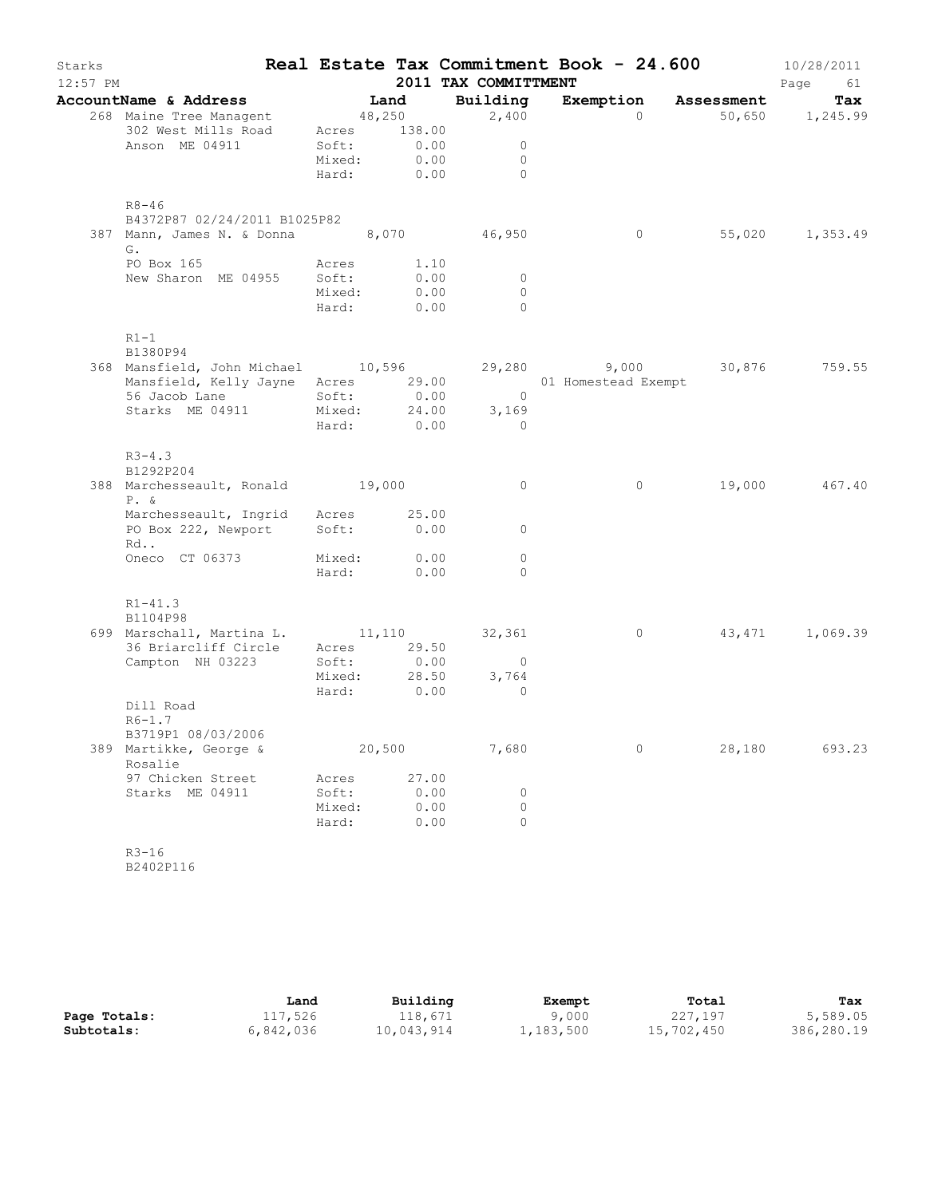| Starks<br>$12:57$ PM |                                                                                                                                                                                          |                                   |                                                       | 2011 TAX COMMITTMENT                             | Real Estate Tax Commitment Book - $24.600$ 10/28/2011 |        | Page<br>61        |
|----------------------|------------------------------------------------------------------------------------------------------------------------------------------------------------------------------------------|-----------------------------------|-------------------------------------------------------|--------------------------------------------------|-------------------------------------------------------|--------|-------------------|
|                      | AccountName & Address                                                                                                                                                                    |                                   |                                                       |                                                  |                                                       |        |                   |
|                      | <b>DuntName &amp; Address Land Building Exempt:</b><br>268 Maine Tree Managent 48,250 2,400                                                                                              |                                   |                                                       |                                                  | Exemption Assessment Tax $0$ 50,650 1,245.99          |        |                   |
|                      | 302 West Mills Road Acres 138.00<br>Anson ME 04911                                                                                                                                       |                                   | Soft: 0.00<br>Mixed: 0.00                             | $\overline{0}$<br>$\overline{0}$<br>Hard: 0.00 0 |                                                       |        |                   |
|                      | $R8 - 46$<br>B4372P87 02/24/2011 B1025P82                                                                                                                                                |                                   |                                                       |                                                  |                                                       |        |                   |
|                      | 387 Mann, James N. & Donna 8,070 46,950<br>G.                                                                                                                                            |                                   |                                                       |                                                  |                                                       |        | 0 55,020 1,353.49 |
|                      | PO Box 165 Acres<br>New Sharon ME 04955 Soft:                                                                                                                                            |                                   | Acres 1.10<br>Soft: 0.00<br>Mixed: 0.00<br>Hard: 0.00 | $\overline{0}$<br>$\Omega$<br>$\bigcirc$         |                                                       |        |                   |
|                      | $R1-1$<br>B1380P94                                                                                                                                                                       |                                   |                                                       |                                                  |                                                       |        |                   |
|                      | 368 Mansfield, John Michael 10,596 29,280 9,000 30,876 759.55<br>Mansfield, Kelly Jayne Acres 29.00 01 Homestead Exempt 56 Jacob Lane Soft: 0.00 0<br>Starks ME 04911 Mixed: 24.00 3,169 |                                   |                                                       |                                                  |                                                       |        |                   |
|                      |                                                                                                                                                                                          |                                   |                                                       | Hard: 0.00 0                                     |                                                       |        |                   |
|                      | $R3 - 4.3$<br>B1292P204<br>388 Marchesseault, Ronald 19,000                                                                                                                              |                                   |                                                       | $\overline{0}$                                   | $\overline{0}$                                        |        | 19,000 467.40     |
|                      | $P. \&$                                                                                                                                                                                  |                                   |                                                       |                                                  |                                                       |        |                   |
|                      | Marchesseault, Ingrid Acres 25.00<br>PO Box 222, Newport Soft: 0.00 0<br>Rd                                                                                                              |                                   |                                                       |                                                  |                                                       |        |                   |
|                      | Oneco CT 06373 Mixed: 0.00                                                                                                                                                               |                                   | Hard: 0.00                                            | $\circ$<br>$\bigcirc$                            |                                                       |        |                   |
|                      | $R1 - 41.3$<br>B1104P98                                                                                                                                                                  |                                   |                                                       |                                                  |                                                       |        |                   |
|                      | 699 Marschall, Martina L. 11,110 32,361<br>36 Briarcliff Circle Acres 29.50<br>Campton NH 03223 $Soft:$                                                                                  |                                   | 0.00<br>Hard: 0.00                                    | $\overline{0}$<br>3,764<br>$\overline{0}$        | $\overline{0}$                                        |        | 43,471 1,069.39   |
|                      | Dill Road<br>$R6 - 1.7$<br>B3719P1 08/03/2006                                                                                                                                            |                                   |                                                       |                                                  |                                                       |        |                   |
|                      | 389 Martikke, George &<br>Rosalie                                                                                                                                                        |                                   | 20,500                                                | 7,680                                            | 0                                                     | 28,180 | 693.23            |
|                      | 97 Chicken Street<br>Starks ME 04911                                                                                                                                                     | Acres<br>Soft:<br>Mixed:<br>Hard: | 27.00<br>0.00<br>0.00<br>0.00                         | 0<br>0<br>0                                      |                                                       |        |                   |
|                      | $R3 - 16$                                                                                                                                                                                |                                   |                                                       |                                                  |                                                       |        |                   |

B2402P116

|              | Land      | Building   | Exempt    | Total      | Tax        |
|--------------|-----------|------------|-----------|------------|------------|
| Page Totals: | 117,526   | 118,671    | 9,000     | 227,197    | 5,589.05   |
| Subtotals:   | 6,842,036 | 10,043,914 | 1,183,500 | 15,702,450 | 386,280.19 |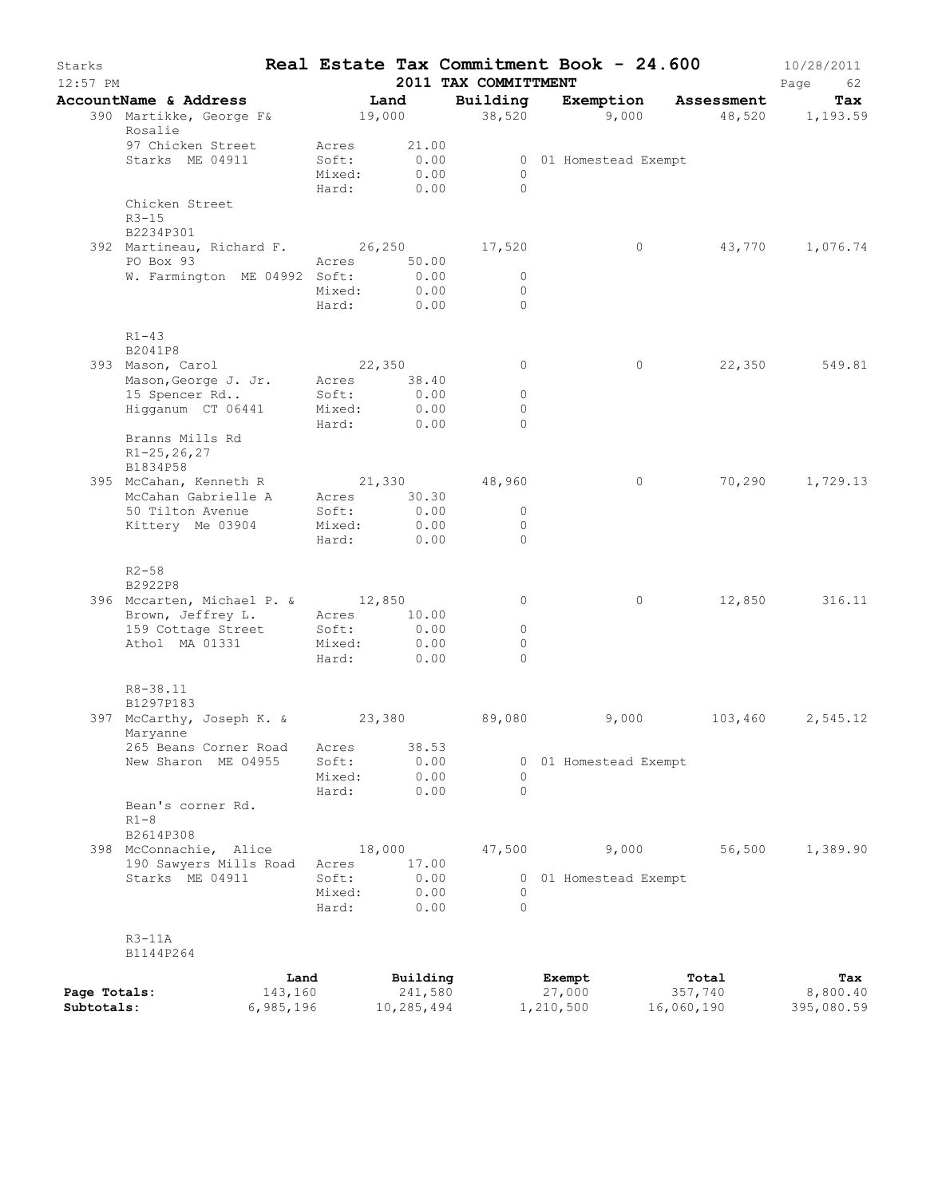| Starks<br>$12:57$ PM       |                                                             |                                   |                                   | 2011 TAX COMMITTMENT               | Real Estate Tax Commitment Book - 24.600 |                                | 10/28/2011<br>Page<br>62      |
|----------------------------|-------------------------------------------------------------|-----------------------------------|-----------------------------------|------------------------------------|------------------------------------------|--------------------------------|-------------------------------|
|                            | AccountName & Address<br>390 Martikke, George F&<br>Rosalie |                                   | Land<br>19,000                    | Building<br>38,520                 | Exemption<br>9,000                       | Assessment                     | Tax<br>48,520 1,193.59        |
|                            | 97 Chicken Street<br>Starks ME 04911                        | Acres<br>Soft:<br>Mixed:<br>Hard: | 21.00<br>0.00<br>0.00<br>0.00     | $\Omega$<br>$\Omega$               | 0 01 Homestead Exempt                    |                                |                               |
|                            | Chicken Street<br>$R3 - 15$<br>B2234P301                    |                                   |                                   |                                    |                                          |                                |                               |
|                            | 392 Martineau, Richard F. 26,250 17,520<br>PO Box 93        |                                   | Acres 50.00                       |                                    | $\circ$                                  | 43,770                         | 1,076.74                      |
|                            | W. Farmington ME 04992 Soft:                                | Mixed:<br>Hard:                   | 0.00<br>0.00<br>0.00              | $\mathbf{0}$<br>$\circ$<br>$\circ$ |                                          |                                |                               |
|                            | $R1 - 43$<br>B2041P8                                        |                                   |                                   |                                    |                                          |                                |                               |
|                            | 393 Mason, Carol<br>Mason, George J. Jr.                    | Acres                             | 22,350<br>38.40                   | $\circ$                            | 0                                        | 22,350                         | 549.81                        |
|                            | 15 Spencer Rd                                               | Soft:                             | 0.00                              | $\circ$<br>$\circ$                 |                                          |                                |                               |
|                            | Higganum CT 06441                                           | Mixed:<br>Hard:                   | 0.00<br>0.00                      | $\Omega$                           |                                          |                                |                               |
|                            | Branns Mills Rd<br>$R1 - 25, 26, 27$<br>B1834P58            |                                   |                                   |                                    |                                          |                                |                               |
|                            | 395 McCahan, Kenneth R                                      |                                   |                                   | 21,330 48,960                      | 0                                        | 70,290                         | 1,729.13                      |
|                            | McCahan Gabrielle A<br>50 Tilton Avenue                     | Soft:                             | Acres 30.30<br>0.00               | $\circ$                            |                                          |                                |                               |
|                            | Kittery Me 03904                                            | Mixed:<br>Hard:                   | 0.00<br>0.00                      | $\circ$<br>$\Omega$                |                                          |                                |                               |
|                            | $R2 - 58$<br>B2922P8                                        |                                   |                                   |                                    |                                          |                                |                               |
|                            | 396 Mccarten, Michael P. & 12,850                           |                                   |                                   | 0                                  | $\circ$                                  | 12,850                         | 316.11                        |
|                            | Brown, Jeffrey L.<br>159 Cottage Street                     | Acres<br>Soft:                    | 10.00<br>0.00                     | $\circ$                            |                                          |                                |                               |
|                            | Athol MA 01331                                              | Mixed:                            | 0.00                              | $\circ$                            |                                          |                                |                               |
|                            |                                                             | Hard:                             | 0.00                              | $\Omega$                           |                                          |                                |                               |
|                            | R8-38.11<br>B1297P183                                       |                                   |                                   |                                    |                                          |                                |                               |
|                            | 397 McCarthy, Joseph K. &<br>Maryanne                       | 23,380                            |                                   | 89,080                             | 9,000                                    | 103,460                        | 2,545.12                      |
|                            | 265 Beans Corner Road<br>New Sharon ME 04955                | Acres<br>Soft:                    | 38.53<br>0.00                     |                                    | 0 01 Homestead Exempt                    |                                |                               |
|                            |                                                             | Mixed:                            | 0.00                              | $\circ$                            |                                          |                                |                               |
|                            | Bean's corner Rd.<br>$R1-8$                                 | Hard:                             | 0.00                              | $\Omega$                           |                                          |                                |                               |
|                            | B2614P308<br>398 McConnachie, Alice                         |                                   | 18,000                            | 47,500                             | 9,000                                    | 56,500                         | 1,389.90                      |
|                            | 190 Sawyers Mills Road                                      | Acres                             | 17.00                             |                                    |                                          |                                |                               |
|                            | Starks ME 04911                                             | Soft:<br>Mixed:                   | 0.00<br>0.00                      | 0                                  | 0 01 Homestead Exempt                    |                                |                               |
|                            |                                                             | Hard:                             | 0.00                              | $\Omega$                           |                                          |                                |                               |
|                            | $R3-11A$<br>B1144P264                                       |                                   |                                   |                                    |                                          |                                |                               |
| Page Totals:<br>Subtotals: | 143,160<br>6,985,196                                        | Land                              | Building<br>241,580<br>10,285,494 |                                    | Exempt<br>27,000<br>1,210,500            | Total<br>357,740<br>16,060,190 | Tax<br>8,800.40<br>395,080.59 |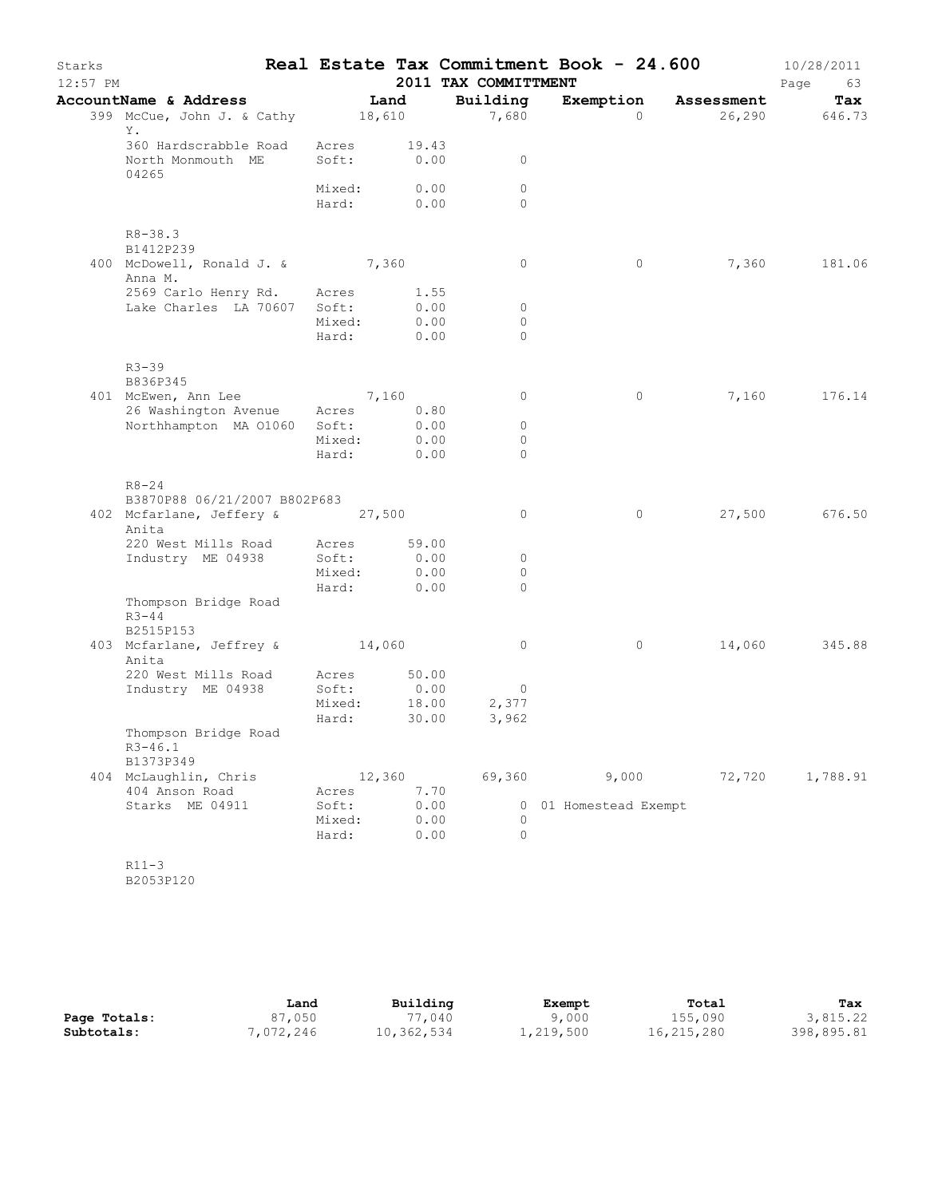| Starks<br>12:57 PM |                                                     |                 |                | 2011 TAX COMMITTMENT | Real Estate Tax Commitment Book - 24.600 |            | 10/28/2011<br>Page<br>63 |
|--------------------|-----------------------------------------------------|-----------------|----------------|----------------------|------------------------------------------|------------|--------------------------|
|                    | AccountName & Address                               |                 | Land           | Building             | Exemption                                | Assessment | Tax                      |
|                    | 399 McCue, John J. & Cathy 18,610<br>Υ.             |                 |                | 7,680                | $\Omega$                                 | 26,290     | 646.73                   |
|                    | 360 Hardscrabble Road<br>North Monmouth ME<br>04265 | Acres<br>Soft:  | 19.43<br>0.00  | $\circ$              |                                          |            |                          |
|                    |                                                     | Mixed:          | 0.00           | $\circ$              |                                          |            |                          |
|                    |                                                     | Hard: 0.00      |                | $\Omega$             |                                          |            |                          |
|                    | $R8 - 38.3$<br>B1412P239                            |                 |                |                      |                                          |            |                          |
|                    | 400 McDowell, Ronald J. & 7,360<br>Anna M.          |                 |                | $\circ$              | $\circ$                                  | 7,360      | 181.06                   |
|                    | 2569 Carlo Henry Rd.                                | Acres           | 1.55           |                      |                                          |            |                          |
|                    | Lake Charles LA 70607 Soft:                         |                 | 0.00           | $\circ$              |                                          |            |                          |
|                    |                                                     | Mixed:          | 0.00           | $\Omega$             |                                          |            |                          |
|                    |                                                     | Hard:           | 0.00           | $\Omega$             |                                          |            |                          |
|                    | $R3 - 39$<br>B836P345                               |                 |                |                      |                                          |            |                          |
|                    | 401 McEwen, Ann Lee                                 | 7,160           |                | $\circ$              | $\circ$                                  | 7,160      | 176.14                   |
|                    | 26 Washington Avenue                                | Acres           | 0.80           |                      |                                          |            |                          |
|                    | Northhampton MA 01060                               | Soft:           | 0.00           | $\circ$              |                                          |            |                          |
|                    |                                                     | Mixed:          | 0.00           | $\circ$              |                                          |            |                          |
|                    |                                                     | Hard:           | 0.00           | $\circ$              |                                          |            |                          |
|                    | $R8 - 24$                                           |                 |                |                      |                                          |            |                          |
|                    | B3870P88 06/21/2007 B802P683                        |                 |                |                      |                                          |            |                          |
|                    | 402 Mcfarlane, Jeffery & 27,500<br>Anita            |                 |                | $\circ$              | $\circ$                                  | 27,500     | 676.50                   |
|                    | 220 West Mills Road                                 | Acres           | 59.00          |                      |                                          |            |                          |
|                    | Industry ME 04938                                   | Soft:           | 0.00           | $\circ$              |                                          |            |                          |
|                    |                                                     | Mixed:          | 0.00           | $\circ$              |                                          |            |                          |
|                    | Thompson Bridge Road<br>$R3 - 44$                   | Hard:           | 0.00           | $\Omega$             |                                          |            |                          |
|                    | B2515P153<br>403 Mcfarlane, Jeffrey & 14,060        |                 |                | $\circ$              | $\circ$                                  | 14,060     | 345.88                   |
|                    | Anita                                               |                 |                |                      |                                          |            |                          |
|                    | 220 West Mills Road                                 | Acres           | 50.00          |                      |                                          |            |                          |
|                    | Industry ME 04938                                   | Soft:           | 0.00           | $\overline{0}$       |                                          |            |                          |
|                    |                                                     | Mixed:<br>Hard: | 18.00<br>30.00 | 2,377<br>3,962       |                                          |            |                          |
|                    | Thompson Bridge Road<br>$R3 - 46.1$                 |                 |                |                      |                                          |            |                          |
|                    | B1373P349                                           |                 |                | 69,360               | 9,000                                    |            |                          |
|                    | 404 McLaughlin, Chris<br>404 Anson Road             | Acres           | 12,360<br>7.70 |                      |                                          | 72,720     | 1,788.91                 |
|                    | Starks ME 04911                                     | Soft:           | 0.00           |                      | 0 01 Homestead Exempt                    |            |                          |
|                    |                                                     | Mixed:          | 0.00           | $\Omega$             |                                          |            |                          |
|                    |                                                     | Hard:           | 0.00           | $\circ$              |                                          |            |                          |
|                    |                                                     |                 |                |                      |                                          |            |                          |
|                    | $R11-3$                                             |                 |                |                      |                                          |            |                          |

B2053P120

|              | Land      | Building   | Exempt    | Total      | Tax        |
|--------------|-----------|------------|-----------|------------|------------|
| Page Totals: | 87,050    | 77,040     | 9,000     | 155,090    | 3,815.22   |
| Subtotals:   | 7,072,246 | 10,362,534 | 1,219,500 | 16,215,280 | 398,895.81 |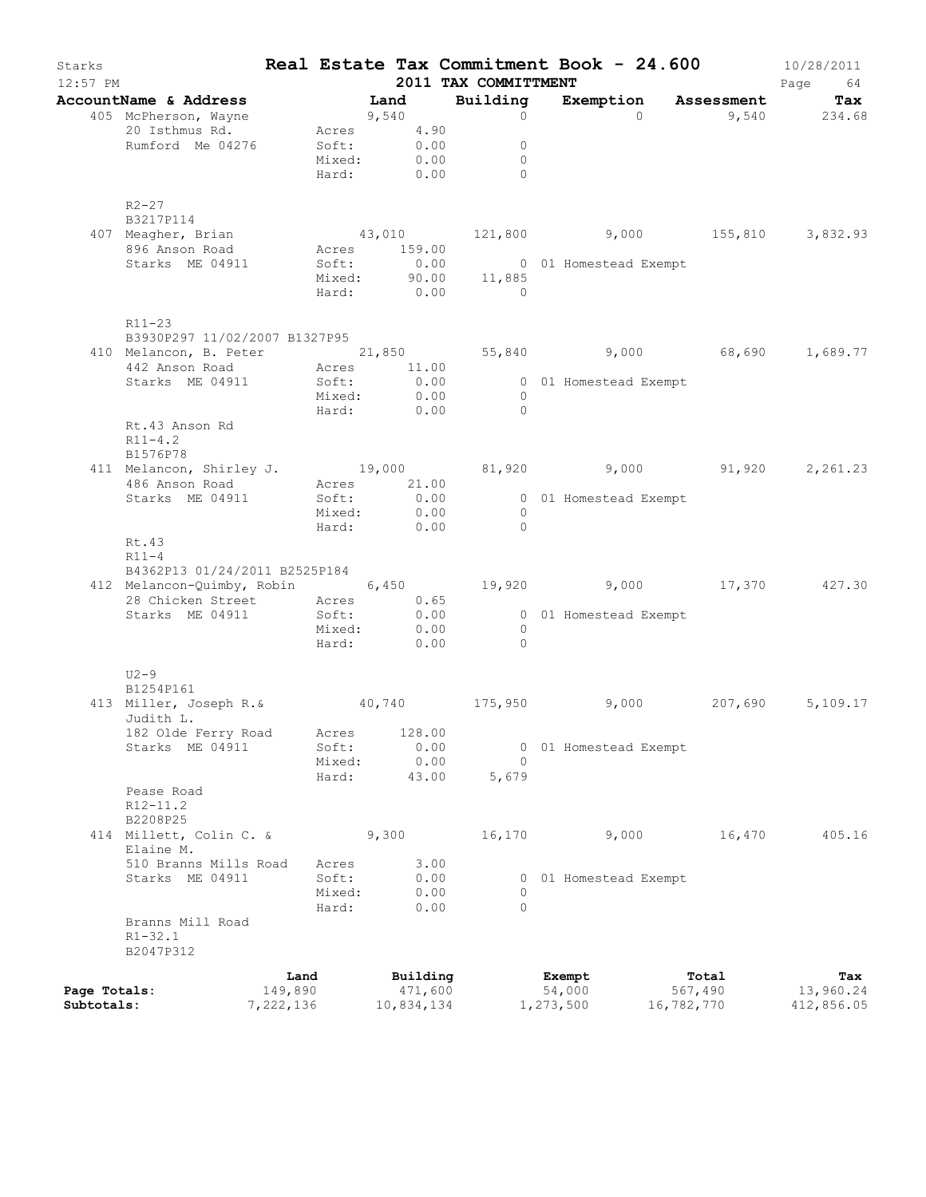| Starks                     | 12:57 PM                                                                                   |                      |                 |                           |              | 2011 TAX COMMITTMENT                 | Real Estate Tax Commitment Book - 24.600                               |                       | 10/28/2011<br>Page<br>64 |
|----------------------------|--------------------------------------------------------------------------------------------|----------------------|-----------------|---------------------------|--------------|--------------------------------------|------------------------------------------------------------------------|-----------------------|--------------------------|
|                            | AccountName & Address Tand                                                                 |                      |                 |                           |              | Building                             | Exemption Assessment Tax                                               |                       |                          |
|                            | 405 McPherson, Wayne                                                                       |                      |                 | $9,540$<br>Acres $4.90$   |              | $\circ$                              | $\Omega$                                                               |                       | 9,540 234.68             |
|                            | 20 Isthmus Rd.                                                                             |                      |                 |                           |              |                                      |                                                                        |                       |                          |
|                            | Rumford Me 04276 Soft: 0.00                                                                |                      | Mixed:          |                           |              | $\circ$<br>$\circ$                   |                                                                        |                       |                          |
|                            |                                                                                            |                      |                 | Mixed: 0.00<br>Hard: 0.00 |              | $\Omega$                             |                                                                        |                       |                          |
|                            | $R2 - 27$                                                                                  |                      |                 |                           |              |                                      |                                                                        |                       |                          |
|                            | B3217P114                                                                                  |                      |                 |                           |              |                                      |                                                                        |                       |                          |
|                            | 407 Meagher, Brian 43,010 121,800 9,000 155,810 3,832.93<br>896 Anson Road Acres 159.00    |                      |                 |                           |              |                                      |                                                                        |                       |                          |
|                            | Starks ME 04911                                                                            |                      |                 |                           |              |                                      |                                                                        |                       |                          |
|                            |                                                                                            |                      |                 |                           |              |                                      |                                                                        |                       |                          |
|                            |                                                                                            |                      |                 |                           |              |                                      | Soft: 0.00 001 Homestead Exempt<br>Mixed: 90.00 11,885<br>Hard: 0.00 0 |                       |                          |
|                            | R11-23                                                                                     |                      |                 |                           |              |                                      |                                                                        |                       |                          |
|                            | B3930P297 11/02/2007 B1327P95                                                              |                      |                 |                           |              |                                      |                                                                        |                       |                          |
|                            | 410 Melancon, B. Peter 21,850 55,840 9,000 68,690 1,689.77<br>442 Anson Road Acres 11.00   |                      |                 |                           |              |                                      |                                                                        |                       |                          |
|                            | Starks ME 04911 Soft: 0.00 001 Homestead Exempt                                            |                      |                 |                           |              |                                      |                                                                        |                       |                          |
|                            |                                                                                            |                      |                 | Mixed: 0.00<br>Hard: 0.00 |              | $\begin{matrix} 0 \\ 0 \end{matrix}$ |                                                                        |                       |                          |
|                            |                                                                                            |                      |                 |                           |              |                                      |                                                                        |                       |                          |
|                            | Rt.43 Anson Rd<br>$R11 - 4.2$<br>B1576P78                                                  |                      |                 |                           |              |                                      |                                                                        |                       |                          |
|                            |                                                                                            |                      |                 |                           |              |                                      |                                                                        |                       |                          |
|                            | 411 Melancon, Shirley J. 19,000 81,920 9,000 91,920 2,261.23<br>486 Anson Road Acres 21.00 |                      |                 |                           |              |                                      |                                                                        |                       |                          |
|                            | Starks ME 04911                                                                            |                      |                 |                           |              |                                      | Soft: 0.00 001 Homestead Exempt                                        |                       |                          |
|                            |                                                                                            |                      | Mixed:          | 0.00                      |              | $\overline{0}$                       |                                                                        |                       |                          |
|                            | Rt.43<br>$R11-4$                                                                           |                      |                 | Hard: 0.00                |              | $\overline{a}$                       |                                                                        |                       |                          |
|                            | B4362P13 01/24/2011 B2525P184                                                              |                      |                 |                           |              |                                      |                                                                        |                       |                          |
|                            | 412 Melancon-Quimby, Robin 6,450 19,920 9,000 17,370 427.30                                |                      |                 |                           |              |                                      |                                                                        |                       |                          |
|                            | 28 Chicken Street Acres 0.65                                                               |                      |                 |                           |              |                                      |                                                                        |                       |                          |
|                            | Starks ME 04911                                                                            |                      |                 | Soft: 0.00<br>Mixed: 0.00 |              |                                      | 0 01 Homestead Exempt<br>0                                             |                       |                          |
|                            |                                                                                            |                      |                 |                           |              | Hard: 0.00 0                         |                                                                        |                       |                          |
|                            | $U2-9$<br>B1254P161                                                                        |                      |                 |                           |              |                                      |                                                                        |                       |                          |
|                            | 413 Miller, Joseph R.& 40,740 175,950 9,000 207,690 5,109.17                               |                      |                 |                           |              |                                      |                                                                        |                       |                          |
|                            | Judith L.                                                                                  |                      |                 |                           |              |                                      |                                                                        |                       |                          |
|                            | 182 Olde Ferry Road Acres 128.00                                                           |                      |                 |                           |              |                                      |                                                                        |                       |                          |
|                            | Starks ME 04911                                                                            |                      | Soft:           |                           | 0.00         | 0                                    | 01 Homestead Exempt                                                    |                       |                          |
|                            |                                                                                            |                      | Mixed:<br>Hard: | 43.00                     | 0.00         | $\Omega$<br>5,679                    |                                                                        |                       |                          |
|                            | Pease Road                                                                                 |                      |                 |                           |              |                                      |                                                                        |                       |                          |
|                            | $R12 - 11.2$                                                                               |                      |                 |                           |              |                                      |                                                                        |                       |                          |
|                            | B2208P25                                                                                   |                      |                 |                           |              |                                      |                                                                        |                       |                          |
|                            | 414 Millett, Colin C. &<br>Elaine M.                                                       |                      |                 | 9,300                     |              | 16,170                               | 9,000                                                                  | 16,470                | 405.16                   |
|                            | 510 Branns Mills Road                                                                      |                      | Acres           |                           | 3.00         |                                      |                                                                        |                       |                          |
|                            | Starks ME 04911                                                                            |                      | Soft:<br>Mixed: |                           | 0.00<br>0.00 | 0<br>0                               | 01 Homestead Exempt                                                    |                       |                          |
|                            |                                                                                            |                      | Hard:           |                           | 0.00         | $\Omega$                             |                                                                        |                       |                          |
|                            | Branns Mill Road                                                                           |                      |                 |                           |              |                                      |                                                                        |                       |                          |
|                            | $R1 - 32.1$<br>B2047P312                                                                   |                      |                 |                           |              |                                      |                                                                        |                       |                          |
|                            |                                                                                            | Land                 |                 | Building                  |              |                                      | Exempt                                                                 | Total                 | Tax                      |
| Page Totals:<br>Subtotals: |                                                                                            | 149,890<br>7,222,136 |                 | 471,600<br>10,834,134     |              |                                      | 54,000<br>1,273,500                                                    | 567,490<br>16,782,770 | 13,960.24<br>412,856.05  |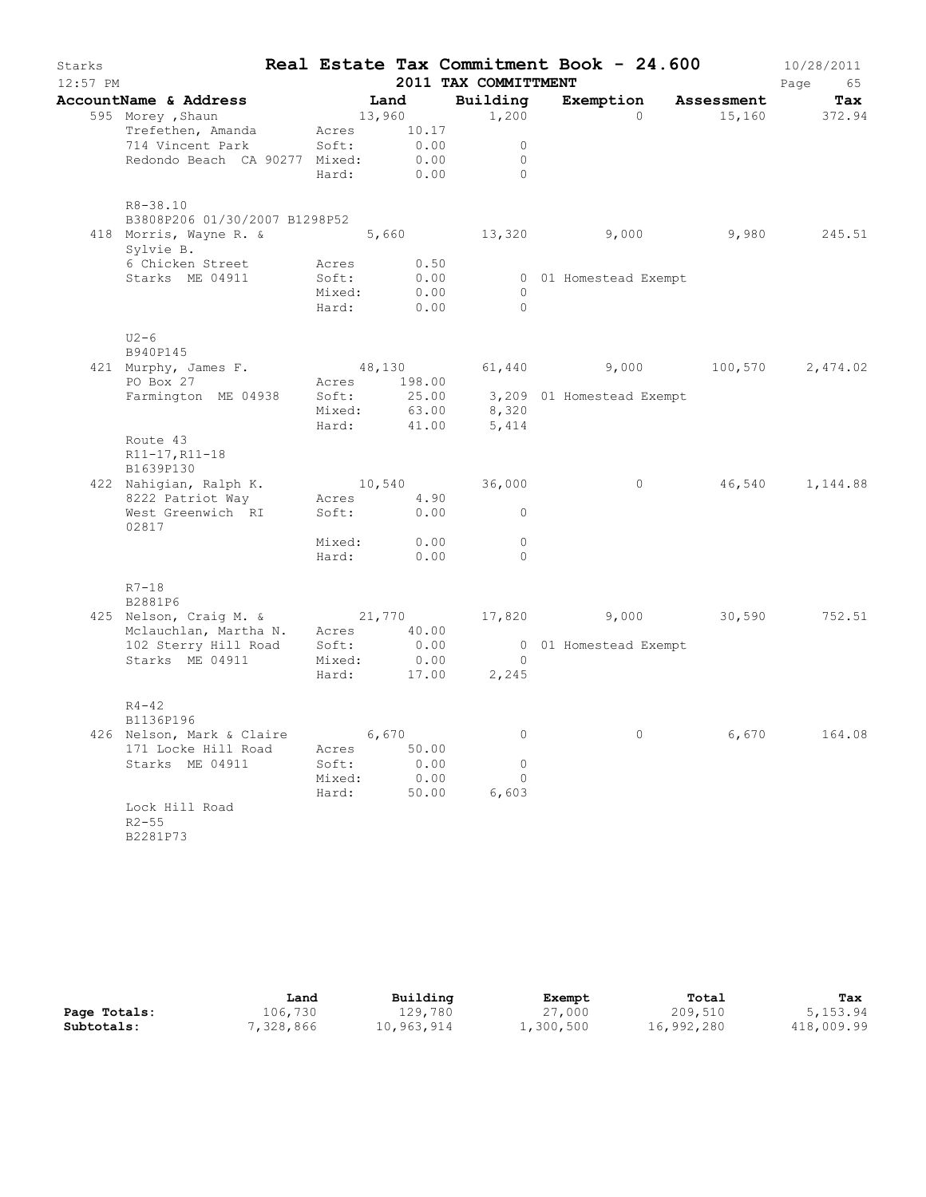| Starks<br>$12:57$ PM |                                                          |              |       | 2011 TAX COMMITTMENT | Real Estate Tax Commitment Book - 24.600       |       | 10/28/2011<br>Page 65 |
|----------------------|----------------------------------------------------------|--------------|-------|----------------------|------------------------------------------------|-------|-----------------------|
|                      |                                                          |              | Land  | Building             | Exemption Assessment                           |       |                       |
|                      | AccountName & Address<br>595 Morey, Shaun                | 13,960       |       | 1,200                | $\Omega$                                       |       | Tax<br>15,160 372.94  |
|                      | Trefethen, Amanda                                        | Acres 10.17  |       |                      |                                                |       |                       |
|                      | 714 Vincent Park                                         | Soft:        | 0.00  | $\overline{0}$       |                                                |       |                       |
|                      | Redondo Beach CA 90277 Mixed:                            |              | 0.00  | $\Omega$             |                                                |       |                       |
|                      |                                                          | Hard:        | 0.00  | $\overline{0}$       |                                                |       |                       |
|                      | R8-38.10                                                 |              |       |                      |                                                |       |                       |
|                      | B3808P206 01/30/2007 B1298P52                            |              |       |                      |                                                |       |                       |
|                      | 418 Morris, Wayne R. &<br>Sylvie B.                      |              |       |                      | 5,660 13,320 9,000 9,980 245.51                |       |                       |
|                      | 6 Chicken Street                                         | Acres 0.50   |       |                      |                                                |       |                       |
|                      | Starks ME 04911                                          | Soft:        | 0.00  |                      | 0 01 Homestead Exempt                          |       |                       |
|                      |                                                          | Mixed:       | 0.00  | $\overline{0}$       |                                                |       |                       |
|                      |                                                          | Hard:        | 0.00  | $\bigcirc$           |                                                |       |                       |
|                      | $U2-6$<br>B940P145                                       |              |       |                      |                                                |       |                       |
|                      |                                                          |              |       |                      | $48,130$ $61,440$ $9,000$ $100,570$ $2,474.02$ |       |                       |
|                      | $421$ Murphy, James F.<br>PO Box 27                      | Acres 198.00 |       |                      |                                                |       |                       |
|                      | Farmington ME 04938                                      | Soft:        |       |                      |                                                |       |                       |
|                      |                                                          | Mixed:       |       |                      | 25.00 3,209 01 Homestead Exempt<br>63.00 8,320 |       |                       |
|                      |                                                          | Hard:        | 41.00 | 5,414                |                                                |       |                       |
|                      | Route 43                                                 |              |       |                      |                                                |       |                       |
|                      | R11-17, R11-18                                           |              |       |                      |                                                |       |                       |
|                      | B1639P130                                                |              |       |                      |                                                |       |                       |
|                      | 422 Nahigian, Ralph K.                                   |              |       | 10,540 36,000        | $\overline{0}$                                 |       | 46,540 1,144.88       |
|                      | 8222 Patriot Way                                         | Acres 4.90   |       |                      |                                                |       |                       |
|                      | West Greenwich RI<br>02817                               | Soft: 0.00   |       | $\overline{0}$       |                                                |       |                       |
|                      |                                                          | Mixed:       | 0.00  | $\overline{0}$       |                                                |       |                       |
|                      |                                                          | Hard:        | 0.00  | $\bigcirc$           |                                                |       |                       |
|                      | $R7 - 18$                                                |              |       |                      |                                                |       |                       |
|                      | B2881P6                                                  |              |       |                      |                                                |       |                       |
|                      | 425 Nelson, Craig M. & 21,770 17,820 9,000 30,590 752.51 |              |       |                      |                                                |       |                       |
|                      | Mclauchlan, Martha N. Acres 40.00                        | Soft:        | 0.00  |                      | 0 01 Homestead Exempt                          |       |                       |
|                      | 102 Sterry Hill Road<br>Starks ME 04911                  | Mixed:       | 0.00  | $\overline{0}$       |                                                |       |                       |
|                      |                                                          | Hard:        | 17.00 | 2,245                |                                                |       |                       |
|                      | $R4 - 42$                                                |              |       |                      |                                                |       |                       |
|                      | B1136P196                                                |              |       |                      |                                                |       |                       |
|                      | 426 Nelson, Mark & Claire 6,670                          |              |       | $\overline{0}$       | $\circ$                                        | 6,670 | 164.08                |
|                      | 171 Locke Hill Road                                      | Acres 50.00  |       |                      |                                                |       |                       |
|                      | Starks ME 04911                                          | Soft:        | 0.00  | $\circ$              |                                                |       |                       |
|                      |                                                          | Mixed:       | 0.00  | $\Omega$             |                                                |       |                       |
|                      |                                                          | Hard:        | 50.00 | 6,603                |                                                |       |                       |
|                      | Lock Hill Road<br>$R2 - 55$<br>B2281P73                  |              |       |                      |                                                |       |                       |

|              | Land      | Building   | Exempt    | Total      | Tax        |
|--------------|-----------|------------|-----------|------------|------------|
| Page Totals: | 106,730   | 129,780    | 27,000    | 209,510    | 5,153.94   |
| Subtotals:   | 7,328,866 | 10,963,914 | 1,300,500 | 16,992,280 | 418,009.99 |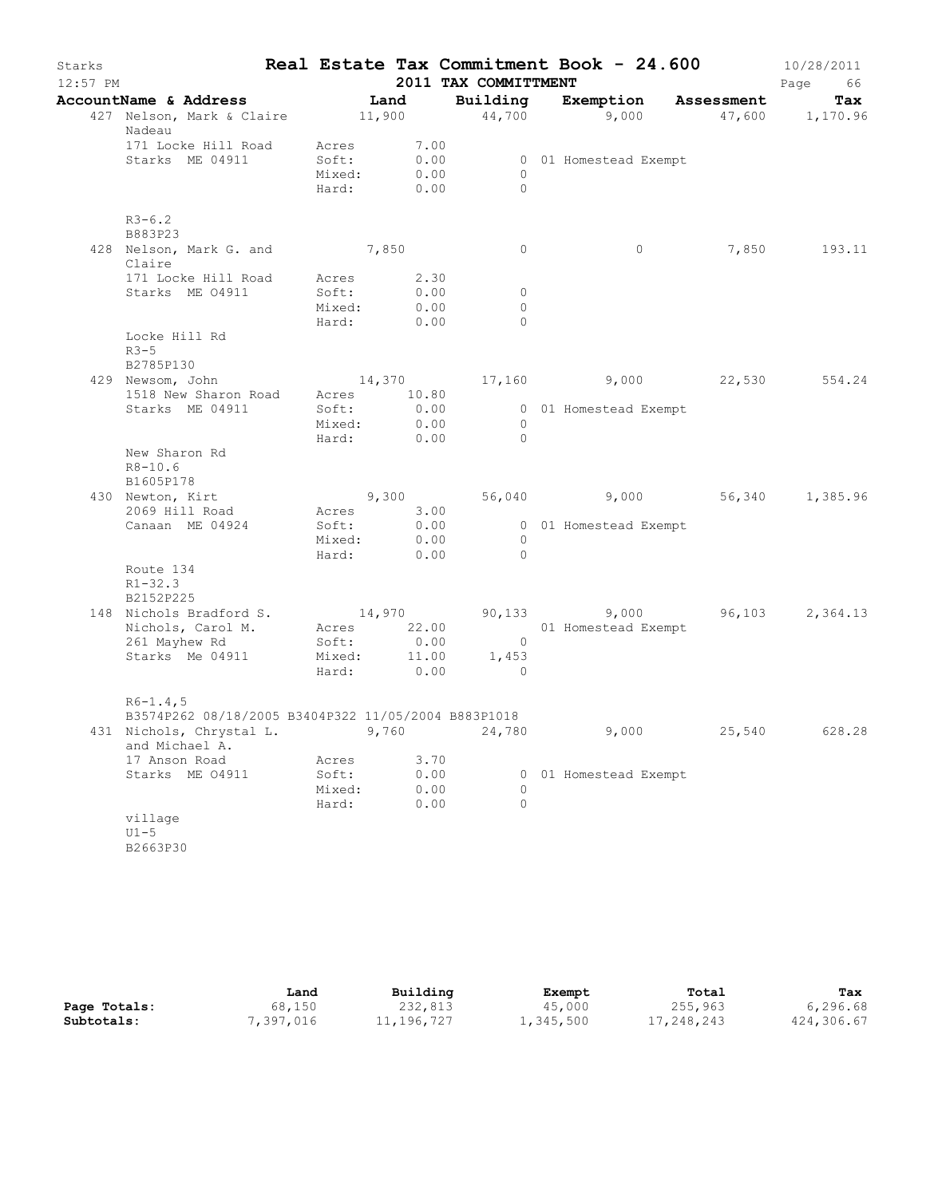| Starks<br>$12:57$ PM |                                                                                                                                      |                      |                | 2011 TAX COMMITTMENT             | Real Estate Tax Commitment Book - 24.600    |        | 10/28/2011<br>Page<br>66 |
|----------------------|--------------------------------------------------------------------------------------------------------------------------------------|----------------------|----------------|----------------------------------|---------------------------------------------|--------|--------------------------|
|                      |                                                                                                                                      |                      |                |                                  |                                             |        |                          |
|                      | AccountName & Address Land Building Exemption Assessment Tax 427 Nelson, Mark & Claire 11,900 44,700 9,000 47,600 1,170.96<br>Nadeau |                      |                |                                  |                                             |        |                          |
|                      | 171 Locke Hill Road Acres<br>Starks ME 04911                                                                                         | Soft:<br>Mixed:      | 0.00           | 7.00<br>0.00<br>$\circ$          | 0 01 Homestead Exempt                       |        |                          |
|                      |                                                                                                                                      | Hard:                | 0.00           | $\Omega$                         |                                             |        |                          |
|                      | $R3 - 6.2$<br>B883P23                                                                                                                |                      |                |                                  |                                             |        |                          |
|                      | 428 Nelson, Mark G. and 7,850<br>Claire                                                                                              |                      |                | $\circ$                          | $\circ$                                     |        | 7,850 193.11             |
|                      | 171 Locke Hill Road Acres 2.30                                                                                                       |                      |                |                                  |                                             |        |                          |
|                      | Starks ME 04911                                                                                                                      | Soft:                | 0.00           | 0                                |                                             |        |                          |
|                      |                                                                                                                                      | Mixed:<br>Hard:      | 0.00<br>0.00   | 0<br>$\Omega$                    |                                             |        |                          |
|                      | Locke Hill Rd<br>$R3-5$                                                                                                              |                      |                |                                  |                                             |        |                          |
|                      | B2785P130                                                                                                                            |                      |                |                                  |                                             |        |                          |
|                      | 429 Newsom, John                                                                                                                     |                      |                |                                  | $14,370$ $17,160$ $9,000$ $22,530$ $554.24$ |        |                          |
|                      | 1518 New Sharon Road Acres 10.80                                                                                                     |                      |                |                                  |                                             |        |                          |
|                      | Starks ME 04911                                                                                                                      | Soft:                | 0.00           |                                  | 0 01 Homestead Exempt                       |        |                          |
|                      |                                                                                                                                      | Mixed:<br>Hard: 0.00 | 0.00           | $\overline{0}$<br>$\overline{0}$ |                                             |        |                          |
|                      | New Sharon Rd<br>$R8 - 10.6$<br>B1605P178                                                                                            |                      |                |                                  |                                             |        |                          |
|                      | 430 Newton, Kirt                                                                                                                     |                      |                | 9,300                            | 56,040 9,000 56,340 1,385.96                |        |                          |
|                      | 2069 Hill Road                                                                                                                       | Acres 3.00           |                |                                  |                                             |        |                          |
|                      | Canaan ME 04924                                                                                                                      | Soft:                | $0.00$<br>0.00 |                                  | 0 01 Homestead Exempt                       |        |                          |
|                      |                                                                                                                                      | Mixed:               |                | $\circ$                          |                                             |        |                          |
|                      |                                                                                                                                      | Hard:                | 0.00           | $\overline{0}$                   |                                             |        |                          |
|                      | Route 134<br>$R1 - 32.3$<br>B2152P225                                                                                                |                      |                |                                  |                                             |        |                          |
|                      | 148 Nichols Bradford S. 14,970                                                                                                       |                      |                |                                  | 90,133 9,000 96,103 2,364.13                |        |                          |
|                      | Nichols, Carol M. Acres 22.00                                                                                                        |                      |                |                                  | 01 Homestead Exempt                         |        |                          |
|                      | 261 Mayhew Rd                                                                                                                        | Soft:                | 0.00           | $\overline{0}$                   |                                             |        |                          |
|                      | Starks Me 04911 Mixed: 11.00 1,453                                                                                                   |                      |                |                                  |                                             |        |                          |
|                      |                                                                                                                                      | Hard: 0.00           |                | $\circ$                          |                                             |        |                          |
|                      | $R6 - 1.4, 5$                                                                                                                        |                      |                |                                  |                                             |        |                          |
|                      | B3574P262 08/18/2005 B3404P322 11/05/2004 B883P1018<br>431 Nichols, Chrystal L. 9,760 24,780                                         |                      |                |                                  | 9,000                                       | 25,540 | 628.28                   |
|                      | and Michael A.                                                                                                                       |                      |                |                                  |                                             |        |                          |
|                      | 17 Anson Road                                                                                                                        | Acres                | 3.70           |                                  |                                             |        |                          |
|                      | Starks ME 04911                                                                                                                      | Soft:                | 0.00           |                                  | 0 01 Homestead Exempt                       |        |                          |
|                      |                                                                                                                                      | Mixed:<br>Hard:      | 0.00<br>0.00   | 0<br>$\Omega$                    |                                             |        |                          |
|                      | village                                                                                                                              |                      |                |                                  |                                             |        |                          |
|                      | $U1-5$                                                                                                                               |                      |                |                                  |                                             |        |                          |
|                      | B2663P30                                                                                                                             |                      |                |                                  |                                             |        |                          |

|              | Land      | Building   | Exempt    | Total      | Tax        |
|--------------|-----------|------------|-----------|------------|------------|
| Page Totals: | 68,150    | 232,813    | 45,000    | 255,963    | 6,296.68   |
| Subtotals:   | 7,397,016 | 11,196,727 | 1,345,500 | 17,248,243 | 424,306.67 |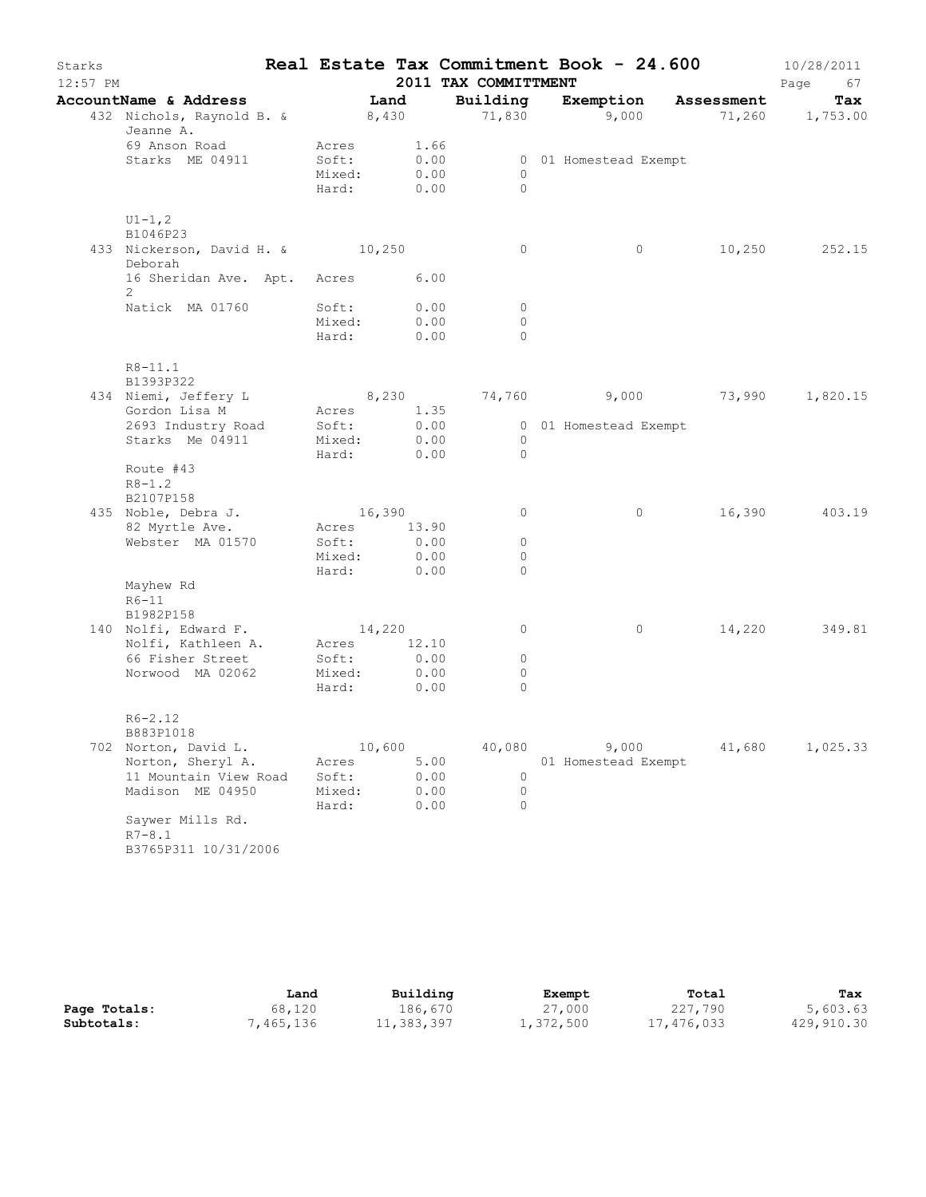|                                                                          |                                                                                                                                                                                                                                                                                                                                               |       |                                                                                                                                              | 2011 TAX COMMITTMENT                                |                                                                                                                                                                                                                                                                                                                                                                 |                               |       | Page<br>67                                                                                                      |
|--------------------------------------------------------------------------|-----------------------------------------------------------------------------------------------------------------------------------------------------------------------------------------------------------------------------------------------------------------------------------------------------------------------------------------------|-------|----------------------------------------------------------------------------------------------------------------------------------------------|-----------------------------------------------------|-----------------------------------------------------------------------------------------------------------------------------------------------------------------------------------------------------------------------------------------------------------------------------------------------------------------------------------------------------------------|-------------------------------|-------|-----------------------------------------------------------------------------------------------------------------|
| AccountName & Address                                                    |                                                                                                                                                                                                                                                                                                                                               | Land  |                                                                                                                                              |                                                     |                                                                                                                                                                                                                                                                                                                                                                 | Building Exemption Assessment |       | Tax                                                                                                             |
| 432 Nichols, Raynold B. & 8,430 3,000 9,000 71,260 1,753.00<br>Jeanne A. |                                                                                                                                                                                                                                                                                                                                               |       |                                                                                                                                              |                                                     |                                                                                                                                                                                                                                                                                                                                                                 |                               |       |                                                                                                                 |
| 69 Anson Road                                                            |                                                                                                                                                                                                                                                                                                                                               |       |                                                                                                                                              |                                                     |                                                                                                                                                                                                                                                                                                                                                                 |                               |       |                                                                                                                 |
|                                                                          |                                                                                                                                                                                                                                                                                                                                               |       |                                                                                                                                              |                                                     |                                                                                                                                                                                                                                                                                                                                                                 |                               |       |                                                                                                                 |
|                                                                          |                                                                                                                                                                                                                                                                                                                                               |       |                                                                                                                                              | $\Omega$                                            |                                                                                                                                                                                                                                                                                                                                                                 |                               |       |                                                                                                                 |
| $U1 - 1, 2$                                                              |                                                                                                                                                                                                                                                                                                                                               |       |                                                                                                                                              |                                                     |                                                                                                                                                                                                                                                                                                                                                                 |                               |       |                                                                                                                 |
| Deborah                                                                  |                                                                                                                                                                                                                                                                                                                                               |       |                                                                                                                                              | $\circ$                                             |                                                                                                                                                                                                                                                                                                                                                                 | $\circ$                       |       | 10,250 252.15                                                                                                   |
| $\overline{2}$                                                           |                                                                                                                                                                                                                                                                                                                                               |       |                                                                                                                                              |                                                     |                                                                                                                                                                                                                                                                                                                                                                 |                               |       |                                                                                                                 |
| Natick MA 01760                                                          |                                                                                                                                                                                                                                                                                                                                               |       |                                                                                                                                              | 0                                                   |                                                                                                                                                                                                                                                                                                                                                                 |                               |       |                                                                                                                 |
|                                                                          |                                                                                                                                                                                                                                                                                                                                               |       |                                                                                                                                              |                                                     |                                                                                                                                                                                                                                                                                                                                                                 |                               |       |                                                                                                                 |
|                                                                          |                                                                                                                                                                                                                                                                                                                                               |       |                                                                                                                                              |                                                     |                                                                                                                                                                                                                                                                                                                                                                 |                               |       |                                                                                                                 |
| $R8 - 11.1$<br>B1393P322                                                 |                                                                                                                                                                                                                                                                                                                                               |       |                                                                                                                                              |                                                     |                                                                                                                                                                                                                                                                                                                                                                 |                               |       |                                                                                                                 |
|                                                                          |                                                                                                                                                                                                                                                                                                                                               |       |                                                                                                                                              |                                                     |                                                                                                                                                                                                                                                                                                                                                                 |                               |       |                                                                                                                 |
|                                                                          |                                                                                                                                                                                                                                                                                                                                               |       |                                                                                                                                              |                                                     |                                                                                                                                                                                                                                                                                                                                                                 |                               |       |                                                                                                                 |
|                                                                          |                                                                                                                                                                                                                                                                                                                                               |       |                                                                                                                                              |                                                     |                                                                                                                                                                                                                                                                                                                                                                 |                               |       |                                                                                                                 |
|                                                                          |                                                                                                                                                                                                                                                                                                                                               |       |                                                                                                                                              | $\Omega$                                            |                                                                                                                                                                                                                                                                                                                                                                 |                               |       |                                                                                                                 |
| Route #43                                                                |                                                                                                                                                                                                                                                                                                                                               |       |                                                                                                                                              |                                                     |                                                                                                                                                                                                                                                                                                                                                                 |                               |       |                                                                                                                 |
| B2107P158                                                                |                                                                                                                                                                                                                                                                                                                                               |       |                                                                                                                                              |                                                     |                                                                                                                                                                                                                                                                                                                                                                 |                               |       |                                                                                                                 |
|                                                                          |                                                                                                                                                                                                                                                                                                                                               |       |                                                                                                                                              | $\circ$                                             |                                                                                                                                                                                                                                                                                                                                                                 | $\circ$                       |       | 16,390 403.19                                                                                                   |
|                                                                          |                                                                                                                                                                                                                                                                                                                                               |       |                                                                                                                                              |                                                     |                                                                                                                                                                                                                                                                                                                                                                 |                               |       |                                                                                                                 |
|                                                                          |                                                                                                                                                                                                                                                                                                                                               |       |                                                                                                                                              | $\circ$                                             |                                                                                                                                                                                                                                                                                                                                                                 |                               |       |                                                                                                                 |
|                                                                          |                                                                                                                                                                                                                                                                                                                                               |       |                                                                                                                                              | $\circ$                                             |                                                                                                                                                                                                                                                                                                                                                                 |                               |       |                                                                                                                 |
| Mayhew Rd                                                                |                                                                                                                                                                                                                                                                                                                                               |       |                                                                                                                                              |                                                     |                                                                                                                                                                                                                                                                                                                                                                 |                               |       |                                                                                                                 |
|                                                                          |                                                                                                                                                                                                                                                                                                                                               |       |                                                                                                                                              |                                                     |                                                                                                                                                                                                                                                                                                                                                                 |                               |       |                                                                                                                 |
|                                                                          |                                                                                                                                                                                                                                                                                                                                               |       |                                                                                                                                              | $\circ$                                             |                                                                                                                                                                                                                                                                                                                                                                 | $\circ$                       |       | 14,220 349.81                                                                                                   |
| Nolfi, Kathleen A.                                                       |                                                                                                                                                                                                                                                                                                                                               |       |                                                                                                                                              |                                                     |                                                                                                                                                                                                                                                                                                                                                                 |                               |       |                                                                                                                 |
|                                                                          |                                                                                                                                                                                                                                                                                                                                               |       |                                                                                                                                              |                                                     |                                                                                                                                                                                                                                                                                                                                                                 |                               |       |                                                                                                                 |
|                                                                          |                                                                                                                                                                                                                                                                                                                                               |       |                                                                                                                                              | 0                                                   |                                                                                                                                                                                                                                                                                                                                                                 |                               |       |                                                                                                                 |
| $R6 - 2.12$                                                              |                                                                                                                                                                                                                                                                                                                                               |       |                                                                                                                                              |                                                     |                                                                                                                                                                                                                                                                                                                                                                 |                               |       |                                                                                                                 |
|                                                                          |                                                                                                                                                                                                                                                                                                                                               |       |                                                                                                                                              |                                                     |                                                                                                                                                                                                                                                                                                                                                                 |                               |       |                                                                                                                 |
|                                                                          | Acres                                                                                                                                                                                                                                                                                                                                         |       |                                                                                                                                              |                                                     |                                                                                                                                                                                                                                                                                                                                                                 |                               |       | 1,025.33                                                                                                        |
| 11 Mountain View Road                                                    | Soft:                                                                                                                                                                                                                                                                                                                                         |       |                                                                                                                                              | 0                                                   |                                                                                                                                                                                                                                                                                                                                                                 |                               |       |                                                                                                                 |
| Madison ME 04950                                                         |                                                                                                                                                                                                                                                                                                                                               |       |                                                                                                                                              | $\circ$                                             |                                                                                                                                                                                                                                                                                                                                                                 |                               |       |                                                                                                                 |
|                                                                          |                                                                                                                                                                                                                                                                                                                                               |       |                                                                                                                                              |                                                     |                                                                                                                                                                                                                                                                                                                                                                 |                               |       |                                                                                                                 |
| $R7 - 8.1$<br>B3765P311 10/31/2006                                       |                                                                                                                                                                                                                                                                                                                                               |       |                                                                                                                                              |                                                     |                                                                                                                                                                                                                                                                                                                                                                 |                               |       |                                                                                                                 |
|                                                                          | Starks ME 04911<br>B1046P23<br>434 Niemi, Jeffery L<br>2693 Industry Road<br>Starks Me 04911<br>$R8 - 1.2$<br>435 Noble, Debra J.<br>82 Myrtle Ave.<br>Webster MA 01570<br>$R6-11$<br>B1982P158<br>140 Nolfi, Edward F.<br>66 Fisher Street<br>Norwood MA 02062<br>B883P1018<br>702 Norton, David L.<br>Norton, Sheryl A.<br>Saywer Mills Rd. | Hard: | Acres<br>Soft:<br>Mixed:<br>Soft:<br>Mixed:<br>Hard:<br>Soft:<br>Mixed:<br>Soft:<br>Acres <sup>1</sup><br>Soft:<br>Mixed:<br>Hard:<br>Mixed: | 433 Nickerson, David H. & 10,250<br>Hard:<br>10,600 | 1.66<br>0.00<br>0.00<br>$\circ$<br>Hard: 0.00<br>16 Sheridan Ave. Apt. Acres 6.00<br>0.00<br>0.00<br>$\circ$<br>0.00<br>$\Omega$<br>8,230<br>0.00<br>0.00<br>$\circ$<br>0.00<br>16,390<br>Acres 13.90<br>$\circ$<br>0.00<br>Mixed: 0.00<br>Hard: 0.00<br>14,220<br>12.10<br>0.00<br>$\circ$<br>0.00<br>0<br>0.00<br>40,080<br>5.00<br>0.00<br>0.00<br>0.00<br>0 |                               | 9,000 | 0 01 Homestead Exempt<br>74,760 9,000 73,990 1,820.15<br>0 01 Homestead Exempt<br>41,680<br>01 Homestead Exempt |

|              | Land      | Building   | Exempt    | Total      | Tax        |
|--------------|-----------|------------|-----------|------------|------------|
| Page Totals: | 68,120    | 186,670    | 27,000    | 227,790    | 5,603.63   |
| Subtotals:   | 1,465,136 | 11,383,397 | 1,372,500 | 17,476,033 | 429,910.30 |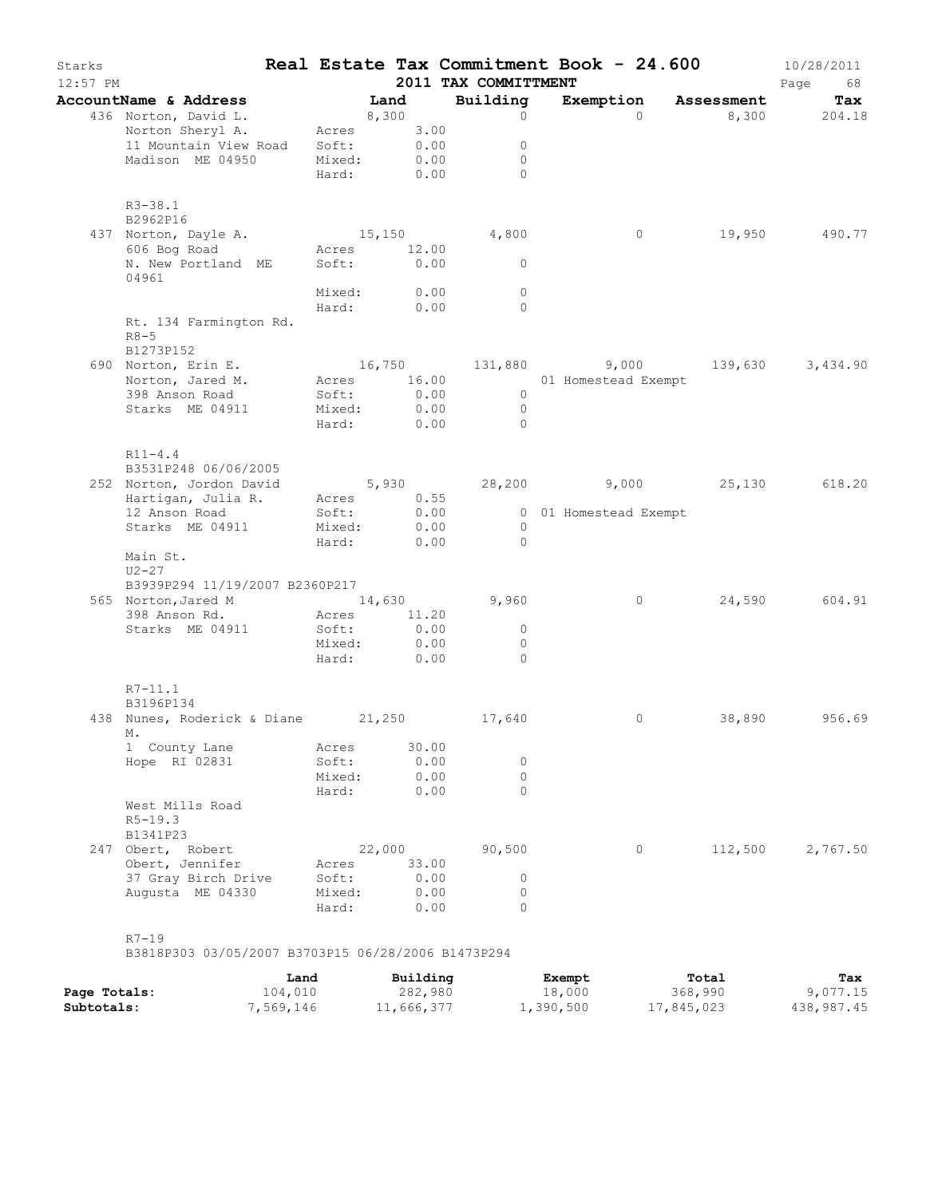| Starks<br>$12:57$ PM |                                                                                                                               |                                            |                                         | 2011 TAX COMMITTMENT                                             | Real Estate Tax Commitment Book - 24.600                    |         | 10/28/2011<br>Page<br>68 |
|----------------------|-------------------------------------------------------------------------------------------------------------------------------|--------------------------------------------|-----------------------------------------|------------------------------------------------------------------|-------------------------------------------------------------|---------|--------------------------|
|                      | AccountName & Address                                                                                                         |                                            | Land                                    | Building                                                         | Exemption Assessment                                        |         | Tax                      |
|                      | 436 Norton, David L.<br>Norton Sheryl A.<br>11 Mountain View Road Soft:<br>Madison ME 04950                                   | 8,300<br>Acres<br>Mixed:                   | 3.00<br>0.00<br>0.00<br>Hard: 0.00      | $\circ$<br>$\circ$<br>$\circ$<br>$\Omega$                        | $\Omega$                                                    |         | 8,300 204.18             |
|                      | $R3 - 38.1$<br>B2962P16<br>437 Norton, Dayle A.<br>606 Bog Road<br>606 Bog Road<br>N. New Portland ME<br>04961                | 15,150                                     | Acres 12.00<br>Soft: 0.00               | 4,800<br>$\circ$                                                 | 0                                                           | 19,950  | 490.77                   |
|                      | Rt. 134 Farmington Rd.<br>$R8 - 5$<br>B1273P152                                                                               | Mixed:<br>Hard:                            | 0.00<br>0.00                            | $\circ$<br>$\Omega$                                              |                                                             |         |                          |
|                      | 690 Norton, Erin E.<br>Norton, Jared M.<br>398 Anson Road<br>Starks ME 04911                                                  | Soft:<br>Mixed:<br>Hard:                   | Acres 16.00<br>0.00<br>0.00<br>0.00     | $\overline{0}$<br>$\overline{0}$<br>$\bigcirc$                   | $16,750$ $131,880$ $9,000$ $139,630$<br>01 Homestead Exempt |         | 3,434.90                 |
|                      | $R11 - 4.4$<br>B3531P248 06/06/2005<br>252 Norton, Jordon David<br>Hartigan, Julia R.<br>12 Anson Road<br>Starks ME 04911     | Acres<br>Soft:<br>Mixed:                   | 0.55<br>0.00<br>0.00                    | $\overline{0}$                                                   | $5,930$ $28,200$ $9,000$ $25,130$<br>0 01 Homestead Exempt  |         | 618.20                   |
|                      | Main St.<br>$U2 - 27$<br>B3939P294 11/19/2007 B2360P217<br>565 Norton, Jared M 14,630<br>398 Anson Rd.<br>Starks ME 04911     | Hard:<br>Acres<br>Soft:<br>Mixed:<br>Hard: | 0.00<br>11.20<br>0.00<br>0.00<br>0.00   | $\overline{0}$<br>9,960<br>$\overline{0}$<br>$\circ$<br>$\Omega$ | $\circ$                                                     | 24,590  | 604.91                   |
|                      | $R7 - 11.1$<br>B3196P134<br>438 Nunes, Roderick & Diane 21,250 17,640<br>M <sub>o</sub><br>1 County Lane<br>Hope RI 02831     | Acres<br>Soft:<br>Mixed:<br>Hard:          | 30.00<br>0.00<br>0.00<br>0.00           | 0<br>0<br>$\Omega$                                               | $\circ$                                                     | 38,890  | 956.69                   |
|                      | West Mills Road<br>$R5 - 19.3$<br>B1341P23<br>247 Obert, Robert<br>Obert, Jennifer<br>37 Gray Birch Drive<br>Augusta ME 04330 | Acres<br>Soft:<br>Mixed:<br>Hard:          | 22,000<br>33.00<br>0.00<br>0.00<br>0.00 | 90,500<br>$\circ$<br>$\circ$<br>0                                | $\circ$                                                     | 112,500 | 2,767.50                 |

R7-19

B3818P303 03/05/2007 B3703P15 06/28/2006 B1473P294

|              | Land     | Building   | Exempt    | Total      | Tax        |
|--------------|----------|------------|-----------|------------|------------|
| Page Totals: | 104,010  | 282,980    | 18,000    | 368,990    | 9,077.15   |
| Subtotals:   | ,569,146 | 11,666,377 | ⊥,390,500 | 17,845,023 | 438,987.45 |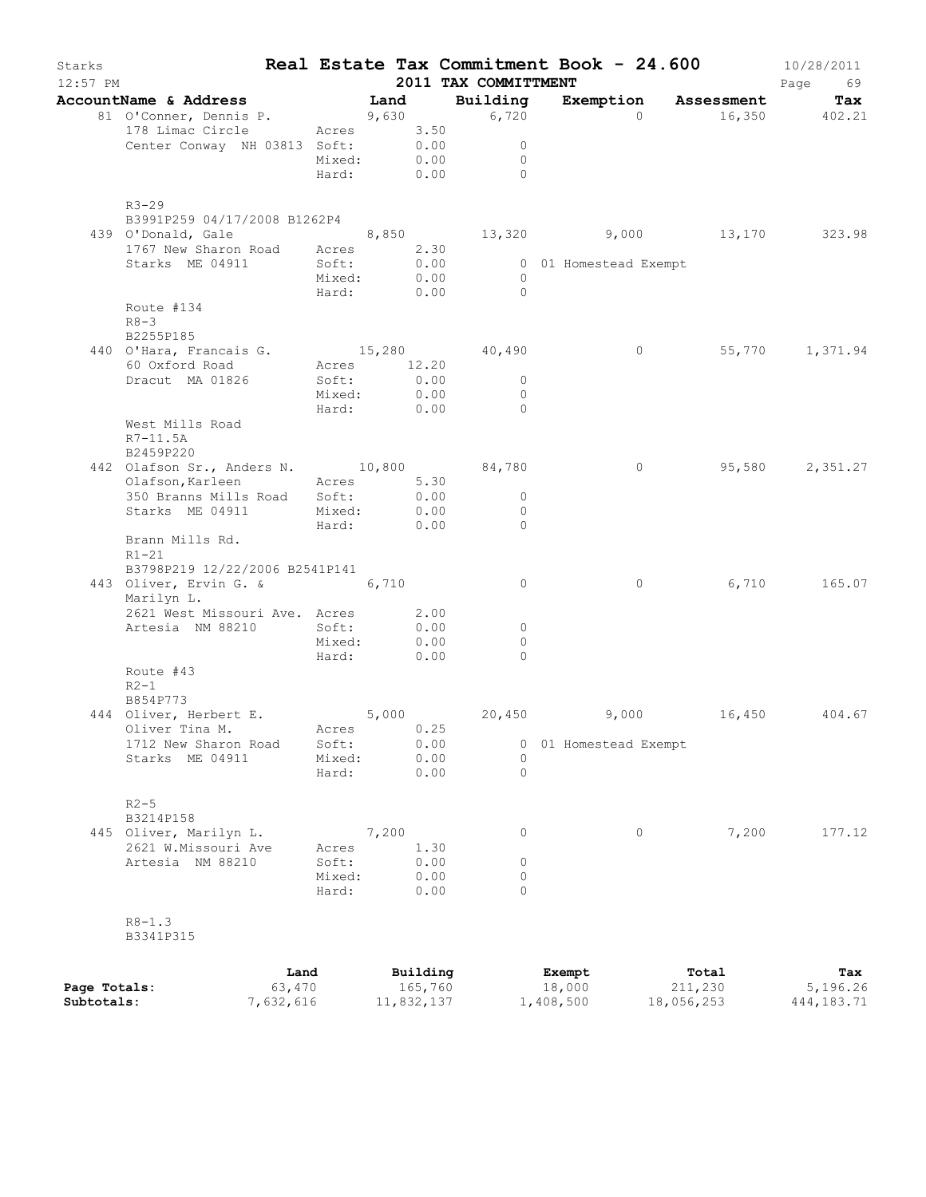| Starks<br>$12:57$ PM       |                                                                                                                                               |            |       |                       | 2011 TAX COMMITTMENT |                       | Real Estate Tax Commitment Book - 24.600 | 10/28/2011<br>Page<br>69 |
|----------------------------|-----------------------------------------------------------------------------------------------------------------------------------------------|------------|-------|-----------------------|----------------------|-----------------------|------------------------------------------|--------------------------|
|                            | AccountName & Address Tand                                                                                                                    |            |       |                       | Building             |                       | Exemption Assessment                     | Tax                      |
|                            | 81 O'Conner, Dennis P.                                                                                                                        |            |       |                       | 9,630 6,720          | $\Omega$              |                                          | 16,350 402.21            |
|                            | 178 Limac Circle Acres 3.50                                                                                                                   |            |       |                       |                      |                       |                                          |                          |
|                            | Center Conway NH 03813 Soft: $0.00$                                                                                                           |            |       |                       | $\overline{0}$       |                       |                                          |                          |
|                            |                                                                                                                                               | Mixed:     |       | 0.00                  | $\overline{0}$       |                       |                                          |                          |
|                            |                                                                                                                                               |            |       |                       | Hard: 0.00 0         |                       |                                          |                          |
|                            | $R3 - 29$<br>B3991P259 04/17/2008 B1262P4<br>439 O'Donald, Gale $8,850$ $13,320$ $9,000$ $13,170$ $323.98$<br>1767 New Sharon Road Acres 2.30 |            |       |                       |                      |                       |                                          |                          |
|                            |                                                                                                                                               |            |       |                       |                      |                       |                                          |                          |
|                            | Starks ME 04911 Soft:                                                                                                                         |            |       | 0.00                  |                      | 0 01 Homestead Exempt |                                          |                          |
|                            |                                                                                                                                               | Mixed:     |       | 0.00                  | $\overline{0}$       |                       |                                          |                          |
|                            |                                                                                                                                               |            |       | Hard: 0.00            | $\overline{0}$       |                       |                                          |                          |
|                            | Route #134<br>$R8 - 3$<br>B2255P185                                                                                                           |            |       |                       |                      |                       |                                          |                          |
|                            | 440 O'Hara, Francais G. 15,280 40,490                                                                                                         |            |       |                       |                      |                       | $\overline{0}$                           | 55,770 1,371.94          |
|                            | 60 Oxford Road                                                                                                                                |            |       | Acres 12.20           |                      |                       |                                          |                          |
|                            | Dracut MA 01826                                                                                                                               | Soft:      |       | 0.00                  | $\overline{0}$       |                       |                                          |                          |
|                            |                                                                                                                                               |            |       | Mixed: 0.00           | $\overline{0}$       |                       |                                          |                          |
|                            |                                                                                                                                               |            |       | Hard: 0.00            | $\overline{0}$       |                       |                                          |                          |
|                            | West Mills Road<br>$R7 - 11.5A$<br>B2459P220                                                                                                  |            |       |                       |                      |                       |                                          |                          |
|                            | 442 Olafson Sr., Anders N. 10,800 84,780                                                                                                      |            |       |                       |                      |                       | $\circ$                                  | 95,580 2,351.27          |
|                            | Olafson, Karleen                                                                                                                              | Acres 5.30 |       |                       |                      |                       |                                          |                          |
|                            | 350 Branns Mills Road Soft:                                                                                                                   |            |       | 0.00                  | $\overline{0}$       |                       |                                          |                          |
|                            | Starks ME 04911                                                                                                                               |            |       | Mixed: 0.00           | $\overline{0}$       |                       |                                          |                          |
|                            |                                                                                                                                               |            |       | Hard: 0.00            | $\overline{0}$       |                       |                                          |                          |
|                            | Brann Mills Rd.<br>$R1-21$<br>B3798P219 12/22/2006 B2541P141                                                                                  |            |       |                       |                      |                       |                                          |                          |
|                            | 443 Oliver, Ervin G. & 6,710<br>Marilyn L.                                                                                                    |            |       |                       | $\overline{0}$       |                       | $\circ$                                  | 6,710 165.07             |
|                            | 2621 West Missouri Ave. Acres 2.00                                                                                                            |            |       |                       |                      |                       |                                          |                          |
|                            | Artesia NM 88210                                                                                                                              | Soft:      |       | 0.00                  | $\circ$              |                       |                                          |                          |
|                            |                                                                                                                                               | Mixed:     |       | 0.00<br>0.00          | $\circ$              |                       |                                          |                          |
|                            | Route #43<br>$R2-1$                                                                                                                           | Hard:      |       |                       | $\Omega$             |                       |                                          |                          |
|                            | B854P773                                                                                                                                      |            |       |                       |                      |                       |                                          |                          |
|                            | 444 Oliver, Herbert E.                                                                                                                        | 5,000      |       |                       |                      |                       | 20,450 9,000 16,450 404.67               |                          |
|                            | Oliver Tina M. Acres 0.25                                                                                                                     |            |       |                       |                      |                       |                                          |                          |
|                            | 1712 New Sharon Road                                                                                                                          | Soft:      |       | 0.00                  | 0                    | 01 Homestead Exempt   |                                          |                          |
|                            | Starks ME 04911                                                                                                                               | Mixed:     |       | 0.00                  | 0                    |                       |                                          |                          |
|                            |                                                                                                                                               | Hard:      |       | 0.00                  | $\Omega$             |                       |                                          |                          |
|                            | $R2 - 5$<br>B3214P158                                                                                                                         |            |       |                       |                      |                       |                                          |                          |
|                            | 445 Oliver, Marilyn L.                                                                                                                        |            | 7,200 |                       | 0                    |                       | 0<br>7,200                               | 177.12                   |
|                            | 2621 W.Missouri Ave                                                                                                                           | Acres      |       | 1.30                  |                      |                       |                                          |                          |
|                            | Artesia NM 88210                                                                                                                              | Soft:      |       | 0.00                  | 0                    |                       |                                          |                          |
|                            |                                                                                                                                               | Mixed:     |       | 0.00                  | 0                    |                       |                                          |                          |
|                            |                                                                                                                                               | Hard:      |       | 0.00                  | $\Omega$             |                       |                                          |                          |
|                            | $R8 - 1.3$<br>B3341P315                                                                                                                       |            |       |                       |                      |                       |                                          |                          |
|                            |                                                                                                                                               |            |       |                       |                      |                       |                                          |                          |
|                            |                                                                                                                                               | Land       |       | Building              |                      | Exempt                | Total                                    | Tax                      |
| Page Totals:<br>Subtotals: | 7,632,616                                                                                                                                     | 63,470     |       | 165,760<br>11,832,137 |                      | 18,000<br>1,408,500   | 211,230<br>18,056,253                    | 5,196.26<br>444, 183. 71 |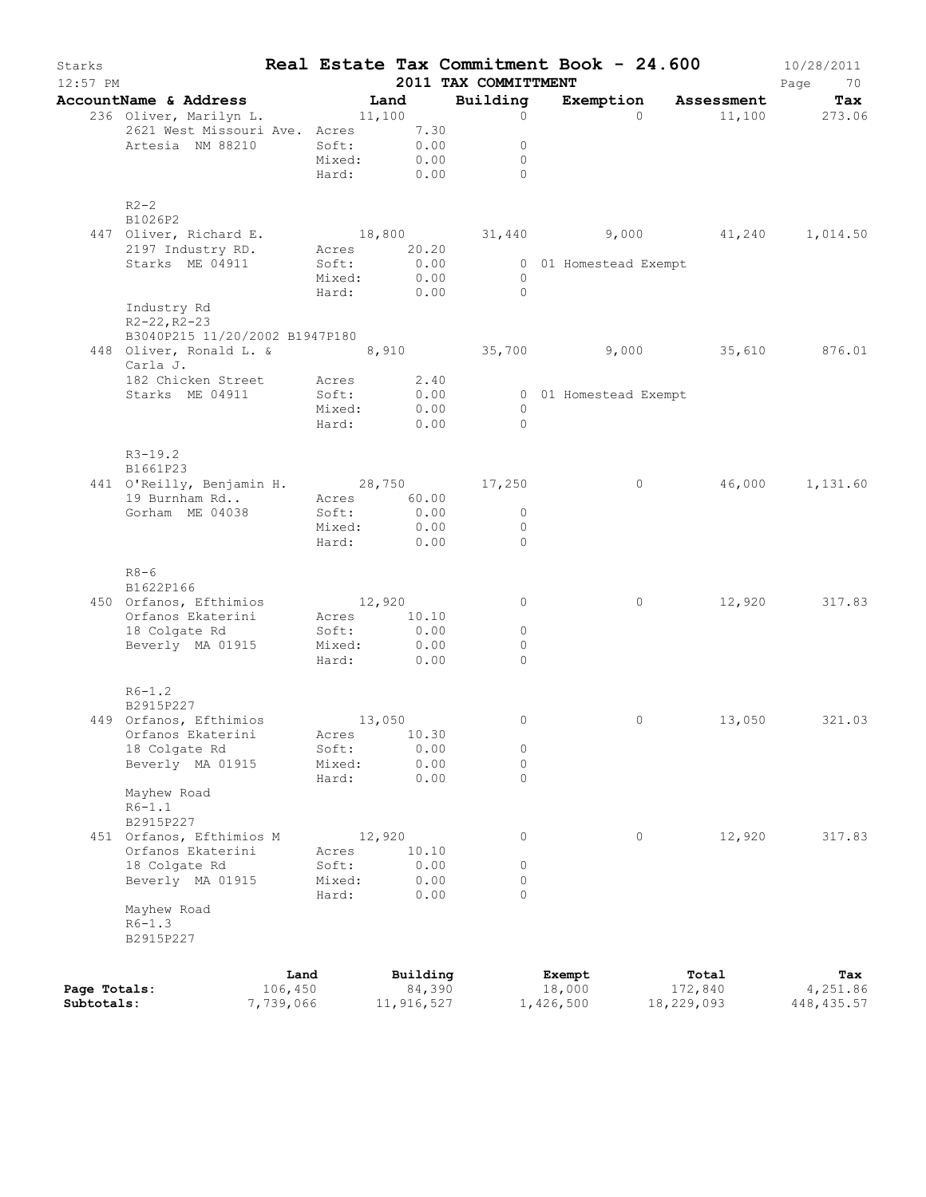| Starks<br>$12:57$ PM |                                                                      |           |                 |                  | 2011 TAX COMMITTMENT | Real Estate Tax Commitment Book - 24.600 |            | 10/28/2011<br>Page<br>70 |
|----------------------|----------------------------------------------------------------------|-----------|-----------------|------------------|----------------------|------------------------------------------|------------|--------------------------|
|                      | AccountName & Address                                                |           | Land            |                  | Building             | Exemption Assessment                     |            | Tax                      |
|                      | 236 Oliver, Marilyn L. 11,100                                        |           |                 |                  | $\circ$              | $\Omega$                                 |            | 11,100 273.06            |
|                      | 2621 West Missouri Ave. Acres 7.30                                   |           |                 |                  |                      |                                          |            |                          |
|                      | Artesia NM 88210                                                     |           | Soft:           | 0.00             | $\circ$              |                                          |            |                          |
|                      |                                                                      |           | Mixed:          | 0.00             | $\overline{0}$       |                                          |            |                          |
|                      |                                                                      |           | Hard: 0.00      |                  | $\Omega$             |                                          |            |                          |
|                      | $R2-2$                                                               |           |                 |                  |                      |                                          |            |                          |
|                      | B1026P2                                                              |           |                 |                  |                      |                                          |            |                          |
|                      | 447 Oliver, Richard E.                                               |           |                 |                  |                      | 18,800 31,440 9,000 41,240 1,014.50      |            |                          |
|                      | 2197 Industry RD. Acres 20.20                                        |           |                 |                  |                      |                                          |            |                          |
|                      | Starks ME 04911                                                      |           | Soft:           |                  |                      | 0 01 Homestead Exempt                    |            |                          |
|                      |                                                                      |           | Mixed:          | $0.00$<br>$0.00$ | $\overline{0}$       |                                          |            |                          |
|                      |                                                                      |           | Hard: 0.00      |                  | $\overline{0}$       |                                          |            |                          |
|                      | Industry Rd                                                          |           |                 |                  |                      |                                          |            |                          |
|                      | $R2 - 22, R2 - 23$                                                   |           |                 |                  |                      |                                          |            |                          |
|                      | B3040P215 11/20/2002 B1947P180                                       |           |                 |                  |                      |                                          |            |                          |
|                      | 448 Oliver, Ronald L. & 8,910 35,700 9,000 35,610 876.01<br>Carla J. |           |                 |                  |                      |                                          |            |                          |
|                      | 182 Chicken Street Acres 2.40                                        |           |                 |                  |                      |                                          |            |                          |
|                      | Starks ME 04911                                                      |           | Soft:           | 0.00             |                      | 0 01 Homestead Exempt                    |            |                          |
|                      |                                                                      |           | Mixed:          | 0.00             | $\overline{0}$       |                                          |            |                          |
|                      |                                                                      |           | Hard:           | 0.00             | $\bigcirc$           |                                          |            |                          |
|                      |                                                                      |           |                 |                  |                      |                                          |            |                          |
|                      | $R3-19.2$                                                            |           |                 |                  |                      |                                          |            |                          |
|                      | B1661P23                                                             |           |                 |                  |                      | $\circ$                                  |            | 46,000 1,131.60          |
|                      | 441 O'Reilly, Benjamin H. 28,750 17,250<br>19 Burnham Rd             |           | Acres 60.00     |                  |                      |                                          |            |                          |
|                      | Gorham ME 04038                                                      |           | Soft:           | 0.00             | $\overline{0}$       |                                          |            |                          |
|                      |                                                                      |           | Mixed:          | 0.00             | $\circ$              |                                          |            |                          |
|                      |                                                                      |           | Hard:           | 0.00             | $\mathbf{0}$         |                                          |            |                          |
|                      |                                                                      |           |                 |                  |                      |                                          |            |                          |
|                      | $R8 - 6$                                                             |           |                 |                  |                      |                                          |            |                          |
|                      | B1622P166<br>450 Orfanos, Efthimios 12,920                           |           |                 |                  | $\mathbf{0}$         | $\circ$                                  |            | 12,920 317.83            |
|                      | Orfanos Ekaterini                                                    |           | Acres 10.10     |                  |                      |                                          |            |                          |
|                      | 18 Colgate Rd                                                        |           | Soft:           | 0.00             | $\circ$              |                                          |            |                          |
|                      | Beverly MA 01915                                                     |           | Mixed:          | 0.00             | $\mathbf{0}$         |                                          |            |                          |
|                      |                                                                      |           | Hard:           | 0.00             | $\Omega$             |                                          |            |                          |
|                      |                                                                      |           |                 |                  |                      |                                          |            |                          |
|                      | $R6 - 1.2$                                                           |           |                 |                  |                      |                                          |            |                          |
|                      | B2915P227                                                            |           |                 |                  |                      |                                          |            |                          |
|                      | 449 Orfanos, Efthimios 13,050                                        |           |                 | 10.30            | $\circ$              | 0                                        |            | 13,050 321.03            |
|                      | Orfanos Ekaterini<br>18 Colgate Rd                                   |           | Acres           | 0.00             | 0                    |                                          |            |                          |
|                      | Beverly MA 01915                                                     |           | Soft:<br>Mixed: | 0.00             | $\circ$              |                                          |            |                          |
|                      |                                                                      |           | Hard:           | 0.00             | $\circ$              |                                          |            |                          |
|                      | Mayhew Road                                                          |           |                 |                  |                      |                                          |            |                          |
|                      | $R6-1.1$                                                             |           |                 |                  |                      |                                          |            |                          |
|                      | B2915P227                                                            |           |                 |                  |                      |                                          |            |                          |
|                      | 451 Orfanos, Efthimios M                                             |           | 12,920          |                  | 0                    | 0                                        | 12,920     | 317.83                   |
|                      | Orfanos Ekaterini                                                    |           | Acres           | 10.10            |                      |                                          |            |                          |
|                      | 18 Colgate Rd                                                        |           | Soft:           | 0.00             | 0                    |                                          |            |                          |
|                      | Beverly MA 01915                                                     |           | Mixed:          | 0.00             | $\circ$              |                                          |            |                          |
|                      |                                                                      |           | Hard:           | 0.00             | $\circ$              |                                          |            |                          |
|                      | Mayhew Road                                                          |           |                 |                  |                      |                                          |            |                          |
|                      | $R6 - 1.3$                                                           |           |                 |                  |                      |                                          |            |                          |
|                      | B2915P227                                                            |           |                 |                  |                      |                                          |            |                          |
|                      |                                                                      |           |                 |                  |                      |                                          |            |                          |
|                      |                                                                      | Land      |                 | Building         |                      | Exempt                                   | Total      | Tax                      |
| Page Totals:         |                                                                      | 106,450   |                 | 84,390           |                      | 18,000                                   | 172,840    | 4,251.86                 |
| Subtotals:           |                                                                      | 7,739,066 |                 | 11,916,527       |                      | 1,426,500                                | 18,229,093 | 448, 435.57              |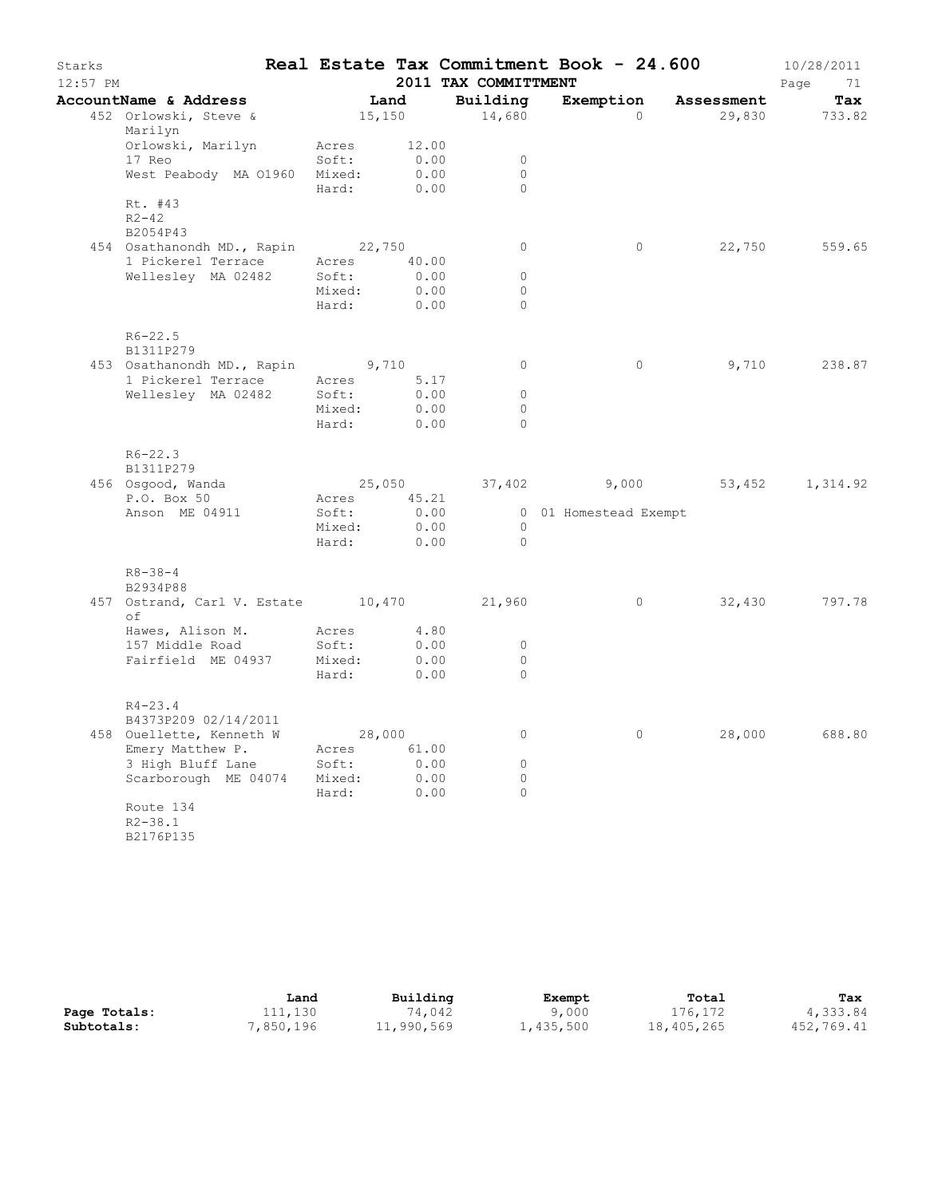| Starks<br>$12:57$ PM |                                                                                       |                      |               | 2011 TAX COMMITTMENT | Real Estate Tax Commitment Book - 24.600 |                                     | 10/28/2011<br>Page<br>71 |
|----------------------|---------------------------------------------------------------------------------------|----------------------|---------------|----------------------|------------------------------------------|-------------------------------------|--------------------------|
|                      | AccountName & Address                                                                 |                      | Land          | Building             |                                          | Exemption Assessment                | Tax                      |
|                      | 452 Orlowski, Steve &<br>Marilyn                                                      |                      | 15,150        | 14,680               | $\Omega$                                 |                                     | 29,830 733.82            |
|                      | Orlowski, Marilyn<br>17 Reo                                                           | Acres<br>Soft:       | 12.00<br>0.00 | $\circ$              |                                          |                                     |                          |
|                      | West Peabody MA 01960                                                                 | Mixed:<br>Hard: 0.00 | 0.00          | $\Omega$<br>$\Omega$ |                                          |                                     |                          |
|                      | Rt. #43<br>$R2 - 42$<br>B2054P43                                                      |                      |               |                      |                                          |                                     |                          |
|                      | 454 Osathanondh MD., Rapin 22,750                                                     |                      |               | $\circ$              | $\circ$                                  | 22,750                              | 559.65                   |
|                      | 1 Pickerel Terrace Acres 40.00<br>Welleslev MA 02482 Soft: 0.00<br>Wellesley MA 02482 | Soft:                | 0.00          | $\circ$              |                                          |                                     |                          |
|                      |                                                                                       | Mixed:               | 0.00          | $\circ$              |                                          |                                     |                          |
|                      |                                                                                       | Hard:                | 0.00          | $\Omega$             |                                          |                                     |                          |
|                      | $R6 - 22.5$<br>B1311P279                                                              |                      |               |                      |                                          |                                     |                          |
|                      | 453 Osathanondh MD., Rapin 9,710                                                      |                      |               | $\circ$              | $\circ$                                  | 9,710                               | 238.87                   |
|                      | 1 Pickerel Terrace                                                                    | Acres                | 5.17          |                      |                                          |                                     |                          |
|                      | Wellesley MA 02482                                                                    | Soft:                | 0.00          | $\circ$              |                                          |                                     |                          |
|                      |                                                                                       | Mixed:               | 0.00          | $\circ$              |                                          |                                     |                          |
|                      |                                                                                       | Hard:                | 0.00          | $\Omega$             |                                          |                                     |                          |
|                      | $R6 - 22.3$<br>B1311P279                                                              |                      |               |                      |                                          |                                     |                          |
|                      | 456 Osgood, Wanda                                                                     |                      |               |                      |                                          | 25,050 37,402 9,000 53,452 1,314.92 |                          |
|                      | P.O. Box 50                                                                           | Acres 45.21          |               |                      |                                          |                                     |                          |
|                      | Anson ME 04911                                                                        | Soft:                | 0.00          |                      | 0 01 Homestead Exempt                    |                                     |                          |
|                      |                                                                                       | Mixed:               | 0.00          | $\overline{0}$       |                                          |                                     |                          |
|                      |                                                                                       | Hard:                | 0.00          | $\bigcirc$           |                                          |                                     |                          |
|                      | $R8 - 38 - 4$<br>B2934P88                                                             |                      |               |                      |                                          |                                     |                          |
|                      | 457 Ostrand, Carl V. Estate 10,470 21,960<br>оf                                       |                      |               |                      | $\circ$                                  | 32,430                              | 797.78                   |
|                      | Hawes, Alison M. Acres 4.80                                                           |                      |               |                      |                                          |                                     |                          |
|                      | 157 Middle Road                                                                       | Soft:                | 0.00          | $\circ$              |                                          |                                     |                          |
|                      | Fairfield ME 04937                                                                    | Mixed:               | 0.00          | $\circ$              |                                          |                                     |                          |
|                      |                                                                                       | Hard:                | 0.00          | $\Omega$             |                                          |                                     |                          |
|                      | $R4 - 23.4$                                                                           |                      |               |                      |                                          |                                     |                          |
|                      | B4373P209 02/14/2011                                                                  |                      |               |                      |                                          |                                     |                          |
|                      | 458 Ouellette, Kenneth W                                                              |                      | 28,000        | 0                    | 0                                        | 28,000                              | 688.80                   |
|                      | Emery Matthew P.<br>3 High Bluff Lane                                                 | Acres<br>Soft:       | 61.00<br>0.00 | 0                    |                                          |                                     |                          |
|                      | Scarborough ME 04074                                                                  | Mixed:               | 0.00          | $\circ$              |                                          |                                     |                          |
|                      |                                                                                       | Hard:                | 0.00          | $\circ$              |                                          |                                     |                          |
|                      | Route 134<br>$R2 - 38.1$<br>B2176P135                                                 |                      |               |                      |                                          |                                     |                          |

|              | Land     | Building   | Exempt    | Total      | Tax        |
|--------------|----------|------------|-----------|------------|------------|
| Page Totals: | 111,130  | 74,042     | 9,000     | 176,172    | 4,333.84   |
| Subtotals:   | ,850,196 | ⊥1,990,569 | 1,435,500 | 18,405,265 | 452,769.41 |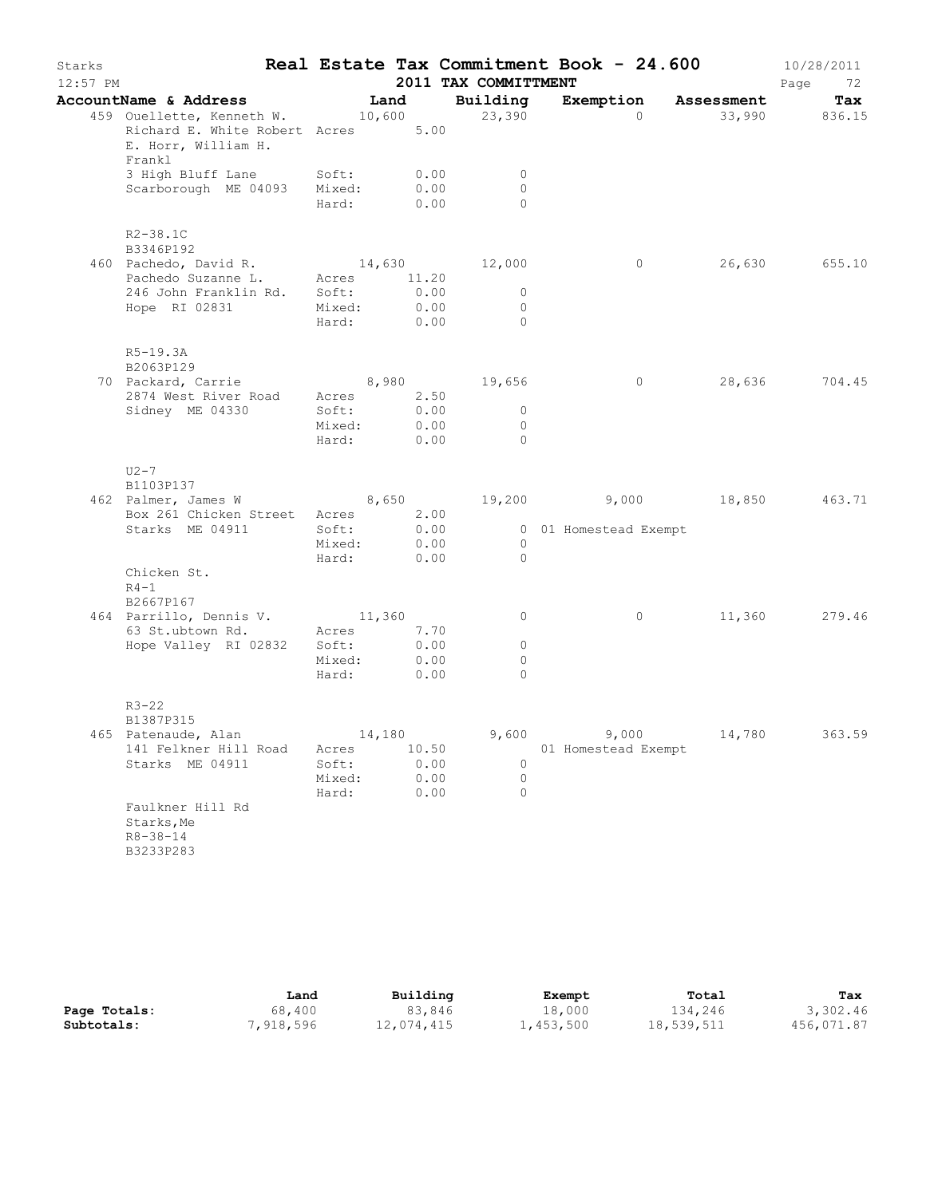| Starks<br>$12:57$ PM |                                                                                                                 |                 |              | 2011 TAX COMMITTMENT   | Real Estate Tax Commitment Book - 24.600 |                 | 10/28/2011<br>Page<br>72 |
|----------------------|-----------------------------------------------------------------------------------------------------------------|-----------------|--------------|------------------------|------------------------------------------|-----------------|--------------------------|
|                      |                                                                                                                 |                 |              |                        |                                          |                 | Tax                      |
|                      | AccountName & Address Land Building Exemption Assessment<br>459 Ouellette, Kenneth W. 10,600 23,390 0 33,990 83 |                 |              |                        |                                          | 33,990 836.15   |                          |
|                      | Richard E. White Robert Acres 5.00<br>E. Horr, William H.<br>Frankl                                             |                 |              |                        |                                          |                 |                          |
|                      | 3 High Bluff Lane Soft: 0.00                                                                                    |                 |              | $\circ$                |                                          |                 |                          |
|                      | Scarborough ME 04093 Mixed:                                                                                     |                 | 0.00         | $\circ$                |                                          |                 |                          |
|                      |                                                                                                                 | Hard:           | 0.00         | $\Omega$               |                                          |                 |                          |
|                      | $R2 - 38.1C$<br>B3346P192                                                                                       |                 |              |                        |                                          |                 |                          |
|                      |                                                                                                                 |                 |              |                        |                                          | 0 26,630 655.10 |                          |
|                      | 460 Pachedo, David R. 14,630 12,000<br>Pachedo Suzanne L. Acres 11.20                                           |                 |              |                        |                                          |                 |                          |
|                      | 246 John Franklin Rd. Soft:                                                                                     |                 | 0.00         | $\mathbf{0}$           |                                          |                 |                          |
|                      | Hope RI 02831                                                                                                   | Mixed:          | 0.00         | 0                      |                                          |                 |                          |
|                      |                                                                                                                 | Hard:           | 0.00         | $\Omega$               |                                          |                 |                          |
|                      | $R5-19.3A$<br>B2063P129                                                                                         |                 |              |                        |                                          |                 |                          |
|                      | 70 Packard, Carrie 8,980 19,656<br>2874 West River Road Acres 2.50                                              |                 |              |                        | $\overline{0}$                           |                 | 28,636 704.45            |
|                      |                                                                                                                 | Soft:           |              | 0.00<br>$\circ$        |                                          |                 |                          |
|                      | Sidney ME 04330                                                                                                 | Mixed:          | 0.00         | $\circ$                |                                          |                 |                          |
|                      |                                                                                                                 | Hard:           | 0.00         | $\Omega$               |                                          |                 |                          |
|                      | $U2-7$<br>B1103P137                                                                                             |                 |              |                        |                                          |                 |                          |
|                      | 462 Palmer, James W 8,650 19,200 9,000 18,850 463.71                                                            |                 |              |                        |                                          |                 |                          |
|                      | Box 261 Chicken Street Acres 2.00                                                                               |                 |              |                        |                                          |                 |                          |
|                      | Starks ME 04911                                                                                                 | Soft:           |              |                        | 0.00 0 01 Homestead Exempt               |                 |                          |
|                      |                                                                                                                 |                 |              | 0.00<br>$\overline{0}$ |                                          |                 |                          |
|                      |                                                                                                                 | Mıxed:<br>Hard: | 0.00         | $\overline{0}$         |                                          |                 |                          |
|                      | Chicken St.<br>$R4-1$                                                                                           |                 |              |                        |                                          |                 |                          |
|                      | B2667P167                                                                                                       |                 |              |                        |                                          |                 |                          |
|                      |                                                                                                                 |                 |              | $\circ$                | $\overline{0}$                           |                 | 11,360 279.46            |
|                      | 464 Parrillo, Dennis V. 11,360<br>63 St.ubtown Rd. Acres 7.70                                                   |                 |              |                        |                                          |                 |                          |
|                      | Hope Valley RI 02832 Soft:                                                                                      |                 | 0.00         | $\circ$                |                                          |                 |                          |
|                      |                                                                                                                 | Mixed:          | 0.00         | 0                      |                                          |                 |                          |
|                      |                                                                                                                 | Hard:           | 0.00         | $\Omega$               |                                          |                 |                          |
|                      | $R3 - 22$                                                                                                       |                 |              |                        |                                          |                 |                          |
|                      | B1387P315                                                                                                       |                 |              |                        |                                          |                 |                          |
|                      | 465 Patenaude, Alan                                                                                             | 14,180          |              | 9,600                  | 9,000                                    | 14,780          | 363.59                   |
|                      | 141 Felkner Hill Road                                                                                           | Acres           | 10.50        |                        | 01 Homestead Exempt                      |                 |                          |
|                      | Starks ME 04911                                                                                                 | Soft:<br>Mixed: | 0.00<br>0.00 | $\circ$<br>$\circ$     |                                          |                 |                          |
|                      |                                                                                                                 | Hard:           | 0.00         | $\circ$                |                                          |                 |                          |
|                      | Faulkner Hill Rd                                                                                                |                 |              |                        |                                          |                 |                          |
|                      | Starks, Me                                                                                                      |                 |              |                        |                                          |                 |                          |
|                      | $R8 - 38 - 14$                                                                                                  |                 |              |                        |                                          |                 |                          |
|                      | B3233P283                                                                                                       |                 |              |                        |                                          |                 |                          |

|              | Land      | Building   | Exempt    | Total      | Tax        |
|--------------|-----------|------------|-----------|------------|------------|
| Page Totals: | 68,400    | 83,846     | 18,000    | 134,246    | 3,302.46   |
| Subtotals:   | 7,918,596 | 12,074,415 | 1,453,500 | 18,539,511 | 456,071.87 |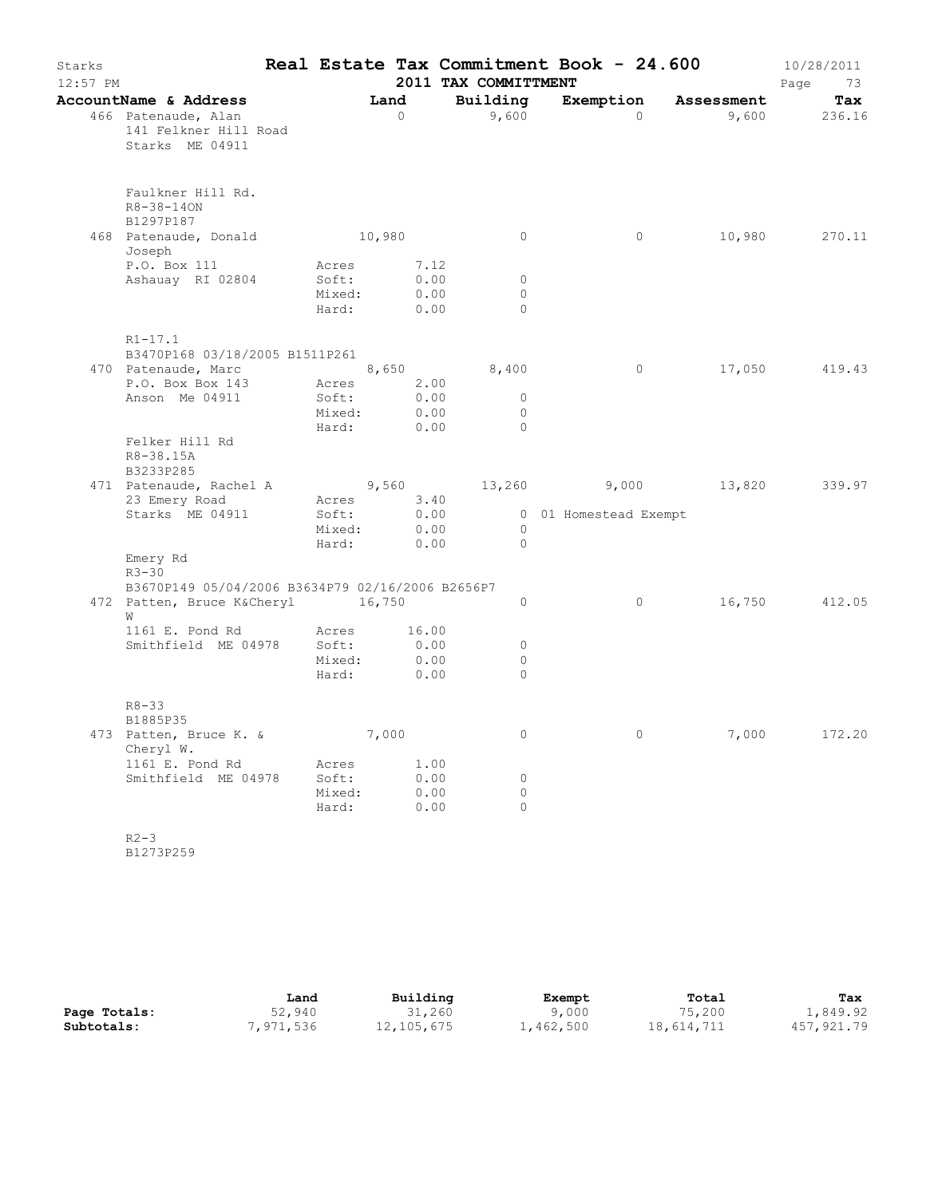| Starks<br>12:57 PM |                                                                                            |                                   |                                    | 2011 TAX COMMITTMENT            | Real Estate Tax Commitment Book - 24.600 |                      | 10/28/2011<br>Page<br>73 |
|--------------------|--------------------------------------------------------------------------------------------|-----------------------------------|------------------------------------|---------------------------------|------------------------------------------|----------------------|--------------------------|
|                    | AccountName & Address<br>466 Patenaude, Alan<br>141 Felkner Hill Road<br>Starks ME 04911   |                                   | Land<br>$\overline{0}$             | Building<br>9,600               | $\Omega$                                 | Exemption Assessment | Tax<br>9,600 236.16      |
|                    | Faulkner Hill Rd.<br>R8-38-140N<br>B1297P187<br>468 Patenaude, Donald                      | 10,980                            |                                    | $\circ$                         | $\circ$                                  |                      | 10,980 270.11            |
|                    | Joseph                                                                                     |                                   |                                    |                                 |                                          |                      |                          |
|                    | P.O. Box 111<br>Ashauay RI 02804                                                           | Acres<br>Soft:<br>Mixed:<br>Hard: | 7.12<br>0.00<br>0.00<br>0.00       | $\circ$<br>$\Omega$<br>$\Omega$ |                                          |                      |                          |
|                    | $R1 - 17.1$<br>B3470P168 03/18/2005 B1511P261                                              |                                   |                                    |                                 |                                          |                      |                          |
|                    | 470 Patenaude, Marc 8,650                                                                  |                                   |                                    | 8,400                           | $\overline{0}$                           | 17,050               | 419.43                   |
|                    | P.O. Box Box 143<br>Anson Me 04911                                                         | Soft:<br>Mixed:                   | Acres 2.00<br>0.00<br>0.00<br>0.00 | $\circ$<br>$\Omega$<br>$\Omega$ |                                          |                      |                          |
|                    | Felker Hill Rd<br>R8-38.15A<br>B3233P285                                                   | Hard:                             |                                    |                                 |                                          |                      |                          |
|                    | 471 Patenaude, Rachel A $9,560$ $13,260$ $9,000$ $13,820$                                  |                                   |                                    |                                 |                                          |                      | 339.97                   |
|                    | 23 Emery Road<br>Starks ME 04911                                                           | Acres<br>Soft:<br>Mixed:<br>Hard: | 3.40<br>0.00<br>0.00<br>0.00       | $\overline{0}$<br>$\Omega$      | 0 01 Homestead Exempt                    |                      |                          |
|                    | Emery Rd<br>$R3 - 30$                                                                      |                                   |                                    |                                 |                                          |                      |                          |
|                    | B3670P149 05/04/2006 B3634P79 02/16/2006 B2656P7<br>472 Patten, Bruce K&Cheryl 16,750<br>W |                                   |                                    | $\circ$                         | $\circ$                                  | 16,750               | 412.05                   |
|                    | 1161 E. Pond Rd<br>Smithfield ME 04978                                                     | Acres<br>Soft:<br>Mixed:<br>Hard: | 16.00<br>0.00<br>0.00<br>0.00      | 0<br>$\circ$<br>$\Omega$        |                                          |                      |                          |
|                    | $R8 - 33$<br>B1885P35                                                                      |                                   |                                    |                                 |                                          |                      |                          |
|                    | 473 Patten, Bruce K. &<br>Cheryl W.                                                        |                                   | 7,000                              | 0                               | 0                                        | 7,000                | 172.20                   |
|                    | 1161 E. Pond Rd<br>Smithfield ME 04978                                                     | Acres<br>Soft:<br>Mixed:<br>Hard: | 1.00<br>0.00<br>0.00<br>0.00       | $\circ$<br>$\Omega$<br>$\circ$  |                                          |                      |                          |
|                    | $R2 - 3$<br>B1273P259                                                                      |                                   |                                    |                                 |                                          |                      |                          |

|              | Land     | Building   | Exempt           | Total      | Tax        |
|--------------|----------|------------|------------------|------------|------------|
| Page Totals: | 52,940   | 31,260     | 9,000            | 75,200     | 1,849.92   |
| Subtotals:   | ,971,536 | 12,105,675 | $\pm$ , 462, 500 | 18,614,711 | 457,921.79 |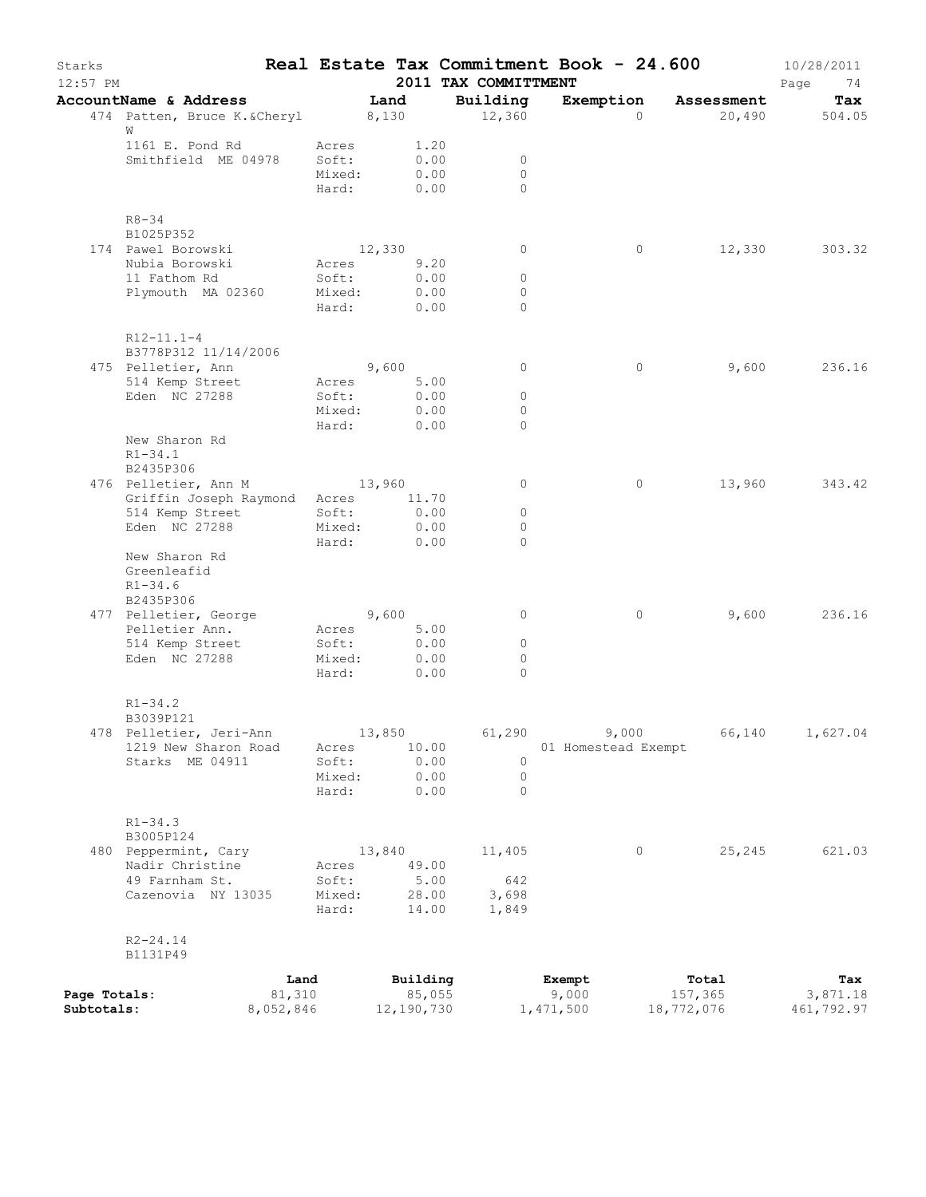| Starks<br>12:57 PM         |                                                                                 |                                   |                          |                      | 2011 TAX COMMITTMENT            | Real Estate Tax Commitment Book - 24.600 |                                | 10/28/2011<br>Page<br>74      |
|----------------------------|---------------------------------------------------------------------------------|-----------------------------------|--------------------------|----------------------|---------------------------------|------------------------------------------|--------------------------------|-------------------------------|
|                            | AccountName & Address<br>474 Patten, Bruce K. & Cheryl 8,130                    |                                   | Land                     |                      | Building<br>12,360              | Exemption<br>$\Omega$                    | Assessment<br>20,490           | Tax<br>504.05                 |
|                            | W<br>1161 E. Pond Rd<br>Smithfield ME 04978                                     | Acres<br>Soft:<br>Mixed:<br>Hard: | 0.00<br>0.00             | 1.20<br>0.00         | 0<br>$\Omega$<br>$\Omega$       |                                          |                                |                               |
|                            | $R8 - 34$<br>B1025P352                                                          |                                   |                          |                      |                                 |                                          |                                |                               |
|                            | 174 Pawel Borowski<br>Nubia Borowski<br>11 Fathom Rd                            | Acres<br>Soft:                    | 12,330                   | 9.20<br>0.00         | $\circ$<br>$\circ$              | 0                                        | 12,330                         | 303.32                        |
|                            | Plymouth MA 02360                                                               | Mixed:<br>Hard:                   | 0.00                     | 0.00                 | $\circ$<br>$\Omega$             |                                          |                                |                               |
|                            | $R12 - 11.1 - 4$<br>B3778P312 11/14/2006                                        |                                   |                          |                      |                                 |                                          |                                |                               |
|                            | 475 Pelletier, Ann<br>514 Kemp Street                                           | Acres                             | 9,600<br>5.00            |                      | $\circ$                         | $\circ$                                  | 9,600                          | 236.16                        |
|                            | Eden NC 27288                                                                   | Soft:<br>Mixed:<br>Hard:          | 0.00<br>0.00             | 0.00                 | $\circ$<br>$\Omega$<br>$\Omega$ |                                          |                                |                               |
|                            | New Sharon Rd<br>$R1 - 34.1$                                                    |                                   |                          |                      |                                 |                                          |                                |                               |
|                            | B2435P306<br>476 Pelletier, Ann M                                               | 13,960                            |                          |                      | $\circ$                         | 0                                        | 13,960                         | 343.42                        |
|                            | Griffin Joseph Raymond Acres<br>514 Kemp Street<br>Eden NC 27288                | Soft:<br>Mixed:                   | 11.70<br>0.00<br>0.00    |                      | $\circ$<br>$\circ$              |                                          |                                |                               |
|                            | New Sharon Rd<br>Greenleafid<br>$R1 - 34.6$                                     | Hard:                             | 0.00                     |                      | $\Omega$                        |                                          |                                |                               |
|                            | B2435P306<br>477 Pelletier, George                                              |                                   | 9,600                    |                      | $\circ$                         | $\circ$                                  | 9,600                          | 236.16                        |
|                            | Pelletier Ann.<br>514 Kemp Street                                               | Acres<br>Soft:                    |                          | 5.00<br>0.00         | $\circ$                         |                                          |                                |                               |
|                            | Eden NC 27288                                                                   | Mixed:<br>Hard:                   |                          | 0.00<br>0.00         | 0<br>$\Omega$                   |                                          |                                |                               |
|                            | $R1 - 34.2$<br>B3039P121                                                        |                                   |                          |                      |                                 |                                          |                                |                               |
|                            | 478 Pelletier, Jeri-Ann<br>1219 New Sharon Road                                 | Acres                             | 13,850<br>10.00          |                      | 61,290                          | 9,000<br>01 Homestead Exempt             | 66,140                         | 1,627.04                      |
|                            | Starks ME 04911                                                                 | Soft:<br>Mixed:<br>Hard:          |                          | 0.00<br>0.00<br>0.00 | $\circ$<br>0<br>$\Omega$        |                                          |                                |                               |
|                            | $R1 - 34.3$<br>B3005P124                                                        |                                   |                          |                      |                                 |                                          |                                |                               |
|                            | 480 Peppermint, Cary<br>Nadir Christine<br>49 Farnham St.<br>Cazenovia NY 13035 | Acres<br>Soft:<br>Mixed:          | 13,840<br>49.00<br>28.00 | 5.00                 | 11,405<br>642<br>3,698          | 0                                        | 25,245                         | 621.03                        |
|                            | $R2 - 24.14$<br>B1131P49                                                        | Hard:                             | 14.00                    |                      | 1,849                           |                                          |                                |                               |
| Page Totals:<br>Subtotals: | 81,310<br>8,052,846                                                             | Land                              | Building<br>12,190,730   | 85,055               |                                 | Exempt<br>9,000<br>1,471,500             | Total<br>157,365<br>18,772,076 | Tax<br>3,871.18<br>461,792.97 |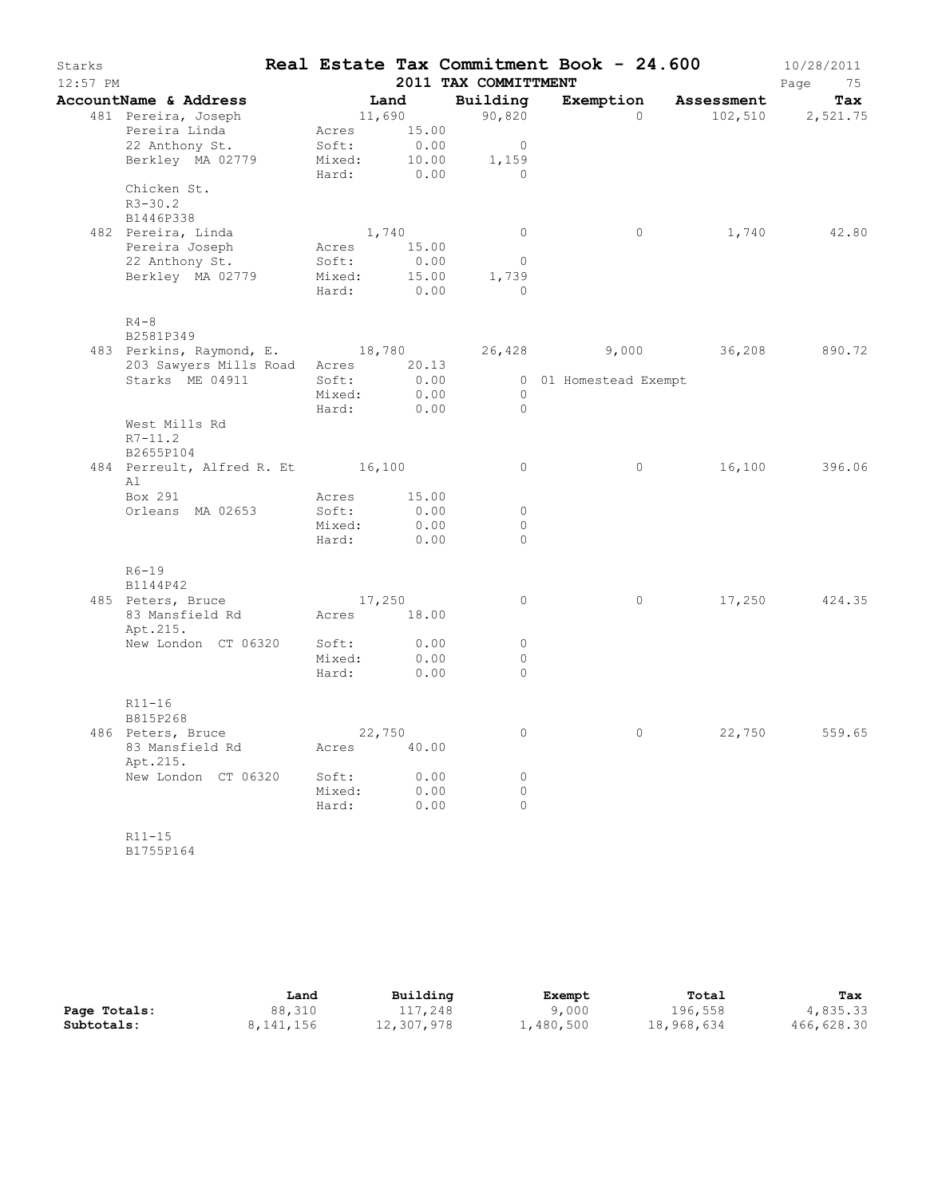| Starks<br>$12:57$ PM |                                   |             |       | 2011 TAX COMMITTMENT  | Real Estate Tax Commitment Book - 24.600 |                     | 10/28/2011<br>Page<br>75 |
|----------------------|-----------------------------------|-------------|-------|-----------------------|------------------------------------------|---------------------|--------------------------|
|                      | AccountName & Address             | Land        |       | Building              | Exemption                                | Assessment          | Tax                      |
|                      | 481 Pereira, Joseph               | 11,690      |       | 90,820                | $\circ$                                  | 102,510             | 2,521.75                 |
|                      | Pereira Linda                     | Acres       | 15.00 |                       |                                          |                     |                          |
|                      | 22 Anthony St.                    | Soft:       | 0.00  | $\overline{0}$        |                                          |                     |                          |
|                      | Berkley MA 02779                  | Mixed:      | 10.00 | 1,159                 |                                          |                     |                          |
|                      |                                   | Hard:       | 0.00  | $\bigcap$             |                                          |                     |                          |
|                      | Chicken St.                       |             |       |                       |                                          |                     |                          |
|                      | $R3 - 30.2$                       |             |       |                       |                                          |                     |                          |
|                      | B1446P338                         |             |       |                       |                                          |                     |                          |
|                      | 482 Pereira, Linda                | 1,740       |       | $\circ$               | $\circ$                                  |                     | 1,740 42.80              |
|                      | Pereira Joseph                    | Acres       | 15.00 |                       |                                          |                     |                          |
|                      | 22 Anthony St.                    | Soft:       | 0.00  | $\overline{0}$        |                                          |                     |                          |
|                      | Berkley MA 02779                  | Mixed:      | 15.00 | 1,739<br>$\Omega$     |                                          |                     |                          |
|                      |                                   | Hard:       | 0.00  |                       |                                          |                     |                          |
|                      | $R4-8$                            |             |       |                       |                                          |                     |                          |
|                      | B2581P349                         |             |       |                       |                                          |                     |                          |
|                      | 483 Perkins, Raymond, E. 18,780   |             |       |                       |                                          | 26,428 9,000 36,208 | 890.72                   |
|                      | 203 Sawyers Mills Road            | Acres 20.13 |       |                       |                                          |                     |                          |
|                      | Starks ME 04911                   | Soft:       | 0.00  |                       | 0 01 Homestead Exempt                    |                     |                          |
|                      |                                   | Mixed:      | 0.00  | $\circ$<br>$\bigcirc$ |                                          |                     |                          |
|                      | West Mills Rd                     | Hard:       | 0.00  |                       |                                          |                     |                          |
|                      | $R7 - 11.2$                       |             |       |                       |                                          |                     |                          |
|                      | B2655P104                         |             |       |                       |                                          |                     |                          |
|                      | 484 Perreult, Alfred R. Et 16,100 |             |       | $\circ$               | $\circ$                                  | 16,100              | 396.06                   |
|                      | Al                                |             |       |                       |                                          |                     |                          |
|                      | Box 291                           | Acres       | 15.00 |                       |                                          |                     |                          |
|                      | Orleans MA 02653                  | Soft:       | 0.00  | $\circ$               |                                          |                     |                          |
|                      |                                   | Mixed:      | 0.00  | $\circ$               |                                          |                     |                          |
|                      |                                   | Hard:       | 0.00  | $\circ$               |                                          |                     |                          |
|                      |                                   |             |       |                       |                                          |                     |                          |
|                      | $R6-19$<br>B1144P42               |             |       |                       |                                          |                     |                          |
|                      | 485 Peters, Bruce                 | 17,250      |       | 0                     | $\circ$                                  | 17,250              | 424.35                   |
|                      | 83 Mansfield Rd                   | Acres 18.00 |       |                       |                                          |                     |                          |
|                      | Apt.215.                          |             |       |                       |                                          |                     |                          |
|                      | New London CT 06320               | Soft:       | 0.00  | $\circ$               |                                          |                     |                          |
|                      |                                   | Mixed:      | 0.00  | $\circ$               |                                          |                     |                          |
|                      |                                   | Hard:       | 0.00  | $\Omega$              |                                          |                     |                          |
|                      |                                   |             |       |                       |                                          |                     |                          |
|                      | $R11 - 16$                        |             |       |                       |                                          |                     |                          |
|                      | B815P268<br>486 Peters, Bruce     | 22,750      |       | $\circ$               | $\circ$                                  | 22,750              | 559.65                   |
|                      | 83 Mansfield Rd                   | Acres 40.00 |       |                       |                                          |                     |                          |
|                      | Apt.215.                          |             |       |                       |                                          |                     |                          |
|                      | New London CT 06320               | Soft:       | 0.00  | $\Omega$              |                                          |                     |                          |
|                      |                                   | Mixed:      | 0.00  | $\circ$               |                                          |                     |                          |
|                      |                                   | Hard:       | 0.00  | 0                     |                                          |                     |                          |
|                      |                                   |             |       |                       |                                          |                     |                          |
|                      | $R11 - 15$                        |             |       |                       |                                          |                     |                          |

B1755P164

|              | Land      | Building   | Exempt    | Total      | Tax        |
|--------------|-----------|------------|-----------|------------|------------|
| Page Totals: | 88,310    | 117,248    | 9,000     | 196,558    | 4,835.33   |
| Subtotals:   | 8,141,156 | 12,307,978 | 1,480,500 | 18,968,634 | 466,628.30 |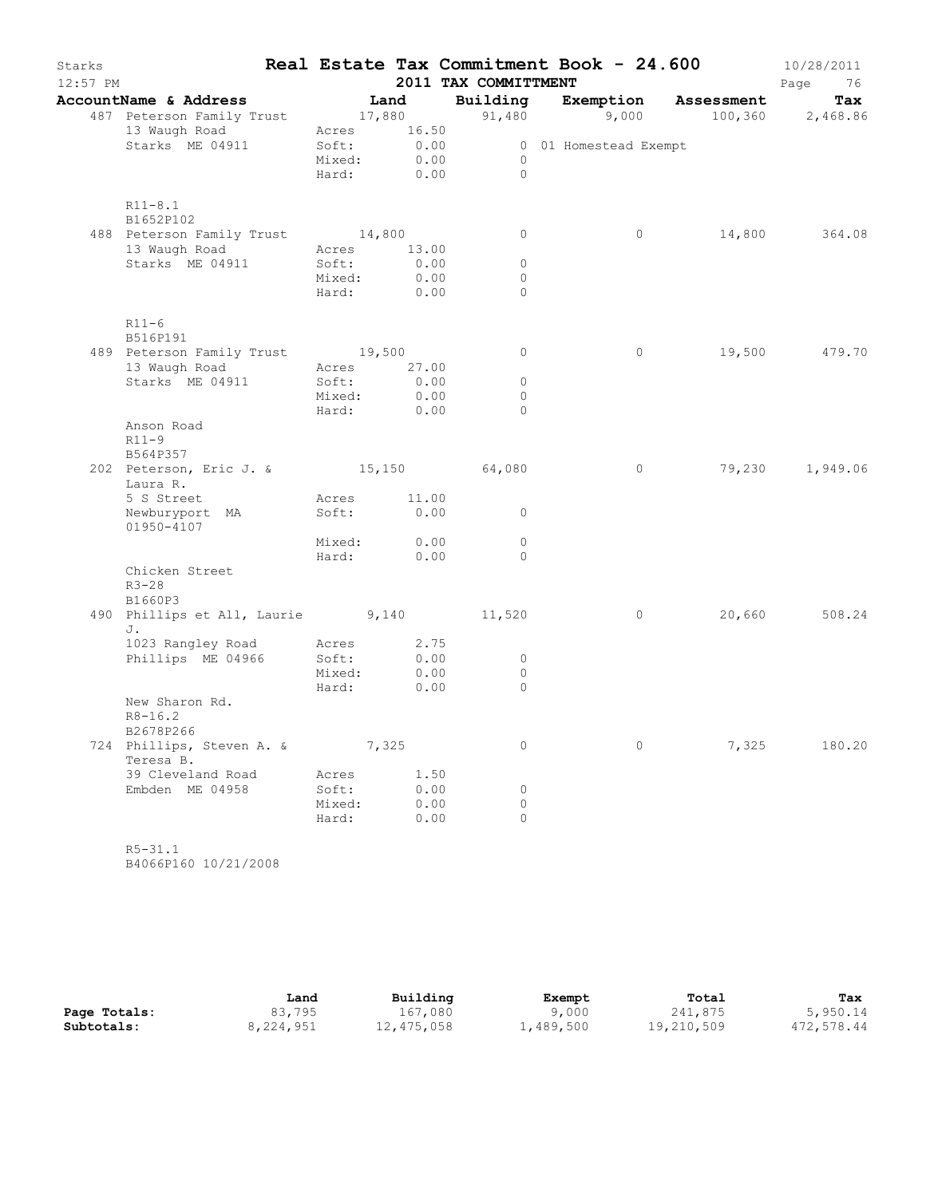| Starks<br>$12:57$ PM |                                                                                                                                        |                           |                | 2011 TAX COMMITTMENT | Real Estate Tax Commitment Book - 24.600 |       | 10/28/2011<br>Page<br>76 |
|----------------------|----------------------------------------------------------------------------------------------------------------------------------------|---------------------------|----------------|----------------------|------------------------------------------|-------|--------------------------|
|                      | AccountName & Address Tand                                                                                                             |                           |                |                      |                                          |       |                          |
|                      | <b>buntName &amp; Address Land Building Exemption Assessment Tax</b><br>487 Peterson Family Trust 17,880 91,480 9,000 100,360 2,468.86 |                           |                |                      |                                          |       |                          |
|                      | 13 Waugh Road Acres 16.50                                                                                                              |                           |                |                      |                                          |       |                          |
|                      | Starks ME 04911                                                                                                                        | Soft: 0.00<br>Mixed: 0.00 |                |                      | 0 01 Homestead Exempt                    |       |                          |
|                      |                                                                                                                                        |                           |                | $\overline{0}$       |                                          |       |                          |
|                      |                                                                                                                                        |                           | Hard: 0.00     | $\bigcirc$           |                                          |       |                          |
|                      | $R11 - 8.1$<br>B1652P102                                                                                                               |                           |                |                      |                                          |       |                          |
|                      | 488 Peterson Family Trust 14,800                                                                                                       |                           |                | $\circ$              | $\circ$                                  |       | 14,800 364.08            |
|                      | 13 Waugh Road                                                                                                                          | Acres 13.00               |                |                      |                                          |       |                          |
|                      | Starks ME 04911                                                                                                                        | Soft:                     | 0.00           | $\circ$              |                                          |       |                          |
|                      |                                                                                                                                        | Mixed:                    | 0.00           | $\circ$              |                                          |       |                          |
|                      |                                                                                                                                        |                           | Hard: 0.00     | $\Omega$             |                                          |       |                          |
|                      | $R11-6$<br>B516P191                                                                                                                    |                           |                |                      |                                          |       |                          |
|                      | 489 Peterson Family Trust 19,500                                                                                                       |                           |                | $\overline{0}$       | $\circ$                                  |       | 19,500 479.70            |
|                      | 13 Waugh Road Mcres 27.00                                                                                                              |                           |                |                      |                                          |       |                          |
|                      | Starks ME 04911                                                                                                                        | Soft:                     | 0.00           | $\circ$              |                                          |       |                          |
|                      |                                                                                                                                        | Mixed:                    | 0.00           | $\circ$              |                                          |       |                          |
|                      |                                                                                                                                        |                           | Hard: 0.00     | $\Omega$             |                                          |       |                          |
|                      | Anson Road                                                                                                                             |                           |                |                      |                                          |       |                          |
|                      | $R11-9$                                                                                                                                |                           |                |                      |                                          |       |                          |
|                      | B564P357<br>202 Peterson, Eric J. & 15,150 64,080                                                                                      |                           |                |                      | $\circ$                                  |       | 79,230 1,949.06          |
|                      | Laura R.                                                                                                                               |                           |                |                      |                                          |       |                          |
|                      | 5 S Street                                                                                                                             | Acres 11.00               |                |                      |                                          |       |                          |
|                      | Newburyport MA                                                                                                                         | Soft:                     | 0.00           | $\overline{0}$       |                                          |       |                          |
|                      | 01950-4107                                                                                                                             |                           |                |                      |                                          |       |                          |
|                      |                                                                                                                                        |                           | Mixed: 0.00    | $\circ$              |                                          |       |                          |
|                      |                                                                                                                                        |                           | Hard: 0.00     | $\Omega$             |                                          |       |                          |
|                      | Chicken Street<br>$R3 - 28$                                                                                                            |                           |                |                      |                                          |       |                          |
|                      | B1660P3<br>490 Phillips et All, Laurie 9,140 11,520                                                                                    |                           |                |                      | $\overline{0}$                           |       | 20,660 508.24            |
|                      | J.                                                                                                                                     |                           |                |                      |                                          |       |                          |
|                      | 1023 Rangley Road Acres<br>Phillips ME 04066 8065:                                                                                     |                           | $2.75$<br>0.00 |                      |                                          |       |                          |
|                      | Phillips ME 04966                                                                                                                      | Soft:                     |                | $\overline{0}$       |                                          |       |                          |
|                      |                                                                                                                                        | Mixed:                    | 0.00           | $\circ$              |                                          |       |                          |
|                      | New Sharon Rd.                                                                                                                         | Hard:                     | 0.00           | $\overline{0}$       |                                          |       |                          |
|                      | $R8 - 16.2$<br>B2678P266                                                                                                               |                           |                |                      |                                          |       |                          |
|                      | 724 Phillips, Steven A. &                                                                                                              |                           | 7,325          | $\circ$              | 0                                        | 7,325 | 180.20                   |
|                      | Teresa B.                                                                                                                              |                           |                |                      |                                          |       |                          |
|                      | 39 Cleveland Road                                                                                                                      | Acres                     | 1.50           |                      |                                          |       |                          |
|                      | Embden ME 04958                                                                                                                        | Soft:                     | 0.00           | 0                    |                                          |       |                          |
|                      |                                                                                                                                        | Mixed:                    | 0.00           | 0                    |                                          |       |                          |
|                      |                                                                                                                                        | Hard:                     | 0.00           | $\Omega$             |                                          |       |                          |
|                      |                                                                                                                                        |                           |                |                      |                                          |       |                          |
|                      | $R5 - 31.1$                                                                                                                            |                           |                |                      |                                          |       |                          |

B4066P160 10/21/2008

|              | Land      | Building   | Exempt    | Total      | Tax        |
|--------------|-----------|------------|-----------|------------|------------|
| Page Totals: | 83,795    | 167,080    | 9,000     | 241,875    | 5,950.14   |
| Subtotals:   | 8,224,951 | 12,475,058 | 1,489,500 | 19,210,509 | 472,578.44 |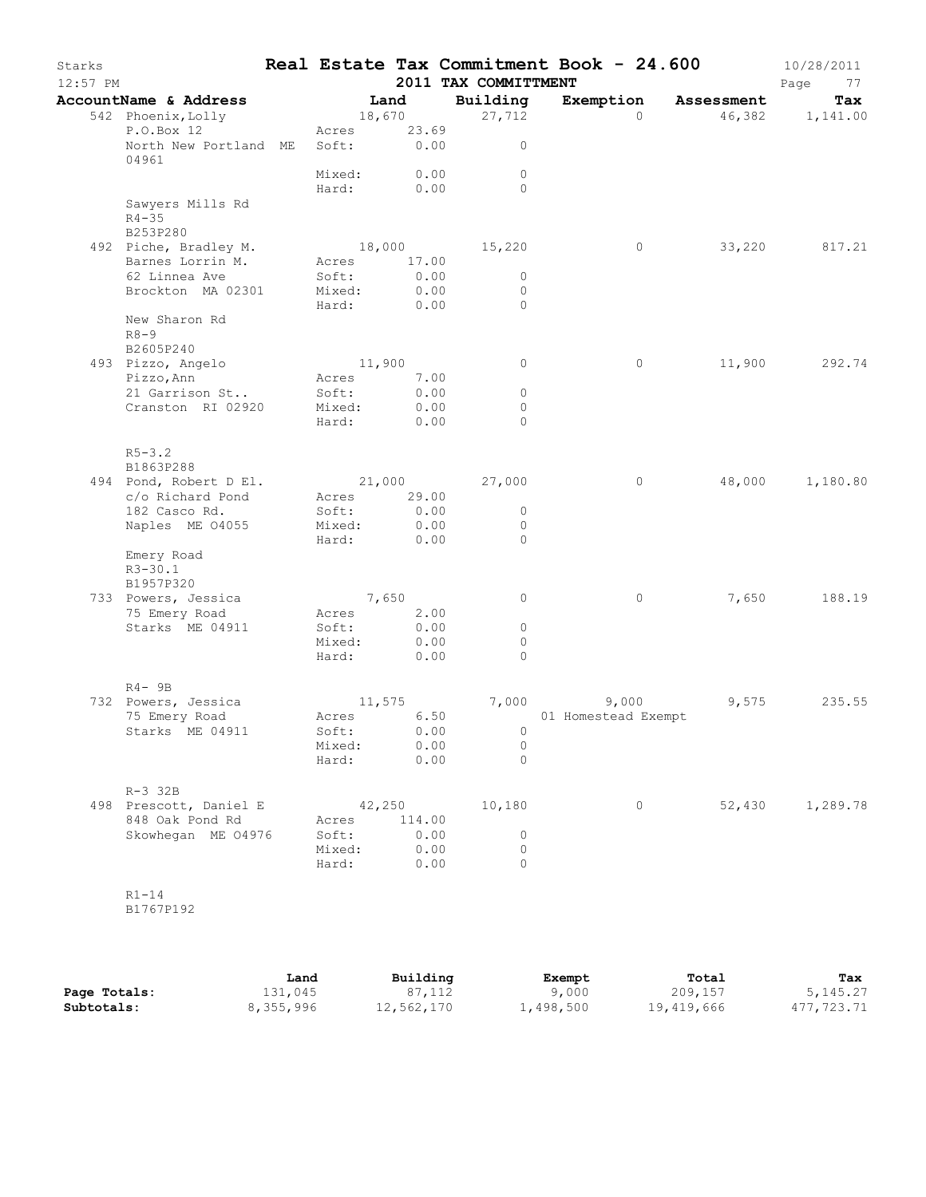| Starks<br>$12:57$ PM |                                      |                           |              | Real Estate Tax Commitment Book - 24.600<br>2011 TAX COMMITTMENT |                                    |          |                      | 10/28/2011<br>Page<br>77 |
|----------------------|--------------------------------------|---------------------------|--------------|------------------------------------------------------------------|------------------------------------|----------|----------------------|--------------------------|
|                      | AccountName & Address                | Land                      |              | Building                                                         |                                    |          | Exemption Assessment | Tax                      |
|                      | 542 Phoenix, Lolly<br>P.O.Box 12     | 18,670<br>Acres 23.69     |              | 27,712                                                           |                                    | $\Omega$ |                      | 46,382 1,141.00          |
|                      | North New Portland ME<br>04961       | Soft: 0.00                |              | $\circ$                                                          |                                    |          |                      |                          |
|                      |                                      | Mixed: 0.00<br>Hard: 0.00 |              | $\circ$<br>$\Omega$                                              |                                    |          |                      |                          |
|                      | Sawyers Mills Rd<br>$R4 - 35$        |                           |              |                                                                  |                                    |          |                      |                          |
|                      | B253P280<br>492 Piche, Bradley M.    |                           |              | 18,000 15,220                                                    |                                    | $\circ$  |                      | 33,220 817.21            |
|                      | Barnes Lorrin M.                     | Acres 17.00               |              |                                                                  |                                    |          |                      |                          |
|                      | 62 Linnea Ave                        | Soft:                     | 0.00         | $\circ$                                                          |                                    |          |                      |                          |
|                      | Brockton MA 02301                    | Mixed:                    | 0.00         | $\circ$                                                          |                                    |          |                      |                          |
|                      |                                      | Hard:                     | 0.00         | $\Omega$                                                         |                                    |          |                      |                          |
|                      | New Sharon Rd<br>$R8 - 9$            |                           |              |                                                                  |                                    |          |                      |                          |
|                      | B2605P240                            | 11,900                    |              |                                                                  |                                    |          | 11,900               | 292.74                   |
|                      | 493 Pizzo, Angelo<br>Pizzo, Ann      | Acres                     | 7.00         | $\circ$                                                          |                                    | 0        |                      |                          |
|                      | 21 Garrison St                       | Soft:                     | 0.00         | $\circ$                                                          |                                    |          |                      |                          |
|                      | Cranston RI 02920                    | Mixed:                    | 0.00         | $\circ$                                                          |                                    |          |                      |                          |
|                      |                                      | Hard:                     | 0.00         | $\Omega$                                                         |                                    |          |                      |                          |
|                      | $R5 - 3.2$<br>B1863P288              |                           |              |                                                                  |                                    |          |                      |                          |
|                      | 494 Pond, Robert D El.               |                           |              | 21,000 27,000                                                    |                                    | $\circ$  |                      | 48,000 1,180.80          |
|                      | c/o Richard Pond                     | Acres 29.00               |              |                                                                  |                                    |          |                      |                          |
|                      | 182 Casco Rd.                        | Soft:                     | 0.00         | $\mathbf{0}$                                                     |                                    |          |                      |                          |
|                      | Naples ME 04055                      | Mixed:                    | 0.00         | $\circ$                                                          |                                    |          |                      |                          |
|                      |                                      | Hard:                     | 0.00         | $\overline{0}$                                                   |                                    |          |                      |                          |
|                      | Emery Road                           |                           |              |                                                                  |                                    |          |                      |                          |
|                      | $R3 - 30.1$                          |                           |              |                                                                  |                                    |          |                      |                          |
|                      | B1957P320                            |                           |              |                                                                  |                                    |          |                      |                          |
|                      | 733 Powers, Jessica                  | 7,650<br>Acres 2.00       |              | $\circ$                                                          |                                    | 0        | 7,650                | 188.19                   |
|                      | 75 Emery Road<br>Starks ME 04911     | Soft:                     | 0.00         | $\circ$                                                          |                                    |          |                      |                          |
|                      |                                      | Mixed:                    | 0.00         | $\circ$                                                          |                                    |          |                      |                          |
|                      |                                      | Hard:                     | 0.00         | $\Omega$                                                         |                                    |          |                      |                          |
|                      |                                      |                           |              |                                                                  |                                    |          |                      |                          |
|                      | $R4 - 9B$                            |                           |              |                                                                  |                                    |          |                      |                          |
|                      | 732 Powers, Jessica<br>75 Emery Road | 11,575<br>Acres 6.50      |              |                                                                  | 7,000 9,000<br>01 Homestead Exempt |          | 9,575                | 235.55                   |
|                      | Starks ME 04911                      | Soft: 0.00                |              | $\overline{0}$                                                   |                                    |          |                      |                          |
|                      |                                      | Mixed: 0.00               |              | $\circ$                                                          |                                    |          |                      |                          |
|                      |                                      | Hard:                     | 0.00         | $\Omega$                                                         |                                    |          |                      |                          |
|                      | $R-3$ 32B                            |                           |              |                                                                  |                                    |          |                      |                          |
|                      | 498 Prescott, Daniel E               | 42,250                    |              | 10,180                                                           |                                    | $\circ$  |                      | 52,430 1,289.78          |
|                      | 848 Oak Pond Rd                      | Acres 114.00              |              |                                                                  |                                    |          |                      |                          |
|                      | Skowhegan ME 04976                   | Soft:<br>Mixed:           | 0.00<br>0.00 | $\overline{0}$<br>$\circ$                                        |                                    |          |                      |                          |
|                      |                                      | Hard: 0.00                |              | $\Omega$                                                         |                                    |          |                      |                          |
|                      | $R1-14$                              |                           |              |                                                                  |                                    |          |                      |                          |
|                      | B1767P192                            |                           |              |                                                                  |                                    |          |                      |                          |

|              | Land      | Building   | Exempt    | Total      | Tax        |
|--------------|-----------|------------|-----------|------------|------------|
| Page Totals: | 131,045   | 87,112     | 9,000     | 209,157    | 5, 145. 27 |
| Subtotals:   | 8,355,996 | 12,562,170 | 1,498,500 | 19,419,666 | 477,723.71 |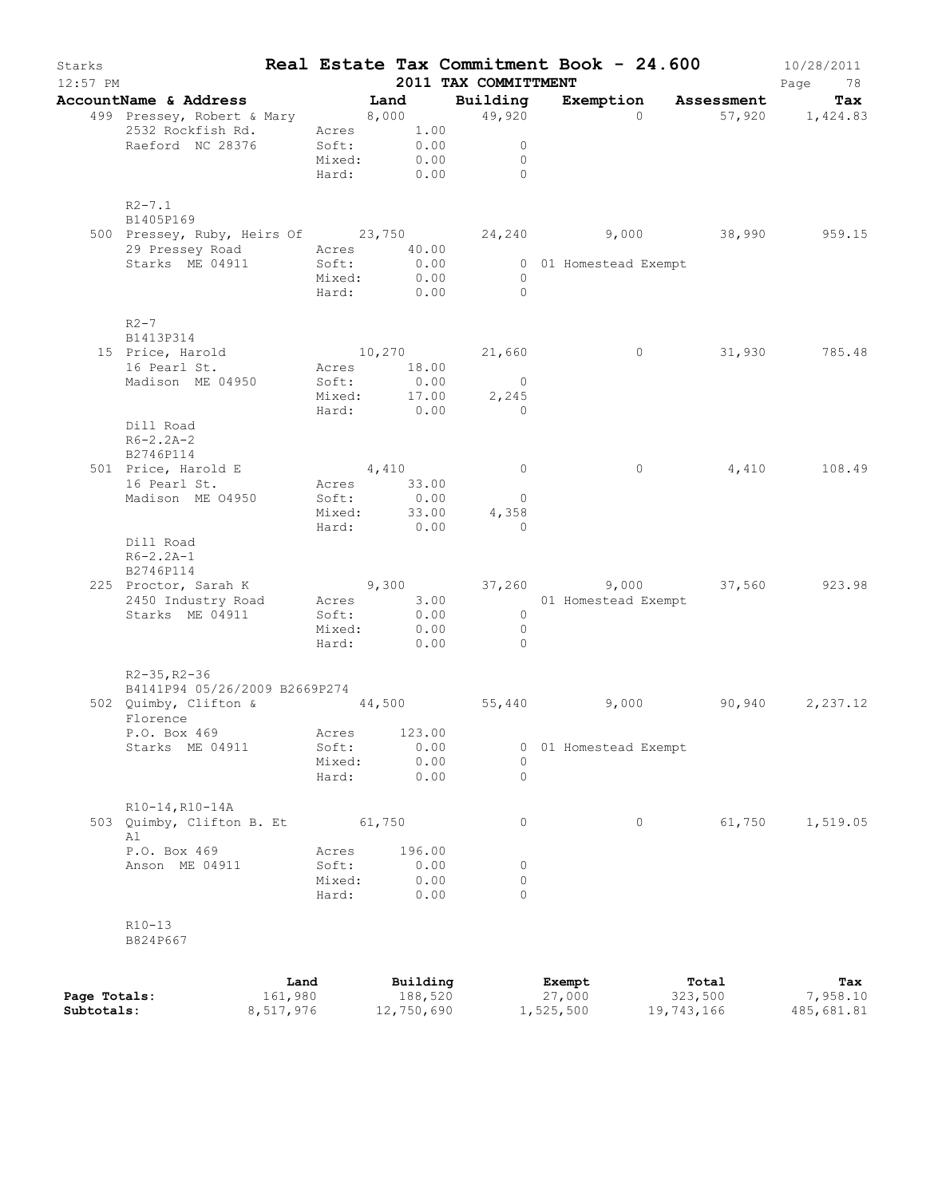| Starks<br>$12:57$ PM |                                                                     |      |                            |          |        | 2011 TAX COMMITTMENT                        |                       | Real Estate Tax Commitment Book - 24.600 | 10/28/2011<br>Page<br>78 |
|----------------------|---------------------------------------------------------------------|------|----------------------------|----------|--------|---------------------------------------------|-----------------------|------------------------------------------|--------------------------|
|                      | AccountName & Address Tand Building                                 |      |                            |          |        |                                             |                       | Exemption Assessment                     | Tax                      |
|                      | 499 Pressey, Robert & Mary 8,000 49,920                             |      |                            |          |        |                                             |                       | $\overline{0}$                           | 57,920 1,424.83          |
|                      | 2532 Rockfish Rd.                                                   |      | Acres 1.00                 |          |        |                                             |                       |                                          |                          |
|                      | Raeford NC 28376                                                    |      | Soft: 0.00<br>Mixed: 0.00  |          |        | $\overline{0}$                              |                       |                                          |                          |
|                      |                                                                     |      |                            |          |        | $\overline{0}$                              |                       |                                          |                          |
|                      |                                                                     |      |                            |          |        | Hard: 0.00 0                                |                       |                                          |                          |
|                      | $R2 - 7.1$<br>B1405P169                                             |      |                            |          |        |                                             |                       |                                          |                          |
|                      | 500 Pressey, Ruby, Heirs Of 23,750 24,240 9,000 38,990 959.15       |      |                            |          |        |                                             |                       |                                          |                          |
|                      | 29 Pressey Road Acres 40.00                                         |      |                            |          |        |                                             | 0 01 Homestead Exempt |                                          |                          |
|                      | Starks ME 04911 Soft: 0.00                                          |      | Mixed:                     | 0.00     |        | $\overline{0}$                              |                       |                                          |                          |
|                      |                                                                     |      |                            |          |        | Hard: 0.00 0                                |                       |                                          |                          |
|                      |                                                                     |      |                            |          |        |                                             |                       |                                          |                          |
|                      | $R2-7$<br>B1413P314                                                 |      |                            |          |        |                                             |                       |                                          |                          |
|                      | 15 Price, Harold                                                    |      |                            |          |        | 10,270 21,660                               | $\overline{0}$        |                                          | 31,930 785.48            |
|                      | 16 Pearl St.                                                        |      | Acres 18.00                |          |        |                                             |                       |                                          |                          |
|                      | Madison ME 04950                                                    |      |                            |          |        |                                             |                       |                                          |                          |
|                      |                                                                     |      |                            |          |        | Soft: 0.00 0<br>Mixed: 17.00 2,245<br>2,245 |                       |                                          |                          |
|                      |                                                                     |      |                            |          |        | Hard: 0.00 0                                |                       |                                          |                          |
|                      | Dill Road                                                           |      |                            |          |        |                                             |                       |                                          |                          |
|                      | $R6 - 2.2A - 2$                                                     |      |                            |          |        |                                             |                       |                                          |                          |
|                      | B2746P114                                                           |      |                            |          |        |                                             |                       |                                          |                          |
|                      | 501 Price, Harold E                                                 |      | 4,410                      |          |        | $\overline{0}$                              | $\circ$               |                                          | 4,410 108.49             |
|                      | 16 Pearl St.                                                        |      | Acres 33.00                |          |        |                                             |                       |                                          |                          |
|                      | Madison ME 04950                                                    |      |                            |          |        | $\overline{0}$                              |                       |                                          |                          |
|                      |                                                                     |      | Soft: 0.00<br>Mixed: 33.00 |          |        | 4,358                                       |                       |                                          |                          |
|                      |                                                                     |      | Hard: 0.00                 |          |        | $\sim$ 0                                    |                       |                                          |                          |
|                      | Dill Road                                                           |      |                            |          |        |                                             |                       |                                          |                          |
|                      | $R6 - 2.2A - 1$                                                     |      |                            |          |        |                                             |                       |                                          |                          |
|                      | B2746P114                                                           |      |                            |          |        |                                             |                       |                                          |                          |
|                      | 225 Proctor, Sarah K (23.98) 9, 300 (37,260 (37,000 (37,560 (37.98) |      |                            |          |        |                                             |                       |                                          |                          |
|                      | 2450 Industry Road Acres 3.00 01 Homestead Exempt                   |      |                            |          |        |                                             |                       |                                          |                          |
|                      | Starks ME 04911                                                     |      | Soft:                      |          | 0.00   | $\overline{0}$                              |                       |                                          |                          |
|                      |                                                                     |      | Mixed: 0.00                |          |        | $\overline{0}$                              |                       |                                          |                          |
|                      |                                                                     |      |                            |          |        | Hard: 0.00 0                                |                       |                                          |                          |
|                      | $R2 - 35$ , $R2 - 36$                                               |      |                            |          |        |                                             |                       |                                          |                          |
|                      | B4141P94 05/26/2009 B2669P274                                       |      |                            |          |        |                                             |                       |                                          |                          |
|                      | 502 Quimby, Clifton & 44,500 55,440                                 |      |                            |          |        |                                             | 9,000                 | 90,940                                   | 2,237.12                 |
|                      | Florence                                                            |      |                            |          |        |                                             |                       |                                          |                          |
|                      | P.O. Box 469 Acres 123.00                                           |      |                            |          |        |                                             |                       |                                          |                          |
|                      | Starks ME 04911                                                     |      | Soft:                      |          | 0.00   | U                                           | 01 Homestead Exempt   |                                          |                          |
|                      |                                                                     |      | Mixed:                     |          | 0.00   | 0                                           |                       |                                          |                          |
|                      |                                                                     |      | Hard:                      |          | 0.00   | 0                                           |                       |                                          |                          |
|                      | R10-14, R10-14A                                                     |      |                            |          |        |                                             |                       |                                          |                          |
|                      | 503 Quimby, Clifton B. Et                                           |      |                            | 61,750   |        | 0                                           | 0                     | 61,750                                   | 1,519.05                 |
|                      | Al                                                                  |      |                            |          |        |                                             |                       |                                          |                          |
|                      | P.O. Box 469                                                        |      | Acres                      |          | 196.00 |                                             |                       |                                          |                          |
|                      | Anson ME 04911                                                      |      | Soft:                      |          | 0.00   | 0                                           |                       |                                          |                          |
|                      |                                                                     |      | Mixed:                     |          | 0.00   | 0                                           |                       |                                          |                          |
|                      |                                                                     |      | Hard:                      |          | 0.00   | 0                                           |                       |                                          |                          |
|                      | $R10-13$                                                            |      |                            |          |        |                                             |                       |                                          |                          |
|                      | B824P667                                                            |      |                            |          |        |                                             |                       |                                          |                          |
|                      |                                                                     |      |                            |          |        |                                             |                       |                                          |                          |
|                      |                                                                     | Land |                            | Building |        |                                             | Exempt                | Total                                    | Tax                      |
|                      |                                                                     | 0.00 |                            |          | 100.52 |                                             |                       | 222 E                                    | $\cap$ $\Gamma$ $\cap$   |

|              | Land      | Building   | Exempt    | Total      | Tax        |
|--------------|-----------|------------|-----------|------------|------------|
| Page Totals: | 161,980   | 188,520    | 27,000    | 323,500    | 1,958.10   |
| Subtotals:   | 8,517,976 | 12,750,690 | 1,525,500 | 19,743,166 | 485,681.81 |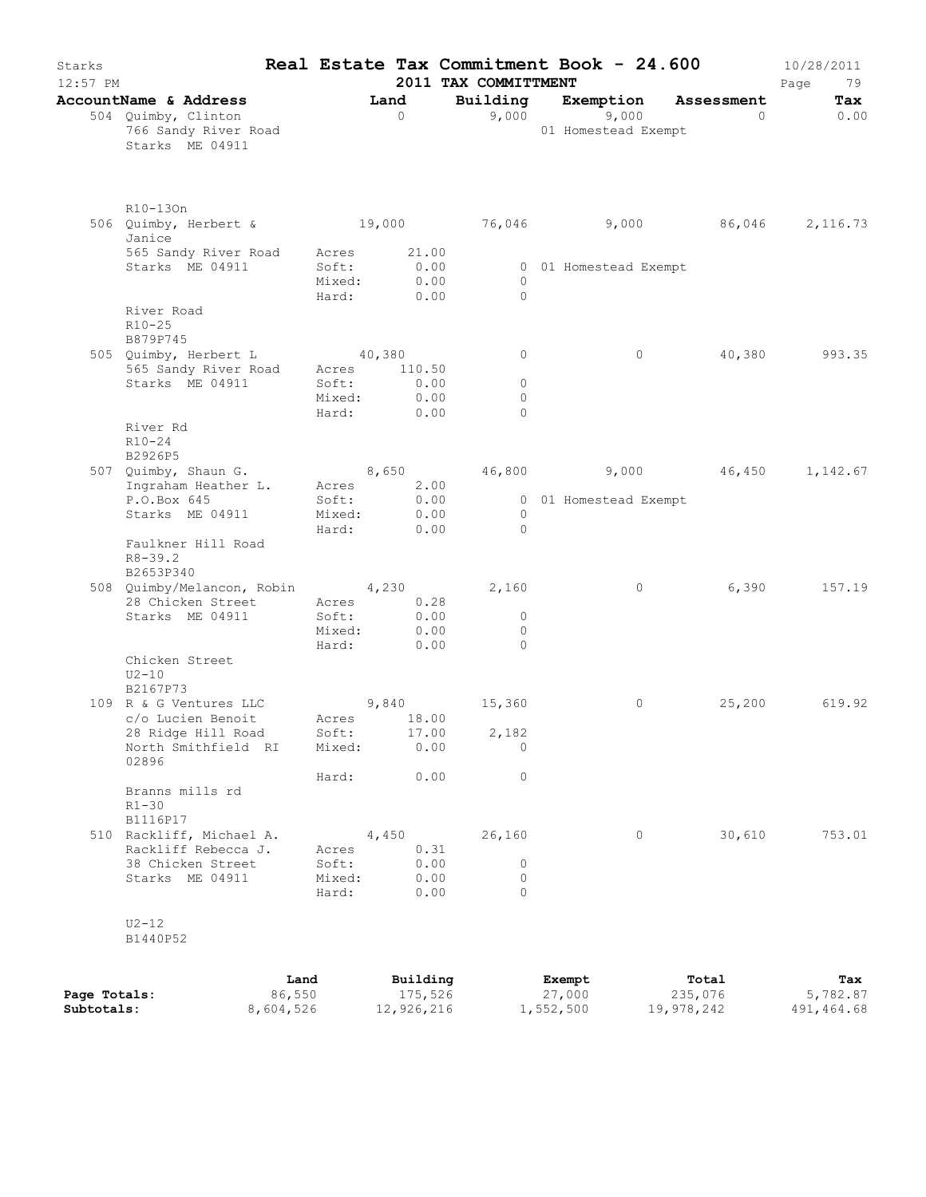| Starks<br>12:57 PM         |                                                                        |                                   |                                   | 2011 TAX COMMITTMENT       | Real Estate Tax Commitment Book - 24.600 |                                   | 10/28/2011<br>Page<br>79      |
|----------------------------|------------------------------------------------------------------------|-----------------------------------|-----------------------------------|----------------------------|------------------------------------------|-----------------------------------|-------------------------------|
|                            | AccountName & Address                                                  |                                   | Land                              | Building                   | Exemption Assessment                     |                                   | Tax                           |
|                            | 504 Quimby, Clinton<br>766 Sandy River Road<br>Starks ME 04911         |                                   | $\overline{0}$                    | 9,000                      | 9,000<br>01 Homestead Exempt             | $\sim$ 0 $\sim$ 0 $\sim$ 0 $\sim$ | 0.00                          |
|                            | R10-130n<br>506 Quimby, Herbert & 19,000 76,046 9,000 86,046<br>Janice |                                   |                                   |                            |                                          |                                   | 2,116.73                      |
|                            | 565 Sandy River Road<br>Starks ME 04911                                | Acres<br>Soft:<br>Mixed:<br>Hard: | 21.00<br>0.00<br>0.00<br>0.00     | $\circ$<br>$\Omega$        | 0 01 Homestead Exempt                    |                                   |                               |
|                            | River Road<br>$R10 - 25$<br>B879P745<br>505 Quimby, Herbert L 40,380   |                                   |                                   | $\circ$                    | $\circ$                                  | 40,380                            | 993.35                        |
|                            | 565 Sandy River Road Acres 110.50                                      |                                   |                                   |                            |                                          |                                   |                               |
|                            | Starks ME 04911                                                        | Soft:                             | 0.00                              | $\circ$                    |                                          |                                   |                               |
|                            |                                                                        | Mixed:                            | 0.00                              | $\circ$                    |                                          |                                   |                               |
|                            |                                                                        |                                   | Hard: 0.00                        | $\bigcap$                  |                                          |                                   |                               |
|                            | River Rd<br>$R10 - 24$<br>B2926P5                                      |                                   |                                   |                            |                                          |                                   |                               |
|                            | 507 Quimby, Shaun G.                                                   |                                   | 8,650                             |                            | 46,800 9,000 46,450 1,142.67             |                                   |                               |
|                            | Ingraham Heather L.                                                    | Acres                             | 2.00                              |                            |                                          |                                   |                               |
|                            | P.O.Box 645                                                            | Soft:                             | 0.00                              |                            | 0 01 Homestead Exempt                    |                                   |                               |
|                            | Starks ME 04911                                                        | Mixed:                            | 0.00<br>0.00                      | $\overline{0}$<br>$\Omega$ |                                          |                                   |                               |
|                            | Faulkner Hill Road<br>$R8 - 39.2$<br>B2653P340                         | Hard:                             |                                   |                            |                                          |                                   |                               |
|                            | 508 Quimby/Melancon, Robin 4,230                                       |                                   |                                   | 2,160                      | $\circ$                                  | 6,390                             | 157.19                        |
|                            | 28 Chicken Street<br>Starks ME 04911                                   | Acres<br>Soft:<br>Mixed:          | 0.28<br>0.00<br>0.00              | $\circ$<br>$\circ$         |                                          |                                   |                               |
|                            |                                                                        | Hard:                             | 0.00                              | $\bigcirc$                 |                                          |                                   |                               |
|                            | Chicken Street<br>$U2 - 10$<br>B2167P73                                |                                   |                                   |                            |                                          |                                   |                               |
|                            | 109 R & G Ventures LLC                                                 | 9,840                             |                                   | 15,360                     | $\circ$                                  | 25,200                            | 619.92                        |
|                            | c/o Lucien Benoit                                                      |                                   | Acres 18.00                       |                            |                                          |                                   |                               |
|                            | 28 Ridge Hill Road<br>North Smithfield RI                              | Mixed:                            | Soft: 17.00<br>0.00               | 2,182<br>$\Omega$          |                                          |                                   |                               |
|                            | 02896                                                                  | Hard:                             | 0.00                              | $\circ$                    |                                          |                                   |                               |
|                            | Branns mills rd<br>$R1 - 30$<br>B1116P17                               |                                   |                                   |                            |                                          |                                   |                               |
|                            | 510 Rackliff, Michael A.                                               |                                   | 4,450                             | 26,160                     | $\circ$                                  | 30,610                            | 753.01                        |
|                            | Rackliff Rebecca J.                                                    | Acres                             | 0.31                              |                            |                                          |                                   |                               |
|                            | 38 Chicken Street                                                      | Soft:                             | 0.00                              | 0                          |                                          |                                   |                               |
|                            | Starks ME 04911                                                        | Mixed:<br>Hard:                   | 0.00<br>0.00                      | 0<br>$\Omega$              |                                          |                                   |                               |
|                            | $U2-12$<br>B1440P52                                                    |                                   |                                   |                            |                                          |                                   |                               |
| Page Totals:<br>Subtotals: | 8,604,526                                                              | Land<br>86,550                    | Building<br>175,526<br>12,926,216 |                            | Exempt<br>27,000<br>1,552,500            | Total<br>235,076<br>19,978,242    | Tax<br>5,782.87<br>491,464.68 |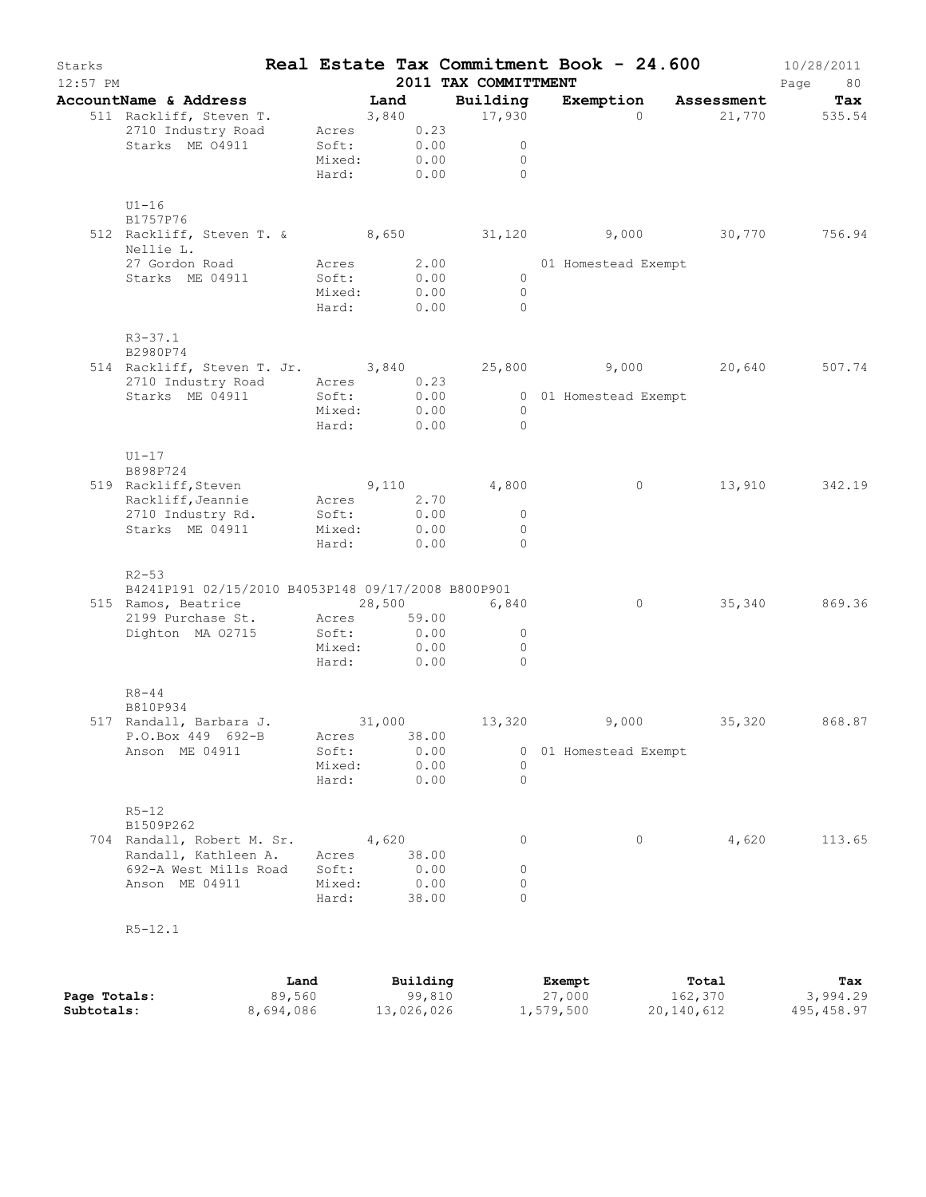| Starks<br>$12:57$ PM |                                                                                                                                                    |      |                                                      |       |                                | 2011 TAX COMMITTMENT     |                                          | Real Estate Tax Commitment Book - 24.600 |          |        | 10/28/2011<br>Page<br>80 |
|----------------------|----------------------------------------------------------------------------------------------------------------------------------------------------|------|------------------------------------------------------|-------|--------------------------------|--------------------------|------------------------------------------|------------------------------------------|----------|--------|--------------------------|
|                      | AccountName & Address                                                                                                                              |      |                                                      | Land  |                                | Building                 |                                          | Exemption Assessment                     |          |        | Tax                      |
|                      | 511 Rackliff, Steven T.<br>2710 Industry Road<br>Starks ME 04911                                                                                   |      | 3,840<br>Acres 0.23<br>Soft:<br>Mixed:<br>Hard: 0.00 |       | 0.00<br>0.00                   | 17,930<br>$\overline{0}$ | $\circ$<br>$\circ$                       |                                          | $\Omega$ |        | 21,770 535.54            |
|                      | $U1-16$<br>B1757P76<br>512 Rackliff, Steven T. & 8,650 31,120 9,000 30,770 756.94<br>Nellie L.<br>27 Gordon Road<br>Starks ME 04911                |      | Acres<br>Soft:<br>Mixed:<br>Hard:                    |       | 2.00<br>0.00<br>0.00<br>0.00   |                          | $\overline{0}$<br>$\bigcirc$<br>$\Omega$ | 01 Homestead Exempt                      |          |        |                          |
|                      | $R3 - 37.1$<br>B2980P74<br>514 Rackliff, Steven T. Jr. 3,840 25,800 9,000 20,640<br>2710 Industry Road Acres 0.23<br>Starks ME 04911               |      | Soft:<br>Mixed: 0.00<br>Hard: 0.00                   |       | 0.00                           |                          | $\bigcirc$<br>$\overline{0}$             | 0 01 Homestead Exempt                    |          |        | 507.74                   |
|                      | $U1-17$<br>B898P724<br>519 Rackliff, Steven<br>Rackliff, Jeannie Acres<br>2710 Industry Rd.<br>Starks ME 04911                                     |      | 9,110<br>Soft:<br>Mixed:<br>Hard:                    |       | 2.70<br>0.00<br>0.00<br>0.00   | 4,800                    | $\overline{0}$<br>$\Omega$<br>$\circ$    |                                          | $\circ$  | 13,910 | 342.19                   |
|                      | $R2 - 53$<br>B4241P191 02/15/2010 B4053P148 09/17/2008 B800P901<br>515 Ramos, Beatrice 28,500<br>2199 Purchase St. Acres 59.00<br>Dighton MA 02715 |      | Soft:<br>Mixed: 0.00<br>Hard:                        | 0.00  | 0.00                           | 6,840<br>$\overline{0}$  | $\circ$<br>$\Omega$                      |                                          | $\circ$  |        | 35,340 869.36            |
|                      | $R8 - 44$<br>B810P934<br>517 Randall, Barbara J. 31,000<br>P.O.Box 449 692-B<br>Anson ME 04911                                                     |      | Acres<br>Soft:<br>Mixed:<br>Hard:                    |       | 38.00<br>0.00<br>0.00<br>0.00  | 13,320                   | 0<br>$\circ$                             | 9,000<br>0 01 Homestead Exempt           |          |        | 35,320 868.87            |
|                      | $R5 - 12$<br>B1509P262<br>704 Randall, Robert M. Sr.<br>Randall, Kathleen A.<br>692-A West Mills Road<br>Anson ME 04911                            |      | Acres<br>Soft:<br>Mixed:<br>Hard:                    | 4,620 | 38.00<br>0.00<br>0.00<br>38.00 |                          | 0<br>0<br>0<br>$\circ$                   |                                          | 0        | 4,620  | 113.65                   |
|                      | $R5 - 12.1$                                                                                                                                        |      |                                                      |       |                                |                          |                                          |                                          |          |        |                          |
|                      |                                                                                                                                                    | Land |                                                      |       | Building                       |                          |                                          | Exempt                                   |          | Total  | Tax                      |

**Page Totals:** 89,560 99,810 27,000 162,370 3,994.29 **Subtotals:** 8,694,086 13,026,026 1,579,500 20,140,612 495,458.97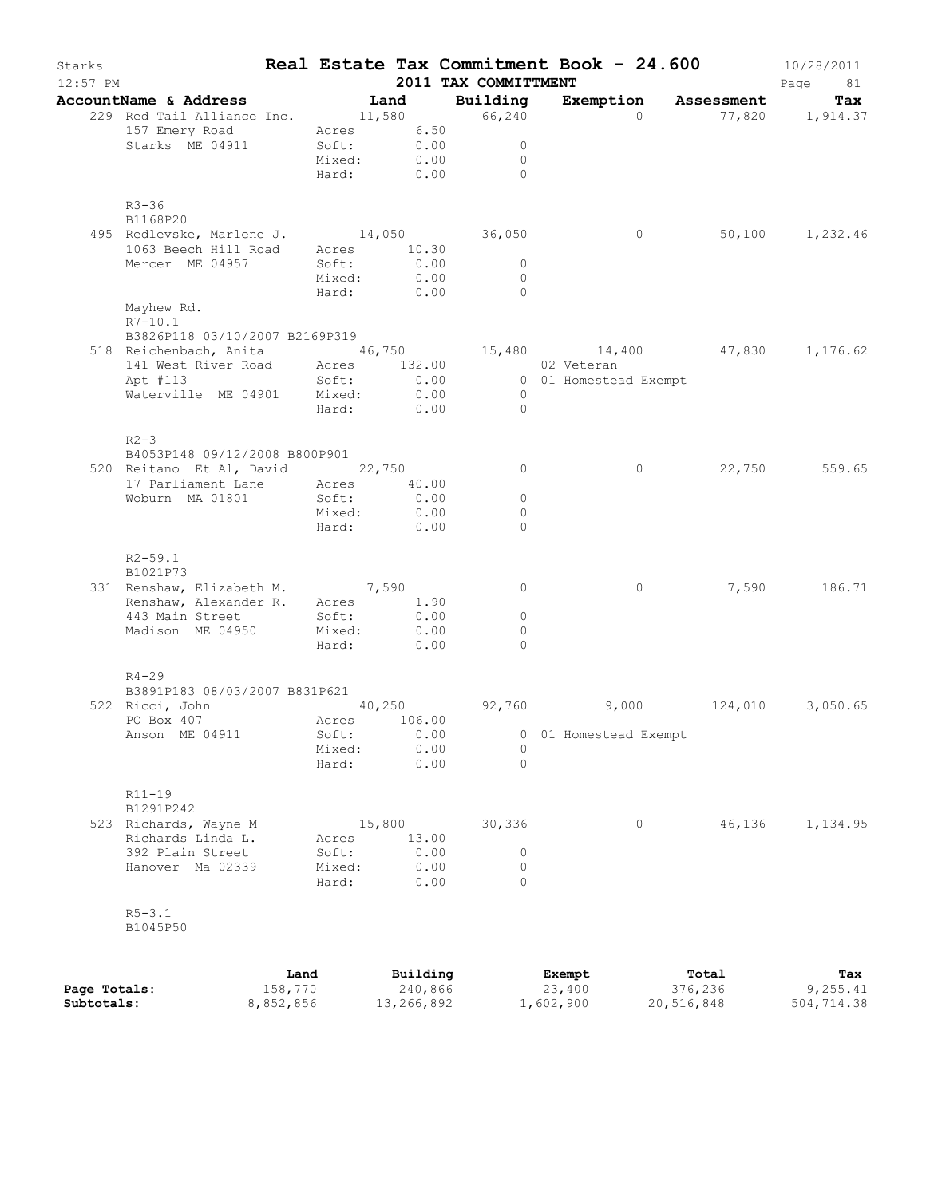| Starks<br>$12:57$ PM |                                                                                                                                  |           |              |                  | 2011 TAX COMMITTMENT       | Real Estate Tax Commitment Book - 24.600 |                       | 10/28/2011<br>Page<br>81 |
|----------------------|----------------------------------------------------------------------------------------------------------------------------------|-----------|--------------|------------------|----------------------------|------------------------------------------|-----------------------|--------------------------|
|                      | AccountName & Address Tand Building                                                                                              |           |              |                  |                            | Exemption Assessment                     |                       | Tax                      |
|                      | 229 Red Tail Alliance Inc. 11,580 66,240                                                                                         |           |              |                  |                            |                                          | 0 $77,820$ $1,914.37$ |                          |
|                      | 157 Emery Road Mcres 6.50                                                                                                        |           |              |                  |                            |                                          |                       |                          |
|                      | Starks ME 04911 Soft: 0.00<br>Mixed: 0.00                                                                                        |           |              |                  | $\sim$ 0<br>$\overline{0}$ |                                          |                       |                          |
|                      |                                                                                                                                  |           |              |                  | Hard: 0.00 0               |                                          |                       |                          |
|                      |                                                                                                                                  |           |              |                  |                            |                                          |                       |                          |
|                      | $R3 - 36$                                                                                                                        |           |              |                  |                            |                                          |                       |                          |
|                      | B1168P20                                                                                                                         |           |              |                  |                            | $\overline{0}$                           |                       | 50,100 1,232.46          |
|                      | 495 Redlevske, Marlene J. 14,050 36,050<br>1063 Beech Hill Road Acres 10.30                                                      |           |              |                  |                            |                                          |                       |                          |
|                      | Mercer ME 04957                                                                                                                  |           | Soft:        | 0.00             | $\overline{0}$             |                                          |                       |                          |
|                      |                                                                                                                                  |           | Mixed:       | 0.00             | $\overline{0}$             |                                          |                       |                          |
|                      |                                                                                                                                  |           |              |                  | Hard: 0.00 0               |                                          |                       |                          |
|                      | Mayhew Rd.                                                                                                                       |           |              |                  |                            |                                          |                       |                          |
|                      | $R7 - 10.1$                                                                                                                      |           |              |                  |                            |                                          |                       |                          |
|                      | B3826P118 03/10/2007 B2169P319                                                                                                   |           |              |                  |                            |                                          |                       |                          |
|                      | 518 Reichenbach, Anita 46,750 15,480 14,400 47,830 1,176.62                                                                      |           |              |                  |                            |                                          |                       |                          |
|                      | 141 West River Road<br>Acres 132.00 02 Veteran<br>Apt #113 5oft: 0.00 0 01 Homestead Exempt<br>Waterville ME 04901 Mixed: 0.00 0 |           |              |                  |                            |                                          |                       |                          |
|                      |                                                                                                                                  |           |              |                  |                            |                                          |                       |                          |
|                      |                                                                                                                                  |           |              |                  |                            |                                          |                       |                          |
|                      |                                                                                                                                  |           |              |                  | Hard: 0.00 0               |                                          |                       |                          |
|                      | $R2-3$                                                                                                                           |           |              |                  |                            |                                          |                       |                          |
|                      | B4053P148 09/12/2008 B800P901                                                                                                    |           |              |                  |                            |                                          |                       |                          |
|                      | 520 Reitano Et Al, David 22,750                                                                                                  |           |              |                  | $\overline{0}$             | $\circ$                                  |                       | 22,750 559.65            |
|                      | 17 Parliament Lane Acres 40.00                                                                                                   |           |              |                  |                            |                                          |                       |                          |
|                      | Woburn MA 01801                                                                                                                  |           | Soft:        | $0.00$<br>$0.00$ | $\circ$                    |                                          |                       |                          |
|                      |                                                                                                                                  |           | Mixed:       |                  | $\overline{0}$             |                                          |                       |                          |
|                      |                                                                                                                                  |           | Hard: 0.00   |                  | $\overline{0}$             |                                          |                       |                          |
|                      | $R2 - 59.1$                                                                                                                      |           |              |                  |                            |                                          |                       |                          |
|                      | B1021P73<br>331 Renshaw, Elizabeth M. 7,590                                                                                      |           |              |                  | $\overline{0}$             | $\circ$                                  |                       | 7,590 186.71             |
|                      | Renshaw, Alexander R. Acres 1.90                                                                                                 |           |              |                  |                            |                                          |                       |                          |
|                      |                                                                                                                                  |           |              |                  | $\overline{0}$             |                                          |                       |                          |
|                      | 443 Main Street Soft: 0.00<br>Madison ME 04950 Mixed: 0.00                                                                       |           |              |                  | $\overline{0}$             |                                          |                       |                          |
|                      |                                                                                                                                  |           | Hard: 0.00   |                  | $\overline{0}$             |                                          |                       |                          |
|                      |                                                                                                                                  |           |              |                  |                            |                                          |                       |                          |
|                      | $R4 - 29$<br>B3891P183 08/03/2007 B831P621                                                                                       |           |              |                  |                            |                                          |                       |                          |
|                      | 522 Ricci, John 10,250 92,760 9,000                                                                                              |           |              |                  |                            |                                          |                       | 124,010 3,050.65         |
|                      | PO Box 407                                                                                                                       |           | Acres 106.00 |                  |                            |                                          |                       |                          |
|                      | Anson ME 04911                                                                                                                   |           | Soft:        | 0.00             |                            | 0 01 Homestead Exempt                    |                       |                          |
|                      |                                                                                                                                  |           | Mixed:       | 0.00             | 0                          |                                          |                       |                          |
|                      |                                                                                                                                  |           | Hard:        | 0.00             | $\Omega$                   |                                          |                       |                          |
|                      | $R11 - 19$                                                                                                                       |           |              |                  |                            |                                          |                       |                          |
|                      | B1291P242                                                                                                                        |           |              |                  |                            |                                          |                       |                          |
|                      | 523 Richards, Wayne M                                                                                                            |           | 15,800       |                  | 30,336                     | $\circ$                                  | 46,136                | 1,134.95                 |
|                      | Richards Linda L.                                                                                                                |           | Acres        | 13.00            |                            |                                          |                       |                          |
|                      | 392 Plain Street                                                                                                                 |           | Soft:        | 0.00             | $\circ$                    |                                          |                       |                          |
|                      | Hanover Ma 02339                                                                                                                 |           | Mixed:       | 0.00             | 0                          |                                          |                       |                          |
|                      |                                                                                                                                  |           | Hard:        | 0.00             | $\Omega$                   |                                          |                       |                          |
|                      | $R5 - 3.1$                                                                                                                       |           |              |                  |                            |                                          |                       |                          |
|                      | B1045P50                                                                                                                         |           |              |                  |                            |                                          |                       |                          |
|                      |                                                                                                                                  |           |              |                  |                            |                                          |                       |                          |
|                      |                                                                                                                                  | Land      |              | Building         |                            | Exempt                                   | Total                 | Tax                      |
| Page Totals:         |                                                                                                                                  | 158,770   |              | 240,866          |                            | 23,400                                   | 376,236               | 9,255.41                 |
| Subtotals:           |                                                                                                                                  | 8,852,856 |              | 13,266,892       |                            | 1,602,900                                | 20,516,848            | 504,714.38               |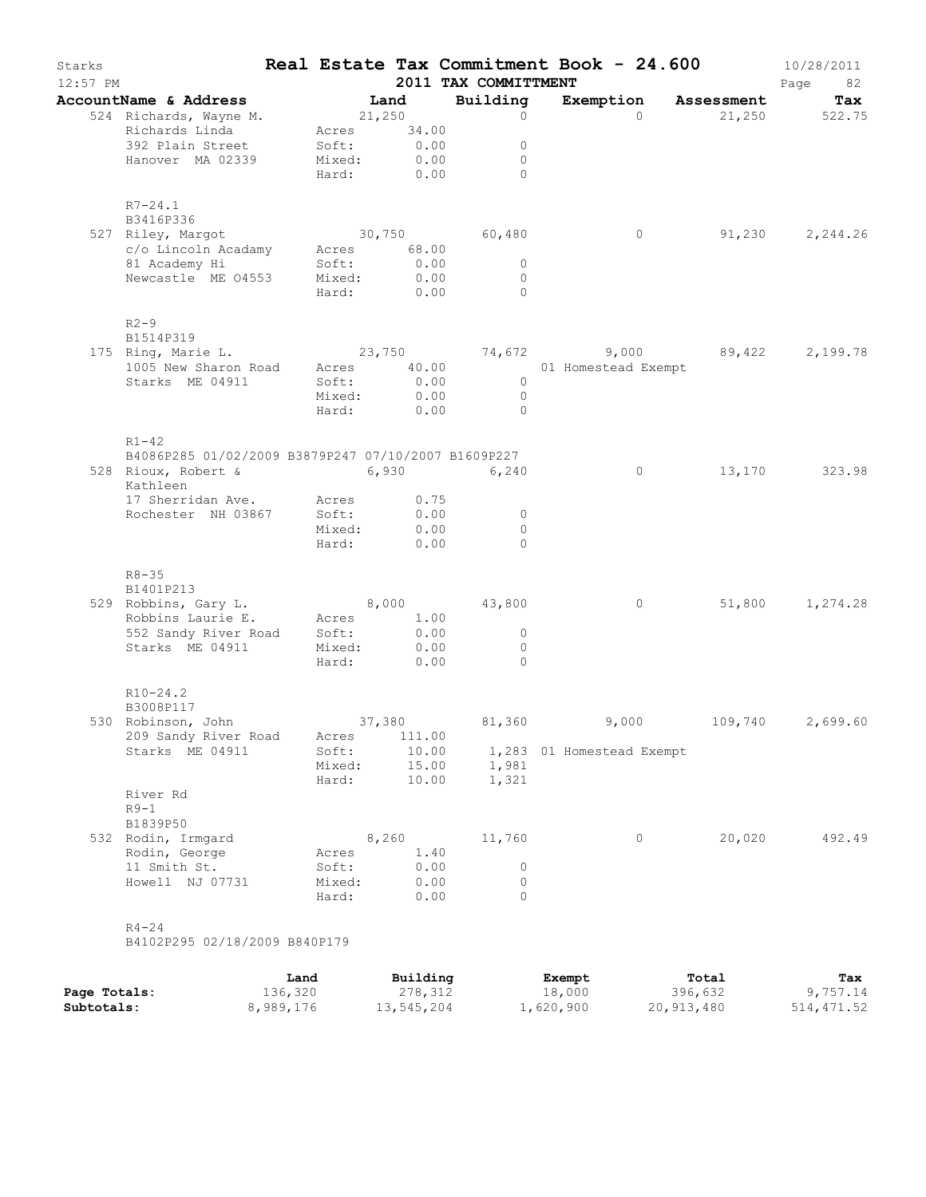| Starks<br>12:57 PM |                                                                                                           |                                                   |                               | 2011 TAX COMMITTMENT                          | Real Estate Tax Commitment Book - 24.600   |         | 10/28/2011<br>Page<br>82 |
|--------------------|-----------------------------------------------------------------------------------------------------------|---------------------------------------------------|-------------------------------|-----------------------------------------------|--------------------------------------------|---------|--------------------------|
|                    | AccountName & Address                                                                                     |                                                   | Land                          | Building                                      | Exemption Assessment                       |         | Tax                      |
|                    | 524 Richards, Wayne M.<br>Richards Linda<br>392 Plain Street<br>Hanover MA 02339                          | 21,250<br>Acres<br>Soft:<br>Mixed:<br>Hard:       | 34.00<br>0.00<br>0.00<br>0.00 | $\circ$<br>0<br>$\circ$<br>$\Omega$           | $\Omega$                                   | 21,250  | 522.75                   |
|                    | $R7 - 24.1$<br>B3416P336                                                                                  |                                                   |                               |                                               |                                            |         |                          |
|                    | 527 Riley, Margot<br>c/o Lincoln Acadamy<br>81 Academy Hi<br>Newcastle ME 04553                           | 30,750<br>Acres 68.00<br>Soft:<br>Mixed:<br>Hard: | 0.00<br>0.00<br>0.00          | 60,480<br>$\circ$<br>$\circ$<br>$\Omega$      | $\circ$                                    | 91,230  | 2,244.26                 |
|                    | $R2-9$<br>B1514P319                                                                                       |                                                   |                               |                                               |                                            |         |                          |
|                    | 175 Ring, Marie L.<br>1005 New Sharon Road<br>Starks ME 04911                                             | 23,750<br>Acres 40.00<br>Soft:<br>Mixed:<br>Hard: | 0.00<br>0.00<br>0.00          | $\circ$<br>$\circ$<br>$\Omega$                | 74,672 9,000 89,422<br>01 Homestead Exempt |         | 2,199.78                 |
|                    | $R1 - 42$<br>B4086P285 01/02/2009 B3879P247 07/10/2007 B1609P227<br>528 Rioux, Robert & 6,930<br>Kathleen |                                                   |                               | 6,240                                         | $\circ$                                    | 13,170  | 323.98                   |
|                    | 17 Sherridan Ave. Acres<br>Rochester NH 03867 Soft:                                                       | Mixed:<br>Hard:                                   | 0.75<br>0.00<br>0.00<br>0.00  | $\circ$<br>$\circ$<br>$\Omega$                |                                            |         |                          |
|                    | $R8 - 35$<br>B1401P213                                                                                    |                                                   |                               |                                               |                                            |         |                          |
|                    | 529 Robbins, Gary L.<br>Robbins Laurie E. Acres<br>552 Sandy River Road Soft:<br>Starks ME 04911          | 8,000<br>Mixed:<br>Hard:                          | 1.00<br>0.00<br>0.00<br>0.00  | 43,800<br>$\mathbf{0}$<br>$\circ$<br>$\Omega$ | 0                                          | 51,800  | 1,274.28                 |
|                    | $R10-24.2$<br>B3008P117                                                                                   |                                                   |                               |                                               |                                            |         |                          |
|                    | 530 Robinson, John<br>209 Sandy River Road                                                                | Acres                                             | 37,380<br>111.00              | 81,360                                        | 9,000                                      | 109,740 | 2,699.60                 |
|                    | Starks ME 04911                                                                                           | Soft:<br>Mixed:<br>Hard:                          | 10.00<br>15.00<br>10.00       | 1,981<br>1,321                                | 1,283 01 Homestead Exempt                  |         |                          |
|                    | River Rd<br>$R9-1$<br>B1839P50                                                                            |                                                   |                               |                                               |                                            |         |                          |
|                    | 532 Rodin, Irmgard<br>Rodin, George<br>11 Smith St.<br>Howell NJ 07731                                    | Acres<br>Soft:<br>Mixed:                          | 8,260<br>1.40<br>0.00<br>0.00 | 11,760<br>0<br>$\circ$                        | $\circ$                                    | 20,020  | 492.49                   |

|              | Land      | Building   | Exempt    | Total      | Tax         |
|--------------|-----------|------------|-----------|------------|-------------|
| Page Totals: | 136,320   | 278,312    | 18,000    | 396,632    | 9,757.14    |
| Subtotals:   | 8,989,176 | 13,545,204 | 1,620,900 | 20,913,480 | 514, 471.52 |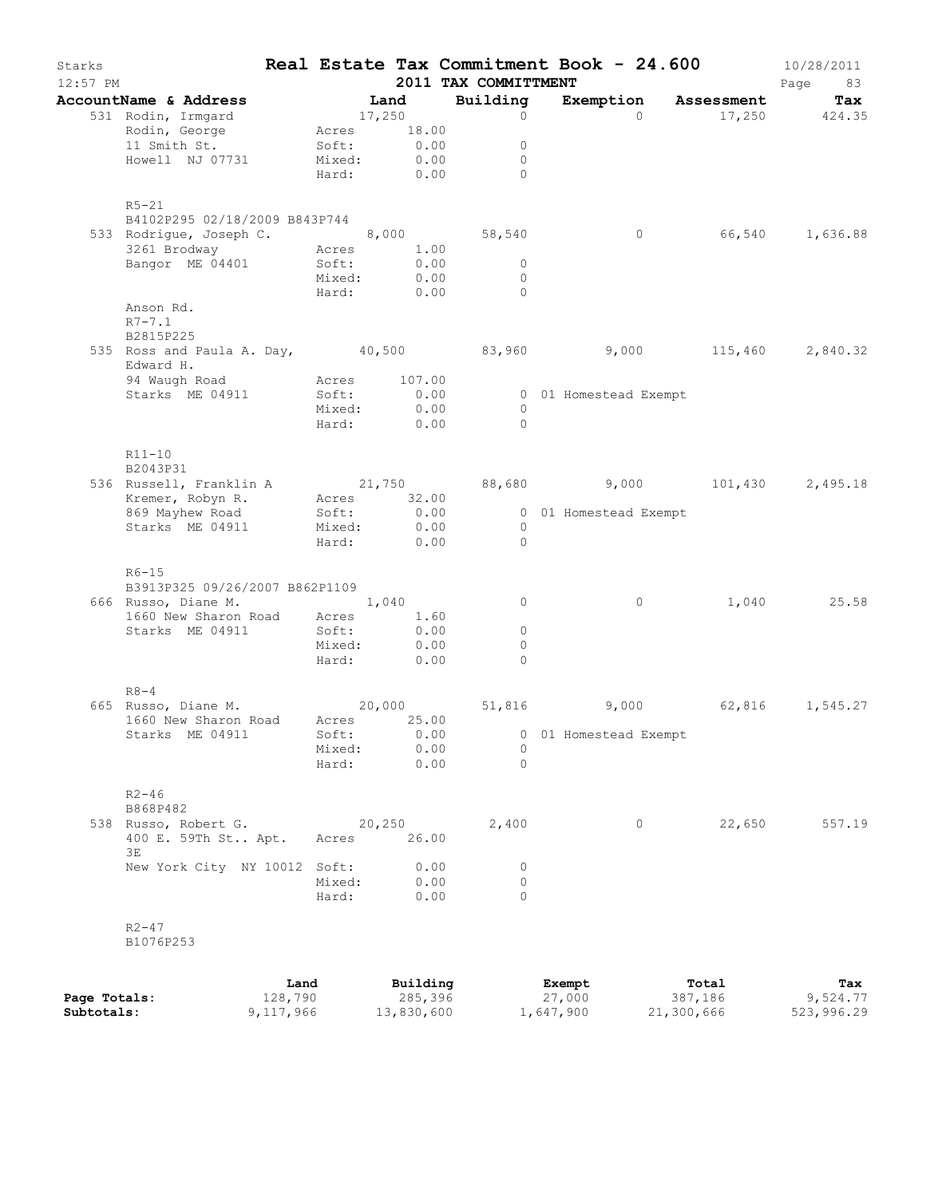| Starks<br>$12:57$ PM |                                                                 |                           |              | 2011 TAX COMMITTMENT     | Real Estate Tax Commitment Book - 24.600 |        | 10/28/2011<br>Page 83 |
|----------------------|-----------------------------------------------------------------|---------------------------|--------------|--------------------------|------------------------------------------|--------|-----------------------|
|                      | AccountName & Address                                           | <b>Land</b><br>17,250     |              | Building                 | Exemption Assessment                     |        | Tax                   |
|                      | 531 Rodin, Irmgard                                              |                           |              | $\circ$                  | $\Omega$                                 |        | 17,250 424.35         |
|                      | Rodin, George Mcres 18.00                                       |                           |              |                          |                                          |        |                       |
|                      | 11 Smith St.                                                    | Soft: 0.00<br>Mixed: 0.00 |              | $\overline{\phantom{0}}$ |                                          |        |                       |
|                      | Howell NJ 07731                                                 |                           |              | $\overline{0}$           |                                          |        |                       |
|                      |                                                                 |                           |              | Hard: 0.00 0             |                                          |        |                       |
|                      | $R5-21$                                                         |                           |              |                          |                                          |        |                       |
|                      | B4102P295 02/18/2009 B843P744                                   |                           |              |                          |                                          |        |                       |
|                      |                                                                 |                           |              |                          | $\overline{0}$                           |        | 66,540 1,636.88       |
|                      |                                                                 |                           |              |                          |                                          |        |                       |
|                      | Bangor ME 04401 Soft:                                           |                           | 0.00         | $\overline{0}$           |                                          |        |                       |
|                      |                                                                 | Mixed:                    | 0.00         | $\overline{0}$           |                                          |        |                       |
|                      |                                                                 |                           |              | Hard: 0.00 0             |                                          |        |                       |
|                      | Anson Rd.                                                       |                           |              |                          |                                          |        |                       |
|                      | $R7 - 7.1$                                                      |                           |              |                          |                                          |        |                       |
|                      | B2815P225                                                       |                           |              |                          |                                          |        |                       |
|                      | 535 Ross and Paula A. Day, 40,500 83,960 9,000 115,460 2,840.32 |                           |              |                          |                                          |        |                       |
|                      | Edward H.                                                       |                           |              |                          |                                          |        |                       |
|                      | 94 Waugh Road Macres 107.00                                     |                           |              |                          |                                          |        |                       |
|                      | Starks ME 04911 Soft: 0.00                                      |                           |              |                          | 0 01 Homestead Exempt                    |        |                       |
|                      |                                                                 |                           |              | $\overline{0}$           |                                          |        |                       |
|                      |                                                                 | Mixed: 0.00<br>Hard: 0.00 |              | $\bigcirc$               |                                          |        |                       |
|                      |                                                                 |                           |              |                          |                                          |        |                       |
|                      | $R11-10$                                                        |                           |              |                          |                                          |        |                       |
|                      | B2043P31                                                        |                           |              |                          |                                          |        |                       |
|                      |                                                                 |                           |              |                          |                                          |        |                       |
|                      |                                                                 |                           |              |                          |                                          |        |                       |
|                      |                                                                 |                           |              |                          |                                          |        |                       |
|                      | Starks ME 04911 Mixed: 0.00                                     |                           |              | $\overline{0}$           |                                          |        |                       |
|                      |                                                                 | Hard: 0.00                |              | $\overline{0}$           |                                          |        |                       |
|                      | $R6-15$                                                         |                           |              |                          |                                          |        |                       |
|                      | B3913P325 09/26/2007 B862P1109                                  |                           |              |                          |                                          |        |                       |
|                      | 666 Russo, Diane M. 1,040                                       |                           |              | $\overline{0}$           | $\overline{0}$                           |        | 1,040 25.58           |
|                      |                                                                 |                           |              |                          |                                          |        |                       |
|                      | 1660 New Sharon Road Acres 1.60<br>Starks ME 04911 Soft: 0.00   |                           |              | $\overline{0}$           |                                          |        |                       |
|                      |                                                                 | Mixed: 0.00               |              | $\circ$                  |                                          |        |                       |
|                      |                                                                 | Hard: 0.00                |              | $\Omega$                 |                                          |        |                       |
|                      |                                                                 |                           |              |                          |                                          |        |                       |
|                      | $R8 - 4$                                                        |                           |              |                          |                                          |        |                       |
|                      | 665 Russo, Diane M. 20,000 51,816 9,000 62,816 1,545.27         |                           |              |                          |                                          |        |                       |
|                      | 1660 New Sharon Road Acres 25.00                                |                           |              |                          | 0 01 Homestead Exempt                    |        |                       |
|                      | Starks ME 04911                                                 | Soft:                     | 0.00         |                          |                                          |        |                       |
|                      |                                                                 | Mixed:                    | 0.00<br>0.00 | 0<br>$\Omega$            |                                          |        |                       |
|                      |                                                                 | Hard:                     |              |                          |                                          |        |                       |
|                      | $R2 - 46$                                                       |                           |              |                          |                                          |        |                       |
|                      | B868P482                                                        |                           |              |                          |                                          |        |                       |
|                      | 538 Russo, Robert G.                                            |                           | 20,250       | 2,400                    | $\circ$                                  | 22,650 | 557.19                |
|                      | 400 E. 59Th St Apt.                                             | Acres 26.00               |              |                          |                                          |        |                       |
|                      | ЗE                                                              |                           |              |                          |                                          |        |                       |
|                      | New York City NY 10012 Soft:                                    |                           | 0.00         | $\circ$                  |                                          |        |                       |
|                      |                                                                 | Mixed: 0.00               |              | $\circ$                  |                                          |        |                       |
|                      |                                                                 | Hard:                     | 0.00         | $\Omega$                 |                                          |        |                       |
|                      |                                                                 |                           |              |                          |                                          |        |                       |
|                      | $R2 - 47$                                                       |                           |              |                          |                                          |        |                       |
|                      | B1076P253                                                       |                           |              |                          |                                          |        |                       |
|                      |                                                                 |                           |              |                          |                                          |        |                       |
|                      |                                                                 |                           |              |                          |                                          |        |                       |

|              | Land      | Building   | Exempt    | Total      | Tax        |
|--------------|-----------|------------|-----------|------------|------------|
| Page Totals: | 128,790   | 285,396    | 27,000    | 387,186    | 9,524.77   |
| Subtotals:   | 9,117,966 | 13,830,600 | 1,647,900 | 21,300,666 | 523,996.29 |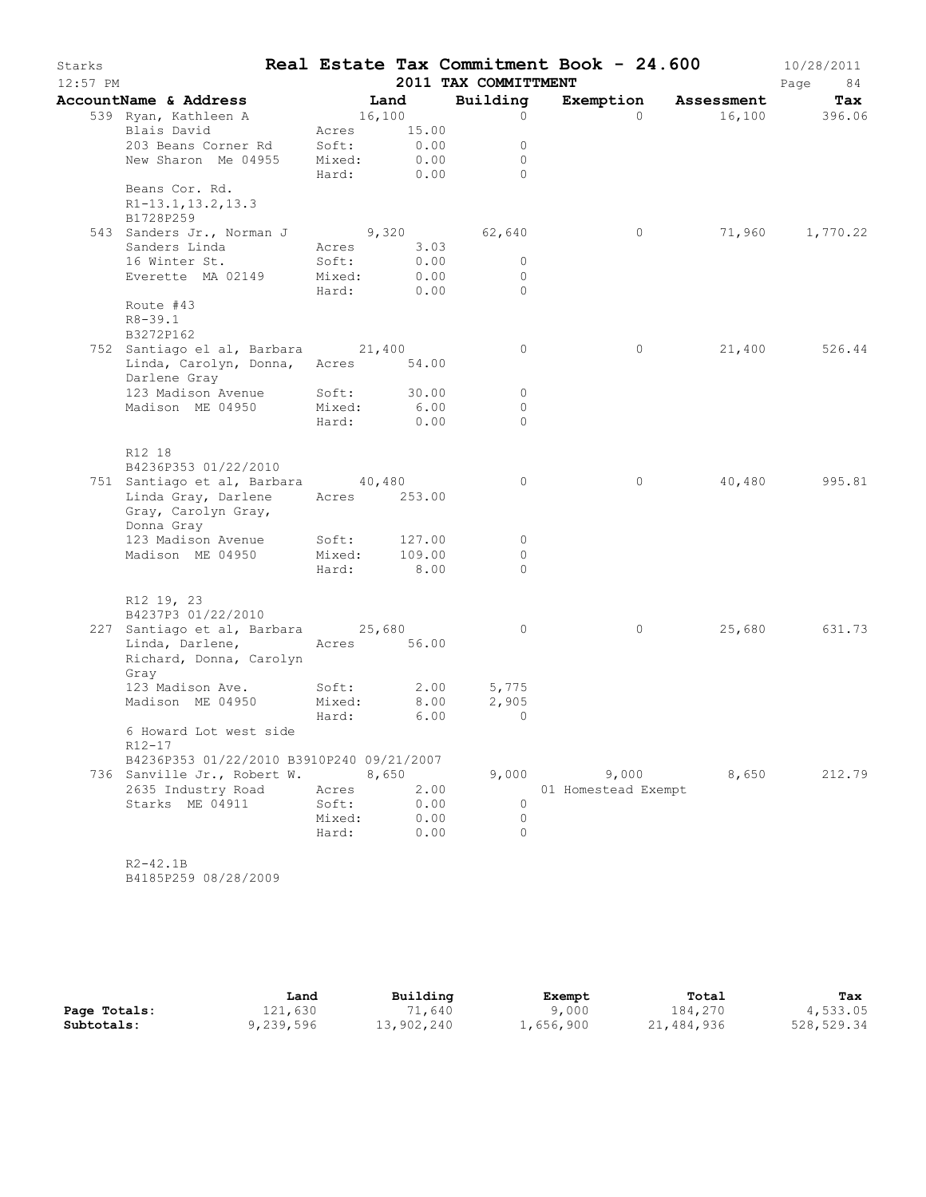| Starks     |                                                                                          |                |              |                      | Real Estate Tax Commitment Book - 24.600 |                      | 10/28/2011      |
|------------|------------------------------------------------------------------------------------------|----------------|--------------|----------------------|------------------------------------------|----------------------|-----------------|
| $12:57$ PM |                                                                                          |                |              | 2011 TAX COMMITTMENT |                                          |                      | Page<br>84      |
|            | AccountName & Address                                                                    | Land           |              | Building             |                                          | Exemption Assessment | Tax             |
|            | 539 Ryan, Kathleen A                                                                     | 16,100         |              | $\circ$              | $\Omega$                                 |                      | 16,100 396.06   |
|            | Blais David                                                                              |                | Acres 15.00  | $\circ$              |                                          |                      |                 |
|            | 203 Beans Corner Rd Soft: 0.00<br>New Sharon Me 04955 Mixed: 0.00                        |                |              | $\circ$              |                                          |                      |                 |
|            |                                                                                          |                | Hard: 0.00   | $\bigcap$            |                                          |                      |                 |
|            | Beans Cor. Rd.                                                                           |                |              |                      |                                          |                      |                 |
|            | R1-13.1, 13.2, 13.3<br>B1728P259                                                         |                |              |                      |                                          |                      |                 |
|            | 543 Sanders Jr., Norman J 9,320 62,640                                                   |                |              |                      | $\circ$                                  |                      | 71,960 1,770.22 |
|            | Sanders Linda                                                                            |                | Acres 3.03   |                      |                                          |                      |                 |
|            | 16 Winter St.                                                                            | Soft:          | 0.00         | $\circ$              |                                          |                      |                 |
|            | Everette MA 02149 Mixed:                                                                 |                | 0.00         | $\overline{0}$       |                                          |                      |                 |
|            |                                                                                          |                | Hard: 0.00   | $\overline{0}$       |                                          |                      |                 |
|            | Route #43<br>$R8 - 39.1$                                                                 |                |              |                      |                                          |                      |                 |
|            | B3272P162                                                                                |                |              |                      |                                          |                      | 21,400 526.44   |
|            | 752 Santiago el al, Barbara 21,400<br>Linda, Carolyn, Donna, Acres 54.00<br>Darlene Gray |                |              | $\circ$              | $\circ$                                  |                      |                 |
|            | 123 Madison Avenue Soft: 30.00                                                           |                |              | $\circ$              |                                          |                      |                 |
|            | Madison ME 04950                                                                         | Mixed:         | 6.00         | $\circ$              |                                          |                      |                 |
|            |                                                                                          | Hard:          | 0.00         | $\Omega$             |                                          |                      |                 |
|            | R12 18<br>B4236P353 01/22/2010<br>751 Santiago et al, Barbara 40,480                     |                |              | $\circ$              | $\circ$                                  |                      | 40,480 995.81   |
|            | Linda Gray, Darlene Acres 253.00<br>Gray, Carolyn Gray,                                  |                |              |                      |                                          |                      |                 |
|            | Donna Gray<br>123 Madison Avenue                                                         |                | Soft: 127.00 | $\circ$              |                                          |                      |                 |
|            | Madison ME 04950                                                                         | Mixed:         | 109.00       | $\circ$              |                                          |                      |                 |
|            |                                                                                          |                | Hard: 8.00   | $\Omega$             |                                          |                      |                 |
|            | R12 19, 23<br>B4237P3 01/22/2010                                                         |                |              |                      |                                          |                      |                 |
|            | 227 Santiago et al, Barbara 25,680                                                       |                |              | $\circ$              | $\overline{0}$                           |                      | 25,680 631.73   |
|            | Linda, Darlene, Acres 56.00<br>Richard, Donna, Carolyn<br>Gray                           |                |              |                      |                                          |                      |                 |
|            | 123 Madison Ave.                                                                         | Soft:          | 2.00         | 5,775                |                                          |                      |                 |
|            | Madison ME 04950 Mixed:                                                                  |                | 8.00         | 2,905                |                                          |                      |                 |
|            |                                                                                          | Hard:          | 6.00         | $\overline{0}$       |                                          |                      |                 |
|            | 6 Howard Lot west side<br>R12-17                                                         |                |              |                      |                                          |                      |                 |
|            | B4236P353 01/22/2010 B3910P240 09/21/2007                                                |                |              |                      |                                          |                      |                 |
|            | 736 Sanville Jr., Robert W.                                                              |                | 8,650        |                      | 9,000 9,000                              | 8,650                | 212.79          |
|            | 2635 Industry Road<br>Starks ME 04911                                                    | Acres<br>Soft: | 2.00<br>0.00 | $\mathbf 0$          | 01 Homestead Exempt                      |                      |                 |
|            |                                                                                          | Mixed:         | 0.00         | $\circ$              |                                          |                      |                 |
|            |                                                                                          | Hard:          | 0.00         | $\Omega$             |                                          |                      |                 |
|            |                                                                                          |                |              |                      |                                          |                      |                 |
|            | $R2 - 42.1B$                                                                             |                |              |                      |                                          |                      |                 |

B4185P259 08/28/2009

|              | Land      | Building   | Exempt    | Total      | Tax        |
|--------------|-----------|------------|-----------|------------|------------|
| Page Totals: | 121,630   | 71,640     | 9,000     | 184,270    | 4,533.05   |
| Subtotals:   | 9,239,596 | 13,902,240 | ⊥,656,900 | 21,484,936 | 528,529.34 |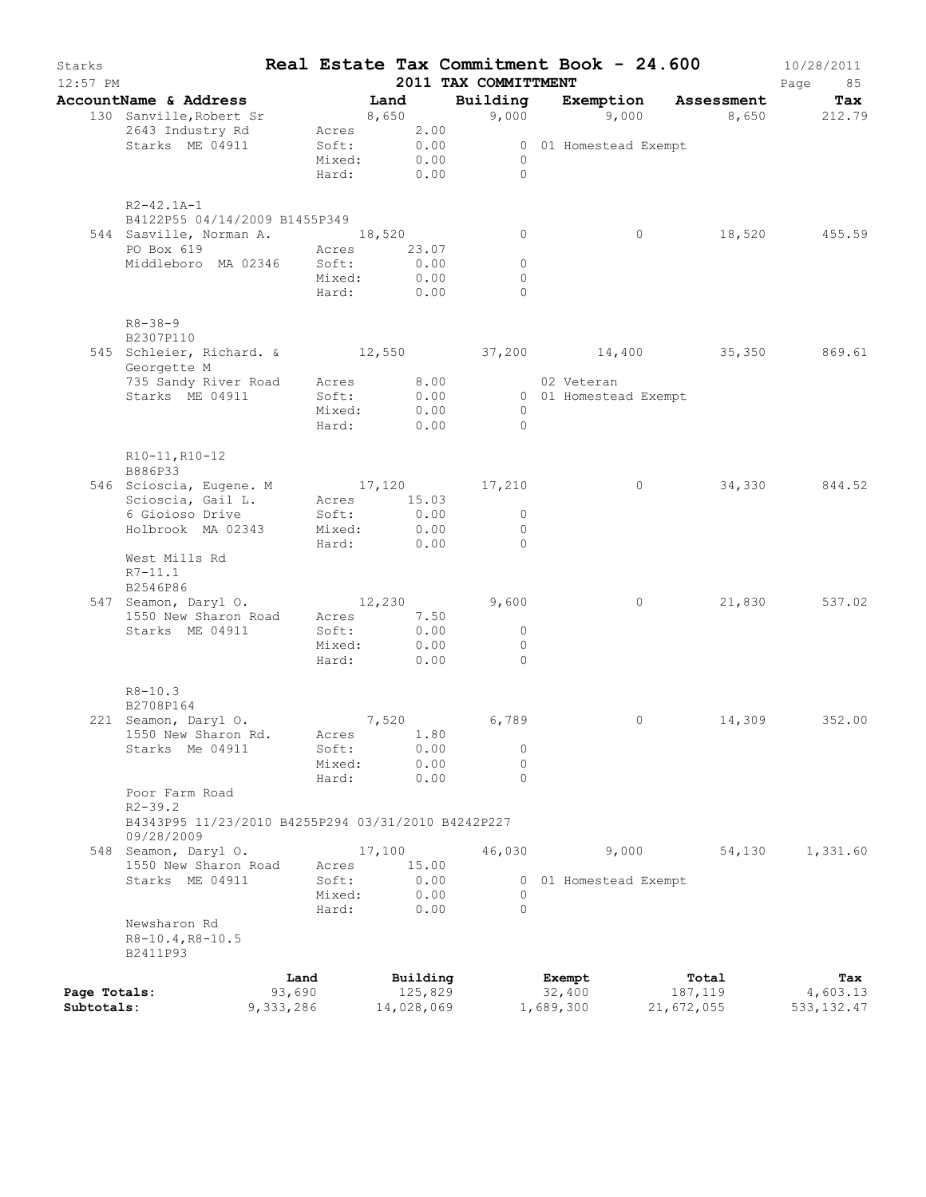| Starks<br>$12:57$ PM |                                                             |                |                 |        |                     | 2011 TAX COMMITTMENT                       | Real Estate Tax Commitment Book - 24.600 |                          | 10/28/2011<br>Page<br>85 |
|----------------------|-------------------------------------------------------------|----------------|-----------------|--------|---------------------|--------------------------------------------|------------------------------------------|--------------------------|--------------------------|
|                      | AccountName & Address                                       |                |                 | Land   |                     | Building                                   |                                          | Exemption Assessment     | Tax                      |
|                      | 130 Sanville, Robert Sr                                     |                |                 |        | 8,650               |                                            |                                          | 9,000 9,000 8,650 212.79 |                          |
|                      | 2643 Industry Rd                                            |                | Acres           |        | 2.00                |                                            |                                          |                          |                          |
|                      | Starks ME 04911                                             |                | Soft:<br>Mixed: |        | 0.00<br>0.00        | $\overline{0}$                             | 0 01 Homestead Exempt                    |                          |                          |
|                      |                                                             |                | Hard: 0.00      |        |                     | $\Omega$                                   |                                          |                          |                          |
|                      |                                                             |                |                 |        |                     |                                            |                                          |                          |                          |
|                      | $R2 - 42.1A - 1$<br>B4122P55 04/14/2009 B1455P349           |                |                 |        |                     |                                            |                                          |                          |                          |
|                      | 544 Sasville, Norman A. 18,520                              |                |                 |        |                     | 0                                          | $\circ$                                  | 18,520                   | 455.59                   |
|                      | PO Box 619                                                  | Acres 23.07    |                 |        |                     |                                            |                                          |                          |                          |
|                      | Middleboro MA 02346                                         |                | Soft:           |        | 0.00                | $\circ$                                    |                                          |                          |                          |
|                      |                                                             |                | Mixed:          |        | 0.00                | $\circ$                                    |                                          |                          |                          |
|                      |                                                             |                | Hard: 0.00      |        |                     | $\Omega$                                   |                                          |                          |                          |
|                      | $R8 - 38 - 9$                                               |                |                 |        |                     |                                            |                                          |                          |                          |
|                      | B2307P110                                                   |                |                 |        |                     |                                            |                                          |                          |                          |
|                      | 545 Schleier, Richard. & 12,550 37,200 14,400 35,350 869.61 |                |                 |        |                     |                                            |                                          |                          |                          |
|                      | Georgette M                                                 |                |                 |        |                     |                                            |                                          |                          |                          |
|                      | 735 Sandy River Road                                        |                | Acres<br>Soft:  |        | 8.00                |                                            | 02 Veteran<br>0 01 Homestead Exempt      |                          |                          |
|                      | Starks ME 04911                                             |                | Mixed:          |        | 0.00<br>0.00        | $\bigcirc$                                 |                                          |                          |                          |
|                      |                                                             |                | Hard: 0.00      |        |                     | $\bigcirc$                                 |                                          |                          |                          |
|                      |                                                             |                |                 |        |                     |                                            |                                          |                          |                          |
|                      | R10-11, R10-12<br>B886P33                                   |                |                 |        |                     |                                            |                                          |                          |                          |
|                      | 546 Scioscia, Eugene. M 17,120 17,210                       |                |                 |        |                     |                                            | $\circ$                                  | 34,330                   | 844.52                   |
|                      | Scioscia, Gail L.                                           |                | Acres 15.03     |        |                     |                                            |                                          |                          |                          |
|                      | 6 Gioioso Drive                                             |                | Soft:           |        | 0.00                | $\circ$                                    |                                          |                          |                          |
|                      | Holbrook MA 02343                                           |                | Mixed: 0.00     |        |                     | $\bigcirc$                                 |                                          |                          |                          |
|                      | West Mills Rd                                               |                | Hard:           |        | 0.00                | $\bigcirc$                                 |                                          |                          |                          |
|                      | $R7 - 11.1$                                                 |                |                 |        |                     |                                            |                                          |                          |                          |
|                      | B2546P86                                                    |                |                 |        |                     |                                            |                                          |                          |                          |
|                      | 547 Seamon, Daryl O. 12,230                                 |                |                 |        |                     | 9,600                                      | $\circ$                                  | 21,830                   | 537.02                   |
|                      | 1550 New Sharon Road                                        |                | Acres           |        | 7.50                |                                            |                                          |                          |                          |
|                      | Starks ME 04911                                             |                | Soft:<br>Mixed: |        | 0.00<br>0.00        | $\overline{\phantom{0}}$<br>$\overline{0}$ |                                          |                          |                          |
|                      |                                                             |                | Hard:           |        | 0.00                | $\Omega$                                   |                                          |                          |                          |
|                      |                                                             |                |                 |        |                     |                                            |                                          |                          |                          |
|                      | $R8 - 10.3$<br>B2708P164                                    |                |                 |        |                     |                                            |                                          |                          |                          |
|                      | 221 Seamon, Daryl O.                                        |                |                 | 7,520  |                     | 6,789                                      | 0                                        | 14,309                   | 352.00                   |
|                      | 1550 New Sharon Rd.                                         |                | Acres           |        | 1.80                |                                            |                                          |                          |                          |
|                      | Starks Me 04911                                             |                | Soft:           |        | 0.00                | 0                                          |                                          |                          |                          |
|                      |                                                             |                | Mixed:          |        | 0.00                | $\circ$                                    |                                          |                          |                          |
|                      | Poor Farm Road                                              |                | Hard:           |        | 0.00                | $\Omega$                                   |                                          |                          |                          |
|                      | $R2 - 39.2$                                                 |                |                 |        |                     |                                            |                                          |                          |                          |
|                      | B4343P95 11/23/2010 B4255P294 03/31/2010 B4242P227          |                |                 |        |                     |                                            |                                          |                          |                          |
|                      | 09/28/2009                                                  |                |                 |        |                     |                                            |                                          |                          |                          |
|                      | 548 Seamon, Daryl O.<br>1550 New Sharon Road                |                | Acres           | 17,100 | 15.00               | 46,030                                     | 9,000                                    | 54,130                   | 1,331.60                 |
|                      | Starks ME 04911                                             |                | Soft:           |        | 0.00                |                                            | 0 01 Homestead Exempt                    |                          |                          |
|                      |                                                             |                | Mixed:          |        | 0.00                | 0                                          |                                          |                          |                          |
|                      |                                                             |                | Hard:           |        | 0.00                | $\Omega$                                   |                                          |                          |                          |
|                      | Newsharon Rd                                                |                |                 |        |                     |                                            |                                          |                          |                          |
|                      | R8-10.4, R8-10.5<br>B2411P93                                |                |                 |        |                     |                                            |                                          |                          |                          |
|                      |                                                             |                |                 |        |                     |                                            |                                          |                          |                          |
| Page Totals:         |                                                             | Land<br>93,690 |                 |        | Building<br>125,829 |                                            | Exempt<br>32,400                         | Total<br>187,119         | Tax<br>4,603.13          |
| Subtotals:           |                                                             | 9,333,286      |                 |        | 14,028,069          |                                            | 1,689,300                                | 21,672,055               | 533, 132.47              |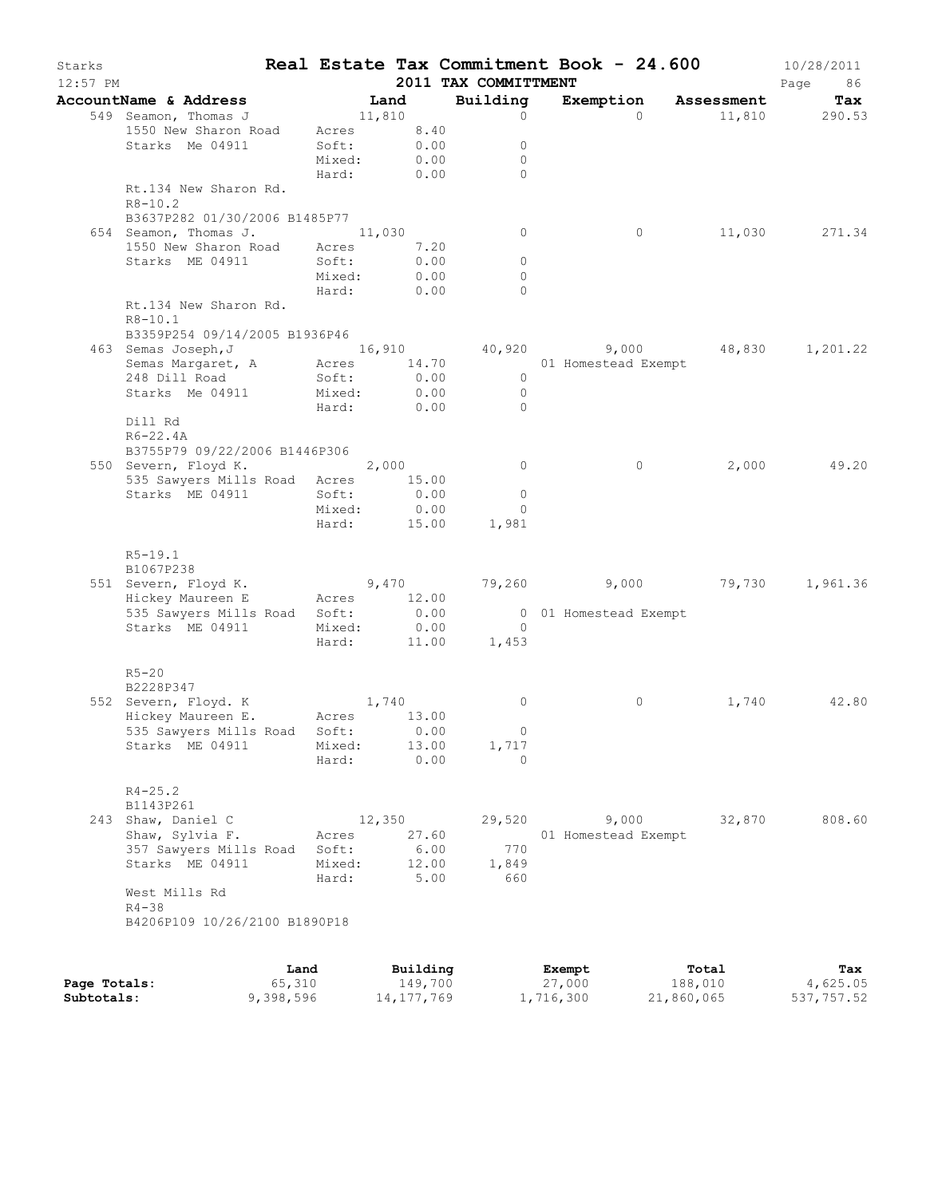| Starks     |                                      |      |        |          |                      | Real Estate Tax Commitment Book - 24.600 |            | 10/28/2011    |
|------------|--------------------------------------|------|--------|----------|----------------------|------------------------------------------|------------|---------------|
| $12:57$ PM |                                      |      |        |          | 2011 TAX COMMITTMENT |                                          |            | Page<br>86    |
|            | AccountName & Address                |      | Land   |          | Building             | Exemption                                | Assessment | Tax           |
|            | 549 Seamon, Thomas J                 |      | 11,810 |          | $\circ$              | $\Omega$                                 | 11,810     | 290.53        |
|            | 1550 New Sharon Road                 |      | Acres  | 8.40     |                      |                                          |            |               |
|            | Starks Me 04911                      |      | Soft:  | 0.00     | $\circ$              |                                          |            |               |
|            |                                      |      | Mixed: | 0.00     | $\Omega$             |                                          |            |               |
|            |                                      |      | Hard:  | 0.00     | $\Omega$             |                                          |            |               |
|            | Rt.134 New Sharon Rd.<br>$R8 - 10.2$ |      |        |          |                      |                                          |            |               |
|            | B3637P282 01/30/2006 B1485P77        |      |        |          |                      |                                          |            |               |
|            | 654 Seamon, Thomas J.                |      | 11,030 |          | 0                    | $\circ$                                  |            | 11,030 271.34 |
|            | 1550 New Sharon Road Acres           |      |        | 7.20     |                      |                                          |            |               |
|            | Starks ME 04911                      |      | Soft:  | 0.00     | 0                    |                                          |            |               |
|            |                                      |      | Mixed: | 0.00     | $\circ$              |                                          |            |               |
|            |                                      |      | Hard:  | 0.00     | $\Omega$             |                                          |            |               |
|            | Rt.134 New Sharon Rd.                |      |        |          |                      |                                          |            |               |
|            | $R8 - 10.1$                          |      |        |          |                      |                                          |            |               |
|            | B3359P254 09/14/2005 B1936P46        |      |        |          |                      |                                          |            |               |
|            | 463 Semas Joseph, J                  |      |        |          |                      | 16,910 40,920 9,000 48,830               |            | 1,201.22      |
|            | Semas Margaret, A Acres              |      |        | 14.70    |                      | 01 Homestead Exempt                      |            |               |
|            | 248 Dill Road                        |      | Soft:  | 0.00     | $\overline{0}$       |                                          |            |               |
|            | Starks Me 04911                      |      | Mixed: | 0.00     | $\overline{0}$       |                                          |            |               |
|            |                                      |      | Hard:  | 0.00     | $\circ$              |                                          |            |               |
|            | Dill Rd                              |      |        |          |                      |                                          |            |               |
|            | R6-22.4A                             |      |        |          |                      |                                          |            |               |
|            | B3755P79 09/22/2006 B1446P306        |      |        |          |                      |                                          |            |               |
|            | 550 Severn, Floyd K.                 |      | 2,000  |          | $\circ$              | $\circ$                                  | 2,000      | 49.20         |
|            | 535 Sawyers Mills Road Acres 15.00   |      |        |          |                      |                                          |            |               |
|            | Starks ME 04911                      |      | Soft:  | 0.00     | $\circ$              |                                          |            |               |
|            |                                      |      | Mixed: | 0.00     | $\circ$              |                                          |            |               |
|            |                                      |      | Hard:  | 15.00    | 1,981                |                                          |            |               |
|            |                                      |      |        |          |                      |                                          |            |               |
|            | $R5-19.1$                            |      |        |          |                      |                                          |            |               |
|            | B1067P238                            |      |        |          |                      |                                          |            |               |
|            | 551 Severn, Floyd K. 9,470           |      |        |          |                      | 79,260 9,000 79,730                      |            | 1,961.36      |
|            | Hickey Maureen E                     |      | Acres  | 12.00    |                      |                                          |            |               |
|            | 535 Sawyers Mills Road               |      | Soft:  | 0.00     |                      | 0 01 Homestead Exempt                    |            |               |
|            | Starks ME 04911                      |      | Mixed: | 0.00     | $\overline{0}$       |                                          |            |               |
|            |                                      |      | Hard:  | 11.00    | 1,453                |                                          |            |               |
|            |                                      |      |        |          |                      |                                          |            |               |
|            | $R5 - 20$                            |      |        |          |                      |                                          |            |               |
|            | B2228P347                            |      |        |          |                      |                                          |            |               |
|            | 552 Severn, Floyd. K                 |      |        | 1,740    | 0                    | $\circ$                                  | 1,740      | 42.80         |
|            | Hickey Maureen E. Acres 13.00        |      |        |          |                      |                                          |            |               |
|            | 535 Sawyers Mills Road Soft: 0.00    |      |        |          | $\cup$               |                                          |            |               |
|            | Starks ME 04911                      |      | Mixed: | 13.00    | 1,717                |                                          |            |               |
|            |                                      |      | Hard:  | 0.00     | $\Omega$             |                                          |            |               |
|            |                                      |      |        |          |                      |                                          |            |               |
|            | $R4 - 25.2$                          |      |        |          |                      |                                          |            |               |
|            | B1143P261                            |      |        |          |                      |                                          |            |               |
|            | 243 Shaw, Daniel C                   |      | 12,350 |          | 29,520               | 9,000                                    | 32,870     | 808.60        |
|            | Shaw, Sylvia F.                      |      | Acres  | 27.60    |                      | 01 Homestead Exempt                      |            |               |
|            | 357 Sawyers Mills Road               |      | Soft:  | 6.00     | 770                  |                                          |            |               |
|            | Starks ME 04911                      |      | Mixed: | 12.00    | 1,849                |                                          |            |               |
|            |                                      |      | Hard:  | 5.00     | 660                  |                                          |            |               |
|            | West Mills Rd                        |      |        |          |                      |                                          |            |               |
|            | $R4 - 38$                            |      |        |          |                      |                                          |            |               |
|            | B4206P109 10/26/2100 B1890P18        |      |        |          |                      |                                          |            |               |
|            |                                      |      |        |          |                      |                                          |            |               |
|            |                                      |      |        |          |                      |                                          |            |               |
|            |                                      | Land |        | Building |                      | Exempt                                   | Total      | Tax           |

|              | Land      | Building   | Exempt    | Total      | Tax        |
|--------------|-----------|------------|-----------|------------|------------|
| Page Totals: | 65,310    | 149,700    | 27,000    | 188,010    | 4,625.05   |
| Subtotals:   | 9,398,596 | 14,177,769 | 1,716,300 | 21,860,065 | 537,757.52 |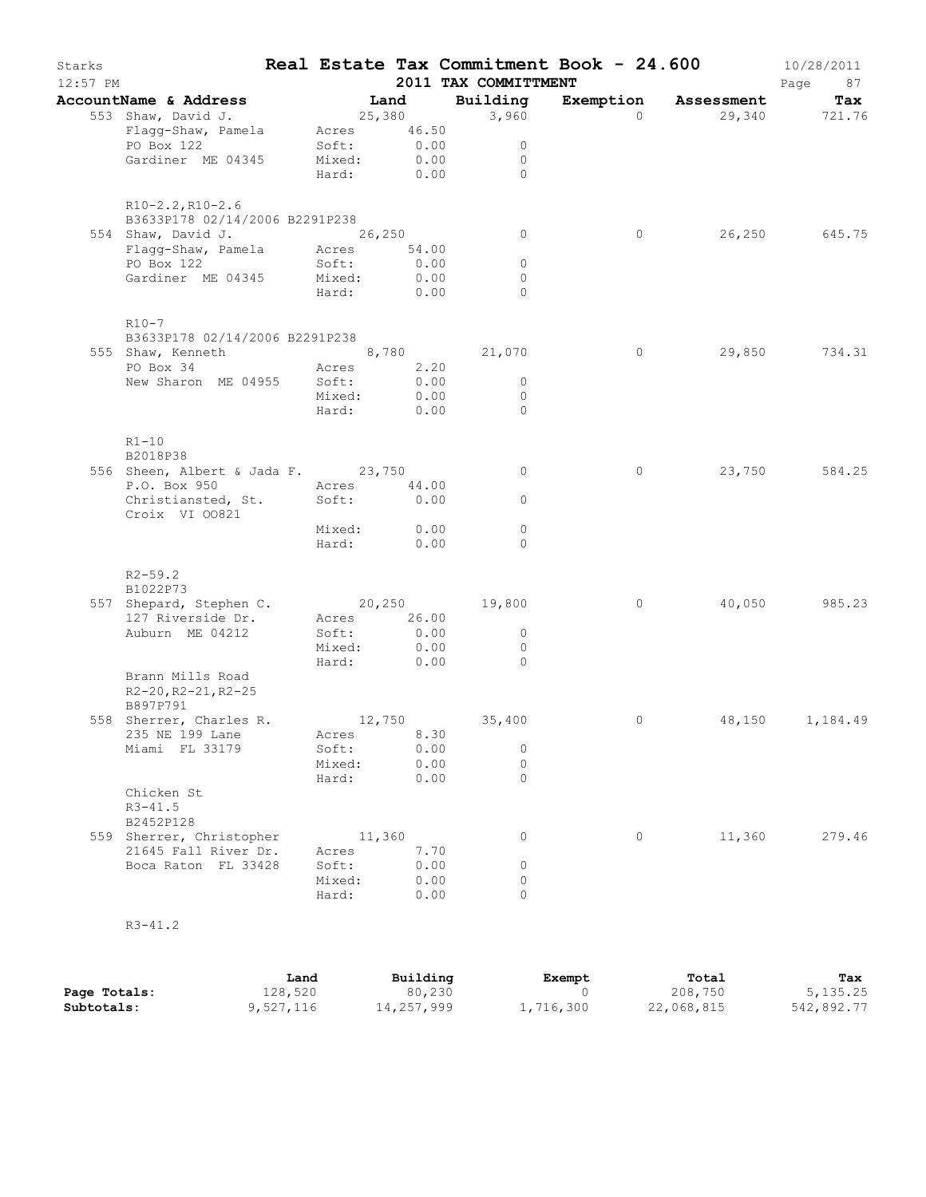| Starks<br>$12:57$ PM |                                                                                         |                                          |                                        | 2011 TAX COMMITTMENT                          | Real Estate Tax Commitment Book - 24.600 |                      | 10/28/2011<br>Page<br>87 |
|----------------------|-----------------------------------------------------------------------------------------|------------------------------------------|----------------------------------------|-----------------------------------------------|------------------------------------------|----------------------|--------------------------|
|                      | AccountName & Address                                                                   |                                          | Land                                   | Building                                      |                                          | Exemption Assessment | Tax                      |
|                      | 553 Shaw, David J.<br>Flagg-Shaw, Pamela Acres 46.50<br>PO Box 122<br>Gardiner ME 04345 | Soft: 0.00<br>Mixed: 0.00<br>Soft:       | 25,380<br>Hard: 0.00                   | 3,960<br>$\circ$<br>$\circ$<br>$\bigcirc$     | $\Omega$                                 | 29,340 721.76        |                          |
|                      | $R10-2.2, R10-2.6$<br>B3633P178 02/14/2006 B2291P238<br>554 Shaw, David J.              | 26,250                                   |                                        | $\circ$                                       | 0                                        |                      | 26,250 645.75            |
|                      | Flagg-Shaw, Pamela Acres 54.00<br>PO Box 122<br>Gardiner ME 04345                       | Soft:<br>Mixed:<br>Hard:                 | 0.00<br>0.00<br>0.00                   | $\circ$<br>$\circ$<br>$\bigcap$               |                                          |                      |                          |
|                      | $R10-7$<br>B3633P178 02/14/2006 B2291P238<br>555 Shaw, Kenneth                          |                                          |                                        | 8,780 21,070                                  | $\circ$                                  |                      | 29,850 734.31            |
|                      | PO Box 34<br>New Sharon ME 04955 Soft:                                                  | Acres 2.20<br>Mixed:                     | $0.00$<br>$0.00$<br>Hard: 0.00         | $\overline{0}$<br>$\overline{0}$<br>$\bigcap$ |                                          |                      |                          |
|                      | $R1 - 10$<br>B2018P38<br>556 Sheen, Albert & Jada F. 23,750                             |                                          |                                        | $\circ$                                       | 0                                        | 23,750               | 584.25                   |
|                      | P.O. Box 950<br>Christiansted, St.<br>Croix VI 00821                                    | Acres 44.00<br>Soft: 0.00<br>Mixed: 0.00 |                                        | $\circ$<br>$\circ$                            |                                          |                      |                          |
|                      | $R2 - 59.2$<br>B1022P73                                                                 | Hard:                                    | 0.00                                   | $\Omega$                                      |                                          |                      |                          |
|                      | 557 Shepard, Stephen C. 20,250 19,800<br>127 Riverside Dr.<br>Auburn ME 04212           | Acres<br>Soft:<br>Mixed:                 | 26.00<br>0.00<br>0.00                  | $\overline{0}$<br>$\Omega$                    | $\circ$                                  | 40,050               | 985.23                   |
|                      | Brann Mills Road<br>$R2 - 20$ , $R2 - 21$ , $R2 - 25$<br>B897P791                       | Hard: 0.00                               |                                        | $\bigcirc$                                    |                                          |                      |                          |
|                      | 558 Sherrer, Charles R.<br>235 NE 199 Lane<br>Miami FL 33179                            | Acres<br>Soft:<br>Mixed:<br>Hard:        | 8.30<br>0.00<br>0.00<br>0.00           | $12,750$ 35,400<br>0<br>$\circ$<br>$\Omega$   | 0                                        |                      | 48,150 1,184.49          |
|                      | Chicken St<br>$R3 - 41.5$<br>B2452P128                                                  |                                          |                                        |                                               |                                          |                      |                          |
|                      | 559 Sherrer, Christopher<br>21645 Fall River Dr.<br>Boca Raton FL 33428                 | Acres<br>Soft:<br>Mixed:<br>Hard:        | 11,360<br>7.70<br>0.00<br>0.00<br>0.00 | 0<br>$\circ$<br>$\circ$<br>$\Omega$           | 0                                        | 11,360               | 279.46                   |
|                      | $R3 - 41.2$                                                                             |                                          |                                        |                                               |                                          |                      |                          |

|              | Land      | Building   | Exempt    | Total      | Tax        |
|--------------|-----------|------------|-----------|------------|------------|
| Page Totals: | 128,520   | 80,230     |           | 208,750    | 5, 135.25  |
| Subtotals:   | 9,527,116 | 14,257,999 | 1,716,300 | 22,068,815 | 542,892.77 |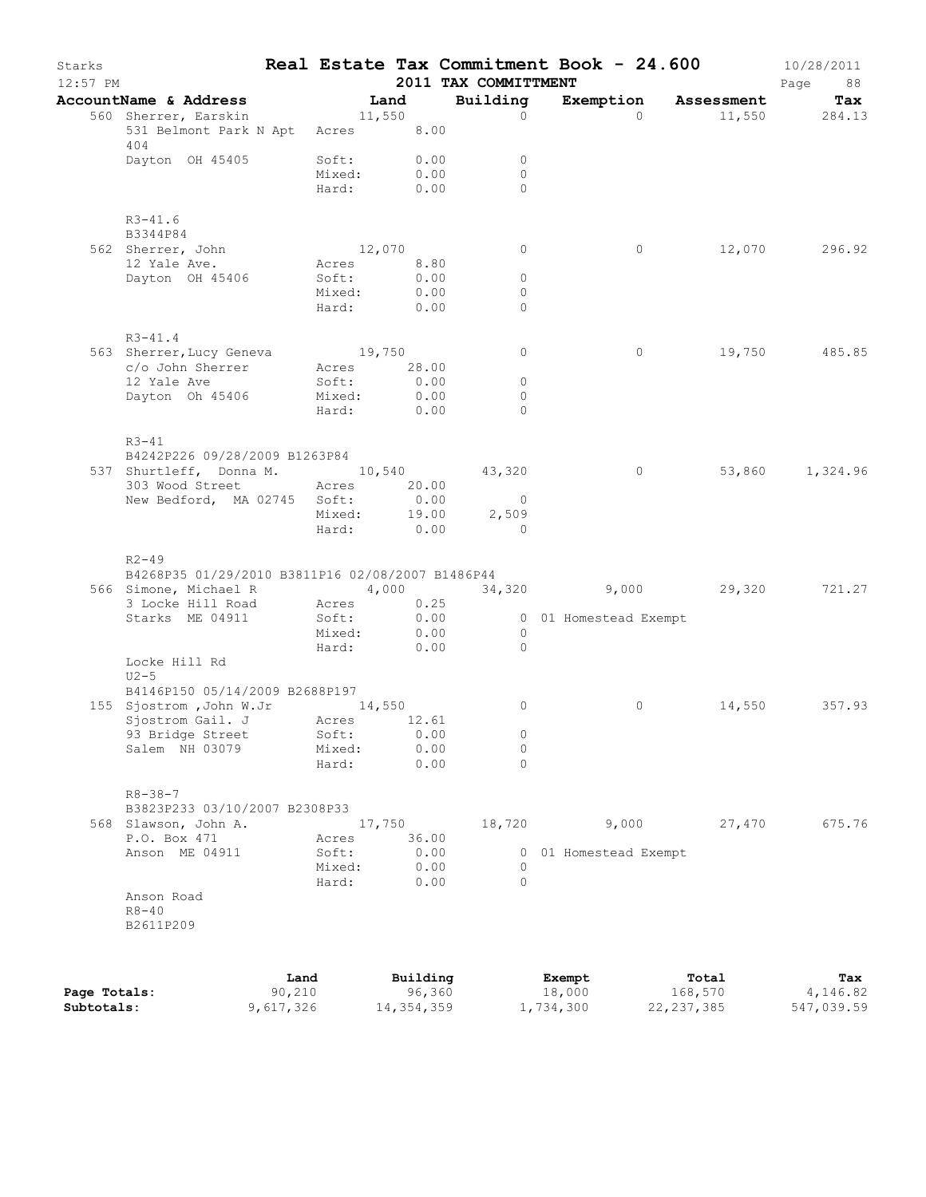| Building<br>AccountName & Address<br><b>Example 2</b> Land<br>Exemption Assessment<br>Tax<br>560 Sherrer, Earskin<br>11,550<br>$\Omega$<br>$\Omega$<br>11,550 284.13<br>531 Belmont Park N Apt Acres 8.00<br>404<br>Dayton OH 45405<br>Soft: 0.00<br>$\circ$<br>0.00<br>Mixed:<br>$\Omega$<br>Hard: 0.00<br>$\Omega$<br>$R3 - 41.6$<br>B3344P84<br>12,070<br>12,070<br>296.92<br>562 Sherrer, John<br>$\circ$<br>$\circ$<br>12 Yale Ave.<br>Acres<br>8.80<br>Dayton OH 45406<br>Soft:<br>0.00<br>$\circ$<br>Mixed:<br>0.00<br>$\circ$<br>Hard:<br>0.00<br>$\circ$<br>$R3 - 41.4$<br>563 Sherrer, Lucy Geneva 19,750<br>c/o John Sherrer Acres 28.00<br>19,750 485.85<br>$\circ$<br>$\circ$<br>12 Yale Ave<br>Soft:<br>0.00<br>$\circ$<br>0.00<br>Dayton Oh 45406<br>Mixed:<br>$\circ$<br>Hard: 0.00<br>$\Omega$<br>$R3 - 41$<br>B4242P226 09/28/2009 B1263P84<br>537 Shurtleff, Donna M. 10,540 43,320<br>53,860 1,324.96<br>$\overline{0}$<br>303 Wood Street<br>Acres 20.00<br>New Bedford, MA 02745 Soft:<br>0.00<br>$\overline{0}$<br>19.00<br>Mixed:<br>2,509<br>$\begin{minipage}{0.00\linewidth} \text{Hard:} \hspace{1cm} 0.00 \end{minipage}$<br>$\overline{a}$<br>$R2 - 49$<br>B4268P35 01/29/2010 B3811P16 02/08/2007 B1486P44<br>566 Simone, Michael R<br>4,000<br>34,320 9,000 29,320 721.27<br>Acres 0.25<br>3 Locke Hill Road<br>Starks ME 04911<br>Soft:<br>0.00<br>0 01 Homestead Exempt<br>$\frac{1}{2}$ = $\frac{1}{2}$ = $\frac{1}{2}$ = $\frac{1}{2}$ = $\frac{1}{2}$ = $\frac{1}{2}$ = $\frac{1}{2}$ = $\frac{1}{2}$ = $\frac{1}{2}$ = $\frac{1}{2}$ = $\frac{1}{2}$ = $\frac{1}{2}$ = $\frac{1}{2}$ = $\frac{1}{2}$ = $\frac{1}{2}$ = $\frac{1}{2}$ = $\frac{1}{2}$ = $\frac{1}{2}$ = $\frac{1$<br>$\overline{0}$<br>$\bigcirc$<br>Locke Hill Rd<br>$U2-5$<br>B4146P150 05/14/2009 B2688P197<br>155 Sjostrom , John W.Jr 14, 550<br>Sjostrom Gail. J Acres 12.61<br>0<br>0<br>14,550<br>357.93<br>$\mathbb O$<br>93 Bridge Street<br>Soft:<br>0.00<br>$\circ$<br>Salem NH 03079<br>Mixed:<br>0.00<br>0.00<br>Hard:<br>$\Omega$<br>$R8 - 38 - 7$<br>B3823P233 03/10/2007 B2308P33<br>18,720<br>27,470<br>675.76<br>568 Slawson, John A.<br>17,750<br>9,000<br>P.O. Box 471<br>36.00<br>Acres<br>0.00<br>Anson ME 04911<br>Soft:<br>01 Homestead Exempt<br>0<br>0.00<br>Mixed:<br>$\circ$<br>0.00<br>$\Omega$<br>Hard:<br>Anson Road<br>$R8 - 40$<br>B2611P209<br>Land<br>Building<br>Exempt<br>Total<br>Tax<br>90,210<br>96,360<br>4,146.82<br>18,000<br>168,570<br>Page Totals: | Starks<br>$12:57$ PM |  |  | 2011 TAX COMMITTMENT | Real Estate Tax Commitment Book - 24.600 | 10/28/2011<br>Page<br>88 |
|--------------------------------------------------------------------------------------------------------------------------------------------------------------------------------------------------------------------------------------------------------------------------------------------------------------------------------------------------------------------------------------------------------------------------------------------------------------------------------------------------------------------------------------------------------------------------------------------------------------------------------------------------------------------------------------------------------------------------------------------------------------------------------------------------------------------------------------------------------------------------------------------------------------------------------------------------------------------------------------------------------------------------------------------------------------------------------------------------------------------------------------------------------------------------------------------------------------------------------------------------------------------------------------------------------------------------------------------------------------------------------------------------------------------------------------------------------------------------------------------------------------------------------------------------------------------------------------------------------------------------------------------------------------------------------------------------------------------------------------------------------------------------------------------------------------------------------------------------------------------------------------------------------------------------------------------------------------------------------------------------------------------------------------------------------------------------------------------------------------------------------------------------------------------------------------------------------------------------------------------------------------------------------------------------------------------------------------------------------------------------------------------------------------------------------------------------------------------------------------------------------|----------------------|--|--|----------------------|------------------------------------------|--------------------------|
|                                                                                                                                                                                                                                                                                                                                                                                                                                                                                                                                                                                                                                                                                                                                                                                                                                                                                                                                                                                                                                                                                                                                                                                                                                                                                                                                                                                                                                                                                                                                                                                                                                                                                                                                                                                                                                                                                                                                                                                                                                                                                                                                                                                                                                                                                                                                                                                                                                                                                                        |                      |  |  |                      |                                          |                          |
|                                                                                                                                                                                                                                                                                                                                                                                                                                                                                                                                                                                                                                                                                                                                                                                                                                                                                                                                                                                                                                                                                                                                                                                                                                                                                                                                                                                                                                                                                                                                                                                                                                                                                                                                                                                                                                                                                                                                                                                                                                                                                                                                                                                                                                                                                                                                                                                                                                                                                                        |                      |  |  |                      |                                          |                          |
|                                                                                                                                                                                                                                                                                                                                                                                                                                                                                                                                                                                                                                                                                                                                                                                                                                                                                                                                                                                                                                                                                                                                                                                                                                                                                                                                                                                                                                                                                                                                                                                                                                                                                                                                                                                                                                                                                                                                                                                                                                                                                                                                                                                                                                                                                                                                                                                                                                                                                                        |                      |  |  |                      |                                          |                          |
|                                                                                                                                                                                                                                                                                                                                                                                                                                                                                                                                                                                                                                                                                                                                                                                                                                                                                                                                                                                                                                                                                                                                                                                                                                                                                                                                                                                                                                                                                                                                                                                                                                                                                                                                                                                                                                                                                                                                                                                                                                                                                                                                                                                                                                                                                                                                                                                                                                                                                                        |                      |  |  |                      |                                          |                          |
|                                                                                                                                                                                                                                                                                                                                                                                                                                                                                                                                                                                                                                                                                                                                                                                                                                                                                                                                                                                                                                                                                                                                                                                                                                                                                                                                                                                                                                                                                                                                                                                                                                                                                                                                                                                                                                                                                                                                                                                                                                                                                                                                                                                                                                                                                                                                                                                                                                                                                                        |                      |  |  |                      |                                          |                          |
|                                                                                                                                                                                                                                                                                                                                                                                                                                                                                                                                                                                                                                                                                                                                                                                                                                                                                                                                                                                                                                                                                                                                                                                                                                                                                                                                                                                                                                                                                                                                                                                                                                                                                                                                                                                                                                                                                                                                                                                                                                                                                                                                                                                                                                                                                                                                                                                                                                                                                                        |                      |  |  |                      |                                          |                          |
|                                                                                                                                                                                                                                                                                                                                                                                                                                                                                                                                                                                                                                                                                                                                                                                                                                                                                                                                                                                                                                                                                                                                                                                                                                                                                                                                                                                                                                                                                                                                                                                                                                                                                                                                                                                                                                                                                                                                                                                                                                                                                                                                                                                                                                                                                                                                                                                                                                                                                                        |                      |  |  |                      |                                          |                          |
|                                                                                                                                                                                                                                                                                                                                                                                                                                                                                                                                                                                                                                                                                                                                                                                                                                                                                                                                                                                                                                                                                                                                                                                                                                                                                                                                                                                                                                                                                                                                                                                                                                                                                                                                                                                                                                                                                                                                                                                                                                                                                                                                                                                                                                                                                                                                                                                                                                                                                                        |                      |  |  |                      |                                          |                          |
|                                                                                                                                                                                                                                                                                                                                                                                                                                                                                                                                                                                                                                                                                                                                                                                                                                                                                                                                                                                                                                                                                                                                                                                                                                                                                                                                                                                                                                                                                                                                                                                                                                                                                                                                                                                                                                                                                                                                                                                                                                                                                                                                                                                                                                                                                                                                                                                                                                                                                                        |                      |  |  |                      |                                          |                          |
|                                                                                                                                                                                                                                                                                                                                                                                                                                                                                                                                                                                                                                                                                                                                                                                                                                                                                                                                                                                                                                                                                                                                                                                                                                                                                                                                                                                                                                                                                                                                                                                                                                                                                                                                                                                                                                                                                                                                                                                                                                                                                                                                                                                                                                                                                                                                                                                                                                                                                                        |                      |  |  |                      |                                          |                          |
|                                                                                                                                                                                                                                                                                                                                                                                                                                                                                                                                                                                                                                                                                                                                                                                                                                                                                                                                                                                                                                                                                                                                                                                                                                                                                                                                                                                                                                                                                                                                                                                                                                                                                                                                                                                                                                                                                                                                                                                                                                                                                                                                                                                                                                                                                                                                                                                                                                                                                                        |                      |  |  |                      |                                          |                          |
|                                                                                                                                                                                                                                                                                                                                                                                                                                                                                                                                                                                                                                                                                                                                                                                                                                                                                                                                                                                                                                                                                                                                                                                                                                                                                                                                                                                                                                                                                                                                                                                                                                                                                                                                                                                                                                                                                                                                                                                                                                                                                                                                                                                                                                                                                                                                                                                                                                                                                                        |                      |  |  |                      |                                          |                          |
|                                                                                                                                                                                                                                                                                                                                                                                                                                                                                                                                                                                                                                                                                                                                                                                                                                                                                                                                                                                                                                                                                                                                                                                                                                                                                                                                                                                                                                                                                                                                                                                                                                                                                                                                                                                                                                                                                                                                                                                                                                                                                                                                                                                                                                                                                                                                                                                                                                                                                                        |                      |  |  |                      |                                          |                          |
|                                                                                                                                                                                                                                                                                                                                                                                                                                                                                                                                                                                                                                                                                                                                                                                                                                                                                                                                                                                                                                                                                                                                                                                                                                                                                                                                                                                                                                                                                                                                                                                                                                                                                                                                                                                                                                                                                                                                                                                                                                                                                                                                                                                                                                                                                                                                                                                                                                                                                                        |                      |  |  |                      |                                          |                          |
|                                                                                                                                                                                                                                                                                                                                                                                                                                                                                                                                                                                                                                                                                                                                                                                                                                                                                                                                                                                                                                                                                                                                                                                                                                                                                                                                                                                                                                                                                                                                                                                                                                                                                                                                                                                                                                                                                                                                                                                                                                                                                                                                                                                                                                                                                                                                                                                                                                                                                                        |                      |  |  |                      |                                          |                          |
|                                                                                                                                                                                                                                                                                                                                                                                                                                                                                                                                                                                                                                                                                                                                                                                                                                                                                                                                                                                                                                                                                                                                                                                                                                                                                                                                                                                                                                                                                                                                                                                                                                                                                                                                                                                                                                                                                                                                                                                                                                                                                                                                                                                                                                                                                                                                                                                                                                                                                                        |                      |  |  |                      |                                          |                          |
|                                                                                                                                                                                                                                                                                                                                                                                                                                                                                                                                                                                                                                                                                                                                                                                                                                                                                                                                                                                                                                                                                                                                                                                                                                                                                                                                                                                                                                                                                                                                                                                                                                                                                                                                                                                                                                                                                                                                                                                                                                                                                                                                                                                                                                                                                                                                                                                                                                                                                                        |                      |  |  |                      |                                          |                          |
|                                                                                                                                                                                                                                                                                                                                                                                                                                                                                                                                                                                                                                                                                                                                                                                                                                                                                                                                                                                                                                                                                                                                                                                                                                                                                                                                                                                                                                                                                                                                                                                                                                                                                                                                                                                                                                                                                                                                                                                                                                                                                                                                                                                                                                                                                                                                                                                                                                                                                                        |                      |  |  |                      |                                          |                          |
|                                                                                                                                                                                                                                                                                                                                                                                                                                                                                                                                                                                                                                                                                                                                                                                                                                                                                                                                                                                                                                                                                                                                                                                                                                                                                                                                                                                                                                                                                                                                                                                                                                                                                                                                                                                                                                                                                                                                                                                                                                                                                                                                                                                                                                                                                                                                                                                                                                                                                                        |                      |  |  |                      |                                          |                          |
|                                                                                                                                                                                                                                                                                                                                                                                                                                                                                                                                                                                                                                                                                                                                                                                                                                                                                                                                                                                                                                                                                                                                                                                                                                                                                                                                                                                                                                                                                                                                                                                                                                                                                                                                                                                                                                                                                                                                                                                                                                                                                                                                                                                                                                                                                                                                                                                                                                                                                                        |                      |  |  |                      |                                          |                          |
|                                                                                                                                                                                                                                                                                                                                                                                                                                                                                                                                                                                                                                                                                                                                                                                                                                                                                                                                                                                                                                                                                                                                                                                                                                                                                                                                                                                                                                                                                                                                                                                                                                                                                                                                                                                                                                                                                                                                                                                                                                                                                                                                                                                                                                                                                                                                                                                                                                                                                                        |                      |  |  |                      |                                          |                          |
|                                                                                                                                                                                                                                                                                                                                                                                                                                                                                                                                                                                                                                                                                                                                                                                                                                                                                                                                                                                                                                                                                                                                                                                                                                                                                                                                                                                                                                                                                                                                                                                                                                                                                                                                                                                                                                                                                                                                                                                                                                                                                                                                                                                                                                                                                                                                                                                                                                                                                                        |                      |  |  |                      |                                          |                          |
|                                                                                                                                                                                                                                                                                                                                                                                                                                                                                                                                                                                                                                                                                                                                                                                                                                                                                                                                                                                                                                                                                                                                                                                                                                                                                                                                                                                                                                                                                                                                                                                                                                                                                                                                                                                                                                                                                                                                                                                                                                                                                                                                                                                                                                                                                                                                                                                                                                                                                                        |                      |  |  |                      |                                          |                          |
|                                                                                                                                                                                                                                                                                                                                                                                                                                                                                                                                                                                                                                                                                                                                                                                                                                                                                                                                                                                                                                                                                                                                                                                                                                                                                                                                                                                                                                                                                                                                                                                                                                                                                                                                                                                                                                                                                                                                                                                                                                                                                                                                                                                                                                                                                                                                                                                                                                                                                                        |                      |  |  |                      |                                          |                          |
|                                                                                                                                                                                                                                                                                                                                                                                                                                                                                                                                                                                                                                                                                                                                                                                                                                                                                                                                                                                                                                                                                                                                                                                                                                                                                                                                                                                                                                                                                                                                                                                                                                                                                                                                                                                                                                                                                                                                                                                                                                                                                                                                                                                                                                                                                                                                                                                                                                                                                                        |                      |  |  |                      |                                          |                          |
|                                                                                                                                                                                                                                                                                                                                                                                                                                                                                                                                                                                                                                                                                                                                                                                                                                                                                                                                                                                                                                                                                                                                                                                                                                                                                                                                                                                                                                                                                                                                                                                                                                                                                                                                                                                                                                                                                                                                                                                                                                                                                                                                                                                                                                                                                                                                                                                                                                                                                                        |                      |  |  |                      |                                          |                          |
|                                                                                                                                                                                                                                                                                                                                                                                                                                                                                                                                                                                                                                                                                                                                                                                                                                                                                                                                                                                                                                                                                                                                                                                                                                                                                                                                                                                                                                                                                                                                                                                                                                                                                                                                                                                                                                                                                                                                                                                                                                                                                                                                                                                                                                                                                                                                                                                                                                                                                                        |                      |  |  |                      |                                          |                          |
|                                                                                                                                                                                                                                                                                                                                                                                                                                                                                                                                                                                                                                                                                                                                                                                                                                                                                                                                                                                                                                                                                                                                                                                                                                                                                                                                                                                                                                                                                                                                                                                                                                                                                                                                                                                                                                                                                                                                                                                                                                                                                                                                                                                                                                                                                                                                                                                                                                                                                                        |                      |  |  |                      |                                          |                          |
|                                                                                                                                                                                                                                                                                                                                                                                                                                                                                                                                                                                                                                                                                                                                                                                                                                                                                                                                                                                                                                                                                                                                                                                                                                                                                                                                                                                                                                                                                                                                                                                                                                                                                                                                                                                                                                                                                                                                                                                                                                                                                                                                                                                                                                                                                                                                                                                                                                                                                                        |                      |  |  |                      |                                          |                          |
|                                                                                                                                                                                                                                                                                                                                                                                                                                                                                                                                                                                                                                                                                                                                                                                                                                                                                                                                                                                                                                                                                                                                                                                                                                                                                                                                                                                                                                                                                                                                                                                                                                                                                                                                                                                                                                                                                                                                                                                                                                                                                                                                                                                                                                                                                                                                                                                                                                                                                                        |                      |  |  |                      |                                          |                          |
|                                                                                                                                                                                                                                                                                                                                                                                                                                                                                                                                                                                                                                                                                                                                                                                                                                                                                                                                                                                                                                                                                                                                                                                                                                                                                                                                                                                                                                                                                                                                                                                                                                                                                                                                                                                                                                                                                                                                                                                                                                                                                                                                                                                                                                                                                                                                                                                                                                                                                                        |                      |  |  |                      |                                          |                          |
|                                                                                                                                                                                                                                                                                                                                                                                                                                                                                                                                                                                                                                                                                                                                                                                                                                                                                                                                                                                                                                                                                                                                                                                                                                                                                                                                                                                                                                                                                                                                                                                                                                                                                                                                                                                                                                                                                                                                                                                                                                                                                                                                                                                                                                                                                                                                                                                                                                                                                                        |                      |  |  |                      |                                          |                          |
|                                                                                                                                                                                                                                                                                                                                                                                                                                                                                                                                                                                                                                                                                                                                                                                                                                                                                                                                                                                                                                                                                                                                                                                                                                                                                                                                                                                                                                                                                                                                                                                                                                                                                                                                                                                                                                                                                                                                                                                                                                                                                                                                                                                                                                                                                                                                                                                                                                                                                                        |                      |  |  |                      |                                          |                          |
|                                                                                                                                                                                                                                                                                                                                                                                                                                                                                                                                                                                                                                                                                                                                                                                                                                                                                                                                                                                                                                                                                                                                                                                                                                                                                                                                                                                                                                                                                                                                                                                                                                                                                                                                                                                                                                                                                                                                                                                                                                                                                                                                                                                                                                                                                                                                                                                                                                                                                                        |                      |  |  |                      |                                          |                          |
|                                                                                                                                                                                                                                                                                                                                                                                                                                                                                                                                                                                                                                                                                                                                                                                                                                                                                                                                                                                                                                                                                                                                                                                                                                                                                                                                                                                                                                                                                                                                                                                                                                                                                                                                                                                                                                                                                                                                                                                                                                                                                                                                                                                                                                                                                                                                                                                                                                                                                                        |                      |  |  |                      |                                          |                          |
|                                                                                                                                                                                                                                                                                                                                                                                                                                                                                                                                                                                                                                                                                                                                                                                                                                                                                                                                                                                                                                                                                                                                                                                                                                                                                                                                                                                                                                                                                                                                                                                                                                                                                                                                                                                                                                                                                                                                                                                                                                                                                                                                                                                                                                                                                                                                                                                                                                                                                                        |                      |  |  |                      |                                          |                          |
|                                                                                                                                                                                                                                                                                                                                                                                                                                                                                                                                                                                                                                                                                                                                                                                                                                                                                                                                                                                                                                                                                                                                                                                                                                                                                                                                                                                                                                                                                                                                                                                                                                                                                                                                                                                                                                                                                                                                                                                                                                                                                                                                                                                                                                                                                                                                                                                                                                                                                                        |                      |  |  |                      |                                          |                          |
|                                                                                                                                                                                                                                                                                                                                                                                                                                                                                                                                                                                                                                                                                                                                                                                                                                                                                                                                                                                                                                                                                                                                                                                                                                                                                                                                                                                                                                                                                                                                                                                                                                                                                                                                                                                                                                                                                                                                                                                                                                                                                                                                                                                                                                                                                                                                                                                                                                                                                                        |                      |  |  |                      |                                          |                          |
|                                                                                                                                                                                                                                                                                                                                                                                                                                                                                                                                                                                                                                                                                                                                                                                                                                                                                                                                                                                                                                                                                                                                                                                                                                                                                                                                                                                                                                                                                                                                                                                                                                                                                                                                                                                                                                                                                                                                                                                                                                                                                                                                                                                                                                                                                                                                                                                                                                                                                                        |                      |  |  |                      |                                          |                          |
|                                                                                                                                                                                                                                                                                                                                                                                                                                                                                                                                                                                                                                                                                                                                                                                                                                                                                                                                                                                                                                                                                                                                                                                                                                                                                                                                                                                                                                                                                                                                                                                                                                                                                                                                                                                                                                                                                                                                                                                                                                                                                                                                                                                                                                                                                                                                                                                                                                                                                                        |                      |  |  |                      |                                          |                          |
|                                                                                                                                                                                                                                                                                                                                                                                                                                                                                                                                                                                                                                                                                                                                                                                                                                                                                                                                                                                                                                                                                                                                                                                                                                                                                                                                                                                                                                                                                                                                                                                                                                                                                                                                                                                                                                                                                                                                                                                                                                                                                                                                                                                                                                                                                                                                                                                                                                                                                                        |                      |  |  |                      |                                          |                          |
|                                                                                                                                                                                                                                                                                                                                                                                                                                                                                                                                                                                                                                                                                                                                                                                                                                                                                                                                                                                                                                                                                                                                                                                                                                                                                                                                                                                                                                                                                                                                                                                                                                                                                                                                                                                                                                                                                                                                                                                                                                                                                                                                                                                                                                                                                                                                                                                                                                                                                                        |                      |  |  |                      |                                          |                          |
|                                                                                                                                                                                                                                                                                                                                                                                                                                                                                                                                                                                                                                                                                                                                                                                                                                                                                                                                                                                                                                                                                                                                                                                                                                                                                                                                                                                                                                                                                                                                                                                                                                                                                                                                                                                                                                                                                                                                                                                                                                                                                                                                                                                                                                                                                                                                                                                                                                                                                                        |                      |  |  |                      |                                          |                          |
|                                                                                                                                                                                                                                                                                                                                                                                                                                                                                                                                                                                                                                                                                                                                                                                                                                                                                                                                                                                                                                                                                                                                                                                                                                                                                                                                                                                                                                                                                                                                                                                                                                                                                                                                                                                                                                                                                                                                                                                                                                                                                                                                                                                                                                                                                                                                                                                                                                                                                                        |                      |  |  |                      |                                          |                          |
|                                                                                                                                                                                                                                                                                                                                                                                                                                                                                                                                                                                                                                                                                                                                                                                                                                                                                                                                                                                                                                                                                                                                                                                                                                                                                                                                                                                                                                                                                                                                                                                                                                                                                                                                                                                                                                                                                                                                                                                                                                                                                                                                                                                                                                                                                                                                                                                                                                                                                                        |                      |  |  |                      |                                          |                          |
|                                                                                                                                                                                                                                                                                                                                                                                                                                                                                                                                                                                                                                                                                                                                                                                                                                                                                                                                                                                                                                                                                                                                                                                                                                                                                                                                                                                                                                                                                                                                                                                                                                                                                                                                                                                                                                                                                                                                                                                                                                                                                                                                                                                                                                                                                                                                                                                                                                                                                                        |                      |  |  |                      |                                          |                          |
|                                                                                                                                                                                                                                                                                                                                                                                                                                                                                                                                                                                                                                                                                                                                                                                                                                                                                                                                                                                                                                                                                                                                                                                                                                                                                                                                                                                                                                                                                                                                                                                                                                                                                                                                                                                                                                                                                                                                                                                                                                                                                                                                                                                                                                                                                                                                                                                                                                                                                                        |                      |  |  |                      |                                          |                          |
|                                                                                                                                                                                                                                                                                                                                                                                                                                                                                                                                                                                                                                                                                                                                                                                                                                                                                                                                                                                                                                                                                                                                                                                                                                                                                                                                                                                                                                                                                                                                                                                                                                                                                                                                                                                                                                                                                                                                                                                                                                                                                                                                                                                                                                                                                                                                                                                                                                                                                                        |                      |  |  |                      |                                          |                          |
|                                                                                                                                                                                                                                                                                                                                                                                                                                                                                                                                                                                                                                                                                                                                                                                                                                                                                                                                                                                                                                                                                                                                                                                                                                                                                                                                                                                                                                                                                                                                                                                                                                                                                                                                                                                                                                                                                                                                                                                                                                                                                                                                                                                                                                                                                                                                                                                                                                                                                                        |                      |  |  |                      |                                          |                          |
|                                                                                                                                                                                                                                                                                                                                                                                                                                                                                                                                                                                                                                                                                                                                                                                                                                                                                                                                                                                                                                                                                                                                                                                                                                                                                                                                                                                                                                                                                                                                                                                                                                                                                                                                                                                                                                                                                                                                                                                                                                                                                                                                                                                                                                                                                                                                                                                                                                                                                                        |                      |  |  |                      |                                          |                          |
|                                                                                                                                                                                                                                                                                                                                                                                                                                                                                                                                                                                                                                                                                                                                                                                                                                                                                                                                                                                                                                                                                                                                                                                                                                                                                                                                                                                                                                                                                                                                                                                                                                                                                                                                                                                                                                                                                                                                                                                                                                                                                                                                                                                                                                                                                                                                                                                                                                                                                                        |                      |  |  |                      |                                          |                          |

**Subtotals:** 9,617,326 14,354,359 1,734,300 22,237,385 547,039.59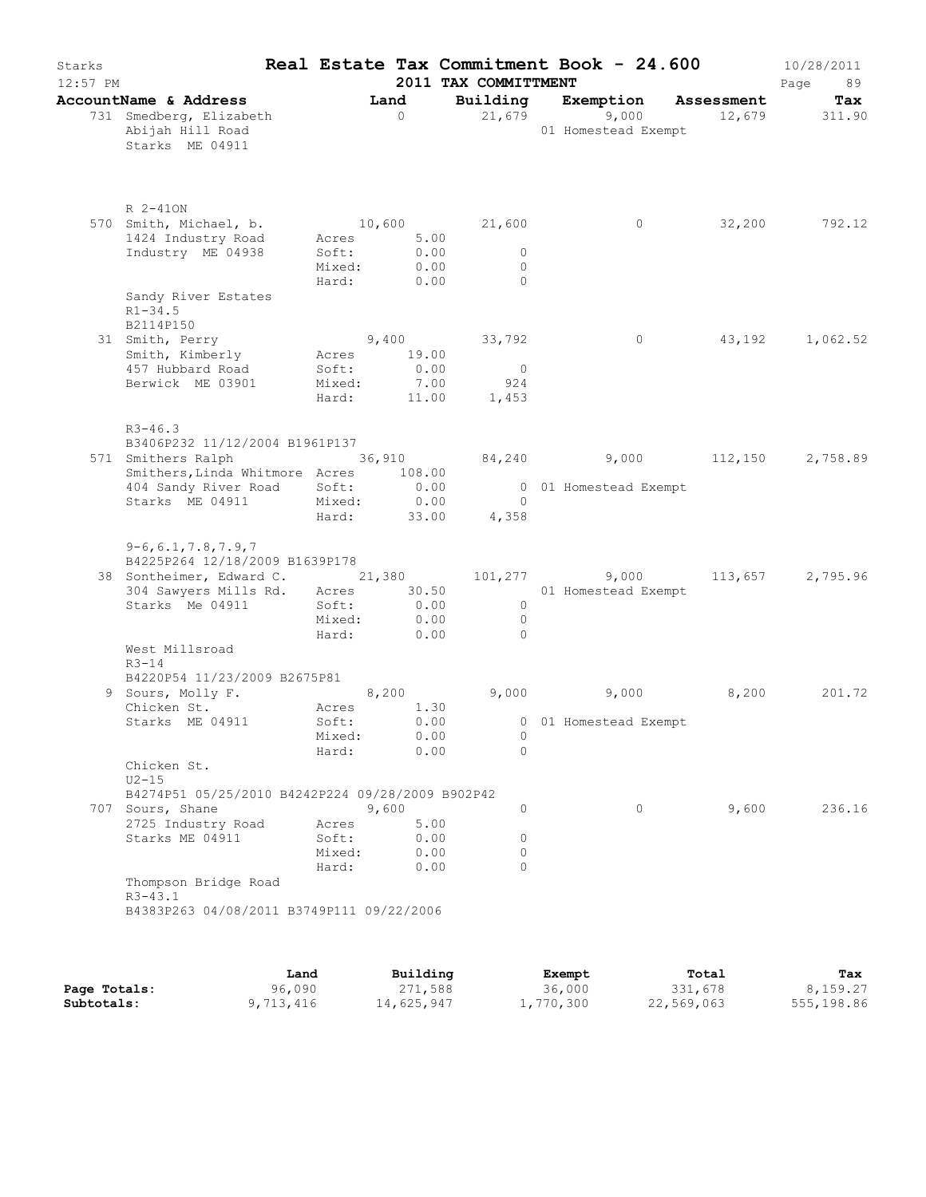| Starks<br>$12:57$ PM |                                                                           |                                   |                              | 2011 TAX COMMITTMENT                    | Real Estate Tax Commitment Book - 24.600 |               | 10/28/2011<br>Page<br>89 |
|----------------------|---------------------------------------------------------------------------|-----------------------------------|------------------------------|-----------------------------------------|------------------------------------------|---------------|--------------------------|
|                      | AccountName & Address                                                     |                                   | Land                         |                                         | Building Exemption Assessment            |               | Tax                      |
|                      | 731 Smedberg, Elizabeth<br>Abijah Hill Road<br>Starks ME 04911            |                                   | $\overline{0}$               |                                         | 21,679 9,000<br>01 Homestead Exempt      | 12,679 311.90 |                          |
|                      | R 2-410N                                                                  |                                   |                              |                                         |                                          |               |                          |
|                      | 570 Smith, Michael, b. 10,600<br>1424 Industry Road<br>Industry ME 04938  | Acres<br>Soft:<br>Mixed:<br>Hard: | 5.00<br>0.00<br>0.00<br>0.00 | 21,600<br>$\circ$<br>$\circ$<br>$\circ$ | $\circ$                                  | 32,200        | 792.12                   |
|                      | Sandy River Estates<br>$R1 - 34.5$                                        |                                   |                              |                                         |                                          |               |                          |
|                      | B2114P150<br>31 Smith, Perry                                              |                                   | 9,400                        | 33,792                                  | 0                                        | 43,192        | 1,062.52                 |
|                      | Smith, Kimberly                                                           | Acres 19.00                       |                              |                                         |                                          |               |                          |
|                      | 457 Hubbard Road                                                          | Soft:                             | 0.00                         | $\overline{\phantom{0}}$                |                                          |               |                          |
|                      | Berwick ME 03901                                                          | Mixed: 7.00<br>Hard:              | 11.00                        | 924<br>1,453                            |                                          |               |                          |
|                      |                                                                           |                                   |                              |                                         |                                          |               |                          |
|                      | $R3 - 46.3$<br>B3406P232 11/12/2004 B1961P137                             |                                   |                              |                                         |                                          |               |                          |
|                      | 571 Smithers Ralph 36,910                                                 |                                   |                              |                                         | 84,240 9,000 112,150                     |               | 2,758.89                 |
|                      | Smithers, Linda Whitmore Acres 108.00                                     |                                   |                              |                                         |                                          |               |                          |
|                      | 404 Sandy River Road Soft:<br>Starks ME 04911                             | Mixed: 0.00                       | 0.00                         | $\bigcirc$                              | 0 01 Homestead Exempt                    |               |                          |
|                      |                                                                           | Hard:                             | 33.00                        | 4,358                                   |                                          |               |                          |
|                      | $9-6, 6.1, 7.8, 7.9, 7$                                                   |                                   |                              |                                         |                                          |               |                          |
|                      | B4225P264 12/18/2009 B1639P178<br>38 Sontheimer, Edward C. 21,380 101,277 |                                   |                              |                                         | 9,000                                    | 113,657       | 2,795.96                 |
|                      | 304 Sawyers Mills Rd. Acres 30.50                                         |                                   |                              |                                         | 01 Homestead Exempt                      |               |                          |
|                      | Starks Me 04911                                                           | Soft:                             | 0.00                         | $\circ$                                 |                                          |               |                          |
|                      |                                                                           | Mixed:                            | 0.00                         | $\circ$                                 |                                          |               |                          |
|                      |                                                                           | Hard:                             | 0.00                         | $\circ$                                 |                                          |               |                          |
|                      | West Millsroad<br>$R3 - 14$                                               |                                   |                              |                                         |                                          |               |                          |
|                      | B4220P54 11/23/2009 B2675P81                                              |                                   |                              |                                         |                                          |               |                          |
|                      | 9 Sours, Molly F.                                                         |                                   | 8,200                        |                                         | $9,000$ $9,000$                          | 8,200         | 201.72                   |
|                      | Chicken St.                                                               | Acres                             | 1.30                         |                                         |                                          |               |                          |
|                      | Starks ME 04911                                                           | Soft:                             | 0.00<br>0.00                 |                                         | 0 01 Homestead Exempt                    |               |                          |
|                      |                                                                           | Mixed:<br>Hard:                   | 0.00                         | O<br>$\circ$                            |                                          |               |                          |
|                      | Chicken St.<br>$U2-15$                                                    |                                   |                              |                                         |                                          |               |                          |
|                      | B4274P51 05/25/2010 B4242P224 09/28/2009 B902P42                          |                                   |                              |                                         |                                          |               |                          |
|                      | 707 Sours, Shane<br>2725 Industry Road                                    | Acres                             | 9,600<br>5.00                | 0                                       | 0                                        | 9,600         | 236.16                   |
|                      | Starks ME 04911                                                           | Soft:                             | 0.00                         | $\circ$                                 |                                          |               |                          |
|                      |                                                                           | Mixed:                            | 0.00                         | 0                                       |                                          |               |                          |
|                      |                                                                           | Hard:                             | 0.00                         | $\circ$                                 |                                          |               |                          |
|                      | Thompson Bridge Road<br>$R3 - 43.1$                                       |                                   |                              |                                         |                                          |               |                          |
|                      |                                                                           |                                   |                              |                                         |                                          |               |                          |

|              | Land      | Building   | Exempt    | Total      | Tax        |
|--------------|-----------|------------|-----------|------------|------------|
| Page Totals: | 96,090    | 271,588    | 36,000    | 331,678    | 8,159.27   |
| Subtotals:   | 9,713,416 | 14,625,947 | 1,770,300 | 22,569,063 | 555,198.86 |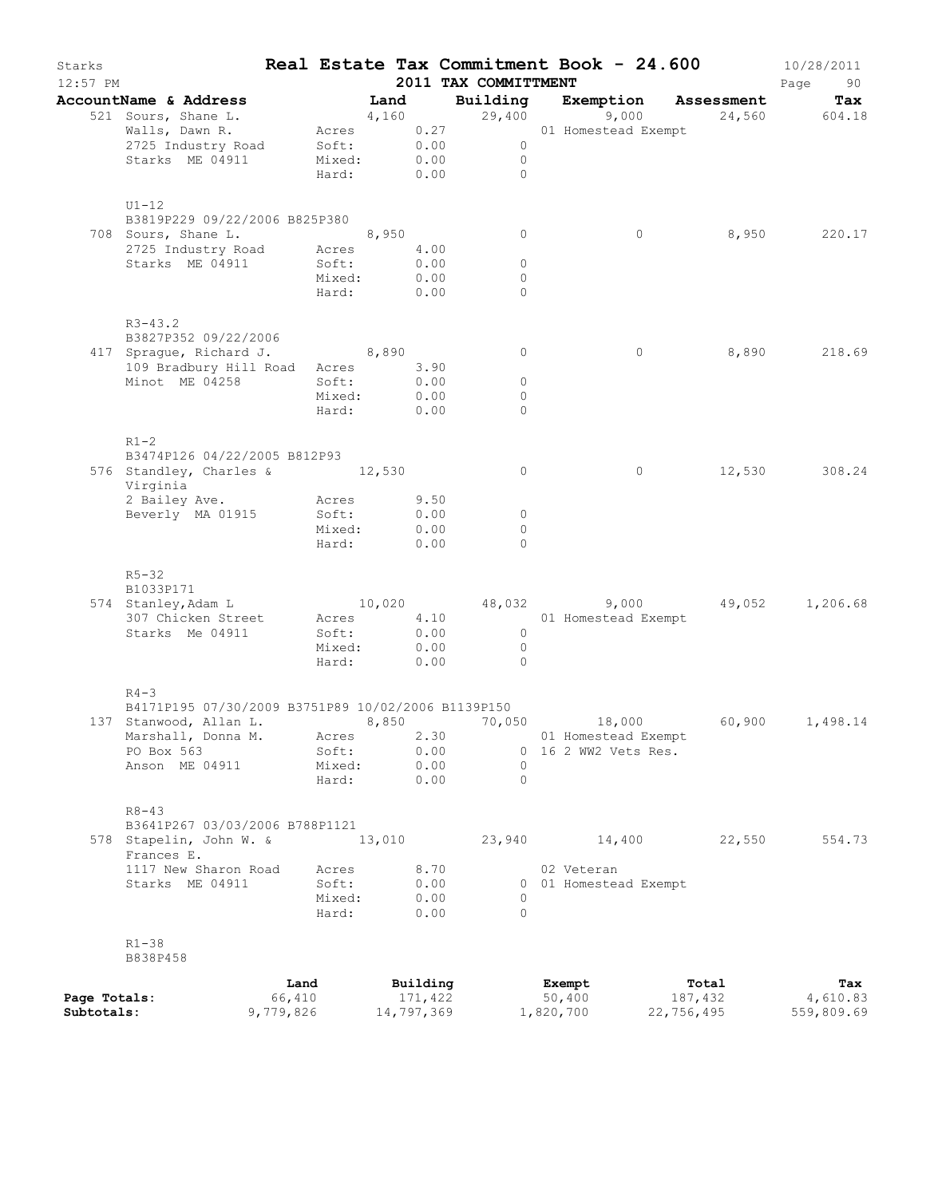| Starks<br>12:57 PM |                                                                              |           |                       |        |            | 2011 TAX COMMITTMENT |                                | Real Estate Tax Commitment Book - 24.600      | 10/28/2011<br>Page<br>90 |
|--------------------|------------------------------------------------------------------------------|-----------|-----------------------|--------|------------|----------------------|--------------------------------|-----------------------------------------------|--------------------------|
|                    | AccountName & Address                                                        |           | in the Land           |        |            |                      |                                | Building Exemption Assessment                 | Tax                      |
|                    | 521 Sours, Shane L.                                                          |           | $4,160$<br>Acres 0.27 |        |            | 29,400               | 9,000                          |                                               | 24,560 604.18            |
|                    | Walls, Dawn R.                                                               |           |                       |        |            |                      | 01 Homestead Exempt            |                                               |                          |
|                    | 2725 Industry Road Soft: 0.00                                                |           |                       |        |            | $\overline{0}$       |                                |                                               |                          |
|                    | Starks ME 04911                                                              |           | Mixed:                |        | 0.00       | $\overline{0}$       |                                |                                               |                          |
|                    |                                                                              |           | Hard:                 |        | 0.00       | $\bigcirc$           |                                |                                               |                          |
|                    | $U1-12$                                                                      |           |                       |        |            |                      |                                |                                               |                          |
|                    | B3819P229 09/22/2006 B825P380                                                |           |                       |        |            |                      |                                |                                               |                          |
|                    | 708 Sours, Shane L.                                                          |           |                       |        |            | $\circ$              | $\circ$                        | 8,950                                         | 220.17                   |
|                    | Sours, Shane L. 8,950<br>2725 Industry Road Acres 4                          |           | Acres 4.00            |        |            |                      |                                |                                               |                          |
|                    | Starks ME 04911                                                              |           | Soft:                 |        | 0.00       | $\circ$              |                                |                                               |                          |
|                    |                                                                              |           | Mixed:                |        | 0.00       | $\circ$              |                                |                                               |                          |
|                    |                                                                              |           | Hard:                 |        | 0.00       | $\Omega$             |                                |                                               |                          |
|                    | $R3 - 43.2$                                                                  |           |                       |        |            |                      |                                |                                               |                          |
|                    | B3827P352 09/22/2006                                                         |           |                       |        |            |                      |                                |                                               |                          |
|                    | 417 Sprague, Richard J. 8,890                                                |           |                       |        |            | $\circ$              | $\circ$                        |                                               | 8,890 218.69             |
|                    | 109 Bradbury Hill Road Acres 3.90                                            |           |                       |        |            |                      |                                |                                               |                          |
|                    | Minot ME 04258                                                               |           | Soft:                 |        | 0.00       | $\circ$              |                                |                                               |                          |
|                    |                                                                              |           | Mixed:                |        | 0.00       | $\circ$              |                                |                                               |                          |
|                    |                                                                              |           | Hard:                 |        | 0.00       | $\Omega$             |                                |                                               |                          |
|                    |                                                                              |           |                       |        |            |                      |                                |                                               |                          |
|                    | $R1-2$<br>B3474P126 04/22/2005 B812P93                                       |           |                       |        |            |                      |                                |                                               |                          |
|                    | 576 Standley, Charles & 12,530                                               |           |                       |        |            | $\circ$              | 0                              |                                               | 12,530 308.24            |
|                    | Virginia                                                                     |           |                       |        |            |                      |                                |                                               |                          |
|                    | 2 Bailey Ave.                                                                |           | Acres                 |        | 9.50       |                      |                                |                                               |                          |
|                    | Beverly MA 01915                                                             |           | Soft:                 |        | 0.00       | $\circ$              |                                |                                               |                          |
|                    |                                                                              |           | Mixed:                |        | 0.00       | $\circ$              |                                |                                               |                          |
|                    |                                                                              |           | Hard:                 |        | 0.00       | $\Omega$             |                                |                                               |                          |
|                    |                                                                              |           |                       |        |            |                      |                                |                                               |                          |
|                    | $R5 - 32$<br>B1033P171                                                       |           |                       |        |            |                      |                                |                                               |                          |
|                    | 574 Stanley, Adam L                                                          |           |                       |        |            |                      |                                | $10,020$ $48,032$ $9,000$ $49,052$ $1,206.68$ |                          |
|                    | 307 Chicken Street                                                           |           |                       |        |            |                      | Acres 4.10 01 Homestead Exempt |                                               |                          |
|                    | Starks Me 04911                                                              |           | Soft:                 |        | 0.00       | $\overline{0}$       |                                |                                               |                          |
|                    |                                                                              |           | Mixed:                |        | 0.00       | $\overline{0}$       |                                |                                               |                          |
|                    |                                                                              |           | Hard:                 |        | 0.00       | $\overline{0}$       |                                |                                               |                          |
|                    |                                                                              |           |                       |        |            |                      |                                |                                               |                          |
|                    | $R4 - 3$                                                                     |           |                       |        |            |                      |                                |                                               |                          |
|                    | B4171P195 07/30/2009 B3751P89 10/02/2006 B1139P150<br>137 Stanwood, Allan L. |           |                       | 8,850  |            | 70,050               | 18,000                         | 60,900                                        | 1,498.14                 |
|                    | Marshall, Donna M.                                                           |           | Acres                 |        | 2.30       |                      | 01 Homestead Exempt            |                                               |                          |
|                    | PO Box 563                                                                   |           | Soft:                 |        | 0.00       |                      | 0 16 2 WW2 Vets Res.           |                                               |                          |
|                    | Anson ME 04911                                                               |           | Mixed:                |        | 0.00       | $\Omega$             |                                |                                               |                          |
|                    |                                                                              |           | Hard:                 |        | 0.00       | $\Omega$             |                                |                                               |                          |
|                    |                                                                              |           |                       |        |            |                      |                                |                                               |                          |
|                    | $R8 - 43$                                                                    |           |                       |        |            |                      |                                |                                               |                          |
|                    | B3641P267 03/03/2006 B788P1121                                               |           |                       |        |            |                      |                                |                                               |                          |
|                    | 578 Stapelin, John W. &<br>Frances E.                                        |           |                       | 13,010 |            | 23,940               | 14,400                         | 22,550                                        | 554.73                   |
|                    | 1117 New Sharon Road                                                         |           | Acres                 |        | 8.70       |                      | 02 Veteran                     |                                               |                          |
|                    | Starks ME 04911                                                              |           | Soft:                 |        | 0.00       |                      | 0 01 Homestead Exempt          |                                               |                          |
|                    |                                                                              |           | Mixed:                |        | 0.00       | 0                    |                                |                                               |                          |
|                    |                                                                              |           | Hard:                 |        | 0.00       | $\Omega$             |                                |                                               |                          |
|                    |                                                                              |           |                       |        |            |                      |                                |                                               |                          |
|                    | $R1 - 38$                                                                    |           |                       |        |            |                      |                                |                                               |                          |
|                    | B838P458                                                                     |           |                       |        |            |                      |                                |                                               |                          |
|                    |                                                                              | Land      |                       |        | Building   |                      | Exempt                         | Total                                         | Tax                      |
| Page Totals:       |                                                                              | 66,410    |                       |        | 171,422    |                      | 50,400                         | 187,432                                       | 4,610.83                 |
| Subtotals:         |                                                                              | 9,779,826 |                       |        | 14,797,369 |                      | 1,820,700                      | 22,756,495                                    | 559,809.69               |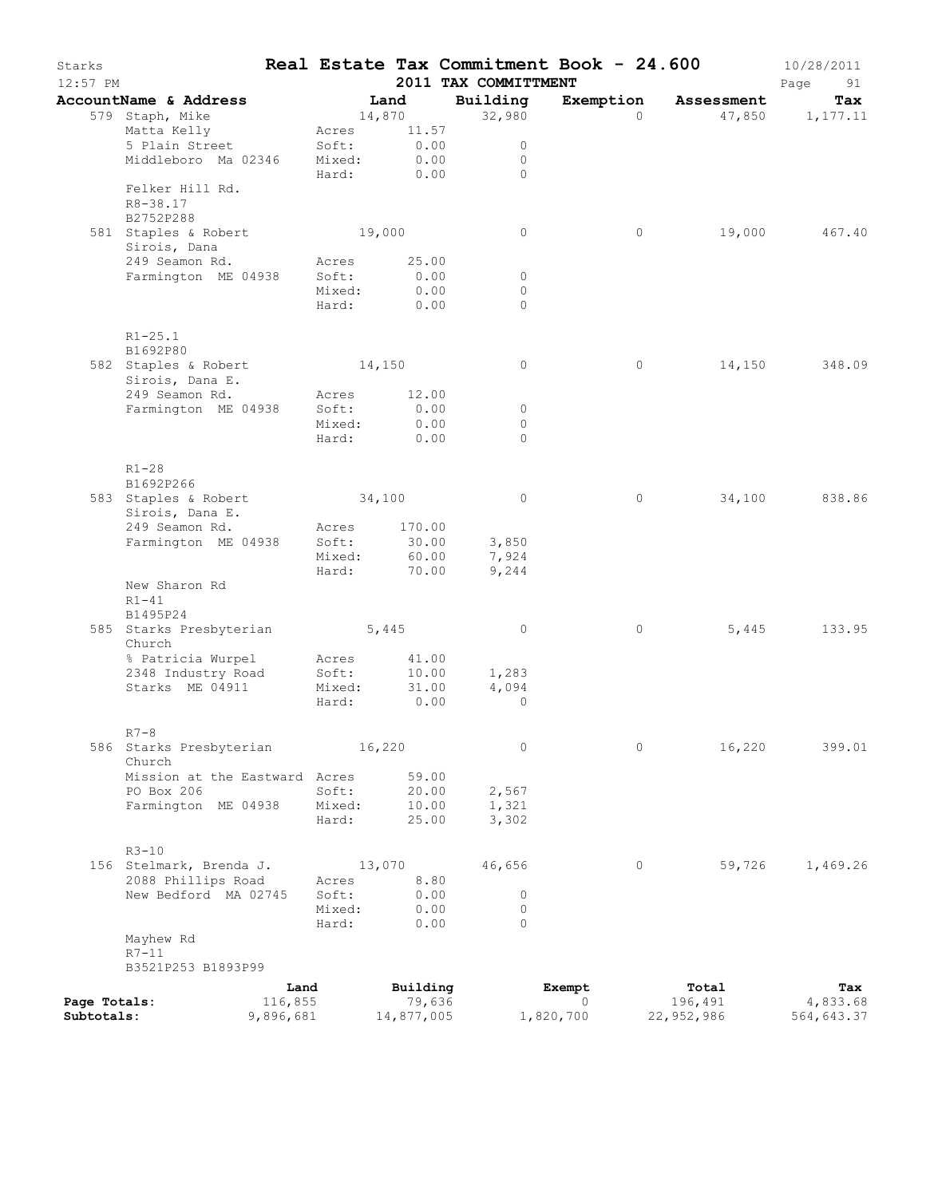| Starks<br>$12:57$ PM |                                           |         |                 |              | Real Estate Tax Commitment Book - 24.600<br>2011 TAX COMMITTMENT |           |            | 10/28/2011<br>Page<br>91 |
|----------------------|-------------------------------------------|---------|-----------------|--------------|------------------------------------------------------------------|-----------|------------|--------------------------|
|                      | AccountName & Address                     |         | Land            |              | Building                                                         | Exemption | Assessment | Tax                      |
|                      | 579 Staph, Mike                           |         |                 | 14,870       | 32,980                                                           | $\Omega$  |            | 47,850 1,177.11          |
|                      | Matta Kelly                               |         | Acres           | 11.57        |                                                                  |           |            |                          |
|                      | 5 Plain Street                            |         | Soft:           | 0.00         | $\circ$                                                          |           |            |                          |
|                      | Middleboro Ma 02346                       |         | Mixed:          | 0.00         | $\circ$<br>$\bigcap$                                             |           |            |                          |
|                      | Felker Hill Rd.<br>R8-38.17               |         | Hard:           | 0.00         |                                                                  |           |            |                          |
|                      | B2752P288                                 |         |                 |              |                                                                  |           |            |                          |
|                      | 581 Staples & Robert<br>Sirois, Dana      |         | 19,000          |              | $\circ$                                                          | $\circ$   | 19,000     | 467.40                   |
|                      | 249 Seamon Rd.                            | Soft:   | Acres           | 25.00        |                                                                  |           |            |                          |
|                      | Farmington ME 04938                       |         |                 | 0.00         | $\circ$                                                          |           |            |                          |
|                      |                                           |         | Mixed:<br>Hard: | 0.00<br>0.00 | $\circ$<br>$\Omega$                                              |           |            |                          |
|                      |                                           |         |                 |              |                                                                  |           |            |                          |
|                      | $R1 - 25.1$<br>B1692P80                   |         |                 |              |                                                                  |           |            |                          |
|                      | 582 Staples & Robert 14,150               |         |                 |              | $\circ$                                                          | $\circ$   | 14,150     | 348.09                   |
|                      | Sirois, Dana E.                           |         |                 |              |                                                                  |           |            |                          |
|                      | 249 Seamon Rd.                            |         | Acres           | 12.00        |                                                                  |           |            |                          |
|                      | Farmington ME 04938                       |         | Soft:           | 0.00         | $\circ$                                                          |           |            |                          |
|                      |                                           |         | Mixed:          | 0.00         | $\circ$                                                          |           |            |                          |
|                      |                                           |         | Hard:           | 0.00         | $\Omega$                                                         |           |            |                          |
|                      | $R1-28$                                   |         |                 |              |                                                                  |           |            |                          |
|                      | B1692P266                                 |         |                 |              |                                                                  |           |            |                          |
|                      | 583 Staples & Robert                      |         | 34,100          |              | $\circ$                                                          | 0         | 34,100     | 838.86                   |
|                      | Sirois, Dana E.                           |         |                 |              |                                                                  |           |            |                          |
|                      | 249 Seamon Rd.                            |         | Acres           | 170.00       |                                                                  |           |            |                          |
|                      | Farmington ME 04938                       |         | Soft:           | 30.00        | 3,850                                                            |           |            |                          |
|                      |                                           |         | Mixed:          | 60.00        | 7,924                                                            |           |            |                          |
|                      |                                           |         | Hard:           | 70.00        | 9,244                                                            |           |            |                          |
|                      | New Sharon Rd                             |         |                 |              |                                                                  |           |            |                          |
|                      | $R1-41$                                   |         |                 |              |                                                                  |           |            |                          |
|                      | B1495P24<br>585 Starks Presbyterian 5,445 |         |                 |              | $\circ$                                                          | $\circ$   | 5,445      | 133.95                   |
|                      | Church<br>% Patricia Wurpel               |         | Acres           | 41.00        |                                                                  |           |            |                          |
|                      | 2348 Industry Road                        |         | Soft:           | 10.00        | 1,283                                                            |           |            |                          |
|                      | Starks ME 04911                           |         | Mixed:          | 31.00        | 4,094                                                            |           |            |                          |
|                      |                                           |         | Hard:           | 0.00         | $\circ$                                                          |           |            |                          |
|                      |                                           |         |                 |              |                                                                  |           |            |                          |
|                      | $R7 - 8$                                  |         |                 |              |                                                                  |           |            |                          |
|                      | 586 Starks Presbyterian                   |         | 16,220          |              | $\circ$                                                          | $\circ$   | 16,220     | 399.01                   |
|                      | Church<br>Mission at the Eastward Acres   |         |                 | 59.00        |                                                                  |           |            |                          |
|                      | PO Box 206                                |         | Soft:           | 20.00        | 2,567                                                            |           |            |                          |
|                      | Farmington ME 04938                       |         | Mixed:          | 10.00        | 1,321                                                            |           |            |                          |
|                      |                                           |         | Hard:           | 25.00        | 3,302                                                            |           |            |                          |
|                      |                                           |         |                 |              |                                                                  |           |            |                          |
|                      | $R3 - 10$                                 |         |                 |              |                                                                  |           |            |                          |
|                      | 156 Stelmark, Brenda J.                   |         | 13,070          |              | 46,656                                                           | 0         | 59,726     | 1,469.26                 |
|                      | 2088 Phillips Road                        |         | Acres           | 8.80         |                                                                  |           |            |                          |
|                      | New Bedford MA 02745                      |         | Soft:           | 0.00         | $\circ$                                                          |           |            |                          |
|                      |                                           |         | Mixed:<br>Hard: | 0.00<br>0.00 | $\circ$<br>$\Omega$                                              |           |            |                          |
|                      | Mayhew Rd                                 |         |                 |              |                                                                  |           |            |                          |
|                      | $R7-11$                                   |         |                 |              |                                                                  |           |            |                          |
|                      | B3521P253 B1893P99                        |         |                 |              |                                                                  |           |            |                          |
|                      |                                           | Land    |                 | Building     |                                                                  | Exempt    | Total      | Tax                      |
| Page Totals:         |                                           | 116,855 |                 | 79,636       |                                                                  | $\Omega$  | 196,491    | 4,833.68                 |
| Subtotals:           | 9,896,681                                 |         |                 | 14,877,005   |                                                                  | 1,820,700 | 22,952,986 | 564,643.37               |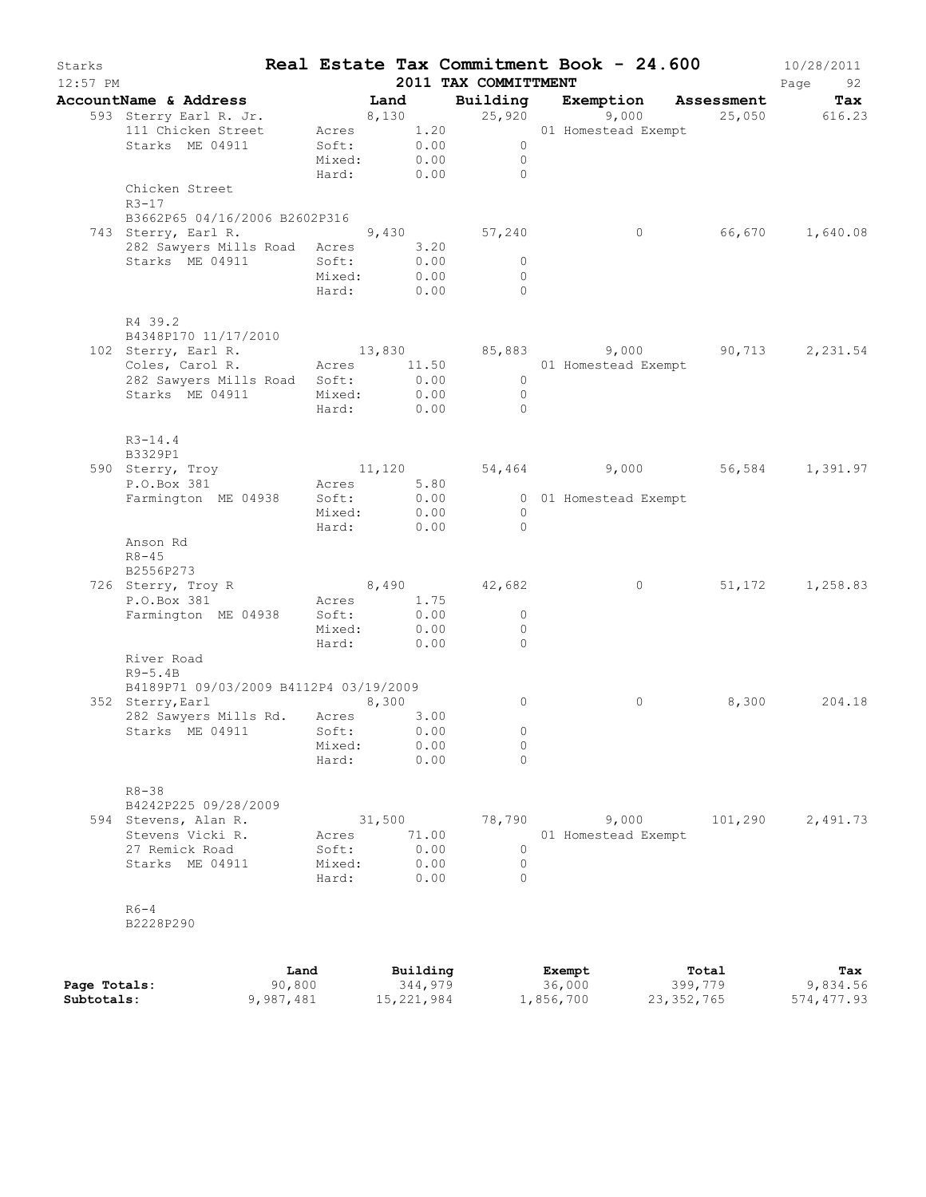| Starks<br>$12:57$ PM |                                                                 |                 |                            | 2011 TAX COMMITTMENT                               | Real Estate Tax Commitment Book - 24.600                                                                 |         | 10/28/2011<br>Page<br>92 |
|----------------------|-----------------------------------------------------------------|-----------------|----------------------------|----------------------------------------------------|----------------------------------------------------------------------------------------------------------|---------|--------------------------|
|                      | AccountName & Address                                           |                 |                            |                                                    |                                                                                                          |         |                          |
|                      | 593 Sterry Earl R. Jr.<br>111 Chicken Street<br>Starks ME 04911 | Soft:           | 0.00<br>Mixed: 0.00        | Acres 1.20<br>$\overline{0}$                       | <b>Land Building Exemption Assessment Tax</b><br>8,130 25,920 9,000 25,050 616.23<br>01 Homestead Exempt |         |                          |
|                      |                                                                 |                 |                            | $\overline{0}$<br>Hard: 0.00 0                     |                                                                                                          |         |                          |
|                      | Chicken Street<br>R3-17<br>B3662P65 04/16/2006 B2602P316        |                 |                            |                                                    |                                                                                                          |         |                          |
|                      | 743 Sterry, Earl R.<br>282 Sawyers Mills Road Acres             |                 | 3.20                       | $9,430$ $57,240$                                   | $\circ$                                                                                                  |         | 66,670 1,640.08          |
|                      | Starks ME 04911                                                 | Soft:<br>Mixed: | 0.00<br>0.00<br>Hard: 0.00 | $\overline{0}$<br>$\overline{0}$<br>$\overline{0}$ |                                                                                                          |         |                          |
|                      | R4 39.2                                                         |                 |                            |                                                    |                                                                                                          |         |                          |
|                      | B4348P170 11/17/2010<br>102 Sterry, Earl R.                     |                 |                            |                                                    | 13,830 85,883 9,000 90,713 2,231.54                                                                      |         |                          |
|                      | Coles, Carol R.<br>282 Sawyers Mills Road Soft:                 |                 | 0.00                       | $\overline{0}$                                     | Acres 11.50 01 Homestead Exempt                                                                          |         |                          |
|                      | Starks ME 04911                                                 |                 | Mixed: 0.00                | $\overline{0}$                                     |                                                                                                          |         |                          |
|                      |                                                                 |                 | Hard: 0.00                 | $\bigcap$                                          |                                                                                                          |         |                          |
|                      | $R3 - 14.4$<br>B3329P1                                          |                 |                            |                                                    |                                                                                                          |         |                          |
|                      | 590 Sterry, Troy                                                |                 |                            |                                                    | $11,120$ $54,464$ $9,000$ $56,584$ $1,391.97$                                                            |         |                          |
|                      | P.O.Box 381<br>Farmington ME 04938                              | Soft:           | Acres 5.80<br>0.00         |                                                    | 0 01 Homestead Exempt                                                                                    |         |                          |
|                      |                                                                 |                 | Mixed: 0.00<br>Hard: 0.00  | $\overline{0}$<br>$\bigcirc$                       |                                                                                                          |         |                          |
|                      | Anson Rd<br>$R8 - 45$<br>B2556P273                              |                 |                            |                                                    |                                                                                                          |         |                          |
|                      | 726 Sterry, Troy R 8,490 42,682                                 |                 |                            |                                                    | $\circ$                                                                                                  |         | 51, 172 1, 258.83        |
|                      | P.O.Box 381 Acres<br>Farmington ME 04938 Soft:                  |                 | Acres 1.75                 |                                                    |                                                                                                          |         |                          |
|                      |                                                                 |                 | 0.00                       | $\overline{0}$                                     |                                                                                                          |         |                          |
|                      |                                                                 | Mixed:          | 0.00<br>Hard: 0.00         | $\bigcirc$<br>$\Omega$                             |                                                                                                          |         |                          |
|                      | River Road<br>$R9-5.4B$                                         |                 |                            |                                                    |                                                                                                          |         |                          |
|                      | B4189P71 09/03/2009 B4112P4 03/19/2009                          |                 |                            |                                                    |                                                                                                          |         |                          |
|                      | 352 Sterry, Earl                                                |                 | 8,300                      | $\circ$                                            | $\circ$                                                                                                  |         | 8,300 204.18             |
|                      | 282 Sawyers Mills Rd. Acres 3.00<br>Starks ME 04911 Soft: 0.00  |                 |                            | $\left( \right)$                                   |                                                                                                          |         |                          |
|                      |                                                                 | Mixed:          | 0.00                       | 0                                                  |                                                                                                          |         |                          |
|                      |                                                                 | Hard:           | 0.00                       | $\Omega$                                           |                                                                                                          |         |                          |
|                      | $R8 - 38$                                                       |                 |                            |                                                    |                                                                                                          |         |                          |
|                      | B4242P225 09/28/2009                                            |                 |                            |                                                    |                                                                                                          |         |                          |
|                      | 594 Stevens, Alan R.<br>Stevens Vicki R.                        | Acres           | 31,500<br>71.00            | 78,790                                             | 9,000<br>01 Homestead Exempt                                                                             | 101,290 | 2,491.73                 |
|                      | 27 Remick Road                                                  | Soft:           | 0.00                       | $\mathbf{0}$                                       |                                                                                                          |         |                          |
|                      | Starks ME 04911                                                 | Mixed:          | 0.00                       | $\Omega$                                           |                                                                                                          |         |                          |
|                      |                                                                 | Hard:           | 0.00                       | $\Omega$                                           |                                                                                                          |         |                          |
|                      | $R6-4$<br>B2228P290                                             |                 |                            |                                                    |                                                                                                          |         |                          |
|                      |                                                                 |                 |                            |                                                    |                                                                                                          |         |                          |
|                      |                                                                 | Land            | Building                   |                                                    | Exempt                                                                                                   | Total   | Tax                      |

**Page Totals:** 90,800 344,979 36,000 399,779 9,834.56 **Subtotals:** 9,987,481 15,221,984 1,856,700 23,352,765 574,477.93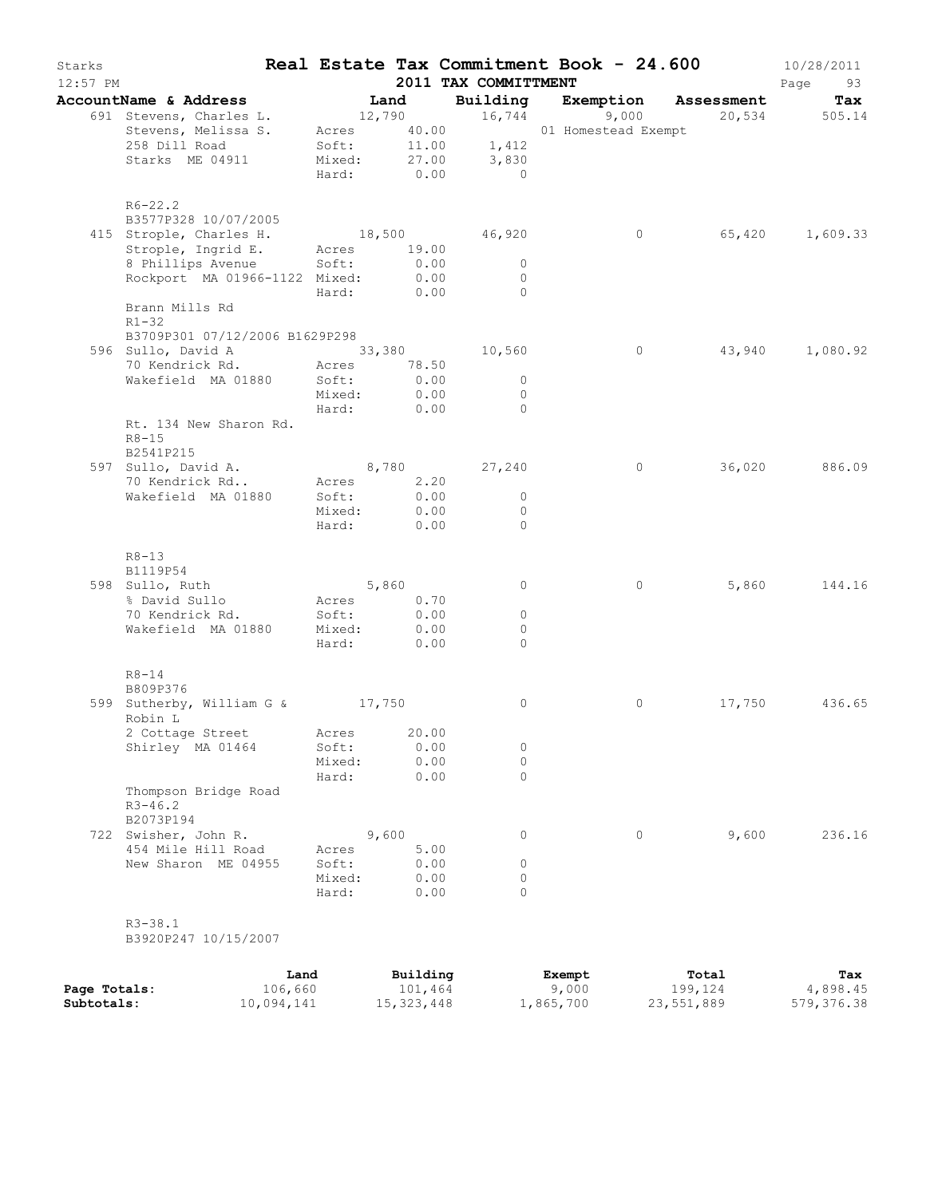| Starks<br>$12:57$ PM |                                                                                                                              |                      |              | 2011 TAX COMMITTMENT         | Real Estate Tax Commitment Book - 24.600 |        | 10/28/2011<br>Page<br>93 |
|----------------------|------------------------------------------------------------------------------------------------------------------------------|----------------------|--------------|------------------------------|------------------------------------------|--------|--------------------------|
|                      | AccountName & Address                                                                                                        | Land                 |              |                              | Building Exemption Assessment            |        | Tax                      |
|                      | 691 Stevens, Charles L.                                                                                                      |                      |              |                              | 12,790 16,744 9,000 20,534 505.14        |        |                          |
|                      | Stevens, Melissa S. Acres 40.00 01 Homestead Exempt<br>258 Dill Road Soft: 11.00 1,412<br>Starks ME 04911 Mixed: 27.00 3,830 |                      |              |                              |                                          |        |                          |
|                      |                                                                                                                              |                      |              | Hard: 0.00 0                 |                                          |        |                          |
|                      | $R6 - 22.2$<br>B3577P328 10/07/2005                                                                                          |                      |              |                              |                                          |        |                          |
|                      | 415 Strople, Charles H.                                                                                                      |                      |              | 18,500 46,920                | $\circ$                                  |        | 65,420 1,609.33          |
|                      | Strople, Ingrid E. Acres 19.00                                                                                               |                      |              |                              |                                          |        |                          |
|                      | 8 Phillips Avenue Soft:                                                                                                      |                      | 0.00         | $\overline{0}$               |                                          |        |                          |
|                      | Rockport MA 01966-1122 Mixed:                                                                                                | Hard: 0.00           | 0.00         | $\overline{0}$<br>$\bigcirc$ |                                          |        |                          |
|                      | Brann Mills Rd<br>$R1 - 32$                                                                                                  |                      |              |                              |                                          |        |                          |
|                      | B3709P301 07/12/2006 B1629P298                                                                                               |                      |              |                              |                                          |        |                          |
|                      | 596 Sullo, David A 33,380 10,560                                                                                             |                      |              |                              | $\circ$                                  |        | 43,940 1,080.92          |
|                      | 70 Kendrick Rd. Acres 78.50                                                                                                  |                      |              | $\overline{0}$               |                                          |        |                          |
|                      | Wakefield MA 01880                                                                                                           | Soft:<br>Mixed: 0.00 | 0.00         | $\overline{0}$               |                                          |        |                          |
|                      |                                                                                                                              | Hard: 0.00           |              | $\overline{0}$               |                                          |        |                          |
|                      | Rt. 134 New Sharon Rd.<br>$R8 - 15$                                                                                          |                      |              |                              |                                          |        |                          |
|                      | B2541P215                                                                                                                    |                      |              |                              |                                          |        |                          |
|                      | 597 Sullo, David A.                                                                                                          |                      |              | 8,780 27,240                 | $\circ$                                  |        | 36,020 886.09            |
|                      | 70 Kendrick Rd Acres 2.20<br>Wakefield MA 01880                                                                              | Soft:                | 0.00         | $\overline{0}$               |                                          |        |                          |
|                      |                                                                                                                              | Mixed: 0.00          |              | $\circ$                      |                                          |        |                          |
|                      |                                                                                                                              | Hard:                | 0.00         | $\Omega$                     |                                          |        |                          |
|                      | $R8 - 13$                                                                                                                    |                      |              |                              |                                          |        |                          |
|                      | B1119P54                                                                                                                     |                      |              |                              |                                          |        |                          |
|                      | 598 Sullo, Ruth                                                                                                              | 5,860                |              | $\circ$                      | $\circ$                                  | 5,860  | 144.16                   |
|                      | % David Sullo<br>70 Kendrick Rd.                                                                                             | Acres 0.70<br>Soft:  | 0.00         | $\circ$                      |                                          |        |                          |
|                      | Wakefield MA 01880 Mixed: 0.00                                                                                               |                      |              | $\Omega$                     |                                          |        |                          |
|                      |                                                                                                                              | Hard: 0.00           |              | $\Omega$                     |                                          |        |                          |
|                      | $R8 - 14$<br>B809P376                                                                                                        |                      |              |                              |                                          |        |                          |
|                      | 599 Sutherby, William G & 17,750<br>Robin L                                                                                  |                      |              | 0                            | $\circ$                                  | 17,750 | 436.65                   |
|                      | 2 Cottage Street Acres 20.00                                                                                                 |                      |              |                              |                                          |        |                          |
|                      | Shirley MA 01464                                                                                                             | Soft:                | 0.00         | 0                            |                                          |        |                          |
|                      |                                                                                                                              | Mixed:<br>Hard:      | 0.00<br>0.00 | $\circ$<br>$\Omega$          |                                          |        |                          |
|                      | Thompson Bridge Road<br>$R3 - 46.2$                                                                                          |                      |              |                              |                                          |        |                          |
|                      | B2073P194<br>722 Swisher, John R.                                                                                            |                      | 9,600        | $\circ$                      | 0                                        | 9,600  | 236.16                   |
|                      | 454 Mile Hill Road                                                                                                           | Acres                | 5.00         |                              |                                          |        |                          |
|                      | New Sharon ME 04955                                                                                                          | Soft:                | 0.00         | 0                            |                                          |        |                          |
|                      |                                                                                                                              | Mixed:               | 0.00         | 0                            |                                          |        |                          |
|                      |                                                                                                                              | Hard:                | 0.00         | $\Omega$                     |                                          |        |                          |
|                      | $R3 - 38.1$<br>B3920P247 10/15/2007                                                                                          |                      |              |                              |                                          |        |                          |
|                      | Land                                                                                                                         |                      | Building     |                              | Exempt                                   | Total  | Tax                      |

**Page Totals:** 106,660 101,464 9,000 199,124 4,898.45 **Subtotals:** 10,094,141 15,323,448 1,865,700 23,551,889 579,376.38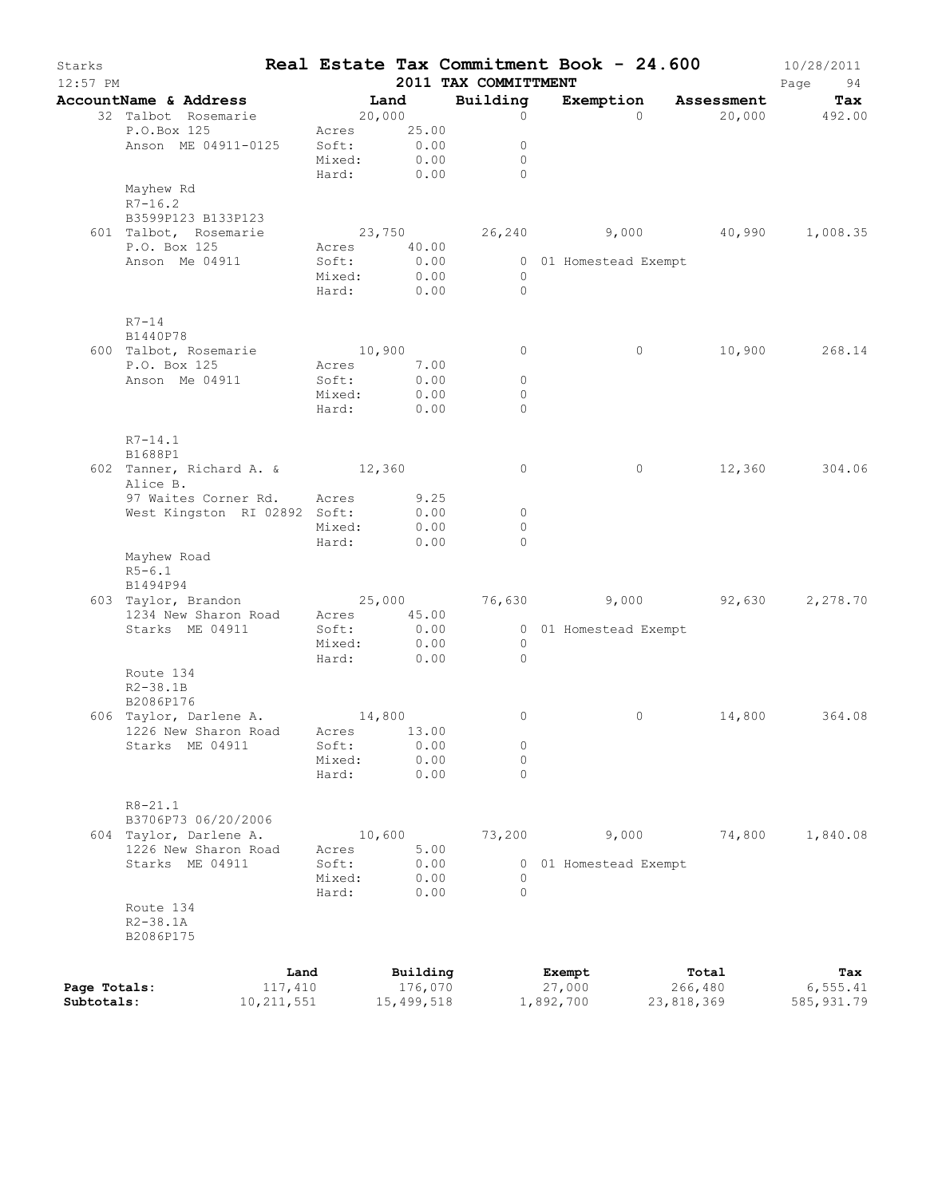| Starks<br>$12:57$ PM |                                             |         |                  |                       | Real Estate Tax Commitment Book - 24.600<br>2011 TAX COMMITTMENT |              |                       |            |            | 10/28/2011<br>Page<br>94 |
|----------------------|---------------------------------------------|---------|------------------|-----------------------|------------------------------------------------------------------|--------------|-----------------------|------------|------------|--------------------------|
|                      | AccountName & Address                       |         | <b>Example 1</b> |                       | Building                                                         |              | Exemption             |            | Assessment | Tax                      |
|                      | 32 Talbot Rosemarie                         |         | 20,000           |                       |                                                                  | $\circ$      |                       | $\Omega$   |            | 20,000 492.00            |
|                      | P.O.Box 125                                 |         |                  | Acres 25.00           |                                                                  |              |                       |            |            |                          |
|                      | Anson ME 04911-0125                         | Soft:   |                  | 0.00                  |                                                                  | $\circ$      |                       |            |            |                          |
|                      |                                             | Mixed:  |                  | 0.00                  |                                                                  | $\circ$      |                       |            |            |                          |
|                      |                                             | Hard:   |                  | 0.00                  |                                                                  | $\Omega$     |                       |            |            |                          |
|                      | Mayhew Rd                                   |         |                  |                       |                                                                  |              |                       |            |            |                          |
|                      | $R7 - 16.2$                                 |         |                  |                       |                                                                  |              |                       |            |            |                          |
|                      | B3599P123 B133P123                          |         |                  |                       |                                                                  |              |                       |            |            |                          |
|                      | 601 Talbot, Rosemarie<br>P.O. Box 125       |         |                  | 23,750<br>Acres 40.00 |                                                                  |              | 26,240 9,000          |            | 40,990     | 1,008.35                 |
|                      | Anson Me 04911                              | Soft:   |                  | 0.00                  |                                                                  |              | 0 01 Homestead Exempt |            |            |                          |
|                      |                                             | Mixed:  |                  | 0.00                  |                                                                  | $\circ$      |                       |            |            |                          |
|                      |                                             | Hard:   |                  | 0.00                  |                                                                  | $\Omega$     |                       |            |            |                          |
|                      | $R7-14$                                     |         |                  |                       |                                                                  |              |                       |            |            |                          |
|                      | B1440P78                                    |         |                  |                       |                                                                  |              |                       |            |            |                          |
|                      | 600 Talbot, Rosemarie                       |         | 10,900           |                       |                                                                  | 0            |                       | $\circ$    |            | 10,900 268.14            |
|                      | P.O. Box 125                                | Acres   |                  | 7.00                  |                                                                  |              |                       |            |            |                          |
|                      | Anson Me 04911                              | Soft:   |                  | 0.00                  |                                                                  | $\circ$      |                       |            |            |                          |
|                      |                                             | Mixed:  |                  | 0.00                  |                                                                  | $\circ$      |                       |            |            |                          |
|                      |                                             | Hard:   |                  | 0.00                  |                                                                  | $\Omega$     |                       |            |            |                          |
|                      | $R7 - 14.1$                                 |         |                  |                       |                                                                  |              |                       |            |            |                          |
|                      | B1688P1                                     |         |                  |                       |                                                                  |              |                       |            | 12,360     | 304.06                   |
|                      | 602 Tanner, Richard A. & 12,360<br>Alice B. |         |                  |                       |                                                                  | $\circ$      |                       | $\circ$    |            |                          |
|                      | 97 Waites Corner Rd. Acres                  |         |                  | 9.25                  |                                                                  |              |                       |            |            |                          |
|                      | West Kingston RI 02892 Soft:                |         |                  | 0.00                  |                                                                  | $\circ$      |                       |            |            |                          |
|                      |                                             | Mixed:  |                  | 0.00                  |                                                                  | $\circ$      |                       |            |            |                          |
|                      |                                             | Hard:   |                  | 0.00                  |                                                                  | $\Omega$     |                       |            |            |                          |
|                      | Mayhew Road                                 |         |                  |                       |                                                                  |              |                       |            |            |                          |
|                      | $R5 - 6.1$                                  |         |                  |                       |                                                                  |              |                       |            |            |                          |
|                      | B1494P94                                    |         |                  |                       |                                                                  |              |                       |            |            |                          |
|                      | 1234 New Sharon Road                        | Acres   |                  | 45.00                 |                                                                  |              |                       |            |            | 2,278.70                 |
|                      | Starks ME 04911                             | Soft:   |                  | 0.00                  |                                                                  |              | 0 01 Homestead Exempt |            |            |                          |
|                      |                                             | Mixed:  |                  | 0.00                  | $\overline{0}$                                                   |              |                       |            |            |                          |
|                      |                                             | Hard:   |                  | 0.00                  |                                                                  | $\mathbf{0}$ |                       |            |            |                          |
|                      | Route 134                                   |         |                  |                       |                                                                  |              |                       |            |            |                          |
|                      | $R2 - 38.1B$                                |         |                  |                       |                                                                  |              |                       |            |            |                          |
|                      | B2086P176                                   |         |                  |                       |                                                                  |              |                       |            |            |                          |
|                      | 606 Taylor, Darlene A.                      | 14,800  |                  |                       |                                                                  | 0            |                       | 0          | 14,800     | 364.08                   |
|                      | 1226 New Sharon Road Acres 13.00            |         |                  |                       |                                                                  |              |                       |            |            |                          |
|                      | Starks ME 04911                             | Soft:   |                  | 0.00                  |                                                                  | 0            |                       |            |            |                          |
|                      |                                             | Mixed:  |                  | 0.00                  |                                                                  | 0            |                       |            |            |                          |
|                      |                                             | Hard:   |                  | 0.00                  |                                                                  | $\circ$      |                       |            |            |                          |
|                      | $R8 - 21.1$                                 |         |                  |                       |                                                                  |              |                       |            |            |                          |
|                      | B3706P73 06/20/2006                         |         |                  |                       |                                                                  |              |                       |            |            |                          |
|                      | 604 Taylor, Darlene A.                      |         | 10,600           |                       | 73,200                                                           |              | 9,000                 |            | 74,800     | 1,840.08                 |
|                      | 1226 New Sharon Road                        | Acres   |                  | 5.00                  |                                                                  |              |                       |            |            |                          |
|                      | Starks ME 04911                             | Soft:   |                  | 0.00                  |                                                                  | 0            | 01 Homestead Exempt   |            |            |                          |
|                      |                                             | Mixed:  |                  | 0.00                  |                                                                  | 0            |                       |            |            |                          |
|                      |                                             | Hard:   |                  | 0.00                  |                                                                  | 0            |                       |            |            |                          |
|                      | Route 134                                   |         |                  |                       |                                                                  |              |                       |            |            |                          |
|                      | $R2 - 38.1A$                                |         |                  |                       |                                                                  |              |                       |            |            |                          |
|                      | B2086P175                                   |         |                  |                       |                                                                  |              |                       |            |            |                          |
|                      |                                             | Land    |                  | Building              |                                                                  |              | Exempt                |            | Total      | Tax                      |
| Page Totals:         |                                             | 117,410 |                  | 176,070               |                                                                  |              | 27,000                |            | 266,480    | 6, 555.41                |
| Subtotals:           | 10, 211, 551                                |         |                  | 15,499,518            |                                                                  |              | 1,892,700             | 23,818,369 |            | 585, 931.79              |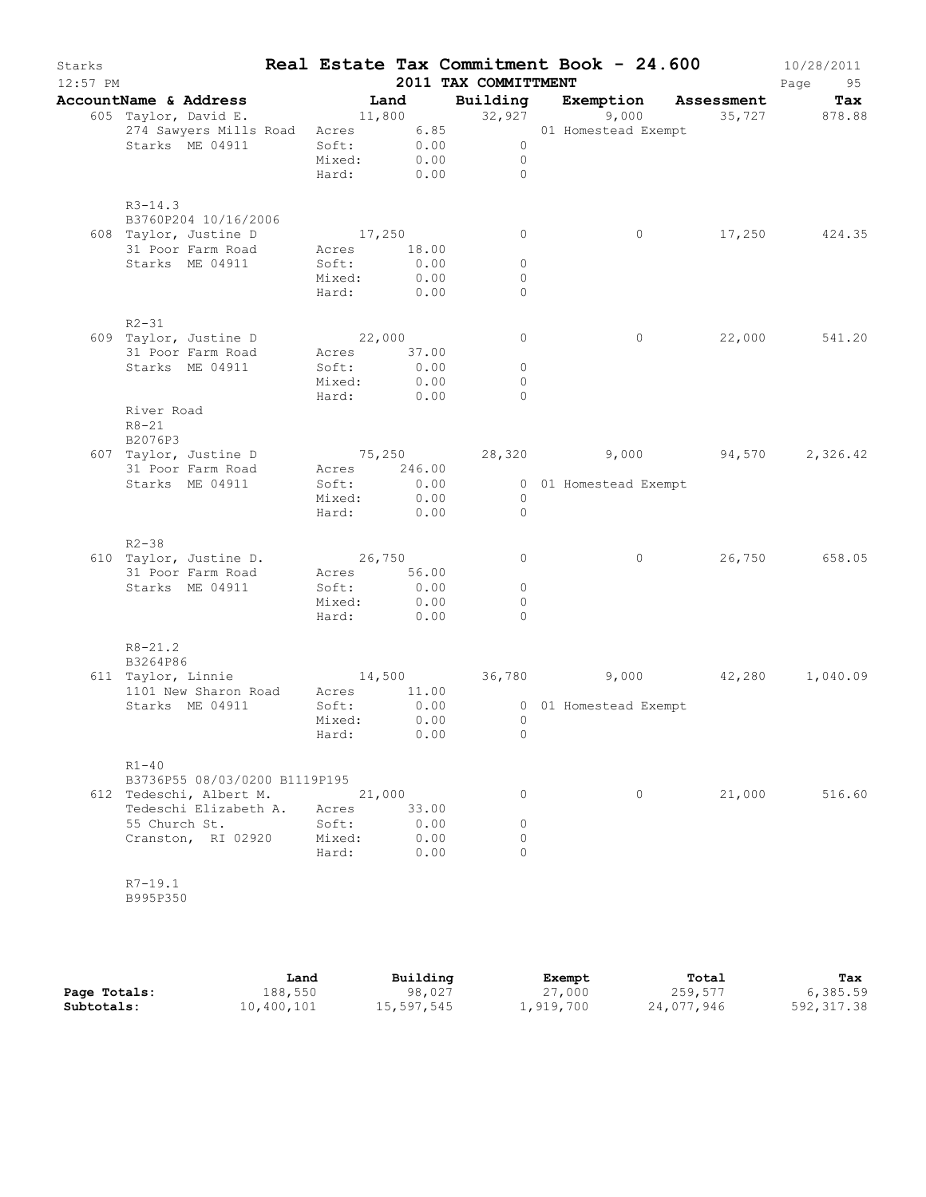| Starks<br>$12:57$ PM |                                     |                 |              | 2011 TAX COMMITTMENT | Real Estate Tax Commitment Book - 24.600 |                      | 10/28/2011<br>Page<br>95 |
|----------------------|-------------------------------------|-----------------|--------------|----------------------|------------------------------------------|----------------------|--------------------------|
|                      | AccountName & Address               | Land            |              | Building             |                                          | Exemption Assessment | Tax                      |
|                      | 605 Taylor, David E.                | 11,800          |              | 32,927               | 9,000                                    |                      | 35,727 878.88            |
|                      | 274 Sawyers Mills Road              | Acres           | 6.85         |                      | 01 Homestead Exempt                      |                      |                          |
|                      | Starks ME 04911                     | Soft:           | 0.00         | $\circ$              |                                          |                      |                          |
|                      |                                     | Mixed:          | 0.00         | $\circ$              |                                          |                      |                          |
|                      |                                     | Hard:           | 0.00         | $\Omega$             |                                          |                      |                          |
|                      | $R3 - 14.3$<br>B3760P204 10/16/2006 |                 |              |                      |                                          |                      |                          |
|                      | 608 Taylor, Justine D               | 17,250          |              | 0                    | $\circ$                                  | 17,250               | 424.35                   |
|                      | 31 Poor Farm Road                   | Acres           | 18.00        |                      |                                          |                      |                          |
|                      | Starks ME 04911                     | Soft:           | 0.00         | $\circ$              |                                          |                      |                          |
|                      |                                     | Mixed:          | 0.00         | $\circ$              |                                          |                      |                          |
|                      |                                     | Hard:           | 0.00         | $\Omega$             |                                          |                      |                          |
|                      | $R2 - 31$                           |                 |              |                      |                                          |                      |                          |
|                      | 609 Taylor, Justine D               | 22,000          |              | $\circ$              | $\circ$                                  | 22,000               | 541.20                   |
|                      | 31 Poor Farm Road                   | Acres           | 37.00        |                      |                                          |                      |                          |
|                      | Starks ME 04911                     | Soft:           | 0.00         | $\circ$              |                                          |                      |                          |
|                      |                                     | Mixed:          | 0.00         | $\circ$              |                                          |                      |                          |
|                      |                                     | Hard:           | 0.00         | $\Omega$             |                                          |                      |                          |
|                      | River Road<br>$R8 - 21$             |                 |              |                      |                                          |                      |                          |
|                      | B2076P3                             |                 |              |                      |                                          |                      |                          |
|                      | 607 Taylor, Justine D               | 75,250          |              | 28,320               |                                          | 9,000 94,570         | 2,326.42                 |
|                      | 31 Poor Farm Road                   | Acres           | 246.00       |                      |                                          |                      |                          |
|                      | Starks ME 04911                     | Soft:           | 0.00         |                      | 0 01 Homestead Exempt                    |                      |                          |
|                      |                                     | Mixed:          | 0.00         | $\overline{0}$       |                                          |                      |                          |
|                      |                                     | Hard:           | 0.00         | $\circ$              |                                          |                      |                          |
|                      | $R2 - 38$                           |                 |              |                      |                                          |                      |                          |
|                      | 610 Taylor, Justine D.              | 26,750          |              | 0                    | $\circ$                                  | 26,750               | 658.05                   |
|                      | 31 Poor Farm Road                   | Acres 56.00     |              |                      |                                          |                      |                          |
|                      | Starks ME 04911                     | Soft:           | 0.00<br>0.00 | $\circ$<br>$\circ$   |                                          |                      |                          |
|                      |                                     | Mixed:<br>Hard: | 0.00         | $\Omega$             |                                          |                      |                          |
|                      |                                     |                 |              |                      |                                          |                      |                          |
|                      | $R8 - 21.2$<br>B3264P86             |                 |              |                      |                                          |                      |                          |
|                      | 611 Taylor, Linnie                  | 14,500          |              | 36,780               | 9,000                                    | 42,280               | 1,040.09                 |
|                      | 1101 New Sharon Road                | Acres           | 11.00        |                      |                                          |                      |                          |
|                      | Starks ME 04911                     | Soft:           | 0.00         |                      | 0 01 Homestead Exempt                    |                      |                          |
|                      |                                     | Mixed:<br>Hard: | 0.00<br>0.00 | $\circ$<br>$\circ$   |                                          |                      |                          |
|                      | $R1-40$                             |                 |              |                      |                                          |                      |                          |
|                      | B3736P55 08/03/0200 B1119P195       |                 |              |                      |                                          |                      |                          |
|                      | 612 Tedeschi, Albert M.             | 21,000          |              | 0                    | $\circ$                                  | 21,000               | 516.60                   |
|                      | Tedeschi Elizabeth A.               | Acres           | 33.00        |                      |                                          |                      |                          |
|                      | 55 Church St.                       | Soft:           | 0.00         | 0                    |                                          |                      |                          |
|                      | Cranston, RI 02920                  | Mixed:          | 0.00         | 0                    |                                          |                      |                          |
|                      |                                     | Hard:           | 0.00         | $\Omega$             |                                          |                      |                          |
|                      | $R7 - 19.1$<br>B995P350             |                 |              |                      |                                          |                      |                          |
|                      |                                     |                 |              |                      |                                          |                      |                          |
|                      |                                     |                 |              |                      |                                          |                      |                          |

|              | Land       | Building   | Exempt    | Total      | Tax         |
|--------------|------------|------------|-----------|------------|-------------|
| Page Totals: | 188,550    | 98,027     | 27,000    | 259,577    | 6,385.59    |
| Subtotals:   | 10,400,101 | 15,597,545 | 1,919,700 | 24,077,946 | 592, 317.38 |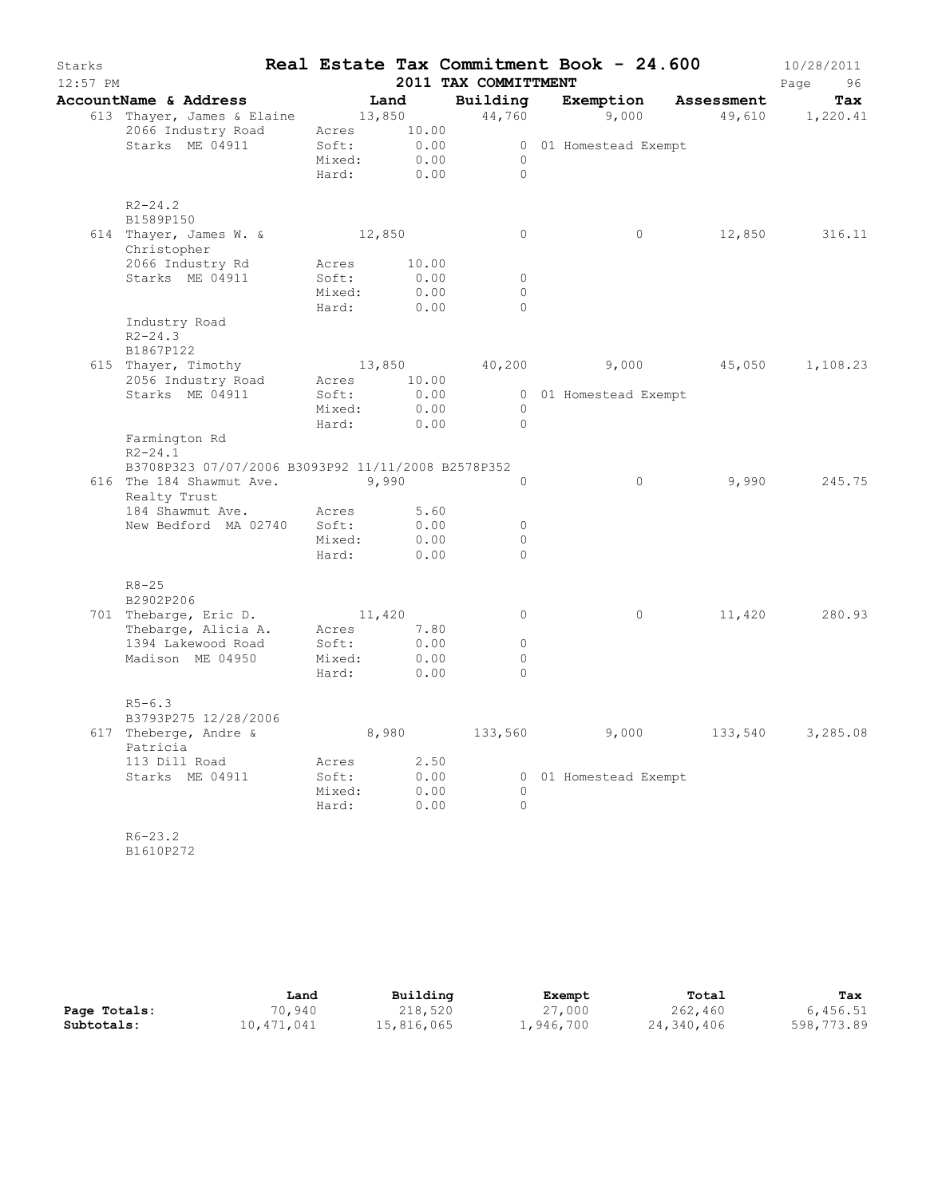| Starks<br>$12:57$ PM |                                                    |                 |              | 2011 TAX COMMITTMENT | Real Estate Tax Commitment Book - 24.600 |                 | 10/28/2011<br>Page<br>96 |
|----------------------|----------------------------------------------------|-----------------|--------------|----------------------|------------------------------------------|-----------------|--------------------------|
|                      | AccountName & Address                              | Land            |              |                      | Building Exemption Assessment            |                 | Tax                      |
|                      | 613 Thayer, James & Elaine 13,850                  |                 |              |                      | 44,760 9,000                             | 49,610 1,220.41 |                          |
|                      | 2066 Industry Road                                 | Acres 10.00     |              |                      |                                          |                 |                          |
|                      | Starks ME 04911                                    | Soft:           | 0.00         |                      | 0 01 Homestead Exempt                    |                 |                          |
|                      |                                                    | Mixed:          | 0.00         | $\circ$              |                                          |                 |                          |
|                      |                                                    | Hard:           | 0.00         | $\Omega$             |                                          |                 |                          |
|                      | $R2 - 24.2$                                        |                 |              |                      |                                          |                 |                          |
|                      | B1589P150<br>614 Thayer, James W. &                | 12,850          |              | 0                    | $\circ$                                  | 12,850          | 316.11                   |
|                      | Christopher                                        |                 |              |                      |                                          |                 |                          |
|                      | 2066 Industry Rd                                   | Acres           | 10.00        |                      |                                          |                 |                          |
|                      | Starks ME 04911                                    | Soft:           | 0.00         | $\circ$              |                                          |                 |                          |
|                      |                                                    | Mixed:          | 0.00         | $\circ$              |                                          |                 |                          |
|                      | Industry Road                                      | Hard:           | 0.00         | $\circ$              |                                          |                 |                          |
|                      | $R2 - 24.3$                                        |                 |              |                      |                                          |                 |                          |
|                      | B1867P122                                          |                 |              |                      |                                          |                 |                          |
|                      | 615 Thayer, Timothy                                | 13,850          |              |                      | 40,200 9,000 45,050                      |                 | 1,108.23                 |
|                      | 2056 Industry Road                                 | Acres 10.00     |              |                      |                                          |                 |                          |
|                      | Starks ME 04911                                    | Soft:           | 0.00         |                      | 0 01 Homestead Exempt                    |                 |                          |
|                      |                                                    | Mixed:          | 0.00         | $\circ$              |                                          |                 |                          |
|                      |                                                    | Hard:           | 0.00         | $\Omega$             |                                          |                 |                          |
|                      | Farmington Rd<br>$R2 - 24.1$                       |                 |              |                      |                                          |                 |                          |
|                      | B3708P323 07/07/2006 B3093P92 11/11/2008 B2578P352 |                 |              |                      |                                          |                 |                          |
|                      | 616 The 184 Shawmut Ave.                           |                 | 9,990        | $\Omega$             | $\circ$                                  | 9,990           | 245.75                   |
|                      | Realty Trust                                       |                 |              |                      |                                          |                 |                          |
|                      | 184 Shawmut Ave. Acres                             |                 | 5.60         |                      |                                          |                 |                          |
|                      | New Bedford MA 02740 Soft:                         |                 | 0.00<br>0.00 | $\circ$<br>$\circ$   |                                          |                 |                          |
|                      |                                                    | Mixed:<br>Hard: | 0.00         | $\Omega$             |                                          |                 |                          |
|                      |                                                    |                 |              |                      |                                          |                 |                          |
|                      | $R8 - 25$<br>B2902P206                             |                 |              |                      |                                          |                 |                          |
|                      | 701 Thebarge, Eric D.                              | 11,420          |              | $\circ$              | $\circ$                                  | 11,420          | 280.93                   |
|                      | Thebarge, Alicia A. Acres                          |                 | 7.80         |                      |                                          |                 |                          |
|                      | 1394 Lakewood Road                                 | Soft:           | 0.00         | $\circ$              |                                          |                 |                          |
|                      | Madison ME 04950                                   | Mixed:          | 0.00         | $\circ$              |                                          |                 |                          |
|                      |                                                    | Hard:           | 0.00         | $\Omega$             |                                          |                 |                          |
|                      | $R5 - 6.3$                                         |                 |              |                      |                                          |                 |                          |
|                      | B3793P275 12/28/2006                               |                 |              |                      |                                          |                 |                          |
|                      | 617 Theberge, Andre &<br>Patricia                  |                 | 8,980        | 133,560              | 9,000                                    | 133,540         | 3,285.08                 |
|                      | 113 Dill Road                                      | Acres           | 2.50         |                      |                                          |                 |                          |
|                      | Starks ME 04911                                    | Soft:           | 0.00         |                      | 0 01 Homestead Exempt                    |                 |                          |
|                      |                                                    | Mixed:          | 0.00         | $\Omega$             |                                          |                 |                          |
|                      |                                                    | Hard:           | 0.00         | $\circ$              |                                          |                 |                          |
|                      | $R6 - 23.2$                                        |                 |              |                      |                                          |                 |                          |
|                      | B1610P272                                          |                 |              |                      |                                          |                 |                          |

|              | Land       | Building   | Exempt    | Total      | Tax        |
|--------------|------------|------------|-----------|------------|------------|
| Page Totals: | 70,940     | 218,520    | 27,000    | 262,460    | 6,456.51   |
| Subtotals:   | 10,471,041 | 15,816,065 | 1,946,700 | 24,340,406 | 598,773.89 |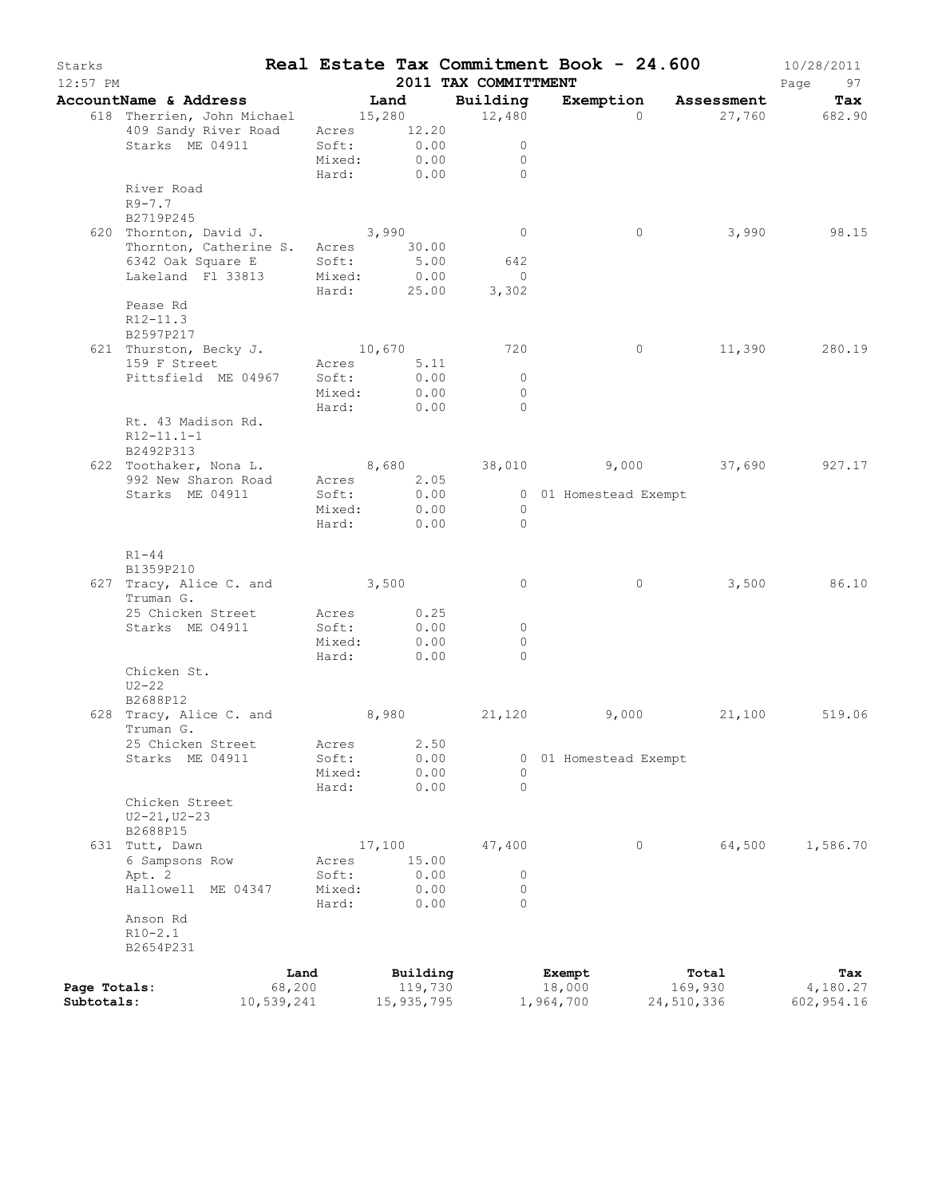| Starks<br>$12:57$ PM |                                                     |                 |                     | 2011 TAX COMMITTMENT |                       | Real Estate Tax Commitment Book - 24.600 | 10/28/2011<br>Page<br>97 |
|----------------------|-----------------------------------------------------|-----------------|---------------------|----------------------|-----------------------|------------------------------------------|--------------------------|
|                      | AccountName & Address Tand                          |                 |                     | Building             |                       | Exemption Assessment                     | Tax                      |
|                      | 618 Therrien, John Michael 15,280 12,480            |                 |                     |                      | $\Omega$              |                                          | 27,760 682.90            |
|                      | 409 Sandy River Road Acres 12.20                    |                 |                     |                      |                       |                                          |                          |
|                      | Starks ME 04911                                     |                 | Soft: 0.00          | $\overline{0}$       |                       |                                          |                          |
|                      |                                                     | Mixed:          | 0.00                | $\overline{0}$       |                       |                                          |                          |
|                      |                                                     |                 | Hard: 0.00          | $\bigcap$            |                       |                                          |                          |
|                      | River Road<br>$R9 - 7.7$                            |                 |                     |                      |                       |                                          |                          |
|                      | B2719P245                                           |                 |                     |                      |                       |                                          |                          |
|                      | 620 Thornton, David J.                              |                 | 3,990               | $\overline{0}$       | $\circ$               | 3,990                                    | 98.15                    |
|                      | Thornton, Catherine S. Acres 30.00                  |                 |                     |                      |                       |                                          |                          |
|                      |                                                     |                 | 5.00                | 642                  |                       |                                          |                          |
|                      | 6342 Oak Square E Soft:<br>Lakeland Fl 33813 Mixed: |                 | 0.00                | $\overline{0}$       |                       |                                          |                          |
|                      |                                                     |                 |                     | Hard: 25.00 3,302    |                       |                                          |                          |
|                      | Pease Rd                                            |                 |                     |                      |                       |                                          |                          |
|                      | R12-11.3                                            |                 |                     |                      |                       |                                          |                          |
|                      | B2597P217<br>621 Thurston, Becky J. 10,670          |                 |                     | 720                  | $\overline{0}$        |                                          | 11,390 280.19            |
|                      | 159 F Street                                        |                 | Acres 5.11          |                      |                       |                                          |                          |
|                      | Pittsfield ME 04967                                 | Soft:           | 0.00                | $\overline{0}$       |                       |                                          |                          |
|                      |                                                     |                 | Mixed: 0.00         | $\Omega$             |                       |                                          |                          |
|                      |                                                     |                 | Hard: 0.00          | $\bigcirc$           |                       |                                          |                          |
|                      | Rt. 43 Madison Rd.                                  |                 |                     |                      |                       |                                          |                          |
|                      | $R12-11.1-1$                                        |                 |                     |                      |                       |                                          |                          |
|                      | B2492P313                                           |                 |                     |                      |                       |                                          |                          |
|                      | 622 Toothaker, Nona L. 8,680 38,010 9,000 37,690    |                 |                     |                      |                       |                                          | 927.17                   |
|                      | 992 New Sharon Road                                 |                 | Acres 2.05          |                      |                       |                                          |                          |
|                      | Starks ME 04911                                     | Soft:           | 0.00<br>Mixed: 0.00 | $\overline{0}$       | 0 01 Homestead Exempt |                                          |                          |
|                      |                                                     | Hard:           | 0.00                | $\bigcirc$           |                       |                                          |                          |
|                      |                                                     |                 |                     |                      |                       |                                          |                          |
|                      | $R1 - 44$                                           |                 |                     |                      |                       |                                          |                          |
|                      | B1359P210                                           |                 |                     |                      |                       |                                          |                          |
|                      | 627 Tracy, Alice C. and 3,500                       |                 |                     | $\overline{0}$       | $\circ$               | 3,500                                    | 86.10                    |
|                      | Truman G.                                           |                 |                     |                      |                       |                                          |                          |
|                      | 25 Chicken Street                                   |                 | Acres 0.25          |                      |                       |                                          |                          |
|                      | Starks ME 04911                                     | Soft:<br>Mixed: | 0.00<br>0.00        | $\circ$<br>$\circ$   |                       |                                          |                          |
|                      |                                                     | Hard:           | 0.00                | $\Omega$             |                       |                                          |                          |
|                      | Chicken St.                                         |                 |                     |                      |                       |                                          |                          |
|                      | $U2 - 22$                                           |                 |                     |                      |                       |                                          |                          |
|                      | B2688P12                                            |                 |                     |                      |                       |                                          |                          |
|                      | 628 Tracy, Alice C. and 8,980 21,120                |                 |                     |                      | 9,000                 | 21,100 519.06                            |                          |
|                      | Truman G.                                           |                 |                     |                      |                       |                                          |                          |
|                      | 25 Chicken Street                                   | Acres           | 2.50                |                      |                       |                                          |                          |
|                      | Starks ME 04911                                     | Soft:           | 0.00<br>0.00        | $\circ$              | 0 01 Homestead Exempt |                                          |                          |
|                      |                                                     | Mixed:<br>Hard: | 0.00                | $\circ$              |                       |                                          |                          |
|                      | Chicken Street                                      |                 |                     |                      |                       |                                          |                          |
|                      | $U2 - 21, U2 - 23$                                  |                 |                     |                      |                       |                                          |                          |
|                      | B2688P15                                            |                 |                     |                      |                       |                                          |                          |
|                      | 631 Tutt, Dawn                                      |                 | 17,100              | 47,400               | 0                     | 64,500                                   | 1,586.70                 |
|                      | 6 Sampsons Row                                      | Acres           | 15.00               |                      |                       |                                          |                          |
|                      | Apt. 2                                              | Soft:           | 0.00                | 0                    |                       |                                          |                          |
|                      | Hallowell ME 04347                                  | Mixed:          | 0.00                | $\circ$              |                       |                                          |                          |
|                      | Anson Rd                                            | Hard:           | 0.00                | $\Omega$             |                       |                                          |                          |
|                      | $R10-2.1$                                           |                 |                     |                      |                       |                                          |                          |
|                      | B2654P231                                           |                 |                     |                      |                       |                                          |                          |
|                      |                                                     |                 |                     |                      |                       |                                          |                          |
| Page Totals:         |                                                     | Land<br>68,200  | Building<br>119,730 |                      | Exempt<br>18,000      | Total<br>169,930                         | Tax<br>4,180.27          |
| Subtotals:           | 10,539,241                                          |                 | 15,935,795          |                      | 1,964,700             | 24,510,336                               | 602,954.16               |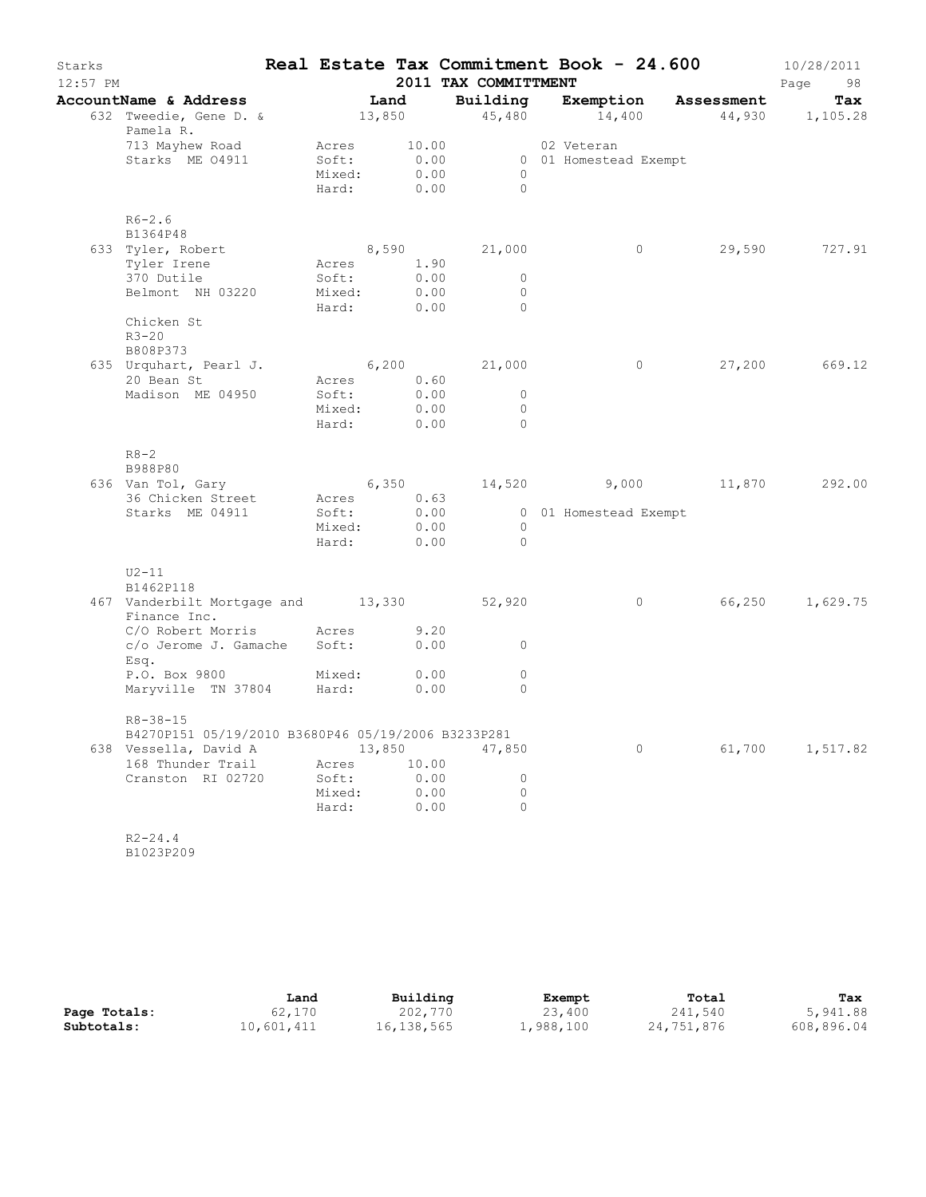| Starks<br>$12:57$ PM |                                                                                         |                |                           | 2011 TAX COMMITTMENT |                       | Real Estate Tax Commitment Book - 24.600   | 10/28/2011<br>Page<br>98 |
|----------------------|-----------------------------------------------------------------------------------------|----------------|---------------------------|----------------------|-----------------------|--------------------------------------------|--------------------------|
|                      | AccountName & Address [Land                                                             |                |                           |                      |                       | Building Exemption Assessment              | Tax                      |
|                      | 632 Tweedie, Gene D. & 13,850 45,480 14,400 44,930 1,105.28<br>Pamela R.                |                |                           |                      |                       |                                            |                          |
|                      | 713 Mayhew Road Mcres 10.00 02 Veteran 3tarks ME 04911 5oft: 0.00 0.01 Homestead Exempt |                | Mixed: 0.00<br>Hard: 0.00 | $\overline{0}$       |                       |                                            |                          |
|                      | $R6 - 2.6$                                                                              |                |                           |                      |                       |                                            |                          |
|                      | B1364P48<br>633 Tyler, Robert                                                           |                | 8,590                     | 21,000               | $\overline{0}$        |                                            | 29,590 727.91            |
|                      | Tyler Irene Mcres 1.90                                                                  |                |                           |                      |                       |                                            |                          |
|                      | 370 Dutile                                                                              | Soft:          |                           | 0.00<br>$\circ$      |                       |                                            |                          |
|                      | Belmont NH 03220 Mixed:                                                                 |                |                           | 0.00<br>$\circ$      |                       |                                            |                          |
|                      | Chicken St<br>$R3 - 20$                                                                 | Hard:          | 0.00                      | $\mathbf{0}$         |                       |                                            |                          |
|                      | B808P373                                                                                |                |                           |                      |                       |                                            |                          |
|                      | 635 Urquhart, Pearl J. 6,200                                                            |                |                           | 21,000               |                       | $\overline{0}$                             | 27,200 669.12            |
|                      | 20 Bean St<br>Madison ME 04950                                                          | Acres<br>Soft: | 0.60<br>0.00              | $\overline{0}$       |                       |                                            |                          |
|                      |                                                                                         |                | Mixed: 0.00               | $\circ$              |                       |                                            |                          |
|                      |                                                                                         | Hard:          | 0.00                      | $\circ$              |                       |                                            |                          |
|                      | $R8 - 2$                                                                                |                |                           |                      |                       |                                            |                          |
|                      | B988P80<br>636 Van Tol, Gary                                                            |                |                           |                      |                       | $6,350$ $14,520$ $9,000$ $11,870$ $292.00$ |                          |
|                      | 36 Chicken Street                                                                       |                | Acres 0.63                |                      |                       |                                            |                          |
|                      | Starks ME 04911                                                                         | Soft:          |                           | 0.00                 | 0 01 Homestead Exempt |                                            |                          |
|                      |                                                                                         |                | Mixed: 0.00               | $\overline{0}$       |                       |                                            |                          |
|                      |                                                                                         | Hard:          | 0.00                      | $\bigcirc$           |                       |                                            |                          |
|                      | $U2-11$<br>B1462P118                                                                    |                |                           |                      |                       |                                            |                          |
|                      | 467 Vanderbilt Mortgage and 13,330 52,920<br>Finance Inc.                               |                |                           |                      | $\overline{0}$        |                                            | 66,250 1,629.75          |
|                      | C/O Robert Morris Acres 9.20                                                            |                |                           |                      |                       |                                            |                          |
|                      | c/o Jerome J. Gamache Soft:<br>Esq.                                                     |                | 0.00                      | $\mathbf{0}$         |                       |                                            |                          |
|                      | P.O. Box 9800 Mixed:<br>Maryville TN 37804 Hard:                                        |                | 0.00<br>0.00              | $\circ$<br>$\circ$   |                       |                                            |                          |
|                      | $R8 - 38 - 15$                                                                          |                |                           |                      |                       |                                            |                          |
|                      | B4270P151 05/19/2010 B3680P46 05/19/2006 B3233P281                                      |                |                           |                      |                       |                                            |                          |
|                      | 638 Vessella, David A<br>168 Thunder Trail                                              |                | 13,850<br>10.00           | 47,850               | $\circ$               | 61,700                                     | 1,517.82                 |
|                      | Cranston RI 02720                                                                       | Acres<br>Soft: | 0.00                      | 0                    |                       |                                            |                          |
|                      |                                                                                         | Mixed:         | 0.00                      | 0                    |                       |                                            |                          |
|                      |                                                                                         | Hard:          | 0.00                      | $\circ$              |                       |                                            |                          |
|                      | $R2 - 24.4$<br>B1023P209                                                                |                |                           |                      |                       |                                            |                          |

|              | Land       | Building   | Exempt    | Total      | Tax        |
|--------------|------------|------------|-----------|------------|------------|
| Page Totals: | 62,170     | 202,770    | 23,400    | 241,540    | 5,941.88   |
| Subtotals:   | 10,601,411 | 16,138,565 | 1,988,100 | 24,751,876 | 608,896.04 |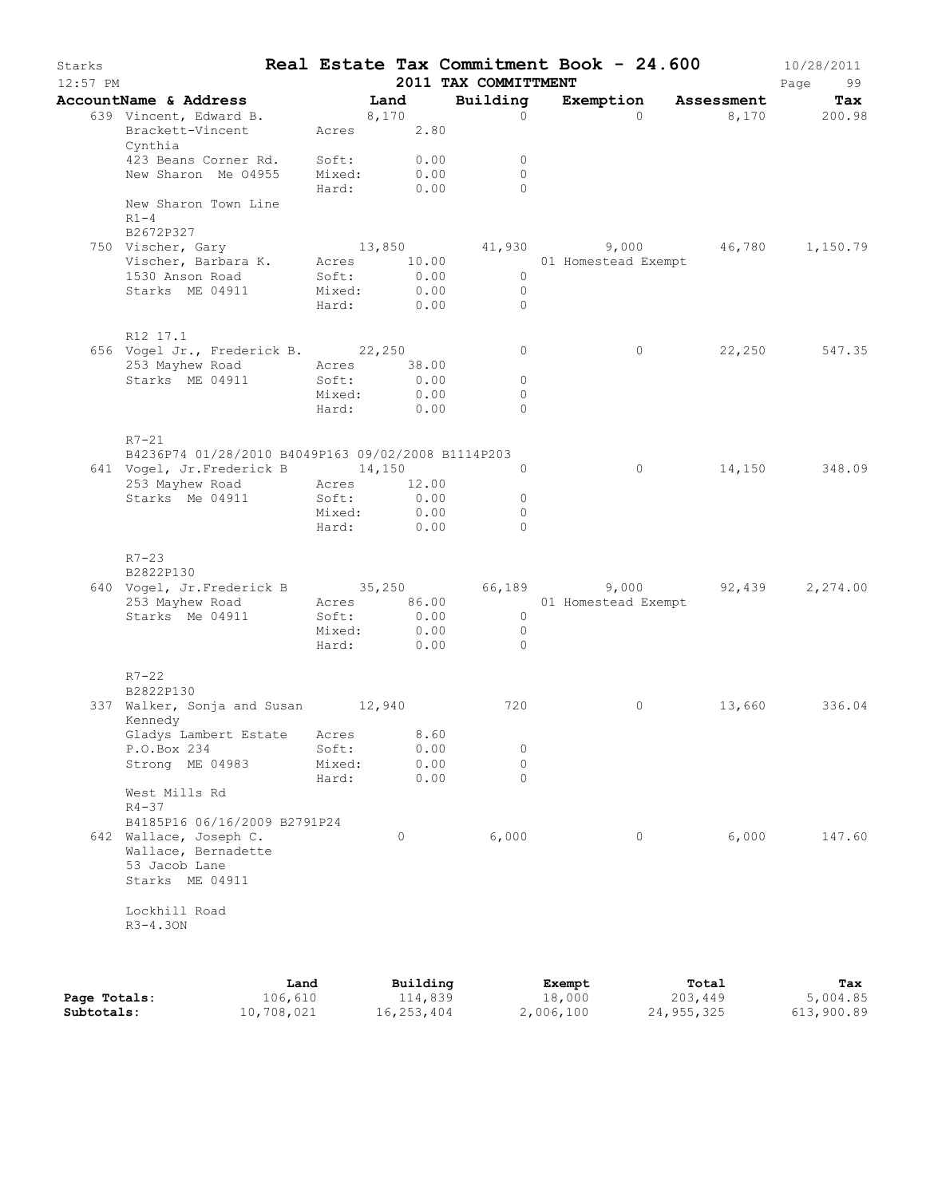| Starks<br>$12:57$ PM |                                                                                        |                 |                           | 2011 TAX COMMITTMENT |                                 | Real Estate Tax Commitment Book - 24.600      | 10/28/2011<br>Page<br>99 |
|----------------------|----------------------------------------------------------------------------------------|-----------------|---------------------------|----------------------|---------------------------------|-----------------------------------------------|--------------------------|
|                      | AccountName & Address                                                                  | Land            |                           | Building             |                                 | Exemption Assessment                          | Tax                      |
|                      | 639 Vincent, Edward B.<br>Brackett-Vincent<br>Cynthia                                  | 8,170           | Acres 2.80                | $\Omega$             | $\Omega$                        |                                               | 8,170 200.98             |
|                      | 423 Beans Corner Rd.                                                                   |                 | Soft: 0.00                | $\circ$              |                                 |                                               |                          |
|                      | New Sharon Me 04955                                                                    |                 | Mixed: 0.00<br>Hard: 0.00 | $\Omega$<br>$\Omega$ |                                 |                                               |                          |
|                      | New Sharon Town Line<br>$R1 - 4$<br>B2672P327                                          |                 |                           |                      |                                 |                                               |                          |
|                      | 750 Vischer, Gary                                                                      |                 |                           |                      |                                 | $13,850$ $41,930$ $9,000$ $46,780$ $1,150.79$ |                          |
|                      | Vischer, Barbara K. Acres 10.00                                                        |                 |                           |                      | 01 Homestead Exempt             |                                               |                          |
|                      | 1530 Anson Road                                                                        | Soft:           | 0.00                      | $\overline{0}$       |                                 |                                               |                          |
|                      | Starks ME 04911                                                                        | Mixed:          | 0.00                      | $\overline{0}$       |                                 |                                               |                          |
|                      |                                                                                        |                 | Hard: 0.00                | $\overline{0}$       |                                 |                                               |                          |
|                      | R12 17.1<br>656 Vogel Jr., Frederick B. 22,250                                         |                 |                           | $\circ$              | $\circ$                         |                                               | 22,250 547.35            |
|                      | 253 Mayhew Road                                                                        | Acres 38.00     |                           |                      |                                 |                                               |                          |
|                      | Starks ME 04911                                                                        | Soft:           | 0.00                      | $\circ$              |                                 |                                               |                          |
|                      |                                                                                        | Mixed:          | 0.00                      | $\Omega$             |                                 |                                               |                          |
|                      |                                                                                        |                 | Hard: 0.00                | $\Omega$             |                                 |                                               |                          |
|                      | $R7-21$                                                                                |                 |                           |                      |                                 |                                               |                          |
|                      | B4236P74 01/28/2010 B4049P163 09/02/2008 B1114P203<br>641 Vogel, Jr.Frederick B 14,150 |                 |                           | $\circ$              | $\circ$                         |                                               | 14,150 348.09            |
|                      | 253 Mayhew Road                                                                        | Acres 12.00     |                           |                      |                                 |                                               |                          |
|                      | Starks Me 04911                                                                        | Soft:           | 0.00                      | $\circ$              |                                 |                                               |                          |
|                      |                                                                                        | Mixed:          | 0.00                      | $\circ$              |                                 |                                               |                          |
|                      |                                                                                        |                 | Hard: 0.00                | $\Omega$             |                                 |                                               |                          |
|                      | $R7 - 23$                                                                              |                 |                           |                      |                                 |                                               |                          |
|                      | B2822P130<br>640 Vogel, Jr.Frederick B 35,250 66,189 9,000 92,439                      |                 |                           |                      |                                 |                                               | 2,274.00                 |
|                      | 253 Mayhew Road                                                                        |                 |                           |                      | Acres 86.00 01 Homestead Exempt |                                               |                          |
|                      | Starks Me 04911                                                                        |                 | Soft: 0.00                | $\overline{0}$       |                                 |                                               |                          |
|                      |                                                                                        | Mixed:          | 0.00                      | $\overline{0}$       |                                 |                                               |                          |
|                      |                                                                                        |                 | Hard: 0.00                | $\overline{0}$       |                                 |                                               |                          |
|                      | $R7 - 22$<br>B2822P130                                                                 |                 |                           |                      |                                 |                                               |                          |
|                      | 337 Walker, Sonja and Susan 12,940<br>Kennedy                                          |                 |                           | 720                  | 0                               | 13,660                                        | 336.04                   |
|                      | Gladys Lambert Estate Acres                                                            |                 | 8.60                      |                      |                                 |                                               |                          |
|                      | P.O.Box 234                                                                            | Soft:           | 0.00                      | $\circ$              |                                 |                                               |                          |
|                      | Strong ME 04983                                                                        | Mixed:<br>Hard: | 0.00<br>0.00              | $\circ$<br>$\Omega$  |                                 |                                               |                          |
|                      | West Mills Rd<br>$R4 - 37$                                                             |                 |                           |                      |                                 |                                               |                          |
|                      | B4185P16 06/16/2009 B2791P24                                                           |                 |                           |                      |                                 |                                               |                          |
|                      | 642 Wallace, Joseph C.                                                                 |                 | $\circ$                   | 6,000                | $\circ$                         | 6,000                                         | 147.60                   |
|                      | Wallace, Bernadette                                                                    |                 |                           |                      |                                 |                                               |                          |
|                      | 53 Jacob Lane<br>Starks ME 04911                                                       |                 |                           |                      |                                 |                                               |                          |
|                      | Lockhill Road                                                                          |                 |                           |                      |                                 |                                               |                          |
|                      | $R3-4.30N$                                                                             |                 |                           |                      |                                 |                                               |                          |
|                      |                                                                                        |                 |                           |                      |                                 |                                               |                          |
|                      |                                                                                        |                 |                           |                      |                                 |                                               |                          |

|              | Land       | Building   | Exempt    | Total      | Tax        |
|--------------|------------|------------|-----------|------------|------------|
| Page Totals: | 106,610    | 114,839    | 18,000    | 203,449    | 5,004.85   |
| Subtotals:   | 10,708,021 | 16,253,404 | 2,006,100 | 24,955,325 | 613,900.89 |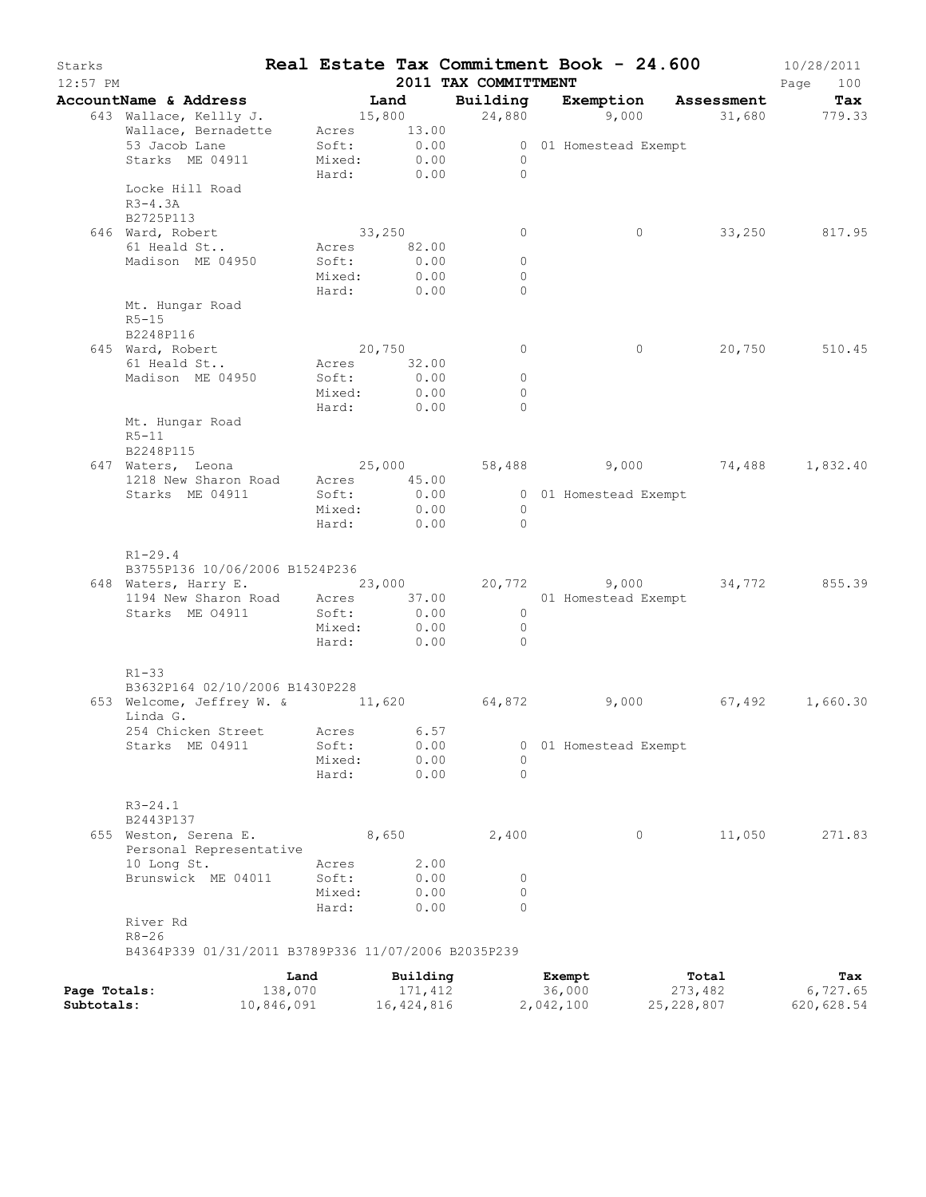| Starks<br>$12:57$ PM |                                                                |        |                           | 2011 TAX COMMITTMENT         | Real Estate Tax Commitment Book - 24.600 |                   | 10/28/2011<br>Page<br>100 |
|----------------------|----------------------------------------------------------------|--------|---------------------------|------------------------------|------------------------------------------|-------------------|---------------------------|
|                      | AccountName & Address                                          | Land   |                           |                              | Building Exemption Assessment            |                   | Tax                       |
|                      | 643 Wallace, Kellly J.                                         |        | 15,800                    |                              | $24,880$ 9,000 31,680 779.33             |                   |                           |
|                      | Wallace, Bernadette Acres 13.00                                |        |                           |                              |                                          |                   |                           |
|                      | 53 Jacob Lane                                                  |        |                           |                              | 0 01 Homestead Exempt                    |                   |                           |
|                      | Starks ME 04911                                                |        | Soft: 0.00<br>Mixed: 0.00 | $\overline{0}$               |                                          |                   |                           |
|                      |                                                                |        | Hard: 0.00                | $\bigcirc$                   |                                          |                   |                           |
|                      | Locke Hill Road                                                |        |                           |                              |                                          |                   |                           |
|                      | $R3-4.3A$                                                      |        |                           |                              |                                          |                   |                           |
|                      | B2725P113                                                      |        |                           |                              |                                          |                   |                           |
|                      | 646 Ward, Robert                                               |        | 33,250                    | $\circ$                      | $\circ$                                  |                   | 33,250 817.95             |
|                      | 61 Heald St                                                    |        | Acres 82.00               |                              |                                          |                   |                           |
|                      | Madison ME 04950                                               | Soft:  | 0.00                      | $\circ$                      |                                          |                   |                           |
|                      |                                                                |        | Mixed: 0.00               | $\mathbf{0}$                 |                                          |                   |                           |
|                      |                                                                |        | Hard: 0.00                | $\circ$                      |                                          |                   |                           |
|                      | Mt. Hungar Road<br>$R5-15$                                     |        |                           |                              |                                          |                   |                           |
|                      | B2248P116                                                      |        |                           |                              |                                          |                   |                           |
|                      | 645 Ward, Robert                                               |        | 20,750                    | 0                            | $\circ$                                  |                   | 20,750 510.45             |
|                      | 61 Heald St                                                    |        | Acres 32.00               |                              |                                          |                   |                           |
|                      | Madison ME 04950                                               | Soft:  | 0.00                      | $\circ$                      |                                          |                   |                           |
|                      |                                                                |        | Mixed: 0.00               | $\circ$                      |                                          |                   |                           |
|                      |                                                                |        | Hard: 0.00                | $\Omega$                     |                                          |                   |                           |
|                      | Mt. Hungar Road                                                |        |                           |                              |                                          |                   |                           |
|                      | $R5 - 11$                                                      |        |                           |                              |                                          |                   |                           |
|                      | B2248P115                                                      |        |                           |                              |                                          |                   |                           |
|                      | 647 Waters, Leona                                              |        |                           |                              | $25,000$ 58,488 9,000 74,488 1,832.40    |                   |                           |
|                      | 1218 New Sharon Road Acres 45.00                               |        |                           |                              |                                          |                   |                           |
|                      | Starks ME 04911                                                | Soft:  | 0.00                      |                              | 0 01 Homestead Exempt                    |                   |                           |
|                      |                                                                | Hard:  | Mixed: 0.00<br>0.00       | $\overline{0}$<br>$\bigcirc$ |                                          |                   |                           |
|                      | $R1 - 29.4$                                                    |        |                           |                              |                                          |                   |                           |
|                      | B3755P136 10/06/2006 B1524P236                                 |        |                           |                              |                                          |                   |                           |
|                      | 648 Waters, Harry E. 23,000 20,772 9,000 34,772 855.39         |        |                           |                              |                                          |                   |                           |
|                      | 1194 New Sharon Road Acres 37.00<br>Starks ME 04911 Soft: 0.00 |        |                           |                              | 01 Homestead Exempt                      |                   |                           |
|                      |                                                                |        |                           | $\overline{0}$               |                                          |                   |                           |
|                      |                                                                |        | Mixed: 0.00               | $\overline{0}$<br>$\bigcirc$ |                                          |                   |                           |
|                      |                                                                |        | Hard: 0.00                |                              |                                          |                   |                           |
|                      | $R1 - 33$                                                      |        |                           |                              |                                          |                   |                           |
|                      | B3632P164 02/10/2006 B1430P228                                 |        |                           |                              |                                          |                   |                           |
|                      | 653 Welcome, Jeffrey W. & 11,620 64,872                        |        |                           |                              | 9,000                                    | $67,492$ 1,660.30 |                           |
|                      | Linda G.                                                       |        |                           |                              |                                          |                   |                           |
|                      | 254 Chicken Street Acres 6.57                                  |        |                           |                              |                                          |                   |                           |
|                      | Starks ME 04911                                                | Soft:  | 0.00                      | 0                            | 01 Homestead Exempt                      |                   |                           |
|                      |                                                                | Mixed: | 0.00                      | 0                            |                                          |                   |                           |
|                      |                                                                | Hard:  | 0.00                      | $\Omega$                     |                                          |                   |                           |
|                      | $R3 - 24.1$                                                    |        |                           |                              |                                          |                   |                           |
|                      | B2443P137                                                      |        |                           |                              |                                          |                   |                           |
|                      | 655 Weston, Serena E.                                          |        | 8,650                     | 2,400                        | 0                                        | 11,050            | 271.83                    |
|                      | Personal Representative                                        |        |                           |                              |                                          |                   |                           |
|                      | 10 Long St.                                                    | Acres  | 2.00                      |                              |                                          |                   |                           |
|                      | Brunswick ME 04011                                             | Soft:  | 0.00                      | 0                            |                                          |                   |                           |
|                      |                                                                | Mixed: | 0.00                      | $\circ$                      |                                          |                   |                           |
|                      |                                                                | Hard:  | 0.00                      | $\Omega$                     |                                          |                   |                           |
|                      | River Rd                                                       |        |                           |                              |                                          |                   |                           |
|                      | $R8 - 26$                                                      |        |                           |                              |                                          |                   |                           |
|                      | B4364P339 01/31/2011 B3789P336 11/07/2006 B2035P239            |        |                           |                              |                                          |                   |                           |
|                      | Land                                                           |        | Building                  |                              | Exempt                                   | Total             | Tax                       |
| Page Totals:         | 138,070                                                        |        | 171,412                   |                              | 36,000                                   | 273,482           | 6,727.65                  |
| Subtotals:           | 10,846,091                                                     |        | 16,424,816                |                              | 2,042,100                                | 25, 228, 807      | 620,628.54                |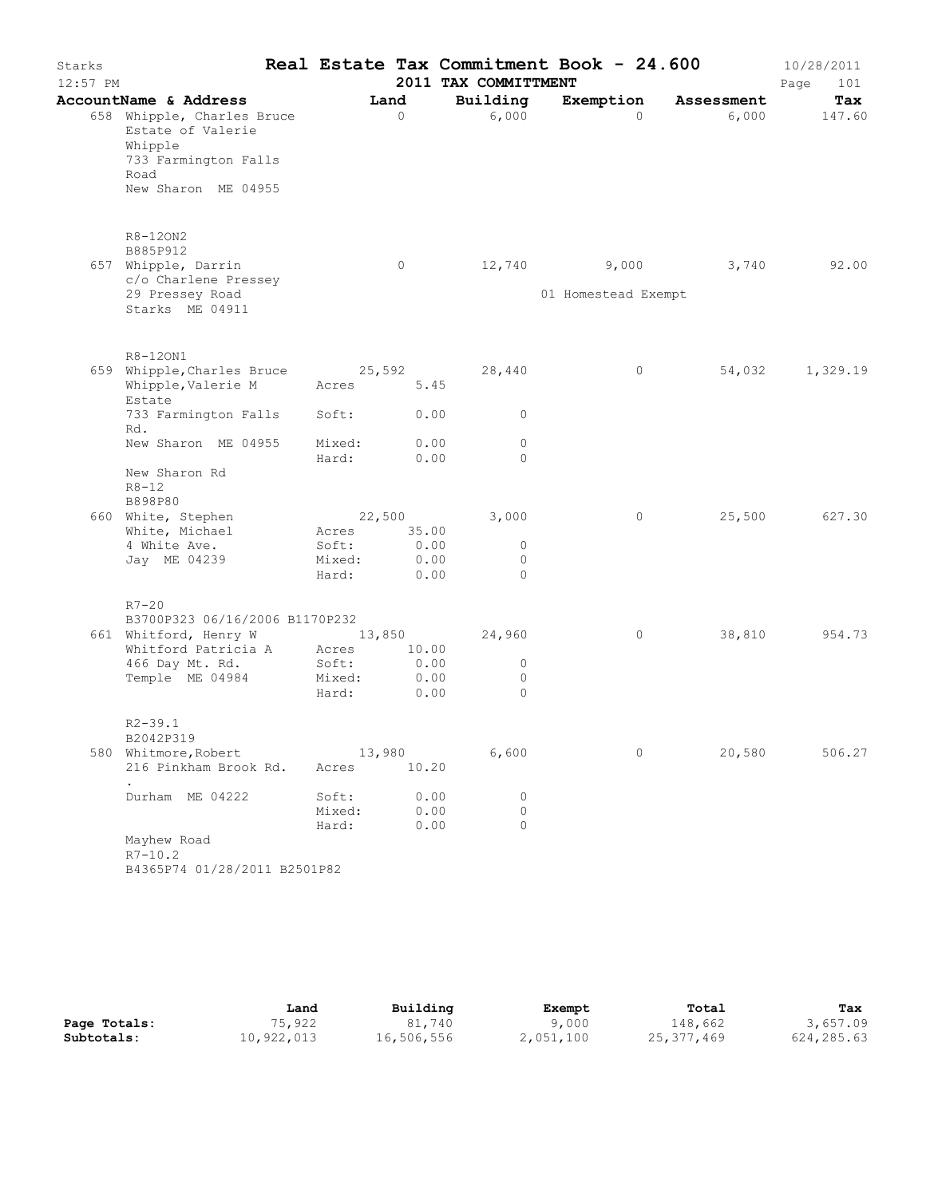| Starks<br>12:57 PM |                                                                                                                   |                 |              | 2011 TAX COMMITTMENT | Real Estate Tax Commitment Book - 24.600 |            | 10/28/2011<br>101<br>Page |
|--------------------|-------------------------------------------------------------------------------------------------------------------|-----------------|--------------|----------------------|------------------------------------------|------------|---------------------------|
|                    | AccountName & Address                                                                                             |                 | Land         | Building             | Exemption                                | Assessment | Tax                       |
|                    | 658 Whipple, Charles Bruce<br>Estate of Valerie<br>Whipple<br>733 Farmington Falls<br>Road<br>New Sharon ME 04955 |                 | $\circ$      | 6,000                | $\Omega$                                 | 6,000      | 147.60                    |
|                    | R8-120N2<br>B885P912<br>657 Whipple, Darrin<br>c/o Charlene Pressey                                               |                 | 0            |                      | 12,740 9,000                             | 3,740      | 92.00                     |
|                    | 29 Pressey Road<br>Starks ME 04911                                                                                |                 |              |                      | 01 Homestead Exempt                      |            |                           |
|                    | R8-120N1                                                                                                          |                 |              |                      |                                          |            |                           |
|                    | 659 Whipple, Charles Bruce 25,592<br>Whipple, Valerie M<br>Estate                                                 | Acres           | 5.45         | 28,440               | $\circ$                                  | 54,032     | 1,329.19                  |
|                    | 733 Farmington Falls<br>Rd.                                                                                       | Soft:           | 0.00         | $\circ$              |                                          |            |                           |
|                    | New Sharon ME 04955                                                                                               | Mixed:<br>Hard: | 0.00<br>0.00 | $\circ$<br>$\Omega$  |                                          |            |                           |
|                    | New Sharon Rd<br>$R8 - 12$<br>B898P80                                                                             |                 |              |                      |                                          |            |                           |
|                    | 660 White, Stephen<br>White, Michael                                                                              | 22,500<br>Acres | 35.00        | 3,000                | $\circ$                                  | 25,500     | 627.30                    |
|                    | 4 White Ave.                                                                                                      | Soft:           | 0.00         | $\circ$              |                                          |            |                           |
|                    | Jay ME 04239                                                                                                      | Mixed:          | 0.00         | $\circ$              |                                          |            |                           |
|                    |                                                                                                                   | Hard:           | 0.00         | $\Omega$             |                                          |            |                           |
|                    | $R7-20$<br>B3700P323 06/16/2006 B1170P232                                                                         |                 |              |                      |                                          |            |                           |
|                    | 661 Whitford, Henry W                                                                                             | 13,850          |              | 24,960               | $\circ$                                  | 38,810     | 954.73                    |
|                    | Whitford Patricia A Acres                                                                                         |                 | 10.00        |                      |                                          |            |                           |
|                    | 466 Day Mt. Rd.                                                                                                   | Soft:           | 0.00         | $\circ$              |                                          |            |                           |
|                    | Temple ME 04984                                                                                                   | Mixed:<br>Hard: | 0.00<br>0.00 | $\circ$<br>$\circ$   |                                          |            |                           |
|                    | $R2 - 39.1$                                                                                                       |                 |              |                      |                                          |            |                           |
|                    | B2042P319                                                                                                         |                 |              |                      |                                          |            |                           |
|                    | 580 Whitmore, Robert<br>216 Pinkham Brook Rd.                                                                     | 13,980<br>Acres | 10.20        | 6,600                | $\circ$                                  | 20,580     | 506.27                    |
|                    | Durham ME 04222                                                                                                   | Soft:           | 0.00         | $\circ$              |                                          |            |                           |
|                    |                                                                                                                   | Mixed:          | 0.00         | $\circ$              |                                          |            |                           |
|                    | Mayhew Road<br>$R7 - 10.2$<br>B4365P74 01/28/2011 B2501P82                                                        | Hard:           | 0.00         | $\circ$              |                                          |            |                           |

|              | Land       | Building   | Exempt    | Total      | Tax         |
|--------------|------------|------------|-----------|------------|-------------|
| Page Totals: | 75,922     | 81,740     | 9,000     | 148,662    | 3,657.09    |
| Subtotals:   | 10,922,013 | 16,506,556 | 2,051,100 | 25,377,469 | 624, 285.63 |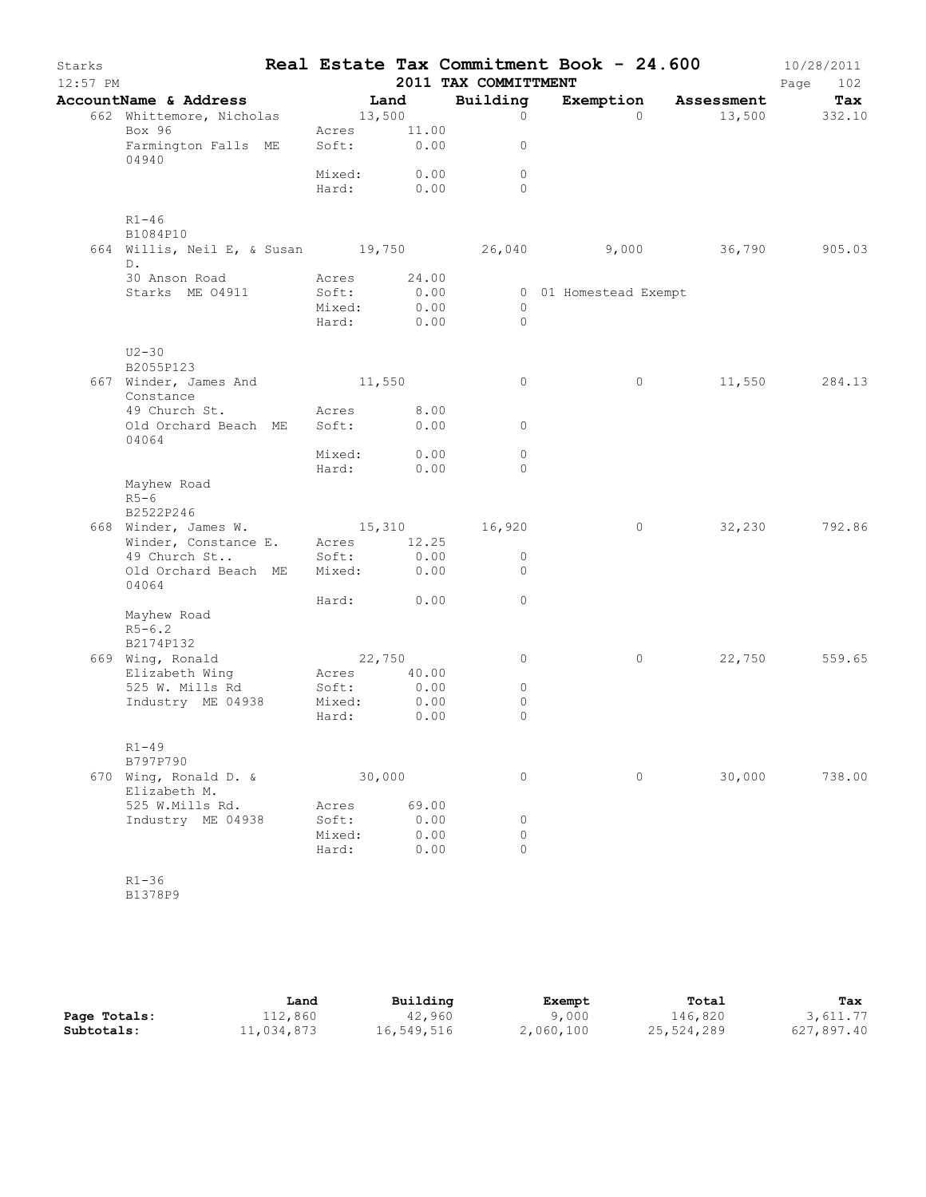| Starks<br>$12:57$ PM |                                                    |        |             | 2011 TAX COMMITTMENT | Real Estate Tax Commitment Book - 24.600 |              | 10/28/2011<br>Page<br>102 |
|----------------------|----------------------------------------------------|--------|-------------|----------------------|------------------------------------------|--------------|---------------------------|
|                      | AccountName & Address                              |        | Land        | Building             | Exemption Assessment                     |              | Tax                       |
|                      | 662 Whittemore, Nicholas                           | 13,500 |             | $\circ$              | $\Omega$                                 |              | 13,500 332.10             |
|                      | Box 96                                             |        | Acres 11.00 |                      |                                          |              |                           |
|                      | Farmington Falls ME<br>04940                       |        | Soft: 0.00  | 0                    |                                          |              |                           |
|                      |                                                    | Mixed: | 0.00        | $\circ$              |                                          |              |                           |
|                      |                                                    |        | Hard: 0.00  | $\Omega$             |                                          |              |                           |
|                      | $R1 - 46$                                          |        |             |                      |                                          |              |                           |
|                      | B1084P10                                           |        |             |                      |                                          |              |                           |
|                      | 664 Willis, Neil E, & Susan 19,750 26,040<br>$D$ . |        |             |                      |                                          | 9,000 36,790 | 905.03                    |
|                      | 30 Anson Road                                      |        | Acres 24.00 |                      |                                          |              |                           |
|                      | Starks ME 04911                                    | Soft:  | 0.00        |                      | 0 01 Homestead Exempt                    |              |                           |
|                      |                                                    | Mixed: | 0.00        | $\circ$              |                                          |              |                           |
|                      |                                                    | Hard:  | 0.00        | $\circ$              |                                          |              |                           |
|                      |                                                    |        |             |                      |                                          |              |                           |
|                      | $U2 - 30$                                          |        |             |                      |                                          |              |                           |
|                      | B2055P123                                          |        |             |                      |                                          |              |                           |
|                      | 667 Winder, James And 11,550<br>Constance          |        |             | 0                    | 0                                        | 11,550       | 284.13                    |
|                      | 49 Church St.                                      | Acres  | 8.00        |                      |                                          |              |                           |
|                      | Old Orchard Beach ME<br>04064                      | Soft:  | 0.00        | $\circ$              |                                          |              |                           |
|                      |                                                    | Mixed: | 0.00        | $\circ$              |                                          |              |                           |
|                      |                                                    | Hard:  | 0.00        | 0                    |                                          |              |                           |
|                      | Mayhew Road<br>$R5-6$                              |        |             |                      |                                          |              |                           |
|                      | B2522P246                                          |        |             |                      |                                          |              |                           |
|                      | 668 Winder, James W. 15,310 16,920                 |        |             |                      | $\circ$                                  | 32,230       | 792.86                    |
|                      | Winder, Constance E.                               |        | Acres 12.25 |                      |                                          |              |                           |
|                      | 49 Church St                                       | Soft:  | 0.00        | $\circ$              |                                          |              |                           |
|                      | Old Orchard Beach ME<br>04064                      |        | Mixed: 0.00 | $\circ$              |                                          |              |                           |
|                      |                                                    |        | Hard: 0.00  | 0                    |                                          |              |                           |
|                      | Mayhew Road                                        |        |             |                      |                                          |              |                           |
|                      | $R5 - 6.2$                                         |        |             |                      |                                          |              |                           |
|                      | B2174P132                                          |        |             |                      |                                          |              |                           |
|                      | 669 Wing, Ronald                                   |        | 22,750      | 0                    | 0                                        | 22,750       | 559.65                    |
|                      | Elizabeth Wing                                     | Acres  | 40.00       |                      |                                          |              |                           |
|                      | 525 W. Mills Rd                                    | Soft:  | 0.00        | $\circ$              |                                          |              |                           |
|                      | Industry ME 04938                                  | Mixed: | 0.00        | $\circ$              |                                          |              |                           |
|                      |                                                    | Hard:  | 0.00        | $\circ$              |                                          |              |                           |
|                      | $R1 - 49$                                          |        |             |                      |                                          |              |                           |
|                      | B797P790                                           |        |             |                      |                                          |              |                           |
|                      | 670 Wing, Ronald D. &<br>Elizabeth M.              |        | 30,000      | 0                    | $\circ$                                  | 30,000       | 738.00                    |
|                      | 525 W.Mills Rd.                                    | Acres  | 69.00       |                      |                                          |              |                           |
|                      | Industry ME 04938                                  | Soft:  | 0.00        | 0                    |                                          |              |                           |
|                      |                                                    | Mixed: | 0.00        | $\circ$              |                                          |              |                           |
|                      |                                                    | Hard:  | 0.00        | 0                    |                                          |              |                           |
|                      |                                                    |        |             |                      |                                          |              |                           |
|                      | $R1 - 36$                                          |        |             |                      |                                          |              |                           |

B1378P9

|              | Land       | Building   | Exempt    | Total      | Tax        |
|--------------|------------|------------|-----------|------------|------------|
| Page Totals: | 112,860    | 42,960     | 9,000     | 146,820    | 3,611.77   |
| Subtotals:   | 11,034,873 | 16,549,516 | 2,060,100 | 25,524,289 | 627,897.40 |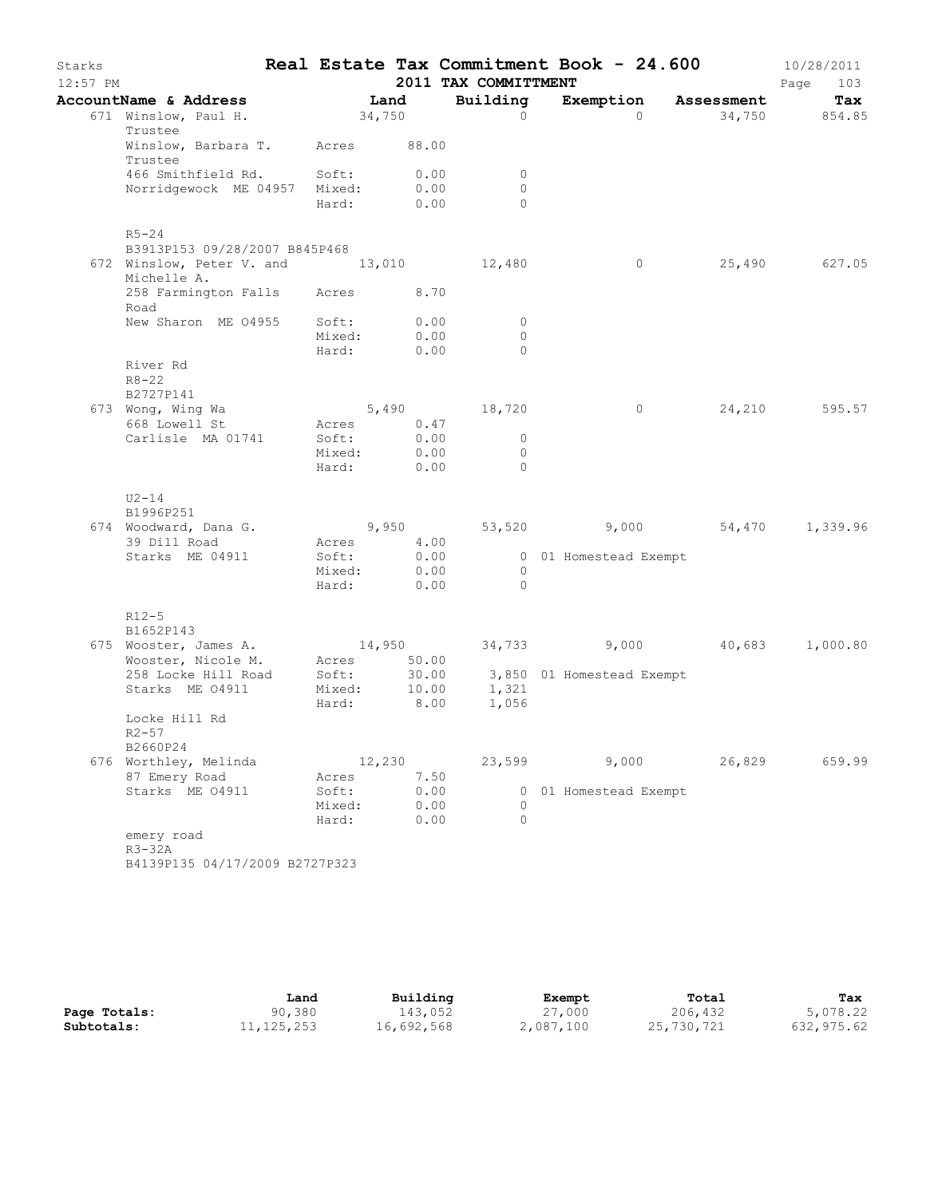| Starks<br>$12:57$ PM |                                                        |                 |               | 2011 TAX COMMITTMENT | Real Estate Tax Commitment Book - 24.600 |                      | 10/28/2011<br>Page<br>103 |
|----------------------|--------------------------------------------------------|-----------------|---------------|----------------------|------------------------------------------|----------------------|---------------------------|
|                      | AccountName & Address                                  | Land            |               | Building             |                                          | Exemption Assessment | Tax                       |
|                      | 671 Winslow, Paul H.                                   | 34,750          |               | $\Omega$             | $\Omega$                                 |                      | 34,750 854.85             |
|                      | Trustee                                                |                 |               |                      |                                          |                      |                           |
|                      | Winslow, Barbara T. Acres 88.00                        |                 |               |                      |                                          |                      |                           |
|                      | Trustee<br>466 Smithfield Rd. Soft:                    |                 | 0.00          | $\circ$              |                                          |                      |                           |
|                      | Norridgewock ME 04957 Mixed:                           |                 | 0.00          | $\circ$              |                                          |                      |                           |
|                      |                                                        | Hard:           | 0.00          | $\Omega$             |                                          |                      |                           |
|                      | $R5 - 24$                                              |                 |               |                      |                                          |                      |                           |
|                      | B3913P153 09/28/2007 B845P468                          |                 |               |                      |                                          |                      |                           |
|                      | 672 Winslow, Peter V. and 13,010 12,480<br>Michelle A. |                 |               |                      | $\circ$                                  |                      | 25,490 627.05             |
|                      | 258 Farmington Falls Acres<br>Road                     |                 | 8.70          |                      |                                          |                      |                           |
|                      | New Sharon ME 04955 Soft:                              |                 | 0.00          | $\circ$              |                                          |                      |                           |
|                      |                                                        | Mixed:          | 0.00<br>0.00  | $\circ$<br>$\Omega$  |                                          |                      |                           |
|                      | River Rd<br>$R8 - 22$                                  | Hard:           |               |                      |                                          |                      |                           |
|                      | B2727P141                                              |                 |               |                      |                                          |                      |                           |
|                      | 673 Wong, Wing Wa                                      |                 |               | $5,490$ 18,720       | $\circ$                                  |                      | 24,210 595.57             |
|                      | 668 Lowell St                                          | Acres           | 0.47          |                      |                                          |                      |                           |
|                      | Carlisle MA 01741                                      | Soft:           | 0.00          | $\circ$              |                                          |                      |                           |
|                      |                                                        | Mixed:          | 0.00          | $\circ$              |                                          |                      |                           |
|                      |                                                        | Hard:           | 0.00          | $\Omega$             |                                          |                      |                           |
|                      | $U2-14$<br>B1996P251                                   |                 |               |                      |                                          |                      |                           |
|                      | 674 Woodward, Dana G.                                  | 9,950           |               |                      | 53,520 9,000 54,470 1,339.96             |                      |                           |
|                      | 39 Dill Road                                           | Acres           | 4.00          |                      |                                          |                      |                           |
|                      | Starks ME 04911                                        | Soft:           | 0.00          |                      | 0 01 Homestead Exempt                    |                      |                           |
|                      |                                                        | Mixed:          | 0.00          | $\circ$              |                                          |                      |                           |
|                      |                                                        | Hard:           | 0.00          | $\Omega$             |                                          |                      |                           |
|                      | $R12-5$<br>B1652P143                                   |                 |               |                      |                                          |                      |                           |
|                      | 675 Wooster, James A.                                  | 14,950          |               |                      | 34,733 9,000 40,683 1,000.80             |                      |                           |
|                      | Wooster, Nicole M.                                     | Acres           | 50.00         |                      |                                          |                      |                           |
|                      | 258 Locke Hill Road                                    | Soft:           |               |                      | 30.00 3,850 01 Homestead Exempt          |                      |                           |
|                      | Starks ME 04911                                        | Mixed:<br>Hard: | 10.00<br>8.00 | 1,321<br>1,056       |                                          |                      |                           |
|                      | Locke Hill Rd                                          |                 |               |                      |                                          |                      |                           |
|                      | $R2 - 57$                                              |                 |               |                      |                                          |                      |                           |
|                      | B2660P24                                               |                 |               |                      |                                          |                      |                           |
|                      | 676 Worthley, Melinda                                  | 12,230          |               | 23,599               | 9,000                                    | 26,829               | 659.99                    |
|                      | 87 Emery Road                                          | Acres           | 7.50          |                      |                                          |                      |                           |
|                      | Starks ME 04911                                        | Soft:<br>Mixed: | 0.00<br>0.00  | 0                    | 0 01 Homestead Exempt                    |                      |                           |
|                      |                                                        | Hard:           | 0.00          | $\Omega$             |                                          |                      |                           |
|                      | emery road                                             |                 |               |                      |                                          |                      |                           |
|                      | $R3-32A$                                               |                 |               |                      |                                          |                      |                           |
|                      | D1120D125 01/17/2000                                   |                 |               |                      |                                          |                      |                           |

B4139P135 04/17/2009 B2727P323

|              | Land         | Building   | Exempt    | Total      | Tax        |
|--------------|--------------|------------|-----------|------------|------------|
| Page Totals: | 90,380       | 143,052    | 27,000    | 206,432    | 5,078.22   |
| Subtotals:   | 11, 125, 253 | 16,692,568 | 2,087,100 | 25,730,721 | 632,975.62 |